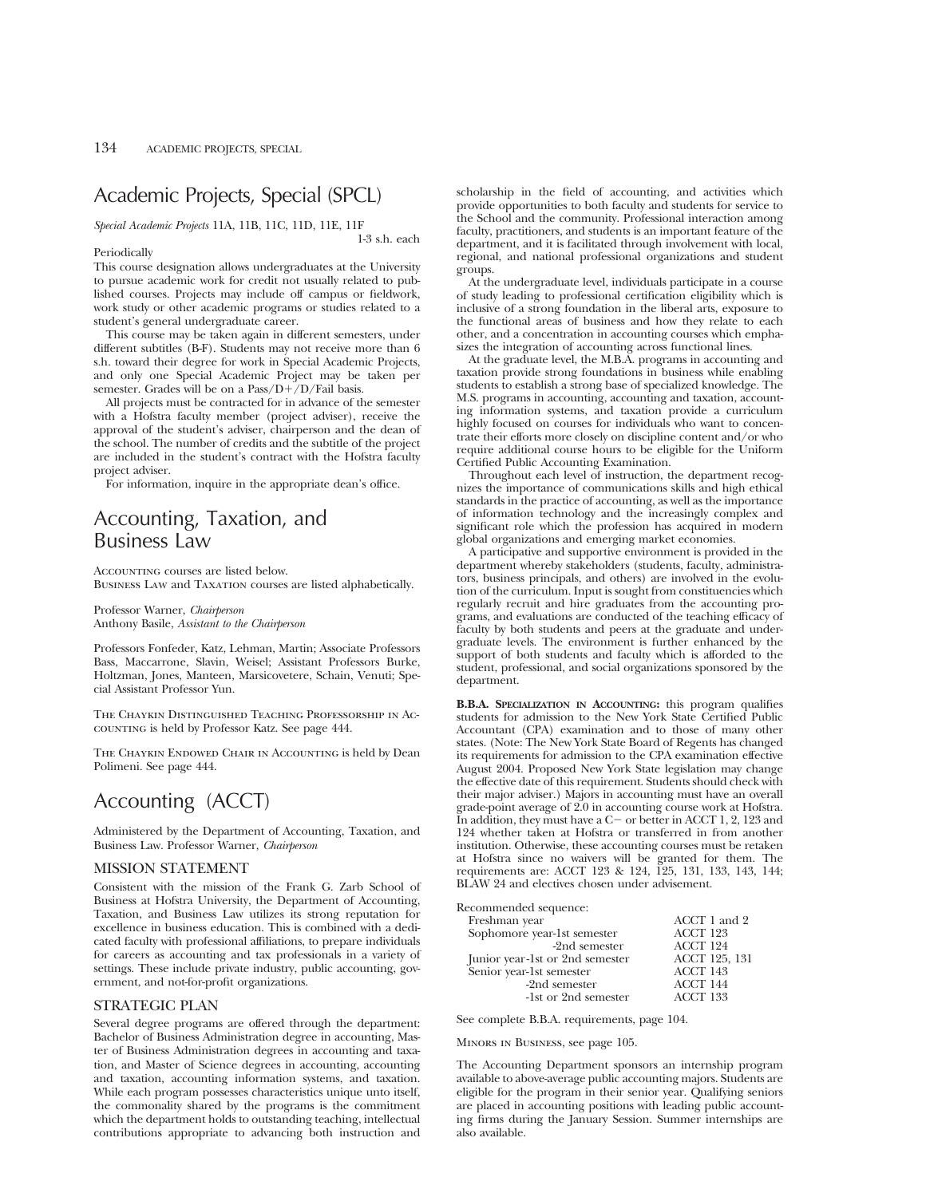# Academic Projects, Special (SPCL)

*Special Academic Projects* 11A, 11B, 11C, 11D, 11E, 11F

#### Periodically

1-3 s.h. each

This course designation allows undergraduates at the University to pursue academic work for credit not usually related to published courses. Projects may include off campus or fieldwork, work study or other academic programs or studies related to a student's general undergraduate career.

This course may be taken again in different semesters, under different subtitles (B-F). Students may not receive more than 6 s.h. toward their degree for work in Special Academic Projects, and only one Special Academic Project may be taken per semester. Grades will be on a  $Pass/D+/D$  Fail basis.

All projects must be contracted for in advance of the semester with a Hofstra faculty member (project adviser), receive the approval of the student's adviser, chairperson and the dean of the school. The number of credits and the subtitle of the project are included in the student's contract with the Hofstra faculty project adviser.

For information, inquire in the appropriate dean's office.

# Accounting, Taxation, and Business Law

Accounting courses are listed below. Business Law and Taxation courses are listed alphabetically.

Professor Warner, *Chairperson* Anthony Basile, *Assistant to the Chairperson*

Professors Fonfeder, Katz, Lehman, Martin; Associate Professors Bass, Maccarrone, Slavin, Weisel; Assistant Professors Burke, Holtzman, Jones, Manteen, Marsicovetere, Schain, Venuti; Special Assistant Professor Yun.

The Chaykin Distinguished Teaching Professorship in Accounting is held by Professor Katz. See page 444.

The Chaykin Endowed Chair in Accounting is held by Dean Polimeni. See page 444.

# Accounting (ACCT)

Administered by the Department of Accounting, Taxation, and Business Law. Professor Warner, *Chairperson*

# MISSION STATEMENT

Consistent with the mission of the Frank G. Zarb School of Business at Hofstra University, the Department of Accounting, Taxation, and Business Law utilizes its strong reputation for excellence in business education. This is combined with a dedicated faculty with professional affiliations, to prepare individuals for careers as accounting and tax professionals in a variety of settings. These include private industry, public accounting, government, and not-for-profit organizations.

# STRATEGIC PLAN

Several degree programs are offered through the department: Bachelor of Business Administration degree in accounting, Master of Business Administration degrees in accounting and taxation, and Master of Science degrees in accounting, accounting and taxation, accounting information systems, and taxation. While each program possesses characteristics unique unto itself, the commonality shared by the programs is the commitment which the department holds to outstanding teaching, intellectual contributions appropriate to advancing both instruction and

scholarship in the field of accounting, and activities which provide opportunities to both faculty and students for service to the School and the community. Professional interaction among faculty, practitioners, and students is an important feature of the department, and it is facilitated through involvement with local, regional, and national professional organizations and student groups.

At the undergraduate level, individuals participate in a course of study leading to professional certification eligibility which is inclusive of a strong foundation in the liberal arts, exposure to the functional areas of business and how they relate to each other, and a concentration in accounting courses which emphasizes the integration of accounting across functional lines.

At the graduate level, the M.B.A. programs in accounting and taxation provide strong foundations in business while enabling students to establish a strong base of specialized knowledge. The M.S. programs in accounting, accounting and taxation, accounting information systems, and taxation provide a curriculum highly focused on courses for individuals who want to concentrate their efforts more closely on discipline content and/or who require additional course hours to be eligible for the Uniform Certified Public Accounting Examination.

Throughout each level of instruction, the department recognizes the importance of communications skills and high ethical standards in the practice of accounting, as well as the importance of information technology and the increasingly complex and significant role which the profession has acquired in modern global organizations and emerging market economies.

A participative and supportive environment is provided in the department whereby stakeholders (students, faculty, administrators, business principals, and others) are involved in the evolution of the curriculum. Input is sought from constituencies which regularly recruit and hire graduates from the accounting programs, and evaluations are conducted of the teaching efficacy of faculty by both students and peers at the graduate and undergraduate levels. The environment is further enhanced by the support of both students and faculty which is afforded to the student, professional, and social organizations sponsored by the department.

**B.B.A. SPECIALIZATION IN ACCOUNTING:** this program qualifies students for admission to the New York State Certified Public Accountant (CPA) examination and to those of many other states. (Note: The New York State Board of Regents has changed its requirements for admission to the CPA examination effective August 2004. Proposed New York State legislation may change the effective date of this requirement. Students should check with their major adviser.) Majors in accounting must have an overall grade-point average of 2.0 in accounting course work at Hofstra. In addition, they must have a  $C-$  or better in ACCT 1, 2, 123 and 124 whether taken at Hofstra or transferred in from another institution. Otherwise, these accounting courses must be retaken at Hofstra since no waivers will be granted for them. The requirements are: ACCT 123 & 124, 125, 131, 133, 143, 144; BLAW 24 and electives chosen under advisement.

Recommended sequence:

| .commondoa boquence.            |               |
|---------------------------------|---------------|
| Freshman year                   | ACCT 1 and 2  |
| Sophomore year-1st semester     | ACCT 123      |
| -2nd semester                   | ACCT 124      |
| Junior year-1st or 2nd semester | ACCT 125, 131 |
| Senior year-1st semester        | ACCT 143      |
| -2nd semester                   | ACCT 144      |
| -1st or 2nd semester            | ACCT 133      |
|                                 |               |

See complete B.B.A. requirements, page 104.

Minors in Business, see page 105.

The Accounting Department sponsors an internship program available to above-average public accounting majors. Students are eligible for the program in their senior year. Qualifying seniors are placed in accounting positions with leading public accounting firms during the January Session. Summer internships are also available.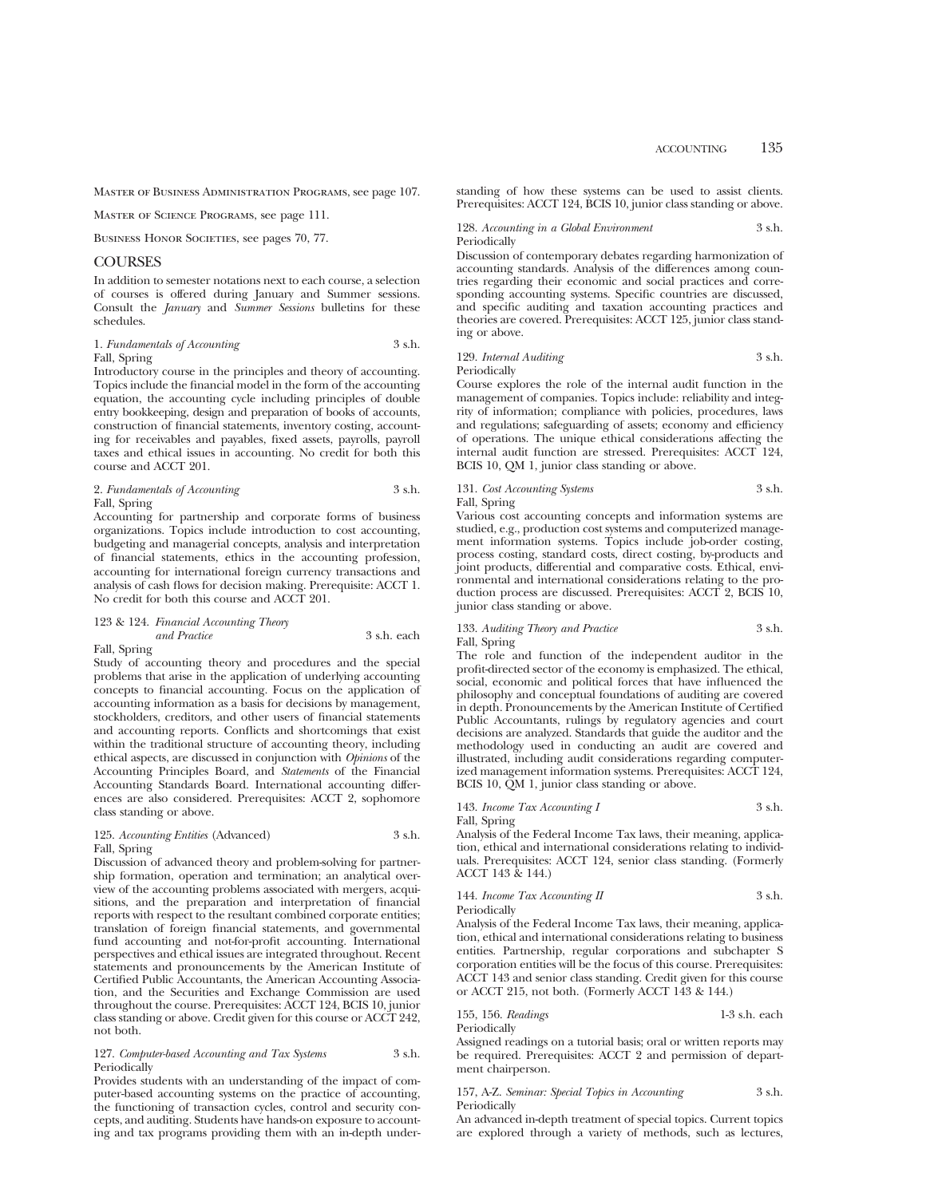Master of Business Administration Programs, see page 107.

Master of Science Programs, see page 111.

BUSINESS HONOR SOCIETIES, see pages 70, 77.

# **COURSES**

In addition to semester notations next to each course, a selection of courses is offered during January and Summer sessions. Consult the *January* and *Summer Sessions* bulletins for these schedules.

1. *Fundamentals of Accounting* 3 s.h. Fall, Spring

Introductory course in the principles and theory of accounting. Topics include the financial model in the form of the accounting equation, the accounting cycle including principles of double entry bookkeeping, design and preparation of books of accounts, construction of financial statements, inventory costing, accounting for receivables and payables, fixed assets, payrolls, payroll taxes and ethical issues in accounting. No credit for both this course and ACCT 201.

#### 2. *Fundamentals of Accounting* 3 s.h. Fall, Spring

Accounting for partnership and corporate forms of business organizations. Topics include introduction to cost accounting, budgeting and managerial concepts, analysis and interpretation of financial statements, ethics in the accounting profession, accounting for international foreign currency transactions and analysis of cash flows for decision making. Prerequisite: ACCT 1. No credit for both this course and ACCT 201.

#### 123 & 124. *Financial Accounting Theory*

*and Practice* 3 s.h. each Fall, Spring

Study of accounting theory and procedures and the special problems that arise in the application of underlying accounting concepts to financial accounting. Focus on the application of accounting information as a basis for decisions by management, stockholders, creditors, and other users of financial statements and accounting reports. Conflicts and shortcomings that exist within the traditional structure of accounting theory, including ethical aspects, are discussed in conjunction with *Opinions* of the Accounting Principles Board, and *Statements* of the Financial Accounting Standards Board. International accounting differences are also considered. Prerequisites: ACCT 2, sophomore class standing or above.

# 125. *Accounting Entities* (Advanced) 3 s.h. Fall, Spring

Discussion of advanced theory and problem-solving for partnership formation, operation and termination; an analytical overview of the accounting problems associated with mergers, acquisitions, and the preparation and interpretation of financial reports with respect to the resultant combined corporate entities; translation of foreign financial statements, and governmental fund accounting and not-for-profit accounting. International perspectives and ethical issues are integrated throughout. Recent statements and pronouncements by the American Institute of Certified Public Accountants, the American Accounting Association, and the Securities and Exchange Commission are used throughout the course. Prerequisites: ACCT 124, BCIS 10, junior class standing or above. Credit given for this course or ACCT 242, not both.

# 127. *Computer-based Accounting and Tax Systems* 3 s.h. Periodically

Provides students with an understanding of the impact of computer-based accounting systems on the practice of accounting, the functioning of transaction cycles, control and security concepts, and auditing. Students have hands-on exposure to accounting and tax programs providing them with an in-depth understanding of how these systems can be used to assist clients. Prerequisites: ACCT 124, BCIS 10, junior class standing or above.

128. *Accounting in a Global Environment* 3 s.h. Periodically

Discussion of contemporary debates regarding harmonization of accounting standards. Analysis of the differences among countries regarding their economic and social practices and corresponding accounting systems. Specific countries are discussed, and specific auditing and taxation accounting practices and theories are covered. Prerequisites: ACCT 125, junior class standing or above.

129. *Internal Auditing* 3 s.h. Periodically

Course explores the role of the internal audit function in the management of companies. Topics include: reliability and integrity of information; compliance with policies, procedures, laws and regulations; safeguarding of assets; economy and efficiency of operations. The unique ethical considerations affecting the internal audit function are stressed. Prerequisites: ACCT 124, BCIS 10, QM 1, junior class standing or above.

# 131. *Cost Accounting Systems* 3 s.h.

Fall, Spring

Various cost accounting concepts and information systems are studied, e.g., production cost systems and computerized management information systems. Topics include job-order costing, process costing, standard costs, direct costing, by-products and joint products, differential and comparative costs. Ethical, environmental and international considerations relating to the production process are discussed. Prerequisites: ACCT 2, BCIS 10, junior class standing or above.

# 133. *Auditing Theory and Practice* 3 s.h. Fall, Spring

The role and function of the independent auditor in the profit-directed sector of the economy is emphasized. The ethical, social, economic and political forces that have influenced the philosophy and conceptual foundations of auditing are covered in depth. Pronouncements by the American Institute of Certified Public Accountants, rulings by regulatory agencies and court decisions are analyzed. Standards that guide the auditor and the methodology used in conducting an audit are covered and illustrated, including audit considerations regarding computerized management information systems. Prerequisites: ACCT 124, BCIS 10, QM 1, junior class standing or above.

143. *Income Tax Accounting I* 3 s.h. Fall, Spring

Analysis of the Federal Income Tax laws, their meaning, application, ethical and international considerations relating to individuals. Prerequisites: ACCT 124, senior class standing. (Formerly ACCT 143 & 144.)

144. *Income Tax Accounting II* 3 s.h. Periodically

Analysis of the Federal Income Tax laws, their meaning, application, ethical and international considerations relating to business entities. Partnership, regular corporations and subchapter S corporation entities will be the focus of this course. Prerequisites: ACCT 143 and senior class standing. Credit given for this course or ACCT 215, not both. (Formerly ACCT 143 & 144.)

155, 156. *Readings* 1-3 s.h. each Periodically

Assigned readings on a tutorial basis; oral or written reports may be required. Prerequisites: ACCT 2 and permission of department chairperson.

## 157, A-Z. *Seminar: Special Topics in Accounting* 3 s.h. Periodically

An advanced in-depth treatment of special topics. Current topics are explored through a variety of methods, such as lectures,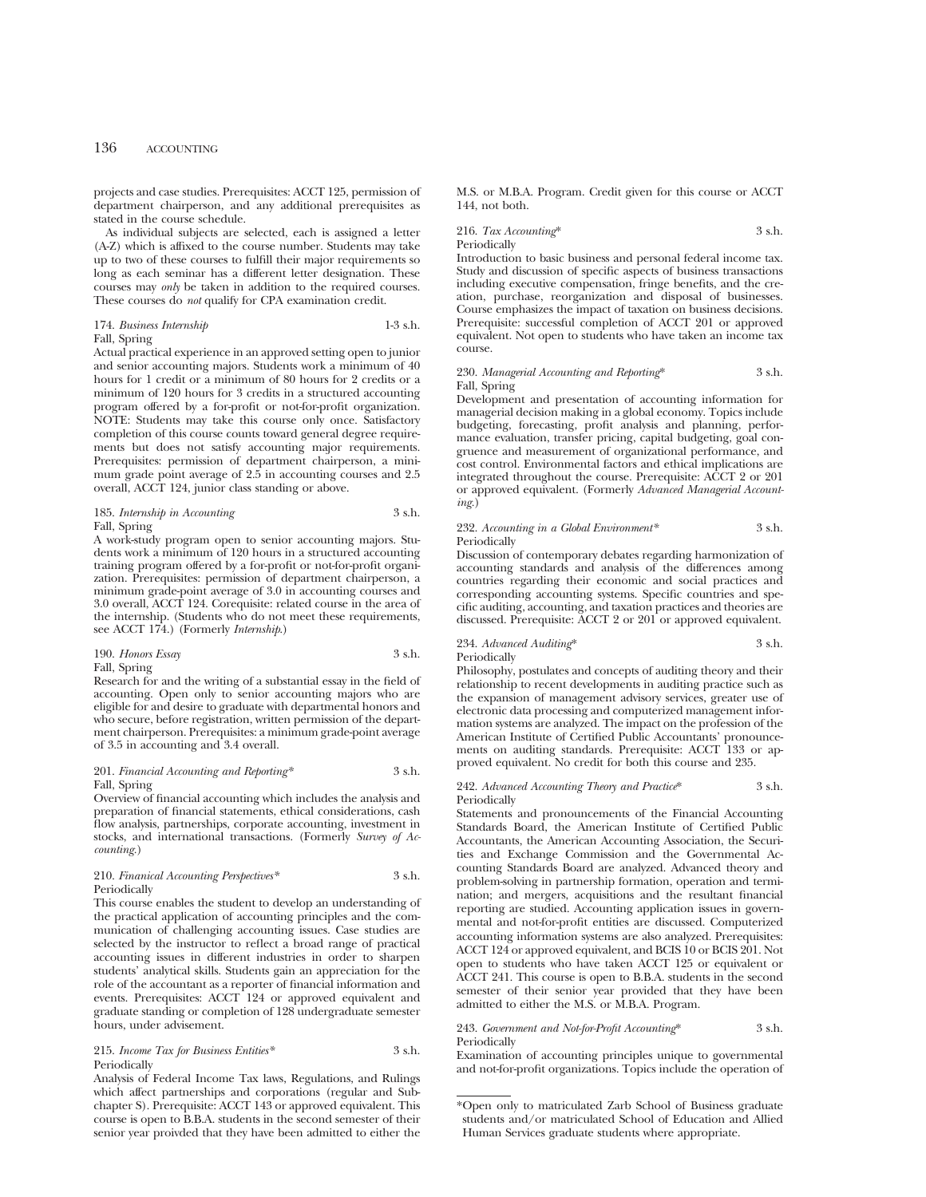projects and case studies. Prerequisites: ACCT 125, permission of department chairperson, and any additional prerequisites as stated in the course schedule.

As individual subjects are selected, each is assigned a letter (A-Z) which is affixed to the course number. Students may take up to two of these courses to fulfill their major requirements so long as each seminar has a different letter designation. These courses may *only* be taken in addition to the required courses. These courses do *not* qualify for CPA examination credit.

## 174. *Business Internship* 1-3 s.h. Fall, Spring

Actual practical experience in an approved setting open to junior and senior accounting majors. Students work a minimum of 40 hours for 1 credit or a minimum of 80 hours for 2 credits or a minimum of 120 hours for 3 credits in a structured accounting program offered by a for-profit or not-for-profit organization. NOTE: Students may take this course only once. Satisfactory completion of this course counts toward general degree requirements but does not satisfy accounting major requirements. Prerequisites: permission of department chairperson, a minimum grade point average of 2.5 in accounting courses and 2.5 overall, ACCT 124, junior class standing or above.

#### 185. *Internship in Accounting* 3 s.h. Fall, Spring

A work-study program open to senior accounting majors. Students work a minimum of 120 hours in a structured accounting training program offered by a for-profit or not-for-profit organization. Prerequisites: permission of department chairperson, a minimum grade-point average of 3.0 in accounting courses and 3.0 overall, ACCT 124. Corequisite: related course in the area of the internship. (Students who do not meet these requirements, see ACCT 174.) (Formerly *Internship*.)

# 190. *Honors Essay* 3 s.h. Fall, Spring

Research for and the writing of a substantial essay in the field of accounting. Open only to senior accounting majors who are eligible for and desire to graduate with departmental honors and who secure, before registration, written permission of the department chairperson. Prerequisites: a minimum grade-point average of 3.5 in accounting and 3.4 overall.

## 201. *Financial Accounting and Reporting\** 3 s.h. Fall, Spring

Overview of financial accounting which includes the analysis and preparation of financial statements, ethical considerations, cash flow analysis, partnerships, corporate accounting, investment in stocks, and international transactions. (Formerly *Survey of Accounting.*)

# 210. *Finanical Accounting Perspectives\** 3 s.h. Periodically

This course enables the student to develop an understanding of the practical application of accounting principles and the communication of challenging accounting issues. Case studies are selected by the instructor to reflect a broad range of practical accounting issues in different industries in order to sharpen students' analytical skills. Students gain an appreciation for the role of the accountant as a reporter of financial information and events. Prerequisites: ACCT 124 or approved equivalent and graduate standing or completion of 128 undergraduate semester hours, under advisement.

# 215. *Income Tax for Business Entities\** 3 s.h. Periodically

Analysis of Federal Income Tax laws, Regulations, and Rulings which affect partnerships and corporations (regular and Subchapter S). Prerequisite: ACCT 143 or approved equivalent. This course is open to B.B.A. students in the second semester of their senior year proivded that they have been admitted to either the M.S. or M.B.A. Program. Credit given for this course or ACCT 144, not both.

# 216. *Tax Accounting*\* 3 s.h. Periodically

Introduction to basic business and personal federal income tax. Study and discussion of specific aspects of business transactions including executive compensation, fringe benefits, and the creation, purchase, reorganization and disposal of businesses. Course emphasizes the impact of taxation on business decisions. Prerequisite: successful completion of ACCT 201 or approved equivalent. Not open to students who have taken an income tax course.

## 230. *Managerial Accounting and Reporting*<sup>\*</sup> 3 s.h. Fall, Spring

Development and presentation of accounting information for managerial decision making in a global economy. Topics include budgeting, forecasting, profit analysis and planning, performance evaluation, transfer pricing, capital budgeting, goal congruence and measurement of organizational performance, and cost control. Environmental factors and ethical implications are integrated throughout the course. Prerequisite: ACCT 2 or 201 or approved equivalent. (Formerly *Advanced Managerial Accounting.*)

#### 232. *Accounting in a Global Environment\** 3 s.h. Periodically

Discussion of contemporary debates regarding harmonization of accounting standards and analysis of the differences among countries regarding their economic and social practices and corresponding accounting systems. Specific countries and specific auditing, accounting, and taxation practices and theories are discussed. Prerequisite: ACCT 2 or 201 or approved equivalent.

#### 234. *Advanced Auditing*\* 3 s.h. Periodically

Philosophy, postulates and concepts of auditing theory and their relationship to recent developments in auditing practice such as the expansion of management advisory services, greater use of electronic data processing and computerized management information systems are analyzed. The impact on the profession of the American Institute of Certified Public Accountants' pronouncements on auditing standards. Prerequisite: ACCT 133 or approved equivalent. No credit for both this course and 235.

#### 242. *Advanced Accounting Theory and Practice*\* 3 s.h. Periodically

Statements and pronouncements of the Financial Accounting Standards Board, the American Institute of Certified Public Accountants, the American Accounting Association, the Securities and Exchange Commission and the Governmental Accounting Standards Board are analyzed. Advanced theory and problem-solving in partnership formation, operation and termination; and mergers, acquisitions and the resultant financial reporting are studied. Accounting application issues in governmental and not-for-profit entities are discussed. Computerized accounting information systems are also analyzed. Prerequisites: ACCT 124 or approved equivalent, and BCIS 10 or BCIS 201. Not open to students who have taken ACCT 125 or equivalent or ACCT 241. This course is open to B.B.A. students in the second semester of their senior year provided that they have been admitted to either the M.S. or M.B.A. Program.

# 243. *Government and Not-for-Profit Accounting*\* 3 s.h. Periodically

Examination of accounting principles unique to governmental and not-for-profit organizations. Topics include the operation of

<sup>\*</sup>Open only to matriculated Zarb School of Business graduate students and/or matriculated School of Education and Allied Human Services graduate students where appropriate.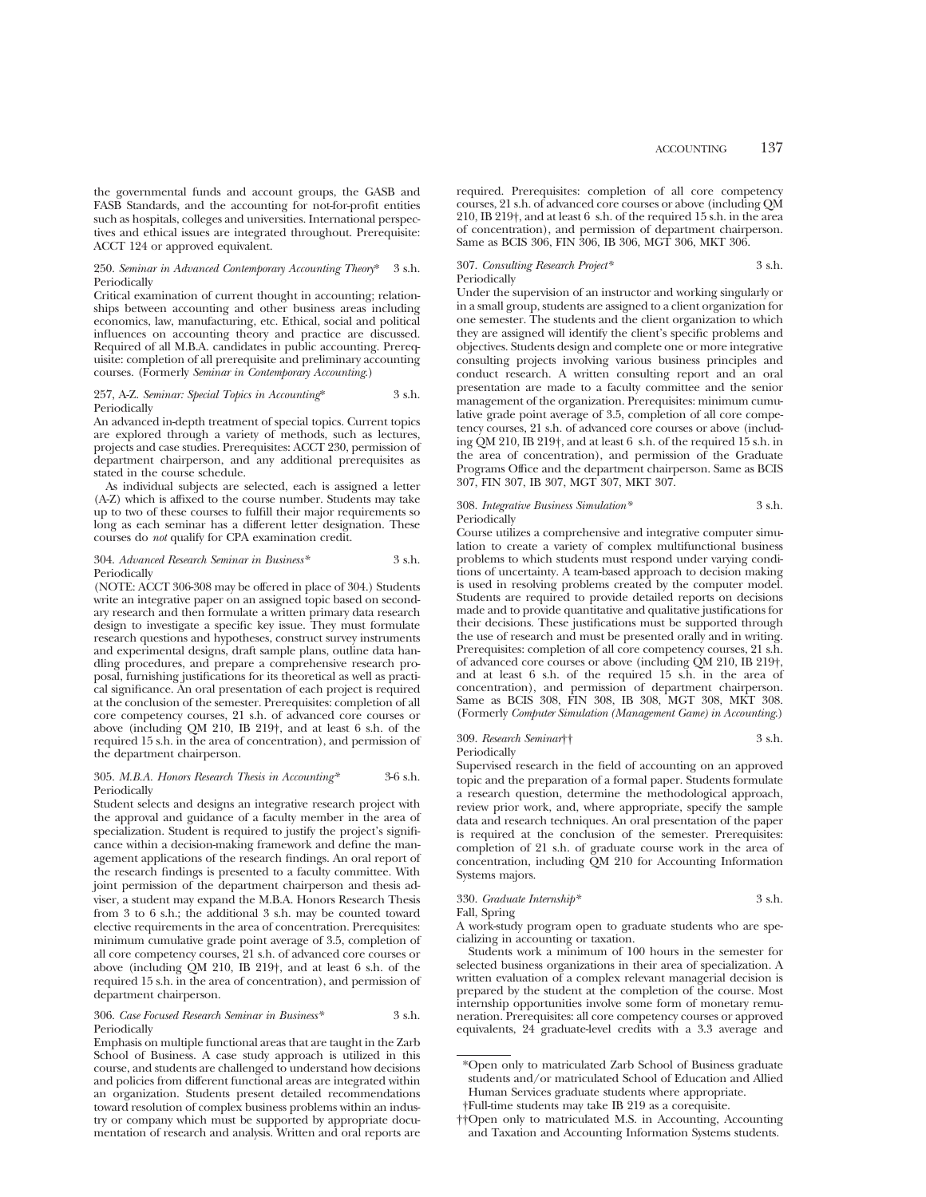the governmental funds and account groups, the GASB and FASB Standards, and the accounting for not-for-profit entities such as hospitals, colleges and universities. International perspectives and ethical issues are integrated throughout. Prerequisite: ACCT 124 or approved equivalent.

## 250. *Seminar in Advanced Contemporary Accounting Theory*\* 3 s.h. Periodically

Critical examination of current thought in accounting; relationships between accounting and other business areas including economics, law, manufacturing, etc. Ethical, social and political influences on accounting theory and practice are discussed. Required of all M.B.A. candidates in public accounting. Prerequisite: completion of all prerequisite and preliminary accounting courses. (Formerly *Seminar in Contemporary Accounting*.)

### 257, A-Z. *Seminar: Special Topics in Accounting*\* 3 s.h. Periodically

An advanced in-depth treatment of special topics. Current topics are explored through a variety of methods, such as lectures, projects and case studies. Prerequisites: ACCT 230, permission of department chairperson, and any additional prerequisites as stated in the course schedule.

As individual subjects are selected, each is assigned a letter (A-Z) which is affixed to the course number. Students may take up to two of these courses to fulfill their major requirements so long as each seminar has a different letter designation. These courses do *not* qualify for CPA examination credit.

#### 304. *Advanced Research Seminar in Business\** 3 s.h. Periodically

(NOTE: ACCT 306-308 may be offered in place of 304.) Students write an integrative paper on an assigned topic based on secondary research and then formulate a written primary data research design to investigate a specific key issue. They must formulate research questions and hypotheses, construct survey instruments and experimental designs, draft sample plans, outline data handling procedures, and prepare a comprehensive research proposal, furnishing justifications for its theoretical as well as practical significance. An oral presentation of each project is required at the conclusion of the semester. Prerequisites: completion of all core competency courses, 21 s.h. of advanced core courses or above (including QM 210, IB 219†, and at least 6 s.h. of the required 15 s.h. in the area of concentration), and permission of the department chairperson.

#### 305. *M.B.A. Honors Research Thesis in Accounting\** 3-6 s.h. Periodically

Student selects and designs an integrative research project with the approval and guidance of a faculty member in the area of specialization. Student is required to justify the project's significance within a decision-making framework and define the management applications of the research findings. An oral report of the research findings is presented to a faculty committee. With joint permission of the department chairperson and thesis adviser, a student may expand the M.B.A. Honors Research Thesis from 3 to 6 s.h.; the additional 3 s.h. may be counted toward elective requirements in the area of concentration. Prerequisites: minimum cumulative grade point average of 3.5, completion of all core competency courses, 21 s.h. of advanced core courses or above (including QM 210, IB 219†, and at least 6 s.h. of the required 15 s.h. in the area of concentration), and permission of department chairperson.

## 306. *Case Focused Research Seminar in Business\** 3 s.h. Periodically

required. Prerequisites: completion of all core competency courses, 21 s.h. of advanced core courses or above (including QM 210, IB 219†, and at least 6 s.h. of the required 15 s.h. in the area of concentration), and permission of department chairperson. Same as BCIS 306, FIN 306, IB 306, MGT 306, MKT 306.

## 307. *Consulting Research Project\** 3 s.h. Periodically

Under the supervision of an instructor and working singularly or in a small group, students are assigned to a client organization for one semester. The students and the client organization to which they are assigned will identify the client's specific problems and objectives. Students design and complete one or more integrative consulting projects involving various business principles and conduct research. A written consulting report and an oral presentation are made to a faculty committee and the senior management of the organization. Prerequisites: minimum cumulative grade point average of 3.5, completion of all core competency courses, 21 s.h. of advanced core courses or above (including QM 210, IB 219†, and at least 6 s.h. of the required 15 s.h. in the area of concentration), and permission of the Graduate Programs Office and the department chairperson. Same as BCIS 307, FIN 307, IB 307, MGT 307, MKT 307.

# 308. *Integrative Business Simulation\** 3 s.h. Periodically

Course utilizes a comprehensive and integrative computer simulation to create a variety of complex multifunctional business problems to which students must respond under varying conditions of uncertainty. A team-based approach to decision making is used in resolving problems created by the computer model. Students are required to provide detailed reports on decisions made and to provide quantitative and qualitative justifications for their decisions. These justifications must be supported through the use of research and must be presented orally and in writing. Prerequisites: completion of all core competency courses, 21 s.h. of advanced core courses or above (including QM 210, IB 219†, and at least 6 s.h. of the required 15 s.h. in the area of concentration), and permission of department chairperson. Same as BCIS 308, FIN 308, IB 308, MGT 308, MKT 308. (Formerly *Computer Simulation (Management Game) in Accounting*.)

# 309. *Research Seminar*†† 3 s.h. Periodically

Supervised research in the field of accounting on an approved topic and the preparation of a formal paper. Students formulate a research question, determine the methodological approach, review prior work, and, where appropriate, specify the sample data and research techniques. An oral presentation of the paper is required at the conclusion of the semester. Prerequisites: completion of 21 s.h. of graduate course work in the area of concentration, including QM 210 for Accounting Information Systems majors.

#### 330. *Graduate Internship\** 3 s.h. Fall, Spring

A work-study program open to graduate students who are specializing in accounting or taxation.

Students work a minimum of 100 hours in the semester for selected business organizations in their area of specialization. A written evaluation of a complex relevant managerial decision is prepared by the student at the completion of the course. Most internship opportunities involve some form of monetary remuneration. Prerequisites: all core competency courses or approved equivalents, 24 graduate-level credits with a 3.3 average and

Emphasis on multiple functional areas that are taught in the Zarb School of Business. A case study approach is utilized in this course, and students are challenged to understand how decisions and policies from different functional areas are integrated within an organization. Students present detailed recommendations toward resolution of complex business problems within an industry or company which must be supported by appropriate documentation of research and analysis. Written and oral reports are

<sup>\*</sup>Open only to matriculated Zarb School of Business graduate students and/or matriculated School of Education and Allied Human Services graduate students where appropriate.

<sup>†</sup>Full-time students may take IB 219 as a corequisite.

<sup>††</sup>Open only to matriculated M.S. in Accounting, Accounting and Taxation and Accounting Information Systems students.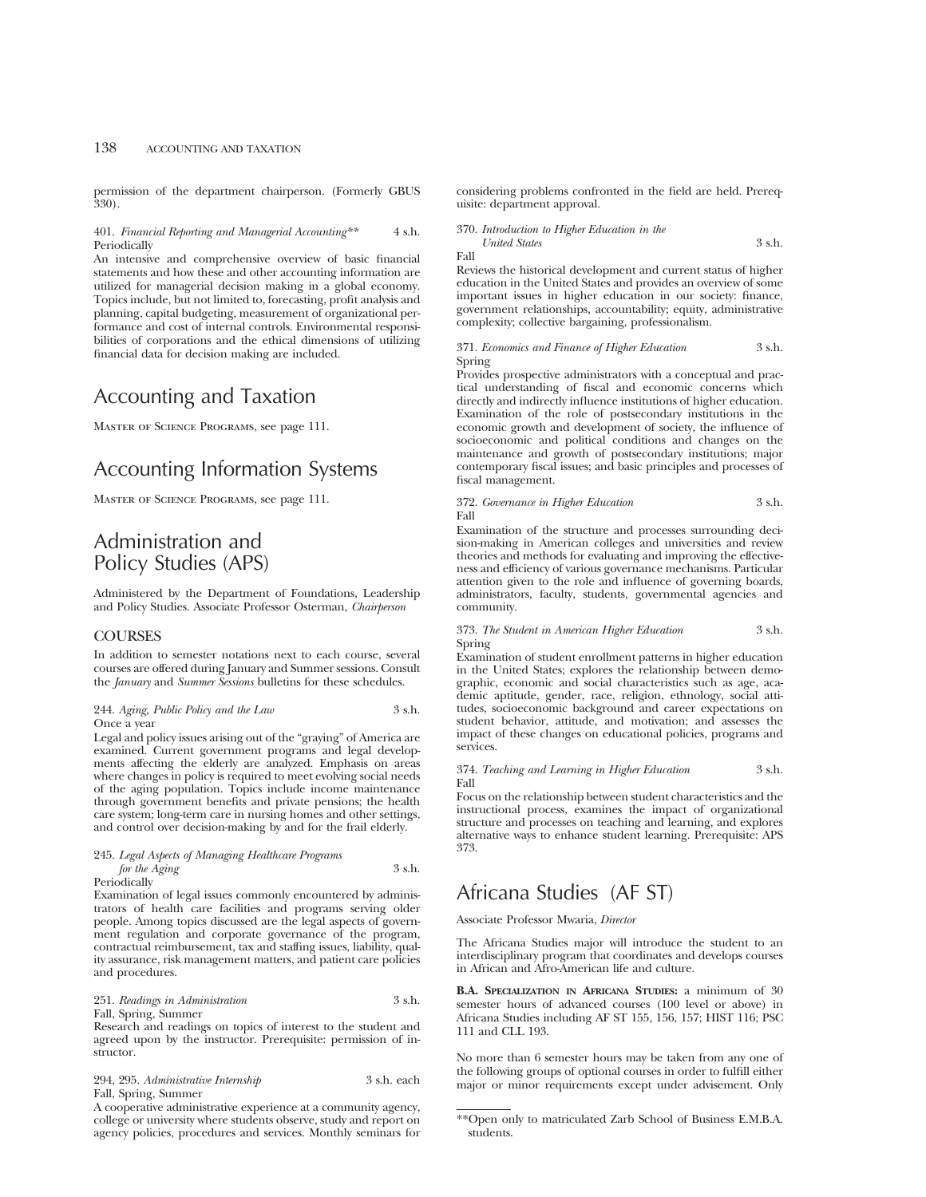permission of the department chairperson. (Formerly GBUS 330).

### 401. *Financial Reporting and Managerial Accounting\*\** 4 s.h. Periodically

An intensive and comprehensive overview of basic financial statements and how these and other accounting information are utilized for managerial decision making in a global economy. Topics include, but not limited to, forecasting, profit analysis and planning, capital budgeting, measurement of organizational performance and cost of internal controls. Environmental responsibilities of corporations and the ethical dimensions of utilizing financial data for decision making are included.

# Accounting and Taxation

Master of Science Programs, see page 111.

# Accounting Information Systems

Master of Science Programs, see page 111.

# Administration and Policy Studies (APS)

Administered by the Department of Foundations, Leadership and Policy Studies. Associate Professor Osterman, *Chairperson*

# COURSES

In addition to semester notations next to each course, several courses are offered during January and Summer sessions. Consult the *January* and *Summer Sessions* bulletins for these schedules.

244. *Aging, Public Policy and the Law* 3 s.h. Once a year

Legal and policy issues arising out of the "graying" of America are examined. Current government programs and legal developments affecting the elderly are analyzed. Emphasis on areas where changes in policy is required to meet evolving social needs of the aging population. Topics include income maintenance through government benefits and private pensions; the health care system; long-term care in nursing homes and other settings, and control over decision-making by and for the frail elderly.

### 245. *Legal Aspects of Managing Healthcare Programs for the Aging* 3 s.h. Periodically

Examination of legal issues commonly encountered by administrators of health care facilities and programs serving older people. Among topics discussed are the legal aspects of government regulation and corporate governance of the program, contractual reimbursement, tax and staffing issues, liability, quality assurance, risk management matters, and patient care policies and procedures.

#### 251. *Readings in Administration* 3 s.h. Fall, Spring, Summer

Research and readings on topics of interest to the student and agreed upon by the instructor. Prerequisite: permission of instructor.

294, 295. *Administrative Internship* 3 s.h. each Fall, Spring, Summer

A cooperative administrative experience at a community agency, college or university where students observe, study and report on agency policies, procedures and services. Monthly seminars for considering problems confronted in the field are held. Prerequisite: department approval.

## 370. *Introduction to Higher Education in the United States* 3 s.h.

Fall

Reviews the historical development and current status of higher education in the United States and provides an overview of some important issues in higher education in our society: finance, government relationships, accountability; equity, administrative complexity; collective bargaining, professionalism.

#### 371. *Economics and Finance of Higher Education* 3 s.h. Spring

Provides prospective administrators with a conceptual and practical understanding of fiscal and economic concerns which directly and indirectly influence institutions of higher education. Examination of the role of postsecondary institutions in the economic growth and development of society, the influence of socioeconomic and political conditions and changes on the maintenance and growth of postsecondary institutions; major contemporary fiscal issues; and basic principles and processes of fiscal management.

### 372. *Governance in Higher Education* 3 s.h. Fall

Examination of the structure and processes surrounding decision-making in American colleges and universities and review theories and methods for evaluating and improving the effectiveness and efficiency of various governance mechanisms. Particular attention given to the role and influence of governing boards, administrators, faculty, students, governmental agencies and community.

373. *The Student in American Higher Education* 3 s.h. Spring

Examination of student enrollment patterns in higher education in the United States; explores the relationship between demographic, economic and social characteristics such as age, academic aptitude, gender, race, religion, ethnology, social attitudes, socioeconomic background and career expectations on student behavior, attitude, and motivation; and assesses the impact of these changes on educational policies, programs and services.

374. *Teaching and Learning in Higher Education* 3 s.h. Fall

Focus on the relationship between student characteristics and the instructional process, examines the impact of organizational structure and processes on teaching and learning, and explores alternative ways to enhance student learning. Prerequisite: APS 373.

# Africana Studies (AF ST)

Associate Professor Mwaria, *Director*

The Africana Studies major will introduce the student to an interdisciplinary program that coordinates and develops courses in African and Afro-American life and culture.

**B.A. SPECIALIZATION IN AFRICANA STUDIES:** a minimum of 30 semester hours of advanced courses (100 level or above) in Africana Studies including AF ST 155, 156, 157; HIST 116; PSC 111 and CLL 193.

No more than 6 semester hours may be taken from any one of the following groups of optional courses in order to fulfill either major or minor requirements except under advisement. Only

<sup>\*\*</sup>Open only to matriculated Zarb School of Business E.M.B.A. students.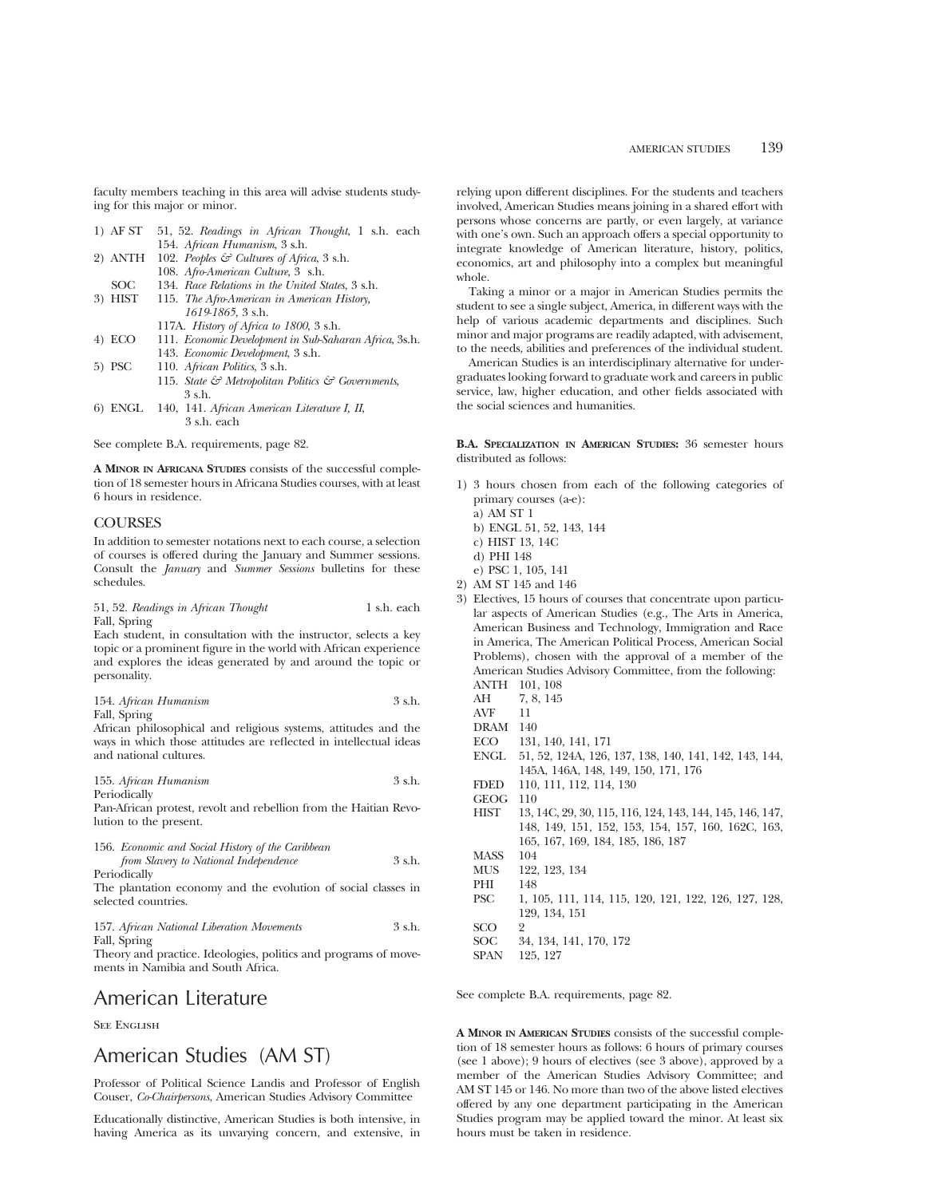faculty members teaching in this area will advise students studying for this major or minor.

- 1) AF ST 51, 52. *Readings in African Thought*, 1 s.h. each 154. *African Humanism*, 3 s.h.
- 2) ANTH 102. *Peoples & Cultures of Africa*, 3 s.h. 108. *Afro-American Culture*, 3 s.h.
- SOC 134. *Race Relations in the United States*, 3 s.h.<br>3) HIST 115. *The Afro-American in American History*,
- 3) HIST 115. *The Afro-American in American History, 1619-1865*, 3 s.h.
	- 117A. *History of Africa to 1800*, 3 s.h.
- 4) ECO 111. *Economic Development in Sub-Saharan Africa*, 3s.h. 143. *Economic Development*, 3 s.h.
- 5) PSC 110. *African Politics*, 3 s.h. 115. *State & Metropolitan Politics & Governments*, 3 s.h.
- 6) ENGL 140, 141. *African American Literature I, II*, 3 s.h. each

See complete B.A. requirements, page 82.

**A MINOR IN AFRICANA STUDIES** consists of the successful completion of 18 semester hours in Africana Studies courses, with at least 6 hours in residence.

# **COURSES**

In addition to semester notations next to each course, a selection of courses is offered during the January and Summer sessions. Consult the *January* and *Summer Sessions* bulletins for these schedules.

| 51, 52. Readings in African Thought |  | 1 s.h. each |
|-------------------------------------|--|-------------|
| Fall, Spring                        |  |             |

Each student, in consultation with the instructor, selects a key topic or a prominent figure in the world with African experience and explores the ideas generated by and around the topic or personality.

|              | 154. African Humanism | 3 s.h. |
|--------------|-----------------------|--------|
| Fall, Spring |                       |        |

African philosophical and religious systems, attitudes and the ways in which those attitudes are reflected in intellectual ideas and national cultures.

155. *African Humanism* 3 s.h. Periodically

Pan-African protest, revolt and rebellion from the Haitian Revolution to the present.

| 156. Economic and Social History of the Caribbean |        |
|---------------------------------------------------|--------|
| from Slavery to National Independence             | 3 s.h. |
| Periodically                                      |        |

The plantation economy and the evolution of social classes in selected countries.

|              |  | 157. African National Liberation Movements | 3 s.h. |
|--------------|--|--------------------------------------------|--------|
| Fall, Spring |  |                                            |        |

Theory and practice. Ideologies, politics and programs of movements in Namibia and South Africa.

# American Literature

See English

# American Studies (AM ST)

Professor of Political Science Landis and Professor of English Couser, *Co-Chairpersons*, American Studies Advisory Committee

Educationally distinctive, American Studies is both intensive, in having America as its unvarying concern, and extensive, in relying upon different disciplines. For the students and teachers involved, American Studies means joining in a shared effort with persons whose concerns are partly, or even largely, at variance with one's own. Such an approach offers a special opportunity to integrate knowledge of American literature, history, politics, economics, art and philosophy into a complex but meaningful whole.

Taking a minor or a major in American Studies permits the student to see a single subject, America, in different ways with the help of various academic departments and disciplines. Such minor and major programs are readily adapted, with advisement, to the needs, abilities and preferences of the individual student.

American Studies is an interdisciplinary alternative for undergraduates looking forward to graduate work and careers in public service, law, higher education, and other fields associated with the social sciences and humanities.

**B.A. SPECIALIZATION IN AMERICAN STUDIES:** 36 semester hours distributed as follows:

- 1) 3 hours chosen from each of the following categories of primary courses (a-e):
	- a) AM ST 1
	- b) ENGL 51, 52, 143, 144
	- c) HIST 13, 14C
	- d) PHI 148
- e) PSC 1, 105, 141 2) AM ST 145 and 146
- 3) Electives, 15 hours of courses that concentrate upon particular aspects of American Studies (e.g., The Arts in America, American Business and Technology, Immigration and Race in America, The American Political Process, American Social Problems), chosen with the approval of a member of the American Studies Advisory Committee, from the following: ANTH 101, 108
	- AH 7, 8, 145
	- AVF 11
	- DRAM 140
	-
	- ECO 131, 140, 141, 171 ENGL 51, 52, 124A, 126, 137, 138, 140, 141, 142, 143, 144,
	- 145A, 146A, 148, 149, 150, 171, 176
	- FDED 110, 111, 112, 114, 130
	- GEOG 110
	- HIST 13, 14C, 29, 30, 115, 116, 124, 143, 144, 145, 146, 147, 148, 149, 151, 152, 153, 154, 157, 160, 162C, 163, 165, 167, 169, 184, 185, 186, 187 MASS 104 MUS 122, 123, 134
	- PHI 148
	- PSC 1, 105, 111, 114, 115, 120, 121, 122, 126, 127, 128, 129, 134, 151
- SCO 2 SOC 34, 134, 141, 170, 172<br>SPAN 125, 127

125, 127

See complete B.A. requirements, page 82.

**A MINOR IN AMERICAN STUDIES** consists of the successful completion of 18 semester hours as follows: 6 hours of primary courses (see 1 above); 9 hours of electives (see 3 above), approved by a member of the American Studies Advisory Committee; and AM ST 145 or 146. No more than two of the above listed electives offered by any one department participating in the American Studies program may be applied toward the minor. At least six hours must be taken in residence.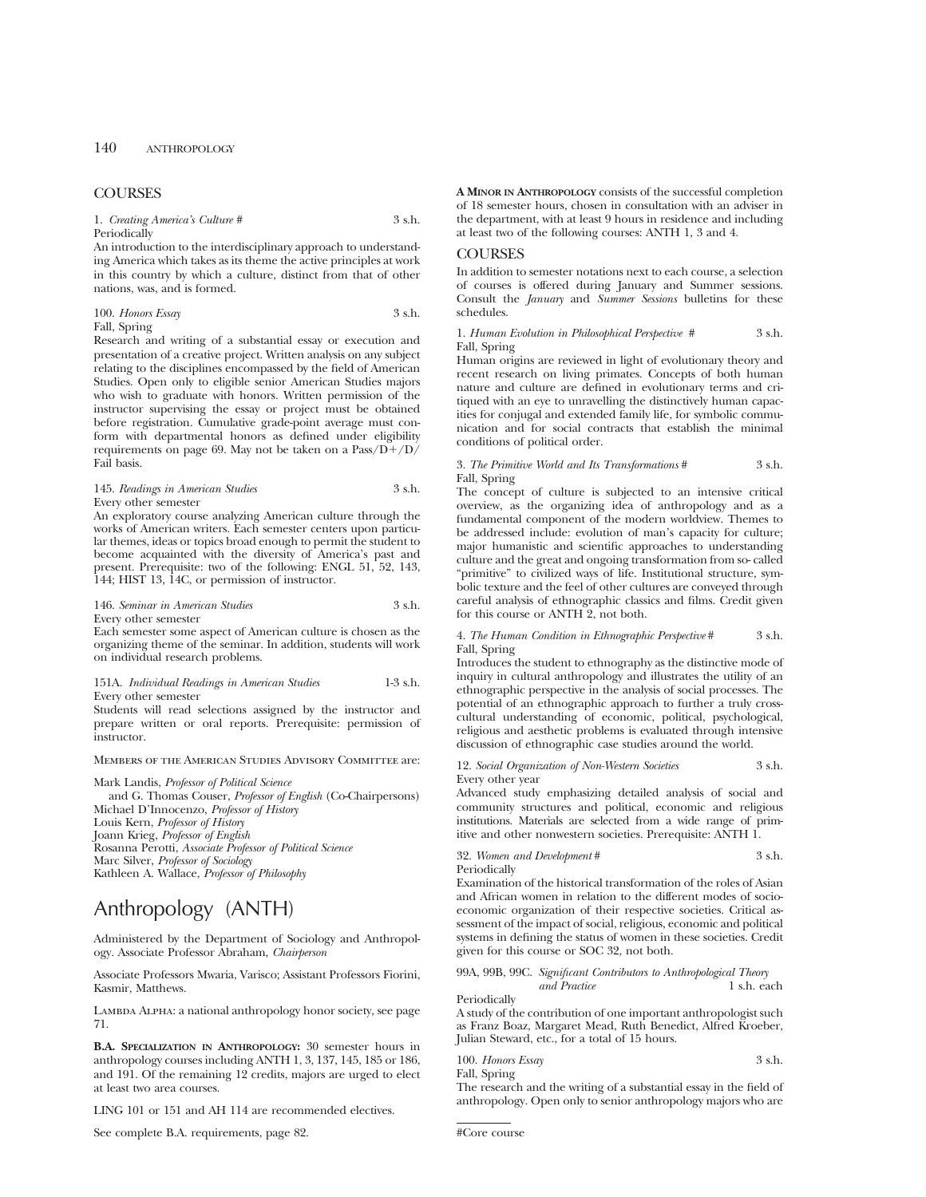# **COURSES**

1. *Creating America's Culture* # 3 s.h. Periodically

An introduction to the interdisciplinary approach to understanding America which takes as its theme the active principles at work in this country by which a culture, distinct from that of other nations, was, and is formed.

## 100. *Honors Essay* 3 s.h. Fall, Spring

Research and writing of a substantial essay or execution and presentation of a creative project. Written analysis on any subject relating to the disciplines encompassed by the field of American Studies. Open only to eligible senior American Studies majors who wish to graduate with honors. Written permission of the instructor supervising the essay or project must be obtained before registration. Cumulative grade-point average must conform with departmental honors as defined under eligibility requirements on page 69. May not be taken on a  $Pass/D+/D/$ Fail basis.

# 145. *Readings in American Studies* 3 s.h. Every other semester

An exploratory course analyzing American culture through the works of American writers. Each semester centers upon particular themes, ideas or topics broad enough to permit the student to become acquainted with the diversity of America's past and present. Prerequisite: two of the following: ENGL 51, 52, 143, 144; HIST 13, 14C, or permission of instructor.

146. *Seminar in American Studies* 3 s.h. Every other semester

Each semester some aspect of American culture is chosen as the organizing theme of the seminar. In addition, students will work on individual research problems.

151A. *Individual Readings in American Studies* 1-3 s.h. Every other semester

Students will read selections assigned by the instructor and prepare written or oral reports. Prerequisite: permission of instructor.

Members of the American Studies Advisory Committee are:

Mark Landis, *Professor of Political Science* and G. Thomas Couser, *Professor of English* (Co-Chairpersons) Michael D'Innocenzo, *Professor of History* Louis Kern, *Professor of History* Joann Krieg, *Professor of English* Rosanna Perotti, *Associate Professor of Political Science* Marc Silver, *Professor of Sociology* Kathleen A. Wallace, *Professor of Philosophy*

# Anthropology (ANTH)

Administered by the Department of Sociology and Anthropology. Associate Professor Abraham, *Chairperson*

Associate Professors Mwaria, Varisco; Assistant Professors Fiorini, Kasmir, Matthews.

LAMBDA ALPHA: a national anthropology honor society, see page 71.

**B.A. SPECIALIZATION IN ANTHROPOLOGY:** 30 semester hours in anthropology courses including ANTH 1, 3, 137, 145, 185 or 186, and 191. Of the remaining 12 credits, majors are urged to elect at least two area courses.

LING 101 or 151 and AH 114 are recommended electives.

See complete B.A. requirements, page 82.

**A MINOR IN ANTHROPOLOGY** consists of the successful completion of 18 semester hours, chosen in consultation with an adviser in the department, with at least 9 hours in residence and including at least two of the following courses: ANTH 1, 3 and 4.

# **COURSES**

In addition to semester notations next to each course, a selection of courses is offered during January and Summer sessions. Consult the *January* and *Summer Sessions* bulletins for these schedules.

1. *Human Evolution in Philosophical Perspective #* 3 s.h. Fall, Spring

Human origins are reviewed in light of evolutionary theory and recent research on living primates. Concepts of both human nature and culture are defined in evolutionary terms and critiqued with an eye to unravelling the distinctively human capacities for conjugal and extended family life, for symbolic communication and for social contracts that establish the minimal conditions of political order.

#### 3. *The Primitive World and Its Transformations* # 3 s.h. Fall, Spring

The concept of culture is subjected to an intensive critical overview, as the organizing idea of anthropology and as a fundamental component of the modern worldview. Themes to be addressed include: evolution of man's capacity for culture; major humanistic and scientific approaches to understanding culture and the great and ongoing transformation from so- called "primitive" to civilized ways of life. Institutional structure, symbolic texture and the feel of other cultures are conveyed through careful analysis of ethnographic classics and films. Credit given for this course or ANTH 2, not both.

4. *The Human Condition in Ethnographic Perspective* # 3 s.h. Fall, Spring

Introduces the student to ethnography as the distinctive mode of inquiry in cultural anthropology and illustrates the utility of an ethnographic perspective in the analysis of social processes. The potential of an ethnographic approach to further a truly crosscultural understanding of economic, political, psychological, religious and aesthetic problems is evaluated through intensive discussion of ethnographic case studies around the world.

12. *Social Organization of Non-Western Societies* 3 s.h.

Every other year Advanced study emphasizing detailed analysis of social and community structures and political, economic and religious institutions. Materials are selected from a wide range of prim-

itive and other nonwestern societies. Prerequisite: ANTH 1. 32. *Women and Development* # 3 s.h.

Periodically

Examination of the historical transformation of the roles of Asian and African women in relation to the different modes of socioeconomic organization of their respective societies. Critical assessment of the impact of social, religious, economic and political systems in defining the status of women in these societies. Credit given for this course or SOC 32, not both.

99A, 99B, 99C. *Significant Contributors to Anthropological Theory and Practice* 1 s.h. each

A study of the contribution of one important anthropologist such as Franz Boaz, Margaret Mead, Ruth Benedict, Alfred Kroeber, Julian Steward, etc., for a total of 15 hours.

100. *Honors Essay* 3 s.h. Fall, Spring

The research and the writing of a substantial essay in the field of anthropology. Open only to senior anthropology majors who are

#Core course

Periodically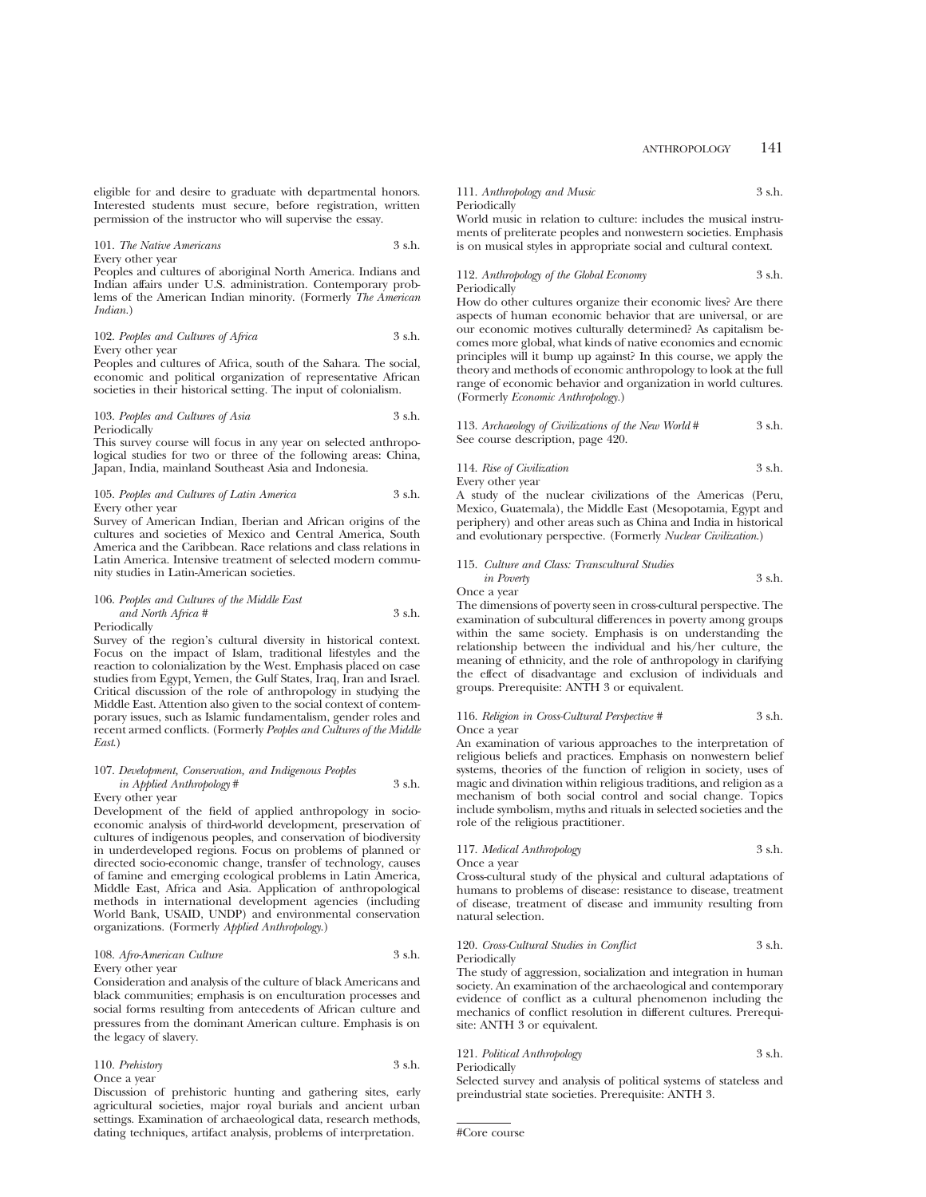eligible for and desire to graduate with departmental honors. Interested students must secure, before registration, written permission of the instructor who will supervise the essay.

## 101. *The Native Americans* 3 s.h. Every other year

Peoples and cultures of aboriginal North America. Indians and Indian affairs under U.S. administration. Contemporary problems of the American Indian minority. (Formerly *The American Indian.*)

102. *Peoples and Cultures of Africa* 3 s.h. Every other year

Peoples and cultures of Africa, south of the Sahara. The social, economic and political organization of representative African societies in their historical setting. The input of colonialism.

#### 103. Peoples and Cultures of Asia 3 s.h. Periodically

This survey course will focus in any year on selected anthropological studies for two or three of the following areas: China, Japan, India, mainland Southeast Asia and Indonesia.

#### 105. *Peoples and Cultures of Latin America* 3 s.h. Every other year

Survey of American Indian, Iberian and African origins of the cultures and societies of Mexico and Central America, South America and the Caribbean. Race relations and class relations in Latin America. Intensive treatment of selected modern community studies in Latin-American societies.

# 106. *Peoples and Cultures of the Middle East and North Africa #* 3 s.h.

Periodically

Survey of the region's cultural diversity in historical context. Focus on the impact of Islam, traditional lifestyles and the reaction to colonialization by the West. Emphasis placed on case studies from Egypt, Yemen, the Gulf States, Iraq, Iran and Israel. Critical discussion of the role of anthropology in studying the Middle East. Attention also given to the social context of contemporary issues, such as Islamic fundamentalism, gender roles and recent armed conflicts. (Formerly *Peoples and Cultures of the Middle East*.)

# 107. *Development, Conservation, and Indigenous Peoples in Applied Anthropology* # 3 s.h.

Every other year

Development of the field of applied anthropology in socioeconomic analysis of third-world development, preservation of cultures of indigenous peoples, and conservation of biodiversity in underdeveloped regions. Focus on problems of planned or directed socio-economic change, transfer of technology, causes of famine and emerging ecological problems in Latin America, Middle East, Africa and Asia. Application of anthropological methods in international development agencies (including World Bank, USAID, UNDP) and environmental conservation organizations. (Formerly *Applied Anthropology*.)

#### 108. *Afro-American Culture* 3 s.h. Every other year

Consideration and analysis of the culture of black Americans and black communities; emphasis is on enculturation processes and social forms resulting from antecedents of African culture and pressures from the dominant American culture. Emphasis is on the legacy of slavery.

| 110. Prehistory | 3 s.h. |
|-----------------|--------|
| Once a year     |        |

Discussion of prehistoric hunting and gathering sites, early agricultural societies, major royal burials and ancient urban settings. Examination of archaeological data, research methods, dating techniques, artifact analysis, problems of interpretation.

# 111. *Anthropology and Music* 3 s.h. **Periodically**

World music in relation to culture: includes the musical instruments of preliterate peoples and nonwestern societies. Emphasis is on musical styles in appropriate social and cultural context.

# 112. *Anthropology of the Global Economy* 3 s.h. Periodically

How do other cultures organize their economic lives? Are there aspects of human economic behavior that are universal, or are our economic motives culturally determined? As capitalism becomes more global, what kinds of native economies and ecnomic principles will it bump up against? In this course, we apply the theory and methods of economic anthropology to look at the full range of economic behavior and organization in world cultures. (Formerly *Economic Anthropology.*)

| 113. Archaeology of Civilizations of the New World # | 3 s.h. |
|------------------------------------------------------|--------|
| See course description, page 420.                    |        |

| 114. Rise of Civilization | 3 s.h. |
|---------------------------|--------|
| Every other year          |        |

A study of the nuclear civilizations of the Americas (Peru, Mexico, Guatemala), the Middle East (Mesopotamia, Egypt and periphery) and other areas such as China and India in historical and evolutionary perspective. (Formerly *Nuclear Civilization*.)

#### 115. *Culture and Class: Transcultural Studies in Poverty* 3 s.h. Once a year

The dimensions of poverty seen in cross-cultural perspective. The examination of subcultural differences in poverty among groups within the same society. Emphasis is on understanding the relationship between the individual and his/her culture, the meaning of ethnicity, and the role of anthropology in clarifying the effect of disadvantage and exclusion of individuals and groups. Prerequisite: ANTH 3 or equivalent.

#### 116. *Religion in Cross-Cultural Perspective #* 3 s.h. Once a year

An examination of various approaches to the interpretation of religious beliefs and practices. Emphasis on nonwestern belief systems, theories of the function of religion in society, uses of magic and divination within religious traditions, and religion as a mechanism of both social control and social change. Topics include symbolism, myths and rituals in selected societies and the role of the religious practitioner.

## 117. *Medical Anthropology* 3 s.h. Once a year

Cross-cultural study of the physical and cultural adaptations of humans to problems of disease: resistance to disease, treatment of disease, treatment of disease and immunity resulting from natural selection.

## 120. *Cross-Cultural Studies in Conflict* 3 s.h. Periodically

The study of aggression, socialization and integration in human society. An examination of the archaeological and contemporary evidence of conflict as a cultural phenomenon including the mechanics of conflict resolution in different cultures. Prerequisite: ANTH 3 or equivalent.

#### 121. *Political Anthropology* 3 s.h. Periodically

Selected survey and analysis of political systems of stateless and preindustrial state societies. Prerequisite: ANTH 3.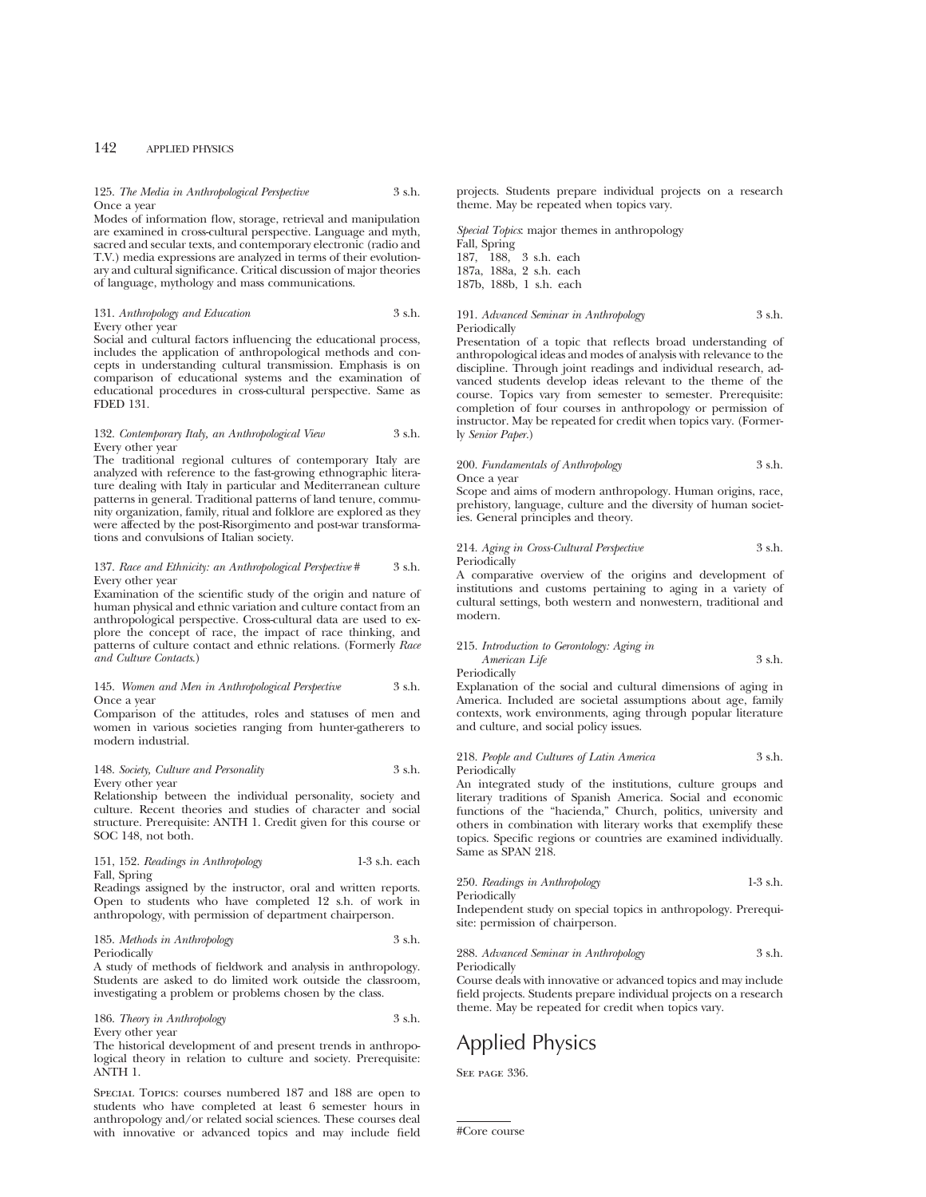#### 125. *The Media in Anthropological Perspective* 3 s.h. Once a year

Modes of information flow, storage, retrieval and manipulation are examined in cross-cultural perspective. Language and myth, sacred and secular texts, and contemporary electronic (radio and T.V.) media expressions are analyzed in terms of their evolutionary and cultural significance. Critical discussion of major theories of language, mythology and mass communications.

# 131. *Anthropology and Education* 3 s.h. Every other year

Social and cultural factors influencing the educational process, includes the application of anthropological methods and concepts in understanding cultural transmission. Emphasis is on comparison of educational systems and the examination of educational procedures in cross-cultural perspective. Same as FDED 131.

## 132. *Contemporary Italy, an Anthropological View* 3 s.h. Every other year

The traditional regional cultures of contemporary Italy are analyzed with reference to the fast-growing ethnographic literature dealing with Italy in particular and Mediterranean culture patterns in general. Traditional patterns of land tenure, community organization, family, ritual and folklore are explored as they were affected by the post-Risorgimento and post-war transformations and convulsions of Italian society.

#### 137. *Race and Ethnicity: an Anthropological Perspective* # 3 s.h. Every other year

Examination of the scientific study of the origin and nature of human physical and ethnic variation and culture contact from an anthropological perspective. Cross-cultural data are used to explore the concept of race, the impact of race thinking, and patterns of culture contact and ethnic relations. (Formerly *Race and Culture Contacts*.)

#### 145. *Women and Men in Anthropological Perspective* 3 s.h. Once a year

Comparison of the attitudes, roles and statuses of men and women in various societies ranging from hunter-gatherers to modern industrial.

#### 148. *Society, Culture and Personality* 3 s.h. Every other year

Relationship between the individual personality, society and culture. Recent theories and studies of character and social structure. Prerequisite: ANTH 1. Credit given for this course or SOC 148, not both.

# 151, 152. *Readings in Anthropology* 1-3 s.h. each Fall, Spring

Readings assigned by the instructor, oral and written reports. Open to students who have completed 12 s.h. of work in anthropology, with permission of department chairperson.

## 185. *Methods in Anthropology* 3 s.h. Periodically

A study of methods of fieldwork and analysis in anthropology. Students are asked to do limited work outside the classroom, investigating a problem or problems chosen by the class.

# 186. *Theory in Anthropology* 3 s.h.

ANTH 1.

Every other year The historical development of and present trends in anthropological theory in relation to culture and society. Prerequisite:

Special Topics: courses numbered 187 and 188 are open to students who have completed at least 6 semester hours in anthropology and/or related social sciences. These courses deal with innovative or advanced topics and may include field projects. Students prepare individual projects on a research theme. May be repeated when topics vary.

*Special Topics*: major themes in anthropology Fall, Spring 187, 188, 3 s.h. each 187a, 188a, 2 s.h. each 187b, 188b, 1 s.h. each

# 191. *Advanced Seminar in Anthropology* 3 s.h. Periodically

Presentation of a topic that reflects broad understanding of anthropological ideas and modes of analysis with relevance to the discipline. Through joint readings and individual research, advanced students develop ideas relevant to the theme of the course. Topics vary from semester to semester. Prerequisite: completion of four courses in anthropology or permission of instructor. May be repeated for credit when topics vary. (Formerly *Senior Paper.*)

#### 200. *Fundamentals of Anthropology* 3 s.h. Once a year

Scope and aims of modern anthropology. Human origins, race, prehistory, language, culture and the diversity of human societies. General principles and theory.

# 214. *Aging in Cross-Cultural Perspective* 3 s.h. Periodically

A comparative overview of the origins and development of institutions and customs pertaining to aging in a variety of cultural settings, both western and nonwestern, traditional and modern.

# 215. *Introduction to Gerontology: Aging in American Life* 3 s.h.

Periodically

Explanation of the social and cultural dimensions of aging in America. Included are societal assumptions about age, family contexts, work environments, aging through popular literature and culture, and social policy issues.

# 218. *People and Cultures of Latin America* 3 s.h. Periodically

An integrated study of the institutions, culture groups and literary traditions of Spanish America. Social and economic functions of the "hacienda," Church, politics, university and others in combination with literary works that exemplify these topics. Specific regions or countries are examined individually. Same as SPAN 218.

| 250. Readings in Anthropology | $1-3$ s.h. |
|-------------------------------|------------|
| Periodically                  |            |

Independent study on special topics in anthropology. Prerequisite: permission of chairperson.

### 288. *Advanced Seminar in Anthropology* 3 s.h. Periodically

Course deals with innovative or advanced topics and may include field projects. Students prepare individual projects on a research theme. May be repeated for credit when topics vary.

# Applied Physics

SEE PAGE 336.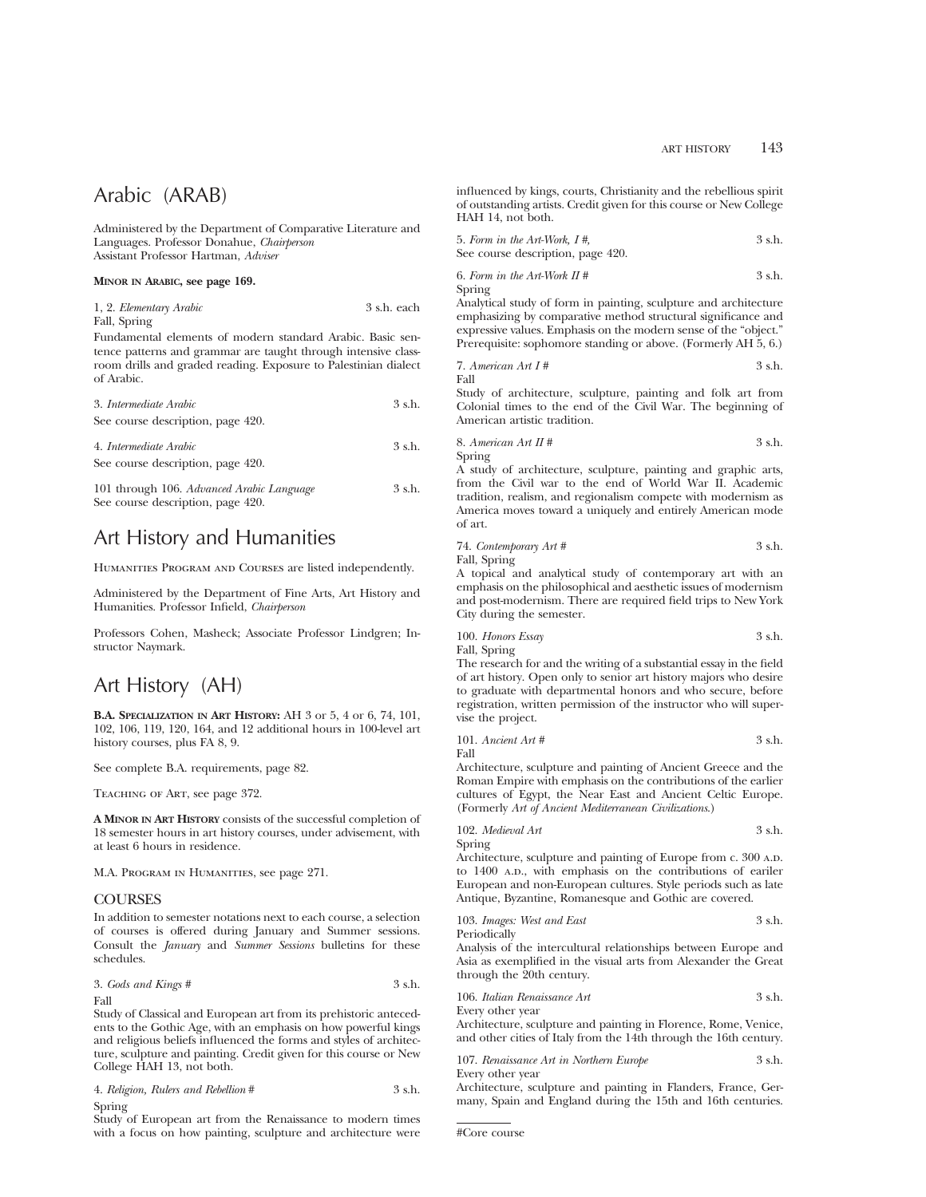# Arabic (ARAB)

Administered by the Department of Comparative Literature and Languages. Professor Donahue, *Chairperson* Assistant Professor Hartman, *Adviser*

#### **MINOR IN ARABIC, see page 169.**

| 1, 2. Elementary Arabic | 3 s.h. each |  |
|-------------------------|-------------|--|
| Fall, Spring            |             |  |

Fundamental elements of modern standard Arabic. Basic sentence patterns and grammar are taught through intensive classroom drills and graded reading. Exposure to Palestinian dialect of Arabic.

| 3. Intermediate Arabic                    | 3 s.h. |
|-------------------------------------------|--------|
| See course description, page 420.         |        |
| 4. Intermediate Arabic                    | 3 s.h. |
| See course description, page 420.         |        |
| 101 through 106. Advanced Arabic Language | 3 s.h. |
| See course description, page 420.         |        |

# Art History and Humanities

HUMANITIES PROGRAM AND COURSES are listed independently.

Administered by the Department of Fine Arts, Art History and Humanities. Professor Infield, *Chairperson*

Professors Cohen, Masheck; Associate Professor Lindgren; Instructor Naymark.

# Art History (AH)

**B.A. SPECIALIZATION IN ART HISTORY:** AH 3 or 5, 4 or 6, 74, 101, 102, 106, 119, 120, 164, and 12 additional hours in 100-level art history courses, plus FA 8, 9.

See complete B.A. requirements, page 82.

Teaching of Art, see page 372.

**A MINOR IN ART HISTORY** consists of the successful completion of 18 semester hours in art history courses, under advisement, with at least 6 hours in residence.

M.A. PROGRAM IN HUMANITIES, see page 271.

# COURSES

In addition to semester notations next to each course, a selection of courses is offered during January and Summer sessions. Consult the *January* and *Summer Sessions* bulletins for these schedules.

3. *Gods and Kings #* 3 s.h. Fall

Study of Classical and European art from its prehistoric antecedents to the Gothic Age, with an emphasis on how powerful kings and religious beliefs influenced the forms and styles of architecture, sculpture and painting. Credit given for this course or New College HAH 13, not both.

|        | 4. Religion, Rulers and Rebellion # | 3 s.h. |
|--------|-------------------------------------|--------|
| Spring |                                     |        |

Study of European art from the Renaissance to modern times with a focus on how painting, sculpture and architecture were influenced by kings, courts, Christianity and the rebellious spirit of outstanding artists. Credit given for this course or New College HAH 14, not both.

\n- 5. Form in the Art-Work, 
$$
I\#
$$
,  $3 \, \text{s.h.}$
\n- See course description, page 420.
\n

6. *Form in the Art-Work II #* 3 s.h. Spring

Analytical study of form in painting, sculpture and architecture emphasizing by comparative method structural significance and expressive values. Emphasis on the modern sense of the "object." Prerequisite: sophomore standing or above. (Formerly AH 5, 6.)

7. American Art 
$$
I#
$$
 3 s.h.

Fall

Study of architecture, sculpture, painting and folk art from Colonial times to the end of the Civil War. The beginning of American artistic tradition.

8. American Art 
$$
II \#
$$
 3 s.h.

Spring

A study of architecture, sculpture, painting and graphic arts, from the Civil war to the end of World War II. Academic tradition, realism, and regionalism compete with modernism as America moves toward a uniquely and entirely American mode of art.

74. *Contemporary Art #* 3 s.h. Fall, Spring

A topical and analytical study of contemporary art with an emphasis on the philosophical and aesthetic issues of modernism and post-modernism. There are required field trips to New York City during the semester.

100. *Honors Essay* 3 s.h. Fall, Spring

The research for and the writing of a substantial essay in the field of art history. Open only to senior art history majors who desire to graduate with departmental honors and who secure, before registration, written permission of the instructor who will supervise the project.

101. *Ancient Art* # 
$$
3 \, \text{s.h.}
$$

Fall

Architecture, sculpture and painting of Ancient Greece and the Roman Empire with emphasis on the contributions of the earlier cultures of Egypt, the Near East and Ancient Celtic Europe. (Formerly *Art of Ancient Mediterranean Civilizations*.)

102. *Medieval Art* 3 s.h.

Spring

Architecture, sculpture and painting of Europe from c. 300 A.D. to 1400 A.D., with emphasis on the contributions of eariler European and non-European cultures. Style periods such as late Antique, Byzantine, Romanesque and Gothic are covered.

103. *Images: West and East* 3 s.h. Periodically

Analysis of the intercultural relationships between Europe and Asia as exemplified in the visual arts from Alexander the Great through the 20th century.

106. *Italian Renaissance Art* 3 s.h.

Every other year

Architecture, sculpture and painting in Florence, Rome, Venice, and other cities of Italy from the 14th through the 16th century.

107. *Renaissance Art in Northern Europe* 3 s.h. Every other year

Architecture, sculpture and painting in Flanders, France, Germany, Spain and England during the 15th and 16th centuries.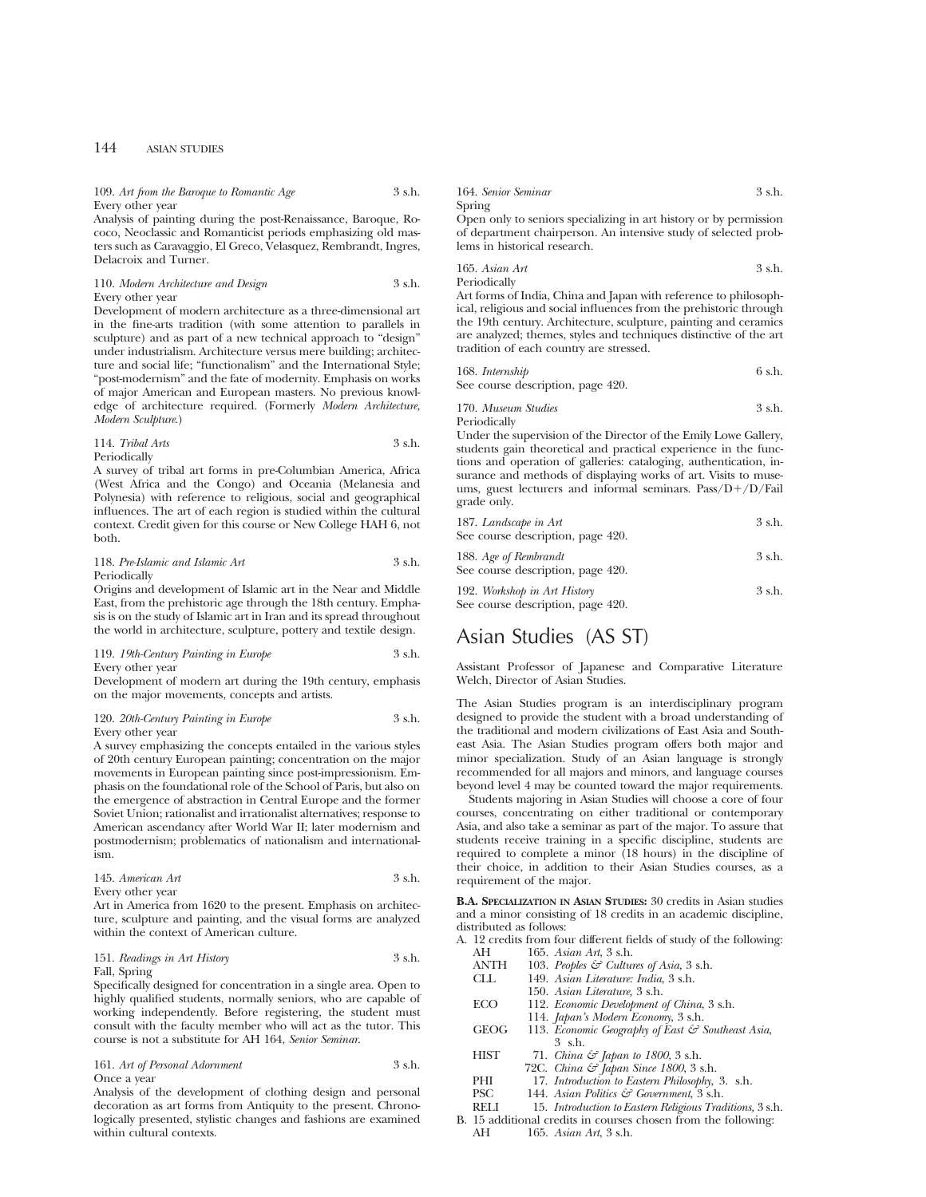#### 109. Art from the Baroque to Romantic Age 3 s.h. Every other year

Analysis of painting during the post-Renaissance, Baroque, Rococo, Neoclassic and Romanticist periods emphasizing old masters such as Caravaggio, El Greco, Velasquez, Rembrandt, Ingres, Delacroix and Turner.

## 110. *Modern Architecture and Design* 3 s.h. Every other year

Development of modern architecture as a three-dimensional art in the fine-arts tradition (with some attention to parallels in sculpture) and as part of a new technical approach to "design" under industrialism. Architecture versus mere building; architecture and social life; "functionalism" and the International Style; "post-modernism" and the fate of modernity. Emphasis on works of major American and European masters. No previous knowledge of architecture required. (Formerly *Modern Architecture, Modern Sculpture*.)

# 114. *Tribal Arts* 3 s.h. Periodically

A survey of tribal art forms in pre-Columbian America, Africa (West Africa and the Congo) and Oceania (Melanesia and Polynesia) with reference to religious, social and geographical influences. The art of each region is studied within the cultural context. Credit given for this course or New College HAH 6, not both.

118. *Pre-Islamic and Islamic Art* 3 s.h. Periodically

Origins and development of Islamic art in the Near and Middle East, from the prehistoric age through the 18th century. Emphasis is on the study of Islamic art in Iran and its spread throughout the world in architecture, sculpture, pottery and textile design.

# 119. *19th-Century Painting in Europe* 3 s.h. Every other year

Development of modern art during the 19th century, emphasis on the major movements, concepts and artists.

|                  | 120. 20th-Century Painting in Europe | 3 s.h. |
|------------------|--------------------------------------|--------|
| Every other year |                                      |        |

A survey emphasizing the concepts entailed in the various styles of 20th century European painting; concentration on the major movements in European painting since post-impressionism. Emphasis on the foundational role of the School of Paris, but also on the emergence of abstraction in Central Europe and the former Soviet Union; rationalist and irrationalist alternatives; response to American ascendancy after World War II; later modernism and postmodernism; problematics of nationalism and internationalism.

| 145. American Art | 3 s.h. |
|-------------------|--------|
| Every other year  |        |

Art in America from 1620 to the present. Emphasis on architecture, sculpture and painting, and the visual forms are analyzed within the context of American culture.

151. *Readings in Art History* 3 s.h. Fall, Spring

Specifically designed for concentration in a single area. Open to highly qualified students, normally seniors, who are capable of working independently. Before registering, the student must consult with the faculty member who will act as the tutor. This course is not a substitute for AH 164, *Senior Seminar*.

# 161. *Art of Personal Adornment* 3 s.h. Once a year

Analysis of the development of clothing design and personal decoration as art forms from Antiquity to the present. Chronologically presented, stylistic changes and fashions are examined within cultural contexts.

| 164. Senior Seminar |  |  |  |  | 3 s.h. |
|---------------------|--|--|--|--|--------|
| Spring<br>$\sim$    |  |  |  |  |        |

Open only to seniors specializing in art history or by permission of department chairperson. An intensive study of selected problems in historical research.

165. *Asian Art* 3 s.h. Periodically

Art forms of India, China and Japan with reference to philosophical, religious and social influences from the prehistoric through the 19th century. Architecture, sculpture, painting and ceramics are analyzed; themes, styles and techniques distinctive of the art tradition of each country are stressed.

| 168. Internship                   | 6 s.h. |
|-----------------------------------|--------|
| See course description, page 420. |        |

170. *Museum Studies* 3 s.h. Periodically

Under the supervision of the Director of the Emily Lowe Gallery, students gain theoretical and practical experience in the functions and operation of galleries: cataloging, authentication, insurance and methods of displaying works of art. Visits to museums, guest lecturers and informal seminars.  $Pass/D+/D/Fall$ grade only.

| 187. Landscape in Art                                             | 3 s.h. |
|-------------------------------------------------------------------|--------|
| See course description, page 420.                                 |        |
| 188. Age of Rembrandt<br>See course description, page 420.        | 3 s.h. |
| 192. Workshop in Art History<br>See course description, page 420. | 3 s.h. |

# Asian Studies (AS ST)

Assistant Professor of Japanese and Comparative Literature Welch, Director of Asian Studies.

The Asian Studies program is an interdisciplinary program designed to provide the student with a broad understanding of the traditional and modern civilizations of East Asia and Southeast Asia. The Asian Studies program offers both major and minor specialization. Study of an Asian language is strongly recommended for all majors and minors, and language courses beyond level 4 may be counted toward the major requirements.

Students majoring in Asian Studies will choose a core of four courses, concentrating on either traditional or contemporary Asia, and also take a seminar as part of the major. To assure that students receive training in a specific discipline, students are required to complete a minor (18 hours) in the discipline of their choice, in addition to their Asian Studies courses, as a requirement of the major.

**B.A. SPECIALIZATION IN ASIAN STUDIES:** 30 credits in Asian studies and a minor consisting of 18 credits in an academic discipline, distributed as follows:

A. 12 credits from four different fields of study of the following: AH 165. *Asian Art*, 3 s.h.

| ANTH |  | 103. Peoples & Cultures of Asia, 3 s.h. |  |  |
|------|--|-----------------------------------------|--|--|

| .   |  |                                      |  |
|-----|--|--------------------------------------|--|
| CLL |  | 149. Asian Literature: India, 3 s.h. |  |

- 150. *Asian Literature,* 3 s.h.
- 
- ECO 112. *Economic Development of China*, 3 s.h.
- 114. *Japan's Modern Economy*, 3 s.h. GEOG 113. *Economic Geography of East & Southeast Asia*, 3 s.h.
- HIST 71. *China & Japan to 1800*, 3 s.h.
- 72C. *China & Japan Since 1800*, 3 s.h.
- PHI 17. *Introduction to Eastern Philosophy*, 3. s.h.
- 
- PSC 144. *Asian Politics & Government*, 3 s.h. RELI 15. *Introduction to Eastern Religious Traditions,* 3 s.h.
- B. 15 additional credits in courses chosen from the following:<br>AH 165. Asian Art. 3 s.h. 165. Asian Art, 3 s.h.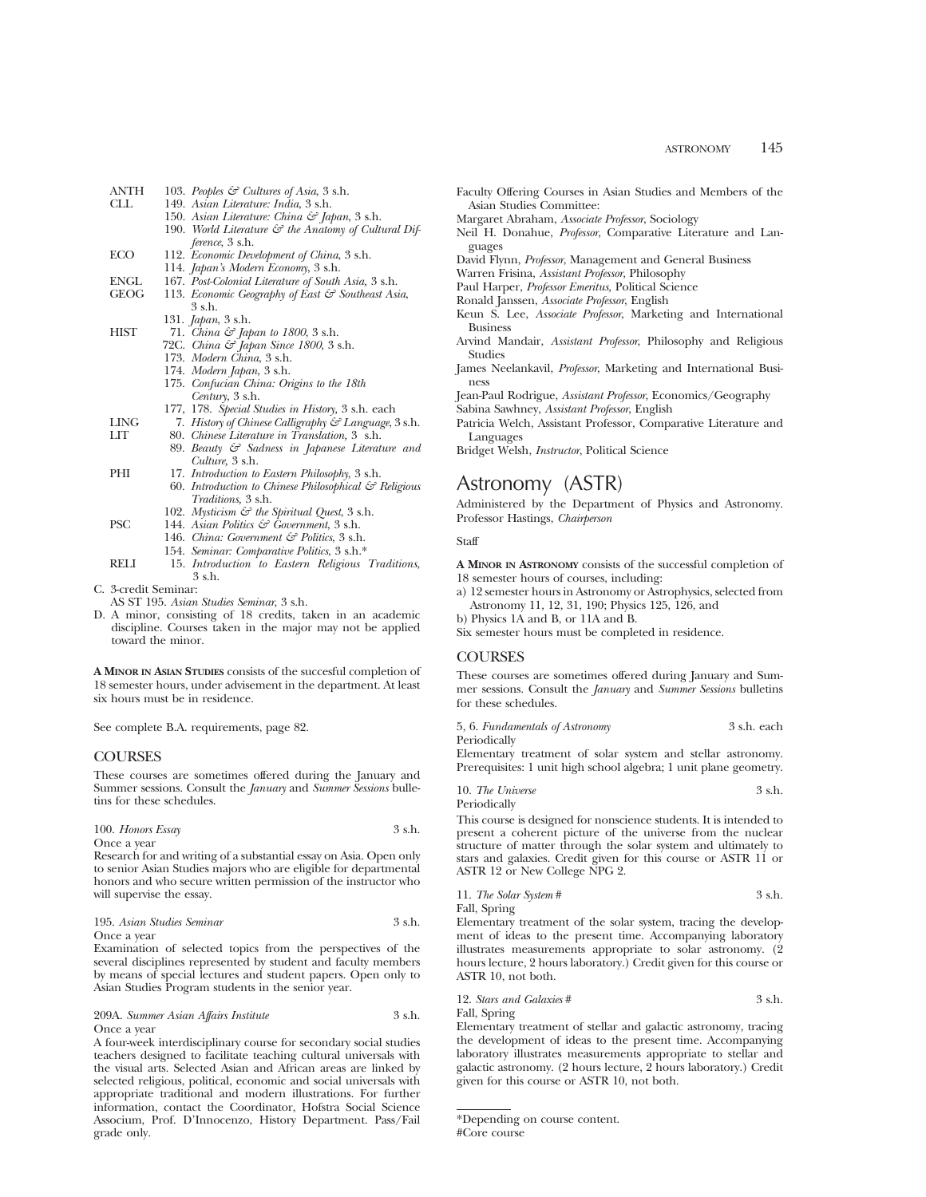- ANTH 103. *Peoples & Cultures of Asia*, 3 s.h.<br>CLL 149. *Asian Literature: India*. 3 s.h. CLL 149. *Asian Literature: India*, 3 s.h. 150. *Asian Literature: China & Japan*, 3 s.h. 190. World Literature  $\mathcal{F}$  the Anatomy of Cultural Dif*ference*, 3 s.h. ECO 112. *Economic Development of China*, 3 s.h. 114. *Japan's Modern Economy*, 3 s.h. ENGL 167. *Post-Colonial Literature of South Asia,* 3 s.h.<br>GEOG 113 *Economic Geography of East & Southeast Asia* 113. *Economic Geography of East & Southeast Asia*, 3 s.h. 131. *Japan*, 3 s.h. HIST 71. *China & Japan to 1800*, 3 s.h. 72C. *China & Japan Since 1800*, 3 s.h. 173. *Modern China*, 3 s.h. 174. *Modern Japan*, 3 s.h. 175. *Confucian China: Origins to the 18th Century*, 3 s.h. 177, 178. *Special Studies in History,* 3 s.h. each LING 7. *History of Chinese Calligraphy & Language*, 3 s.h. LIT 80. *Chinese Literature in Translation,* 3 s.h. 89. *Beauty & Sadness in Japanese Literature and Culture,* 3 s.h. PHI 17. *Introduction to Eastern Philosophy*, 3 s.h.
	- 60. *Introduction to Chinese Philosophical & Religious Traditions,* 3 s.h.
	- 102. *Mysticism & the Spiritual Quest*, 3 s.h.
- PSC 144. *Asian Politics & Government*, 3 s.h.
	- 146. *China: Government & Politics*, 3 s.h.
- 154. *Seminar: Comparative Politics*, 3 s.h.\* RELI 15. *Introduction to Eastern Religious Traditions*, 3 s.h.
- C. 3-credit Seminar:
- AS ST 195. *Asian Studies Seminar*, 3 s.h.
- D. A minor, consisting of 18 credits, taken in an academic discipline. Courses taken in the major may not be applied toward the minor.

**A MINOR IN ASIAN STUDIES** consists of the succesful completion of 18 semester hours, under advisement in the department. At least six hours must be in residence.

See complete B.A. requirements, page 82.

# COURSES

These courses are sometimes offered during the January and Summer sessions. Consult the *January* and *Summer Sessions* bulletins for these schedules.

## 100. *Honors Essay* 3 s.h. Once a year

Research for and writing of a substantial essay on Asia. Open only to senior Asian Studies majors who are eligible for departmental honors and who secure written permission of the instructor who will supervise the essay.

#### 195. *Asian Studies Seminar* 3 s.h. Once a year

Examination of selected topics from the perspectives of the several disciplines represented by student and faculty members by means of special lectures and student papers. Open only to Asian Studies Program students in the senior year.

209A. *Summer Asian Affairs Institute* 3 s.h. Once a year

A four-week interdisciplinary course for secondary social studies teachers designed to facilitate teaching cultural universals with the visual arts. Selected Asian and African areas are linked by selected religious, political, economic and social universals with appropriate traditional and modern illustrations. For further information, contact the Coordinator, Hofstra Social Science Associum, Prof. D'Innocenzo, History Department. Pass/Fail grade only.

- Faculty Offering Courses in Asian Studies and Members of the Asian Studies Committee:
- Margaret Abraham, *Associate Professor*, Sociology
- Neil H. Donahue, *Professor*, Comparative Literature and Languages
- David Flynn, *Professor*, Management and General Business
- Warren Frisina, *Assistant Professor*, Philosophy
- Paul Harper, *Professor Emeritus,* Political Science
- Ronald Janssen, *Associate Professor*, English
- Keun S. Lee, *Associate Professor*, Marketing and International Business
- Arvind Mandair, *Assistant Professor*, Philosophy and Religious Studies
- James Neelankavil, *Professor*, Marketing and International Business

Jean-Paul Rodrigue, *Assistant Professor*, Economics/Geography

- Sabina Sawhney, *Assistant Professor*, English
- Patricia Welch, Assistant Professor, Comparative Literature and Languages
- Bridget Welsh, *Instructor*, Political Science

# Astronomy (ASTR)

Administered by the Department of Physics and Astronomy. Professor Hastings, *Chairperson*

# **Staff**

**A MINOR IN ASTRONOMY** consists of the successful completion of 18 semester hours of courses, including:

a) 12 semester hours in Astronomy or Astrophysics, selected from Astronomy 11, 12, 31, 190; Physics 125, 126, and

b) Physics 1A and B, or 11A and B.

Six semester hours must be completed in residence.

# **COURSES**

These courses are sometimes offered during January and Summer sessions. Consult the *January* and *Summer Sessions* bulletins for these schedules.

5, 6. *Fundamentals of Astronomy* 3 s.h. each Periodically

Elementary treatment of solar system and stellar astronomy. Prerequisites: 1 unit high school algebra; 1 unit plane geometry.

10. *The Universe* 3 s.h. Periodically

This course is designed for nonscience students. It is intended to present a coherent picture of the universe from the nuclear structure of matter through the solar system and ultimately to stars and galaxies. Credit given for this course or ASTR 11 or ASTR 12 or New College NPG 2.

| 11. The Solar System # | 3 s.h. |
|------------------------|--------|
| Fall, Spring           |        |

Elementary treatment of the solar system, tracing the development of ideas to the present time. Accompanying laboratory illustrates measurements appropriate to solar astronomy. (2 hours lecture, 2 hours laboratory.) Credit given for this course or ASTR 10, not both.

12. *Stars and Galaxies* # 3 s.h. Fall, Spring

Elementary treatment of stellar and galactic astronomy, tracing the development of ideas to the present time. Accompanying laboratory illustrates measurements appropriate to stellar and galactic astronomy. (2 hours lecture, 2 hours laboratory.) Credit given for this course or ASTR 10, not both.

<sup>\*</sup>Depending on course content. #Core course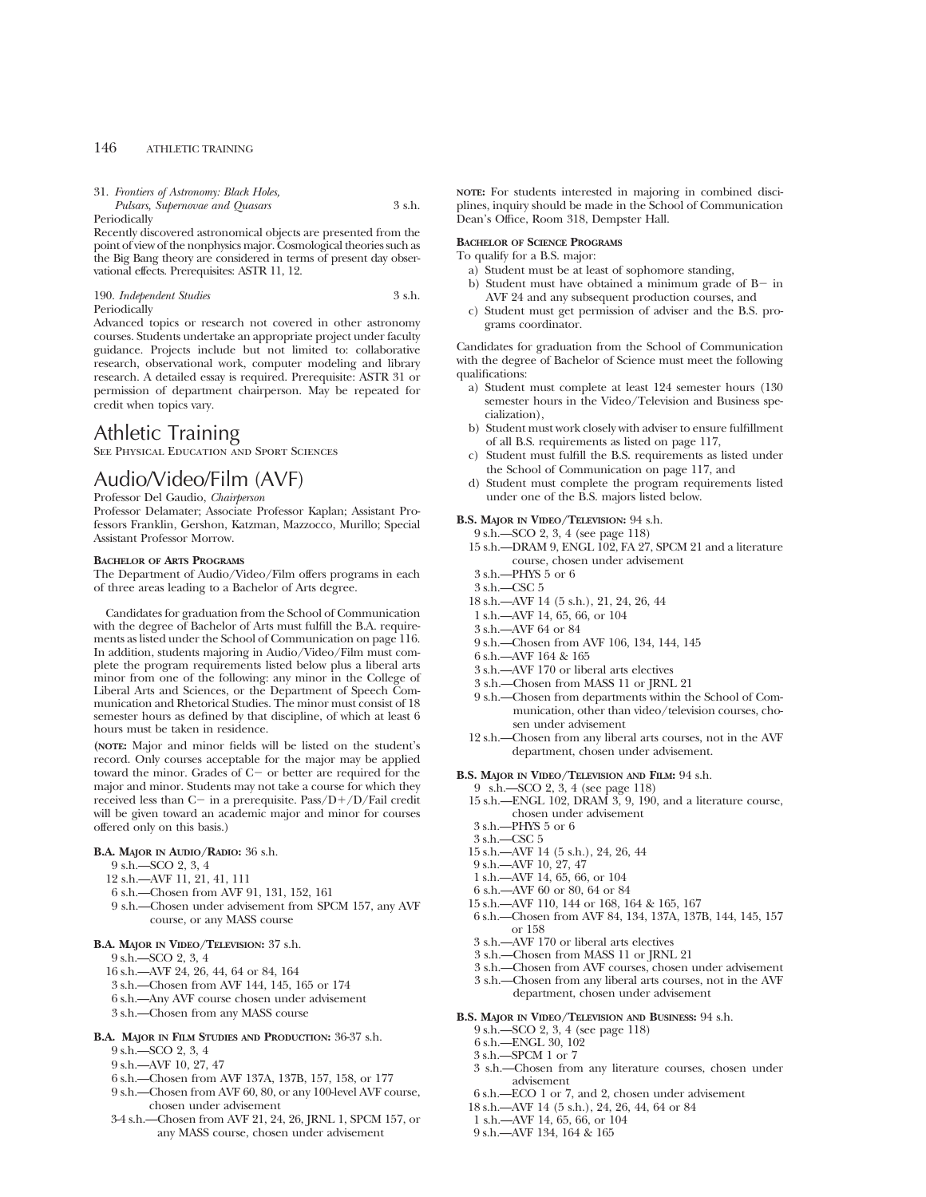| 31. Frontiers of Astronomy: Black Holes, |        |
|------------------------------------------|--------|
| Pulsars, Supernovae and Quasars          | 3 s.h. |

Periodically

Recently discovered astronomical objects are presented from the point of view of the nonphysics major. Cosmological theories such as the Big Bang theory are considered in terms of present day observational effects. Prerequisites: ASTR 11, 12.

# 190. *Independent Studies* 3 s.h. Periodically

Advanced topics or research not covered in other astronomy courses. Students undertake an appropriate project under faculty guidance. Projects include but not limited to: collaborative research, observational work, computer modeling and library research. A detailed essay is required. Prerequisite: ASTR 31 or permission of department chairperson. May be repeated for credit when topics vary.

# Athletic Training

See Physical Education and Sport Sciences

# Audio/Video/Film (AVF)

Professor Del Gaudio, *Chairperson*

Professor Delamater; Associate Professor Kaplan; Assistant Professors Franklin, Gershon, Katzman, Mazzocco, Murillo; Special Assistant Professor Morrow.

# **BACHELOR OF ARTS PROGRAMS**

The Department of Audio/Video/Film offers programs in each of three areas leading to a Bachelor of Arts degree.

Candidates for graduation from the School of Communication with the degree of Bachelor of Arts must fulfill the B.A. requirements as listed under the School of Communication on page 116. In addition, students majoring in Audio/Video/Film must complete the program requirements listed below plus a liberal arts minor from one of the following: any minor in the College of Liberal Arts and Sciences, or the Department of Speech Communication and Rhetorical Studies. The minor must consist of 18 semester hours as defined by that discipline, of which at least 6 hours must be taken in residence.

**(NOTE:** Major and minor fields will be listed on the student's record. Only courses acceptable for the major may be applied toward the minor. Grades of  $C-$  or better are required for the major and minor. Students may not take a course for which they received less than C- in a prerequisite. Pass/D+/D/Fail credit will be given toward an academic major and minor for courses offered only on this basis.)

#### **B.A. MAJOR IN AUDIO/RADIO:** 36 s.h.

- 9 s.h.—SCO 2, 3, 4
- 12 s.h.—AVF 11, 21, 41, 111
- 6 s.h.—Chosen from AVF 91, 131, 152, 161
- 9 s.h.—Chosen under advisement from SPCM 157, any AVF course, or any MASS course

# **B.A. MAJOR IN VIDEO/TELEVISION:** 37 s.h.

9 s.h.—SCO 2, 3, 4

- 16 s.h.—AVF 24, 26, 44, 64 or 84, 164
- 3 s.h.—Chosen from AVF 144, 145, 165 or 174
- 6 s.h.—Any AVF course chosen under advisement
- 3 s.h.—Chosen from any MASS course

## **B.A. MAJOR IN FILM STUDIES AND PRODUCTION:** 36-37 s.h.

- 9 s.h.—SCO 2, 3, 4
- 9 s.h.—AVF 10, 27, 47
- 6 s.h.—Chosen from AVF 137A, 137B, 157, 158, or 177
- 9 s.h.—Chosen from AVF 60, 80, or any 100-level AVF course, chosen under advisement
- 3-4 s.h.—Chosen from AVF 21, 24, 26, JRNL 1, SPCM 157, or any MASS course, chosen under advisement

**NOTE:** For students interested in majoring in combined disciplines, inquiry should be made in the School of Communication Dean's Office, Room 318, Dempster Hall.

# **BACHELOR OF SCIENCE PROGRAMS**

- To qualify for a B.S. major:
	- a) Student must be at least of sophomore standing,
	- b) Student must have obtained a minimum grade of  $B-$  in AVF 24 and any subsequent production courses, and
	- c) Student must get permission of adviser and the B.S. programs coordinator.

Candidates for graduation from the School of Communication with the degree of Bachelor of Science must meet the following qualifications:

- a) Student must complete at least 124 semester hours (130 semester hours in the Video/Television and Business specialization),
- b) Student must work closely with adviser to ensure fulfillment of all B.S. requirements as listed on page 117,
- c) Student must fulfill the B.S. requirements as listed under the School of Communication on page 117, and
- d) Student must complete the program requirements listed under one of the B.S. majors listed below.

**B.S. MAJOR IN VIDEO/TELEVISION:** 94 s.h.

- 9 s.h.—SCO 2, 3, 4 (see page 118)
- 15 s.h.—DRAM 9, ENGL 102, FA 27, SPCM 21 and a literature course, chosen under advisement
- 3 s.h.—PHYS 5 or 6
- 3 s.h.—CSC 5
- 18 s.h.—AVF 14 (5 s.h.), 21, 24, 26, 44
- 1 s.h.—AVF 14, 65, 66, or 104
- 3 s.h.—AVF 64 or 84
- 9 s.h.—Chosen from AVF 106, 134, 144, 145
- 6 s.h.—AVF 164 & 165
- 3 s.h.—AVF 170 or liberal arts electives
- 3 s.h.—Chosen from MASS 11 or JRNL 21
- 9 s.h.—Chosen from departments within the School of Communication, other than video/television courses, chosen under advisement
- 12 s.h.—Chosen from any liberal arts courses, not in the AVF department, chosen under advisement.
- **B.S. MAJOR IN VIDEO/TELEVISION AND FILM:** 94 s.h.
- 9 s.h.—SCO 2, 3, 4 (see page 118)
	- 15 s.h.—ENGL 102, DRAM 3, 9, 190, and a literature course, chosen under advisement
	- 3 s.h.—PHYS 5 or 6
	- 3 s.h.—CSC 5
	- 15 s.h.—AVF 14 (5 s.h.), 24, 26, 44
	- 9 s.h.—AVF 10, 27, 47
	- 1 s.h.—AVF 14, 65, 66, or 104
	- 6 s.h.—AVF 60 or 80, 64 or 84
	- 15 s.h.—AVF 110, 144 or 168, 164 & 165, 167
	- 6 s.h.—Chosen from AVF 84, 134, 137A, 137B, 144, 145, 157 or 158
	- 3 s.h.—AVF 170 or liberal arts electives
	- 3 s.h.—Chosen from MASS 11 or JRNL 21
	- 3 s.h.—Chosen from AVF courses, chosen under advisement
	- 3 s.h.—Chosen from any liberal arts courses, not in the AVF department, chosen under advisement

#### **B.S. MAJOR IN VIDEO/TELEVISION AND BUSINESS:** 94 s.h.

- 9 s.h.—SCO 2, 3, 4 (see page 118)
- 6 s.h.—ENGL 30, 102
- 3 s.h.—SPCM 1 or 7
- 3 s.h.—Chosen from any literature courses, chosen under advisement
- 6 s.h.—ECO 1 or 7, and 2, chosen under advisement
- 18 s.h.—AVF 14 (5 s.h.), 24, 26, 44, 64 or 84
- 1 s.h.—AVF 14, 65, 66, or 104
- 9 s.h.—AVF 134, 164 & 165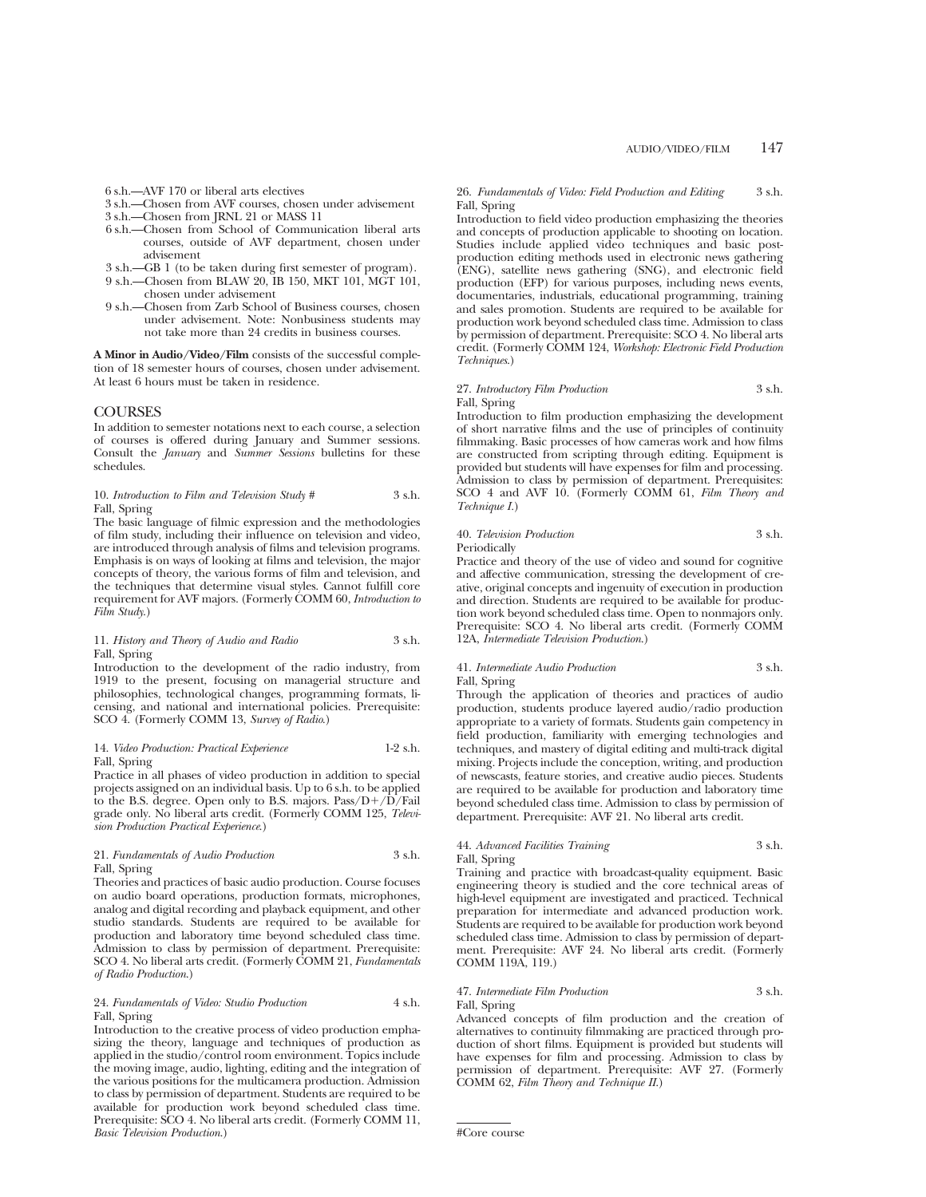6 s.h.—AVF 170 or liberal arts electives

- 3 s.h.—Chosen from AVF courses, chosen under advisement
- 3 s.h.—Chosen from JRNL 21 or MASS 11
- 6 s.h.—Chosen from School of Communication liberal arts courses, outside of AVF department, chosen under advisement
- 3 s.h.—GB 1 (to be taken during first semester of program).
- 9 s.h.—Chosen from BLAW 20, IB 150, MKT 101, MGT 101, chosen under advisement
- 9 s.h.—Chosen from Zarb School of Business courses, chosen under advisement. Note: Nonbusiness students may not take more than 24 credits in business courses.

**A Minor in Audio/Video/Film** consists of the successful completion of 18 semester hours of courses, chosen under advisement. At least 6 hours must be taken in residence.

# **COURSES**

In addition to semester notations next to each course, a selection of courses is offered during January and Summer sessions. Consult the *January* and *Summer Sessions* bulletins for these schedules.

#### 10. *Introduction to Film and Television Study* # 3 s.h. Fall, Spring

The basic language of filmic expression and the methodologies of film study, including their influence on television and video, are introduced through analysis of films and television programs. Emphasis is on ways of looking at films and television, the major concepts of theory, the various forms of film and television, and the techniques that determine visual styles. Cannot fulfill core requirement for AVF majors. (Formerly COMM 60, *Introduction to Film Study*.)

# 11. *History and Theory of Audio and Radio* 3 s.h. Fall, Spring

Introduction to the development of the radio industry, from 1919 to the present, focusing on managerial structure and philosophies, technological changes, programming formats, licensing, and national and international policies. Prerequisite: SCO 4. (Formerly COMM 13, *Survey of Radio*.)

#### 14. *Video Production: Practical Experience* 1-2 s.h. Fall, Spring

Practice in all phases of video production in addition to special projects assigned on an individual basis. Up to 6 s.h. to be applied to the B.S. degree. Open only to B.S. majors.  $Pass/D+/D/Fall$ grade only. No liberal arts credit. (Formerly COMM 125, *Television Production Practical Experience*.)

# 21. *Fundamentals of Audio Production* 3 s.h. Fall, Spring

Theories and practices of basic audio production. Course focuses on audio board operations, production formats, microphones, analog and digital recording and playback equipment, and other studio standards. Students are required to be available for production and laboratory time beyond scheduled class time. Admission to class by permission of department. Prerequisite: SCO 4. No liberal arts credit. (Formerly COMM 21, *Fundamentals of Radio Production*.)

# 24. *Fundamentals of Video: Studio Production* 4 s.h. Fall, Spring

Introduction to the creative process of video production emphasizing the theory, language and techniques of production as applied in the studio/control room environment. Topics include the moving image, audio, lighting, editing and the integration of the various positions for the multicamera production. Admission to class by permission of department. Students are required to be available for production work beyond scheduled class time. Prerequisite: SCO 4. No liberal arts credit. (Formerly COMM 11, *Basic Television Production*.)

#### 26. *Fundamentals of Video: Field Production and Editing* 3 s.h. Fall, Spring

Introduction to field video production emphasizing the theories and concepts of production applicable to shooting on location. Studies include applied video techniques and basic postproduction editing methods used in electronic news gathering (ENG), satellite news gathering (SNG), and electronic field production (EFP) for various purposes, including news events, documentaries, industrials, educational programming, training and sales promotion. Students are required to be available for production work beyond scheduled class time. Admission to class by permission of department. Prerequisite: SCO 4. No liberal arts credit. (Formerly COMM 124, *Workshop: Electronic Field Production Techniques*.)

# 27. *Introductory Film Production* 3 s.h. Fall, Spring

Introduction to film production emphasizing the development of short narrative films and the use of principles of continuity filmmaking. Basic processes of how cameras work and how films are constructed from scripting through editing. Equipment is provided but students will have expenses for film and processing. Admission to class by permission of department. Prerequisites: SCO 4 and AVF 10. (Formerly COMM 61, *Film Theory and Technique I.*)

# 40. *Television Production* 3 s.h. Periodically

Practice and theory of the use of video and sound for cognitive and affective communication, stressing the development of creative, original concepts and ingenuity of execution in production and direction. Students are required to be available for production work beyond scheduled class time. Open to nonmajors only. Prerequisite: SCO 4. No liberal arts credit. (Formerly COMM 12A, *Intermediate Television Production*.)

# 41. *Intermediate Audio Production* 3 s.h.

Fall, Spring Through the application of theories and practices of audio production, students produce layered audio/radio production appropriate to a variety of formats. Students gain competency in field production, familiarity with emerging technologies and techniques, and mastery of digital editing and multi-track digital mixing. Projects include the conception, writing, and production of newscasts, feature stories, and creative audio pieces. Students are required to be available for production and laboratory time beyond scheduled class time. Admission to class by permission of department. Prerequisite: AVF 21. No liberal arts credit.

## 44. *Advanced Facilities Training* 3 s.h. Fall, Spring

Training and practice with broadcast-quality equipment. Basic engineering theory is studied and the core technical areas of high-level equipment are investigated and practiced. Technical preparation for intermediate and advanced production work. Students are required to be available for production work beyond scheduled class time. Admission to class by permission of department. Prerequisite: AVF 24. No liberal arts credit. (Formerly COMM 119A, 119.)

# 47. *Intermediate Film Production* 3 s.h. Fall, Spring

Advanced concepts of film production and the creation of alternatives to continuity filmmaking are practiced through production of short films. Equipment is provided but students will have expenses for film and processing. Admission to class by permission of department. Prerequisite: AVF 27. (Formerly COMM 62, *Film Theory and Technique II*.)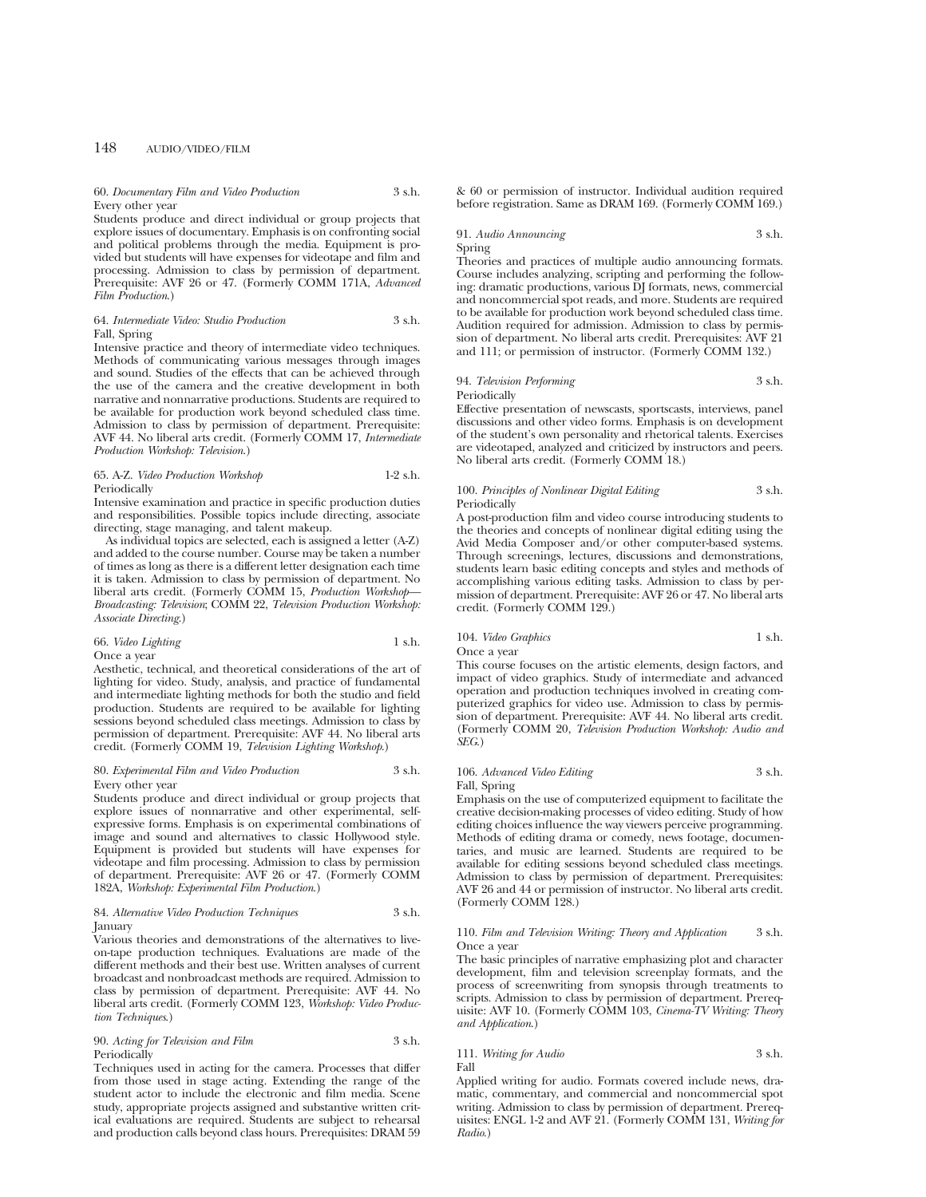#### 60. *Documentary Film and Video Production* 3 s.h. Every other year

Students produce and direct individual or group projects that explore issues of documentary. Emphasis is on confronting social and political problems through the media. Equipment is provided but students will have expenses for videotape and film and processing. Admission to class by permission of department. Prerequisite: AVF 26 or 47. (Formerly COMM 171A, *Advanced Film Production*.)

## 64. *Intermediate Video: Studio Production* 3 s.h. Fall, Spring

Intensive practice and theory of intermediate video techniques. Methods of communicating various messages through images and sound. Studies of the effects that can be achieved through the use of the camera and the creative development in both narrative and nonnarrative productions. Students are required to be available for production work beyond scheduled class time. Admission to class by permission of department. Prerequisite: AVF 44. No liberal arts credit. (Formerly COMM 17, *Intermediate Production Workshop: Television*.)

#### 65. A-Z. *Video Production Workshop* 1-2 s.h. Periodically

Intensive examination and practice in specific production duties and responsibilities. Possible topics include directing, associate directing, stage managing, and talent makeup.

As individual topics are selected, each is assigned a letter (A-Z) and added to the course number. Course may be taken a number of times as long as there is a different letter designation each time it is taken. Admission to class by permission of department. No liberal arts credit. (Formerly COMM 15, *Production Workshop— Broadcasting: Television*; COMM 22, *Television Production Workshop: Associate Directing*.)

## 66. *Video Lighting* 1 s.h. Once a year

Aesthetic, technical, and theoretical considerations of the art of lighting for video. Study, analysis, and practice of fundamental and intermediate lighting methods for both the studio and field production. Students are required to be available for lighting sessions beyond scheduled class meetings. Admission to class by permission of department. Prerequisite: AVF 44. No liberal arts credit. (Formerly COMM 19, *Television Lighting Workshop*.)

#### 80. *Experimental Film and Video Production* 3 s.h. Every other year

Students produce and direct individual or group projects that explore issues of nonnarrative and other experimental, selfexpressive forms. Emphasis is on experimental combinations of image and sound and alternatives to classic Hollywood style. Equipment is provided but students will have expenses for videotape and film processing. Admission to class by permission of department. Prerequisite: AVF 26 or 47. (Formerly COMM 182A, *Workshop: Experimental Film Production*.)

#### 84. *Alternative Video Production Techniques* 3 s.h. January

Various theories and demonstrations of the alternatives to liveon-tape production techniques. Evaluations are made of the different methods and their best use. Written analyses of current broadcast and nonbroadcast methods are required. Admission to class by permission of department. Prerequisite: AVF 44. No liberal arts credit. (Formerly COMM 123, *Workshop: Video Production Techniques*.)

# 90. *Acting for Television and Film* 3 s.h. **Periodically**

Techniques used in acting for the camera. Processes that differ from those used in stage acting. Extending the range of the student actor to include the electronic and film media. Scene study, appropriate projects assigned and substantive written critical evaluations are required. Students are subject to rehearsal and production calls beyond class hours. Prerequisites: DRAM 59 & 60 or permission of instructor. Individual audition required before registration. Same as DRAM 169. (Formerly COMM 169.)

# 91. *Audio Announcing* 3 s.h. Spring

Theories and practices of multiple audio announcing formats. Course includes analyzing, scripting and performing the following: dramatic productions, various DJ formats, news, commercial and noncommercial spot reads, and more. Students are required to be available for production work beyond scheduled class time. Audition required for admission. Admission to class by permission of department. No liberal arts credit. Prerequisites: AVF 21 and 111; or permission of instructor. (Formerly COMM 132.)

# 94. *Television Performing* 3 s.h. Periodically

Effective presentation of newscasts, sportscasts, interviews, panel discussions and other video forms. Emphasis is on development of the student's own personality and rhetorical talents. Exercises are videotaped, analyzed and criticized by instructors and peers. No liberal arts credit. (Formerly COMM 18.)

#### 100. *Principles of Nonlinear Digital Editing* 3 s.h. Periodically

A post-production film and video course introducing students to the theories and concepts of nonlinear digital editing using the Avid Media Composer and/or other computer-based systems. Through screenings, lectures, discussions and demonstrations, students learn basic editing concepts and styles and methods of accomplishing various editing tasks. Admission to class by permission of department. Prerequisite: AVF 26 or 47. No liberal arts credit. (Formerly COMM 129.)

# 104. *Video Graphics* 1 s.h.

Once a year

This course focuses on the artistic elements, design factors, and impact of video graphics. Study of intermediate and advanced operation and production techniques involved in creating computerized graphics for video use. Admission to class by permission of department. Prerequisite: AVF 44. No liberal arts credit. (Formerly COMM 20, *Television Production Workshop: Audio and SEG*.)

# 106. *Advanced Video Editing* 3 s.h. Fall, Spring

Emphasis on the use of computerized equipment to facilitate the creative decision-making processes of video editing. Study of how editing choices influence the way viewers perceive programming. Methods of editing drama or comedy, news footage, documentaries, and music are learned. Students are required to be available for editing sessions beyond scheduled class meetings. Admission to class by permission of department. Prerequisites: AVF 26 and 44 or permission of instructor. No liberal arts credit. (Formerly COMM 128.)

#### 110. *Film and Television Writing: Theory and Application* 3 s.h. Once a year

The basic principles of narrative emphasizing plot and character development, film and television screenplay formats, and the process of screenwriting from synopsis through treatments to scripts. Admission to class by permission of department. Prerequisite: AVF 10. (Formerly COMM 103, *Cinema-TV Writing: Theory and Application*.)

#### 111. *Writing for Audio* 3 s.h. Fall

Applied writing for audio. Formats covered include news, dramatic, commentary, and commercial and noncommercial spot writing. Admission to class by permission of department. Prerequisites: ENGL 1-2 and AVF 21. (Formerly COMM 131, *Writing for Radio*.)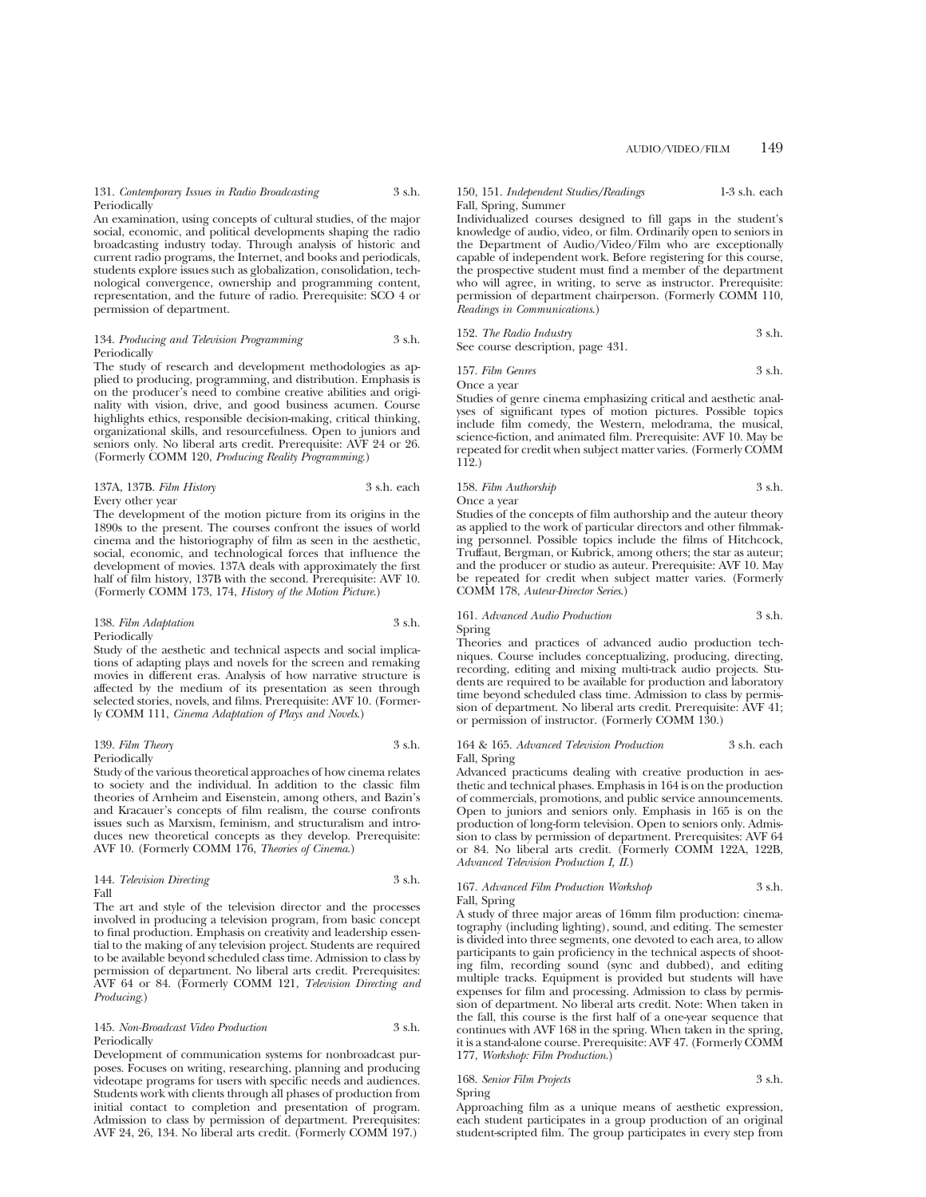# 131. *Contemporary Issues in Radio Broadcasting* 3 s.h. Periodically

An examination, using concepts of cultural studies, of the major social, economic, and political developments shaping the radio broadcasting industry today. Through analysis of historic and current radio programs, the Internet, and books and periodicals, students explore issues such as globalization, consolidation, technological convergence, ownership and programming content, representation, and the future of radio. Prerequisite: SCO 4 or permission of department.

#### 134. *Producing and Television Programming* 3 s.h. **Periodically**

The study of research and development methodologies as applied to producing, programming, and distribution. Emphasis is on the producer's need to combine creative abilities and originality with vision, drive, and good business acumen. Course highlights ethics, responsible decision-making, critical thinking, organizational skills, and resourcefulness. Open to juniors and seniors only. No liberal arts credit. Prerequisite: AVF 24 or 26. (Formerly COMM 120, *Producing Reality Programming*.)

#### 137A, 137B. *Film History* 3 s.h. each Every other year

The development of the motion picture from its origins in the 1890s to the present. The courses confront the issues of world cinema and the historiography of film as seen in the aesthetic, social, economic, and technological forces that influence the development of movies. 137A deals with approximately the first half of film history, 137B with the second. Prerequisite: AVF 10. (Formerly COMM 173, 174, *History of the Motion Picture*.)

#### 138. *Film Adaptation* 3 s.h. Periodically

Study of the aesthetic and technical aspects and social implications of adapting plays and novels for the screen and remaking movies in different eras. Analysis of how narrative structure is affected by the medium of its presentation as seen through selected stories, novels, and films. Prerequisite: AVF 10. (Formerly COMM 111, *Cinema Adaptation of Plays and Novels*.)

# 139. *Film Theory* 3 s.h.

Periodically

Study of the various theoretical approaches of how cinema relates to society and the individual. In addition to the classic film theories of Arnheim and Eisenstein, among others, and Bazin's and Kracauer's concepts of film realism, the course confronts issues such as Marxism, feminism, and structuralism and introduces new theoretical concepts as they develop. Prerequisite: AVF 10. (Formerly COMM 176, *Theories of Cinema*.)

#### 144. *Television Directing* 3 s.h. Fall

The art and style of the television director and the processes involved in producing a television program, from basic concept to final production. Emphasis on creativity and leadership essential to the making of any television project. Students are required to be available beyond scheduled class time. Admission to class by permission of department. No liberal arts credit. Prerequisites: AVF 64 or 84. (Formerly COMM 121, *Television Directing and Producing*.)

145. *Non-Broadcast Video Production* 3 s.h. Periodically

Development of communication systems for nonbroadcast purposes. Focuses on writing, researching, planning and producing videotape programs for users with specific needs and audiences. Students work with clients through all phases of production from initial contact to completion and presentation of program. Admission to class by permission of department. Prerequisites: AVF 24, 26, 134. No liberal arts credit. (Formerly COMM 197.)

#### 150, 151. *Independent Studies/Readings* 1-3 s.h. each Fall, Spring, Summer

Individualized courses designed to fill gaps in the student's knowledge of audio, video, or film. Ordinarily open to seniors in the Department of Audio/Video/Film who are exceptionally capable of independent work. Before registering for this course, the prospective student must find a member of the department who will agree, in writing, to serve as instructor. Prerequisite: permission of department chairperson. (Formerly COMM 110, *Readings in Communications*.)

| 152. The Radio Industry           | 3 s.h. |
|-----------------------------------|--------|
| See course description, page 431. |        |

157. *Film Genres* 3 s.h.

Once a year

Studies of genre cinema emphasizing critical and aesthetic analyses of significant types of motion pictures. Possible topics include film comedy, the Western, melodrama, the musical, science-fiction, and animated film. Prerequisite: AVF 10. May be repeated for credit when subject matter varies. (Formerly COMM 112.)

# 158. *Film Authorship* 3 s.h. Once a year

Studies of the concepts of film authorship and the auteur theory as applied to the work of particular directors and other filmmaking personnel. Possible topics include the films of Hitchcock, Truffaut, Bergman, or Kubrick, among others; the star as auteur; and the producer or studio as auteur. Prerequisite: AVF 10. May be repeated for credit when subject matter varies. (Formerly COMM 178, *Auteur-Director Series*.)

# 161. *Advanced Audio Production* 3 s.h. Spring

Theories and practices of advanced audio production techniques. Course includes conceptualizing, producing, directing, recording, editing and mixing multi-track audio projects. Students are required to be available for production and laboratory time beyond scheduled class time. Admission to class by permission of department. No liberal arts credit. Prerequisite: AVF 41; or permission of instructor. (Formerly COMM 130.)

164 & 165. *Advanced Television Production* 3 s.h. each Fall, Spring

Advanced practicums dealing with creative production in aesthetic and technical phases. Emphasis in 164 is on the production of commercials, promotions, and public service announcements. Open to juniors and seniors only. Emphasis in 165 is on the production of long-form television. Open to seniors only. Admission to class by permission of department. Prerequisites: AVF 64 or 84. No liberal arts credit. (Formerly COMM 122A, 122B, *Advanced Television Production I, II*.)

## 167. *Advanced Film Production Workshop* 3 s.h. Fall, Spring

A study of three major areas of 16mm film production: cinematography (including lighting), sound, and editing. The semester is divided into three segments, one devoted to each area, to allow participants to gain proficiency in the technical aspects of shooting film, recording sound (sync and dubbed), and editing multiple tracks. Equipment is provided but students will have expenses for film and processing. Admission to class by permission of department. No liberal arts credit. Note: When taken in the fall, this course is the first half of a one-year sequence that continues with AVF 168 in the spring. When taken in the spring, it is a stand-alone course. Prerequisite: AVF 47. (Formerly COMM 177, *Workshop: Film Production*.)

## 168. *Senior Film Projects* 3 s.h. Spring

Approaching film as a unique means of aesthetic expression, each student participates in a group production of an original student-scripted film. The group participates in every step from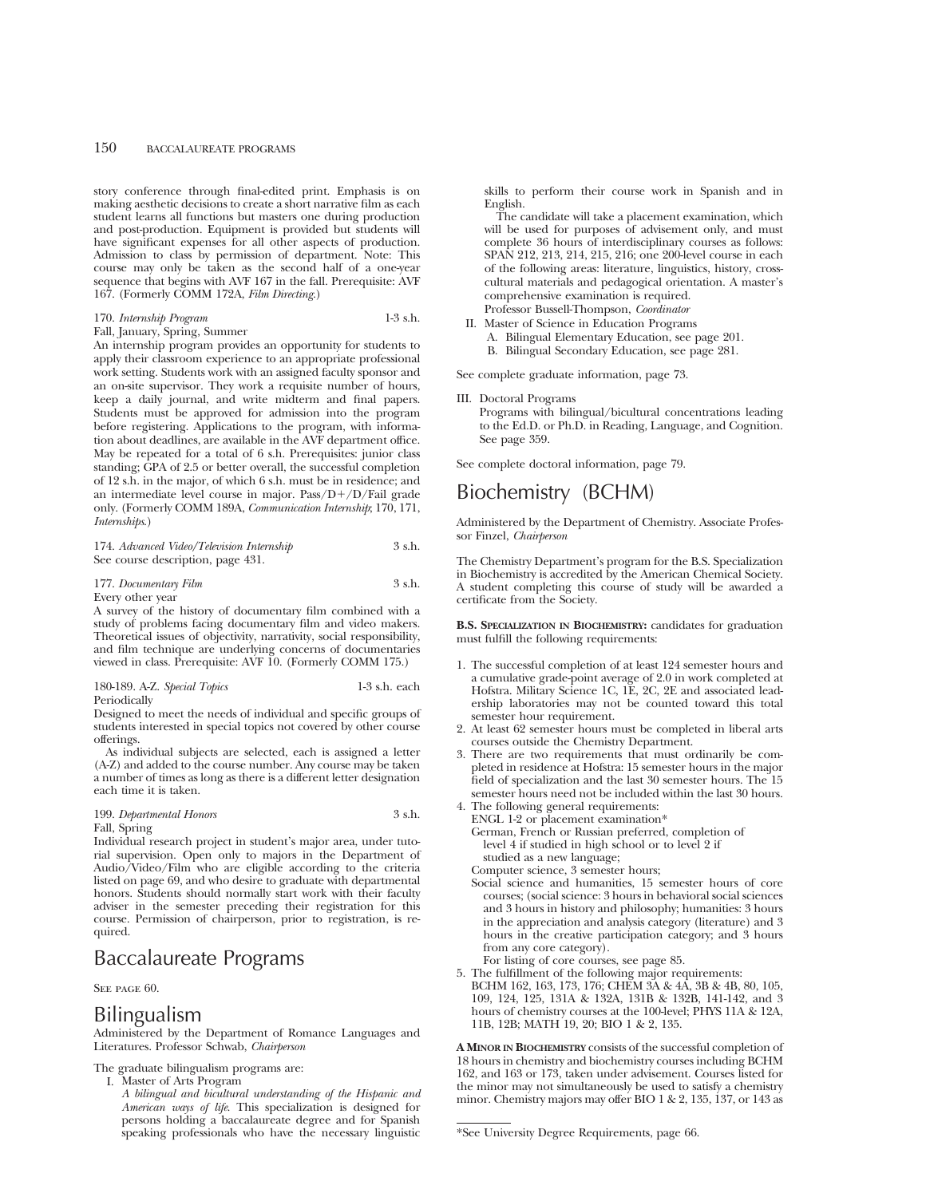story conference through final-edited print. Emphasis is on making aesthetic decisions to create a short narrative film as each student learns all functions but masters one during production and post-production. Equipment is provided but students will have significant expenses for all other aspects of production. Admission to class by permission of department. Note: This course may only be taken as the second half of a one-year sequence that begins with AVF 167 in the fall. Prerequisite: AVF 167. (Formerly COMM 172A, *Film Directing*.)

| 170. Internship Program       | $1-3$ s.h. |
|-------------------------------|------------|
| Fall, January, Spring, Summer |            |

An internship program provides an opportunity for students to apply their classroom experience to an appropriate professional work setting. Students work with an assigned faculty sponsor and an on-site supervisor. They work a requisite number of hours, keep a daily journal, and write midterm and final papers. Students must be approved for admission into the program before registering. Applications to the program, with information about deadlines, are available in the AVF department office. May be repeated for a total of 6 s.h. Prerequisites: junior class standing; GPA of 2.5 or better overall, the successful completion of 12 s.h. in the major, of which 6 s.h. must be in residence; and an intermediate level course in major. Pass/ $D+/D/F$ ail grade only. (Formerly COMM 189A, *Communication Internship*; 170, 171, *Internships*.)

174. *Advanced Video/Television Internship* 3 s.h. See course description, page 431.

#### 177. *Documentary Film* 3 s.h. Every other year

A survey of the history of documentary film combined with a study of problems facing documentary film and video makers. Theoretical issues of objectivity, narrativity, social responsibility, and film technique are underlying concerns of documentaries viewed in class. Prerequisite: AVF 10. (Formerly COMM 175.)

| 180-189. A-Z. Special Topics | $1-3$ s.h. each |
|------------------------------|-----------------|
| Periodically                 |                 |

Designed to meet the needs of individual and specific groups of students interested in special topics not covered by other course offerings.

As individual subjects are selected, each is assigned a letter (A-Z) and added to the course number. Any course may be taken a number of times as long as there is a different letter designation each time it is taken.

#### 199. *Departmental Honors* 3 s.h. Fall, Spring

Individual research project in student's major area, under tutorial supervision. Open only to majors in the Department of Audio/Video/Film who are eligible according to the criteria listed on page 69, and who desire to graduate with departmental honors. Students should normally start work with their faculty adviser in the semester preceding their registration for this course. Permission of chairperson, prior to registration, is required.

# Baccalaureate Programs

SEE PAGE 60.

# Bilingualism

Administered by the Department of Romance Languages and Literatures. Professor Schwab, *Chairperson*

The graduate bilingualism programs are:

- I. Master of Arts Program
	- *A bilingual and bicultural understanding of the Hispanic and American ways of life*. This specialization is designed for persons holding a baccalaureate degree and for Spanish speaking professionals who have the necessary linguistic

skills to perform their course work in Spanish and in English.

The candidate will take a placement examination, which will be used for purposes of advisement only, and must complete 36 hours of interdisciplinary courses as follows: SPAN 212, 213, 214, 215, 216; one 200-level course in each of the following areas: literature, linguistics, history, crosscultural materials and pedagogical orientation. A master's comprehensive examination is required. Professor Bussell-Thompson, *Coordinator*

- II. Master of Science in Education Programs
- A. Bilingual Elementary Education, see page 201. B. Bilingual Secondary Education, see page 281.

See complete graduate information, page 73.

III. Doctoral Programs

Programs with bilingual/bicultural concentrations leading to the Ed.D. or Ph.D. in Reading, Language, and Cognition. See page 359.

See complete doctoral information, page 79.

# Biochemistry (BCHM)

Administered by the Department of Chemistry. Associate Professor Finzel, *Chairperson*

The Chemistry Department's program for the B.S. Specialization in Biochemistry is accredited by the American Chemical Society. A student completing this course of study will be awarded a certificate from the Society.

**B.S. SPECIALIZATION IN BIOCHEMISTRY:** candidates for graduation must fulfill the following requirements:

- 1. The successful completion of at least 124 semester hours and a cumulative grade-point average of 2.0 in work completed at Hofstra. Military Science 1C, 1E, 2C, 2E and associated leadership laboratories may not be counted toward this total semester hour requirement.
- 2. At least 62 semester hours must be completed in liberal arts courses outside the Chemistry Department.
- 3. There are two requirements that must ordinarily be completed in residence at Hofstra: 15 semester hours in the major field of specialization and the last 30 semester hours. The 15 semester hours need not be included within the last 30 hours.
- 4. The following general requirements: ENGL 1-2 or placement examination\*
	- German, French or Russian preferred, completion of level 4 if studied in high school or to level 2 if studied as a new language;
	- Computer science, 3 semester hours;
	- Social science and humanities, 15 semester hours of core courses; (social science: 3 hours in behavioral social sciences and 3 hours in history and philosophy; humanities: 3 hours in the appreciation and analysis category (literature) and 3 hours in the creative participation category; and 3 hours from any core category).
	- For listing of core courses, see page 85.
- 5. The fulfillment of the following major requirements: BCHM 162, 163, 173, 176; CHEM 3A & 4A, 3B & 4B, 80, 105, 109, 124, 125, 131A & 132A, 131B & 132B, 141-142, and 3 hours of chemistry courses at the 100-level; PHYS 11A & 12A, 11B, 12B; MATH 19, 20; BIO 1 & 2, 135.

**A MINOR IN BIOCHEMISTRY** consists of the successful completion of 18 hours in chemistry and biochemistry courses including BCHM 162, and 163 or 173, taken under advisement. Courses listed for the minor may not simultaneously be used to satisfy a chemistry minor. Chemistry majors may offer BIO 1 & 2, 135, 137, or 143 as

<sup>\*</sup>See University Degree Requirements, page 66.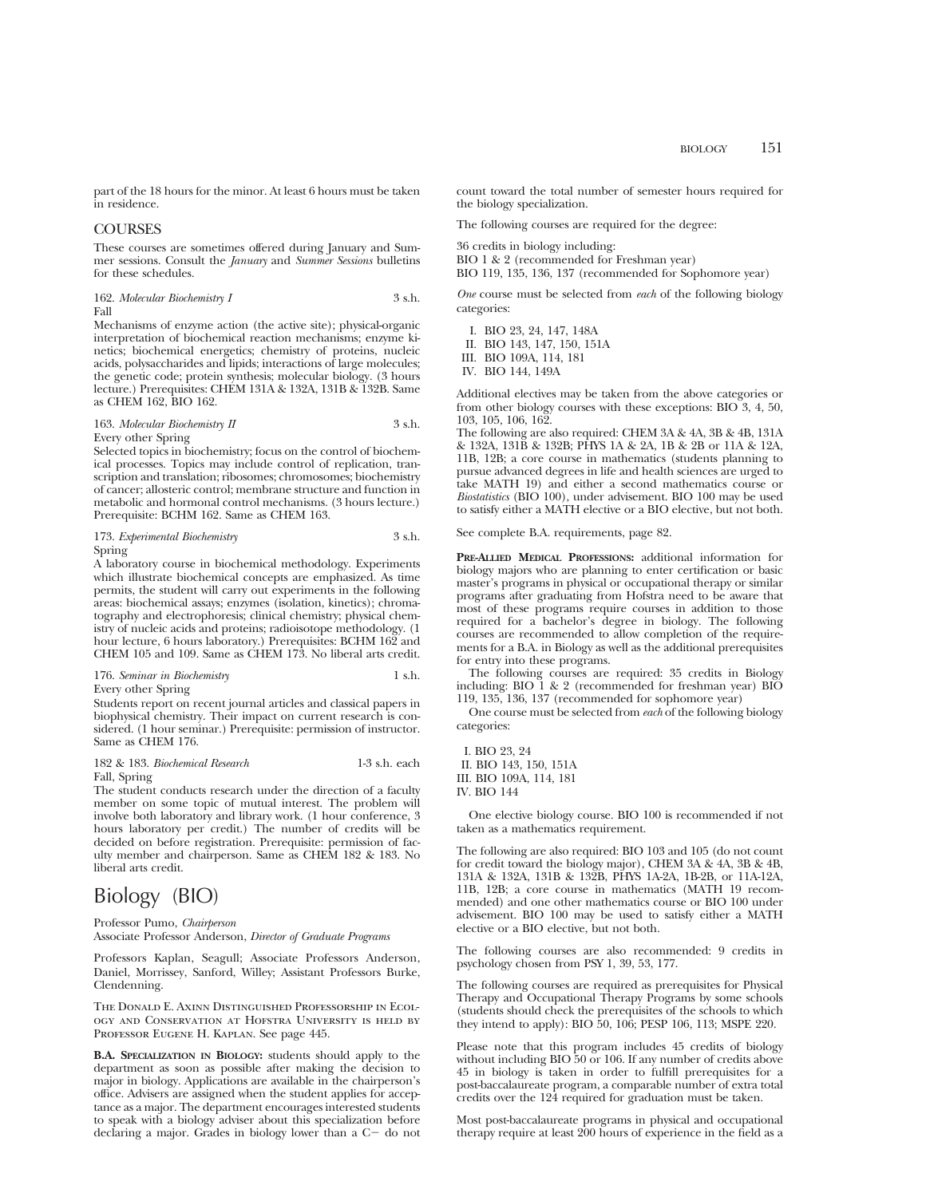part of the 18 hours for the minor. At least 6 hours must be taken in residence.

# COURSES

These courses are sometimes offered during January and Summer sessions. Consult the *January* and *Summer Sessions* bulletins for these schedules.

162. *Molecular Biochemistry I* 3 s.h. Fall

Mechanisms of enzyme action (the active site); physical-organic interpretation of biochemical reaction mechanisms; enzyme kinetics; biochemical energetics; chemistry of proteins, nucleic acids, polysaccharides and lipids; interactions of large molecules; the genetic code; protein synthesis; molecular biology. (3 hours lecture.) Prerequisites: CHEM 131A & 132A, 131B & 132B. Same as CHEM 162, BIO 162.

163. *Molecular Biochemistry II* 3 s.h. Every other Spring

Selected topics in biochemistry; focus on the control of biochemical processes. Topics may include control of replication, transcription and translation; ribosomes; chromosomes; biochemistry of cancer; allosteric control; membrane structure and function in metabolic and hormonal control mechanisms. (3 hours lecture.) Prerequisite: BCHM 162. Same as CHEM 163.

| 173. Experimental Biochemistry | 3 s.h. |
|--------------------------------|--------|
| Spring                         |        |

A laboratory course in biochemical methodology. Experiments which illustrate biochemical concepts are emphasized. As time permits, the student will carry out experiments in the following areas: biochemical assays; enzymes (isolation, kinetics); chromatography and electrophoresis; clinical chemistry; physical chemistry of nucleic acids and proteins; radioisotope methodology. (1 hour lecture, 6 hours laboratory.) Prerequisites: BCHM 162 and CHEM 105 and 109. Same as CHEM 173. No liberal arts credit.

176. *Seminar in Biochemistry* 1 s.h. Every other Spring

Students report on recent journal articles and classical papers in biophysical chemistry. Their impact on current research is considered. (1 hour seminar.) Prerequisite: permission of instructor. Same as CHEM 176.

# 182 & 183. *Biochemical Research* 1-3 s.h. each

Fall, Spring

The student conducts research under the direction of a faculty member on some topic of mutual interest. The problem will involve both laboratory and library work. (1 hour conference, 3 hours laboratory per credit.) The number of credits will be decided on before registration. Prerequisite: permission of faculty member and chairperson. Same as CHEM 182 & 183. No liberal arts credit.

# Biology (BIO)

Professor Pumo, *Chairperson* Associate Professor Anderson, *Director of Graduate Programs*

Professors Kaplan, Seagull; Associate Professors Anderson, Daniel, Morrissey, Sanford, Willey; Assistant Professors Burke, Clendenning.

The Donald E. Axinn Distinguished Professorship in Ecology and Conservation at Hofstra University is held by Professor Eugene H. Kaplan. See page 445.

**B.A. SPECIALIZATION IN BIOLOGY:** students should apply to the department as soon as possible after making the decision to major in biology. Applications are available in the chairperson's office. Advisers are assigned when the student applies for acceptance as a major. The department encourages interested students to speak with a biology adviser about this specialization before declaring a major. Grades in biology lower than a  $C-$  do not count toward the total number of semester hours required for the biology specialization.

The following courses are required for the degree:

36 credits in biology including: BIO 1 & 2 (recommended for Freshman year) BIO 119, 135, 136, 137 (recommended for Sophomore year)

*One* course must be selected from *each* of the following biology categories:

I. BIO 23, 24, 147, 148A II. BIO 143, 147, 150, 151A III. BIO 109A, 114, 181 IV. BIO 144, 149A

Additional electives may be taken from the above categories or from other biology courses with these exceptions: BIO 3, 4, 50, 103, 105, 106, 162.

The following are also required: CHEM 3A & 4A, 3B & 4B, 131A & 132A, 131B & 132B; PHYS 1A & 2A, 1B & 2B or 11A & 12A, 11B, 12B; a core course in mathematics (students planning to pursue advanced degrees in life and health sciences are urged to take MATH 19) and either a second mathematics course or *Biostatistics* (BIO 100), under advisement. BIO 100 may be used to satisfy either a MATH elective or a BIO elective, but not both.

See complete B.A. requirements, page 82.

**PRE-ALLIED MEDICAL PROFESSIONS:** additional information for biology majors who are planning to enter certification or basic master's programs in physical or occupational therapy or similar programs after graduating from Hofstra need to be aware that most of these programs require courses in addition to those required for a bachelor's degree in biology. The following courses are recommended to allow completion of the requirements for a B.A. in Biology as well as the additional prerequisites for entry into these programs.

The following courses are required: 35 credits in Biology including: BIO  $1 \& 2$  (recommended for freshman year) BIO 119, 135, 136, 137 (recommended for sophomore year)

One course must be selected from *each* of the following biology categories:

I. BIO 23, 24 II. BIO 143, 150, 151A III. BIO 109A, 114, 181 IV. BIO 144

One elective biology course. BIO 100 is recommended if not taken as a mathematics requirement.

The following are also required: BIO 103 and 105 (do not count for credit toward the biology major), CHEM 3A & 4A, 3B & 4B, 131A & 132A, 131B & 132B, PHYS 1A-2A, 1B-2B, or 11A-12A, 11B, 12B; a core course in mathematics (MATH 19 recommended) and one other mathematics course or BIO 100 under advisement. BIO 100 may be used to satisfy either a MATH elective or a BIO elective, but not both.

The following courses are also recommended: 9 credits in psychology chosen from PSY 1, 39, 53, 177.

The following courses are required as prerequisites for Physical Therapy and Occupational Therapy Programs by some schools (students should check the prerequisites of the schools to which they intend to apply): BIO 50, 106; PESP 106, 113; MSPE 220.

Please note that this program includes 45 credits of biology without including BIO 50 or 106. If any number of credits above 45 in biology is taken in order to fulfill prerequisites for a post-baccalaureate program, a comparable number of extra total credits over the 124 required for graduation must be taken.

Most post-baccalaureate programs in physical and occupational therapy require at least 200 hours of experience in the field as a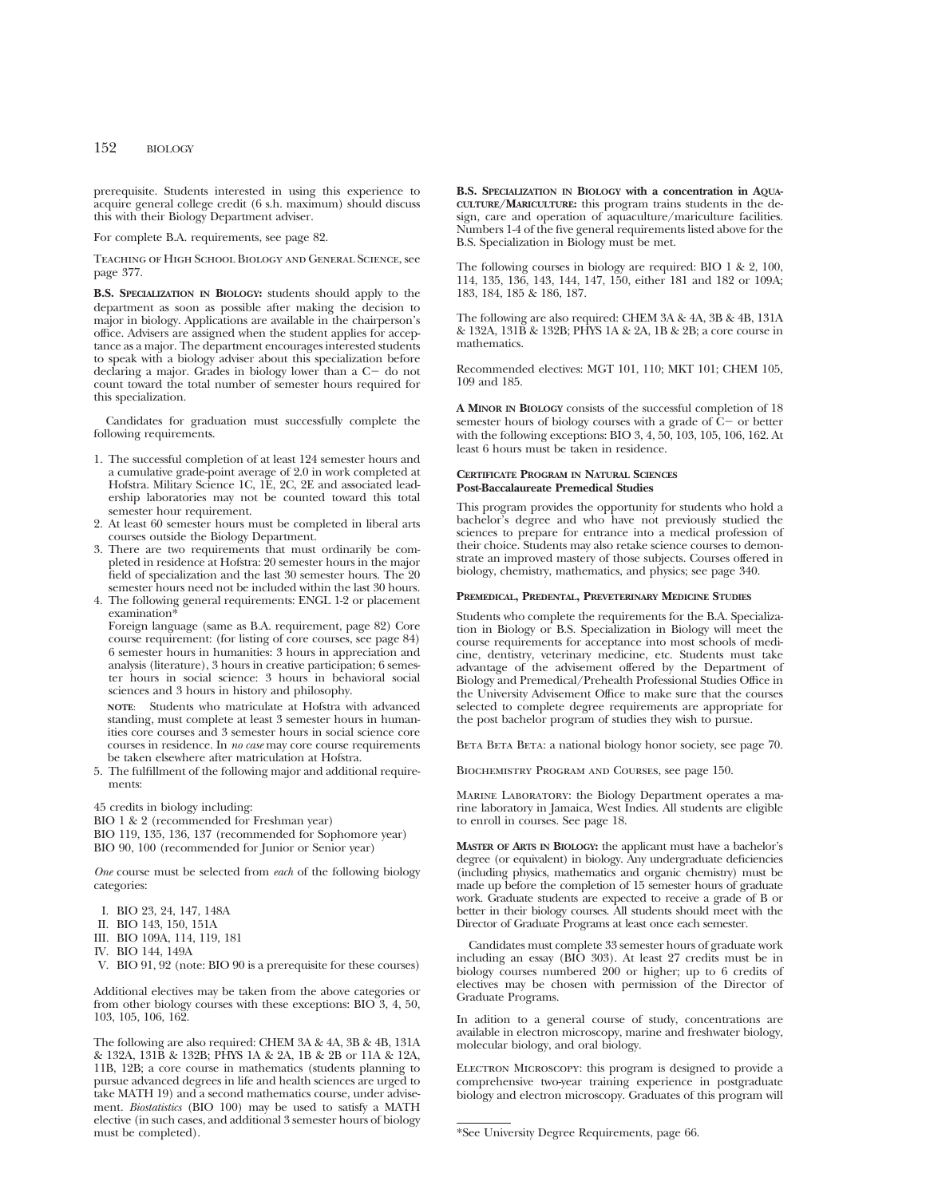prerequisite. Students interested in using this experience to acquire general college credit (6 s.h. maximum) should discuss this with their Biology Department adviser.

For complete B.A. requirements, see page 82.

Teaching of High School Biology and General Science, see page 377.

**B.S. SPECIALIZATION IN BIOLOGY:** students should apply to the department as soon as possible after making the decision to major in biology. Applications are available in the chairperson's office. Advisers are assigned when the student applies for acceptance as a major. The department encourages interested students to speak with a biology adviser about this specialization before declaring a major. Grades in biology lower than a  $C-$  do not count toward the total number of semester hours required for this specialization.

Candidates for graduation must successfully complete the following requirements.

- 1. The successful completion of at least 124 semester hours and a cumulative grade-point average of 2.0 in work completed at Hofstra. Military Science 1C, 1E, 2C, 2E and associated leadership laboratories may not be counted toward this total semester hour requirement.
- 2. At least 60 semester hours must be completed in liberal arts courses outside the Biology Department.
- 3. There are two requirements that must ordinarily be completed in residence at Hofstra: 20 semester hours in the major field of specialization and the last 30 semester hours. The 20 semester hours need not be included within the last 30 hours.
- 4. The following general requirements: ENGL 1-2 or placement examination\*

Foreign language (same as B.A. requirement, page 82) Core course requirement: (for listing of core courses, see page 84) 6 semester hours in humanities: 3 hours in appreciation and analysis (literature), 3 hours in creative participation; 6 semester hours in social science: 3 hours in behavioral social sciences and 3 hours in history and philosophy.

**NOTE**: Students who matriculate at Hofstra with advanced standing, must complete at least 3 semester hours in humanities core courses and 3 semester hours in social science core courses in residence. In *no case* may core course requirements be taken elsewhere after matriculation at Hofstra.

5. The fulfillment of the following major and additional requirements:

45 credits in biology including:

BIO 1 & 2 (recommended for Freshman year)

BIO 119, 135, 136, 137 (recommended for Sophomore year) BIO 90, 100 (recommended for Junior or Senior year)

*One* course must be selected from *each* of the following biology categories:

- I. BIO 23, 24, 147, 148A
- II. BIO 143, 150, 151A
- III. BIO 109A, 114, 119, 181
- IV. BIO 144, 149A
- V. BIO 91, 92 (note: BIO 90 is a prerequisite for these courses)

Additional electives may be taken from the above categories or from other biology courses with these exceptions: BIO 3, 4, 50, 103, 105, 106, 162.

The following are also required: CHEM 3A & 4A, 3B & 4B, 131A & 132A, 131B & 132B; PHYS 1A & 2A, 1B & 2B or 11A & 12A, 11B, 12B; a core course in mathematics (students planning to pursue advanced degrees in life and health sciences are urged to take MATH 19) and a second mathematics course, under advisement. *Biostatistics* (BIO 100) may be used to satisfy a MATH elective (in such cases, and additional 3 semester hours of biology must be completed).

**B.S. SPECIALIZATION IN BIOLOGY with a concentration in AQUA-CULTURE/MARICULTURE:** this program trains students in the design, care and operation of aquaculture/mariculture facilities. Numbers 1-4 of the five general requirements listed above for the B.S. Specialization in Biology must be met.

The following courses in biology are required: BIO 1 & 2, 100, 114, 135, 136, 143, 144, 147, 150, either 181 and 182 or 109A; 183, 184, 185 & 186, 187.

The following are also required: CHEM 3A & 4A, 3B & 4B, 131A & 132A, 131B & 132B; PHYS 1A & 2A, 1B & 2B; a core course in mathematics.

Recommended electives: MGT 101, 110; MKT 101; CHEM 105, 109 and 185.

**A MINOR IN BIOLOGY** consists of the successful completion of 18 semester hours of biology courses with a grade of  $C<sub>-</sub>$  or better with the following exceptions: BIO 3, 4, 50, 103, 105, 106, 162. At least 6 hours must be taken in residence.

# **CERTIFICATE PROGRAM IN NATURAL SCIENCES Post-Baccalaureate Premedical Studies**

This program provides the opportunity for students who hold a bachelor's degree and who have not previously studied the sciences to prepare for entrance into a medical profession of their choice. Students may also retake science courses to demonstrate an improved mastery of those subjects. Courses offered in biology, chemistry, mathematics, and physics; see page 340.

#### **PREMEDICAL, PREDENTAL, PREVETERINARY MEDICINE STUDIES**

Students who complete the requirements for the B.A. Specialization in Biology or B.S. Specialization in Biology will meet the course requirements for acceptance into most schools of medicine, dentistry, veterinary medicine, etc. Students must take advantage of the advisement offered by the Department of Biology and Premedical/Prehealth Professional Studies Office in the University Advisement Office to make sure that the courses selected to complete degree requirements are appropriate for the post bachelor program of studies they wish to pursue.

BETA BETA: a national biology honor society, see page 70.

Biochemistry Program and Courses, see page 150.

Marine Laboratory: the Biology Department operates a marine laboratory in Jamaica, West Indies. All students are eligible to enroll in courses. See page 18.

**MASTER OF ARTS IN BIOLOGY:** the applicant must have a bachelor's degree (or equivalent) in biology. Any undergraduate deficiencies (including physics, mathematics and organic chemistry) must be made up before the completion of 15 semester hours of graduate work. Graduate students are expected to receive a grade of B or better in their biology courses. All students should meet with the Director of Graduate Programs at least once each semester.

Candidates must complete 33 semester hours of graduate work including an essay (BIO 303). At least 27 credits must be in biology courses numbered 200 or higher; up to 6 credits of electives may be chosen with permission of the Director of Graduate Programs.

In adition to a general course of study, concentrations are available in electron microscopy, marine and freshwater biology, molecular biology, and oral biology.

ELECTRON MICROSCOPY: this program is designed to provide a comprehensive two-year training experience in postgraduate biology and electron microscopy. Graduates of this program will

<sup>\*</sup>See University Degree Requirements, page 66.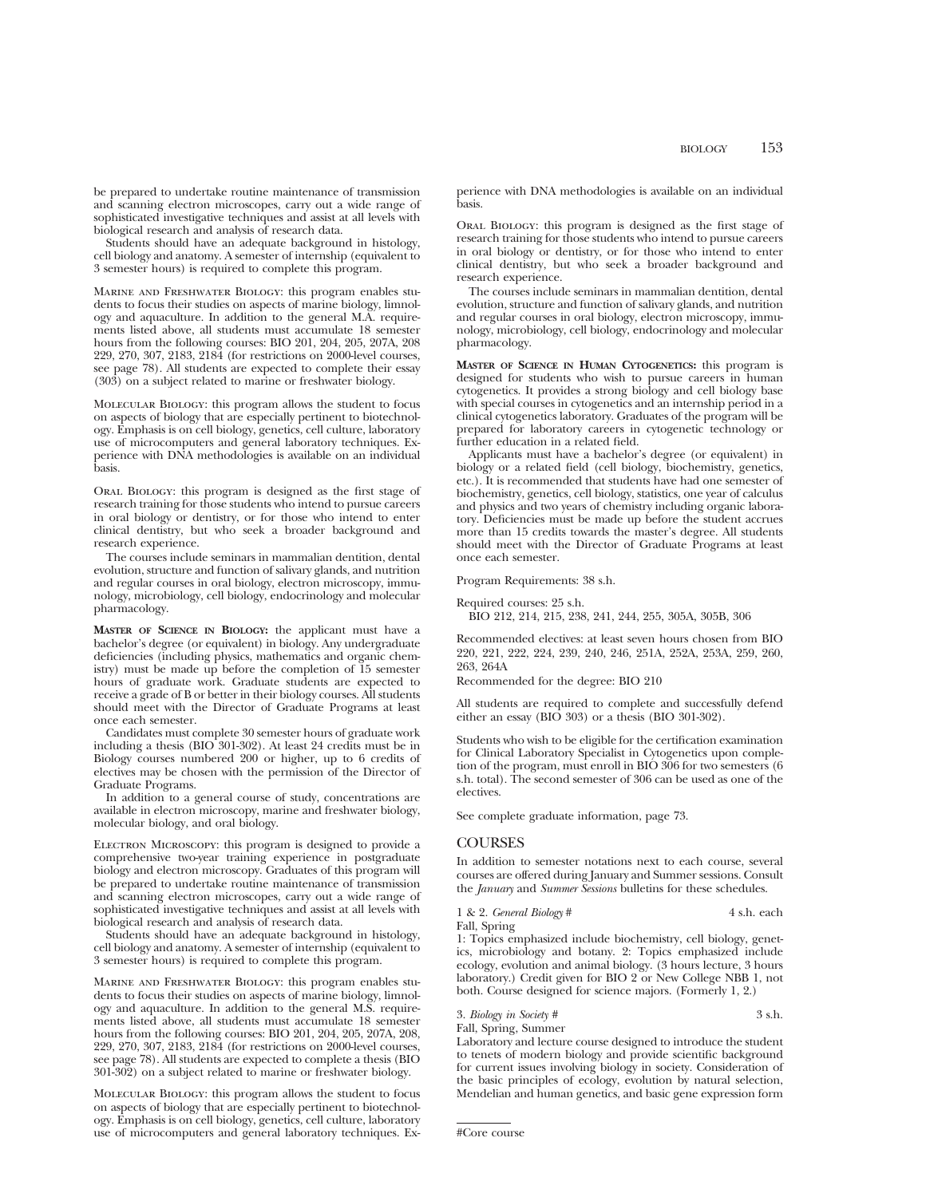be prepared to undertake routine maintenance of transmission and scanning electron microscopes, carry out a wide range of sophisticated investigative techniques and assist at all levels with biological research and analysis of research data.

Students should have an adequate background in histology, cell biology and anatomy. A semester of internship (equivalent to 3 semester hours) is required to complete this program.

Marine and Freshwater Biology: this program enables students to focus their studies on aspects of marine biology, limnology and aquaculture. In addition to the general M.A. requirements listed above, all students must accumulate 18 semester hours from the following courses: BIO 201, 204, 205, 207A, 208 229, 270, 307, 2183, 2184 (for restrictions on 2000-level courses, see page 78). All students are expected to complete their essay (303) on a subject related to marine or freshwater biology.

Molecular Biology: this program allows the student to focus on aspects of biology that are especially pertinent to biotechnology. Emphasis is on cell biology, genetics, cell culture, laboratory use of microcomputers and general laboratory techniques. Experience with DNA methodologies is available on an individual basis.

Oral Biology: this program is designed as the first stage of research training for those students who intend to pursue careers in oral biology or dentistry, or for those who intend to enter clinical dentistry, but who seek a broader background and research experience.

The courses include seminars in mammalian dentition, dental evolution, structure and function of salivary glands, and nutrition and regular courses in oral biology, electron microscopy, immunology, microbiology, cell biology, endocrinology and molecular pharmacology.

**MASTER OF SCIENCE IN BIOLOGY:** the applicant must have a bachelor's degree (or equivalent) in biology. Any undergraduate deficiencies (including physics, mathematics and organic chemistry) must be made up before the completion of 15 semester hours of graduate work. Graduate students are expected to receive a grade of B or better in their biology courses. All students should meet with the Director of Graduate Programs at least once each semester.

Candidates must complete 30 semester hours of graduate work including a thesis (BIO 301-302). At least 24 credits must be in Biology courses numbered 200 or higher, up to 6 credits of electives may be chosen with the permission of the Director of Graduate Programs.

In addition to a general course of study, concentrations are available in electron microscopy, marine and freshwater biology, molecular biology, and oral biology.

ELECTRON MICROSCOPY: this program is designed to provide a comprehensive two-year training experience in postgraduate biology and electron microscopy. Graduates of this program will be prepared to undertake routine maintenance of transmission and scanning electron microscopes, carry out a wide range of sophisticated investigative techniques and assist at all levels with biological research and analysis of research data.

Students should have an adequate background in histology, cell biology and anatomy. A semester of internship (equivalent to 3 semester hours) is required to complete this program.

Marine and Freshwater Biology: this program enables students to focus their studies on aspects of marine biology, limnology and aquaculture. In addition to the general M.S. requirements listed above, all students must accumulate 18 semester hours from the following courses: BIO 201, 204, 205, 207A, 208, 229, 270, 307, 2183, 2184 (for restrictions on 2000-level courses, see page 78). All students are expected to complete a thesis (BIO 301-302) on a subject related to marine or freshwater biology.

Molecular Biology: this program allows the student to focus on aspects of biology that are especially pertinent to biotechnology. Emphasis is on cell biology, genetics, cell culture, laboratory use of microcomputers and general laboratory techniques. Experience with DNA methodologies is available on an individual basis.

Oral Biology: this program is designed as the first stage of research training for those students who intend to pursue careers in oral biology or dentistry, or for those who intend to enter clinical dentistry, but who seek a broader background and research experience.

The courses include seminars in mammalian dentition, dental evolution, structure and function of salivary glands, and nutrition and regular courses in oral biology, electron microscopy, immunology, microbiology, cell biology, endocrinology and molecular pharmacology.

**MASTER OF SCIENCE IN HUMAN CYTOGENETICS:** this program is designed for students who wish to pursue careers in human cytogenetics. It provides a strong biology and cell biology base with special courses in cytogenetics and an internship period in a clinical cytogenetics laboratory. Graduates of the program will be prepared for laboratory careers in cytogenetic technology or further education in a related field.

Applicants must have a bachelor's degree (or equivalent) in biology or a related field (cell biology, biochemistry, genetics, etc.). It is recommended that students have had one semester of biochemistry, genetics, cell biology, statistics, one year of calculus and physics and two years of chemistry including organic laboratory. Deficiencies must be made up before the student accrues more than 15 credits towards the master's degree. All students should meet with the Director of Graduate Programs at least once each semester.

Program Requirements: 38 s.h.

Required courses: 25 s.h.

BIO 212, 214, 215, 238, 241, 244, 255, 305A, 305B, 306

Recommended electives: at least seven hours chosen from BIO 220, 221, 222, 224, 239, 240, 246, 251A, 252A, 253A, 259, 260, 263, 264A

Recommended for the degree: BIO 210

All students are required to complete and successfully defend either an essay (BIO 303) or a thesis (BIO 301-302).

Students who wish to be eligible for the certification examination for Clinical Laboratory Specialist in Cytogenetics upon completion of the program, must enroll in BIO 306 for two semesters (6 s.h. total). The second semester of 306 can be used as one of the electives.

See complete graduate information, page 73.

## **COURSES**

In addition to semester notations next to each course, several courses are offered during January and Summer sessions. Consult the *January* and *Summer Sessions* bulletins for these schedules.

1 & 2. *General Biology* # 4 s.h. each Fall, Spring

1: Topics emphasized include biochemistry, cell biology, genetics, microbiology and botany. 2: Topics emphasized include ecology, evolution and animal biology. (3 hours lecture, 3 hours laboratory.) Credit given for BIO 2 or New College NBB 1, not both. Course designed for science majors. (Formerly 1, 2.)

3. *Biology in Society #* 3 s.h. Fall, Spring, Summer

Laboratory and lecture course designed to introduce the student to tenets of modern biology and provide scientific background for current issues involving biology in society. Consideration of the basic principles of ecology, evolution by natural selection, Mendelian and human genetics, and basic gene expression form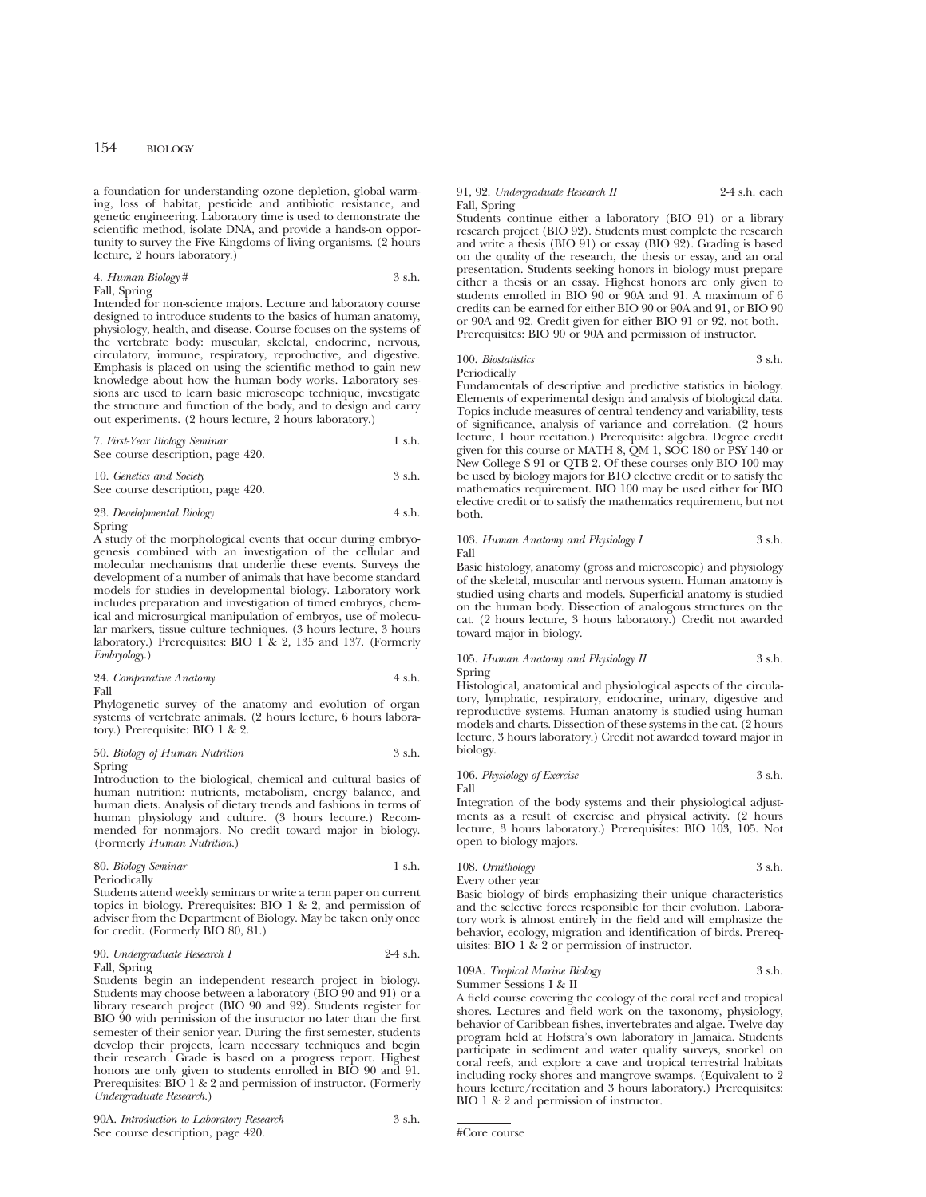a foundation for understanding ozone depletion, global warming, loss of habitat, pesticide and antibiotic resistance, and genetic engineering. Laboratory time is used to demonstrate the scientific method, isolate DNA, and provide a hands-on opportunity to survey the Five Kingdoms of living organisms. (2 hours lecture, 2 hours laboratory.)

## 4. *Human Biology* # 3 s.h. Fall, Spring

Intended for non-science majors. Lecture and laboratory course designed to introduce students to the basics of human anatomy, physiology, health, and disease. Course focuses on the systems of the vertebrate body: muscular, skeletal, endocrine, nervous, circulatory, immune, respiratory, reproductive, and digestive. Emphasis is placed on using the scientific method to gain new knowledge about how the human body works. Laboratory sessions are used to learn basic microscope technique, investigate the structure and function of the body, and to design and carry out experiments. (2 hours lecture, 2 hours laboratory.)

7. *First-Year Biology Seminar* 1 s.h. See course description, page 420.

10. *Genetics and Society* 3 s.h. See course description, page 420.

# 23. *Developmental Biology* 4 s.h. Spring

A study of the morphological events that occur during embryogenesis combined with an investigation of the cellular and molecular mechanisms that underlie these events. Surveys the development of a number of animals that have become standard models for studies in developmental biology. Laboratory work includes preparation and investigation of timed embryos, chemical and microsurgical manipulation of embryos, use of molecular markers, tissue culture techniques. (3 hours lecture, 3 hours laboratory.) Prerequisites: BIO 1 & 2, 135 and 137. (Formerly *Embryology*.)

24. *Comparative Anatomy* 4 s.h. Fall

Phylogenetic survey of the anatomy and evolution of organ systems of vertebrate animals. (2 hours lecture, 6 hours laboratory.) Prerequisite: BIO 1 & 2.

#### 50. *Biology of Human Nutrition* 3 s.h. Spring

Introduction to the biological, chemical and cultural basics of human nutrition: nutrients, metabolism, energy balance, and human diets. Analysis of dietary trends and fashions in terms of human physiology and culture. (3 hours lecture.) Recommended for nonmajors. No credit toward major in biology. (Formerly *Human Nutrition*.)

80. *Biology Seminar* 1 s.h. Periodically

Students attend weekly seminars or write a term paper on current topics in biology. Prerequisites: BIO 1 & 2, and permission of adviser from the Department of Biology. May be taken only once for credit. (Formerly BIO 80, 81.)

# 90. *Undergraduate Research I* 2-4 s.h. Fall, Spring

Students begin an independent research project in biology. Students may choose between a laboratory (BIO 90 and 91) or a library research project (BIO 90 and 92). Students register for BIO 90 with permission of the instructor no later than the first semester of their senior year. During the first semester, students develop their projects, learn necessary techniques and begin their research. Grade is based on a progress report. Highest honors are only given to students enrolled in BIO 90 and 91. Prerequisites: BIO 1 & 2 and permission of instructor. (Formerly *Undergraduate Research.*)

#### 91, 92. *Undergraduate Research II* 2-4 s.h. each Fall, Spring

Students continue either a laboratory (BIO 91) or a library research project (BIO 92). Students must complete the research and write a thesis (BIO 91) or essay (BIO 92). Grading is based on the quality of the research, the thesis or essay, and an oral presentation. Students seeking honors in biology must prepare either a thesis or an essay. Highest honors are only given to students enrolled in BIO 90 or 90A and 91. A maximum of 6 credits can be earned for either BIO 90 or 90A and 91, or BIO 90 or 90A and 92. Credit given for either BIO 91 or 92, not both. Prerequisites: BIO 90 or 90A and permission of instructor.

# 100. *Biostatistics* 3 s.h. Periodically

Fundamentals of descriptive and predictive statistics in biology. Elements of experimental design and analysis of biological data. Topics include measures of central tendency and variability, tests of significance, analysis of variance and correlation. (2 hours lecture, 1 hour recitation.) Prerequisite: algebra. Degree credit given for this course or MATH 8, QM 1, SOC 180 or PSY 140 or New College S 91 or QTB 2. Of these courses only BIO 100 may be used by biology majors for B1O elective credit or to satisfy the mathematics requirement. BIO 100 may be used either for BIO elective credit or to satisfy the mathematics requirement, but not both.

# 103. *Human Anatomy and Physiology I* 3 s.h. Fall

Basic histology, anatomy (gross and microscopic) and physiology of the skeletal, muscular and nervous system. Human anatomy is studied using charts and models. Superficial anatomy is studied on the human body. Dissection of analogous structures on the cat. (2 hours lecture, 3 hours laboratory.) Credit not awarded toward major in biology.

#### 105. *Human Anatomy and Physiology II* 3 s.h. Spring

Histological, anatomical and physiological aspects of the circulatory, lymphatic, respiratory, endocrine, urinary, digestive and reproductive systems. Human anatomy is studied using human models and charts. Dissection of these systems in the cat. (2 hours lecture, 3 hours laboratory.) Credit not awarded toward major in biology.

106. *Physiology of Exercise* 3 s.h. Fall

Integration of the body systems and their physiological adjustments as a result of exercise and physical activity. (2 hours lecture, 3 hours laboratory.) Prerequisites: BIO 103, 105. Not open to biology majors.

108. *Ornithology* 3 s.h. Every other year

Basic biology of birds emphasizing their unique characteristics and the selective forces responsible for their evolution. Laboratory work is almost entirely in the field and will emphasize the behavior, ecology, migration and identification of birds. Prerequisites: BIO 1 & 2 or permission of instructor.

# 109A. *Tropical Marine Biology* 3 s.h. Summer Sessions I & II

A field course covering the ecology of the coral reef and tropical shores. Lectures and field work on the taxonomy, physiology, behavior of Caribbean fishes, invertebrates and algae. Twelve day program held at Hofstra's own laboratory in Jamaica. Students participate in sediment and water quality surveys, snorkel on coral reefs, and explore a cave and tropical terrestrial habitats including rocky shores and mangrove swamps. (Equivalent to 2 hours lecture/recitation and 3 hours laboratory.) Prerequisites: BIO 1 & 2 and permission of instructor.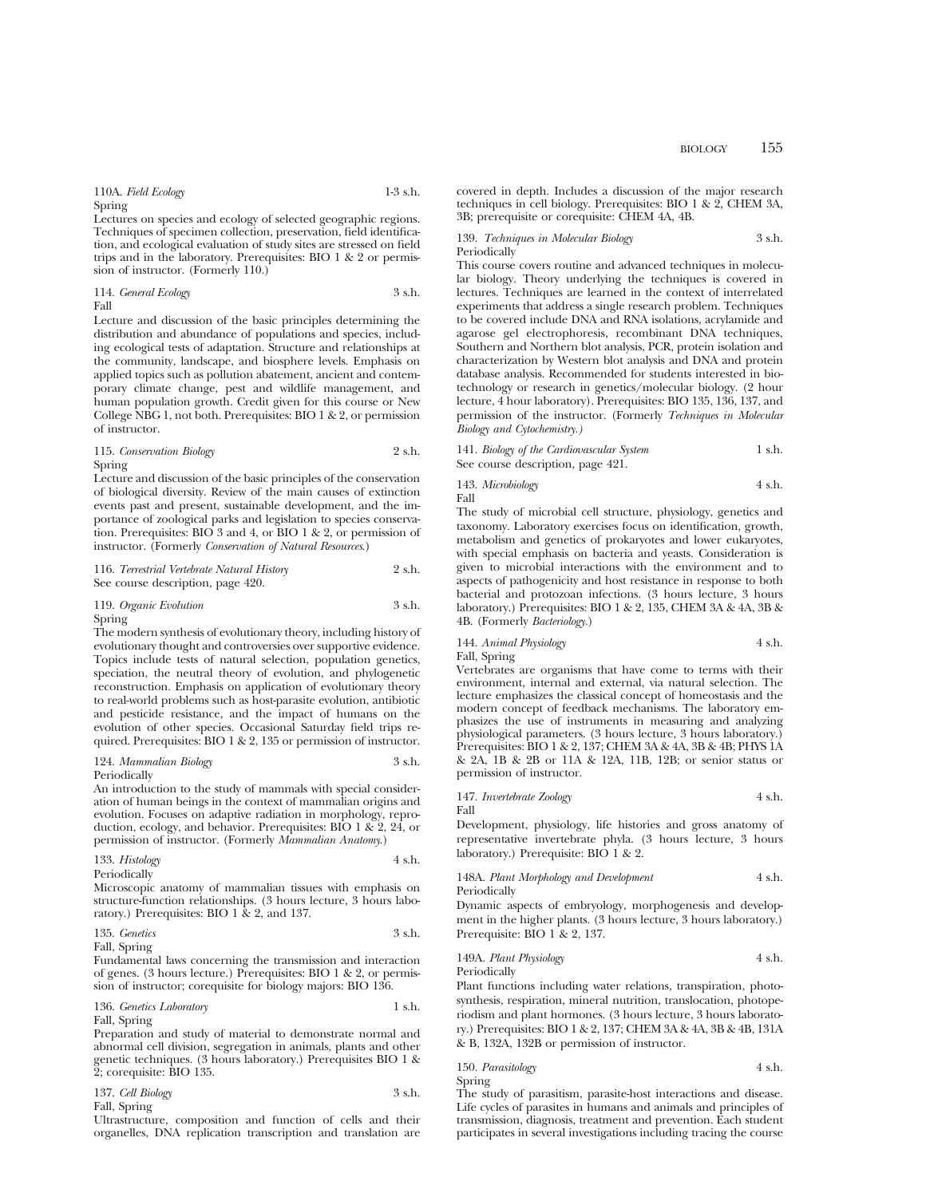110A. *Field Ecology* 1-3 s.h. Spring

Lectures on species and ecology of selected geographic regions. Techniques of specimen collection, preservation, field identification, and ecological evaluation of study sites are stressed on field trips and in the laboratory. Prerequisites: BIO 1 & 2 or permission of instructor. (Formerly 110.)

114. *General Ecology* 3 s.h. Fall

Lecture and discussion of the basic principles determining the distribution and abundance of populations and species, including ecological tests of adaptation. Structure and relationships at the community, landscape, and biosphere levels. Emphasis on applied topics such as pollution abatement, ancient and contemporary climate change, pest and wildlife management, and human population growth. Credit given for this course or New College NBG 1, not both. Prerequisites: BIO 1 & 2, or permission of instructor.

115. *Conservation Biology* 2 s.h. Spring

Lecture and discussion of the basic principles of the conservation of biological diversity. Review of the main causes of extinction events past and present, sustainable development, and the importance of zoological parks and legislation to species conservation. Prerequisites: BIO 3 and 4, or BIO 1 & 2, or permission of instructor. (Formerly *Conservation of Natural Resources*.)

116. *Terrestrial Vertebrate Natural History* 2 s.h. See course description, page 420.

119. *Organic Evolution* 3 s.h. Spring

The modern synthesis of evolutionary theory, including history of evolutionary thought and controversies over supportive evidence. Topics include tests of natural selection, population genetics, speciation, the neutral theory of evolution, and phylogenetic reconstruction. Emphasis on application of evolutionary theory to real-world problems such as host-parasite evolution, antibiotic and pesticide resistance, and the impact of humans on the evolution of other species. Occasional Saturday field trips required. Prerequisites: BIO 1 & 2, 135 or permission of instructor.

# 124. *Mammalian Biology* 3 s.h.

Periodically

An introduction to the study of mammals with special consideration of human beings in the context of mammalian origins and evolution. Focuses on adaptive radiation in morphology, reproduction, ecology, and behavior. Prerequisites: BIO 1 & 2, 24, or permission of instructor. (Formerly *Mammalian Anatomy*.)

133. *Histology* 4 s.h. Periodically

Microscopic anatomy of mammalian tissues with emphasis on structure-function relationships. (3 hours lecture, 3 hours laboratory.) Prerequisites: BIO 1 & 2, and 137.

$$
135. \text{ Genetics} \qquad \qquad 3 \text{ s.h.}
$$

Fall, Spring

Fundamental laws concerning the transmission and interaction of genes. (3 hours lecture.) Prerequisites: BIO 1 & 2, or permission of instructor; corequisite for biology majors: BIO 136.

136. *Genetics Laboratory* 1 s.h. Fall, Spring

Preparation and study of material to demonstrate normal and abnormal cell division, segregation in animals, plants and other genetic techniques. (3 hours laboratory.) Prerequisites BIO 1 & 2; corequisite: BIO 135.

| 137. Cell Biology | 3 s.h. |
|-------------------|--------|
| Fall, Spring      |        |

Ultrastructure, composition and function of cells and their organelles, DNA replication transcription and translation are covered in depth. Includes a discussion of the major research techniques in cell biology. Prerequisites: BIO 1 & 2, CHEM 3A, 3B; prerequisite or corequisite: CHEM 4A, 4B.

#### 139. *Techniques in Molecular Biology* 3 s.h. Periodically

This course covers routine and advanced techniques in molecular biology. Theory underlying the techniques is covered in lectures. Techniques are learned in the context of interrelated experiments that address a single research problem. Techniques to be covered include DNA and RNA isolations, acrylamide and agarose gel electrophoresis, recombinant DNA techniques, Southern and Northern blot analysis, PCR, protein isolation and characterization by Western blot analysis and DNA and protein database analysis. Recommended for students interested in biotechnology or research in genetics/molecular biology. (2 hour lecture, 4 hour laboratory). Prerequisites: BIO 135, 136, 137, and permission of the instructor. (Formerly *Techniques in Molecular Biology and Cytochemistry.)*

141. *Biology of the Cardiovascular System* 1 s.h. See course description, page 421.

143. *Microbiology* 4 s.h.

Fall

The study of microbial cell structure, physiology, genetics and taxonomy. Laboratory exercises focus on identification, growth, metabolism and genetics of prokaryotes and lower eukaryotes, with special emphasis on bacteria and yeasts. Consideration is given to microbial interactions with the environment and to aspects of pathogenicity and host resistance in response to both bacterial and protozoan infections. (3 hours lecture, 3 hours laboratory.) Prerequisites: BIO 1 & 2, 135, CHEM 3A & 4A, 3B & 4B. (Formerly *Bacteriology.*)

144. *Animal Physiology* 4 s.h. Fall, Spring

Vertebrates are organisms that have come to terms with their environment, internal and external, via natural selection. The lecture emphasizes the classical concept of homeostasis and the modern concept of feedback mechanisms. The laboratory emphasizes the use of instruments in measuring and analyzing physiological parameters. (3 hours lecture, 3 hours laboratory.) Prerequisites: BIO 1 & 2, 137; CHEM 3A & 4A, 3B & 4B; PHYS 1A & 2A, 1B & 2B or 11A & 12A, 11B, 12B; or senior status or permission of instructor.

147. *Invertebrate Zoology* 4 s.h. Fall

Development, physiology, life histories and gross anatomy of representative invertebrate phyla. (3 hours lecture, 3 hours laboratory.) Prerequisite: BIO 1 & 2.

148A. *Plant Morphology and Development* 4 s.h. Periodically

Dynamic aspects of embryology, morphogenesis and development in the higher plants. (3 hours lecture, 3 hours laboratory.) Prerequisite: BIO 1 & 2, 137.

149A. *Plant Physiology* 4 s.h. Periodically

Plant functions including water relations, transpiration, photosynthesis, respiration, mineral nutrition, translocation, photoperiodism and plant hormones. (3 hours lecture, 3 hours laboratory.) Prerequisites: BIO 1 & 2, 137; CHEM 3A & 4A, 3B & 4B, 131A & B, 132A, 132B or permission of instructor.

# 150. *Parasitology* 4 s.h. Spring

The study of parasitism, parasite-host interactions and disease. Life cycles of parasites in humans and animals and principles of transmission, diagnosis, treatment and prevention. Each student participates in several investigations including tracing the course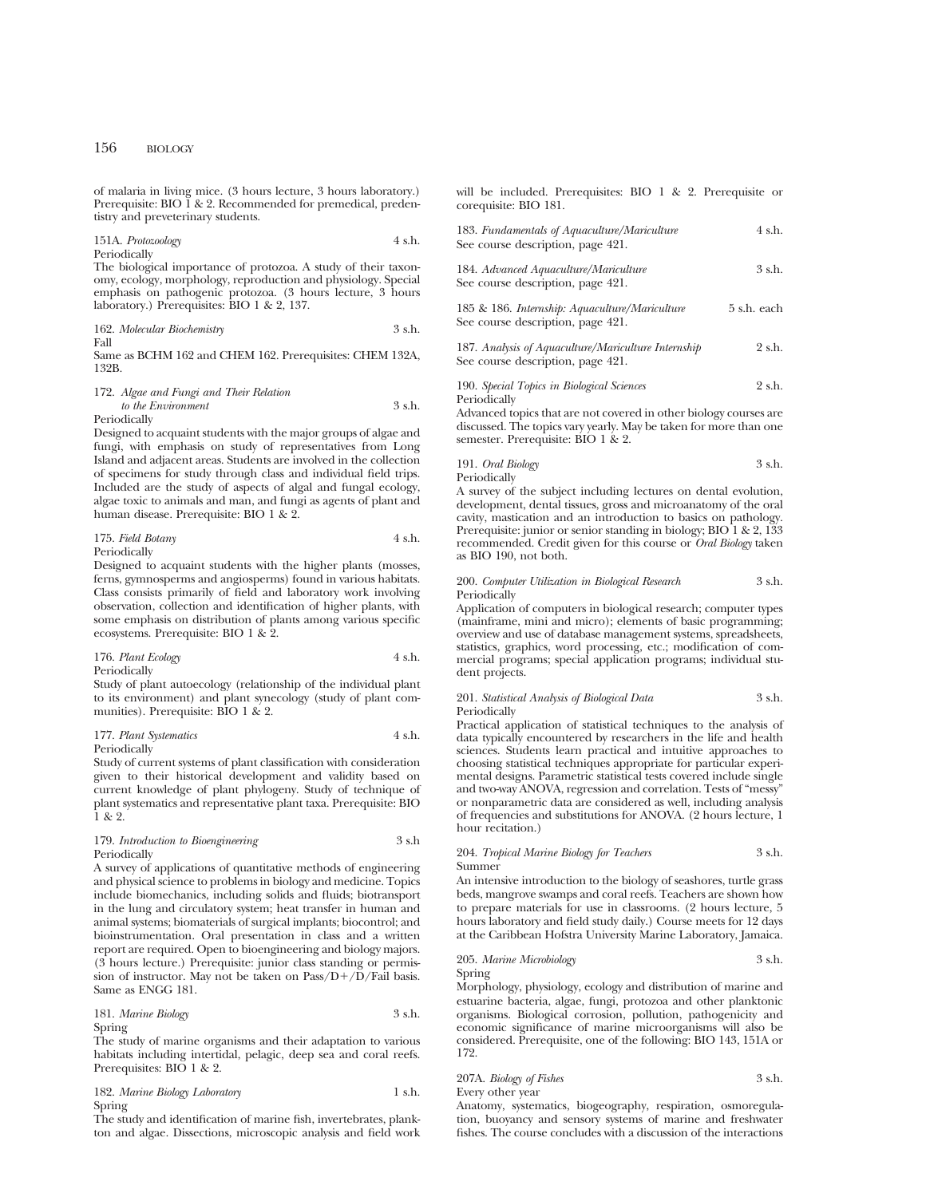of malaria in living mice. (3 hours lecture, 3 hours laboratory.) Prerequisite: BIO  $\check{1}$  & 2. Recommended for premedical, predentistry and preveterinary students.

151A. *Protozoology* 4 s.h. Periodically

The biological importance of protozoa. A study of their taxonomy, ecology, morphology, reproduction and physiology. Special emphasis on pathogenic protozoa. (3 hours lecture, 3 hours laboratory.) Prerequisites: BIO 1 & 2, 137.

162. *Molecular Biochemistry* 3 s.h. Fall

Same as BCHM 162 and CHEM 162. Prerequisites: CHEM 132A, 132B.

#### 172. *Algae and Fungi and Their Relation to the Environment* 3 s.h. Periodically

Designed to acquaint students with the major groups of algae and fungi, with emphasis on study of representatives from Long Island and adjacent areas. Students are involved in the collection of specimens for study through class and individual field trips. Included are the study of aspects of algal and fungal ecology, algae toxic to animals and man, and fungi as agents of plant and human disease. Prerequisite: BIO 1 & 2.

| 175. Field Botany | 4 s.h. |
|-------------------|--------|
| Periodically      |        |

Designed to acquaint students with the higher plants (mosses, ferns, gymnosperms and angiosperms) found in various habitats. Class consists primarily of field and laboratory work involving observation, collection and identification of higher plants, with some emphasis on distribution of plants among various specific ecosystems. Prerequisite: BIO 1 & 2.

## 176. *Plant Ecology* 4 s.h. Periodically

Study of plant autoecology (relationship of the individual plant to its environment) and plant synecology (study of plant communities). Prerequisite: BIO 1 & 2.

# 177. *Plant Systematics* 4 s.h.

Periodically

Study of current systems of plant classification with consideration given to their historical development and validity based on current knowledge of plant phylogeny. Study of technique of plant systematics and representative plant taxa. Prerequisite: BIO 1 & 2.

# 179. *Introduction to Bioengineering* 3 s.h Periodically

A survey of applications of quantitative methods of engineering and physical science to problems in biology and medicine. Topics include biomechanics, including solids and fluids; biotransport in the lung and circulatory system; heat transfer in human and animal systems; biomaterials of surgical implants; biocontrol; and bioinstrumentation. Oral presentation in class and a written report are required. Open to bioengineering and biology majors. (3 hours lecture.) Prerequisite: junior class standing or permission of instructor. May not be taken on  $Pass/D+/D/Fall$  basis. Same as ENGG 181.

# 181. *Marine Biology* 3 s.h. Spring

The study of marine organisms and their adaptation to various habitats including intertidal, pelagic, deep sea and coral reefs. Prerequisites: BIO 1 & 2.

182. *Marine Biology Laboratory* 1 s.h. Spring

The study and identification of marine fish, invertebrates, plankton and algae. Dissections, microscopic analysis and field work will be included. Prerequisites: BIO 1 & 2. Prerequisite or corequisite: BIO 181.

| 183. Fundamentals of Aquaculture/Mariculture | 4 s.h.   |
|----------------------------------------------|----------|
| See course description, page 421.            |          |
| 184. Advanced Aquaculture/Mariculture        | $3$ s.h. |
| See course description, page 421.            |          |

185 & 186. *Internship: Aquaculture/Mariculture* 5 s.h. each See course description, page 421.

187. *Analysis of Aquaculture/Mariculture Internship* 2 s.h. See course description, page 421.

190. *Special Topics in Biological Sciences* 2 s.h. Periodically

Advanced topics that are not covered in other biology courses are discussed. The topics vary yearly. May be taken for more than one semester. Prerequisite: BIO 1 & 2.

| 191. Oral Biology | 3 s.h. |
|-------------------|--------|
| Periodically      |        |

A survey of the subject including lectures on dental evolution, development, dental tissues, gross and microanatomy of the oral cavity, mastication and an introduction to basics on pathology. Prerequisite: junior or senior standing in biology; BIO 1 & 2, 133 recommended. Credit given for this course or *Oral Biology* taken as BIO 190, not both.

#### 200. *Computer Utilization in Biological Research* 3 s.h. Periodically

Application of computers in biological research; computer types (mainframe, mini and micro); elements of basic programming; overview and use of database management systems, spreadsheets, statistics, graphics, word processing, etc.; modification of commercial programs; special application programs; individual student projects.

## 201. *Statistical Analysis of Biological Data* 3 s.h. **Periodically**

Practical application of statistical techniques to the analysis of data typically encountered by researchers in the life and health sciences. Students learn practical and intuitive approaches to choosing statistical techniques appropriate for particular experimental designs. Parametric statistical tests covered include single and two-way ANOVA, regression and correlation. Tests of "messy" or nonparametric data are considered as well, including analysis of frequencies and substitutions for ANOVA. (2 hours lecture, 1 hour recitation.)

#### 204. *Tropical Marine Biology for Teachers* 3 s.h. Summer

An intensive introduction to the biology of seashores, turtle grass beds, mangrove swamps and coral reefs. Teachers are shown how to prepare materials for use in classrooms. (2 hours lecture, 5 hours laboratory and field study daily.) Course meets for 12 days at the Caribbean Hofstra University Marine Laboratory, Jamaica.

#### 205. *Marine Microbiology* 3 s.h. Spring

Morphology, physiology, ecology and distribution of marine and estuarine bacteria, algae, fungi, protozoa and other planktonic organisms. Biological corrosion, pollution, pathogenicity and economic significance of marine microorganisms will also be considered. Prerequisite, one of the following: BIO 143, 151A or 172.

207A. *Biology of Fishes* 3 s.h. Every other year

Anatomy, systematics, biogeography, respiration, osmoregulation, buoyancy and sensory systems of marine and freshwater fishes. The course concludes with a discussion of the interactions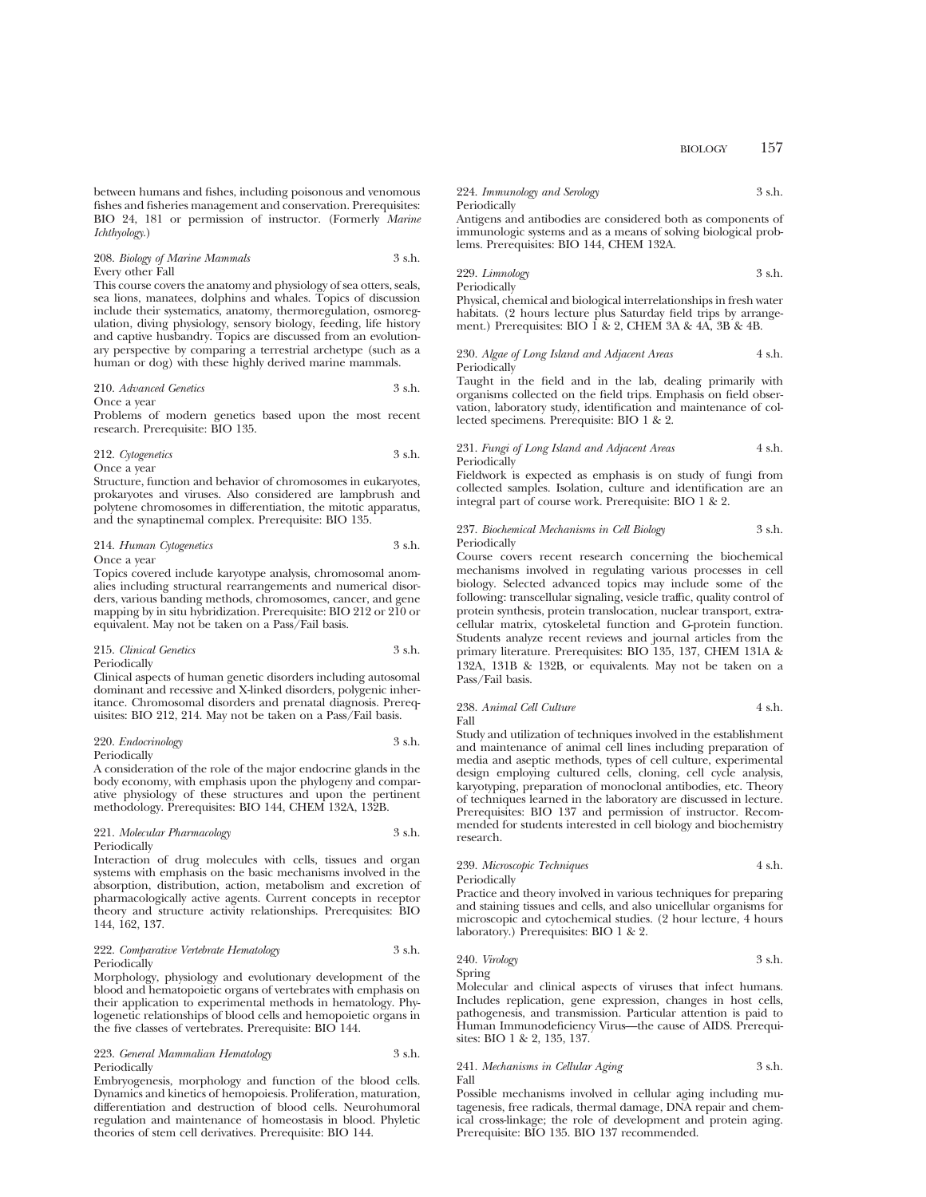between humans and fishes, including poisonous and venomous fishes and fisheries management and conservation. Prerequisites: BIO 24, 181 or permission of instructor. (Formerly *Marine Ichthyology*.)

# 208. *Biology of Marine Mammals* 3 s.h. Every other Fall

This course covers the anatomy and physiology of sea otters, seals, sea lions, manatees, dolphins and whales. Topics of discussion include their systematics, anatomy, thermoregulation, osmoregulation, diving physiology, sensory biology, feeding, life history and captive husbandry. Topics are discussed from an evolutionary perspective by comparing a terrestrial archetype (such as a human or dog) with these highly derived marine mammals.

# 210. *Advanced Genetics* 3 s.h.

#### Once a year

Problems of modern genetics based upon the most recent research. Prerequisite: BIO 135.

# 212. *Cytogenetics* 3 s.h. Once a year

Structure, function and behavior of chromosomes in eukaryotes, prokaryotes and viruses. Also considered are lampbrush and polytene chromosomes in differentiation, the mitotic apparatus, and the synaptinemal complex. Prerequisite: BIO 135.

# 214. *Human Cytogenetics* 3 s.h.

# Once a year

Topics covered include karyotype analysis, chromosomal anomalies including structural rearrangements and numerical disorders, various banding methods, chromosomes, cancer, and gene mapping by in situ hybridization. Prerequisite: BIO 212 or 210 or equivalent. May not be taken on a Pass/Fail basis.

#### 215. *Clinical Genetics* 3 s.h. Periodically

Clinical aspects of human genetic disorders including autosomal dominant and recessive and X-linked disorders, polygenic inheritance. Chromosomal disorders and prenatal diagnosis. Prerequisites: BIO 212, 214. May not be taken on a Pass/Fail basis.

#### 220. *Endocrinology* 3 s.h. Periodically

A consideration of the role of the major endocrine glands in the body economy, with emphasis upon the phylogeny and comparative physiology of these structures and upon the pertinent methodology. Prerequisites: BIO 144, CHEM 132A, 132B.

#### 221. *Molecular Pharmacology* 3 s.h. Periodically

Interaction of drug molecules with cells, tissues and organ systems with emphasis on the basic mechanisms involved in the absorption, distribution, action, metabolism and excretion of pharmacologically active agents. Current concepts in receptor theory and structure activity relationships. Prerequisites: BIO 144, 162, 137.

#### 222. *Comparative Vertebrate Hematology* 3 s.h. Periodically

Morphology, physiology and evolutionary development of the blood and hematopoietic organs of vertebrates with emphasis on their application to experimental methods in hematology. Phylogenetic relationships of blood cells and hemopoietic organs in the five classes of vertebrates. Prerequisite: BIO 144.

#### 223. *General Mammalian Hematology* 3 s.h. Periodically

Embryogenesis, morphology and function of the blood cells. Dynamics and kinetics of hemopoiesis. Proliferation, maturation, differentiation and destruction of blood cells. Neurohumoral regulation and maintenance of homeostasis in blood. Phyletic theories of stem cell derivatives. Prerequisite: BIO 144.

# 224. *Immunology and Serology* 3 s.h. Periodically

Antigens and antibodies are considered both as components of immunologic systems and as a means of solving biological problems. Prerequisites: BIO 144, CHEM 132A.

# 229. *Limnology* 3 s.h.

Periodically Physical, chemical and biological interrelationships in fresh water habitats. (2 hours lecture plus Saturday field trips by arrangement.) Prerequisites: BIO 1 & 2, CHEM 3A & 4A, 3B & 4B.

#### 230. *Algae of Long Island and Adjacent Areas* 4 s.h. Periodically

Taught in the field and in the lab, dealing primarily with organisms collected on the field trips. Emphasis on field observation, laboratory study, identification and maintenance of collected specimens. Prerequisite: BIO 1 & 2.

#### 231. *Fungi of Long Island and Adjacent Areas* 4 s.h. Periodically

Fieldwork is expected as emphasis is on study of fungi from collected samples. Isolation, culture and identification are an integral part of course work. Prerequisite: BIO 1 & 2.

#### 237. *Biochemical Mechanisms in Cell Biology* 3 s.h. Periodically

Course covers recent research concerning the biochemical mechanisms involved in regulating various processes in cell biology. Selected advanced topics may include some of the following: transcellular signaling, vesicle traffic, quality control of protein synthesis, protein translocation, nuclear transport, extracellular matrix, cytoskeletal function and G-protein function. Students analyze recent reviews and journal articles from the primary literature. Prerequisites: BIO 135, 137, CHEM 131A & 132A, 131B & 132B, or equivalents. May not be taken on a Pass/Fail basis.

# 238. *Animal Cell Culture* 4 s.h. Fall

Study and utilization of techniques involved in the establishment and maintenance of animal cell lines including preparation of media and aseptic methods, types of cell culture, experimental design employing cultured cells, cloning, cell cycle analysis, karyotyping, preparation of monoclonal antibodies, etc. Theory of techniques learned in the laboratory are discussed in lecture. Prerequisites: BIO 137 and permission of instructor. Recommended for students interested in cell biology and biochemistry research.

# 239. *Microscopic Techniques* 4 s.h.

Periodically

Practice and theory involved in various techniques for preparing and staining tissues and cells, and also unicellular organisms for microscopic and cytochemical studies. (2 hour lecture, 4 hours laboratory.) Prerequisites: BIO 1 & 2.

240. *Virology* 3 s.h.

Spring

Molecular and clinical aspects of viruses that infect humans. Includes replication, gene expression, changes in host cells, pathogenesis, and transmission. Particular attention is paid to Human Immunodeficiency Virus—the cause of AIDS. Prerequisites: BIO 1 & 2, 135, 137.

#### 241. *Mechanisms in Cellular Aging* 3 s.h. Fall

Possible mechanisms involved in cellular aging including mutagenesis, free radicals, thermal damage, DNA repair and chemical cross-linkage; the role of development and protein aging. Prerequisite: BIO 135. BIO 137 recommended.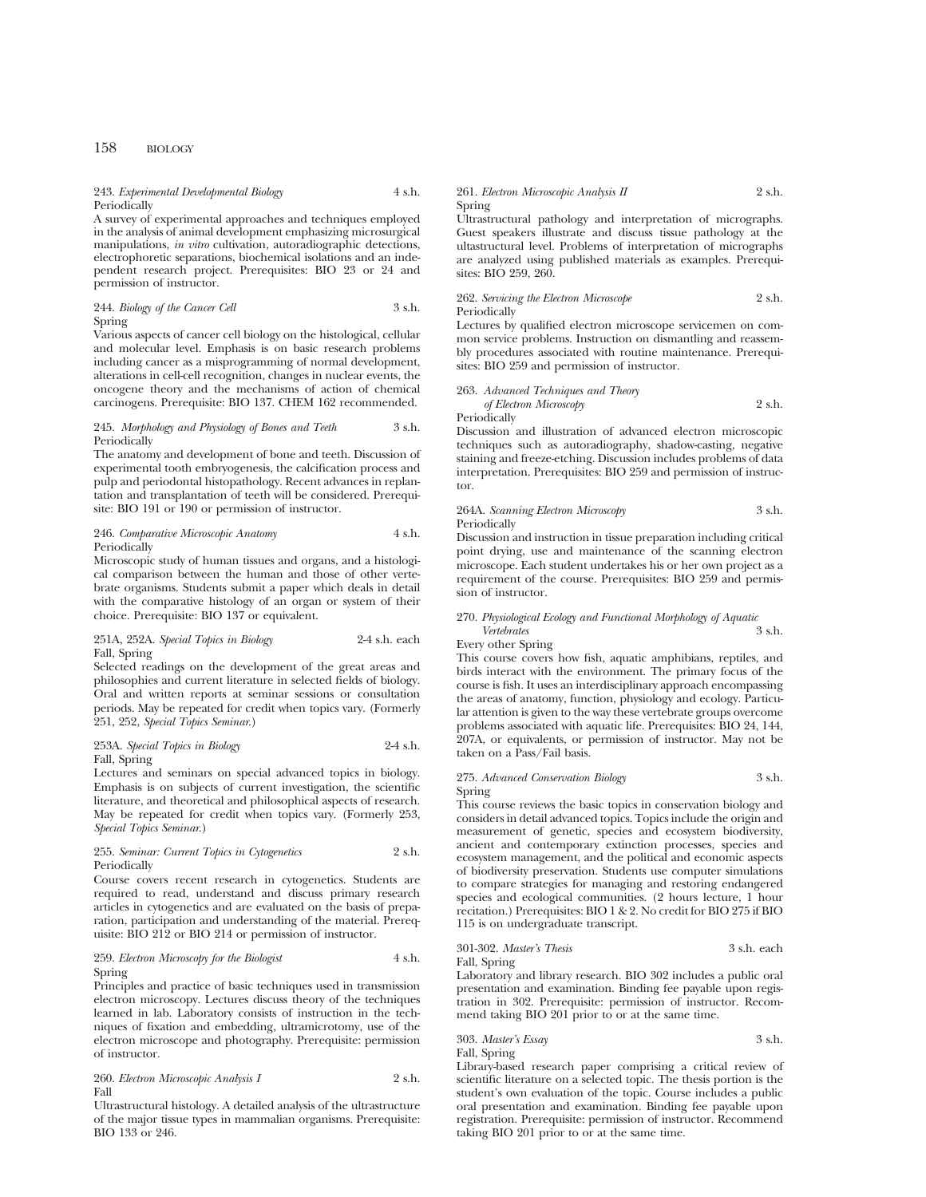# 243. *Experimental Developmental Biology* 4 s.h. Periodically

A survey of experimental approaches and techniques employed in the analysis of animal development emphasizing microsurgical manipulations, *in vitro* cultivation, autoradiographic detections, electrophoretic separations, biochemical isolations and an independent research project. Prerequisites: BIO 23 or 24 and permission of instructor.

#### 244. *Biology of the Cancer Cell* 3 s.h. Spring

Various aspects of cancer cell biology on the histological, cellular and molecular level. Emphasis is on basic research problems including cancer as a misprogramming of normal development, alterations in cell-cell recognition, changes in nuclear events, the oncogene theory and the mechanisms of action of chemical carcinogens. Prerequisite: BIO 137. CHEM 162 recommended.

#### 245. *Morphology and Physiology of Bones and Teeth* 3 s.h. Periodically

The anatomy and development of bone and teeth. Discussion of experimental tooth embryogenesis, the calcification process and pulp and periodontal histopathology. Recent advances in replantation and transplantation of teeth will be considered. Prerequisite: BIO 191 or 190 or permission of instructor.

## 246. *Comparative Microscopic Anatomy* 4 s.h. **Periodically**

Microscopic study of human tissues and organs, and a histological comparison between the human and those of other vertebrate organisms. Students submit a paper which deals in detail with the comparative histology of an organ or system of their choice. Prerequisite: BIO 137 or equivalent.

# 251A, 252A. *Special Topics in Biology* 2-4 s.h. each Fall, Spring

Selected readings on the development of the great areas and philosophies and current literature in selected fields of biology. Oral and written reports at seminar sessions or consultation periods. May be repeated for credit when topics vary. (Formerly 251, 252, *Special Topics Seminar*.)

## 253A. *Special Topics in Biology* 2-4 s.h. Fall, Spring

Lectures and seminars on special advanced topics in biology. Emphasis is on subjects of current investigation, the scientific literature, and theoretical and philosophical aspects of research. May be repeated for credit when topics vary. (Formerly 253, *Special Topics Seminar*.)

#### 255. *Seminar: Current Topics in Cytogenetics* 2 s.h. Periodically

Course covers recent research in cytogenetics. Students are required to read, understand and discuss primary research articles in cytogenetics and are evaluated on the basis of preparation, participation and understanding of the material. Prerequisite: BIO 212 or BIO 214 or permission of instructor.

# 259. *Electron Microscopy for the Biologist* 4 s.h. Spring

Principles and practice of basic techniques used in transmission electron microscopy. Lectures discuss theory of the techniques learned in lab. Laboratory consists of instruction in the techniques of fixation and embedding, ultramicrotomy, use of the electron microscope and photography. Prerequisite: permission of instructor.

# 260. *Electron Microscopic Analysis I* 2 s.h. Fall

Ultrastructural histology. A detailed analysis of the ultrastructure of the major tissue types in mammalian organisms. Prerequisite: BIO 133 or 246.

#### 261. *Electron Microscopic Analysis II* 2 s.h. Spring

Ultrastructural pathology and interpretation of micrographs. Guest speakers illustrate and discuss tissue pathology at the ultastructural level. Problems of interpretation of micrographs are analyzed using published materials as examples. Prerequisites: BIO 259, 260.

262. *Servicing the Electron Microscope* 2 s.h. Periodically

Lectures by qualified electron microscope servicemen on common service problems. Instruction on dismantling and reassembly procedures associated with routine maintenance. Prerequisites: BIO 259 and permission of instructor.

263. *Advanced Techniques and Theory of Electron Microscopy* 2 s.h. Periodically

Discussion and illustration of advanced electron microscopic techniques such as autoradiography, shadow-casting, negative staining and freeze-etching. Discussion includes problems of data interpretation. Prerequisites: BIO 259 and permission of instructor.

# 264A. *Scanning Electron Microscopy* 3 s.h. Periodically

Discussion and instruction in tissue preparation including critical point drying, use and maintenance of the scanning electron microscope. Each student undertakes his or her own project as a requirement of the course. Prerequisites: BIO 259 and permission of instructor.

# 270. *Physiological Ecology and Functional Morphology of Aquatic Vertebrates* 3 s.h. Every other Spring

This course covers how fish, aquatic amphibians, reptiles, and birds interact with the environment. The primary focus of the course is fish. It uses an interdisciplinary approach encompassing the areas of anatomy, function, physiology and ecology. Particular attention is given to the way these vertebrate groups overcome problems associated with aquatic life. Prerequisites: BIO 24, 144, 207A, or equivalents, or permission of instructor. May not be taken on a Pass/Fail basis.

## 275. *Advanced Conservation Biology* 3 s.h. Spring

This course reviews the basic topics in conservation biology and considers in detail advanced topics. Topics include the origin and measurement of genetic, species and ecosystem biodiversity, ancient and contemporary extinction processes, species and ecosystem management, and the political and economic aspects of biodiversity preservation. Students use computer simulations to compare strategies for managing and restoring endangered species and ecological communities. (2 hours lecture, 1 hour recitation.) Prerequisites: BIO 1 & 2. No credit for BIO 275 if BIO 115 is on undergraduate transcript.

## 301-302. *Master's Thesis* 3 s.h. each Fall, Spring

Laboratory and library research. BIO 302 includes a public oral presentation and examination. Binding fee payable upon registration in 302. Prerequisite: permission of instructor. Recommend taking BIO 201 prior to or at the same time.

303. *Master's Essay* 3 s.h. Fall, Spring

Library-based research paper comprising a critical review of scientific literature on a selected topic. The thesis portion is the student's own evaluation of the topic. Course includes a public oral presentation and examination. Binding fee payable upon registration. Prerequisite: permission of instructor. Recommend taking BIO 201 prior to or at the same time.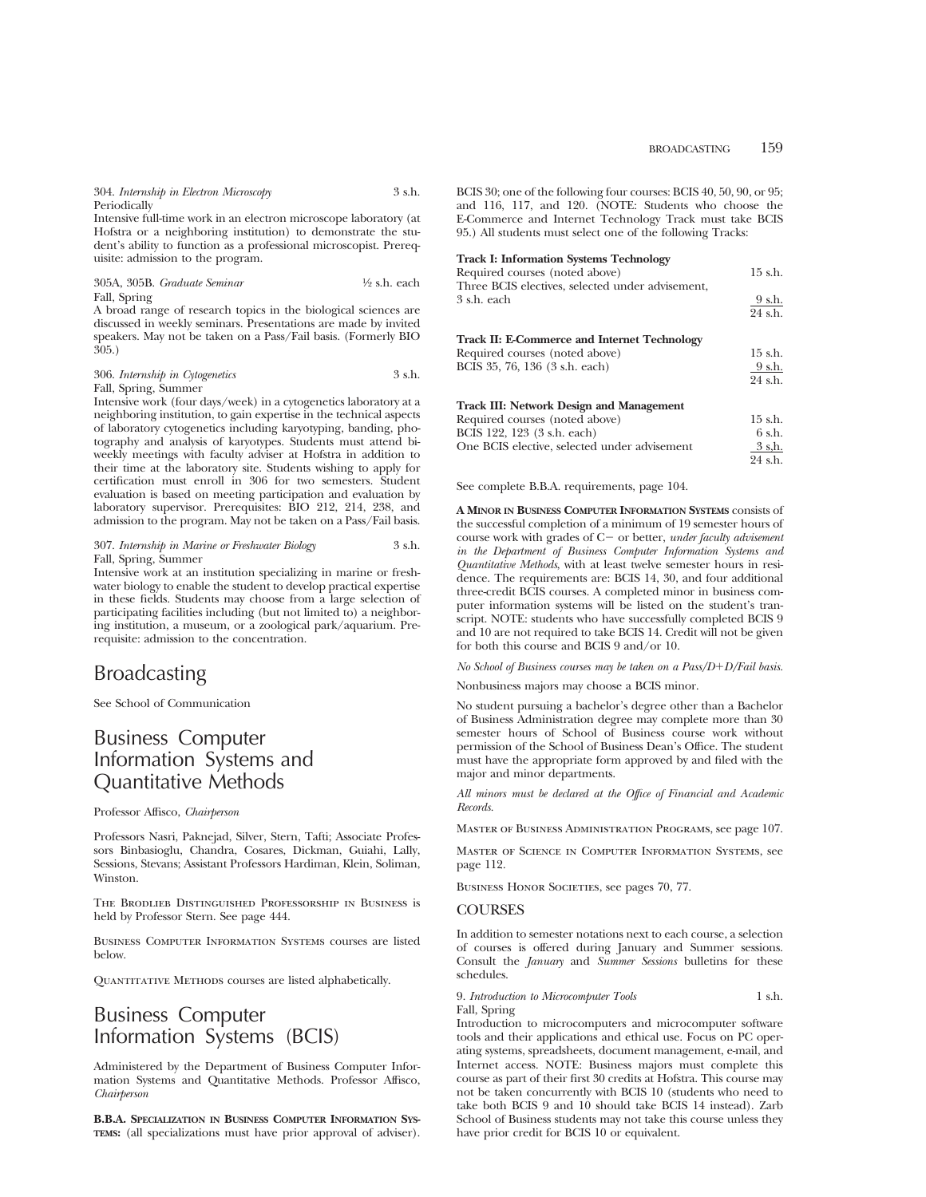304. *Internship in Electron Microscopy* 3 s.h. Periodically

Intensive full-time work in an electron microscope laboratory (at Hofstra or a neighboring institution) to demonstrate the student's ability to function as a professional microscopist. Prerequisite: admission to the program.

305A, 305B. *Graduate Seminar* 1⁄2 s.h. each Fall, Spring

A broad range of research topics in the biological sciences are discussed in weekly seminars. Presentations are made by invited speakers. May not be taken on a Pass/Fail basis. (Formerly BIO 305.)

306. *Internship in Cytogenetics* 3 s.h. Fall, Spring, Summer

Intensive work (four days/week) in a cytogenetics laboratory at a neighboring institution, to gain expertise in the technical aspects of laboratory cytogenetics including karyotyping, banding, photography and analysis of karyotypes. Students must attend biweekly meetings with faculty adviser at Hofstra in addition to their time at the laboratory site. Students wishing to apply for certification must enroll in 306 for two semesters. Student evaluation is based on meeting participation and evaluation by laboratory supervisor. Prerequisites: BIO 212, 214, 238, and admission to the program. May not be taken on a Pass/Fail basis.

#### 307. *Internship in Marine or Freshwater Biology* 3 s.h. Fall, Spring, Summer

Intensive work at an institution specializing in marine or freshwater biology to enable the student to develop practical expertise in these fields. Students may choose from a large selection of participating facilities including (but not limited to) a neighboring institution, a museum, or a zoological park/aquarium. Prerequisite: admission to the concentration.

# Broadcasting

See School of Communication

# Business Computer Information Systems and Quantitative Methods

Professor Affisco, *Chairperson*

Professors Nasri, Paknejad, Silver, Stern, Tafti; Associate Professors Binbasioglu, Chandra, Cosares, Dickman, Guiahi, Lally, Sessions, Stevans; Assistant Professors Hardiman, Klein, Soliman, Winston.

The Brodlieb Distinguished Professorship in Business is held by Professor Stern. See page 444.

Business Computer Information Systems courses are listed below.

QUANTITATIVE METHODS courses are listed alphabetically.

# Business Computer Information Systems (BCIS)

Administered by the Department of Business Computer Information Systems and Quantitative Methods. Professor Affisco, *Chairperson*

**B.B.A. SPECIALIZATION IN BUSINESS COMPUTER INFORMATION SYS-TEMS:** (all specializations must have prior approval of adviser).

BCIS 30; one of the following four courses: BCIS 40, 50, 90, or 95; and 116, 117, and 120. (NOTE: Students who choose the E-Commerce and Internet Technology Track must take BCIS 95.) All students must select one of the following Tracks:

#### **Track I: Information Systems Technology**

| Required courses (noted above)                      | $15$ s.h. |
|-----------------------------------------------------|-----------|
| Three BCIS electives, selected under advisement,    |           |
| 3 s.h. each                                         | 9 s.h.    |
|                                                     | 24 s.h.   |
| <b>Track II: E-Commerce and Internet Technology</b> |           |
| Required courses (noted above)                      | $15$ s.h. |
| BCIS 35, 76, 136 (3 s.h. each)                      | 9 s.h.    |
|                                                     | 24 s.h.   |
| <b>Track III: Network Design and Management</b>     |           |
| Required courses (noted above)                      | $15$ s.h. |
| BCIS 122, 123 (3 s.h. each)                         | 6 s.h.    |
| One BCIS elective, selected under advisement        | 3 s.h.    |
|                                                     | 24 s.h.   |
|                                                     |           |

See complete B.B.A. requirements, page 104.

**A MINOR IN BUSINESS COMPUTER INFORMATION SYSTEMS** consists of the successful completion of a minimum of 19 semester hours of course work with grades of C- or better, *under faculty advisement in the Department of Business Computer Information Systems and Quantitative Methods*, with at least twelve semester hours in residence. The requirements are: BCIS 14, 30, and four additional three-credit BCIS courses. A completed minor in business computer information systems will be listed on the student's transcript. NOTE: students who have successfully completed BCIS 9 and 10 are not required to take BCIS 14. Credit will not be given for both this course and BCIS 9 and/or 10.

*No School of Business courses may be taken on a Pass/D+D/Fail basis.* 

Nonbusiness majors may choose a BCIS minor.

No student pursuing a bachelor's degree other than a Bachelor of Business Administration degree may complete more than 30 semester hours of School of Business course work without permission of the School of Business Dean's Office. The student must have the appropriate form approved by and filed with the major and minor departments.

*All minors must be declared at the Office of Financial and Academic Records.*

Master of Business Administration Programs, see page 107.

Master of Science in Computer Information Systems, see page 112.

BUSINESS HONOR SOCIETIES, see pages 70, 77.

# **COURSES**

In addition to semester notations next to each course, a selection of courses is offered during January and Summer sessions. Consult the *January* and *Summer Sessions* bulletins for these schedules.

#### 9. *Introduction to Microcomputer Tools* 1 s.h. Fall, Spring

Introduction to microcomputers and microcomputer software tools and their applications and ethical use. Focus on PC operating systems, spreadsheets, document management, e-mail, and Internet access. NOTE: Business majors must complete this course as part of their first 30 credits at Hofstra. This course may not be taken concurrently with BCIS 10 (students who need to take both BCIS 9 and 10 should take BCIS 14 instead). Zarb School of Business students may not take this course unless they have prior credit for BCIS 10 or equivalent.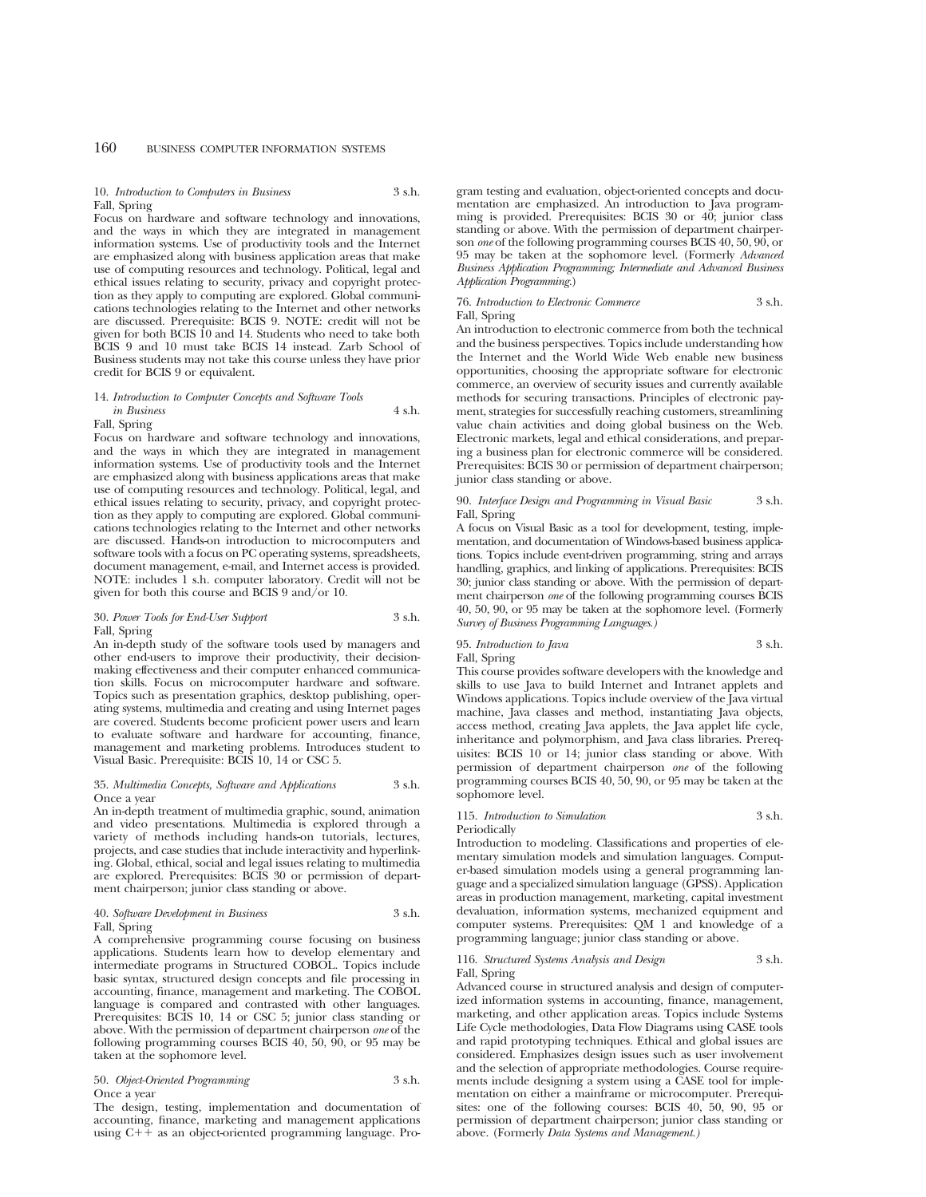# 10. *Introduction to Computers in Business* 3 s.h. Fall, Spring

Focus on hardware and software technology and innovations, and the ways in which they are integrated in management information systems. Use of productivity tools and the Internet are emphasized along with business application areas that make use of computing resources and technology. Political, legal and ethical issues relating to security, privacy and copyright protection as they apply to computing are explored. Global communications technologies relating to the Internet and other networks are discussed. Prerequisite: BCIS 9. NOTE: credit will not be given for both BCIS 10 and 14. Students who need to take both BCIS 9 and 10 must take BCIS 14 instead. Zarb School of Business students may not take this course unless they have prior credit for BCIS 9 or equivalent.

### 14. *Introduction to Computer Concepts and Software Tools in Business* 4 s.h.

#### Fall, Spring

Focus on hardware and software technology and innovations, and the ways in which they are integrated in management information systems. Use of productivity tools and the Internet are emphasized along with business applications areas that make use of computing resources and technology. Political, legal, and ethical issues relating to security, privacy, and copyright protection as they apply to computing are explored. Global communications technologies relating to the Internet and other networks are discussed. Hands-on introduction to microcomputers and software tools with a focus on PC operating systems, spreadsheets, document management, e-mail, and Internet access is provided. NOTE: includes 1 s.h. computer laboratory. Credit will not be given for both this course and BCIS 9 and/or 10.

#### 30. *Power Tools for End-User Support* 3 s.h. Fall, Spring

An in-depth study of the software tools used by managers and other end-users to improve their productivity, their decisionmaking effectiveness and their computer enhanced communication skills. Focus on microcomputer hardware and software. Topics such as presentation graphics, desktop publishing, operating systems, multimedia and creating and using Internet pages are covered. Students become proficient power users and learn to evaluate software and hardware for accounting, finance, management and marketing problems. Introduces student to Visual Basic. Prerequisite: BCIS 10, 14 or CSC 5.

#### 35. *Multimedia Concepts, Software and Applications* 3 s.h. Once a year

An in-depth treatment of multimedia graphic, sound, animation and video presentations. Multimedia is explored through a variety of methods including hands-on tutorials, lectures, projects, and case studies that include interactivity and hyperlinking. Global, ethical, social and legal issues relating to multimedia are explored. Prerequisites: BCIS 30 or permission of department chairperson; junior class standing or above.

## 40. *Software Development in Business* 3 s.h. Fall, Spring

A comprehensive programming course focusing on business applications. Students learn how to develop elementary and intermediate programs in Structured COBOL. Topics include basic syntax, structured design concepts and file processing in accounting, finance, management and marketing. The COBOL language is compared and contrasted with other languages. Prerequisites: BCIS 10, 14 or CSC 5; junior class standing or above. With the permission of department chairperson *one* of the following programming courses BCIS 40, 50, 90, or 95 may be taken at the sophomore level.

## 50. *Object-Oriented Programming* 3 s.h. Once a year

The design, testing, implementation and documentation of accounting, finance, marketing and management applications using  $C++$  as an object-oriented programming language. Program testing and evaluation, object-oriented concepts and documentation are emphasized. An introduction to Java programming is provided. Prerequisites: BCIS 30 or 40; junior class standing or above. With the permission of department chairperson *one* of the following programming courses BCIS 40, 50, 90, or 95 may be taken at the sophomore level. (Formerly *Advanced Business Application Programming; Intermediate and Advanced Business Application Programming.*)

## 76. *Introduction to Electronic Commerce* 3 s.h. Fall, Spring

An introduction to electronic commerce from both the technical and the business perspectives. Topics include understanding how the Internet and the World Wide Web enable new business opportunities, choosing the appropriate software for electronic commerce, an overview of security issues and currently available methods for securing transactions. Principles of electronic payment, strategies for successfully reaching customers, streamlining value chain activities and doing global business on the Web. Electronic markets, legal and ethical considerations, and preparing a business plan for electronic commerce will be considered. Prerequisites: BCIS 30 or permission of department chairperson; junior class standing or above.

#### 90. *Interface Design and Programming in Visual Basic* 3 s.h. Fall, Spring

A focus on Visual Basic as a tool for development, testing, implementation, and documentation of Windows-based business applications. Topics include event-driven programming, string and arrays handling, graphics, and linking of applications. Prerequisites: BCIS 30; junior class standing or above. With the permission of department chairperson *one* of the following programming courses BCIS 40, 50, 90, or 95 may be taken at the sophomore level. (Formerly *Survey of Business Programming Languages.)*

# 95. *Introduction to Java* 3 s.h. Fall, Spring

This course provides software developers with the knowledge and skills to use Java to build Internet and Intranet applets and Windows applications. Topics include overview of the Java virtual machine, Java classes and method, instantiating Java objects, access method, creating Java applets, the Java applet life cycle, inheritance and polymorphism, and Java class libraries. Prerequisites: BCIS 10 or 14; junior class standing or above. With permission of department chairperson *one* of the following programming courses BCIS 40, 50, 90, or 95 may be taken at the sophomore level.

#### 115. *Introduction to Simulation* 3 s.h. Periodically

Introduction to modeling. Classifications and properties of elementary simulation models and simulation languages. Computer-based simulation models using a general programming language and a specialized simulation language (GPSS). Application areas in production management, marketing, capital investment devaluation, information systems, mechanized equipment and computer systems. Prerequisites: QM 1 and knowledge of a programming language; junior class standing or above.

## 116. *Structured Systems Analysis and Design* 3 s.h. Fall, Spring

Advanced course in structured analysis and design of computerized information systems in accounting, finance, management, marketing, and other application areas. Topics include Systems Life Cycle methodologies, Data Flow Diagrams using CASE tools and rapid prototyping techniques. Ethical and global issues are considered. Emphasizes design issues such as user involvement and the selection of appropriate methodologies. Course requirements include designing a system using a CASE tool for implementation on either a mainframe or microcomputer. Prerequisites: one of the following courses: BCIS 40, 50, 90, 95 or permission of department chairperson; junior class standing or above. (Formerly *Data Systems and Management.)*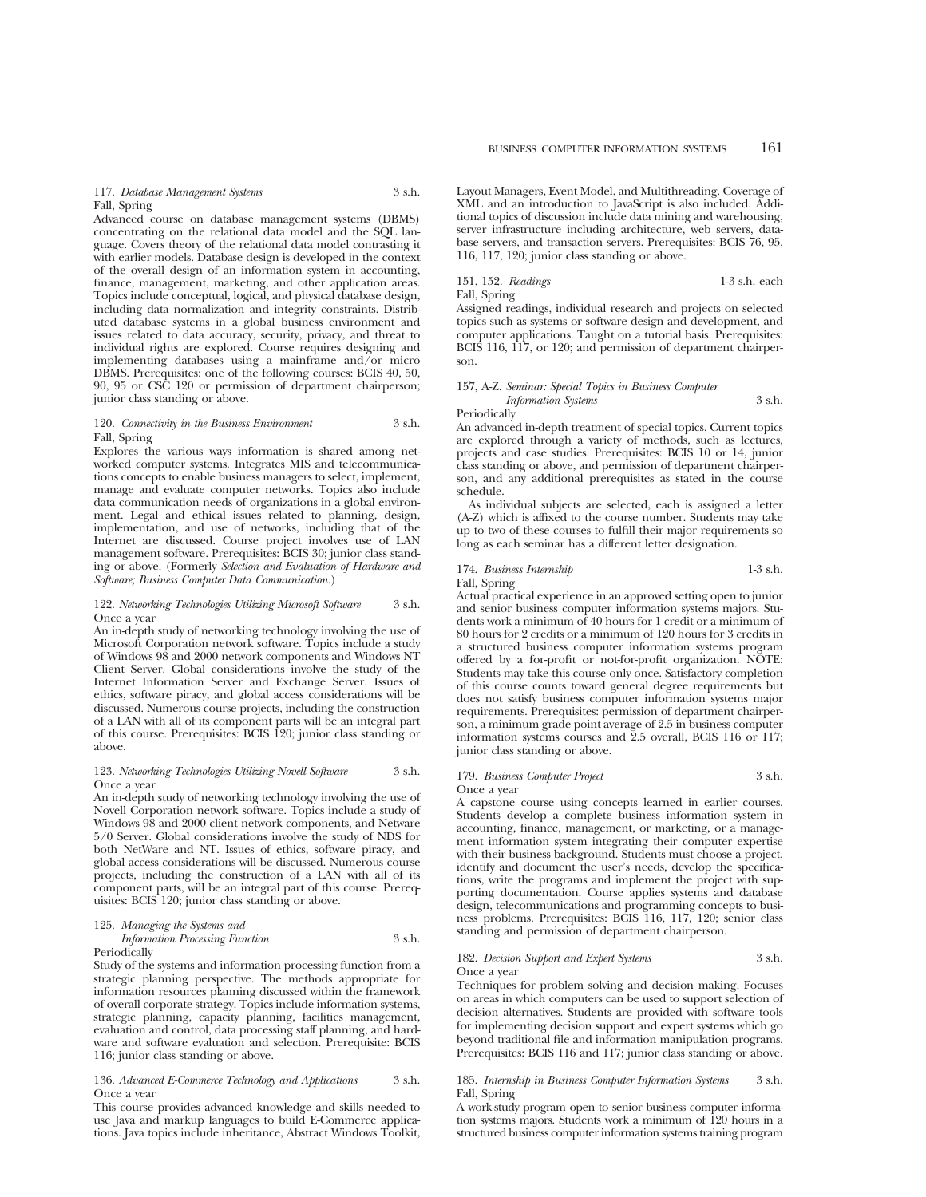117. *Database Management Systems* 3 s.h. Fall, Spring

Advanced course on database management systems (DBMS) concentrating on the relational data model and the SQL language. Covers theory of the relational data model contrasting it with earlier models. Database design is developed in the context of the overall design of an information system in accounting, finance, management, marketing, and other application areas. Topics include conceptual, logical, and physical database design, including data normalization and integrity constraints. Distributed database systems in a global business environment and issues related to data accuracy, security, privacy, and threat to individual rights are explored. Course requires designing and implementing databases using a mainframe and/or micro DBMS. Prerequisites: one of the following courses: BCIS 40, 50, 90, 95 or CSC 120 or permission of department chairperson; junior class standing or above.

#### 120. *Connectivity in the Business Environment* 3 s.h. Fall, Spring

Explores the various ways information is shared among networked computer systems. Integrates MIS and telecommunications concepts to enable business managers to select, implement, manage and evaluate computer networks. Topics also include data communication needs of organizations in a global environment. Legal and ethical issues related to planning, design, implementation, and use of networks, including that of the Internet are discussed. Course project involves use of LAN management software. Prerequisites: BCIS 30; junior class standing or above. (Formerly *Selection and Evaluation of Hardware and Software; Business Computer Data Communication.*)

## 122. *Networking Technologies Utilizing Microsoft Software* 3 s.h. Once a year

An in-depth study of networking technology involving the use of Microsoft Corporation network software. Topics include a study of Windows 98 and 2000 network components and Windows NT Client Server. Global considerations involve the study of the Internet Information Server and Exchange Server. Issues of ethics, software piracy, and global access considerations will be discussed. Numerous course projects, including the construction of a LAN with all of its component parts will be an integral part of this course. Prerequisites: BCIS 120; junior class standing or above.

# 123. *Networking Technologies Utilizing Novell Software* 3 s.h. Once a year

An in-depth study of networking technology involving the use of Novell Corporation network software. Topics include a study of Windows 98 and 2000 client network components, and Netware 5/0 Server. Global considerations involve the study of NDS for both NetWare and NT. Issues of ethics, software piracy, and global access considerations will be discussed. Numerous course projects, including the construction of a LAN with all of its component parts, will be an integral part of this course. Prerequisites: BCIS 120; junior class standing or above.

|  | 125. Managing the Systems and |  |  |  |  |
|--|-------------------------------|--|--|--|--|
|--|-------------------------------|--|--|--|--|

#### *Information Processing Function* 3 s.h. Periodically

Study of the systems and information processing function from a strategic planning perspective. The methods appropriate for information resources planning discussed within the framework of overall corporate strategy. Topics include information systems, strategic planning, capacity planning, facilities management, evaluation and control, data processing staff planning, and hardware and software evaluation and selection. Prerequisite: BCIS 116; junior class standing or above.

# 136. *Advanced E-Commerce Technology and Applications* 3 s.h. Once a year

This course provides advanced knowledge and skills needed to use Java and markup languages to build E-Commerce applications. Java topics include inheritance, Abstract Windows Toolkit, Layout Managers, Event Model, and Multithreading. Coverage of XML and an introduction to JavaScript is also included. Additional topics of discussion include data mining and warehousing, server infrastructure including architecture, web servers, database servers, and transaction servers. Prerequisites: BCIS 76, 95, 116, 117, 120; junior class standing or above.

151, 152. *Readings* 1-3 s.h. each Fall, Spring

Assigned readings, individual research and projects on selected topics such as systems or software design and development, and computer applications. Taught on a tutorial basis. Prerequisites: BCIS 116, 117, or 120; and permission of department chairperson.

# 157, A-Z. *Seminar: Special Topics in Business Computer Information Systems* 3 s.h. Periodically

An advanced in-depth treatment of special topics. Current topics are explored through a variety of methods, such as lectures, projects and case studies. Prerequisites: BCIS 10 or 14, junior class standing or above, and permission of department chairperson, and any additional prerequisites as stated in the course

schedule. As individual subjects are selected, each is assigned a letter (A-Z) which is affixed to the course number. Students may take up to two of these courses to fulfill their major requirements so long as each seminar has a different letter designation.

# 174. *Business Internship* 1-3 s.h. Fall, Spring

Actual practical experience in an approved setting open to junior and senior business computer information systems majors. Students work a minimum of 40 hours for 1 credit or a minimum of 80 hours for 2 credits or a minimum of 120 hours for 3 credits in a structured business computer information systems program offered by a for-profit or not-for-profit organization. NOTE: Students may take this course only once. Satisfactory completion of this course counts toward general degree requirements but does not satisfy business computer information systems major requirements. Prerequisites: permission of department chairperson, a minimum grade point average of 2.5 in business computer information systems courses and 2.5 overall, BCIS 116 or 117; junior class standing or above.

#### 179. *Business Computer Project* 3 s.h. Once a year

A capstone course using concepts learned in earlier courses. Students develop a complete business information system in accounting, finance, management, or marketing, or a management information system integrating their computer expertise with their business background. Students must choose a project, identify and document the user's needs, develop the specifications, write the programs and implement the project with supporting documentation. Course applies systems and database design, telecommunications and programming concepts to business problems. Prerequisites: BCIS 116, 117, 120; senior class standing and permission of department chairperson.

#### 182. *Decision Support and Expert Systems* 3 s.h. Once a year

Techniques for problem solving and decision making. Focuses on areas in which computers can be used to support selection of decision alternatives. Students are provided with software tools for implementing decision support and expert systems which go beyond traditional file and information manipulation programs. Prerequisites: BCIS 116 and 117; junior class standing or above.

## 185. *Internship in Business Computer Information Systems* 3 s.h. Fall, Spring

A work-study program open to senior business computer information systems majors. Students work a minimum of 120 hours in a structured business computer information systems training program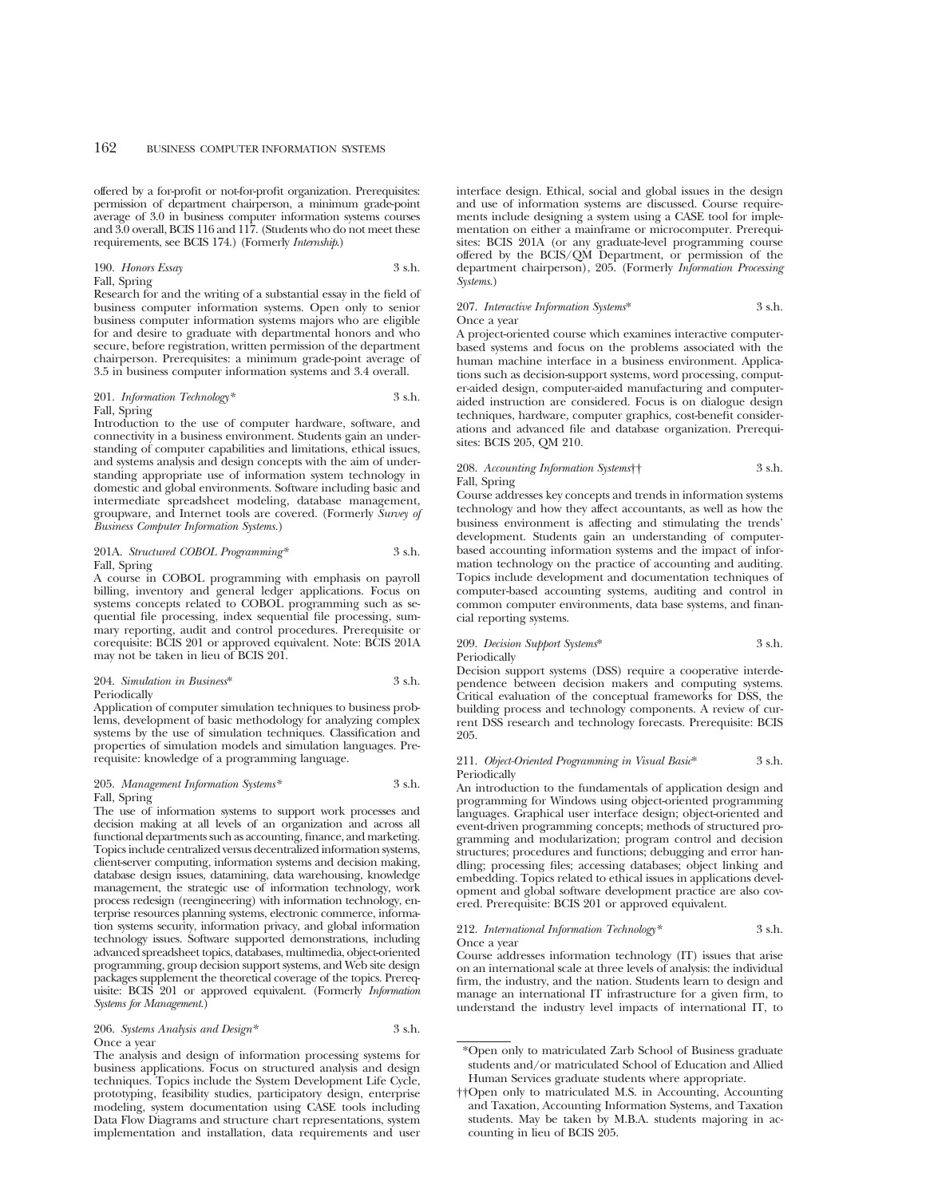offered by a for-profit or not-for-profit organization. Prerequisites: permission of department chairperson, a minimum grade-point average of 3.0 in business computer information systems courses and 3.0 overall, BCIS 116 and 117. (Students who do not meet these requirements, see BCIS 174.) (Formerly *Internship*.)

## 190. *Honors Essay* 3 s.h. Fall, Spring

Research for and the writing of a substantial essay in the field of business computer information systems. Open only to senior business computer information systems majors who are eligible for and desire to graduate with departmental honors and who secure, before registration, written permission of the department chairperson. Prerequisites: a minimum grade-point average of 3.5 in business computer information systems and 3.4 overall.

#### 201. *Information Technology*\* 3 s.h. Fall, Spring

Introduction to the use of computer hardware, software, and connectivity in a business environment. Students gain an understanding of computer capabilities and limitations, ethical issues, and systems analysis and design concepts with the aim of understanding appropriate use of information system technology in domestic and global environments. Software including basic and intermediate spreadsheet modeling, database management, groupware, and Internet tools are covered. (Formerly *Survey of Business Computer Information Systems.*)

## 201A. *Structured COBOL Programming\** 3 s.h. Fall, Spring

A course in COBOL programming with emphasis on payroll billing, inventory and general ledger applications. Focus on systems concepts related to COBOL programming such as sequential file processing, index sequential file processing, summary reporting, audit and control procedures. Prerequisite or corequisite: BCIS 201 or approved equivalent. Note: BCIS 201A may not be taken in lieu of BCIS 201.

#### 204. *Simulation in Business*\* 3 s.h. Periodically

Application of computer simulation techniques to business problems, development of basic methodology for analyzing complex systems by the use of simulation techniques. Classification and properties of simulation models and simulation languages. Prerequisite: knowledge of a programming language.

#### 205. *Management Information Systems\** 3 s.h. Fall, Spring

The use of information systems to support work processes and decision making at all levels of an organization and across all functional departments such as accounting, finance, and marketing. Topics include centralized versus decentralized information systems, client-server computing, information systems and decision making, database design issues, datamining, data warehousing, knowledge management, the strategic use of information technology, work process redesign (reengineering) with information technology, enterprise resources planning systems, electronic commerce, information systems security, information privacy, and global information technology issues. Software supported demonstrations, including advanced spreadsheet topics, databases, multimedia, object-oriented programming, group decision support systems, and Web site design packages supplement the theoretical coverage of the topics. Prerequisite: BCIS 201 or approved equivalent. (Formerly *Information Systems for Management.*)

206. *Systems Analysis and Design\** 3 s.h. Once a year

The analysis and design of information processing systems for business applications. Focus on structured analysis and design techniques. Topics include the System Development Life Cycle, prototyping, feasibility studies, participatory design, enterprise modeling, system documentation using CASE tools including Data Flow Diagrams and structure chart representations, system implementation and installation, data requirements and user interface design. Ethical, social and global issues in the design and use of information systems are discussed. Course requirements include designing a system using a CASE tool for implementation on either a mainframe or microcomputer. Prerequisites: BCIS 201A (or any graduate-level programming course offered by the BCIS/QM Department, or permission of the department chairperson), 205. (Formerly *Information Processing Systems*.)

#### 207. *Interactive Information Systems*\* 3 s.h. Once a year

A project-oriented course which examines interactive computerbased systems and focus on the problems associated with the human machine interface in a business environment. Applications such as decision-support systems, word processing, computer-aided design, computer-aided manufacturing and computeraided instruction are considered. Focus is on dialogue design techniques, hardware, computer graphics, cost-benefit considerations and advanced file and database organization. Prerequisites: BCIS 205, QM 210.

## 208. *Accounting Information Systems*†† 3 s.h. Fall, Spring

Course addresses key concepts and trends in information systems technology and how they affect accountants, as well as how the business environment is affecting and stimulating the trends' development. Students gain an understanding of computerbased accounting information systems and the impact of information technology on the practice of accounting and auditing. Topics include development and documentation techniques of computer-based accounting systems, auditing and control in common computer environments, data base systems, and financial reporting systems.

# 209. *Decision Support Systems*\* 3 s.h. Periodically

Decision support systems (DSS) require a cooperative interdependence between decision makers and computing systems. Critical evaluation of the conceptual frameworks for DSS, the building process and technology components. A review of current DSS research and technology forecasts. Prerequisite: BCIS 205.

#### 211. *Object-Oriented Programming in Visual Basic*\* 3 s.h. Periodically

An introduction to the fundamentals of application design and programming for Windows using object-oriented programming languages. Graphical user interface design; object-oriented and event-driven programming concepts; methods of structured programming and modularization; program control and decision structures; procedures and functions; debugging and error handling; processing files; accessing databases; object linking and embedding. Topics related to ethical issues in applications development and global software development practice are also covered. Prerequisite: BCIS 201 or approved equivalent.

# 212. *International Information Technology\** 3 s.h. Once a year

Course addresses information technology (IT) issues that arise on an international scale at three levels of analysis: the individual firm, the industry, and the nation. Students learn to design and manage an international IT infrastructure for a given firm, to understand the industry level impacts of international IT, to

<sup>\*</sup>Open only to matriculated Zarb School of Business graduate students and/or matriculated School of Education and Allied Human Services graduate students where appropriate.

<sup>††</sup>Open only to matriculated M.S. in Accounting, Accounting and Taxation, Accounting Information Systems, and Taxation students. May be taken by M.B.A. students majoring in accounting in lieu of BCIS 205.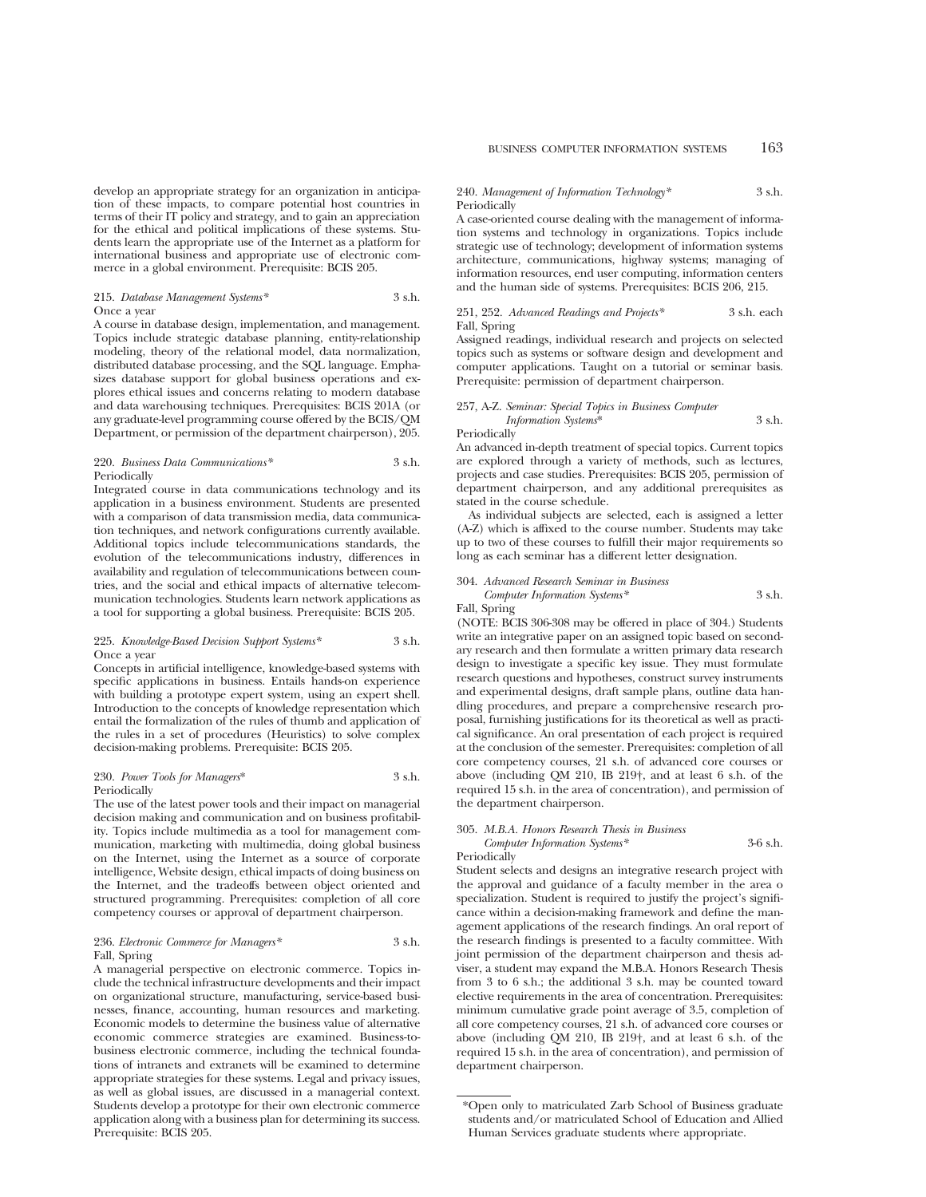## 215. *Database Management Systems\** 3 s.h. Once a year

A course in database design, implementation, and management. Topics include strategic database planning, entity-relationship modeling, theory of the relational model, data normalization, distributed database processing, and the SQL language. Emphasizes database support for global business operations and explores ethical issues and concerns relating to modern database and data warehousing techniques. Prerequisites: BCIS 201A (or any graduate-level programming course offered by the BCIS/QM Department, or permission of the department chairperson), 205.

# 220. *Business Data Communications\** 3 s.h. Periodically

Integrated course in data communications technology and its application in a business environment. Students are presented with a comparison of data transmission media, data communication techniques, and network configurations currently available. Additional topics include telecommunications standards, the evolution of the telecommunications industry, differences in availability and regulation of telecommunications between countries, and the social and ethical impacts of alternative telecommunication technologies. Students learn network applications as a tool for supporting a global business. Prerequisite: BCIS 205.

## 225. *Knowledge-Based Decision Support Systems\** 3 s.h. Once a year

Concepts in artificial intelligence, knowledge-based systems with specific applications in business. Entails hands-on experience with building a prototype expert system, using an expert shell. Introduction to the concepts of knowledge representation which entail the formalization of the rules of thumb and application of the rules in a set of procedures (Heuristics) to solve complex decision-making problems. Prerequisite: BCIS 205.

## 230. *Power Tools for Managers*\* 3 s.h. Periodically

The use of the latest power tools and their impact on managerial decision making and communication and on business profitability. Topics include multimedia as a tool for management communication, marketing with multimedia, doing global business on the Internet, using the Internet as a source of corporate intelligence, Website design, ethical impacts of doing business on the Internet, and the tradeoffs between object oriented and structured programming. Prerequisites: completion of all core competency courses or approval of department chairperson.

## 236. *Electronic Commerce for Managers\** 3 s.h. Fall, Spring

A managerial perspective on electronic commerce. Topics include the technical infrastructure developments and their impact on organizational structure, manufacturing, service-based businesses, finance, accounting, human resources and marketing. Economic models to determine the business value of alternative economic commerce strategies are examined. Business-tobusiness electronic commerce, including the technical foundations of intranets and extranets will be examined to determine appropriate strategies for these systems. Legal and privacy issues, as well as global issues, are discussed in a managerial context. Students develop a prototype for their own electronic commerce application along with a business plan for determining its success. Prerequisite: BCIS 205.

#### 240. *Management of Information Technology\** 3 s.h. Periodically

A case-oriented course dealing with the management of information systems and technology in organizations. Topics include strategic use of technology; development of information systems architecture, communications, highway systems; managing of information resources, end user computing, information centers and the human side of systems. Prerequisites: BCIS 206, 215.

# 251, 252. *Advanced Readings and Projects\** 3 s.h. each Fall, Spring

Assigned readings, individual research and projects on selected topics such as systems or software design and development and computer applications. Taught on a tutorial or seminar basis. Prerequisite: permission of department chairperson.

# 257, A-Z. *Seminar: Special Topics in Business Computer Information Systems*\* 3 s.h.

Periodically

An advanced in-depth treatment of special topics. Current topics are explored through a variety of methods, such as lectures, projects and case studies. Prerequisites: BCIS 205, permission of department chairperson, and any additional prerequisites as stated in the course schedule.

As individual subjects are selected, each is assigned a letter (A-Z) which is affixed to the course number. Students may take up to two of these courses to fulfill their major requirements so long as each seminar has a different letter designation.

# 304. *Advanced Research Seminar in Business*

*Computer Information Systems\** 3 s.h. Fall, Spring

(NOTE: BCIS 306-308 may be offered in place of 304.) Students write an integrative paper on an assigned topic based on secondary research and then formulate a written primary data research design to investigate a specific key issue. They must formulate research questions and hypotheses, construct survey instruments and experimental designs, draft sample plans, outline data handling procedures, and prepare a comprehensive research proposal, furnishing justifications for its theoretical as well as practical significance. An oral presentation of each project is required at the conclusion of the semester. Prerequisites: completion of all core competency courses, 21 s.h. of advanced core courses or above (including QM 210, IB 219†, and at least 6 s.h. of the required 15 s.h. in the area of concentration), and permission of the department chairperson.

### 305. *M.B.A. Honors Research Thesis in Business Computer Information Systems\** 3-6 s.h. Periodically

Student selects and designs an integrative research project with the approval and guidance of a faculty member in the area o specialization. Student is required to justify the project's significance within a decision-making framework and define the management applications of the research findings. An oral report of the research findings is presented to a faculty committee. With joint permission of the department chairperson and thesis adviser, a student may expand the M.B.A. Honors Research Thesis from 3 to 6 s.h.; the additional 3 s.h. may be counted toward elective requirements in the area of concentration. Prerequisites: minimum cumulative grade point average of 3.5, completion of all core competency courses, 21 s.h. of advanced core courses or above (including QM 210, IB 219†, and at least 6 s.h. of the required 15 s.h. in the area of concentration), and permission of department chairperson.

<sup>\*</sup>Open only to matriculated Zarb School of Business graduate students and/or matriculated School of Education and Allied Human Services graduate students where appropriate.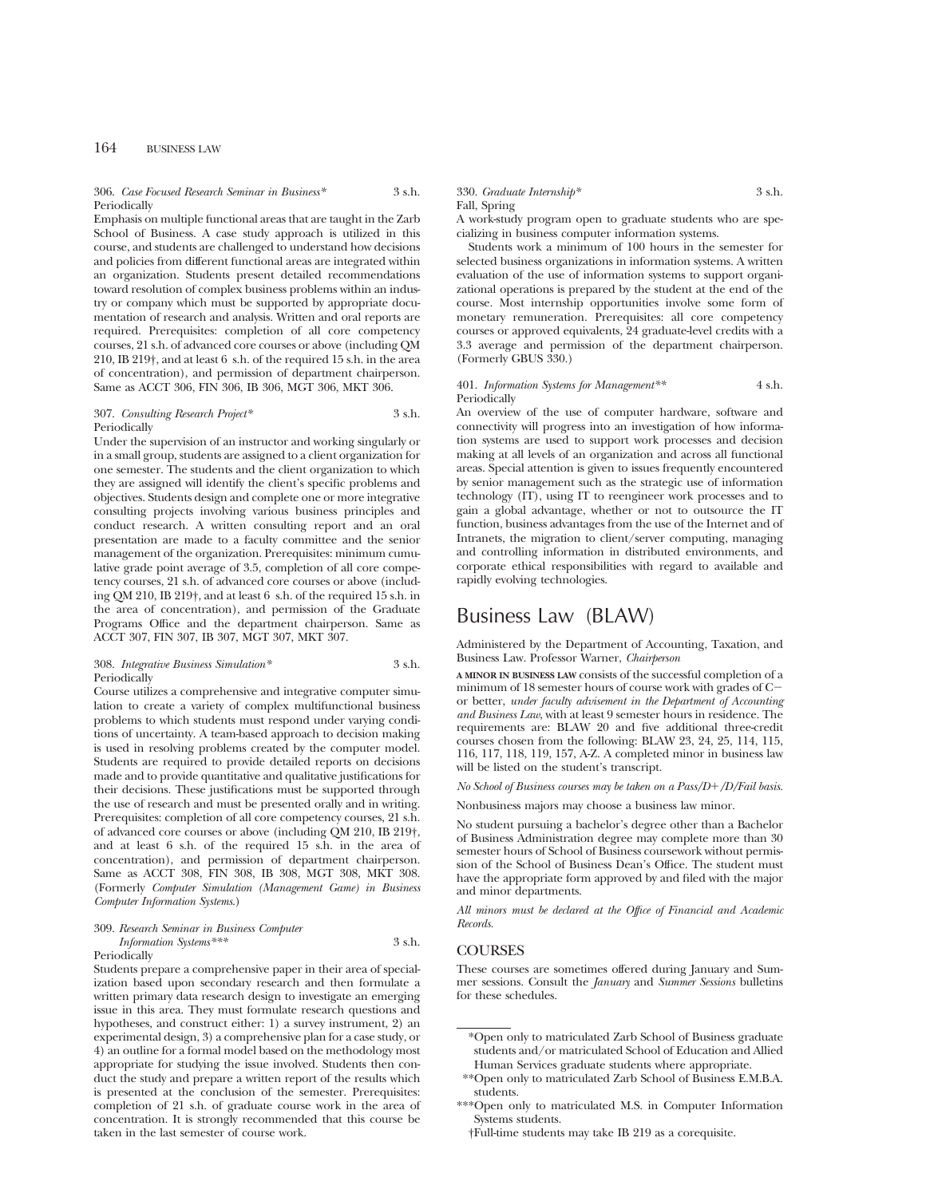# 306. *Case Focused Research Seminar in Business\** 3 s.h. Periodically

Emphasis on multiple functional areas that are taught in the Zarb School of Business. A case study approach is utilized in this course, and students are challenged to understand how decisions and policies from different functional areas are integrated within an organization. Students present detailed recommendations toward resolution of complex business problems within an industry or company which must be supported by appropriate documentation of research and analysis. Written and oral reports are required. Prerequisites: completion of all core competency courses, 21 s.h. of advanced core courses or above (including QM 210, IB 219†, and at least 6 s.h. of the required 15 s.h. in the area of concentration), and permission of department chairperson. Same as ACCT 306, FIN 306, IB 306, MGT 306, MKT 306.

# 307. *Consulting Research Project\** 3 s.h. **Periodically**

Under the supervision of an instructor and working singularly or in a small group, students are assigned to a client organization for one semester. The students and the client organization to which they are assigned will identify the client's specific problems and objectives. Students design and complete one or more integrative consulting projects involving various business principles and conduct research. A written consulting report and an oral presentation are made to a faculty committee and the senior management of the organization. Prerequisites: minimum cumulative grade point average of 3.5, completion of all core competency courses, 21 s.h. of advanced core courses or above (including QM 210, IB 219†, and at least 6 s.h. of the required 15 s.h. in the area of concentration), and permission of the Graduate Programs Office and the department chairperson. Same as ACCT 307, FIN 307, IB 307, MGT 307, MKT 307.

#### 308. *Integrative Business Simulation\** 3 s.h. **Periodically**

Course utilizes a comprehensive and integrative computer simulation to create a variety of complex multifunctional business problems to which students must respond under varying conditions of uncertainty. A team-based approach to decision making is used in resolving problems created by the computer model. Students are required to provide detailed reports on decisions made and to provide quantitative and qualitative justifications for their decisions. These justifications must be supported through the use of research and must be presented orally and in writing. Prerequisites: completion of all core competency courses, 21 s.h. of advanced core courses or above (including QM 210, IB 219†, and at least 6 s.h. of the required 15 s.h. in the area of concentration), and permission of department chairperson. Same as ACCT 308, FIN 308, IB 308, MGT 308, MKT 308. (Formerly *Computer Simulation (Management Game) in Business Computer Information Systems*.)

#### 309. *Research Seminar in Business Computer*

#### *Information Systems\*\*\** 3 s.h. Periodically

Students prepare a comprehensive paper in their area of specialization based upon secondary research and then formulate a written primary data research design to investigate an emerging issue in this area. They must formulate research questions and hypotheses, and construct either: 1) a survey instrument, 2) an experimental design, 3) a comprehensive plan for a case study, or 4) an outline for a formal model based on the methodology most appropriate for studying the issue involved. Students then conduct the study and prepare a written report of the results which is presented at the conclusion of the semester. Prerequisites: completion of 21 s.h. of graduate course work in the area of concentration. It is strongly recommended that this course be taken in the last semester of course work.

# 330. *Graduate Internship\** 3 s.h.

Fall, Spring

A work-study program open to graduate students who are specializing in business computer information systems.

Students work a minimum of 100 hours in the semester for selected business organizations in information systems. A written evaluation of the use of information systems to support organizational operations is prepared by the student at the end of the course. Most internship opportunities involve some form of monetary remuneration. Prerequisites: all core competency courses or approved equivalents, 24 graduate-level credits with a 3.3 average and permission of the department chairperson. (Formerly GBUS 330.)

#### 401. *Information Systems for Management\*\** 4 s.h. Periodically

An overview of the use of computer hardware, software and connectivity will progress into an investigation of how information systems are used to support work processes and decision making at all levels of an organization and across all functional areas. Special attention is given to issues frequently encountered by senior management such as the strategic use of information technology (IT), using IT to reengineer work processes and to gain a global advantage, whether or not to outsource the IT function, business advantages from the use of the Internet and of Intranets, the migration to client/server computing, managing and controlling information in distributed environments, and corporate ethical responsibilities with regard to available and rapidly evolving technologies.

# Business Law (BLAW)

Administered by the Department of Accounting, Taxation, and Business Law. Professor Warner, *Chairperson*

**A MINOR IN BUSINESS LAW** consists of the successful completion of a minimum of 18 semester hours of course work with grades of  $C$ or better, *under faculty advisement in the Department of Accounting and Business Law*, with at least 9 semester hours in residence. The requirements are: BLAW 20 and five additional three-credit courses chosen from the following: BLAW 23, 24, 25, 114, 115, 116, 117, 118, 119, 157, A-Z. A completed minor in business law will be listed on the student's transcript.

*No School of Business courses may be taken on a Pass/D*1*/D/Fail basis.*

Nonbusiness majors may choose a business law minor.

No student pursuing a bachelor's degree other than a Bachelor of Business Administration degree may complete more than 30 semester hours of School of Business coursework without permission of the School of Business Dean's Office. The student must have the appropriate form approved by and filed with the major and minor departments.

*All minors must be declared at the Office of Financial and Academic Records.*

# **COURSES**

These courses are sometimes offered during January and Summer sessions. Consult the *January* and *Summer Sessions* bulletins for these schedules.

\*Open only to matriculated Zarb School of Business graduate students and/or matriculated School of Education and Allied Human Services graduate students where appropriate.

\*\*Open only to matriculated Zarb School of Business E.M.B.A. students.

†Full-time students may take IB 219 as a corequisite.

<sup>\*\*\*</sup>Open only to matriculated M.S. in Computer Information Systems students.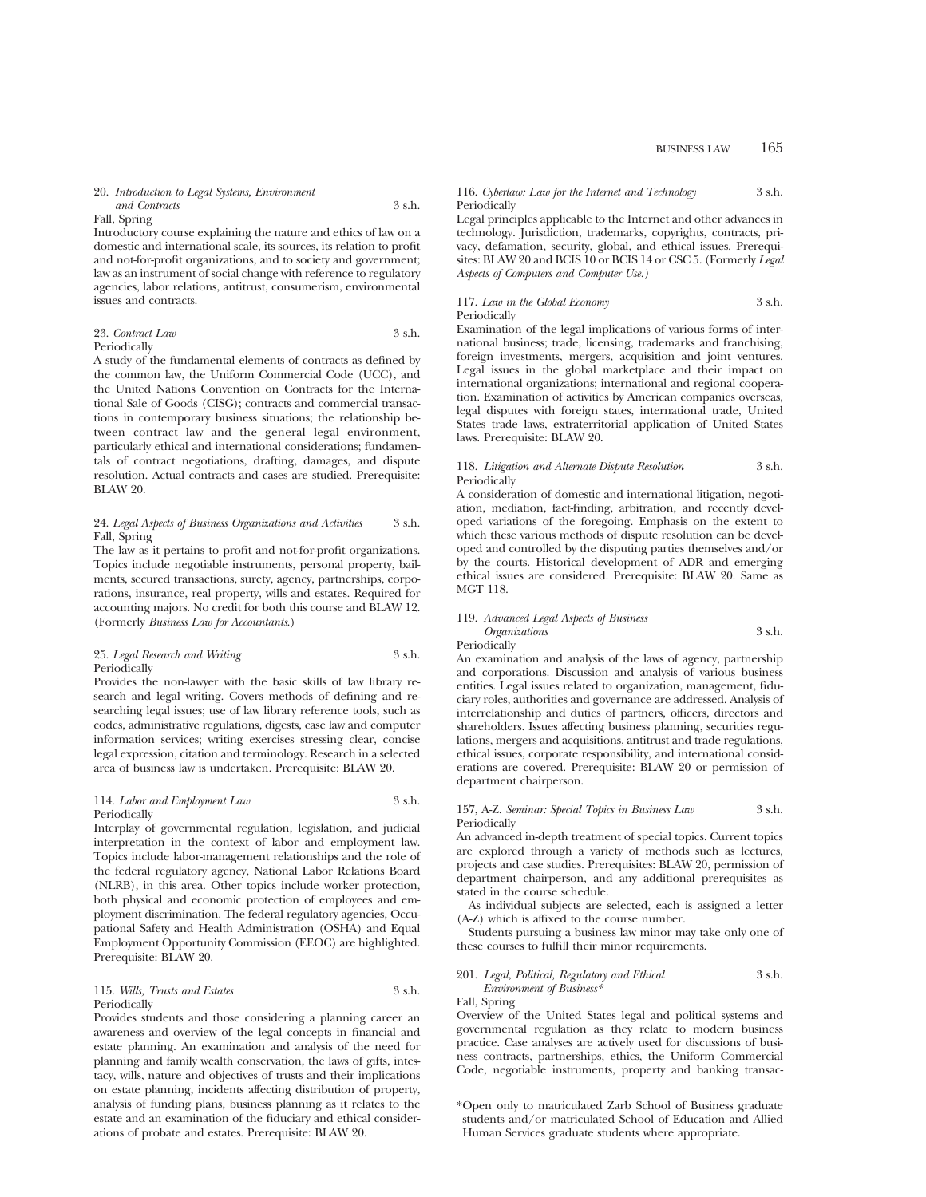#### 20. *Introduction to Legal Systems, Environment and Contracts* 3 s.h.

#### Fall, Spring

Introductory course explaining the nature and ethics of law on a domestic and international scale, its sources, its relation to profit and not-for-profit organizations, and to society and government; law as an instrument of social change with reference to regulatory agencies, labor relations, antitrust, consumerism, environmental issues and contracts.

## 23. *Contract Law* 3 s.h. Periodically

A study of the fundamental elements of contracts as defined by the common law, the Uniform Commercial Code (UCC), and the United Nations Convention on Contracts for the International Sale of Goods (CISG); contracts and commercial transactions in contemporary business situations; the relationship between contract law and the general legal environment, particularly ethical and international considerations; fundamentals of contract negotiations, drafting, damages, and dispute resolution. Actual contracts and cases are studied. Prerequisite: BLAW 20.

### 24. *Legal Aspects of Business Organizations and Activities* 3 s.h. Fall, Spring

The law as it pertains to profit and not-for-profit organizations. Topics include negotiable instruments, personal property, bailments, secured transactions, surety, agency, partnerships, corporations, insurance, real property, wills and estates. Required for accounting majors. No credit for both this course and BLAW 12. (Formerly *Business Law for Accountants*.)

# 25. *Legal Research and Writing* 3 s.h. **Periodically**

Provides the non-lawyer with the basic skills of law library research and legal writing. Covers methods of defining and researching legal issues; use of law library reference tools, such as codes, administrative regulations, digests, case law and computer information services; writing exercises stressing clear, concise legal expression, citation and terminology. Research in a selected area of business law is undertaken. Prerequisite: BLAW 20.

#### 114. *Labor and Employment Law* 3 s.h. Periodically

Interplay of governmental regulation, legislation, and judicial interpretation in the context of labor and employment law. Topics include labor-management relationships and the role of the federal regulatory agency, National Labor Relations Board (NLRB), in this area. Other topics include worker protection, both physical and economic protection of employees and employment discrimination. The federal regulatory agencies, Occupational Safety and Health Administration (OSHA) and Equal Employment Opportunity Commission (EEOC) are highlighted. Prerequisite: BLAW 20.

# 115. *Wills, Trusts and Estates* 3 s.h. Periodically

Provides students and those considering a planning career an awareness and overview of the legal concepts in financial and estate planning. An examination and analysis of the need for planning and family wealth conservation, the laws of gifts, intestacy, wills, nature and objectives of trusts and their implications on estate planning, incidents affecting distribution of property, analysis of funding plans, business planning as it relates to the estate and an examination of the fiduciary and ethical considerations of probate and estates. Prerequisite: BLAW 20.

BUSINESS LAW 165

# 116. *Cyberlaw: Law for the Internet and Technology* 3 s.h. **Periodically**

Legal principles applicable to the Internet and other advances in technology. Jurisdiction, trademarks, copyrights, contracts, privacy, defamation, security, global, and ethical issues. Prerequisites: BLAW 20 and BCIS 10 or BCIS 14 or CSC 5. (Formerly *Legal Aspects of Computers and Computer Use.)*

# 117. *Law in the Global Economy* 3 s.h. Periodically

Examination of the legal implications of various forms of international business; trade, licensing, trademarks and franchising, foreign investments, mergers, acquisition and joint ventures. Legal issues in the global marketplace and their impact on international organizations; international and regional cooperation. Examination of activities by American companies overseas, legal disputes with foreign states, international trade, United States trade laws, extraterritorial application of United States laws. Prerequisite: BLAW 20.

# 118. *Litigation and Alternate Dispute Resolution* 3 s.h. Periodically

A consideration of domestic and international litigation, negotiation, mediation, fact-finding, arbitration, and recently developed variations of the foregoing. Emphasis on the extent to which these various methods of dispute resolution can be developed and controlled by the disputing parties themselves and/or by the courts. Historical development of ADR and emerging ethical issues are considered. Prerequisite: BLAW 20. Same as MGT 118.

# 119. *Advanced Legal Aspects of Business Organizations* 3 s.h. Periodically

An examination and analysis of the laws of agency, partnership and corporations. Discussion and analysis of various business entities. Legal issues related to organization, management, fiduciary roles, authorities and governance are addressed. Analysis of interrelationship and duties of partners, officers, directors and shareholders. Issues affecting business planning, securities regulations, mergers and acquisitions, antitrust and trade regulations, ethical issues, corporate responsibility, and international considerations are covered. Prerequisite: BLAW 20 or permission of department chairperson.

# 157, A-Z. *Seminar: Special Topics in Business Law* 3 s.h. Periodically

An advanced in-depth treatment of special topics. Current topics are explored through a variety of methods such as lectures, projects and case studies. Prerequisites: BLAW 20, permission of department chairperson, and any additional prerequisites as stated in the course schedule.

As individual subjects are selected, each is assigned a letter (A-Z) which is affixed to the course number.

Students pursuing a business law minor may take only one of these courses to fulfill their minor requirements.

## 201. *Legal, Political, Regulatory and Ethical* 3 s.h. *Environment of Business\**

Fall, Spring

Overview of the United States legal and political systems and governmental regulation as they relate to modern business practice. Case analyses are actively used for discussions of business contracts, partnerships, ethics, the Uniform Commercial Code, negotiable instruments, property and banking transac-

<sup>\*</sup>Open only to matriculated Zarb School of Business graduate students and/or matriculated School of Education and Allied Human Services graduate students where appropriate.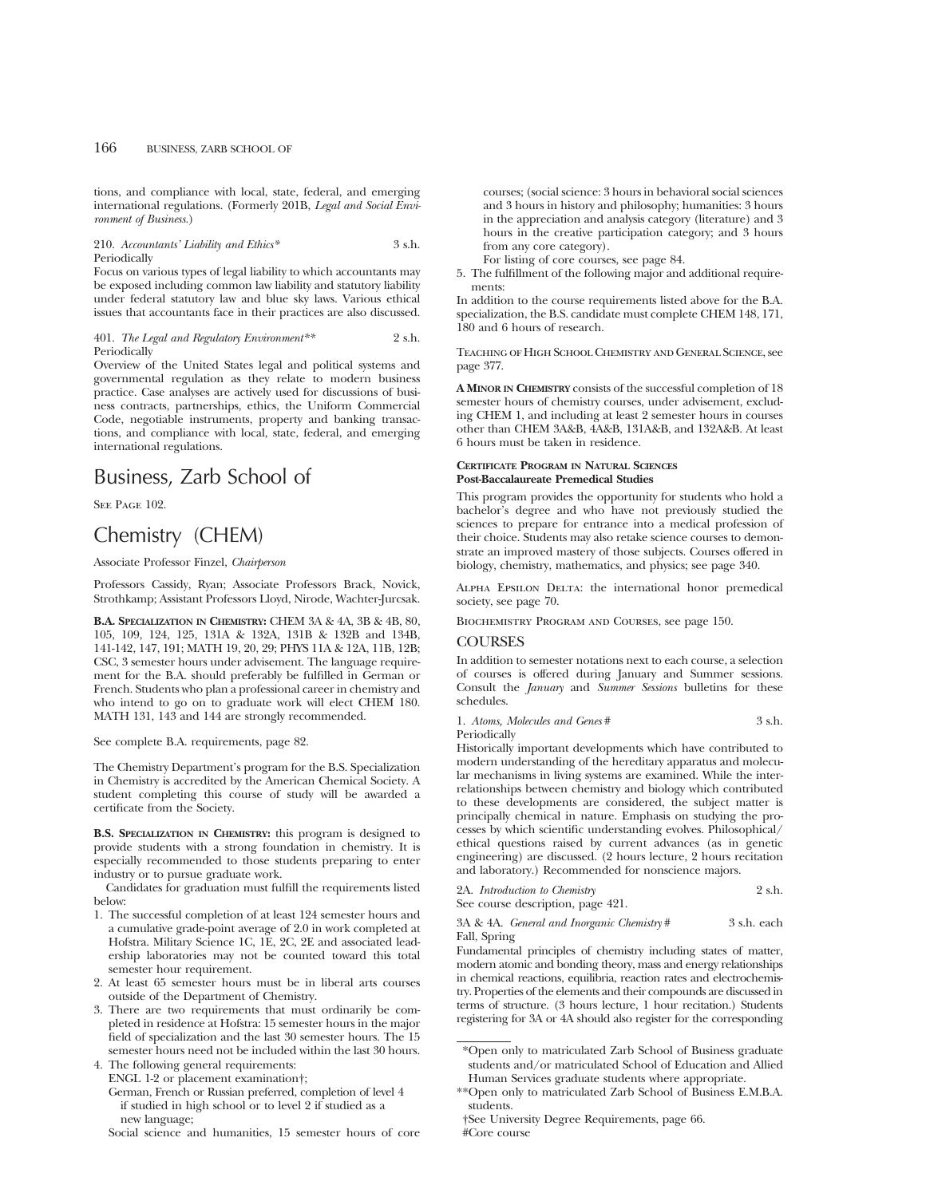tions, and compliance with local, state, federal, and emerging international regulations. (Formerly 201B, *Legal and Social Environment of Business.*)

### 210. *Accountants' Liability and Ethics\** 3 s.h. Periodically

Focus on various types of legal liability to which accountants may be exposed including common law liability and statutory liability under federal statutory law and blue sky laws. Various ethical issues that accountants face in their practices are also discussed.

## 401. *The Legal and Regulatory Environment\*\** 2 s.h. Periodically

Overview of the United States legal and political systems and governmental regulation as they relate to modern business practice. Case analyses are actively used for discussions of business contracts, partnerships, ethics, the Uniform Commercial Code, negotiable instruments, property and banking transactions, and compliance with local, state, federal, and emerging international regulations.

# Business, Zarb School of

SEE PAGE 102.

# Chemistry (CHEM)

Associate Professor Finzel, *Chairperson*

Professors Cassidy, Ryan; Associate Professors Brack, Novick, Strothkamp; Assistant Professors Lloyd, Nirode, Wachter-Jurcsak.

**B.A. SPECIALIZATION IN CHEMISTRY:** CHEM 3A & 4A, 3B & 4B, 80, 105, 109, 124, 125, 131A & 132A, 131B & 132B and 134B, 141-142, 147, 191; MATH 19, 20, 29; PHYS 11A & 12A, 11B, 12B; CSC, 3 semester hours under advisement. The language requirement for the B.A. should preferably be fulfilled in German or French. Students who plan a professional career in chemistry and who intend to go on to graduate work will elect CHEM 180. MATH 131, 143 and 144 are strongly recommended.

See complete B.A. requirements, page 82.

The Chemistry Department's program for the B.S. Specialization in Chemistry is accredited by the American Chemical Society. A student completing this course of study will be awarded a certificate from the Society.

**B.S. SPECIALIZATION IN CHEMISTRY:** this program is designed to provide students with a strong foundation in chemistry. It is especially recommended to those students preparing to enter industry or to pursue graduate work.

Candidates for graduation must fulfill the requirements listed below:

- 1. The successful completion of at least 124 semester hours and a cumulative grade-point average of 2.0 in work completed at Hofstra. Military Science 1C, 1E, 2C, 2E and associated leadership laboratories may not be counted toward this total semester hour requirement.
- 2. At least 65 semester hours must be in liberal arts courses outside of the Department of Chemistry.
- 3. There are two requirements that must ordinarily be completed in residence at Hofstra: 15 semester hours in the major field of specialization and the last 30 semester hours. The 15 semester hours need not be included within the last 30 hours.

4. The following general requirements: ENGL 1-2 or placement examination†; German, French or Russian preferred, completion of level 4 if studied in high school or to level 2 if studied as a new language;

Social science and humanities, 15 semester hours of core

courses; (social science: 3 hours in behavioral social sciences and 3 hours in history and philosophy; humanities: 3 hours in the appreciation and analysis category (literature) and 3 hours in the creative participation category; and 3 hours from any core category).

For listing of core courses, see page 84.

5. The fulfillment of the following major and additional requirements:

In addition to the course requirements listed above for the B.A. specialization, the B.S. candidate must complete CHEM 148, 171, 180 and 6 hours of research.

Teaching of High School Chemistry and General Science, see page 377.

**A MINOR IN CHEMISTRY** consists of the successful completion of 18 semester hours of chemistry courses, under advisement, excluding CHEM 1, and including at least 2 semester hours in courses other than CHEM 3A&B, 4A&B, 131A&B, and 132A&B. At least 6 hours must be taken in residence.

## **CERTIFICATE PROGRAM IN NATURAL SCIENCES Post-Baccalaureate Premedical Studies**

This program provides the opportunity for students who hold a bachelor's degree and who have not previously studied the sciences to prepare for entrance into a medical profession of their choice. Students may also retake science courses to demonstrate an improved mastery of those subjects. Courses offered in biology, chemistry, mathematics, and physics; see page 340.

Alpha Epsilon Delta: the international honor premedical society, see page 70.

Biochemistry Program and Courses, see page 150.

# COURSES

In addition to semester notations next to each course, a selection of courses is offered during January and Summer sessions. Consult the *January* and *Summer Sessions* bulletins for these schedules.

1. *Atoms, Molecules and Genes* # 3 s.h.

Periodically

Historically important developments which have contributed to modern understanding of the hereditary apparatus and molecular mechanisms in living systems are examined. While the interrelationships between chemistry and biology which contributed to these developments are considered, the subject matter is principally chemical in nature. Emphasis on studying the processes by which scientific understanding evolves. Philosophical/ ethical questions raised by current advances (as in genetic engineering) are discussed. (2 hours lecture, 2 hours recitation and laboratory.) Recommended for nonscience majors.

2A. *Introduction to Chemistry* 2 s.h.

See course description, page 421.

3A & 4A. *General and Inorganic Chemistry* # 3 s.h. each

Fall, Spring Fundamental principles of chemistry including states of matter, modern atomic and bonding theory, mass and energy relationships in chemical reactions, equilibria, reaction rates and electrochemistry. Properties of the elements and their compounds are discussed in

terms of structure. (3 hours lecture, 1 hour recitation.) Students registering for 3A or 4A should also register for the corresponding

<sup>\*</sup>Open only to matriculated Zarb School of Business graduate students and/or matriculated School of Education and Allied Human Services graduate students where appropriate.

<sup>\*\*</sup>Open only to matriculated Zarb School of Business E.M.B.A. students.

<sup>†</sup>See University Degree Requirements, page 66. #Core course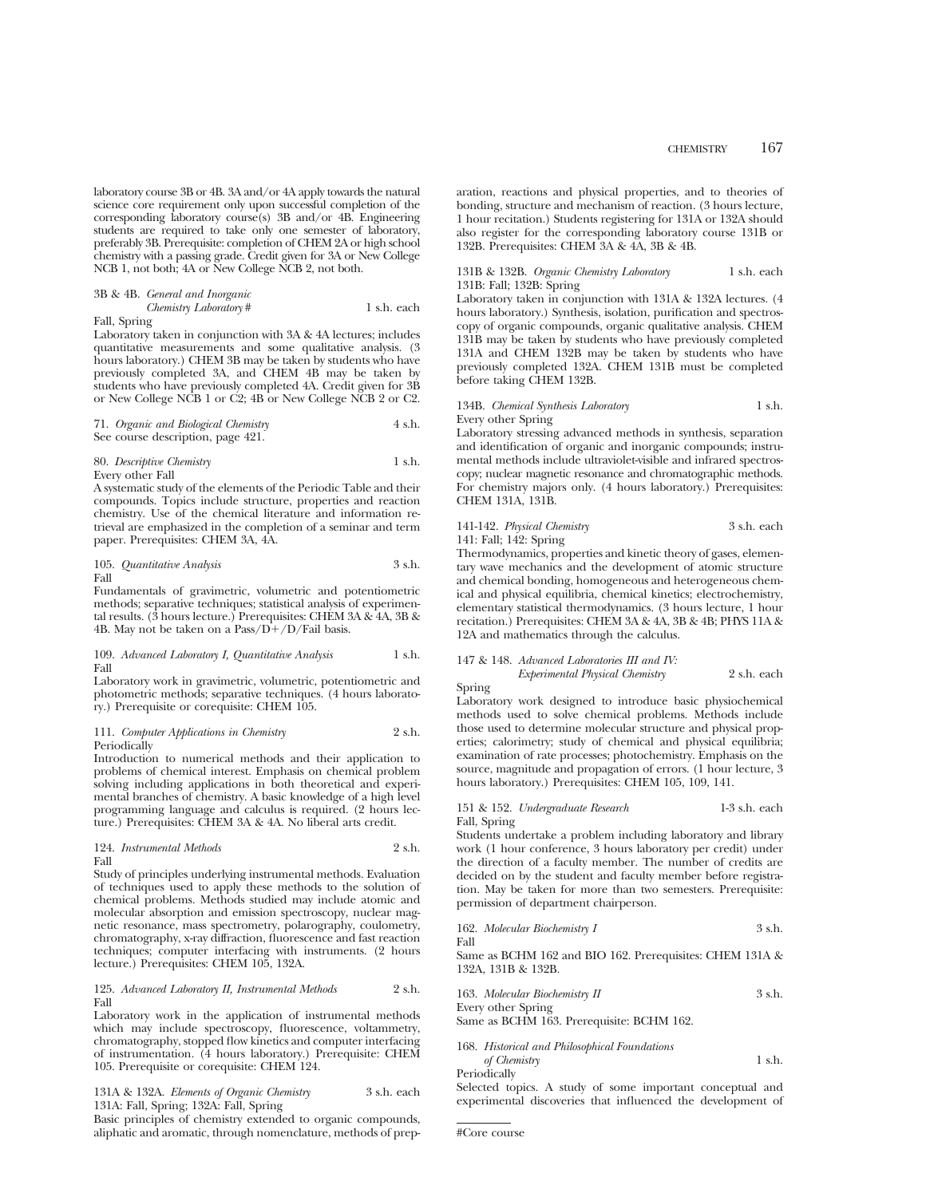laboratory course 3B or 4B. 3A and/or 4A apply towards the natural science core requirement only upon successful completion of the corresponding laboratory course(s) 3B and/or 4B. Engineering students are required to take only one semester of laboratory, preferably 3B. Prerequisite: completion of CHEM 2A or high school chemistry with a passing grade. Credit given for 3A or New College NCB 1, not both; 4A or New College NCB 2, not both.

3B & 4B. *General and Inorganic Chemistry Laboratory* # 1 s.h. each

Fall, Spring

Laboratory taken in conjunction with 3A & 4A lectures; includes quantitative measurements and some qualitative analysis. (3 hours laboratory.) CHEM 3B may be taken by students who have previously completed 3A, and CHEM 4B may be taken by students who have previously completed 4A. Credit given for 3B or New College NCB 1 or C2; 4B or New College NCB 2 or C2.

71. *Organic and Biological Chemistry* 4 s.h. See course description, page 421.

80. *Descriptive Chemistry* 1 s.h. Every other Fall

A systematic study of the elements of the Periodic Table and their compounds. Topics include structure, properties and reaction chemistry. Use of the chemical literature and information retrieval are emphasized in the completion of a seminar and term paper. Prerequisites: CHEM 3A, 4A.

105. *Quantitative Analysis* 3 s.h. Fall

Fundamentals of gravimetric, volumetric and potentiometric methods; separative techniques; statistical analysis of experimental results. (3 hours lecture.) Prerequisites: CHEM 3A & 4A, 3B & 4B. May not be taken on a Pass/ $D+/D$ /Fail basis.

#### 109. *Advanced Laboratory I, Quantitative Analysis* 1 s.h. Fall

Laboratory work in gravimetric, volumetric, potentiometric and photometric methods; separative techniques. (4 hours laboratory.) Prerequisite or corequisite: CHEM 105.

111. *Computer Applications in Chemistry* 2 s.h. Periodically

Introduction to numerical methods and their application to problems of chemical interest. Emphasis on chemical problem solving including applications in both theoretical and experimental branches of chemistry. A basic knowledge of a high level programming language and calculus is required. (2 hours lecture.) Prerequisites: CHEM 3A & 4A. No liberal arts credit.

124. *Instrumental Methods* 2 s.h. Fall

Study of principles underlying instrumental methods. Evaluation of techniques used to apply these methods to the solution of chemical problems. Methods studied may include atomic and molecular absorption and emission spectroscopy, nuclear magnetic resonance, mass spectrometry, polarography, coulometry, chromatography, x-ray diffraction, fluorescence and fast reaction techniques; computer interfacing with instruments. (2 hours lecture.) Prerequisites: CHEM 105, 132A.

#### 125. *Advanced Laboratory II, Instrumental Methods* 2 s.h. Fall

Laboratory work in the application of instrumental methods which may include spectroscopy, fluorescence, voltammetry, chromatography, stopped flow kinetics and computer interfacing of instrumentation. (4 hours laboratory.) Prerequisite: CHEM 105. Prerequisite or corequisite: CHEM 124.

131A & 132A. *Elements of Organic Chemistry* 3 s.h. each 131A: Fall, Spring; 132A: Fall, Spring

Basic principles of chemistry extended to organic compounds, aliphatic and aromatic, through nomenclature, methods of preparation, reactions and physical properties, and to theories of bonding, structure and mechanism of reaction. (3 hours lecture, 1 hour recitation.) Students registering for 131A or 132A should also register for the corresponding laboratory course 131B or 132B. Prerequisites: CHEM 3A & 4A, 3B & 4B.

# 131B & 132B. Organic Chemistry Laboratory 1 s.h. each 131B: Fall; 132B: Spring

Laboratory taken in conjunction with 131A & 132A lectures. (4 hours laboratory.) Synthesis, isolation, purification and spectroscopy of organic compounds, organic qualitative analysis. CHEM 131B may be taken by students who have previously completed 131A and CHEM 132B may be taken by students who have previously completed 132A. CHEM 131B must be completed before taking CHEM 132B.

# 134B. *Chemical Synthesis Laboratory* 1 s.h. Every other Spring

Laboratory stressing advanced methods in synthesis, separation and identification of organic and inorganic compounds; instrumental methods include ultraviolet-visible and infrared spectroscopy; nuclear magnetic resonance and chromatographic methods. For chemistry majors only. (4 hours laboratory.) Prerequisites: CHEM 131A, 131B.

# 141-142. *Physical Chemistry* 3 s.h. each 141: Fall; 142: Spring

Thermodynamics, properties and kinetic theory of gases, elementary wave mechanics and the development of atomic structure and chemical bonding, homogeneous and heterogeneous chemical and physical equilibria, chemical kinetics; electrochemistry, elementary statistical thermodynamics. (3 hours lecture, 1 hour recitation.) Prerequisites: CHEM 3A & 4A, 3B & 4B; PHYS 11A & 12A and mathematics through the calculus.

# 147 & 148. *Advanced Laboratories III and IV: Experimental Physical Chemistry* 2 s.h. each

Spring

Laboratory work designed to introduce basic physiochemical methods used to solve chemical problems. Methods include those used to determine molecular structure and physical properties; calorimetry; study of chemical and physical equilibria; examination of rate processes; photochemistry. Emphasis on the source, magnitude and propagation of errors. (1 hour lecture, 3 hours laboratory.) Prerequisites: CHEM 105, 109, 141.

## 151 & 152. *Undergraduate Research* 1-3 s.h. each Fall, Spring

Students undertake a problem including laboratory and library work (1 hour conference, 3 hours laboratory per credit) under the direction of a faculty member. The number of credits are decided on by the student and faculty member before registration. May be taken for more than two semesters. Prerequisite: permission of department chairperson.

162. *Molecular Biochemistry I* 3 s.h.

Same as BCHM 162 and BIO 162. Prerequisites: CHEM 131A & 132A, 131B & 132B.

163. *Molecular Biochemistry II* 3 s.h. Every other Spring

Same as BCHM 163. Prerequisite: BCHM 162.

| 168. Historical and Philosophical Foundations |        |
|-----------------------------------------------|--------|
| of Chemistry                                  | 1 s.h. |
| Periodically                                  |        |

Selected topics. A study of some important conceptual and experimental discoveries that influenced the development of

#Core course

Fall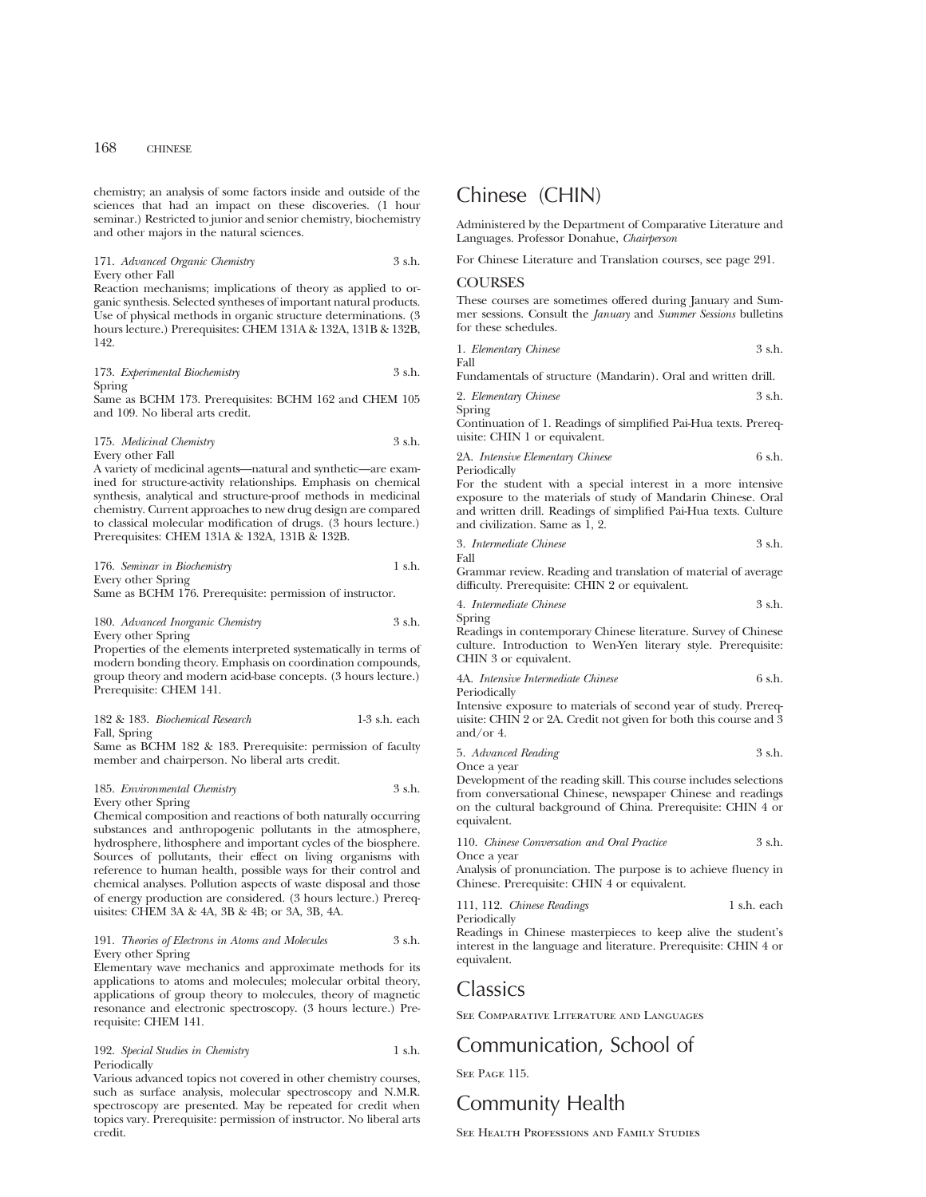chemistry; an analysis of some factors inside and outside of the sciences that had an impact on these discoveries. (1 hour seminar.) Restricted to junior and senior chemistry, biochemistry and other majors in the natural sciences.

171. *Advanced Organic Chemistry* 3 s.h. Every other Fall

Reaction mechanisms; implications of theory as applied to organic synthesis. Selected syntheses of important natural products. Use of physical methods in organic structure determinations. (3 hours lecture.) Prerequisites: CHEM 131A & 132A, 131B & 132B, 142.

173. *Experimental Biochemistry* 3 s.h. Spring

Same as BCHM 173. Prerequisites: BCHM 162 and CHEM 105 and 109. No liberal arts credit.

175. *Medicinal Chemistry* 3 s.h. Every other Fall

A variety of medicinal agents—natural and synthetic—are examined for structure-activity relationships. Emphasis on chemical synthesis, analytical and structure-proof methods in medicinal chemistry. Current approaches to new drug design are compared to classical molecular modification of drugs. (3 hours lecture.) Prerequisites: CHEM 131A & 132A, 131B & 132B.

| 176. Seminar in Biochemistry      |  | 1 s.h. |
|-----------------------------------|--|--------|
| Every other Spring                |  |        |
| <b>Contract Contract Contract</b> |  |        |

Same as BCHM 176. Prerequisite: permission of instructor.

# 180. *Advanced Inorganic Chemistry* 3 s.h. Every other Spring

Properties of the elements interpreted systematically in terms of modern bonding theory. Emphasis on coordination compounds, group theory and modern acid-base concepts. (3 hours lecture.) Prerequisite: CHEM 141.

|              | 182 & 183. Biochemical Research | $1-3$ s.h. each |  |
|--------------|---------------------------------|-----------------|--|
| Fall, Spring |                                 |                 |  |

Same as BCHM 182 & 183. Prerequisite: permission of faculty member and chairperson. No liberal arts credit.

185. *Environmental Chemistry* 3 s.h. Every other Spring

Chemical composition and reactions of both naturally occurring substances and anthropogenic pollutants in the atmosphere, hydrosphere, lithosphere and important cycles of the biosphere. Sources of pollutants, their effect on living organisms with reference to human health, possible ways for their control and chemical analyses. Pollution aspects of waste disposal and those of energy production are considered. (3 hours lecture.) Prerequisites: CHEM 3A & 4A, 3B & 4B; or 3A, 3B, 4A.

## 191. *Theories of Electrons in Atoms and Molecules* 3 s.h. Every other Spring

Elementary wave mechanics and approximate methods for its applications to atoms and molecules; molecular orbital theory, applications of group theory to molecules, theory of magnetic resonance and electronic spectroscopy. (3 hours lecture.) Prerequisite: CHEM 141.

# 192. *Special Studies in Chemistry* 1 s.h. Periodically

Various advanced topics not covered in other chemistry courses, such as surface analysis, molecular spectroscopy and N.M.R. spectroscopy are presented. May be repeated for credit when topics vary. Prerequisite: permission of instructor. No liberal arts credit.

# Chinese (CHIN)

Administered by the Department of Comparative Literature and Languages. Professor Donahue, *Chairperson*

For Chinese Literature and Translation courses, see page 291.

# **COURSES**

These courses are sometimes offered during January and Summer sessions. Consult the *January* and *Summer Sessions* bulletins for these schedules.

|                   | 1. Elementary Chinese | 3 s.h. |
|-------------------|-----------------------|--------|
| F <sub>2</sub> 11 |                       |        |

Fundamentals of structure (Mandarin). Oral and written drill.

2. *Elementary Chinese* 3 s.h.

Spring

Continuation of 1. Readings of simplified Pai-Hua texts. Prerequisite: CHIN 1 or equivalent.

2A. *Intensive Elementary Chinese* 6 s.h. Periodically

For the student with a special interest in a more intensive exposure to the materials of study of Mandarin Chinese. Oral and written drill. Readings of simplified Pai-Hua texts. Culture and civilization. Same as 1, 2.

3. *Intermediate Chinese* 3 s.h. Fall

Grammar review. Reading and translation of material of average difficulty. Prerequisite: CHIN 2 or equivalent.

4. *Intermediate Chinese* 3 s.h.

Spring Readings in contemporary Chinese literature. Survey of Chinese culture. Introduction to Wen-Yen literary style. Prerequisite: CHIN 3 or equivalent.

4A. *Intensive Intermediate Chinese* 6 s.h. Periodically

Intensive exposure to materials of second year of study. Prerequisite: CHIN 2 or 2A. Credit not given for both this course and 3 and/or 4.

5. *Advanced Reading* 3 s.h. Once a year

Development of the reading skill. This course includes selections from conversational Chinese, newspaper Chinese and readings on the cultural background of China. Prerequisite: CHIN 4 or equivalent.

| 110. Chinese Conversation and Oral Practice | 3 s.h. |
|---------------------------------------------|--------|
| Once a year                                 |        |

Analysis of pronunciation. The purpose is to achieve fluency in Chinese. Prerequisite: CHIN 4 or equivalent.

111, 112. *Chinese Readings* 1 s.h. each

Periodically Readings in Chinese masterpieces to keep alive the student's interest in the language and literature. Prerequisite: CHIN 4 or equivalent.

# Classics

See Comparative Literature and Languages

# Communication, School of

SEE PAGE 115.

# Community Health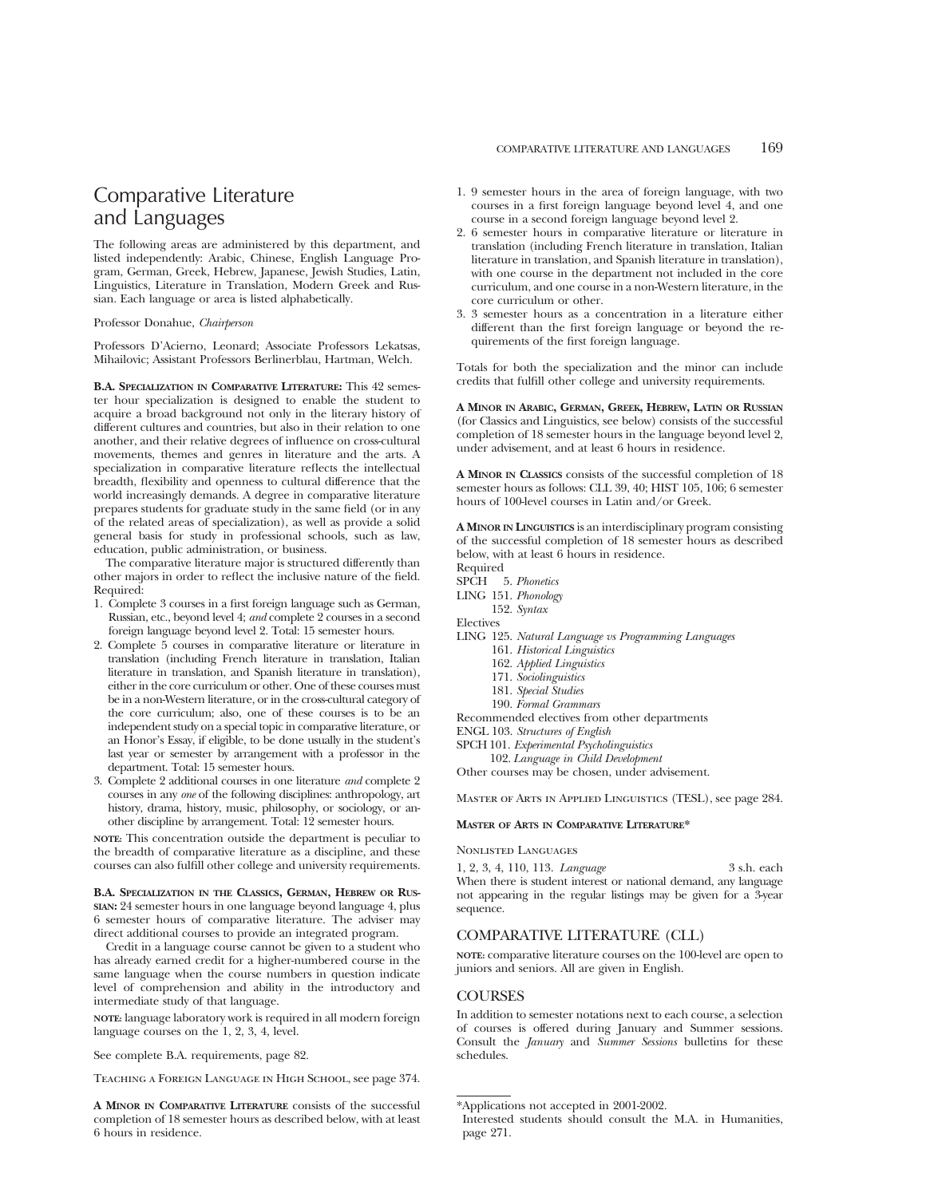# Comparative Literature and Languages

The following areas are administered by this department, and listed independently: Arabic, Chinese, English Language Program, German, Greek, Hebrew, Japanese, Jewish Studies, Latin, Linguistics, Literature in Translation, Modern Greek and Russian. Each language or area is listed alphabetically.

#### Professor Donahue, *Chairperson*

Professors D'Acierno, Leonard; Associate Professors Lekatsas, Mihailovic; Assistant Professors Berlinerblau, Hartman, Welch.

**B.A. SPECIALIZATION IN COMPARATIVE LITERATURE:** This 42 semester hour specialization is designed to enable the student to acquire a broad background not only in the literary history of different cultures and countries, but also in their relation to one another, and their relative degrees of influence on cross-cultural movements, themes and genres in literature and the arts. A specialization in comparative literature reflects the intellectual breadth, flexibility and openness to cultural difference that the world increasingly demands. A degree in comparative literature prepares students for graduate study in the same field (or in any of the related areas of specialization), as well as provide a solid general basis for study in professional schools, such as law, education, public administration, or business.

The comparative literature major is structured differently than other majors in order to reflect the inclusive nature of the field. Required:

- 1. Complete 3 courses in a first foreign language such as German, Russian, etc., beyond level 4; *and* complete 2 courses in a second foreign language beyond level 2. Total: 15 semester hours.
- 2. Complete 5 courses in comparative literature or literature in translation (including French literature in translation, Italian literature in translation, and Spanish literature in translation), either in the core curriculum or other. One of these courses must be in a non-Western literature, or in the cross-cultural category of the core curriculum; also, one of these courses is to be an independent study on a special topic in comparative literature, or an Honor's Essay, if eligible, to be done usually in the student's last year or semester by arrangement with a professor in the department. Total: 15 semester hours.
- 3. Complete 2 additional courses in one literature *and* complete 2 courses in any *one* of the following disciplines: anthropology, art history, drama, history, music, philosophy, or sociology, or another discipline by arrangement. Total: 12 semester hours.

**NOTE:** This concentration outside the department is peculiar to the breadth of comparative literature as a discipline, and these courses can also fulfill other college and university requirements.

**B.A. SPECIALIZATION IN THE CLASSICS, GERMAN, HEBREW OR RUS-SIAN:** 24 semester hours in one language beyond language 4, plus 6 semester hours of comparative literature. The adviser may direct additional courses to provide an integrated program.

Credit in a language course cannot be given to a student who has already earned credit for a higher-numbered course in the same language when the course numbers in question indicate level of comprehension and ability in the introductory and intermediate study of that language.

**NOTE:** language laboratory work is required in all modern foreign language courses on the 1, 2, 3, 4, level.

See complete B.A. requirements, page 82.

Teaching a Foreign Language in High School, see page 374.

**A MINOR IN COMPARATIVE LITERATURE** consists of the successful completion of 18 semester hours as described below, with at least 6 hours in residence.

- 1. 9 semester hours in the area of foreign language, with two courses in a first foreign language beyond level 4, and one course in a second foreign language beyond level 2.
- 2. 6 semester hours in comparative literature or literature in translation (including French literature in translation, Italian literature in translation, and Spanish literature in translation), with one course in the department not included in the core curriculum, and one course in a non-Western literature, in the core curriculum or other.
- 3. 3 semester hours as a concentration in a literature either different than the first foreign language or beyond the requirements of the first foreign language.

Totals for both the specialization and the minor can include credits that fulfill other college and university requirements.

**A MINOR IN ARABIC, GERMAN, GREEK, HEBREW, LATIN OR RUSSIAN** (for Classics and Linguistics, see below) consists of the successful completion of 18 semester hours in the language beyond level 2, under advisement, and at least 6 hours in residence.

**A MINOR IN CLASSICS** consists of the successful completion of 18 semester hours as follows: CLL 39, 40; HIST 105, 106; 6 semester hours of 100-level courses in Latin and/or Greek.

**A MINOR IN LINGUISTICS** is an interdisciplinary program consisting of the successful completion of 18 semester hours as described below, with at least 6 hours in residence.

Required

- SPCH 5. *Phonetics*
- LING 151. *Phonology*
	- 152. *Syntax*

Electives

- LING 125. *Natural Language vs Programming Languages*
	- 161. *Historical Linguistics*
	- 162. *Applied Linguistics*
	- 171. *Sociolinguistics*
	- 181. *Special Studies*
	- 190. *Formal Grammars*

Recommended electives from other departments

- ENGL 103. *Structures of English*
- SPCH 101. *Experimental Psycholinguistics*

102. *Language in Child Development* Other courses may be chosen, under advisement.

Master of Arts in Applied Linguistics (TESL), see page 284.

# **MASTER OF ARTS IN COMPARATIVE LITERATURE\***

#### Nonlisted Languages

1, 2, 3, 4, 110, 113. *Language* 3 s.h. each When there is student interest or national demand, any language not appearing in the regular listings may be given for a 3-year sequence.

# COMPARATIVE LITERATURE (CLL)

**NOTE:** comparative literature courses on the 100-level are open to juniors and seniors. All are given in English.

# **COURSES**

In addition to semester notations next to each course, a selection of courses is offered during January and Summer sessions. Consult the *January* and *Summer Sessions* bulletins for these schedules.

<sup>\*</sup>Applications not accepted in 2001-2002.

Interested students should consult the M.A. in Humanities, page 271.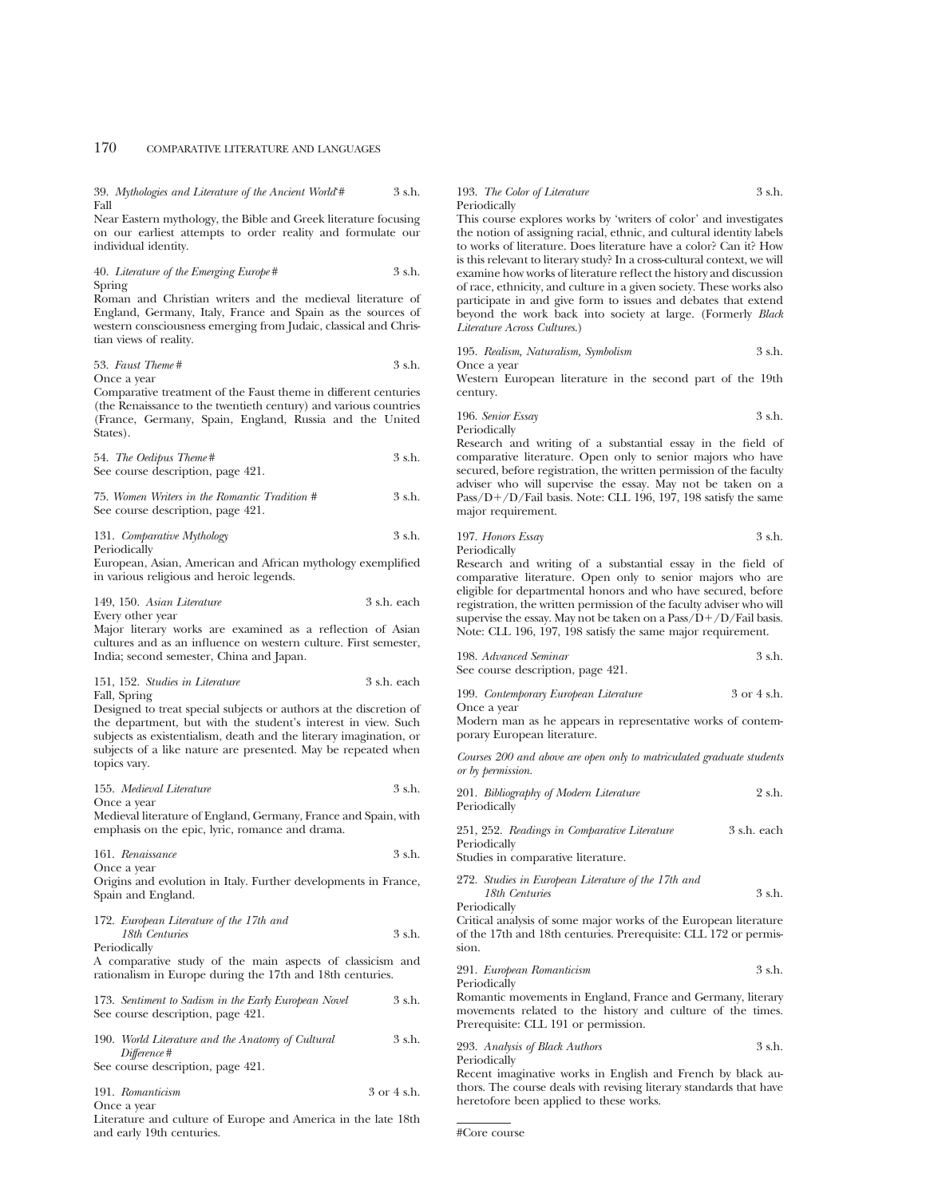39. *Mythologies and Literature of the Ancient World*'# 3 s.h. Fall

Near Eastern mythology, the Bible and Greek literature focusing on our earliest attempts to order reality and formulate our individual identity.

## 40. *Literature of the Emerging Europe* # 3 s.h. Spring

Roman and Christian writers and the medieval literature of England, Germany, Italy, France and Spain as the sources of western consciousness emerging from Judaic, classical and Christian views of reality.

53. *Faust Theme* # 3 s.h.

Once a year

Comparative treatment of the Faust theme in different centuries (the Renaissance to the twentieth century) and various countries (France, Germany, Spain, England, Russia and the United States).

| 54. The Oedipus Theme #           | 3 s.h. |
|-----------------------------------|--------|
| See course description, page 421. |        |

75. *Women Writers in the Romantic Tradition #* 3 s.h. See course description, page 421.

131. *Comparative Mythology* 3 s.h. Periodically

European, Asian, American and African mythology exemplified in various religious and heroic legends.

149, 150. *Asian Literature* 3 s.h. each Every other year

Major literary works are examined as a reflection of Asian cultures and as an influence on western culture. First semester, India; second semester, China and Japan.

| 151, 152. Studies in Literature | 3 s.h. each |  |
|---------------------------------|-------------|--|
| Fall, Spring                    |             |  |

Designed to treat special subjects or authors at the discretion of the department, but with the student's interest in view. Such subjects as existentialism, death and the literary imagination, or subjects of a like nature are presented. May be repeated when topics vary.

155. *Medieval Literature* 3 s.h.

Once a year

Medieval literature of England, Germany, France and Spain, with emphasis on the epic, lyric, romance and drama.

|             | 161. Renaissance | 3 s.h. |
|-------------|------------------|--------|
| Once a vear |                  |        |

Origins and evolution in Italy. Further developments in France, Spain and England.

| 172. European Literature of the 17th and |        |
|------------------------------------------|--------|
| 18th Centuries                           | 3 s.h. |
| Periodically                             |        |

A comparative study of the main aspects of classicism and rationalism in Europe during the 17th and 18th centuries.

| 173. Sentiment to Sadism in the Early European Novel |  |  | 3 s.h. |
|------------------------------------------------------|--|--|--------|
| See course description, page 421.                    |  |  |        |

| 190. World Literature and the Anatomy of Cultural | 3 s.h. |
|---------------------------------------------------|--------|
| Difference #                                      |        |
| See course description, page 421.                 |        |

| 191. Romanticism | 3 or 4 s.h. |
|------------------|-------------|
|                  |             |

Once a year

Literature and culture of Europe and America in the late 18th and early 19th centuries.

## 193. *The Color of Literature* 3 s.h. Periodically

This course explores works by 'writers of color' and investigates the notion of assigning racial, ethnic, and cultural identity labels to works of literature. Does literature have a color? Can it? How is this relevant to literary study? In a cross-cultural context, we will examine how works of literature reflect the history and discussion of race, ethnicity, and culture in a given society. These works also participate in and give form to issues and debates that extend beyond the work back into society at large. (Formerly *Black Literature Across Cultures*.)

|  | 195. Realism, Naturalism, Symbolism |  | 3 s.h. |
|--|-------------------------------------|--|--------|
|  |                                     |  |        |

Once a year

Western European literature in the second part of the 19th century.

196. *Senior Essay* 3 s.h. Periodically

Research and writing of a substantial essay in the field of comparative literature. Open only to senior majors who have secured, before registration, the written permission of the faculty adviser who will supervise the essay. May not be taken on a Pass/D+/D/Fail basis. Note: CLL 196, 197, 198 satisfy the same major requirement.

197. *Honors Essay* 3 s.h.

Periodically

Research and writing of a substantial essay in the field of comparative literature. Open only to senior majors who are eligible for departmental honors and who have secured, before registration, the written permission of the faculty adviser who will supervise the essay. May not be taken on a  $Pass/D+/D/Fall \ basis$ . Note: CLL 196, 197, 198 satisfy the same major requirement.

| 198. Advanced Seminar             | 3 s.h. |
|-----------------------------------|--------|
| See course description, page 421. |        |

| 199. Contemporary European Literature | 3 or 4 s.h. |
|---------------------------------------|-------------|
| Once a year                           |             |

Modern man as he appears in representative works of contemporary European literature.

*Courses 200 and above are open only to matriculated graduate students or by permission.*

| 201. Bibliography of Modern Literature | 2 s.h. |
|----------------------------------------|--------|
| Periodically                           |        |

|              |  | 251, 252. Readings in Comparative Literature |  | 3 s.h. each |
|--------------|--|----------------------------------------------|--|-------------|
| Periodically |  |                                              |  |             |

Studies in comparative literature.

| 272. Studies in European Literature of the 17th and |          |
|-----------------------------------------------------|----------|
| 18th Centuries                                      | $3$ s.h. |
| Periodically                                        |          |

Critical analysis of some major works of the European literature of the 17th and 18th centuries. Prerequisite: CLL 172 or permission.

291. *European Romanticism* 3 s.h. Periodically

Romantic movements in England, France and Germany, literary movements related to the history and culture of the times. Prerequisite: CLL 191 or permission.

293. *Analysis of Black Authors* 3 s.h.

Periodically

Recent imaginative works in English and French by black authors. The course deals with revising literary standards that have heretofore been applied to these works.

#Core course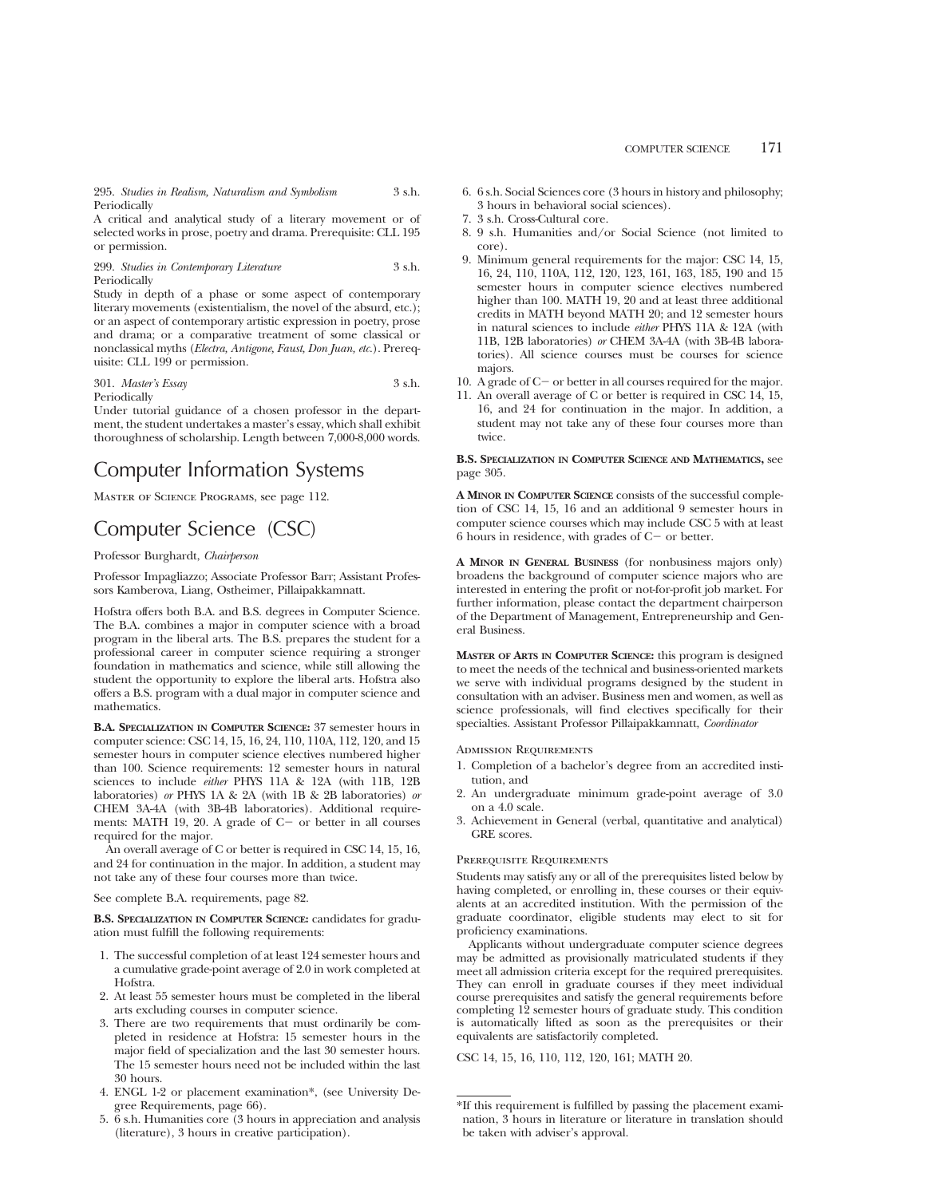295. *Studies in Realism, Naturalism and Symbolism* 3 s.h. Periodically

A critical and analytical study of a literary movement or of selected works in prose, poetry and drama. Prerequisite: CLL 195 or permission.

## 299. *Studies in Contemporary Literature* 3 s.h. Periodically

Study in depth of a phase or some aspect of contemporary literary movements (existentialism, the novel of the absurd, etc.); or an aspect of contemporary artistic expression in poetry, prose and drama; or a comparative treatment of some classical or nonclassical myths (*Electra, Antigone, Faust, Don Juan, etc.*). Prerequisite: CLL 199 or permission.

#### 301. *Master's Essay* 3 s.h. Periodically

Under tutorial guidance of a chosen professor in the department, the student undertakes a master's essay, which shall exhibit thoroughness of scholarship. Length between 7,000-8,000 words.

# Computer Information Systems

Master of Science Programs, see page 112.

# Computer Science (CSC)

## Professor Burghardt, *Chairperson*

Professor Impagliazzo; Associate Professor Barr; Assistant Professors Kamberova, Liang, Ostheimer, Pillaipakkamnatt.

Hofstra offers both B.A. and B.S. degrees in Computer Science. The B.A. combines a major in computer science with a broad program in the liberal arts. The B.S. prepares the student for a professional career in computer science requiring a stronger foundation in mathematics and science, while still allowing the student the opportunity to explore the liberal arts. Hofstra also offers a B.S. program with a dual major in computer science and mathematics.

**B.A. SPECIALIZATION IN COMPUTER SCIENCE:** 37 semester hours in computer science: CSC 14, 15, 16, 24, 110, 110A, 112, 120, and 15 semester hours in computer science electives numbered higher than 100. Science requirements: 12 semester hours in natural sciences to include *either* PHYS 11A & 12A (with 11B, 12B laboratories) *or* PHYS 1A & 2A (with 1B & 2B laboratories) *or* CHEM 3A-4A (with 3B-4B laboratories). Additional requirements: MATH 19, 20. A grade of  $C-$  or better in all courses required for the major.

An overall average of C or better is required in CSC 14, 15, 16, and 24 for continuation in the major. In addition, a student may not take any of these four courses more than twice.

See complete B.A. requirements, page 82.

**B.S. SPECIALIZATION IN COMPUTER SCIENCE:** candidates for graduation must fulfill the following requirements:

- 1. The successful completion of at least 124 semester hours and a cumulative grade-point average of 2.0 in work completed at Hofstra.
- 2. At least 55 semester hours must be completed in the liberal arts excluding courses in computer science.
- 3. There are two requirements that must ordinarily be completed in residence at Hofstra: 15 semester hours in the major field of specialization and the last 30 semester hours. The 15 semester hours need not be included within the last 30 hours.
- 4. ENGL 1-2 or placement examination\*, (see University Degree Requirements, page 66).
- 5. 6 s.h. Humanities core (3 hours in appreciation and analysis (literature), 3 hours in creative participation).
- 6. 6 s.h. Social Sciences core (3 hours in history and philosophy; 3 hours in behavioral social sciences).
- 7. 3 s.h. Cross-Cultural core.
- 8. 9 s.h. Humanities and/or Social Science (not limited to core).
- 9. Minimum general requirements for the major: CSC 14, 15, 16, 24, 110, 110A, 112, 120, 123, 161, 163, 185, 190 and 15 semester hours in computer science electives numbered higher than 100. MATH 19, 20 and at least three additional credits in MATH beyond MATH 20; and 12 semester hours in natural sciences to include *either* PHYS 11A & 12A (with 11B, 12B laboratories) *or* CHEM 3A-4A (with 3B-4B laboratories). All science courses must be courses for science majors.
- 10. A grade of  $C-$  or better in all courses required for the major.
- 11. An overall average of C or better is required in CSC 14, 15, 16, and 24 for continuation in the major. In addition, a student may not take any of these four courses more than twice.

## **B.S. SPECIALIZATION IN COMPUTER SCIENCE AND MATHEMATICS,** see page 305.

**A MINOR IN COMPUTER SCIENCE** consists of the successful completion of CSC 14, 15, 16 and an additional 9 semester hours in computer science courses which may include CSC 5 with at least 6 hours in residence, with grades of  $C-$  or better.

**A MINOR IN GENERAL BUSINESS** (for nonbusiness majors only) broadens the background of computer science majors who are interested in entering the profit or not-for-profit job market. For further information, please contact the department chairperson of the Department of Management, Entrepreneurship and General Business.

**MASTER OF ARTS IN COMPUTER SCIENCE:** this program is designed to meet the needs of the technical and business-oriented markets we serve with individual programs designed by the student in consultation with an adviser. Business men and women, as well as science professionals, will find electives specifically for their specialties. Assistant Professor Pillaipakkamnatt, *Coordinator*

Admission Requirements

- 1. Completion of a bachelor's degree from an accredited institution, and
- 2. An undergraduate minimum grade-point average of 3.0 on a 4.0 scale.
- 3. Achievement in General (verbal, quantitative and analytical) GRE scores.

## Prerequisite Requirements

Students may satisfy any or all of the prerequisites listed below by having completed, or enrolling in, these courses or their equivalents at an accredited institution. With the permission of the graduate coordinator, eligible students may elect to sit for proficiency examinations.

Applicants without undergraduate computer science degrees may be admitted as provisionally matriculated students if they meet all admission criteria except for the required prerequisites. They can enroll in graduate courses if they meet individual course prerequisites and satisfy the general requirements before completing 12 semester hours of graduate study. This condition is automatically lifted as soon as the prerequisites or their equivalents are satisfactorily completed.

CSC 14, 15, 16, 110, 112, 120, 161; MATH 20.

<sup>\*</sup>If this requirement is fulfilled by passing the placement examination, 3 hours in literature or literature in translation should be taken with adviser's approval.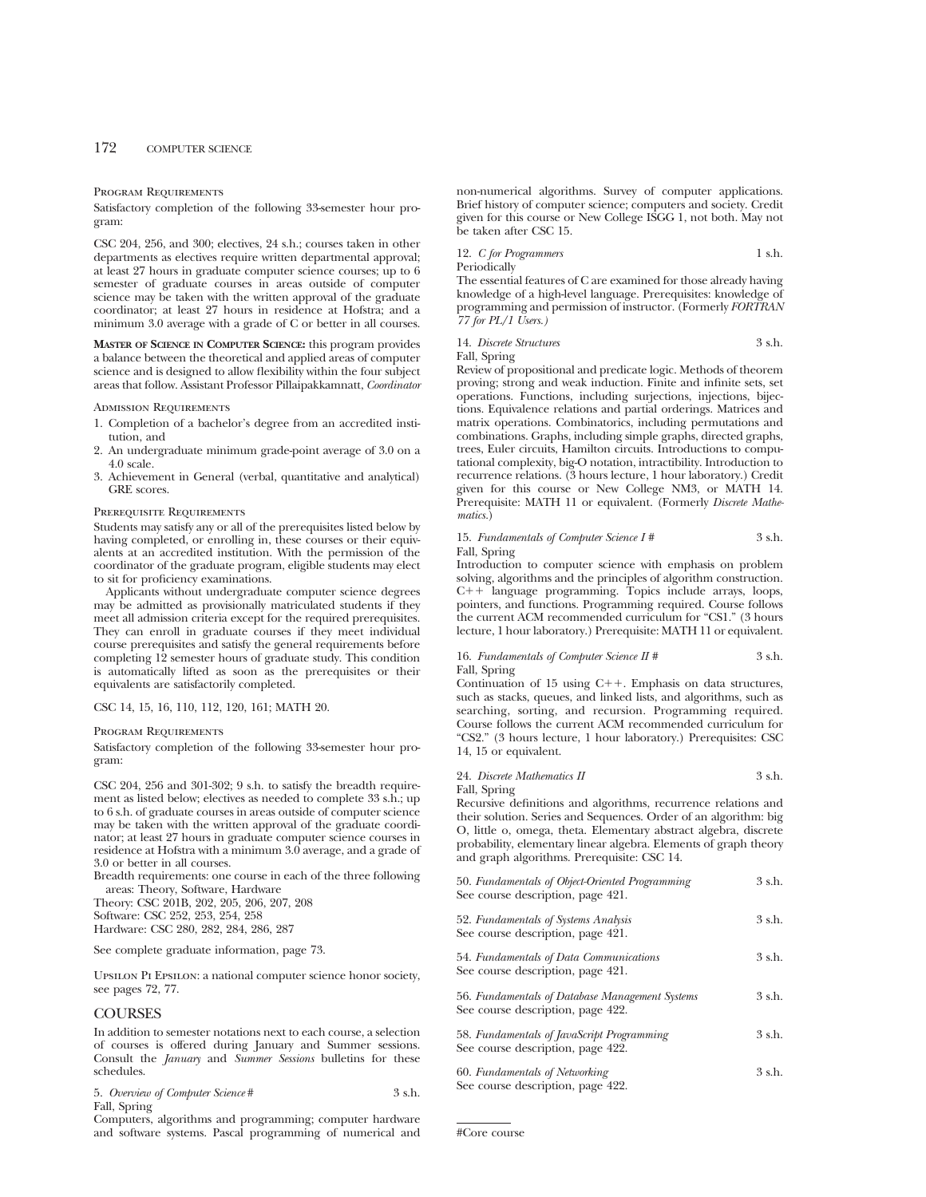## Program Requirements

Satisfactory completion of the following 33-semester hour program:

CSC 204, 256, and 300; electives, 24 s.h.; courses taken in other departments as electives require written departmental approval; at least 27 hours in graduate computer science courses; up to 6 semester of graduate courses in areas outside of computer science may be taken with the written approval of the graduate coordinator; at least 27 hours in residence at Hofstra; and a minimum 3.0 average with a grade of C or better in all courses.

**MASTER OF SCIENCE IN COMPUTER SCIENCE:** this program provides a balance between the theoretical and applied areas of computer science and is designed to allow flexibility within the four subject areas that follow. Assistant Professor Pillaipakkamnatt, *Coordinator*

#### Admission Requirements

- 1. Completion of a bachelor's degree from an accredited institution, and
- 2. An undergraduate minimum grade-point average of 3.0 on a 4.0 scale.
- 3. Achievement in General (verbal, quantitative and analytical) GRE scores.

#### Prerequisite Requirements

Students may satisfy any or all of the prerequisites listed below by having completed, or enrolling in, these courses or their equivalents at an accredited institution. With the permission of the coordinator of the graduate program, eligible students may elect to sit for proficiency examinations.

Applicants without undergraduate computer science degrees may be admitted as provisionally matriculated students if they meet all admission criteria except for the required prerequisites. They can enroll in graduate courses if they meet individual course prerequisites and satisfy the general requirements before completing 12 semester hours of graduate study. This condition is automatically lifted as soon as the prerequisites or their equivalents are satisfactorily completed.

CSC 14, 15, 16, 110, 112, 120, 161; MATH 20.

Program Requirements

Satisfactory completion of the following 33-semester hour program:

CSC 204, 256 and 301-302; 9 s.h. to satisfy the breadth requirement as listed below; electives as needed to complete 33 s.h.; up to 6 s.h. of graduate courses in areas outside of computer science may be taken with the written approval of the graduate coordinator; at least 27 hours in graduate computer science courses in residence at Hofstra with a minimum 3.0 average, and a grade of 3.0 or better in all courses.

Breadth requirements: one course in each of the three following areas: Theory, Software, Hardware

Theory: CSC 201B, 202, 205, 206, 207, 208

Software: CSC 252, 253, 254, 258

Hardware: CSC 280, 282, 284, 286, 287

See complete graduate information, page 73.

Upsilon Pi Epsilon: a national computer science honor society, see pages 72, 77.

# **COURSES**

In addition to semester notations next to each course, a selection of courses is offered during January and Summer sessions. Consult the *January* and *Summer Sessions* bulletins for these schedules.

| 5. Overview of Computer Science # | 3 s.h. |
|-----------------------------------|--------|
| Fall, Spring                      |        |

Computers, algorithms and programming; computer hardware and software systems. Pascal programming of numerical and non-numerical algorithms. Survey of computer applications. Brief history of computer science; computers and society. Credit given for this course or New College ISGG 1, not both. May not be taken after CSC 15.

12. *C for Programmers* 1 s.h. Periodically

The essential features of C are examined for those already having knowledge of a high-level language. Prerequisites: knowledge of programming and permission of instructor. (Formerly *FORTRAN 77 for PL/1 Users.)*

| 14. Discrete Structures | 3 s.h. |
|-------------------------|--------|
| Fall, Spring            |        |

Review of propositional and predicate logic. Methods of theorem proving; strong and weak induction. Finite and infinite sets, set operations. Functions, including surjections, injections, bijections. Equivalence relations and partial orderings. Matrices and matrix operations. Combinatorics, including permutations and combinations. Graphs, including simple graphs, directed graphs, trees, Euler circuits, Hamilton circuits. Introductions to computational complexity, big-O notation, intractibility. Introduction to recurrence relations. (3 hours lecture, 1 hour laboratory.) Credit given for this course or New College NM3, or MATH 14. Prerequisite: MATH 11 or equivalent. (Formerly *Discrete Mathematics.*)

| 15. Fundamentals of Computer Science I # | 3 s.h. |
|------------------------------------------|--------|
| Fall, Spring                             |        |

Introduction to computer science with emphasis on problem solving, algorithms and the principles of algorithm construction. C++ language programming. Topics include arrays, loops, pointers, and functions. Programming required. Course follows the current ACM recommended curriculum for "CS1." (3 hours lecture, 1 hour laboratory.) Prerequisite: MATH 11 or equivalent.

## 16. *Fundamentals of Computer Science II* # 3 s.h. Fall, Spring

Continuation of  $15$  using C++. Emphasis on data structures, such as stacks, queues, and linked lists, and algorithms, such as searching, sorting, and recursion. Programming required. Course follows the current ACM recommended curriculum for "CS2." (3 hours lecture, 1 hour laboratory.) Prerequisites: CSC 14, 15 or equivalent.

24. *Discrete Mathematics II* 3 s.h.

Fall, Spring

Recursive definitions and algorithms, recurrence relations and their solution. Series and Sequences. Order of an algorithm: big O, little o, omega, theta. Elementary abstract algebra, discrete probability, elementary linear algebra. Elements of graph theory and graph algorithms. Prerequisite: CSC 14.

| 50. Fundamentals of Object-Oriented Programming<br>See course description, page 421. | 3 s.h. |
|--------------------------------------------------------------------------------------|--------|
| 52. Fundamentals of Systems Analysis<br>See course description, page 421.            | 3 s.h. |
| 54. Fundamentals of Data Communications<br>See course description, page 421.         | 3 s.h. |
| 56. Fundamentals of Database Management Systems<br>See course description, page 422. | 3 s.h. |
| 58. Fundamentals of JavaScript Programming<br>See course description, page 422.      | 3 s.h. |
| 60. Fundamentals of Networking<br>See course description, page 422.                  | 3 s.h. |

#Core course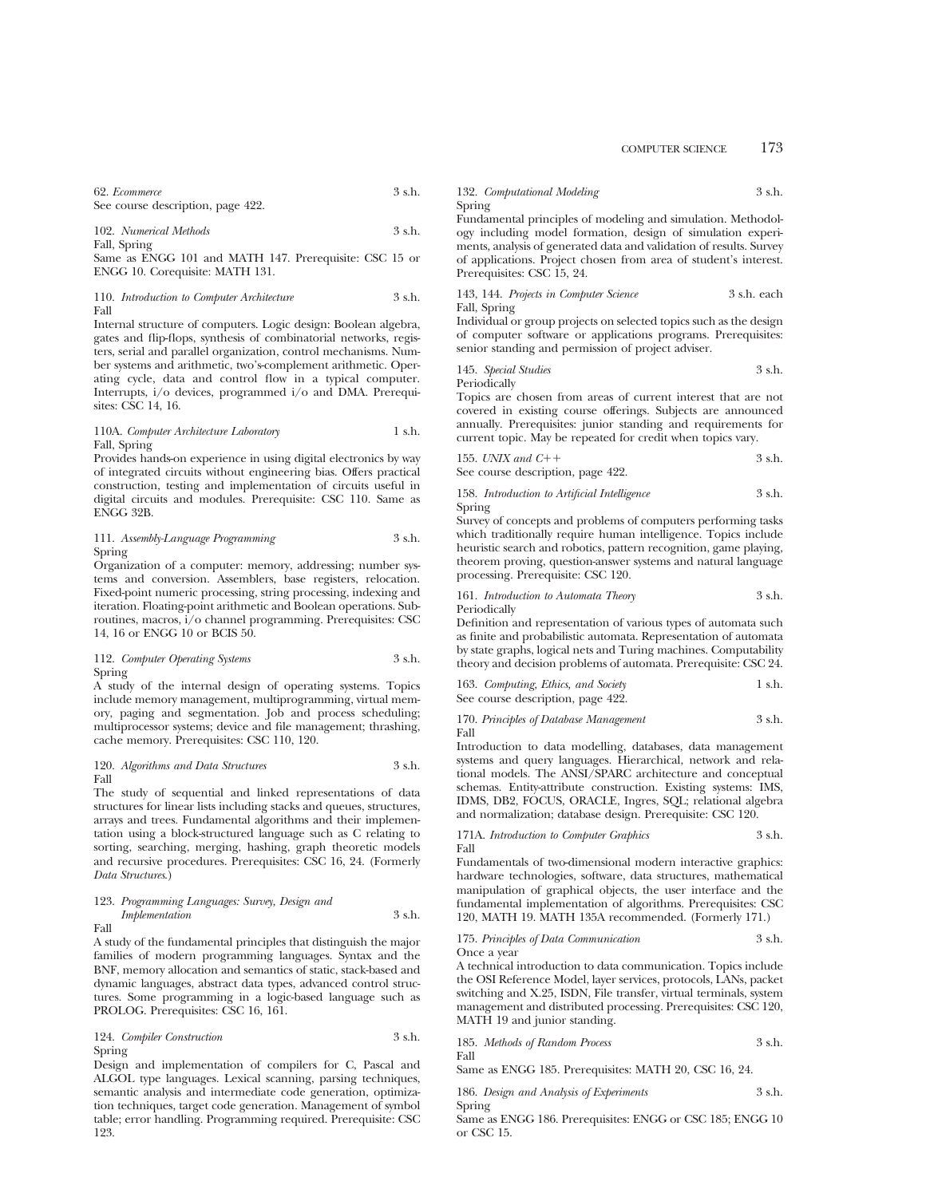COMPUTER SCIENCE 173

| 62. Ecommerce                     | 3 s.h. |
|-----------------------------------|--------|
| See course description, page 422. |        |

102. *Numerical Methods* 3 s.h.

Fall, Spring Same as ENGG 101 and MATH 147. Prerequisite: CSC 15 or ENGG 10. Corequisite: MATH 131.

110. *Introduction to Computer Architecture* 3 s.h. Fall

Internal structure of computers. Logic design: Boolean algebra, gates and flip-flops, synthesis of combinatorial networks, registers, serial and parallel organization, control mechanisms. Number systems and arithmetic, two's-complement arithmetic. Operating cycle, data and control flow in a typical computer. Interrupts, i/o devices, programmed i/o and DMA. Prerequisites: CSC 14, 16.

## 110A. *Computer Architecture Laboratory* 1 s.h. Fall, Spring

Provides hands-on experience in using digital electronics by way of integrated circuits without engineering bias. Offers practical construction, testing and implementation of circuits useful in digital circuits and modules. Prerequisite: CSC 110. Same as ENGG 32B.

111. *Assembly-Language Programming* 3 s.h. Spring

Organization of a computer: memory, addressing; number systems and conversion. Assemblers, base registers, relocation. Fixed-point numeric processing, string processing, indexing and iteration. Floating-point arithmetic and Boolean operations. Subroutines, macros, i/o channel programming. Prerequisites: CSC 14, 16 or ENGG 10 or BCIS 50.

112. *Computer Operating Systems* 3 s.h. Spring

A study of the internal design of operating systems. Topics include memory management, multiprogramming, virtual memory, paging and segmentation. Job and process scheduling; multiprocessor systems; device and file management; thrashing, cache memory. Prerequisites: CSC 110, 120.

120. *Algorithms and Data Structures* 3 s.h. Fall

The study of sequential and linked representations of data structures for linear lists including stacks and queues, structures, arrays and trees. Fundamental algorithms and their implementation using a block-structured language such as C relating to sorting, searching, merging, hashing, graph theoretic models and recursive procedures. Prerequisites: CSC 16, 24. (Formerly *Data Structures*.)

## 123. *Programming Languages: Survey, Design and Implementation* 3 s.h. Fall

A study of the fundamental principles that distinguish the major families of modern programming languages. Syntax and the BNF, memory allocation and semantics of static, stack-based and dynamic languages, abstract data types, advanced control structures. Some programming in a logic-based language such as PROLOG. Prerequisites: CSC 16, 161.

## 124. *Compiler Construction* 3 s.h. Spring

Design and implementation of compilers for C, Pascal and ALGOL type languages. Lexical scanning, parsing techniques, semantic analysis and intermediate code generation, optimization techniques, target code generation. Management of symbol table; error handling. Programming required. Prerequisite: CSC 123.

132. *Computational Modeling* 3 s.h. Spring

Fundamental principles of modeling and simulation. Methodology including model formation, design of simulation experiments, analysis of generated data and validation of results. Survey of applications. Project chosen from area of student's interest. Prerequisites: CSC 15, 24.

## 143, 144. *Projects in Computer Science* 3 s.h. each Fall, Spring

Individual or group projects on selected topics such as the design of computer software or applications programs. Prerequisites: senior standing and permission of project adviser.

145. *Special Studies* 3 s.h. Periodically

Topics are chosen from areas of current interest that are not covered in existing course offerings. Subjects are announced annually. Prerequisites: junior standing and requirements for current topic. May be repeated for credit when topics vary.

155. *UNIX and C*11 3 s.h. See course description, page 422.

158. *Introduction to Artificial Intelligence* 3 s.h. Spring

Survey of concepts and problems of computers performing tasks which traditionally require human intelligence. Topics include heuristic search and robotics, pattern recognition, game playing, theorem proving, question-answer systems and natural language processing. Prerequisite: CSC 120.

161. *Introduction to Automata Theory* 3 s.h. Periodically

Definition and representation of various types of automata such as finite and probabilistic automata. Representation of automata by state graphs, logical nets and Turing machines. Computability theory and decision problems of automata. Prerequisite: CSC 24.

| 163. Computing, Ethics, and Society | 1 s.h. |
|-------------------------------------|--------|
| See course description, page 422.   |        |

170. *Principles of Database Management* 3 s.h. Fall

Introduction to data modelling, databases, data management systems and query languages. Hierarchical, network and relational models. The ANSI/SPARC architecture and conceptual schemas. Entity-attribute construction. Existing systems: IMS, IDMS, DB2, FOCUS, ORACLE, Ingres, SQL; relational algebra and normalization; database design. Prerequisite: CSC 120.

171A. *Introduction to Computer Graphics* 3 s.h. Fall

Fundamentals of two-dimensional modern interactive graphics: hardware technologies, software, data structures, mathematical manipulation of graphical objects, the user interface and the fundamental implementation of algorithms. Prerequisites: CSC 120, MATH 19. MATH 135A recommended. (Formerly 171.)

175. *Principles of Data Communication* 3 s.h. Once a year

A technical introduction to data communication. Topics include the OSI Reference Model, layer services, protocols, LANs, packet switching and X.25, ISDN, File transfer, virtual terminals, system management and distributed processing. Prerequisites: CSC 120, MATH 19 and junior standing.

185. *Methods of Random Process* 3 s.h. Fall

Same as ENGG 185. Prerequisites: MATH 20, CSC 16, 24.

|        | 186. Design and Analysis of Experiments | 3 s.h. |
|--------|-----------------------------------------|--------|
| Spring |                                         |        |

Same as ENGG 186. Prerequisites: ENGG or CSC 185; ENGG 10 or CSC 15.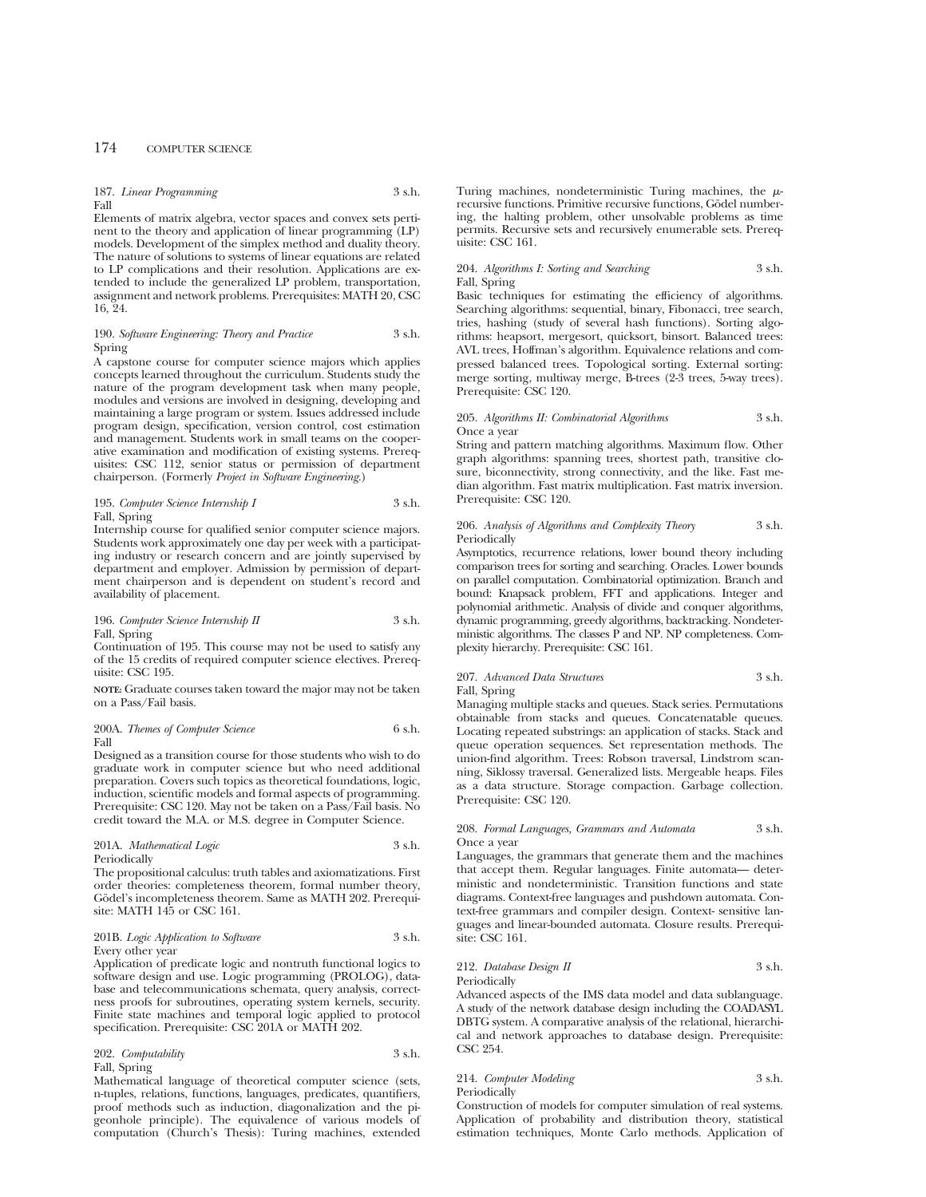|      | 187. Linear Programming | 3 s.h. |
|------|-------------------------|--------|
| Fall |                         |        |

Elements of matrix algebra, vector spaces and convex sets pertinent to the theory and application of linear programming (LP) models. Development of the simplex method and duality theory. The nature of solutions to systems of linear equations are related to LP complications and their resolution. Applications are extended to include the generalized LP problem, transportation, assignment and network problems. Prerequisites: MATH 20, CSC 16, 24.

## 190. *Software Engineering: Theory and Practice* 3 s.h. Spring

A capstone course for computer science majors which applies concepts learned throughout the curriculum. Students study the nature of the program development task when many people, modules and versions are involved in designing, developing and maintaining a large program or system. Issues addressed include program design, specification, version control, cost estimation and management. Students work in small teams on the cooperative examination and modification of existing systems. Prerequisites: CSC 112, senior status or permission of department chairperson. (Formerly *Project in Software Engineering*.)

## 195. *Computer Science Internship I* 3 s.h. Fall, Spring

Internship course for qualified senior computer science majors. Students work approximately one day per week with a participating industry or research concern and are jointly supervised by department and employer. Admission by permission of department chairperson and is dependent on student's record and availability of placement.

## 196. *Computer Science Internship II* 3 s.h. Fall, Spring

Continuation of 195. This course may not be used to satisfy any of the 15 credits of required computer science electives. Prerequisite: CSC 195.

**NOTE:** Graduate courses taken toward the major may not be taken on a Pass/Fail basis.

## 200A. *Themes of Computer Science* 6 s.h. Fall

Designed as a transition course for those students who wish to do graduate work in computer science but who need additional preparation. Covers such topics as theoretical foundations, logic, induction, scientific models and formal aspects of programming. Prerequisite: CSC 120. May not be taken on a Pass/Fail basis. No credit toward the M.A. or M.S. degree in Computer Science.

## 201A. *Mathematical Logic* 3 s.h. Periodically

The propositional calculus: truth tables and axiomatizations. First order theories: completeness theorem, formal number theory, Gödel's incompleteness theorem. Same as MATH 202. Prerequisite: MATH 145 or CSC 161.

## 201B. *Logic Application to Software* 3 s.h. Every other year

Application of predicate logic and nontruth functional logics to software design and use. Logic programming (PROLOG), database and telecommunications schemata, query analysis, correctness proofs for subroutines, operating system kernels, security. Finite state machines and temporal logic applied to protocol specification. Prerequisite: CSC 201A or MATH 202.

202. *Computability* 3 s.h. Fall, Spring

Mathematical language of theoretical computer science (sets, n-tuples, relations, functions, languages, predicates, quantifiers, proof methods such as induction, diagonalization and the pigeonhole principle). The equivalence of various models of computation (Church's Thesis): Turing machines, extended Turing machines, nondeterministic Turing machines, the  $\mu$ recursive functions. Primitive recursive functions, Godel numbering, the halting problem, other unsolvable problems as time permits. Recursive sets and recursively enumerable sets. Prerequisite: CSC 161.

## 204. *Algorithms I: Sorting and Searching* 3 s.h. Fall, Spring

Basic techniques for estimating the efficiency of algorithms. Searching algorithms: sequential, binary, Fibonacci, tree search, tries, hashing (study of several hash functions). Sorting algorithms: heapsort, mergesort, quicksort, binsort. Balanced trees: AVL trees, Hoffman's algorithm. Equivalence relations and compressed balanced trees. Topological sorting. External sorting: merge sorting, multiway merge, B-trees (2-3 trees, 5-way trees). Prerequisite: CSC 120.

## 205. *Algorithms II: Combinatorial Algorithms* 3 s.h. Once a year

String and pattern matching algorithms. Maximum flow. Other graph algorithms: spanning trees, shortest path, transitive closure, biconnectivity, strong connectivity, and the like. Fast median algorithm. Fast matrix multiplication. Fast matrix inversion. Prerequisite: CSC 120.

## 206. *Analysis of Algorithms and Complexity Theory* 3 s.h. Periodically

Asymptotics, recurrence relations, lower bound theory including comparison trees for sorting and searching. Oracles. Lower bounds on parallel computation. Combinatorial optimization. Branch and bound: Knapsack problem, FFT and applications. Integer and polynomial arithmetic. Analysis of divide and conquer algorithms, dynamic programming, greedy algorithms, backtracking. Nondeterministic algorithms. The classes P and NP. NP completeness. Complexity hierarchy. Prerequisite: CSC 161.

## 207. *Advanced Data Structures* 3 s.h. Fall, Spring

Managing multiple stacks and queues. Stack series. Permutations obtainable from stacks and queues. Concatenatable queues. Locating repeated substrings: an application of stacks. Stack and queue operation sequences. Set representation methods. The union-find algorithm. Trees: Robson traversal, Lindstrom scanning, Siklossy traversal. Generalized lists. Mergeable heaps. Files as a data structure. Storage compaction. Garbage collection. Prerequisite: CSC 120.

## 208. *Formal Languages, Grammars and Automata* 3 s.h. Once a year

Languages, the grammars that generate them and the machines that accept them. Regular languages. Finite automata— deterministic and nondeterministic. Transition functions and state diagrams. Context-free languages and pushdown automata. Context-free grammars and compiler design. Context- sensitive languages and linear-bounded automata. Closure results. Prerequisite: CSC 161.

## 212. *Database Design II* 3 s.h. Periodically

Advanced aspects of the IMS data model and data sublanguage. A study of the network database design including the COADASYL DBTG system. A comparative analysis of the relational, hierarchical and network approaches to database design. Prerequisite: CSC 254.

## 214. *Computer Modeling* 3 s.h. Periodically

Construction of models for computer simulation of real systems. Application of probability and distribution theory, statistical estimation techniques, Monte Carlo methods. Application of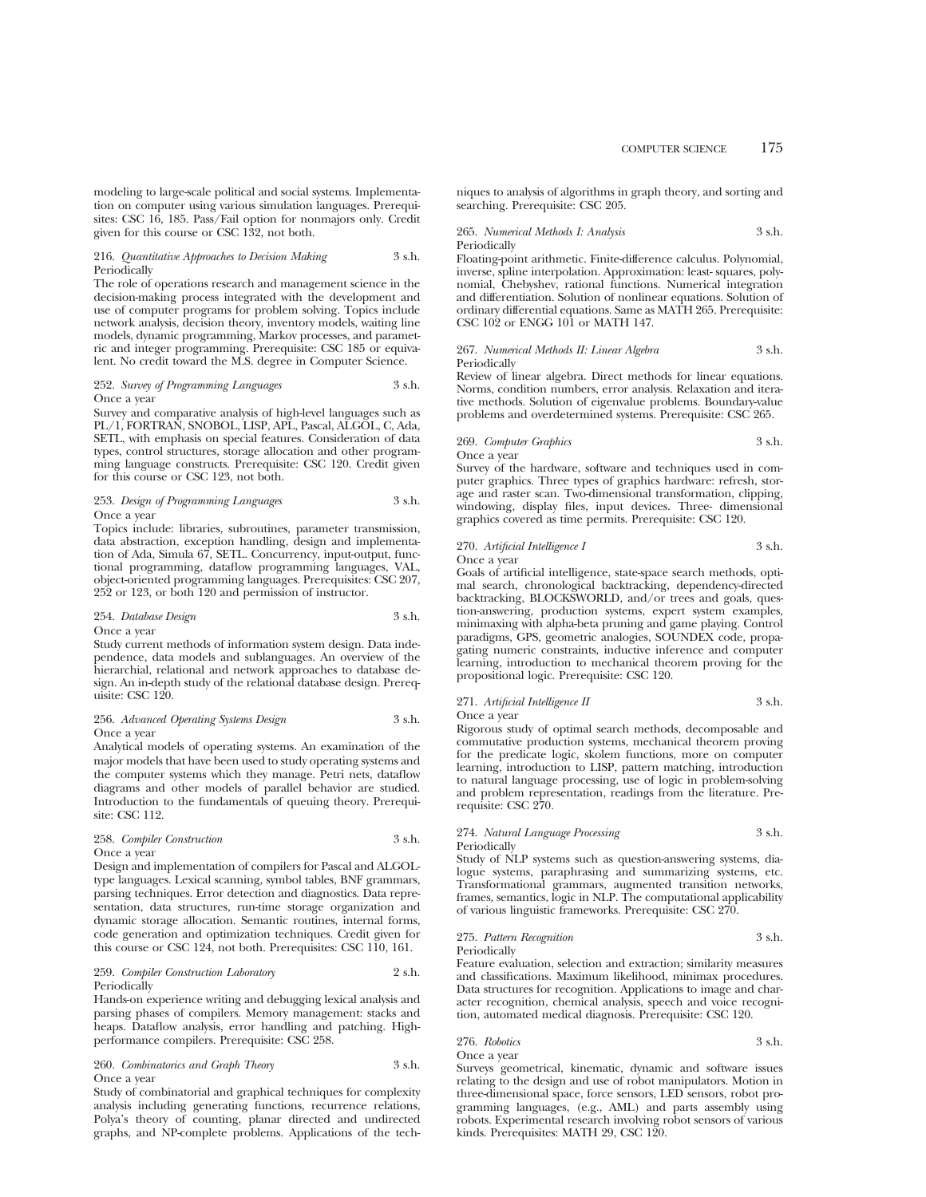modeling to large-scale political and social systems. Implementation on computer using various simulation languages. Prerequisites: CSC 16, 185. Pass/Fail option for nonmajors only. Credit given for this course or CSC 132, not both.

## 216. *Quantitative Approaches to Decision Making* 3 s.h. Periodically

The role of operations research and management science in the decision-making process integrated with the development and use of computer programs for problem solving. Topics include network analysis, decision theory, inventory models, waiting line models, dynamic programming, Markov processes, and parametric and integer programming. Prerequisite: CSC 185 or equivalent. No credit toward the M.S. degree in Computer Science.

## 252. *Survey of Programming Languages* 3 s.h. Once a year

Survey and comparative analysis of high-level languages such as PL/1, FORTRAN, SNOBOL, LISP, APL, Pascal, ALGOL, C, Ada, SETL, with emphasis on special features. Consideration of data types, control structures, storage allocation and other programming language constructs. Prerequisite: CSC 120. Credit given for this course or CSC 123, not both.

## 253. *Design of Programming Languages* 3 s.h. Once a year

Topics include: libraries, subroutines, parameter transmission, data abstraction, exception handling, design and implementation of Ada, Simula 67, SETL. Concurrency, input-output, functional programming, dataflow programming languages, VAL, object-oriented programming languages. Prerequisites: CSC 207, 252 or 123, or both 120 and permission of instructor.

## 254. *Database Design* 3 s.h. Once a year

Study current methods of information system design. Data independence, data models and sublanguages. An overview of the hierarchial, relational and network approaches to database design. An in-depth study of the relational database design. Prerequisite: CSC 120.

## 256. *Advanced Operating Systems Design* 3 s.h. Once a year

Analytical models of operating systems. An examination of the major models that have been used to study operating systems and the computer systems which they manage. Petri nets, dataflow diagrams and other models of parallel behavior are studied. Introduction to the fundamentals of queuing theory. Prerequisite: CSC 112.

## 258. *Compiler Construction* 3 s.h. Once a year

Design and implementation of compilers for Pascal and ALGOLtype languages. Lexical scanning, symbol tables, BNF grammars, parsing techniques. Error detection and diagnostics. Data representation, data structures, run-time storage organization and dynamic storage allocation. Semantic routines, internal forms, code generation and optimization techniques. Credit given for this course or CSC 124, not both. Prerequisites: CSC 110, 161.

## 259. *Compiler Construction Laboratory* 2 s.h. Periodically

Hands-on experience writing and debugging lexical analysis and parsing phases of compilers. Memory management: stacks and heaps. Dataflow analysis, error handling and patching. Highperformance compilers. Prerequisite: CSC 258.

## 260. *Combinatorics and Graph Theory* 3 s.h. Once a year

Study of combinatorial and graphical techniques for complexity analysis including generating functions, recurrence relations, Polya's theory of counting, planar directed and undirected graphs, and NP-complete problems. Applications of the techniques to analysis of algorithms in graph theory, and sorting and searching. Prerequisite: CSC 205.

265. *Numerical Methods I: Analysis* 3 s.h. Periodically

Floating-point arithmetic. Finite-difference calculus. Polynomial, inverse, spline interpolation. Approximation: least- squares, polynomial, Chebyshev, rational functions. Numerical integration and differentiation. Solution of nonlinear equations. Solution of ordinary differential equations. Same as MATH 265. Prerequisite: CSC 102 or ENGG 101 or MATH 147.

#### 267. *Numerical Methods II: Linear Algebra* 3 s.h. Periodically

Review of linear algebra. Direct methods for linear equations. Norms, condition numbers, error analysis. Relaxation and iterative methods. Solution of eigenvalue problems. Boundary-value problems and overdetermined systems. Prerequisite: CSC 265.

## 269. *Computer Graphics* 3 s.h.

Once a year

Survey of the hardware, software and techniques used in computer graphics. Three types of graphics hardware: refresh, storage and raster scan. Two-dimensional transformation, clipping, windowing, display files, input devices. Three- dimensional graphics covered as time permits. Prerequisite: CSC 120.

## 270. *Artificial Intelligence I* 3 s.h. Once a year

Goals of artificial intelligence, state-space search methods, optimal search, chronological backtracking, dependency-directed backtracking, BLOCKSWORLD, and/or trees and goals, question-answering, production systems, expert system examples, minimaxing with alpha-beta pruning and game playing. Control paradigms, GPS, geometric analogies, SOUNDEX code, propagating numeric constraints, inductive inference and computer learning, introduction to mechanical theorem proving for the propositional logic. Prerequisite: CSC 120.

# 271. *Artificial Intelligence II* 3 s.h.

Once a year

Rigorous study of optimal search methods, decomposable and commutative production systems, mechanical theorem proving for the predicate logic, skolem functions, more on computer learning, introduction to LISP, pattern matching, introduction to natural language processing, use of logic in problem-solving and problem representation, readings from the literature. Prerequisite: CSC 270.

# 274. *Natural Language Processing* 3 s.h.

Periodically

Study of NLP systems such as question-answering systems, dialogue systems, paraphrasing and summarizing systems, etc. Transformational grammars, augmented transition networks, frames, semantics, logic in NLP. The computational applicability of various linguistic frameworks. Prerequisite: CSC 270.

#### 275. *Pattern Recognition* 3 s.h. Periodically

Feature evaluation, selection and extraction; similarity measures and classifications. Maximum likelihood, minimax procedures. Data structures for recognition. Applications to image and character recognition, chemical analysis, speech and voice recognition, automated medical diagnosis. Prerequisite: CSC 120.

276. *Robotics* 3 s.h. Once a year

Surveys geometrical, kinematic, dynamic and software issues relating to the design and use of robot manipulators. Motion in three-dimensional space, force sensors, LED sensors, robot programming languages, (e.g., AML) and parts assembly using robots. Experimental research involving robot sensors of various kinds. Prerequisites: MATH 29, CSC 120.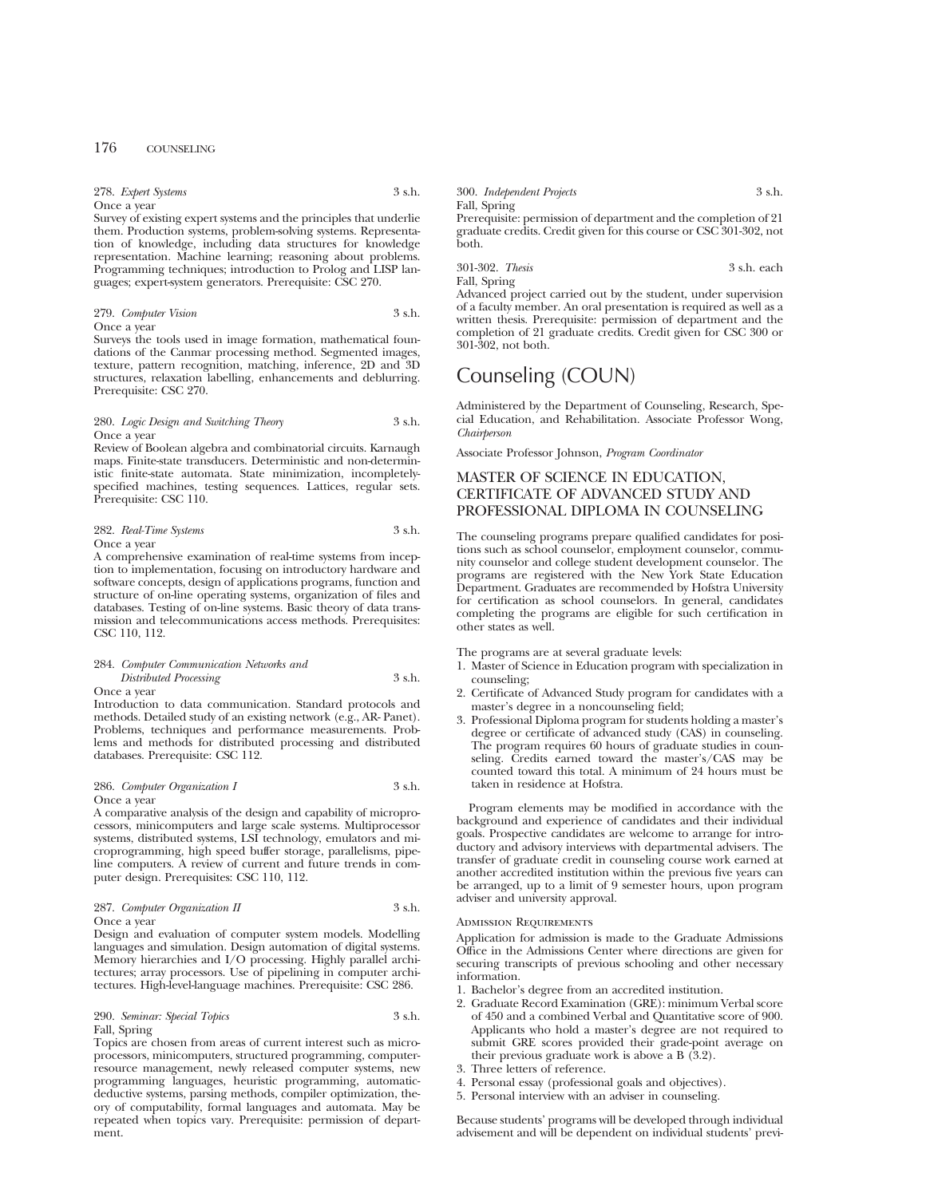| 278. Expert Systems | 3 s.h. |
|---------------------|--------|
| Once a year         |        |

Survey of existing expert systems and the principles that underlie them. Production systems, problem-solving systems. Representation of knowledge, including data structures for knowledge representation. Machine learning; reasoning about problems. Programming techniques; introduction to Prolog and LISP languages; expert-system generators. Prerequisite: CSC 270.

## 279. *Computer Vision* 3 s.h. Once a year

Surveys the tools used in image formation, mathematical foundations of the Canmar processing method. Segmented images, texture, pattern recognition, matching, inference, 2D and 3D structures, relaxation labelling, enhancements and deblurring. Prerequisite: CSC 270.

## 280. *Logic Design and Switching Theory* 3 s.h. Once a year

Review of Boolean algebra and combinatorial circuits. Karnaugh maps. Finite-state transducers. Deterministic and non-deterministic finite-state automata. State minimization, incompletelyspecified machines, testing sequences. Lattices, regular sets. Prerequisite: CSC 110.

| 282. Real-Time Systems | 3 s.h. |
|------------------------|--------|
| Once a year            |        |

A comprehensive examination of real-time systems from inception to implementation, focusing on introductory hardware and software concepts, design of applications programs, function and structure of on-line operating systems, organization of files and databases. Testing of on-line systems. Basic theory of data transmission and telecommunications access methods. Prerequisites: CSC 110, 112.

## 284. *Computer Communication Networks and*

*Distributed Processing* 3 s.h. Once a year

Introduction to data communication. Standard protocols and methods. Detailed study of an existing network (e.g., AR- Panet). Problems, techniques and performance measurements. Problems and methods for distributed processing and distributed databases. Prerequisite: CSC 112.

286. *Computer Organization I* 3 s.h. Once a year

A comparative analysis of the design and capability of microprocessors, minicomputers and large scale systems. Multiprocessor systems, distributed systems, LSI technology, emulators and microprogramming, high speed buffer storage, parallelisms, pipeline computers. A review of current and future trends in computer design. Prerequisites: CSC 110, 112.

# 287. *Computer Organization II* 3 s.h.

Once a year

Design and evaluation of computer system models. Modelling languages and simulation. Design automation of digital systems. Memory hierarchies and I/O processing. Highly parallel architectures; array processors. Use of pipelining in computer architectures. High-level-language machines. Prerequisite: CSC 286.

## 290. *Seminar: Special Topics* 3 s.h. Fall, Spring

Topics are chosen from areas of current interest such as microprocessors, minicomputers, structured programming, computerresource management, newly released computer systems, new programming languages, heuristic programming, automaticdeductive systems, parsing methods, compiler optimization, theory of computability, formal languages and automata. May be repeated when topics vary. Prerequisite: permission of department.

| 300. Independent Projects |  |  | 3 s.h. |
|---------------------------|--|--|--------|
| Fall, Spring              |  |  |        |
|                           |  |  |        |

Prerequisite: permission of department and the completion of 21 graduate credits. Credit given for this course or CSC 301-302, not both.

301-302. *Thesis* 3 s.h. each Fall, Spring

Advanced project carried out by the student, under supervision of a faculty member. An oral presentation is required as well as a written thesis. Prerequisite: permission of department and the completion of 21 graduate credits. Credit given for CSC 300 or 301-302, not both.

# Counseling (COUN)

Administered by the Department of Counseling, Research, Special Education, and Rehabilitation. Associate Professor Wong, *Chairperson*

Associate Professor Johnson, *Program Coordinator*

# MASTER OF SCIENCE IN EDUCATION, CERTIFICATE OF ADVANCED STUDY AND PROFESSIONAL DIPLOMA IN COUNSELING

The counseling programs prepare qualified candidates for positions such as school counselor, employment counselor, community counselor and college student development counselor. The programs are registered with the New York State Education Department. Graduates are recommended by Hofstra University for certification as school counselors. In general, candidates completing the programs are eligible for such certification in other states as well.

The programs are at several graduate levels:

- 1. Master of Science in Education program with specialization in counseling;
- 2. Certificate of Advanced Study program for candidates with a master's degree in a noncounseling field;
- 3. Professional Diploma program for students holding a master's degree or certificate of advanced study (CAS) in counseling. The program requires 60 hours of graduate studies in counseling. Credits earned toward the master's/CAS may be counted toward this total. A minimum of 24 hours must be taken in residence at Hofstra.

Program elements may be modified in accordance with the background and experience of candidates and their individual goals. Prospective candidates are welcome to arrange for introductory and advisory interviews with departmental advisers. The transfer of graduate credit in counseling course work earned at another accredited institution within the previous five years can be arranged, up to a limit of 9 semester hours, upon program adviser and university approval.

## Admission Requirements

Application for admission is made to the Graduate Admissions Office in the Admissions Center where directions are given for securing transcripts of previous schooling and other necessary information.

- 1. Bachelor's degree from an accredited institution.
- 2. Graduate Record Examination (GRE): minimum Verbal score of 450 and a combined Verbal and Quantitative score of 900. Applicants who hold a master's degree are not required to submit GRE scores provided their grade-point average on their previous graduate work is above a B  $(3.2)$ .
- 3. Three letters of reference.
- 4. Personal essay (professional goals and objectives).
- 5. Personal interview with an adviser in counseling.

Because students' programs will be developed through individual advisement and will be dependent on individual students' previ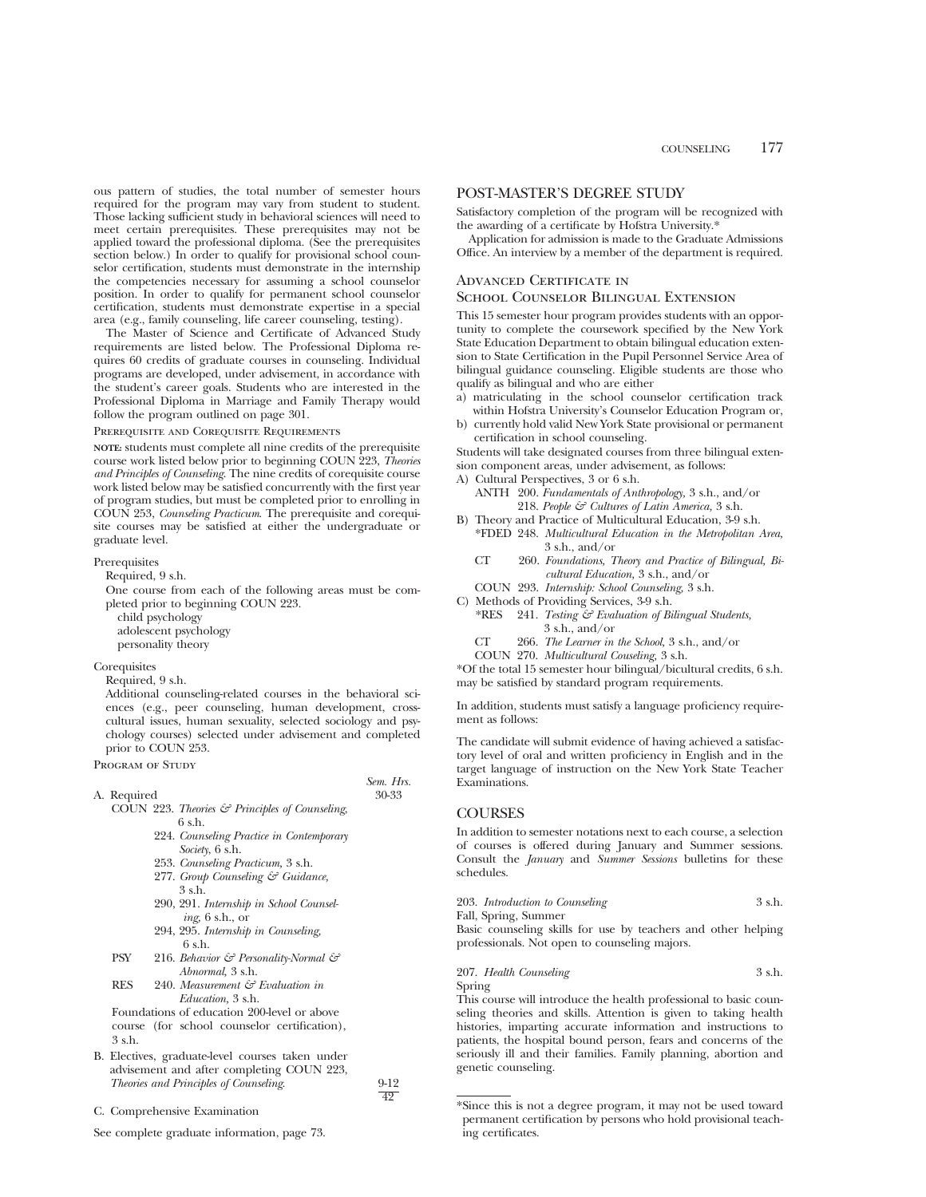ous pattern of studies, the total number of semester hours required for the program may vary from student to student. Those lacking sufficient study in behavioral sciences will need to meet certain prerequisites. These prerequisites may not be applied toward the professional diploma. (See the prerequisites section below.) In order to qualify for provisional school counselor certification, students must demonstrate in the internship the competencies necessary for assuming a school counselor position. In order to qualify for permanent school counselor certification, students must demonstrate expertise in a special area (e.g., family counseling, life career counseling, testing).

The Master of Science and Certificate of Advanced Study requirements are listed below. The Professional Diploma requires 60 credits of graduate courses in counseling. Individual programs are developed, under advisement, in accordance with the student's career goals. Students who are interested in the Professional Diploma in Marriage and Family Therapy would follow the program outlined on page 301.

Prerequisite and Corequisite Requirements

**NOTE:** students must complete all nine credits of the prerequisite course work listed below prior to beginning COUN 223, *Theories and Principles of Counseling*. The nine credits of corequisite course work listed below may be satisfied concurrently with the first year of program studies, but must be completed prior to enrolling in COUN 253, *Counseling Practicum*. The prerequisite and corequisite courses may be satisfied at either the undergraduate or graduate level.

Prerequisites

Required, 9 s.h.

One course from each of the following areas must be completed prior to beginning COUN 223. child psychology adolescent psychology personality theory

## **Corequisites**

Required, 9 s.h.

Additional counseling-related courses in the behavioral sciences (e.g., peer counseling, human development, crosscultural issues, human sexuality, selected sociology and psychology courses) selected under advisement and completed prior to COUN 253.

PROGRAM OF STUDY

A. Required

*Sem. Hrs.*

49

- COUN 223. *Theories & Principles of Counseling*, 6 s.h.
	- 224. *Counseling Practice in Contemporary Society*, 6 s.h.
	- 253. *Counseling Practicum,* 3 s.h.
	- 277. *Group Counseling & Guidance,* 3 s.h.
	- 290, 291. *Internship in School Counseling,* 6 s.h., or
	- 294, 295. *Internship in Counseling,* 6 s.h.
- PSY 216. *Behavior & Personality-Normal & Abnormal,* 3 s.h.
- RES 240. *Measurement & Evaluation in Education,* 3 s.h.

Foundations of education 200-level or above course (for school counselor certification), 3 s.h.

- B. Electives, graduate-level courses taken under advisement and after completing COUN 223, *Theories and Principles of Counseling*. 9-12
- C. Comprehensive Examination

See complete graduate information, page 73.

## POST-MASTER'S DEGREE STUDY

Satisfactory completion of the program will be recognized with the awarding of a certificate by Hofstra University.\*

Application for admission is made to the Graduate Admissions Office. An interview by a member of the department is required.

# Advanced Certificate in

## School Counselor Bilingual Extension

This 15 semester hour program provides students with an opportunity to complete the coursework specified by the New York State Education Department to obtain bilingual education extension to State Certification in the Pupil Personnel Service Area of bilingual guidance counseling. Eligible students are those who qualify as bilingual and who are either

- a) matriculating in the school counselor certification track within Hofstra University's Counselor Education Program or,
- b) currently hold valid New York State provisional or permanent certification in school counseling.

Students will take designated courses from three bilingual extension component areas, under advisement, as follows:

- A) Cultural Perspectives, 3 or 6 s.h.
	- ANTH 200. *Fundamentals of Anthropology,* 3 s.h., and/or 218. *People & Cultures of Latin America,* 3 s.h.
- B) Theory and Practice of Multicultural Education, 3-9 s.h. \*FDED 248. *Multicultural Education in the Metropolitan Area,* 3 s.h., and/or
	- CT 260. *Foundations, Theory and Practice of Bilingual, Bicultural Education,* 3 s.h., and/or
- COUN 293. *Internship: School Counseling,* 3 s.h.
- C) Methods of Providing Services, 3-9 s.h.
	- \*RES 241. *Testing & Evaluation of Bilingual Students,* 3 s.h., and/or
	- *The Learner in the School,* 3 s.h., and/or CT 266.
	- *Multicultural Couseling,* 3 s.h. COUN 270.

\*Of the total 15 semester hour bilingual/bicultural credits, 6 s.h. may be satisfied by standard program requirements.

In addition, students must satisfy a language proficiency requirement as follows:

The candidate will submit evidence of having achieved a satisfactory level of oral and written proficiency in English and in the target language of instruction on the New York State Teacher Examinations.

## **COURSES**

In addition to semester notations next to each course, a selection of courses is offered during January and Summer sessions. Consult the *January* and *Summer Sessions* bulletins for these schedules.

| 203. Introduction to Counseling | 3 s.h. |
|---------------------------------|--------|
| Fall, Spring, Summer            |        |

Basic counseling skills for use by teachers and other helping professionals. Not open to counseling majors.

207. *Health Counseling* 3 s.h. Spring

This course will introduce the health professional to basic counseling theories and skills. Attention is given to taking health histories, imparting accurate information and instructions to patients, the hospital bound person, fears and concerns of the seriously ill and their families. Family planning, abortion and genetic counseling.

<sup>\*</sup>Since this is not a degree program, it may not be used toward permanent certification by persons who hold provisional teaching certificates.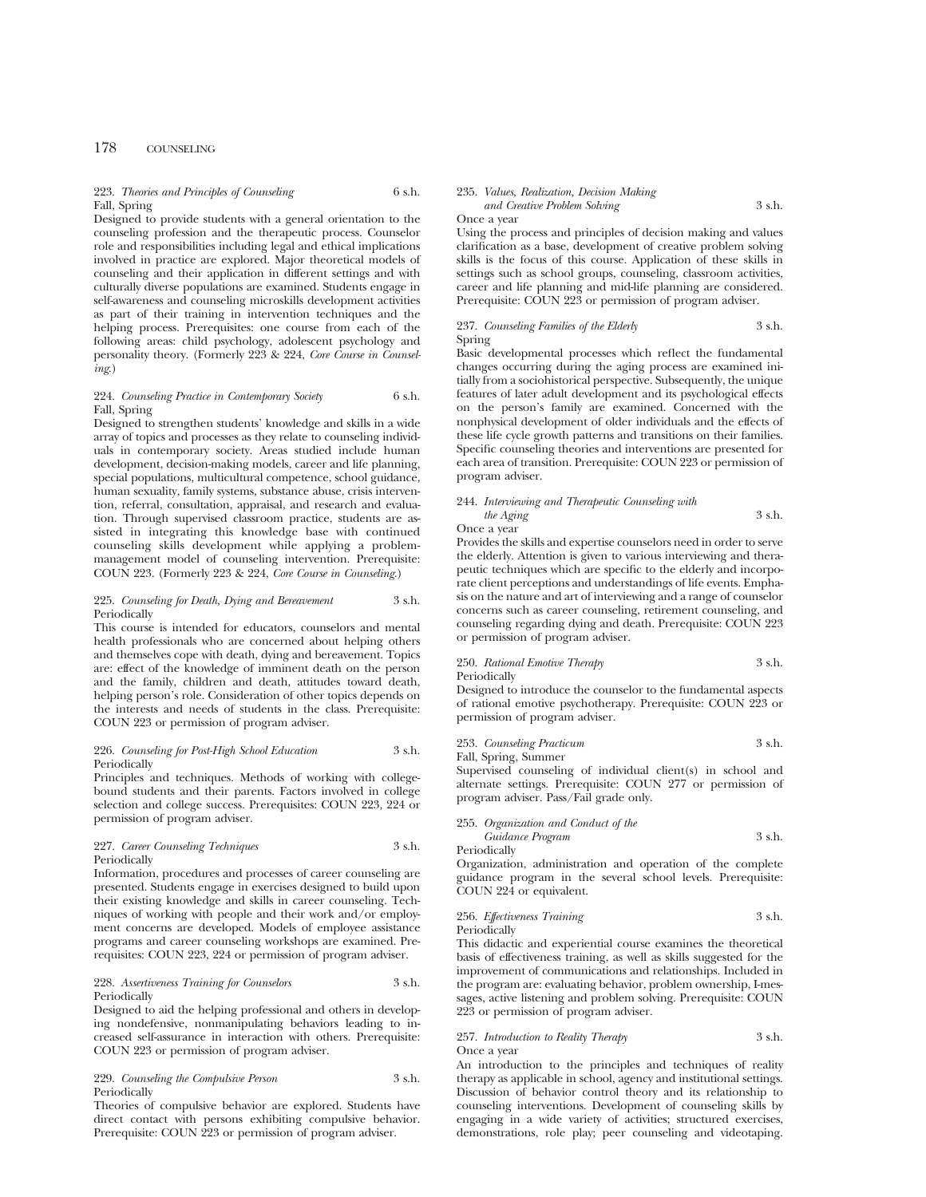## 223. *Theories and Principles of Counseling* 6 s.h. Fall, Spring

Designed to provide students with a general orientation to the counseling profession and the therapeutic process. Counselor role and responsibilities including legal and ethical implications involved in practice are explored. Major theoretical models of counseling and their application in different settings and with culturally diverse populations are examined. Students engage in self-awareness and counseling microskills development activities as part of their training in intervention techniques and the helping process. Prerequisites: one course from each of the following areas: child psychology, adolescent psychology and personality theory. (Formerly 223 & 224, *Core Course in Counseling*.)

## 224. *Counseling Practice in Contemporary Society* 6 s.h. Fall, Spring

Designed to strengthen students' knowledge and skills in a wide array of topics and processes as they relate to counseling individuals in contemporary society. Areas studied include human development, decision-making models, career and life planning, special populations, multicultural competence, school guidance, human sexuality, family systems, substance abuse, crisis intervention, referral, consultation, appraisal, and research and evaluation. Through supervised classroom practice, students are assisted in integrating this knowledge base with continued counseling skills development while applying a problemmanagement model of counseling intervention. Prerequisite: COUN 223. (Formerly 223 & 224, *Core Course in Counseling*.)

## 225. *Counseling for Death, Dying and Bereavement* 3 s.h. Periodically

This course is intended for educators, counselors and mental health professionals who are concerned about helping others and themselves cope with death, dying and bereavement. Topics are: effect of the knowledge of imminent death on the person and the family, children and death, attitudes toward death, helping person's role. Consideration of other topics depends on the interests and needs of students in the class. Prerequisite: COUN 223 or permission of program adviser.

## 226. *Counseling for Post-High School Education* 3 s.h. Periodically

Principles and techniques. Methods of working with collegebound students and their parents. Factors involved in college selection and college success. Prerequisites: COUN 223, 224 or permission of program adviser.

## 227. *Career Counseling Techniques* 3 s.h. Periodically

Information, procedures and processes of career counseling are presented. Students engage in exercises designed to build upon their existing knowledge and skills in career counseling. Techniques of working with people and their work and/or employment concerns are developed. Models of employee assistance programs and career counseling workshops are examined. Prerequisites: COUN 223, 224 or permission of program adviser.

## 228. *Assertiveness Training for Counselors* 3 s.h. Periodically

Designed to aid the helping professional and others in developing nondefensive, nonmanipulating behaviors leading to increased self-assurance in interaction with others. Prerequisite: COUN 223 or permission of program adviser.

## 229. *Counseling the Compulsive Person* 3 s.h. Periodically

Theories of compulsive behavior are explored. Students have direct contact with persons exhibiting compulsive behavior. Prerequisite: COUN 223 or permission of program adviser.

## 235. *Values, Realization, Decision Making and Creative Problem Solving* 3 s.h.

## Once a year

Using the process and principles of decision making and values clarification as a base, development of creative problem solving skills is the focus of this course. Application of these skills in settings such as school groups, counseling, classroom activities, career and life planning and mid-life planning are considered. Prerequisite: COUN 223 or permission of program adviser.

## 237. *Counseling Families of the Elderly* 3 s.h. Spring

Basic developmental processes which reflect the fundamental changes occurring during the aging process are examined initially from a sociohistorical perspective. Subsequently, the unique features of later adult development and its psychological effects on the person's family are examined. Concerned with the nonphysical development of older individuals and the effects of these life cycle growth patterns and transitions on their families. Specific counseling theories and interventions are presented for each area of transition. Prerequisite: COUN 223 or permission of program adviser.

| 244. Interviewing and Therapeutic Counseling with |        |
|---------------------------------------------------|--------|
| the Aging                                         | 3 s.h. |
| Once a year                                       |        |

Provides the skills and expertise counselors need in order to serve the elderly. Attention is given to various interviewing and therapeutic techniques which are specific to the elderly and incorporate client perceptions and understandings of life events. Emphasis on the nature and art of interviewing and a range of counselor concerns such as career counseling, retirement counseling, and counseling regarding dying and death. Prerequisite: COUN 223 or permission of program adviser.

## 250. *Rational Emotive Therapy* 3 s.h. Periodically

Designed to introduce the counselor to the fundamental aspects of rational emotive psychotherapy. Prerequisite: COUN 223 or permission of program adviser.

## 253. *Counseling Practicum* 3 s.h. Fall, Spring, Summer

Supervised counseling of individual client(s) in school and alternate settings. Prerequisite: COUN 277 or permission of program adviser. Pass/Fail grade only.

255. *Organization and Conduct of the Guidance Program* 3 s.h.

Periodically

Organization, administration and operation of the complete guidance program in the several school levels. Prerequisite: COUN 224 or equivalent.

256. *Effectiveness Training* 3 s.h. Periodically

This didactic and experiential course examines the theoretical basis of effectiveness training, as well as skills suggested for the improvement of communications and relationships. Included in the program are: evaluating behavior, problem ownership, I-messages, active listening and problem solving. Prerequisite: COUN 223 or permission of program adviser.

## 257. *Introduction to Reality Therapy* 3 s.h. Once a year

An introduction to the principles and techniques of reality therapy as applicable in school, agency and institutional settings. Discussion of behavior control theory and its relationship to counseling interventions. Development of counseling skills by engaging in a wide variety of activities; structured exercises, demonstrations, role play; peer counseling and videotaping.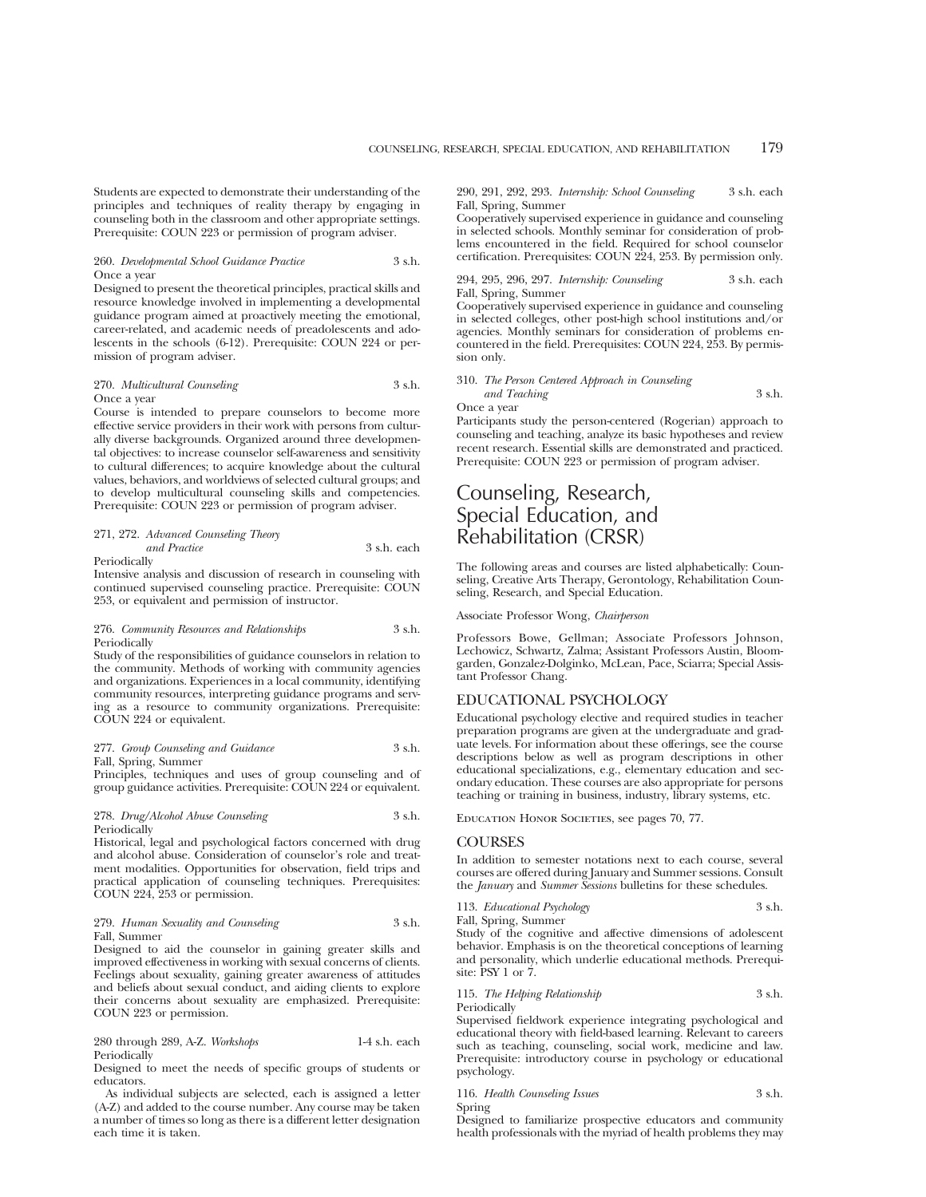Students are expected to demonstrate their understanding of the principles and techniques of reality therapy by engaging in counseling both in the classroom and other appropriate settings. Prerequisite: COUN 223 or permission of program adviser.

#### 260. *Developmental School Guidance Practice* 3 s.h. Once a year

Designed to present the theoretical principles, practical skills and resource knowledge involved in implementing a developmental guidance program aimed at proactively meeting the emotional, career-related, and academic needs of preadolescents and adolescents in the schools (6-12). Prerequisite: COUN 224 or permission of program adviser.

## 270. *Multicultural Counseling* 3 s.h. Once a year

Course is intended to prepare counselors to become more effective service providers in their work with persons from culturally diverse backgrounds. Organized around three developmental objectives: to increase counselor self-awareness and sensitivity to cultural differences; to acquire knowledge about the cultural values, behaviors, and worldviews of selected cultural groups; and to develop multicultural counseling skills and competencies. Prerequisite: COUN 223 or permission of program adviser.

# 271, 272. *Advanced Counseling Theory and Practice* 3 s.h. each

Periodically

Intensive analysis and discussion of research in counseling with continued supervised counseling practice. Prerequisite: COUN 253, or equivalent and permission of instructor.

#### 276. *Community Resources and Relationships* 3 s.h. Periodically

Study of the responsibilities of guidance counselors in relation to the community. Methods of working with community agencies and organizations. Experiences in a local community, identifying community resources, interpreting guidance programs and serving as a resource to community organizations. Prerequisite: COUN 224 or equivalent.

## 277. *Group Counseling and Guidance* 3 s.h. Fall, Spring, Summer

Principles, techniques and uses of group counseling and of group guidance activities. Prerequisite: COUN 224 or equivalent.

#### 278. *Drug/Alcohol Abuse Counseling* 3 s.h. Periodically

Historical, legal and psychological factors concerned with drug and alcohol abuse. Consideration of counselor's role and treatment modalities. Opportunities for observation, field trips and practical application of counseling techniques. Prerequisites: COUN 224, 253 or permission.

## 279. *Human Sexuality and Counseling* 3 s.h. Fall, Summer

Designed to aid the counselor in gaining greater skills and improved effectiveness in working with sexual concerns of clients. Feelings about sexuality, gaining greater awareness of attitudes and beliefs about sexual conduct, and aiding clients to explore their concerns about sexuality are emphasized. Prerequisite: COUN 223 or permission.

280 through 289, A-Z. *Workshops* 1-4 s.h. each Periodically

Designed to meet the needs of specific groups of students or educators.

As individual subjects are selected, each is assigned a letter (A-Z) and added to the course number. Any course may be taken a number of times so long as there is a different letter designation each time it is taken.

290, 291, 292, 293. *Internship: School Counseling* 3 s.h. each Fall, Spring, Summer

Cooperatively supervised experience in guidance and counseling in selected schools. Monthly seminar for consideration of problems encountered in the field. Required for school counselor certification. Prerequisites: COUN 224, 253. By permission only.

## 294, 295, 296, 297. *Internship: Counseling* 3 s.h. each Fall, Spring, Summer

Cooperatively supervised experience in guidance and counseling in selected colleges, other post-high school institutions and/or agencies. Monthly seminars for consideration of problems encountered in the field. Prerequisites: COUN 224, 253. By permission only.

310. *The Person Centered Approach in Counseling and Teaching* 3 s.h.

Once a year

Participants study the person-centered (Rogerian) approach to counseling and teaching, analyze its basic hypotheses and review recent research. Essential skills are demonstrated and practiced. Prerequisite: COUN 223 or permission of program adviser.

# Counseling, Research, Special Education, and Rehabilitation (CRSR)

The following areas and courses are listed alphabetically: Counseling, Creative Arts Therapy, Gerontology, Rehabilitation Counseling, Research, and Special Education.

Associate Professor Wong, *Chairperson*

Professors Bowe, Gellman; Associate Professors Johnson, Lechowicz, Schwartz, Zalma; Assistant Professors Austin, Bloomgarden, Gonzalez-Dolginko, McLean, Pace, Sciarra; Special Assistant Professor Chang.

## EDUCATIONAL PSYCHOLOGY

Educational psychology elective and required studies in teacher preparation programs are given at the undergraduate and graduate levels. For information about these offerings, see the course descriptions below as well as program descriptions in other educational specializations, e.g., elementary education and secondary education. These courses are also appropriate for persons teaching or training in business, industry, library systems, etc.

EDUCATION HONOR SOCIETIES, see pages 70, 77.

## **COURSES**

In addition to semester notations next to each course, several courses are offered during January and Summer sessions. Consult the *January* and *Summer Sessions* bulletins for these schedules.

113. *Educational Psychology* 3 s.h.

Fall, Spring, Summer Study of the cognitive and affective dimensions of adolescent behavior. Emphasis is on the theoretical conceptions of learning and personality, which underlie educational methods. Prerequisite: PSY 1 or 7.

## 115. *The Helping Relationship* 3 s.h. Periodically

Supervised fieldwork experience integrating psychological and educational theory with field-based learning. Relevant to careers such as teaching, counseling, social work, medicine and law. Prerequisite: introductory course in psychology or educational psychology.

116. *Health Counseling Issues* 3 s.h. Spring

Designed to familiarize prospective educators and community health professionals with the myriad of health problems they may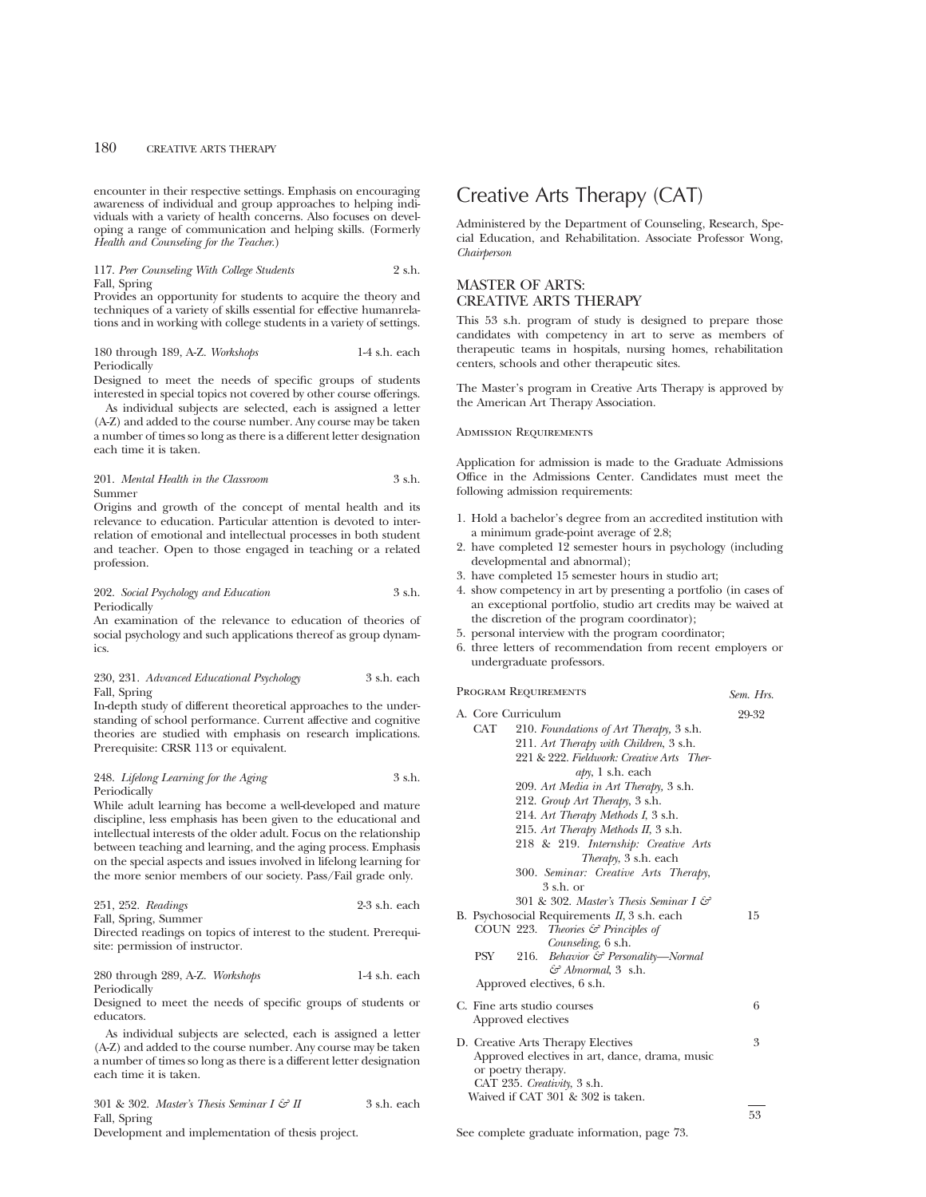encounter in their respective settings. Emphasis on encouraging awareness of individual and group approaches to helping individuals with a variety of health concerns. Also focuses on developing a range of communication and helping skills. (Formerly *Health and Counseling for the Teacher*.)

## 117. *Peer Counseling With College Students* 2 s.h. Fall, Spring

Provides an opportunity for students to acquire the theory and techniques of a variety of skills essential for effective humanrelations and in working with college students in a variety of settings.

180 through 189, A-Z. *Workshops* 1-4 s.h. each Periodically

Designed to meet the needs of specific groups of students interested in special topics not covered by other course offerings.

As individual subjects are selected, each is assigned a letter (A-Z) and added to the course number. Any course may be taken a number of times so long as there is a different letter designation each time it is taken.

201. *Mental Health in the Classroom* 3 s.h. Summer

Origins and growth of the concept of mental health and its relevance to education. Particular attention is devoted to interrelation of emotional and intellectual processes in both student and teacher. Open to those engaged in teaching or a related profession.

202. *Social Psychology and Education* 3 s.h. Periodically

An examination of the relevance to education of theories of social psychology and such applications thereof as group dynamics.

## 230, 231. *Advanced Educational Psychology* 3 s.h. each Fall, Spring

In-depth study of different theoretical approaches to the understanding of school performance. Current affective and cognitive theories are studied with emphasis on research implications. Prerequisite: CRSR 113 or equivalent.

248. *Lifelong Learning for the Aging* 3 s.h. Periodically

While adult learning has become a well-developed and mature discipline, less emphasis has been given to the educational and intellectual interests of the older adult. Focus on the relationship between teaching and learning, and the aging process. Emphasis on the special aspects and issues involved in lifelong learning for the more senior members of our society. Pass/Fail grade only.

|  |  | 251, 252. Readings | $2-3$ s.h. each |  |
|--|--|--------------------|-----------------|--|
|--|--|--------------------|-----------------|--|

Fall, Spring, Summer

Directed readings on topics of interest to the student. Prerequisite: permission of instructor.

## 280 through 289, A-Z. *Workshops* 1-4 s.h. each Periodically

Designed to meet the needs of specific groups of students or educators.

As individual subjects are selected, each is assigned a letter (A-Z) and added to the course number. Any course may be taken a number of times so long as there is a different letter designation each time it is taken.

 $301 \& 302$ . *Master's Thesis Seminar I*  $\xi \xi H$   $\qquad 3 \sh$  each Fall, Spring

Development and implementation of thesis project.

# Creative Arts Therapy (CAT)

Administered by the Department of Counseling, Research, Special Education, and Rehabilitation. Associate Professor Wong, *Chairperson*

# MASTER OF ARTS: CREATIVE ARTS THERAPY

This 53 s.h. program of study is designed to prepare those candidates with competency in art to serve as members of therapeutic teams in hospitals, nursing homes, rehabilitation centers, schools and other therapeutic sites.

The Master's program in Creative Arts Therapy is approved by the American Art Therapy Association.

## Admission Requirements

Application for admission is made to the Graduate Admissions Office in the Admissions Center. Candidates must meet the following admission requirements:

- 1. Hold a bachelor's degree from an accredited institution with a minimum grade-point average of 2.8;
- 2. have completed 12 semester hours in psychology (including developmental and abnormal);
- 3. have completed 15 semester hours in studio art;
- 4. show competency in art by presenting a portfolio (in cases of an exceptional portfolio, studio art credits may be waived at the discretion of the program coordinator);
- 5. personal interview with the program coordinator;
- 6. three letters of recommendation from recent employers or undergraduate professors.

Program Requirements *Sem. Hrs.*

| A. Core Curriculum                                  | 29-32 |
|-----------------------------------------------------|-------|
| CAT<br>210. Foundations of Art Therapy, 3 s.h.      |       |
| 211. Art Therapy with Children, 3 s.h.              |       |
| 221 & 222. Fieldwork: Creative Arts Ther-           |       |
| $\alpha$ <i>b</i> y, 1 s.h. each                    |       |
| 209. Art Media in Art Therapy, 3 s.h.               |       |
| 212. Group Art Therapy, 3 s.h.                      |       |
| 214. Art Therapy Methods I, 3 s.h.                  |       |
| 215. Art Therapy Methods II, 3 s.h.                 |       |
| 218 & 219. Internship: Creative Arts                |       |
| Therapy, 3 s.h. each                                |       |
| 300. Seminar: Creative Arts Therapy,                |       |
| $3$ s.h. or                                         |       |
| 301 & 302. Master's Thesis Seminar I $\mathcal{F}$  |       |
| B. Psychosocial Requirements II, 3 s.h. each        | 15    |
| COUN 223. Theories $\mathcal G$ Principles of       |       |
| Counseling, 6 s.h.                                  |       |
| <b>PSY</b><br>Behavior & Personality—Normal<br>216. |       |
| $\mathcal{F}$ Abnormal, 3 s.h.                      |       |
| Approved electives, 6 s.h.                          |       |
| C. Fine arts studio courses                         | 6     |
| Approved electives                                  |       |
| D. Creative Arts Therapy Electives                  | 3     |
| Approved electives in art, dance, drama, music      |       |
| or poetry therapy.                                  |       |
| CAT 235. Creativity, 3 s.h.                         |       |
| Waived if CAT 301 & 302 is taken.                   |       |
|                                                     |       |

See complete graduate information, page 73.

53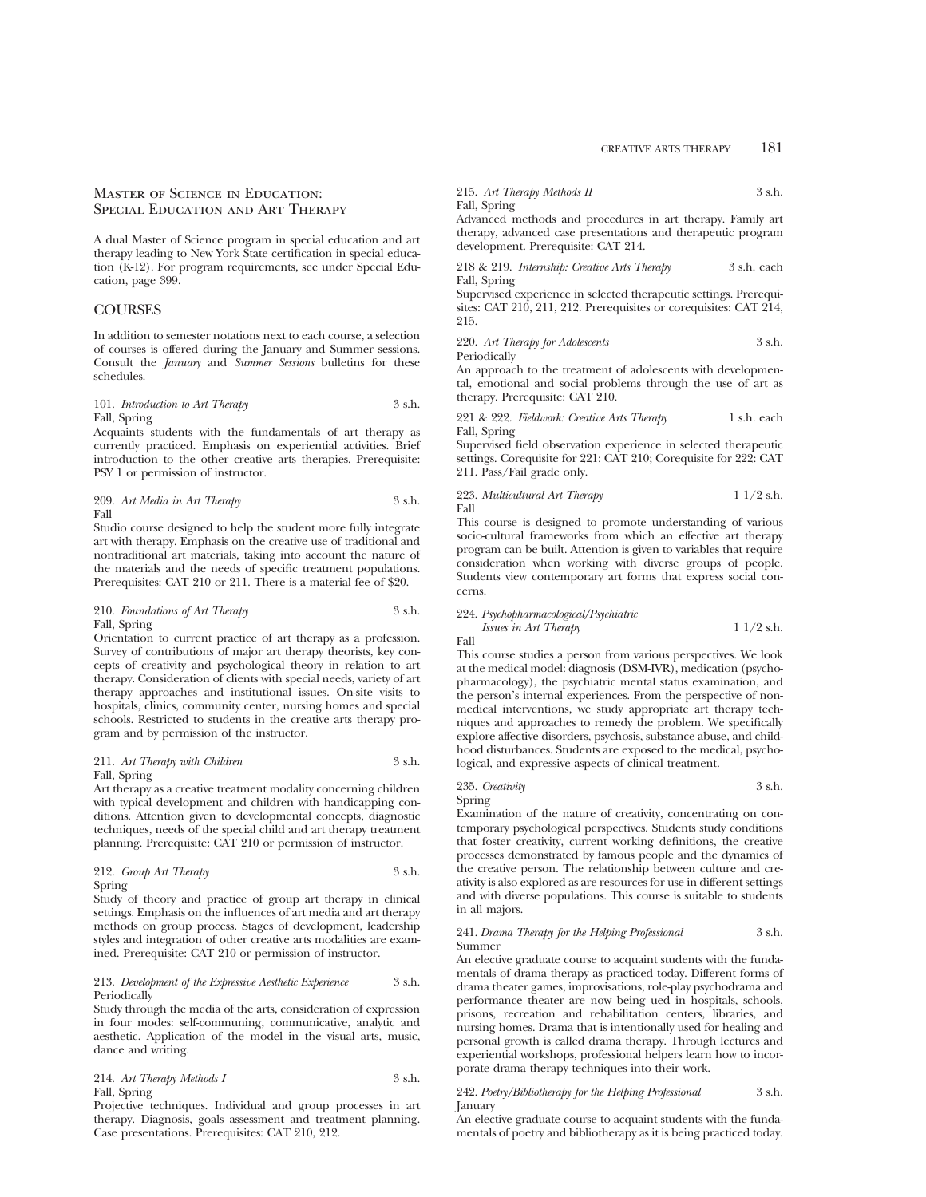## Master of Science in Education: Special Education and Art Therapy

A dual Master of Science program in special education and art therapy leading to New York State certification in special education (K-12). For program requirements, see under Special Education, page 399.

## **COURSES**

In addition to semester notations next to each course, a selection of courses is offered during the January and Summer sessions. Consult the *January* and *Summer Sessions* bulletins for these schedules.

101. *Introduction to Art Therapy* 3 s.h. Fall, Spring

Acquaints students with the fundamentals of art therapy as currently practiced. Emphasis on experiential activities. Brief introduction to the other creative arts therapies. Prerequisite: PSY 1 or permission of instructor.

209. *Art Media in Art Therapy* 3 s.h. Fall

Studio course designed to help the student more fully integrate art with therapy. Emphasis on the creative use of traditional and nontraditional art materials, taking into account the nature of the materials and the needs of specific treatment populations. Prerequisites: CAT 210 or 211. There is a material fee of \$20.

## 210. *Foundations of Art Therapy* 3 s.h. Fall, Spring

Orientation to current practice of art therapy as a profession. Survey of contributions of major art therapy theorists, key concepts of creativity and psychological theory in relation to art therapy. Consideration of clients with special needs, variety of art therapy approaches and institutional issues. On-site visits to hospitals, clinics, community center, nursing homes and special schools. Restricted to students in the creative arts therapy program and by permission of the instructor.

## 211. *Art Therapy with Children* 3 s.h. Fall, Spring

Art therapy as a creative treatment modality concerning children with typical development and children with handicapping conditions. Attention given to developmental concepts, diagnostic techniques, needs of the special child and art therapy treatment planning. Prerequisite: CAT 210 or permission of instructor.

212. *Group Art Therapy* 3 s.h. Spring

Study of theory and practice of group art therapy in clinical settings. Emphasis on the influences of art media and art therapy methods on group process. Stages of development, leadership styles and integration of other creative arts modalities are examined. Prerequisite: CAT 210 or permission of instructor.

## 213. *Development of the Expressive Aesthetic Experience* 3 s.h. Periodically

Study through the media of the arts, consideration of expression in four modes: self-communing, communicative, analytic and aesthetic. Application of the model in the visual arts, music, dance and writing.

## 214. *Art Therapy Methods I* 3 s.h. Fall, Spring

Projective techniques. Individual and group processes in art therapy. Diagnosis, goals assessment and treatment planning. Case presentations. Prerequisites: CAT 210, 212.

## 215. *Art Therapy Methods II* 3 s.h. Fall, Spring

Advanced methods and procedures in art therapy. Family art therapy, advanced case presentations and therapeutic program development. Prerequisite: CAT 214.

218 & 219. *Internship: Creative Arts Therapy* 3 s.h. each Fall, Spring

Supervised experience in selected therapeutic settings. Prerequisites: CAT 210, 211, 212. Prerequisites or corequisites: CAT 214, 215.

220. *Art Therapy for Adolescents* 3 s.h. Periodically

An approach to the treatment of adolescents with developmental, emotional and social problems through the use of art as therapy. Prerequisite: CAT 210.

221 & 222. *Fieldwork: Creative Arts Therapy* 1 s.h. each Fall, Spring

Supervised field observation experience in selected therapeutic settings. Corequisite for 221: CAT 210; Corequisite for 222: CAT 211. Pass/Fail grade only.

223. *Multicultural Art Therapy* 1 1/2 s.h. Fall

This course is designed to promote understanding of various socio-cultural frameworks from which an effective art therapy program can be built. Attention is given to variables that require consideration when working with diverse groups of people. Students view contemporary art forms that express social concerns.

224. *Psychopharmacological/Psychiatric Issues in Art Therapy* 1 1/2 s.h. Fall

This course studies a person from various perspectives. We look at the medical model: diagnosis (DSM-IVR), medication (psychopharmacology), the psychiatric mental status examination, and the person's internal experiences. From the perspective of nonmedical interventions, we study appropriate art therapy techniques and approaches to remedy the problem. We specifically explore affective disorders, psychosis, substance abuse, and childhood disturbances. Students are exposed to the medical, psychological, and expressive aspects of clinical treatment.

235. *Creativity* 3 s.h. Spring

Examination of the nature of creativity, concentrating on contemporary psychological perspectives. Students study conditions that foster creativity, current working definitions, the creative processes demonstrated by famous people and the dynamics of the creative person. The relationship between culture and creativity is also explored as are resources for use in different settings and with diverse populations. This course is suitable to students in all majors.

## 241. *Drama Therapy for the Helping Professional* 3 s.h. Summer

An elective graduate course to acquaint students with the fundamentals of drama therapy as practiced today. Different forms of drama theater games, improvisations, role-play psychodrama and performance theater are now being ued in hospitals, schools, prisons, recreation and rehabilitation centers, libraries, and nursing homes. Drama that is intentionally used for healing and personal growth is called drama therapy. Through lectures and experiential workshops, professional helpers learn how to incorporate drama therapy techniques into their work.

## 242. *Poetry/Bibliotherapy for the Helping Professional* 3 s.h. January

An elective graduate course to acquaint students with the fundamentals of poetry and bibliotherapy as it is being practiced today.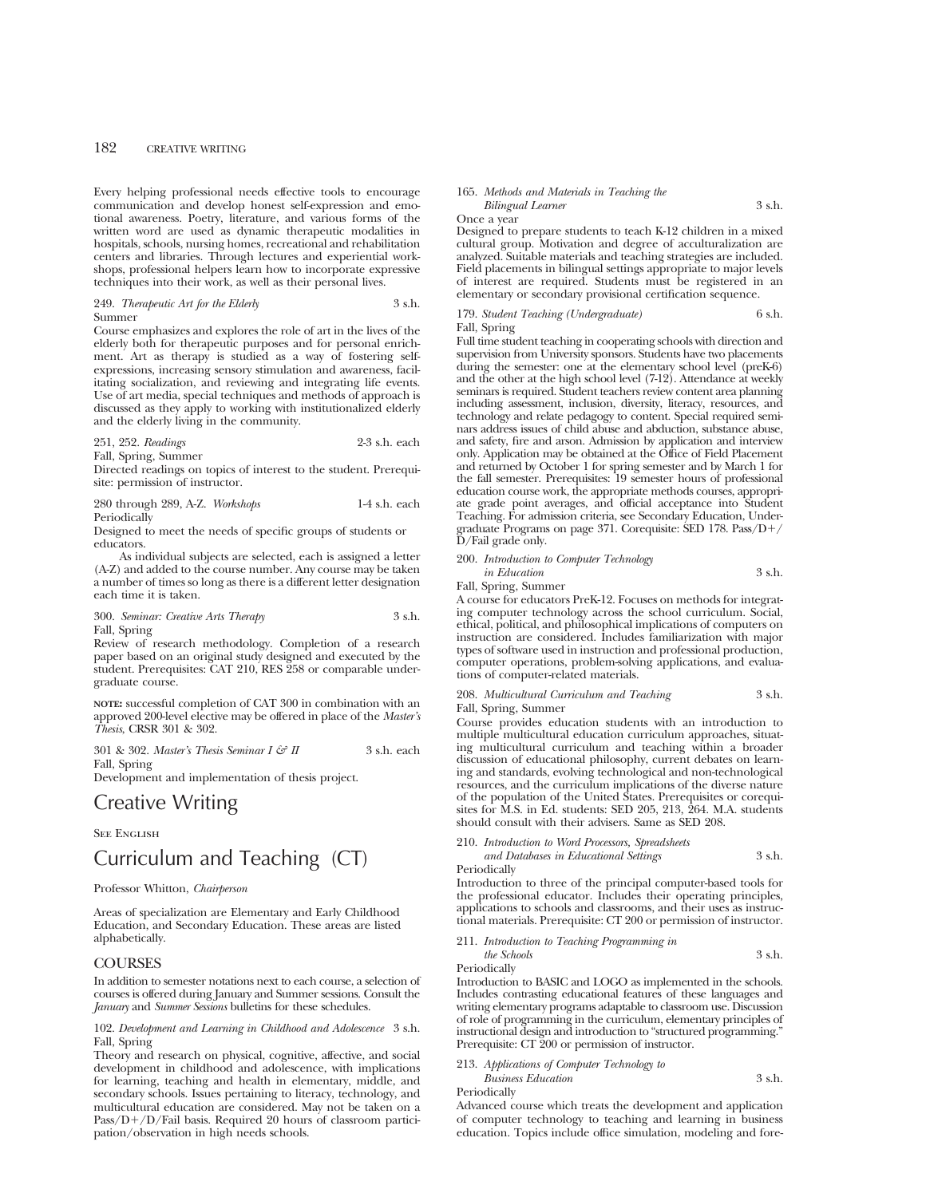Every helping professional needs effective tools to encourage communication and develop honest self-expression and emotional awareness. Poetry, literature, and various forms of the written word are used as dynamic therapeutic modalities in hospitals, schools, nursing homes, recreational and rehabilitation centers and libraries. Through lectures and experiential workshops, professional helpers learn how to incorporate expressive techniques into their work, as well as their personal lives.

## 249. *Therapeutic Art for the Elderly* 3 s.h. Summer

Course emphasizes and explores the role of art in the lives of the elderly both for therapeutic purposes and for personal enrichment. Art as therapy is studied as a way of fostering selfexpressions, increasing sensory stimulation and awareness, facilitating socialization, and reviewing and integrating life events. Use of art media, special techniques and methods of approach is discussed as they apply to working with institutionalized elderly and the elderly living in the community.

251, 252. *Readings* 2-3 s.h. each

Fall, Spring, Summer

Directed readings on topics of interest to the student. Prerequisite: permission of instructor.

280 through 289, A-Z. *Workshops* 1-4 s.h. each **Periodically** 

Designed to meet the needs of specific groups of students or educators.

As individual subjects are selected, each is assigned a letter (A-Z) and added to the course number. Any course may be taken a number of times so long as there is a different letter designation each time it is taken.

## 300. *Seminar: Creative Arts Therapy* 3 s.h. Fall, Spring

Review of research methodology. Completion of a research paper based on an original study designed and executed by the student. Prerequisites: CAT 210, RES 258 or comparable undergraduate course.

**NOTE:** successful completion of CAT 300 in combination with an approved 200-level elective may be offered in place of the *Master's Thesis*, CRSR 301 & 302.

301 & 302. *Master's Thesis Seminar I & II* 3 s.h. each Fall, Spring

Development and implementation of thesis project.

# Creative Writing

**SEE ENGLISH** 

# Curriculum and Teaching (CT)

## Professor Whitton, *Chairperson*

Areas of specialization are Elementary and Early Childhood Education, and Secondary Education. These areas are listed alphabetically.

# **COURSES**

In addition to semester notations next to each course, a selection of courses is offered during January and Summer sessions. Consult the *January* and *Summer Sessions* bulletins for these schedules.

## 102. *Development and Learning in Childhood and Adolescence* 3 s.h. Fall, Spring

Theory and research on physical, cognitive, affective, and social development in childhood and adolescence, with implications for learning, teaching and health in elementary, middle, and secondary schools. Issues pertaining to literacy, technology, and multicultural education are considered. May not be taken on a Pass/D+/D/Fail basis. Required 20 hours of classroom participation/observation in high needs schools.

#### 165. *Methods and Materials in Teaching the Bilingual Learner* 3 s.h.

Once a year

Designed to prepare students to teach K-12 children in a mixed cultural group. Motivation and degree of acculturalization are analyzed. Suitable materials and teaching strategies are included. Field placements in bilingual settings appropriate to major levels of interest are required. Students must be registered in an elementary or secondary provisional certification sequence.

## 179. *Student Teaching (Undergraduate)* 6 s.h. Fall, Spring

Full time student teaching in cooperating schools with direction and supervision from University sponsors. Students have two placements during the semester: one at the elementary school level (preK-6) and the other at the high school level (7-12). Attendance at weekly seminars is required. Student teachers review content area planning including assessment, inclusion, diversity, literacy, resources, and technology and relate pedagogy to content. Special required seminars address issues of child abuse and abduction, substance abuse, and safety, fire and arson. Admission by application and interview only. Application may be obtained at the Office of Field Placement and returned by October 1 for spring semester and by March 1 for the fall semester. Prerequisites: 19 semester hours of professional education course work, the appropriate methods courses, appropriate grade point averages, and official acceptance into Student Teaching. For admission criteria, see Secondary Education, Undergraduate Programs on page 371. Corequisite: SED 178. Pass/D1/ D/Fail grade only.

200. *Introduction to Computer Technology*

*in Education* 3 s.h. Fall, Spring, Summer

A course for educators PreK-12. Focuses on methods for integrating computer technology across the school curriculum. Social, ethical, political, and philosophical implications of computers on instruction are considered. Includes familiarization with major types of software used in instruction and professional production, computer operations, problem-solving applications, and evaluations of computer-related materials.

208. *Multicultural Curriculum and Teaching* 3 s.h. Fall, Spring, Summer

Course provides education students with an introduction to multiple multicultural education curriculum approaches, situating multicultural curriculum and teaching within a broader discussion of educational philosophy, current debates on learning and standards, evolving technological and non-technological resources, and the curriculum implications of the diverse nature of the population of the United States. Prerequisites or corequisites for M.S. in Ed. students: SED 205, 213, 264. M.A. students

should consult with their advisers. Same as SED 208. 210. *Introduction to Word Processors, Spreadsheets and Databases in Educational Settings* 3 s.h.

Periodically

Introduction to three of the principal computer-based tools for the professional educator. Includes their operating principles, applications to schools and classrooms, and their uses as instructional materials. Prerequisite: CT 200 or permission of instructor.

211. *Introduction to Teaching Programming in the Schools* 3 s.h.

Periodically

Introduction to BASIC and LOGO as implemented in the schools. Includes contrasting educational features of these languages and writing elementary programs adaptable to classroom use. Discussion of role of programming in the curriculum, elementary principles of instructional design and introduction to "structured programming." Prerequisite: CT 200 or permission of instructor.

#### 213. *Applications of Computer Technology to Business Education* 3 s.h.

Periodically

Advanced course which treats the development and application of computer technology to teaching and learning in business education. Topics include office simulation, modeling and fore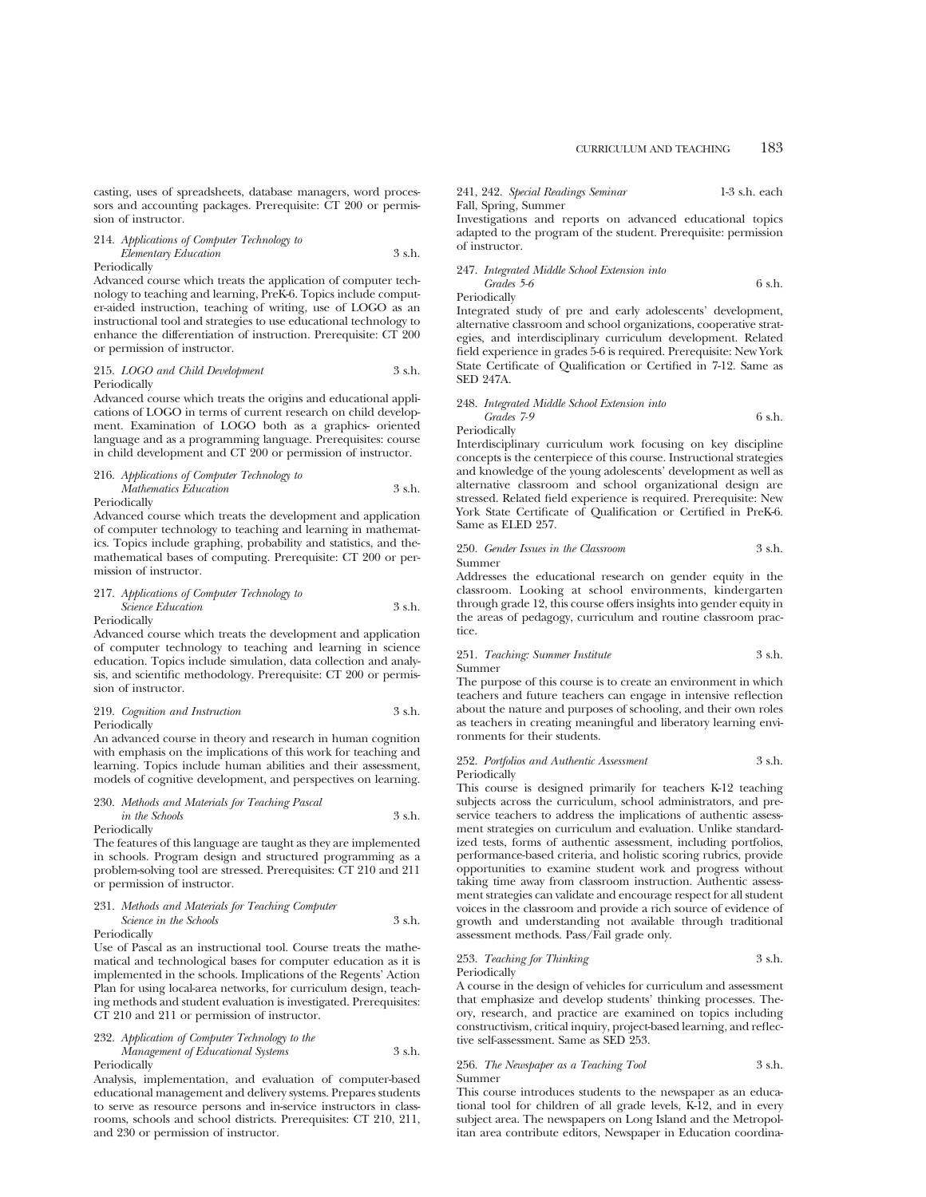casting, uses of spreadsheets, database managers, word processors and accounting packages. Prerequisite: CT 200 or permission of instructor.

214. *Applications of Computer Technology to Elementary Education* 3 s.h. Periodically

Advanced course which treats the application of computer technology to teaching and learning, PreK-6. Topics include computer-aided instruction, teaching of writing, use of LOGO as an instructional tool and strategies to use educational technology to enhance the differentiation of instruction. Prerequisite: CT 200 or permission of instructor.

## 215. *LOGO and Child Development* 3 s.h. Periodically

Advanced course which treats the origins and educational applications of LOGO in terms of current research on child development. Examination of LOGO both as a graphics- oriented language and as a programming language. Prerequisites: course in child development and CT 200 or permission of instructor.

## 216. *Applications of Computer Technology to Mathematics Education* 3 s.h.

Periodically

Advanced course which treats the development and application of computer technology to teaching and learning in mathematics. Topics include graphing, probability and statistics, and themathematical bases of computing. Prerequisite: CT 200 or permission of instructor.

## 217. *Applications of Computer Technology to Science Education* 3 s.h.

Periodically

Advanced course which treats the development and application of computer technology to teaching and learning in science education. Topics include simulation, data collection and analysis, and scientific methodology. Prerequisite: CT 200 or permission of instructor.

219. *Cognition and Instruction* 3 s.h. Periodically

An advanced course in theory and research in human cognition with emphasis on the implications of this work for teaching and learning. Topics include human abilities and their assessment, models of cognitive development, and perspectives on learning.

230. *Methods and Materials for Teaching Pascal in the Schools* 3 s.h. Periodically

The features of this language are taught as they are implemented in schools. Program design and structured programming as a problem-solving tool are stressed. Prerequisites: CT 210 and 211 or permission of instructor.

## 231. *Methods and Materials for Teaching Computer Science in the Schools* 3 s.h. Periodically

Use of Pascal as an instructional tool. Course treats the mathematical and technological bases for computer education as it is implemented in the schools. Implications of the Regents' Action Plan for using local-area networks, for curriculum design, teaching methods and student evaluation is investigated. Prerequisites: CT 210 and 211 or permission of instructor.

## 232. *Application of Computer Technology to the*

*Management of Educational Systems* 3 s.h. Periodically

Analysis, implementation, and evaluation of computer-based educational management and delivery systems. Prepares students to serve as resource persons and in-service instructors in classrooms, schools and school districts. Prerequisites: CT 210, 211, and 230 or permission of instructor.

241, 242. *Special Readings Seminar* 1-3 s.h. each Fall, Spring, Summer

Investigations and reports on advanced educational topics adapted to the program of the student. Prerequisite: permission of instructor.

247. *Integrated Middle School Extension into*

*Grades 5-6* 6 s.h. Periodically

Integrated study of pre and early adolescents' development, alternative classroom and school organizations, cooperative strategies, and interdisciplinary curriculum development. Related field experience in grades 5-6 is required. Prerequisite: New York State Certificate of Qualification or Certified in 7-12. Same as SED 247A.

## 248. *Integrated Middle School Extension into Grades 7-9* 6 s.h. Periodically

Interdisciplinary curriculum work focusing on key discipline concepts is the centerpiece of this course. Instructional strategies and knowledge of the young adolescents' development as well as alternative classroom and school organizational design are stressed. Related field experience is required. Prerequisite: New York State Certificate of Qualification or Certified in PreK-6. Same as ELED 257.

## 250. *Gender Issues in the Classroom* 3 s.h. Summer

Addresses the educational research on gender equity in the classroom. Looking at school environments, kindergarten through grade 12, this course offers insights into gender equity in the areas of pedagogy, curriculum and routine classroom practice.

## 251. *Teaching: Summer Institute* 3 s.h. Summer

The purpose of this course is to create an environment in which teachers and future teachers can engage in intensive reflection about the nature and purposes of schooling, and their own roles as teachers in creating meaningful and liberatory learning environments for their students.

## 252. *Portfolios and Authentic Assessment* 3 s.h. Periodically

This course is designed primarily for teachers K-12 teaching subjects across the curriculum, school administrators, and preservice teachers to address the implications of authentic assessment strategies on curriculum and evaluation. Unlike standardized tests, forms of authentic assessment, including portfolios, performance-based criteria, and holistic scoring rubrics, provide opportunities to examine student work and progress without taking time away from classroom instruction. Authentic assessment strategies can validate and encourage respect for all student voices in the classroom and provide a rich source of evidence of growth and understanding not available through traditional assessment methods. Pass/Fail grade only.

## 253. *Teaching for Thinking* 3 s.h. Periodically

A course in the design of vehicles for curriculum and assessment that emphasize and develop students' thinking processes. Theory, research, and practice are examined on topics including constructivism, critical inquiry, project-based learning, and reflective self-assessment. Same as SED 253.

#### 256. *The Newspaper as a Teaching Tool* 3 s.h. Summer

This course introduces students to the newspaper as an educational tool for children of all grade levels, K-12, and in every subject area. The newspapers on Long Island and the Metropolitan area contribute editors, Newspaper in Education coordina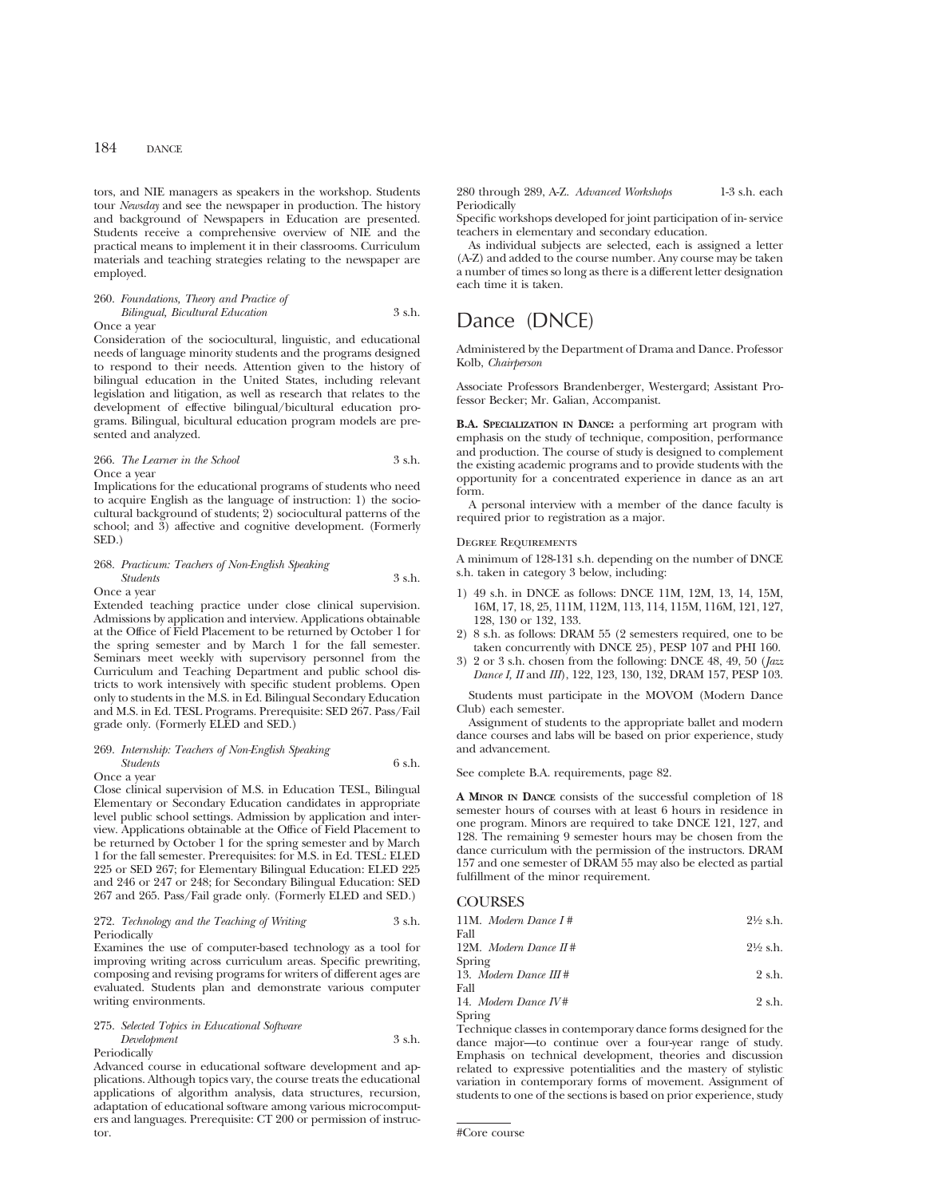tors, and NIE managers as speakers in the workshop. Students tour *Newsday* and see the newspaper in production. The history and background of Newspapers in Education are presented. Students receive a comprehensive overview of NIE and the practical means to implement it in their classrooms. Curriculum materials and teaching strategies relating to the newspaper are employed.

## 260. *Foundations, Theory and Practice of Bilingual, Bicultural Education* 3 s.h. Once a year

Consideration of the sociocultural, linguistic, and educational needs of language minority students and the programs designed to respond to their needs. Attention given to the history of bilingual education in the United States, including relevant legislation and litigation, as well as research that relates to the development of effective bilingual/bicultural education programs. Bilingual, bicultural education program models are presented and analyzed.

## 266. *The Learner in the School* 3 s.h. Once a year

Implications for the educational programs of students who need to acquire English as the language of instruction: 1) the sociocultural background of students; 2) sociocultural patterns of the school; and 3) affective and cognitive development. (Formerly SED.)

# 268. *Practicum: Teachers of Non-English Speaking Students* 3 s.h.

Once a year

Extended teaching practice under close clinical supervision. Admissions by application and interview. Applications obtainable at the Office of Field Placement to be returned by October 1 for the spring semester and by March 1 for the fall semester. Seminars meet weekly with supervisory personnel from the Curriculum and Teaching Department and public school districts to work intensively with specific student problems. Open only to students in the M.S. in Ed. Bilingual Secondary Education and M.S. in Ed. TESL Programs. Prerequisite: SED 267. Pass/Fail grade only. (Formerly ELED and SED.)

## 269. *Internship: Teachers of Non-English Speaking Students* 6 s.h. Once a year

Close clinical supervision of M.S. in Education TESL, Bilingual Elementary or Secondary Education candidates in appropriate level public school settings. Admission by application and interview. Applications obtainable at the Office of Field Placement to be returned by October 1 for the spring semester and by March 1 for the fall semester. Prerequisites: for M.S. in Ed. TESL: ELED 225 or SED 267; for Elementary Bilingual Education: ELED 225 and 246 or 247 or 248; for Secondary Bilingual Education: SED 267 and 265. Pass/Fail grade only. (Formerly ELED and SED.)

## 272. *Technology and the Teaching of Writing* 3 s.h. **Periodically**

Examines the use of computer-based technology as a tool for improving writing across curriculum areas. Specific prewriting, composing and revising programs for writers of different ages are evaluated. Students plan and demonstrate various computer writing environments.

## 275. *Selected Topics in Educational Software Development* 3 s.h. Periodically

Advanced course in educational software development and applications. Although topics vary, the course treats the educational applications of algorithm analysis, data structures, recursion, adaptation of educational software among various microcomputers and languages. Prerequisite: CT 200 or permission of instructor.

280 through 289, A-Z. *Advanced Workshops* 1-3 s.h. each **Periodically** 

Specific workshops developed for joint participation of in- service teachers in elementary and secondary education.

As individual subjects are selected, each is assigned a letter (A-Z) and added to the course number. Any course may be taken a number of times so long as there is a different letter designation each time it is taken.

# Dance (DNCE)

Administered by the Department of Drama and Dance. Professor Kolb, *Chairperson*

Associate Professors Brandenberger, Westergard; Assistant Professor Becker; Mr. Galian, Accompanist.

**B.A. SPECIALIZATION IN DANCE:** a performing art program with emphasis on the study of technique, composition, performance and production. The course of study is designed to complement the existing academic programs and to provide students with the opportunity for a concentrated experience in dance as an art form.

A personal interview with a member of the dance faculty is required prior to registration as a major.

## Degree Requirements

A minimum of 128-131 s.h. depending on the number of DNCE s.h. taken in category 3 below, including:

- 1) 49 s.h. in DNCE as follows: DNCE 11M, 12M, 13, 14, 15M, 16M, 17, 18, 25, 111M, 112M, 113, 114, 115M, 116M, 121, 127, 128, 130 or 132, 133.
- 2) 8 s.h. as follows: DRAM 55 (2 semesters required, one to be taken concurrently with DNCE 25), PESP 107 and PHI 160.
- 3) 2 or 3 s.h. chosen from the following: DNCE 48, 49, 50 (*Jazz Dance I, II* and *III*), 122, 123, 130, 132, DRAM 157, PESP 103.

Students must participate in the MOVOM (Modern Dance Club) each semester.

Assignment of students to the appropriate ballet and modern dance courses and labs will be based on prior experience, study and advancement.

See complete B.A. requirements, page 82.

**A MINOR IN DANCE** consists of the successful completion of 18 semester hours of courses with at least 6 hours in residence in one program. Minors are required to take DNCE 121, 127, and 128. The remaining 9 semester hours may be chosen from the dance curriculum with the permission of the instructors. DRAM 157 and one semester of DRAM 55 may also be elected as partial fulfillment of the minor requirement.

## **COURSES**

| 11M. Modern Dance $I#$<br>Fall  | $2\frac{1}{2}$ s.h. |
|---------------------------------|---------------------|
| 12M. Modern Dance $H#$          | $2\frac{1}{2}$ s.h. |
| Spring                          |                     |
| 13. Modern Dance $III#$<br>Fall | $2 \text{ s.h.}$    |
| 14. Modern Dance $IVI$          | $2 \text{ s.h.}$    |
| Spring                          |                     |

Technique classes in contemporary dance forms designed for the dance major—to continue over a four-year range of study. Emphasis on technical development, theories and discussion related to expressive potentialities and the mastery of stylistic variation in contemporary forms of movement. Assignment of students to one of the sections is based on prior experience, study

<sup>#</sup>Core course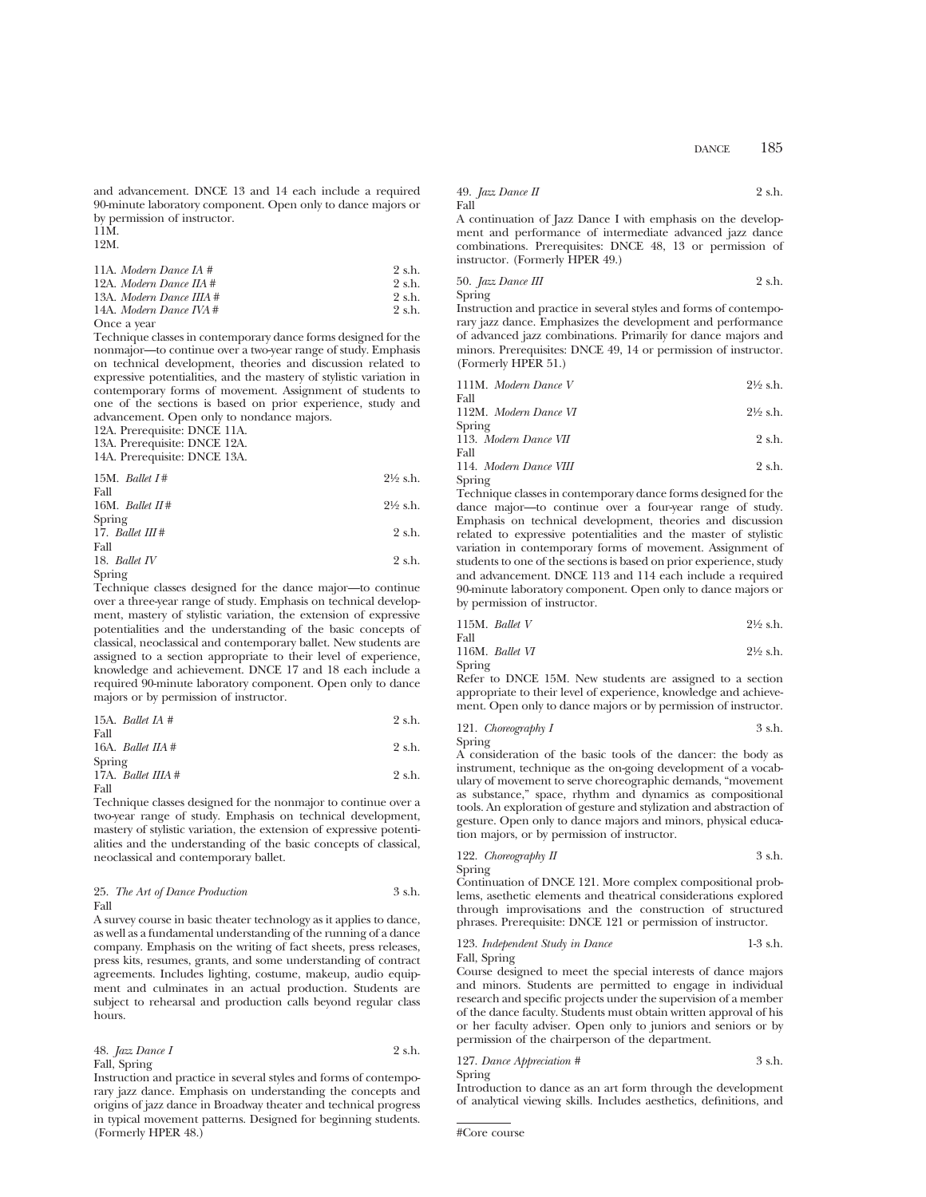and advancement. DNCE 13 and 14 each include a required 90-minute laboratory component. Open only to dance majors or by permission of instructor.

11M. 12M.

11A. *Modern Dance IA* #  $2 \text{ s.h.}$ <br>12A. *Modern Dance IIA* #  $2 \text{ s.h.}$ 12A. *Modern Dance IIA* # 2 s.h.<br>13A. *Modern Dance IIIA* # 2 s.h. 13A. *Modern Dance IIIA* # 2 s.h.<br>14A. *Modern Dance IVA* # 2 s.h. 14A. *Modern Dance IVA* #

Once a year

Technique classes in contemporary dance forms designed for the nonmajor—to continue over a two-year range of study. Emphasis on technical development, theories and discussion related to expressive potentialities, and the mastery of stylistic variation in contemporary forms of movement. Assignment of students to one of the sections is based on prior experience, study and advancement. Open only to nondance majors.

12A. Prerequisite: DNCE 11A.

13A. Prerequisite: DNCE 12A.

14A. Prerequisite: DNCE 13A.

| 15M. Ballet $I#$  | $2\frac{1}{2}$ s.h. |
|-------------------|---------------------|
| Fall              |                     |
| 16M. Ballet $H#$  | $2\frac{1}{2}$ s.h. |
| Spring            |                     |
| 17. Ballet $III#$ | 2 s.h.              |
| Fall              |                     |
| 18. Ballet $IV$   | 2 s.h.              |
|                   |                     |

Spring

Technique classes designed for the dance major—to continue over a three-year range of study. Emphasis on technical development, mastery of stylistic variation, the extension of expressive potentialities and the understanding of the basic concepts of classical, neoclassical and contemporary ballet. New students are assigned to a section appropriate to their level of experience, knowledge and achievement. DNCE 17 and 18 each include a required 90-minute laboratory component. Open only to dance majors or by permission of instructor.

| 15A. <i>Ballet IA</i> $#$    | 2 s.h. |
|------------------------------|--------|
| Fall                         |        |
| 16A. Ballet $\textit{IIA}$ # | 2 s.h. |
| Spring                       |        |
| 17A. Ballet IIIA #           | 2 s.h. |
| Fall                         |        |

Technique classes designed for the nonmajor to continue over a two-year range of study. Emphasis on technical development, mastery of stylistic variation, the extension of expressive potentialities and the understanding of the basic concepts of classical, neoclassical and contemporary ballet.

## 25. *The Art of Dance Production* 3 s.h. Fall

A survey course in basic theater technology as it applies to dance, as well as a fundamental understanding of the running of a dance company. Emphasis on the writing of fact sheets, press releases, press kits, resumes, grants, and some understanding of contract agreements. Includes lighting, costume, makeup, audio equipment and culminates in an actual production. Students are subject to rehearsal and production calls beyond regular class hours.

## 48. *Jazz Dance I* 2 s.h. Fall, Spring

Instruction and practice in several styles and forms of contemporary jazz dance. Emphasis on understanding the concepts and origins of jazz dance in Broadway theater and technical progress in typical movement patterns. Designed for beginning students. (Formerly HPER 48.)

49. 
$$
Jazz
$$
 *Dance II* 2 s.h. Fall

A continuation of Jazz Dance I with emphasis on the development and performance of intermediate advanced jazz dance combinations. Prerequisites: DNCE 48, 13 or permission of instructor. (Formerly HPER 49.)

50. *Jazz Dance III* 2 s.h. Spring

Instruction and practice in several styles and forms of contemporary jazz dance. Emphasizes the development and performance of advanced jazz combinations. Primarily for dance majors and minors. Prerequisites: DNCE 49, 14 or permission of instructor. (Formerly HPER 51.)

| 111M. Modern Dance V  | $2\frac{1}{2}$ s.h. |
|-----------------------|---------------------|
| Fall                  |                     |
| 112M. Modern Dance VI | $2\frac{1}{2}$ s.h. |
| Spring                |                     |
| 113. Modern Dance VII | 2 s.h.              |
| Fall                  |                     |

114. *Modern Dance VIII* 2 s.h. Spring

Technique classes in contemporary dance forms designed for the dance major—to continue over a four-year range of study. Emphasis on technical development, theories and discussion related to expressive potentialities and the master of stylistic variation in contemporary forms of movement. Assignment of students to one of the sections is based on prior experience, study and advancement. DNCE 113 and 114 each include a required 90-minute laboratory component. Open only to dance majors or by permission of instructor.

|      | 115M. Ballet V  | $2\frac{1}{2}$ s.h. |
|------|-----------------|---------------------|
| Fall |                 |                     |
|      | 116M. Ballet VI | $2\frac{1}{2}$ s.h. |

Spring

Refer to DNCE 15M. New students are assigned to a section appropriate to their level of experience, knowledge and achievement. Open only to dance majors or by permission of instructor.

121. *Choreography I* 3 s.h. Spring

A consideration of the basic tools of the dancer: the body as instrument, technique as the on-going development of a vocabulary of movement to serve choreographic demands, "movement as substance," space, rhythm and dynamics as compositional tools. An exploration of gesture and stylization and abstraction of gesture. Open only to dance majors and minors, physical education majors, or by permission of instructor.

122. *Choreography II* 
$$
3 \, \text{s.h.}
$$

Spring

Continuation of DNCE 121. More complex compositional problems, asethetic elements and theatrical considerations explored through improvisations and the construction of structured phrases. Prerequisite: DNCE 121 or permission of instructor.

123. *Independent Study in Dance* 1-3 s.h. Fall, Spring

Course designed to meet the special interests of dance majors and minors. Students are permitted to engage in individual research and specific projects under the supervision of a member of the dance faculty. Students must obtain written approval of his or her faculty adviser. Open only to juniors and seniors or by permission of the chairperson of the department.

127. *Dance Appreciation #* 3 s.h. Spring

Introduction to dance as an art form through the development of analytical viewing skills. Includes aesthetics, definitions, and

<sup>#</sup>Core course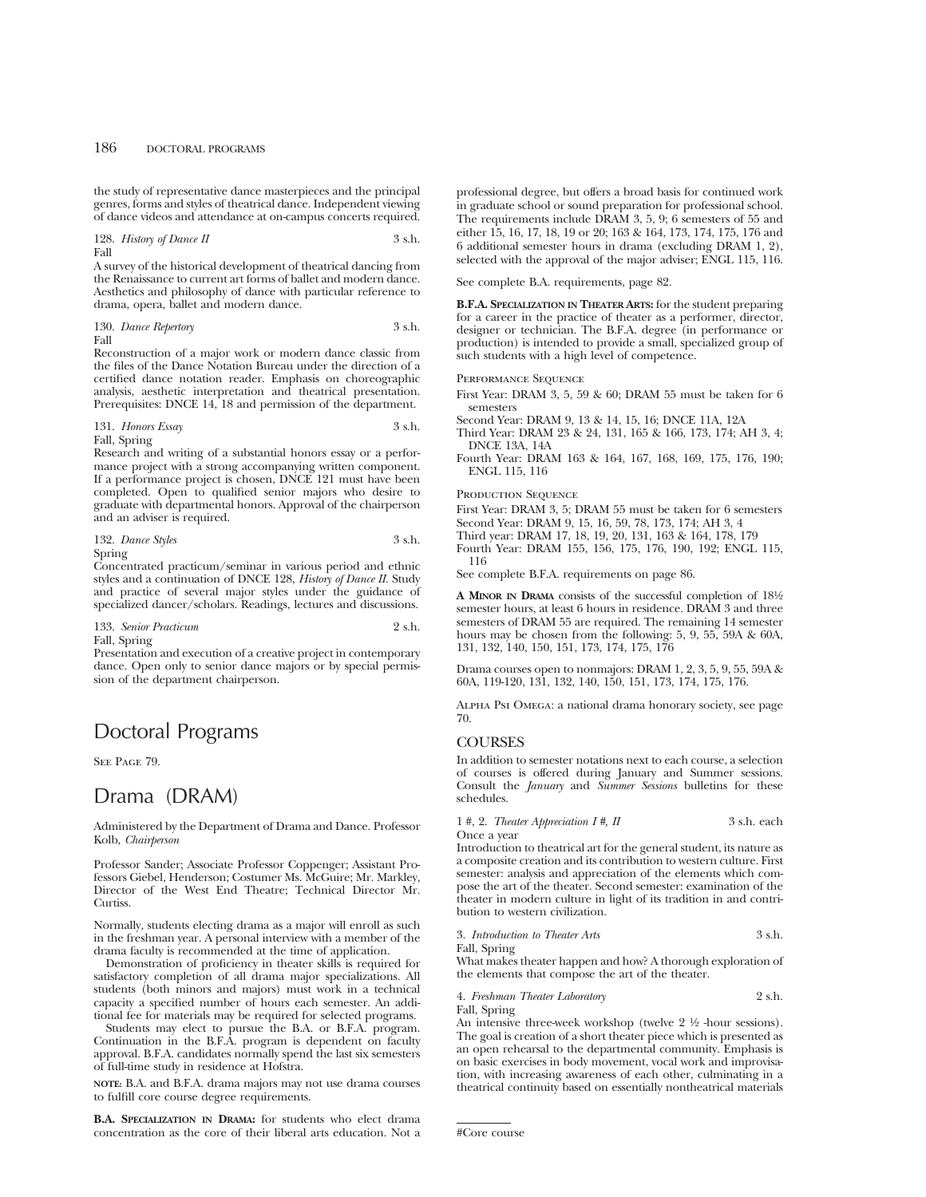the study of representative dance masterpieces and the principal genres, forms and styles of theatrical dance. Independent viewing of dance videos and attendance at on-campus concerts required.

128. *History of Dance II* 3 s.h. Fall

A survey of the historical development of theatrical dancing from the Renaissance to current art forms of ballet and modern dance. Aesthetics and philosophy of dance with particular reference to drama, opera, ballet and modern dance.

130. *Dance Repertory* 3 s.h. Fall

Reconstruction of a major work or modern dance classic from the files of the Dance Notation Bureau under the direction of a certified dance notation reader. Emphasis on choreographic analysis, aesthetic interpretation and theatrical presentation. Prerequisites: DNCE 14, 18 and permission of the department.

## 131. *Honors Essay* 3 s.h. Fall, Spring

Research and writing of a substantial honors essay or a performance project with a strong accompanying written component. If a performance project is chosen, DNCE 121 must have been completed. Open to qualified senior majors who desire to graduate with departmental honors. Approval of the chairperson and an adviser is required.

## 132. *Dance Styles* 3 s.h. Spring

Concentrated practicum/seminar in various period and ethnic styles and a continuation of DNCE 128, *History of Dance II.* Study and practice of several major styles under the guidance of specialized dancer/scholars. Readings, lectures and discussions.

133. *Senior Practicum* 2 s.h.

Fall, Spring

Presentation and execution of a creative project in contemporary dance. Open only to senior dance majors or by special permission of the department chairperson.

# Doctoral Programs

SEE PAGE 79.

# Drama (DRAM)

Administered by the Department of Drama and Dance. Professor Kolb, *Chairperson*

Professor Sander; Associate Professor Coppenger; Assistant Professors Giebel, Henderson; Costumer Ms. McGuire; Mr. Markley, Director of the West End Theatre; Technical Director Mr. Curtiss.

Normally, students electing drama as a major will enroll as such in the freshman year. A personal interview with a member of the drama faculty is recommended at the time of application.

Demonstration of proficiency in theater skills is required for satisfactory completion of all drama major specializations. All students (both minors and majors) must work in a technical capacity a specified number of hours each semester. An additional fee for materials may be required for selected programs.

Students may elect to pursue the B.A. or B.F.A. program. Continuation in the B.F.A. program is dependent on faculty approval. B.F.A. candidates normally spend the last six semesters of full-time study in residence at Hofstra.

**NOTE:** B.A. and B.F.A. drama majors may not use drama courses to fulfill core course degree requirements.

**B.A. SPECIALIZATION IN DRAMA:** for students who elect drama concentration as the core of their liberal arts education. Not a

professional degree, but offers a broad basis for continued work in graduate school or sound preparation for professional school. The requirements include DRAM 3, 5, 9; 6 semesters of 55 and either 15, 16, 17, 18, 19 or 20; 163 & 164, 173, 174, 175, 176 and 6 additional semester hours in drama (excluding DRAM 1, 2), selected with the approval of the major adviser; ENGL 115, 116.

See complete B.A. requirements, page 82.

**B.F.A. SPECIALIZATION IN THEATER ARTS:** for the student preparing for a career in the practice of theater as a performer, director, designer or technician. The B.F.A. degree (in performance or production) is intended to provide a small, specialized group of such students with a high level of competence.

## Performance Sequence

First Year: DRAM 3, 5, 59 & 60; DRAM 55 must be taken for 6 semesters

Second Year: DRAM 9, 13 & 14, 15, 16; DNCE 11A, 12A

Third Year: DRAM 23 & 24, 131, 165 & 166, 173, 174; AH 3, 4; DNCE 13A, 14A

Fourth Year: DRAM 163 & 164, 167, 168, 169, 175, 176, 190; ENGL 115, 116

## PRODUCTION SEQUENCE

First Year: DRAM 3, 5; DRAM 55 must be taken for 6 semesters Second Year: DRAM 9, 15, 16, 59, 78, 173, 174; AH 3, 4 Third year: DRAM 17, 18, 19, 20, 131, 163 & 164, 178, 179

Fourth Year: DRAM 155, 156, 175, 176, 190, 192; ENGL 115, 116

See complete B.F.A. requirements on page 86.

**A MINOR IN DRAMA** consists of the successful completion of 181⁄2 semester hours, at least 6 hours in residence. DRAM 3 and three semesters of DRAM 55 are required. The remaining 14 semester hours may be chosen from the following: 5, 9, 55, 59A & 60A, 131, 132, 140, 150, 151, 173, 174, 175, 176

Drama courses open to nonmajors: DRAM 1, 2, 3, 5, 9, 55, 59A & 60A, 119-120, 131, 132, 140, 150, 151, 173, 174, 175, 176.

Alpha Psi Omega: a national drama honorary society, see page 70.

## **COURSES**

In addition to semester notations next to each course, a selection of courses is offered during January and Summer sessions. Consult the *January* and *Summer Sessions* bulletins for these schedules.

1 #, 2. *Theater Appreciation I* #, *II* 3 s.h. each Once a year

Introduction to theatrical art for the general student, its nature as a composite creation and its contribution to western culture. First semester: analysis and appreciation of the elements which compose the art of the theater. Second semester: examination of the theater in modern culture in light of its tradition in and contribution to western civilization.

3. *Introduction to Theater Arts* 3 s.h.

Fall, Spring

What makes theater happen and how? A thorough exploration of the elements that compose the art of the theater.

4. *Freshman Theater Laboratory* 2 s.h.

Fall, Spring

An intensive three-week workshop (twelve  $2\frac{1}{2}$  -hour sessions). The goal is creation of a short theater piece which is presented as an open rehearsal to the departmental community. Emphasis is on basic exercises in body movement, vocal work and improvisation, with increasing awareness of each other, culminating in a theatrical continuity based on essentially nontheatrical materials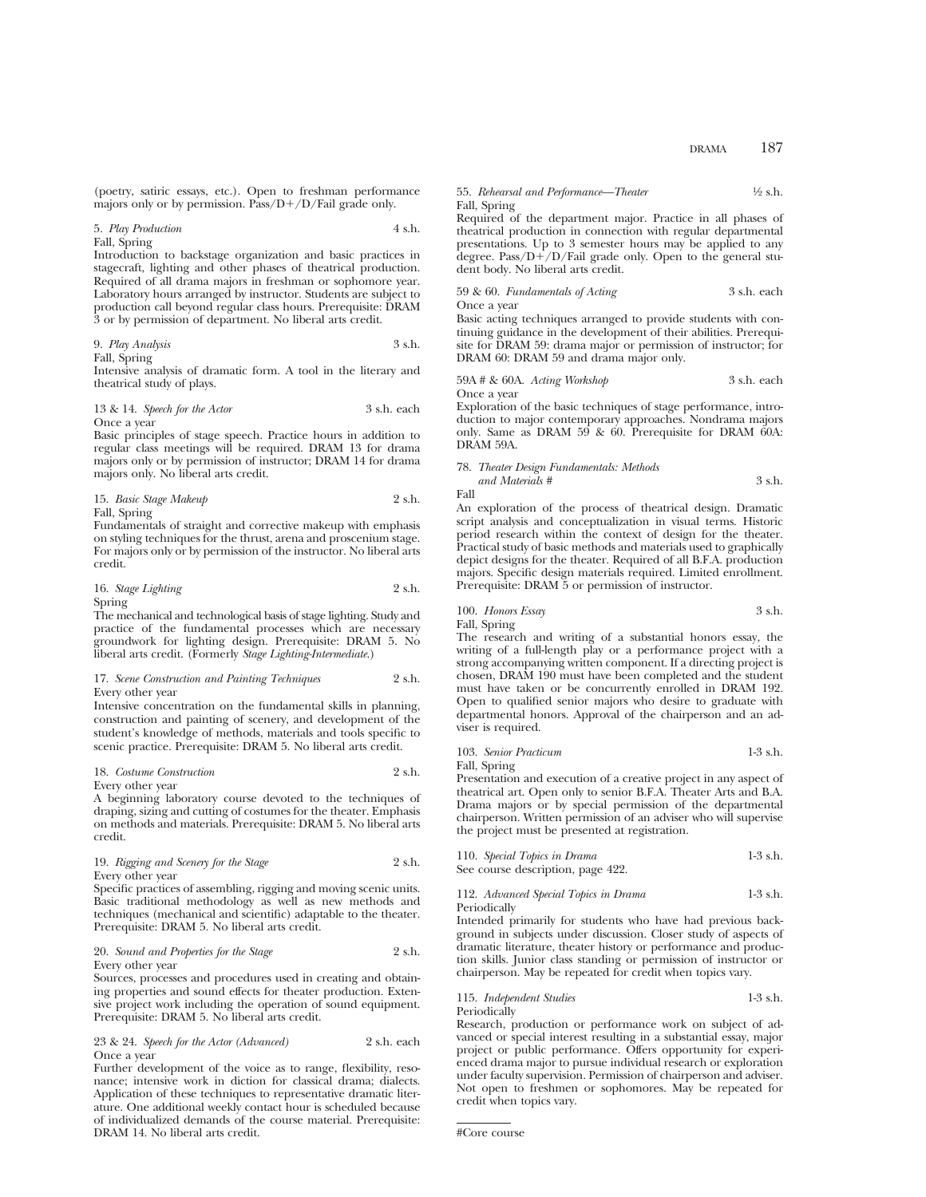(poetry, satiric essays, etc.). Open to freshman performance majors only or by permission. Pass/ $D+/D$ /Fail grade only.

#### 5. *Play Production* 4 s.h. Fall, Spring

Introduction to backstage organization and basic practices in stagecraft, lighting and other phases of theatrical production. Required of all drama majors in freshman or sophomore year. Laboratory hours arranged by instructor. Students are subject to production call beyond regular class hours. Prerequisite: DRAM 3 or by permission of department. No liberal arts credit.

9. 
$$
Play\ Analysis
$$

\n3 s.h.

Fall, Spring

Intensive analysis of dramatic form. A tool in the literary and theatrical study of plays.

13 & 14. *Speech for the Actor* 3 s.h. each Once a year

Basic principles of stage speech. Practice hours in addition to regular class meetings will be required. DRAM 13 for drama majors only or by permission of instructor; DRAM 14 for drama majors only. No liberal arts credit.

15. *Basic Stage Makeup* 2 s.h. Fall, Spring

Fundamentals of straight and corrective makeup with emphasis on styling techniques for the thrust, arena and proscenium stage. For majors only or by permission of the instructor. No liberal arts credit.

16. *Stage Lighting* 2 s.h. Spring

The mechanical and technological basis of stage lighting. Study and practice of the fundamental processes which are necessary groundwork for lighting design. Prerequisite: DRAM 5. No liberal arts credit. (Formerly *Stage Lighting-Intermediate.*)

## 17. *Scene Construction and Painting Techniques* 2 s.h. Every other year

Intensive concentration on the fundamental skills in planning, construction and painting of scenery, and development of the student's knowledge of methods, materials and tools specific to scenic practice. Prerequisite: DRAM 5. No liberal arts credit.

18. *Costume Construction* 2 s.h. Every other year

A beginning laboratory course devoted to the techniques of draping, sizing and cutting of costumes for the theater. Emphasis on methods and materials. Prerequisite: DRAM 5. No liberal arts credit.

19. *Rigging and Scenery for the Stage* 2 s.h. Every other year

Specific practices of assembling, rigging and moving scenic units. Basic traditional methodology as well as new methods and techniques (mechanical and scientific) adaptable to the theater. Prerequisite: DRAM 5. No liberal arts credit.

20. *Sound and Properties for the Stage* 2 s.h. Every other year

Sources, processes and procedures used in creating and obtaining properties and sound effects for theater production. Extensive project work including the operation of sound equipment. Prerequisite: DRAM 5. No liberal arts credit.

23 & 24. *Speech for the Actor (Advanced)* 2 s.h. each Once a year

Further development of the voice as to range, flexibility, resonance; intensive work in diction for classical drama; dialects. Application of these techniques to representative dramatic literature. One additional weekly contact hour is scheduled because of individualized demands of the course material. Prerequisite: DRAM 14. No liberal arts credit.

## 55. *Rehearsal and Performance—Theater* 1/2 s.h. Fall, Spring

Required of the department major. Practice in all phases of theatrical production in connection with regular departmental presentations. Up to 3 semester hours may be applied to any degree. Pass/D $+$ /D/Fail grade only. Open to the general student body. No liberal arts credit.

## 59 & 60. *Fundamentals of Acting* 3 s.h. each Once a year

Basic acting techniques arranged to provide students with continuing guidance in the development of their abilities. Prerequisite for DRAM 59: drama major or permission of instructor; for DRAM 60: DRAM 59 and drama major only.

## 59A # & 60A. *Acting Workshop* 3 s.h. each Once a year

Exploration of the basic techniques of stage performance, introduction to major contemporary approaches. Nondrama majors only. Same as DRAM 59 & 60. Prerequisite for DRAM 60A: DRAM 59A.

78. *Theater Design Fundamentals: Methods*

*and Materials #* 3 s.h. Fall

An exploration of the process of theatrical design. Dramatic script analysis and conceptualization in visual terms. Historic period research within the context of design for the theater. Practical study of basic methods and materials used to graphically depict designs for the theater. Required of all B.F.A. production majors. Specific design materials required. Limited enrollment. Prerequisite: DRAM 5 or permission of instructor.

100. *Honors Essay* 3 s.h.

Fall, Spring The research and writing of a substantial honors essay, the writing of a full-length play or a performance project with a strong accompanying written component. If a directing project is chosen, DRAM 190 must have been completed and the student must have taken or be concurrently enrolled in DRAM 192. Open to qualified senior majors who desire to graduate with departmental honors. Approval of the chairperson and an adviser is required.

103. *Senior Practicum* 1-3 s.h. Fall, Spring

Presentation and execution of a creative project in any aspect of theatrical art. Open only to senior B.F.A. Theater Arts and B.A. Drama majors or by special permission of the departmental chairperson. Written permission of an adviser who will supervise the project must be presented at registration.

110. *Special Topics in Drama* 1-3 s.h. See course description, page 422.

112. *Advanced Special Topics in Drama* 1-3 s.h. Periodically

Intended primarily for students who have had previous background in subjects under discussion. Closer study of aspects of dramatic literature, theater history or performance and production skills. Junior class standing or permission of instructor or chairperson. May be repeated for credit when topics vary.

115. *Independent Studies* 1-3 s.h. Periodically

Research, production or performance work on subject of advanced or special interest resulting in a substantial essay, major project or public performance. Offers opportunity for experienced drama major to pursue individual research or exploration under faculty supervision. Permission of chairperson and adviser. Not open to freshmen or sophomores. May be repeated for credit when topics vary.

<sup>#</sup>Core course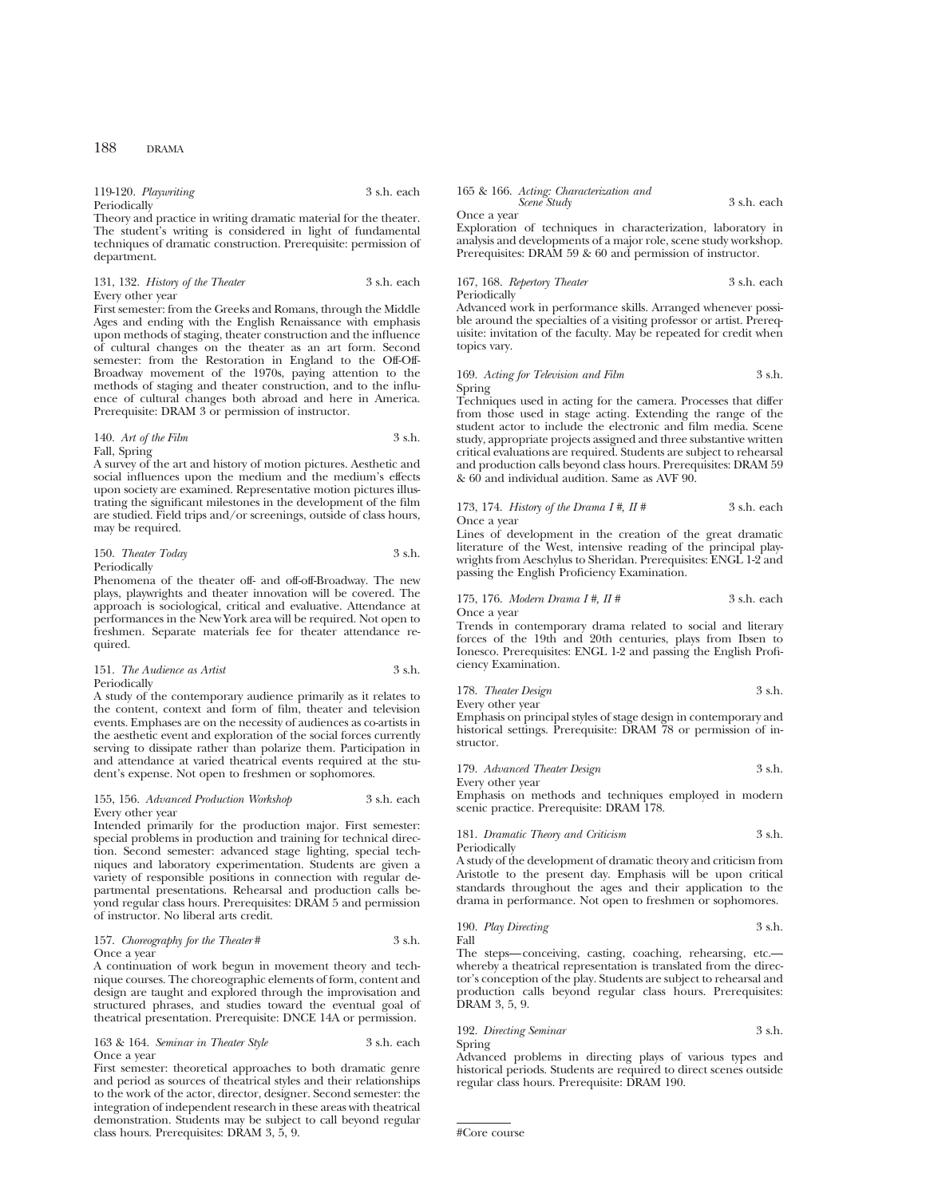119-120. *Playwriting* 3 s.h. each Periodically

Theory and practice in writing dramatic material for the theater. The student's writing is considered in light of fundamental techniques of dramatic construction. Prerequisite: permission of department.

## 131, 132. *History of the Theater* 3 s.h. each Every other year

First semester: from the Greeks and Romans, through the Middle Ages and ending with the English Renaissance with emphasis upon methods of staging, theater construction and the influence of cultural changes on the theater as an art form. Second semester: from the Restoration in England to the Off-Off-Broadway movement of the 1970s, paying attention to the methods of staging and theater construction, and to the influence of cultural changes both abroad and here in America. Prerequisite: DRAM 3 or permission of instructor.

## 140. *Art of the Film* 3 s.h. Fall, Spring

A survey of the art and history of motion pictures. Aesthetic and social influences upon the medium and the medium's effects upon society are examined. Representative motion pictures illustrating the significant milestones in the development of the film are studied. Field trips and/or screenings, outside of class hours, may be required.

| 150. Theater Today | 3 s.h. |
|--------------------|--------|
| Periodically       |        |

Phenomena of the theater off- and off-off-Broadway. The new plays, playwrights and theater innovation will be covered. The approach is sociological, critical and evaluative. Attendance at performances in the New York area will be required. Not open to freshmen. Separate materials fee for theater attendance required.

| 151. The Audience as Artist | 3 s.h. |
|-----------------------------|--------|
| Periodically                |        |

A study of the contemporary audience primarily as it relates to the content, context and form of film, theater and television events. Emphases are on the necessity of audiences as co-artists in the aesthetic event and exploration of the social forces currently serving to dissipate rather than polarize them. Participation in and attendance at varied theatrical events required at the student's expense. Not open to freshmen or sophomores.

#### 155, 156. *Advanced Production Workshop* 3 s.h. each Every other year

Intended primarily for the production major. First semester: special problems in production and training for technical direction. Second semester: advanced stage lighting, special techniques and laboratory experimentation. Students are given a variety of responsible positions in connection with regular departmental presentations. Rehearsal and production calls beyond regular class hours. Prerequisites: DRAM 5 and permission of instructor. No liberal arts credit.

## 157. *Choreography for the Theater* # 3 s.h. Once a year

A continuation of work begun in movement theory and technique courses. The choreographic elements of form, content and design are taught and explored through the improvisation and structured phrases, and studies toward the eventual goal of theatrical presentation. Prerequisite: DNCE 14A or permission.

163 & 164. *Seminar in Theater Style* 3 s.h. each Once a year

First semester: theoretical approaches to both dramatic genre and period as sources of theatrical styles and their relationships to the work of the actor, director, designer. Second semester: the integration of independent research in these areas with theatrical demonstration. Students may be subject to call beyond regular class hours. Prerequisites: DRAM 3, 5, 9.

| 165 & 166. Acting: Characterization and |             |
|-----------------------------------------|-------------|
| Scene Study                             | 3 s.h. each |

Once a year

Exploration of techniques in characterization, laboratory in analysis and developments of a major role, scene study workshop. Prerequisites: DRAM 59 & 60 and permission of instructor.

## 167, 168. *Repertory Theater* 3 s.h. each Periodically

Advanced work in performance skills. Arranged whenever possible around the specialties of a visiting professor or artist. Prerequisite: invitation of the faculty. May be repeated for credit when topics vary.

#### 169. *Acting for Television and Film* 3 s.h. Spring

Techniques used in acting for the camera. Processes that differ from those used in stage acting. Extending the range of the student actor to include the electronic and film media. Scene study, appropriate projects assigned and three substantive written critical evaluations are required. Students are subject to rehearsal and production calls beyond class hours. Prerequisites: DRAM 59 & 60 and individual audition. Same as AVF 90.

## 173, 174. *History of the Drama I #, II #* 3 s.h. each Once a year

Lines of development in the creation of the great dramatic literature of the West, intensive reading of the principal playwrights from Aeschylus to Sheridan. Prerequisites: ENGL 1-2 and passing the English Proficiency Examination.

## 175, 176. *Modern Drama I #, II #* 3 s.h. each Once a year

Trends in contemporary drama related to social and literary forces of the 19th and 20th centuries, plays from Ibsen to Ionesco. Prerequisites: ENGL 1-2 and passing the English Proficiency Examination.

## 178. *Theater Design* 3 s.h.

Every other year Emphasis on principal styles of stage design in contemporary and historical settings. Prerequisite: DRAM 78 or permission of instructor.

| 179. Advanced Theater Design |  |  |  |  | 3 s.h. |
|------------------------------|--|--|--|--|--------|
|------------------------------|--|--|--|--|--------|

Every other year

Emphasis on methods and techniques employed in modern scenic practice. Prerequisite: DRAM 178.

## 181. *Dramatic Theory and Criticism* 3 s.h.

Periodically

A study of the development of dramatic theory and criticism from Aristotle to the present day. Emphasis will be upon critical standards throughout the ages and their application to the drama in performance. Not open to freshmen or sophomores.

190. *Play Directing* 3 s.h. Fall

The steps—conceiving, casting, coaching, rehearsing, etc. whereby a theatrical representation is translated from the director's conception of the play. Students are subject to rehearsal and production calls beyond regular class hours. Prerequisites: DRAM 3, 5, 9.

#### 192. *Directing Seminar* 3 s.h. Spring

Advanced problems in directing plays of various types and historical periods. Students are required to direct scenes outside regular class hours. Prerequisite: DRAM 190.

#Core course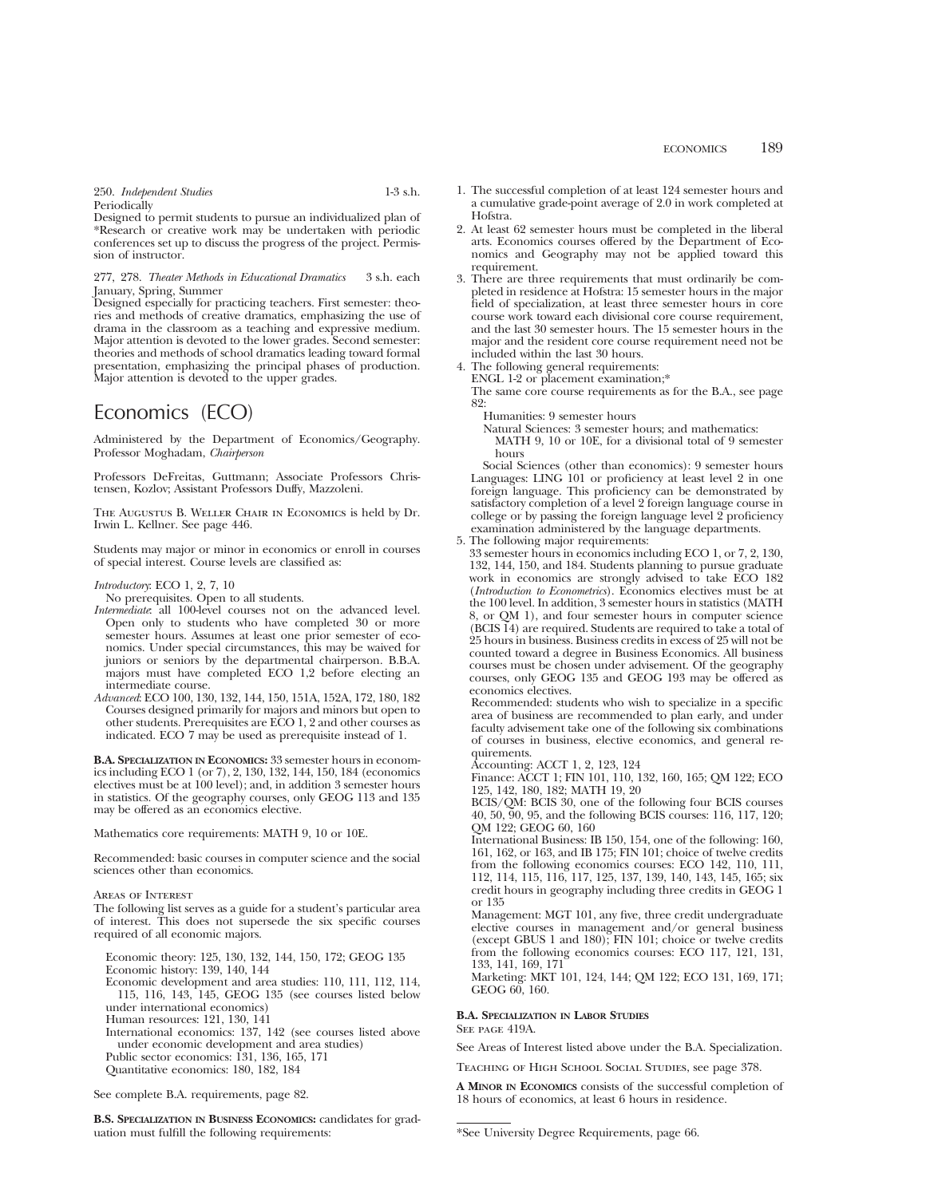250. *Independent Studies* 1-3 s.h. Periodically

Designed to permit students to pursue an individualized plan of \*Research or creative work may be undertaken with periodic conferences set up to discuss the progress of the project. Permission of instructor.

277, 278. *Theater Methods in Educational Dramatics* 3 s.h. each January, Spring, Summer

Designed especially for practicing teachers. First semester: theories and methods of creative dramatics, emphasizing the use of drama in the classroom as a teaching and expressive medium. Major attention is devoted to the lower grades. Second semester: theories and methods of school dramatics leading toward formal presentation, emphasizing the principal phases of production. Major attention is devoted to the upper grades.

# Economics (ECO)

Administered by the Department of Economics/Geography. Professor Moghadam, *Chairperson*

Professors DeFreitas, Guttmann; Associate Professors Christensen, Kozlov; Assistant Professors Duffy, Mazzoleni.

The Augustus B. Weller Chair in Economics is held by Dr. Irwin L. Kellner. See page 446.

Students may major or minor in economics or enroll in courses of special interest. Course levels are classified as:

*Introductory*: ECO 1, 2, 7, 10

No prerequisites. Open to all students.

- *Intermediate*: all 100-level courses not on the advanced level. Open only to students who have completed 30 or more semester hours. Assumes at least one prior semester of economics. Under special circumstances, this may be waived for juniors or seniors by the departmental chairperson. B.B.A. majors must have completed ECO 1,2 before electing an intermediate course.
- *Advanced*: ECO 100, 130, 132, 144, 150, 151A, 152A, 172, 180, 182 Courses designed primarily for majors and minors but open to other students. Prerequisites are ECO 1, 2 and other courses as indicated. ECO 7 may be used as prerequisite instead of 1.

**B.A. SPECIALIZATION IN ECONOMICS:** 33 semester hours in economics including ECO 1 (or 7), 2, 130, 132, 144, 150, 184 (economics electives must be at 100 level); and, in addition 3 semester hours in statistics. Of the geography courses, only GEOG 113 and 135 may be offered as an economics elective.

Mathematics core requirements: MATH 9, 10 or 10E.

Recommended: basic courses in computer science and the social sciences other than economics.

Areas of Interest

The following list serves as a guide for a student's particular area of interest. This does not supersede the six specific courses required of all economic majors.

Economic theory: 125, 130, 132, 144, 150, 172; GEOG 135 Economic history: 139, 140, 144 Economic development and area studies: 110, 111, 112, 114, 115, 116, 143, 145, GEOG 135 (see courses listed below under international economics) Human resources: 121, 130, 141 International economics: 137, 142 (see courses listed above

under economic development and area studies)

Public sector economics: 131, 136, 165, 171 Quantitative economics: 180, 182, 184

See complete B.A. requirements, page 82.

**B.S. SPECIALIZATION IN BUSINESS ECONOMICS:** candidates for graduation must fulfill the following requirements:

- 1. The successful completion of at least 124 semester hours and a cumulative grade-point average of 2.0 in work completed at Hofstra.
- 2. At least 62 semester hours must be completed in the liberal arts. Economics courses offered by the Department of Economics and Geography may not be applied toward this requirement.
- 3. There are three requirements that must ordinarily be completed in residence at Hofstra: 15 semester hours in the major field of specialization, at least three semester hours in core course work toward each divisional core course requirement, and the last 30 semester hours. The 15 semester hours in the major and the resident core course requirement need not be included within the last 30 hours.
- 4. The following general requirements:

ENGL 1-2 or placement examination;\*

The same core course requirements as for the B.A., see page 82:

Humanities: 9 semester hours

Natural Sciences: 3 semester hours; and mathematics: MATH 9, 10 or 10E, for a divisional total of 9 semester hours

Social Sciences (other than economics): 9 semester hours Languages: LING 101 or proficiency at least level 2 in one foreign language. This proficiency can be demonstrated by satisfactory completion of a level 2 foreign language course in college or by passing the foreign language level 2 proficiency examination administered by the language departments.

5. The following major requirements:

33 semester hours in economics including ECO 1, or 7, 2, 130, 132, 144, 150, and 184. Students planning to pursue graduate work in economics are strongly advised to take ECO 182 (*Introduction to Econometrics*). Economics electives must be at the 100 level. In addition, 3 semester hours in statistics (MATH 8, or QM 1), and four semester hours in computer science (BCIS 14) are required. Students are required to take a total of 25 hours in business. Business credits in excess of 25 will not be counted toward a degree in Business Economics. All business courses must be chosen under advisement. Of the geography courses, only GEOG 135 and GEOG 193 may be offered as economics electives.

Recommended: students who wish to specialize in a specific area of business are recommended to plan early, and under faculty advisement take one of the following six combinations of courses in business, elective economics, and general requirements.

Accounting: ACCT 1, 2, 123, 124

Finance: ACCT 1; FIN 101, 110, 132, 160, 165; QM 122; ECO 125, 142, 180, 182; MATH 19, 20

BCIS/QM: BCIS 30, one of the following four BCIS courses 40, 50, 90, 95, and the following BCIS courses: 116, 117, 120; QM 122; GEOG 60, 160

International Business: IB 150, 154, one of the following: 160, 161, 162, or 163, and IB 175; FIN 101; choice of twelve credits from the following economics courses: ECO 142, 110, 111, 112, 114, 115, 116, 117, 125, 137, 139, 140, 143, 145, 165; six credit hours in geography including three credits in GEOG 1 or 135

Management: MGT 101, any five, three credit undergraduate elective courses in management and/or general business (except GBUS 1 and 180); FIN 101; choice or twelve credits from the following economics courses: ECO 117, 121, 131, 133, 141, 169, 171

Marketing: MKT 101, 124, 144; QM 122; ECO 131, 169, 171; GEOG 60, 160.

## **B.A. SPECIALIZATION IN LABOR STUDIES**

SEE PAGE 419A.

See Areas of Interest listed above under the B.A. Specialization.

Teaching of High School Social Studies, see page 378.

**A MINOR IN ECONOMICS** consists of the successful completion of 18 hours of economics, at least 6 hours in residence.

<sup>\*</sup>See University Degree Requirements, page 66.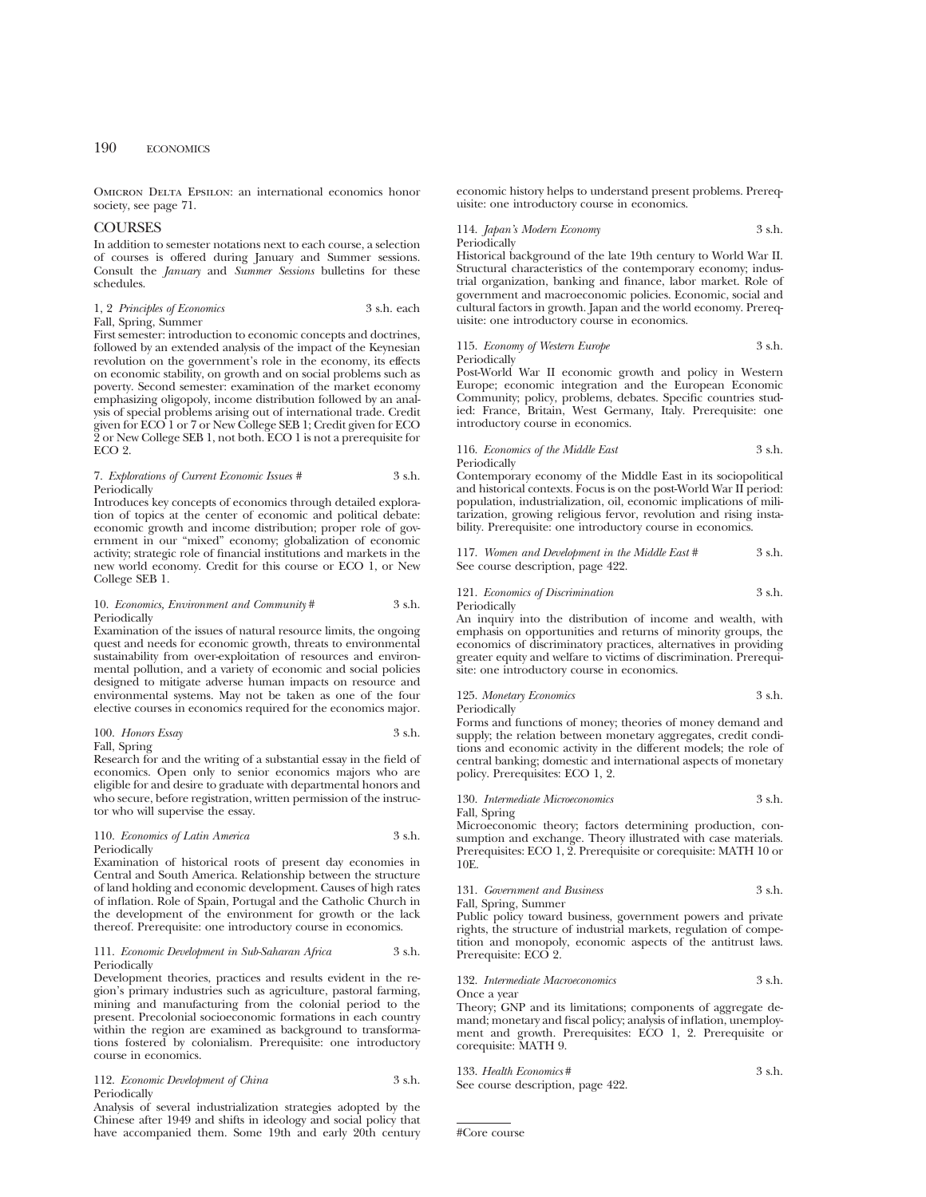OMICRON DELTA EPSILON: an international economics honor society, see page 71.

## COURSES

In addition to semester notations next to each course, a selection of courses is offered during January and Summer sessions. Consult the *January* and *Summer Sessions* bulletins for these schedules.

#### 1, 2 *Principles of Economics* 3 s.h. each Fall, Spring, Summer

First semester: introduction to economic concepts and doctrines, followed by an extended analysis of the impact of the Keynesian revolution on the government's role in the economy, its effects on economic stability, on growth and on social problems such as poverty. Second semester: examination of the market economy emphasizing oligopoly, income distribution followed by an analysis of special problems arising out of international trade. Credit given for ECO 1 or 7 or New College SEB 1; Credit given for ECO 2 or New College SEB 1, not both. ECO 1 is not a prerequisite for ECO 2.

#### 7. *Explorations of Current Economic Issues #* 3 s.h. Periodically

Introduces key concepts of economics through detailed exploration of topics at the center of economic and political debate: economic growth and income distribution; proper role of government in our "mixed" economy; globalization of economic activity; strategic role of financial institutions and markets in the new world economy. Credit for this course or ECO 1, or New College SEB 1.

## 10. *Economics, Environment and Community* # 3 s.h. Periodically

Examination of the issues of natural resource limits, the ongoing quest and needs for economic growth, threats to environmental sustainability from over-exploitation of resources and environmental pollution, and a variety of economic and social policies designed to mitigate adverse human impacts on resource and environmental systems. May not be taken as one of the four elective courses in economics required for the economics major.

#### 100. *Honors Essay* 3 s.h. Fall, Spring

Research for and the writing of a substantial essay in the field of economics. Open only to senior economics majors who are eligible for and desire to graduate with departmental honors and who secure, before registration, written permission of the instructor who will supervise the essay.

## 110. *Economics of Latin America* 3 s.h. Periodically

Examination of historical roots of present day economies in Central and South America. Relationship between the structure of land holding and economic development. Causes of high rates of inflation. Role of Spain, Portugal and the Catholic Church in the development of the environment for growth or the lack thereof. Prerequisite: one introductory course in economics.

#### 111. *Economic Development in Sub-Saharan Africa* 3 s.h. Periodically

Development theories, practices and results evident in the region's primary industries such as agriculture, pastoral farming, mining and manufacturing from the colonial period to the present. Precolonial socioeconomic formations in each country within the region are examined as background to transformations fostered by colonialism. Prerequisite: one introductory course in economics.

#### 112. *Economic Development of China* 3 s.h. Periodically

Analysis of several industrialization strategies adopted by the Chinese after 1949 and shifts in ideology and social policy that have accompanied them. Some 19th and early 20th century economic history helps to understand present problems. Prerequisite: one introductory course in economics.

114. *Japan's Modern Economy* 3 s.h.

Periodically

Historical background of the late 19th century to World War II. Structural characteristics of the contemporary economy; industrial organization, banking and finance, labor market. Role of government and macroeconomic policies. Economic, social and cultural factors in growth. Japan and the world economy. Prerequisite: one introductory course in economics.

115. *Economy of Western Europe* 3 s.h. Periodically

Post-World War II economic growth and policy in Western Europe; economic integration and the European Economic Community; policy, problems, debates. Specific countries studied: France, Britain, West Germany, Italy. Prerequisite: one introductory course in economics.

116. *Economics of the Middle East* 3 s.h. Periodically

Contemporary economy of the Middle East in its sociopolitical and historical contexts. Focus is on the post-World War II period: population, industrialization, oil, economic implications of militarization, growing religious fervor, revolution and rising instability. Prerequisite: one introductory course in economics.

117. *Women and Development in the Middle East* # 3 s.h. See course description, page 422.

## 121. *Economics of Discrimination* 3 s.h. Periodically

An inquiry into the distribution of income and wealth, with emphasis on opportunities and returns of minority groups, the economics of discriminatory practices, alternatives in providing greater equity and welfare to victims of discrimination. Prerequisite: one introductory course in economics.

#### 125. *Monetary Economics* 3 s.h. Periodically

Forms and functions of money; theories of money demand and supply; the relation between monetary aggregates, credit conditions and economic activity in the different models; the role of central banking; domestic and international aspects of monetary policy. Prerequisites: ECO 1, 2.

130. *Intermediate Microeconomics* 3 s.h. Fall, Spring

Microeconomic theory; factors determining production, consumption and exchange. Theory illustrated with case materials. Prerequisites: ECO 1, 2. Prerequisite or corequisite: MATH 10 or 10E.

## 131. *Government and Business* 3 s.h.

Fall, Spring, Summer

Public policy toward business, government powers and private rights, the structure of industrial markets, regulation of competition and monopoly, economic aspects of the antitrust laws. Prerequisite: ECO 2.

#### 132. *Intermediate Macroeconomics* 3 s.h. Once a year

Theory; GNP and its limitations; components of aggregate demand; monetary and fiscal policy; analysis of inflation, unemployment and growth. Prerequisites: ECO 1, 2. Prerequisite or corequisite: MATH 9.

| 133. Health Economics#            | 3 s.h. |
|-----------------------------------|--------|
| See course description, page 422. |        |

#Core course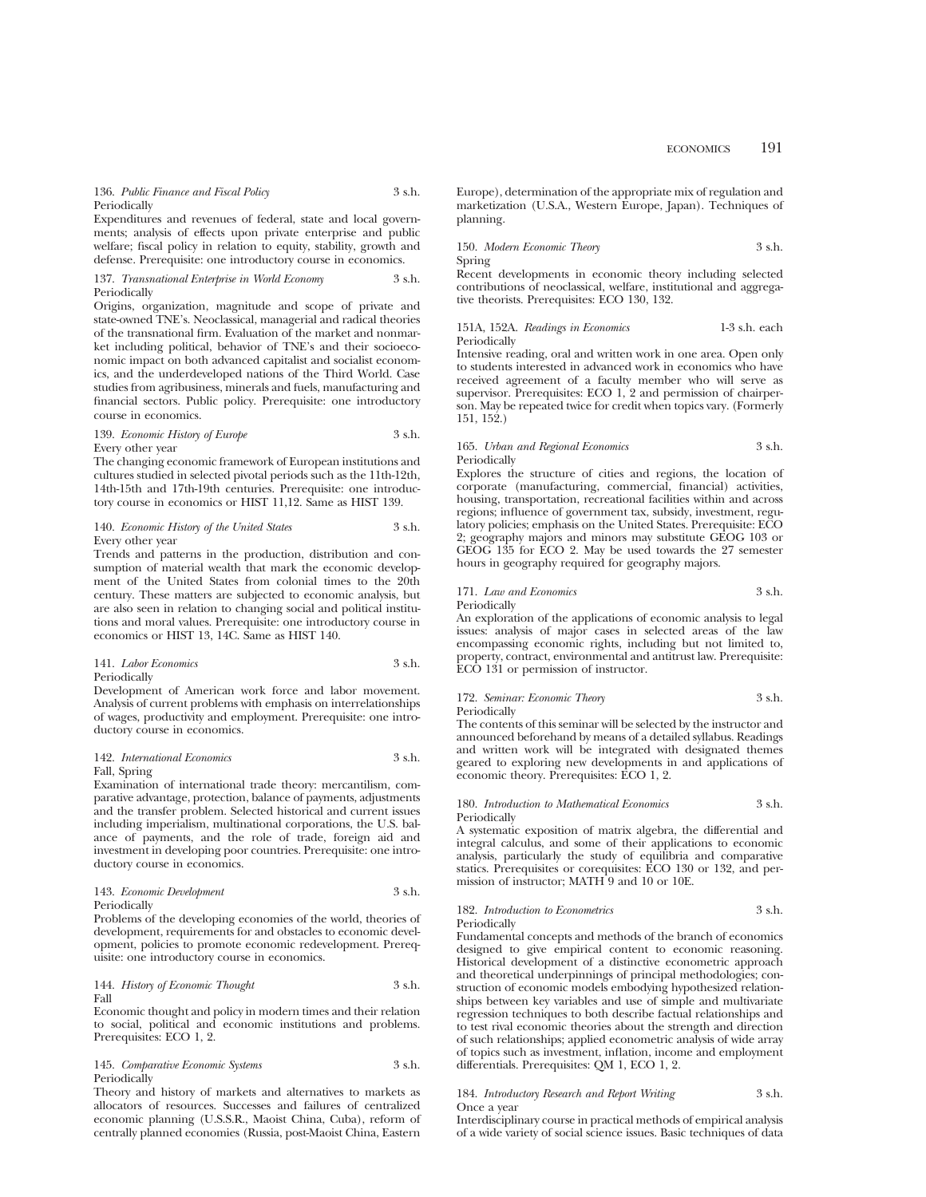136. *Public Finance and Fiscal Policy* 3 s.h. Periodically

Expenditures and revenues of federal, state and local governments; analysis of effects upon private enterprise and public welfare; fiscal policy in relation to equity, stability, growth and defense. Prerequisite: one introductory course in economics.

#### 137. *Transnational Enterprise in World Economy* 3 s.h. Periodically

Origins, organization, magnitude and scope of private and state-owned TNE's. Neoclassical, managerial and radical theories of the transnational firm. Evaluation of the market and nonmarket including political, behavior of TNE's and their socioeconomic impact on both advanced capitalist and socialist economics, and the underdeveloped nations of the Third World. Case studies from agribusiness, minerals and fuels, manufacturing and financial sectors. Public policy. Prerequisite: one introductory course in economics.

## 139. *Economic History of Europe* 3 s.h. Every other year

The changing economic framework of European institutions and cultures studied in selected pivotal periods such as the 11th-12th, 14th-15th and 17th-19th centuries. Prerequisite: one introductory course in economics or HIST 11,12. Same as HIST 139.

## 140. *Economic History of the United States* 3 s.h. Every other year

Trends and patterns in the production, distribution and consumption of material wealth that mark the economic development of the United States from colonial times to the 20th century. These matters are subjected to economic analysis, but are also seen in relation to changing social and political institutions and moral values. Prerequisite: one introductory course in economics or HIST 13, 14C. Same as HIST 140.

#### 141. *Labor Economics* 3 s.h. Periodically

Development of American work force and labor movement. Analysis of current problems with emphasis on interrelationships of wages, productivity and employment. Prerequisite: one introductory course in economics.

## 142. *International Economics* 3 s.h. Fall, Spring

Examination of international trade theory: mercantilism, comparative advantage, protection, balance of payments, adjustments and the transfer problem. Selected historical and current issues including imperialism, multinational corporations, the U.S. balance of payments, and the role of trade, foreign aid and investment in developing poor countries. Prerequisite: one introductory course in economics.

#### 143. *Economic Development* 3 s.h. **Periodically**

Problems of the developing economies of the world, theories of development, requirements for and obstacles to economic development, policies to promote economic redevelopment. Prerequisite: one introductory course in economics.

144. *History of Economic Thought* 3 s.h. Fall

Economic thought and policy in modern times and their relation to social, political and economic institutions and problems. Prerequisites: ECO 1, 2.

## 145. *Comparative Economic Systems* 3 s.h. Periodically

Theory and history of markets and alternatives to markets as allocators of resources. Successes and failures of centralized economic planning (U.S.S.R., Maoist China, Cuba), reform of centrally planned economies (Russia, post-Maoist China, Eastern

Europe), determination of the appropriate mix of regulation and marketization (U.S.A., Western Europe, Japan). Techniques of planning.

## 150. *Modern Economic Theory* 3 s.h. Spring

Recent developments in economic theory including selected contributions of neoclassical, welfare, institutional and aggregative theorists. Prerequisites: ECO 130, 132.

## 151A, 152A. *Readings in Economics* 1-3 s.h. each Periodically

Intensive reading, oral and written work in one area. Open only to students interested in advanced work in economics who have received agreement of a faculty member who will serve as supervisor. Prerequisites: ECO 1, 2 and permission of chairperson. May be repeated twice for credit when topics vary. (Formerly 151, 152.)

## 165. *Urban and Regional Economics* 3 s.h. Periodically

Explores the structure of cities and regions, the location of corporate (manufacturing, commercial, financial) activities, housing, transportation, recreational facilities within and across regions; influence of government tax, subsidy, investment, regulatory policies; emphasis on the United States. Prerequisite: ECO 2; geography majors and minors may substitute GEOG 103 or GEOG 135 for ECO 2. May be used towards the 27 semester hours in geography required for geography majors.

## 171. *Law and Economics* 3 s.h. Periodically

An exploration of the applications of economic analysis to legal issues: analysis of major cases in selected areas of the law encompassing economic rights, including but not limited to, property, contract, environmental and antitrust law. Prerequisite: ECO 131 or permission of instructor.

## 172. *Seminar: Economic Theory* 3 s.h. Periodically

The contents of this seminar will be selected by the instructor and announced beforehand by means of a detailed syllabus. Readings and written work will be integrated with designated themes geared to exploring new developments in and applications of economic theory. Prerequisites: ECO 1, 2.

#### 180. *Introduction to Mathematical Economics* 3 s.h. Periodically

A systematic exposition of matrix algebra, the differential and integral calculus, and some of their applications to economic analysis, particularly the study of equilibria and comparative statics. Prerequisites or corequisites: ECO 130 or 132, and permission of instructor; MATH 9 and 10 or 10E.

# 182. *Introduction to Econometrics* 3 s.h.

Periodically

Fundamental concepts and methods of the branch of economics designed to give empirical content to economic reasoning. Historical development of a distinctive econometric approach and theoretical underpinnings of principal methodologies; construction of economic models embodying hypothesized relationships between key variables and use of simple and multivariate regression techniques to both describe factual relationships and to test rival economic theories about the strength and direction of such relationships; applied econometric analysis of wide array of topics such as investment, inflation, income and employment differentials. Prerequisites: QM 1, ECO 1, 2.

## 184. *Introductory Research and Report Writing* 3 s.h. Once a year

Interdisciplinary course in practical methods of empirical analysis of a wide variety of social science issues. Basic techniques of data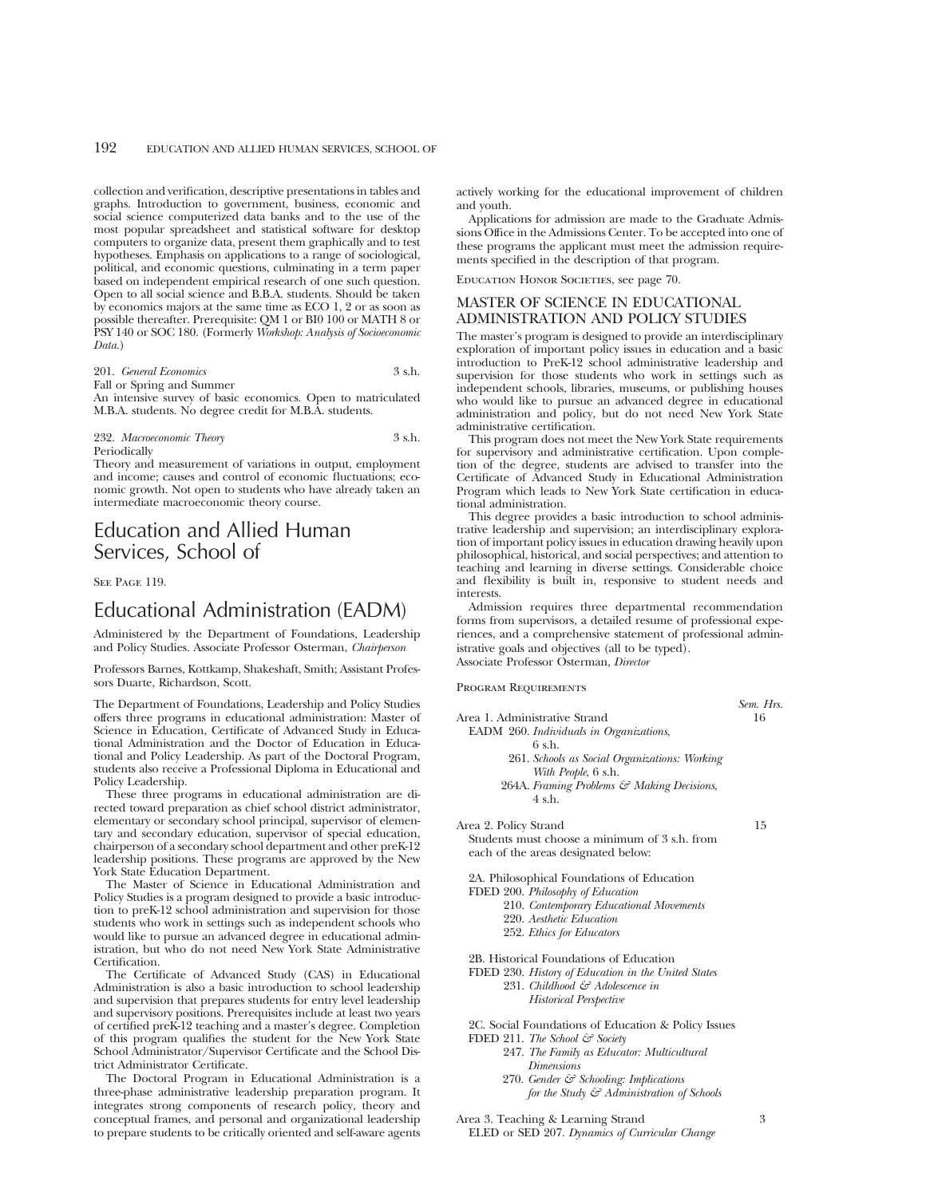collection and verification, descriptive presentations in tables and graphs. Introduction to government, business, economic and social science computerized data banks and to the use of the most popular spreadsheet and statistical software for desktop computers to organize data, present them graphically and to test hypotheses. Emphasis on applications to a range of sociological, political, and economic questions, culminating in a term paper based on independent empirical research of one such question. Open to all social science and B.B.A. students. Should be taken by economics majors at the same time as ECO 1, 2 or as soon as possible thereafter. Prerequisite: QM 1 or BI0 100 or MATH 8 or PSY 140 or SOC 180. (Formerly *Workshop: Analysis of Socioeconomic Data.*)

201. *General Economics* 3 s.h. Fall or Spring and Summer

An intensive survey of basic economics. Open to matriculated M.B.A. students. No degree credit for M.B.A. students.

## 232. *Macroeconomic Theory* 3 s.h. Periodically

Theory and measurement of variations in output, employment and income; causes and control of economic fluctuations; economic growth. Not open to students who have already taken an intermediate macroeconomic theory course.

# Education and Allied Human Services, School of

## SEE PAGE 119.

# Educational Administration (EADM)

Administered by the Department of Foundations, Leadership and Policy Studies. Associate Professor Osterman, *Chairperson*

Professors Barnes, Kottkamp, Shakeshaft, Smith; Assistant Professors Duarte, Richardson, Scott.

The Department of Foundations, Leadership and Policy Studies offers three programs in educational administration: Master of Science in Education, Certificate of Advanced Study in Educational Administration and the Doctor of Education in Educational and Policy Leadership. As part of the Doctoral Program, students also receive a Professional Diploma in Educational and Policy Leadership.

These three programs in educational administration are directed toward preparation as chief school district administrator, elementary or secondary school principal, supervisor of elementary and secondary education, supervisor of special education, chairperson of a secondary school department and other preK-12 leadership positions. These programs are approved by the New York State Education Department.

The Master of Science in Educational Administration and Policy Studies is a program designed to provide a basic introduction to preK-12 school administration and supervision for those students who work in settings such as independent schools who would like to pursue an advanced degree in educational administration, but who do not need New York State Administrative Certification.

The Certificate of Advanced Study (CAS) in Educational Administration is also a basic introduction to school leadership and supervision that prepares students for entry level leadership and supervisory positions. Prerequisites include at least two years of certified preK-12 teaching and a master's degree. Completion of this program qualifies the student for the New York State School Administrator/Supervisor Certificate and the School District Administrator Certificate.

The Doctoral Program in Educational Administration is a three-phase administrative leadership preparation program. It integrates strong components of research policy, theory and conceptual frames, and personal and organizational leadership to prepare students to be critically oriented and self-aware agents

actively working for the educational improvement of children and youth.

Applications for admission are made to the Graduate Admissions Office in the Admissions Center. To be accepted into one of these programs the applicant must meet the admission requirements specified in the description of that program.

EDUCATION HONOR SOCIETIES, see page 70.

# MASTER OF SCIENCE IN EDUCATIONAL ADMINISTRATION AND POLICY STUDIES

The master's program is designed to provide an interdisciplinary exploration of important policy issues in education and a basic introduction to PreK-12 school administrative leadership and supervision for those students who work in settings such as independent schools, libraries, museums, or publishing houses who would like to pursue an advanced degree in educational administration and policy, but do not need New York State administrative certification.

This program does not meet the New York State requirements for supervisory and administrative certification. Upon completion of the degree, students are advised to transfer into the Certificate of Advanced Study in Educational Administration Program which leads to New York State certification in educational administration.

This degree provides a basic introduction to school administrative leadership and supervision; an interdisciplinary exploration of important policy issues in education drawing heavily upon philosophical, historical, and social perspectives; and attention to teaching and learning in diverse settings. Considerable choice and flexibility is built in, responsive to student needs and interests.

Admission requires three departmental recommendation forms from supervisors, a detailed resume of professional experiences, and a comprehensive statement of professional administrative goals and objectives (all to be typed). Associate Professor Osterman, *Director*

Program Requirements

- Area 1. Administrative Strand 16 EADM 260. *Individuals in Organizations*, 6 s.h. 261. *Schools as Social Organizations: Working With People*, 6 s.h.
	- 264A. *Framing Problems & Making Decisions*, 4 s.h.

Area 2. Policy Strand 15

Students must choose a minimum of 3 s.h. from each of the areas designated below:

2A. Philosophical Foundations of Education

- FDED 200. *Philosophy of Education*
	- 210. *Contemporary Educational Movements*
	- 220. *Aesthetic Education*
	- 252. *Ethics for Educators*

2B. Historical Foundations of Education

FDED 230. *History of Education in the United States* 231. *Childhood & Adolescence in*

*Historical Perspective*

2C. Social Foundations of Education & Policy Issues FDED 211. *The School & Society*

- 247. *The Family as Educator: Multicultural Dimensions*
- 270. *Gender & Schooling: Implications for the Study & Administration of Schools*

Area 3. Teaching & Learning Strand 3 ELED or SED 207. *Dynamics of Curricular Change*

*Sem. Hrs.*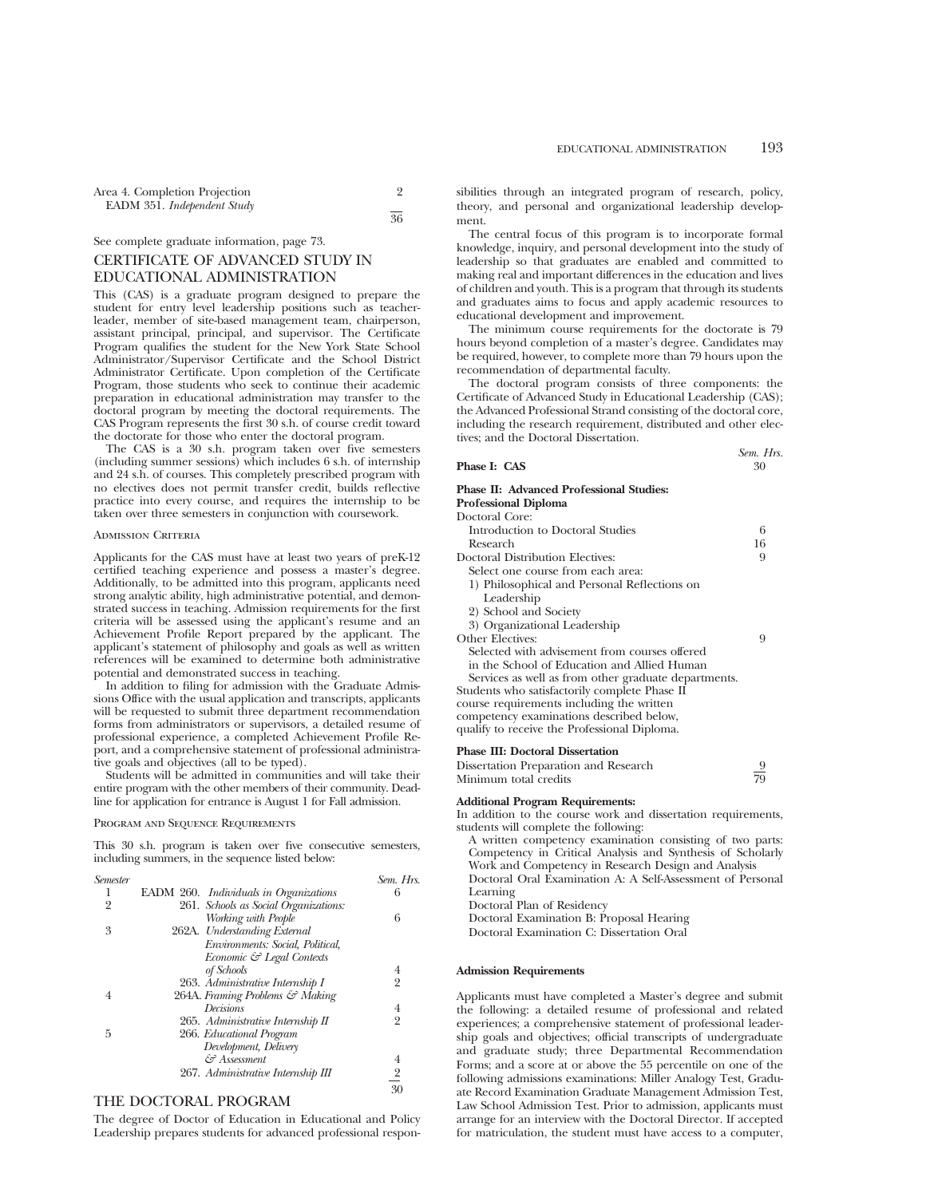| 36 |
|----|
|    |

## See complete graduate information, page 73.

# CERTIFICATE OF ADVANCED STUDY IN EDUCATIONAL ADMINISTRATION

This (CAS) is a graduate program designed to prepare the student for entry level leadership positions such as teacherleader, member of site-based management team, chairperson, assistant principal, principal, and supervisor. The Certificate Program qualifies the student for the New York State School Administrator/Supervisor Certificate and the School District Administrator Certificate. Upon completion of the Certificate Program, those students who seek to continue their academic preparation in educational administration may transfer to the doctoral program by meeting the doctoral requirements. The CAS Program represents the first 30 s.h. of course credit toward the doctorate for those who enter the doctoral program.

The CAS is a 30 s.h. program taken over five semesters (including summer sessions) which includes 6 s.h. of internship and 24 s.h. of courses. This completely prescribed program with no electives does not permit transfer credit, builds reflective practice into every course, and requires the internship to be taken over three semesters in conjunction with coursework.

#### Admission Criteria

Applicants for the CAS must have at least two years of preK-12 certified teaching experience and possess a master's degree. Additionally, to be admitted into this program, applicants need strong analytic ability, high administrative potential, and demonstrated success in teaching. Admission requirements for the first criteria will be assessed using the applicant's resume and an Achievement Profile Report prepared by the applicant. The applicant's statement of philosophy and goals as well as written references will be examined to determine both administrative potential and demonstrated success in teaching.

In addition to filing for admission with the Graduate Admissions Office with the usual application and transcripts, applicants will be requested to submit three department recommendation forms from administrators or supervisors, a detailed resume of professional experience, a completed Achievement Profile Report, and a comprehensive statement of professional administrative goals and objectives (all to be typed).

Students will be admitted in communities and will take their entire program with the other members of their community. Deadline for application for entrance is August 1 for Fall admission.

#### Program and Sequence Requirements

This 30 s.h. program is taken over five consecutive semesters, including summers, in the sequence listed below:

| <b>Semester</b> |                                        | Sem. Hrs.               |
|-----------------|----------------------------------------|-------------------------|
| ı               | EADM 260. Individuals in Organizations | 6                       |
| 2               | 261. Schools as Social Organizations:  |                         |
|                 | Working with People                    | 6                       |
| 3               | 262A. Understanding External           |                         |
|                 | Environments: Social, Political,       |                         |
|                 | Economic & Legal Contexts              |                         |
|                 | of Schools                             | 4                       |
|                 | 263. Administrative Internship I       | $\overline{2}$          |
|                 | 264A. Framing Problems & Making        |                         |
|                 | Decisions                              | 4                       |
|                 | 265. Administrative Internship II      | $\overline{2}$          |
| 5               | 266. Educational Program               |                         |
|                 | Development, Delivery                  |                         |
|                 | & Assessment                           | 4                       |
|                 | 267. Administrative Internship III     | $\overline{\mathbf{c}}$ |
|                 |                                        | 30                      |
|                 |                                        |                         |

## THE DOCTORAL PROGRAM

The degree of Doctor of Education in Educational and Policy Leadership prepares students for advanced professional responsibilities through an integrated program of research, policy, theory, and personal and organizational leadership development.

The central focus of this program is to incorporate formal knowledge, inquiry, and personal development into the study of leadership so that graduates are enabled and committed to making real and important differences in the education and lives of children and youth. This is a program that through its students and graduates aims to focus and apply academic resources to educational development and improvement.

The minimum course requirements for the doctorate is 79 hours beyond completion of a master's degree. Candidates may be required, however, to complete more than 79 hours upon the recommendation of departmental faculty.

The doctoral program consists of three components: the Certificate of Advanced Study in Educational Leadership (CAS); the Advanced Professional Strand consisting of the doctoral core, including the research requirement, distributed and other electives; and the Doctoral Dissertation.

|              | Sem. Hrs |
|--------------|----------|
| Phase I: CAS | 30       |

# **Phase II: Advanced Professional Studies:**

**Professional Diploma**

| Doctoral Core:                                       |    |
|------------------------------------------------------|----|
| Introduction to Doctoral Studies                     | 6  |
| Research                                             | 16 |
| Doctoral Distribution Electives:                     | 9  |
| Select one course from each area:                    |    |
| 1) Philosophical and Personal Reflections on         |    |
| Leadership                                           |    |
| 2) School and Society                                |    |
| 3) Organizational Leadership                         |    |
| Other Electives:                                     | 9  |
| Selected with advisement from courses offered        |    |
| in the School of Education and Allied Human          |    |
| Services as well as from other graduate departments. |    |
| Students who satisfactorily complete Phase II        |    |
| course requirements including the written            |    |
| competency examinations described below,             |    |
| qualify to receive the Professional Diploma.         |    |
|                                                      |    |

## **Phase III: Doctoral Dissertation**

| Dissertation Preparation and Research |    |
|---------------------------------------|----|
| Minimum total credits                 | 79 |

## **Additional Program Requirements:**

In addition to the course work and dissertation requirements, students will complete the following:

A written competency examination consisting of two parts: Competency in Critical Analysis and Synthesis of Scholarly Work and Competency in Research Design and Analysis Doctoral Oral Examination A: A Self-Assessment of Personal Learning Doctoral Plan of Residency Doctoral Examination B: Proposal Hearing

Doctoral Examination C: Dissertation Oral

## **Admission Requirements**

Applicants must have completed a Master's degree and submit the following: a detailed resume of professional and related experiences; a comprehensive statement of professional leadership goals and objectives; official transcripts of undergraduate and graduate study; three Departmental Recommendation Forms; and a score at or above the 55 percentile on one of the following admissions examinations: Miller Analogy Test, Graduate Record Examination Graduate Management Admission Test, Law School Admission Test. Prior to admission, applicants must arrange for an interview with the Doctoral Director. If accepted for matriculation, the student must have access to a computer,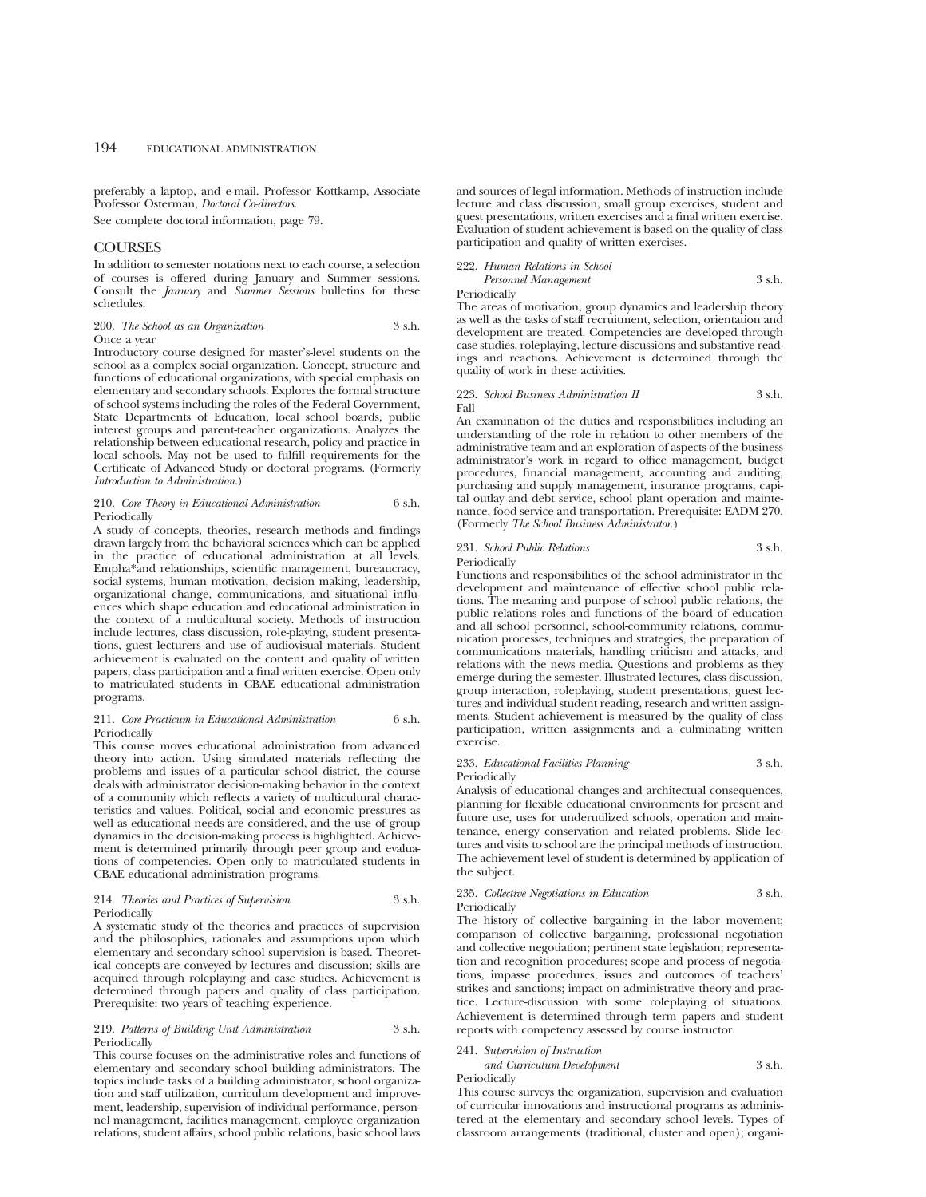preferably a laptop, and e-mail. Professor Kottkamp, Associate Professor Osterman, *Doctoral Co-directors*.

See complete doctoral information, page 79.

## **COURSES**

In addition to semester notations next to each course, a selection of courses is offered during January and Summer sessions. Consult the *January* and *Summer Sessions* bulletins for these schedules.

#### 200. *The School as an Organization* 3 s.h. Once a year

Introductory course designed for master's-level students on the school as a complex social organization. Concept, structure and functions of educational organizations, with special emphasis on elementary and secondary schools. Explores the formal structure of school systems including the roles of the Federal Government, State Departments of Education, local school boards, public interest groups and parent-teacher organizations. Analyzes the relationship between educational research, policy and practice in local schools. May not be used to fulfill requirements for the Certificate of Advanced Study or doctoral programs. (Formerly *Introduction to Administration*.)

### 210. *Core Theory in Educational Administration* 6 s.h. **Periodically**

A study of concepts, theories, research methods and findings drawn largely from the behavioral sciences which can be applied in the practice of educational administration at all levels. Empha\*and relationships, scientific management, bureaucracy, social systems, human motivation, decision making, leadership, organizational change, communications, and situational influences which shape education and educational administration in the context of a multicultural society. Methods of instruction include lectures, class discussion, role-playing, student presentations, guest lecturers and use of audiovisual materials. Student achievement is evaluated on the content and quality of written papers, class participation and a final written exercise. Open only to matriculated students in CBAE educational administration programs.

## 211. *Core Practicum in Educational Administration* 6 s.h. Periodically

This course moves educational administration from advanced theory into action. Using simulated materials reflecting the problems and issues of a particular school district, the course deals with administrator decision-making behavior in the context of a community which reflects a variety of multicultural characteristics and values. Political, social and economic pressures as well as educational needs are considered, and the use of group dynamics in the decision-making process is highlighted. Achievement is determined primarily through peer group and evaluations of competencies. Open only to matriculated students in CBAE educational administration programs.

## 214. *Theories and Practices of Supervision* 3 s.h. Periodically

A systematic study of the theories and practices of supervision and the philosophies, rationales and assumptions upon which elementary and secondary school supervision is based. Theoretical concepts are conveyed by lectures and discussion; skills are acquired through roleplaying and case studies. Achievement is determined through papers and quality of class participation. Prerequisite: two years of teaching experience.

## 219. *Patterns of Building Unit Administration* 3 s.h. Periodically

This course focuses on the administrative roles and functions of elementary and secondary school building administrators. The topics include tasks of a building administrator, school organization and staff utilization, curriculum development and improvement, leadership, supervision of individual performance, personnel management, facilities management, employee organization relations, student affairs, school public relations, basic school laws

and sources of legal information. Methods of instruction include lecture and class discussion, small group exercises, student and guest presentations, written exercises and a final written exercise. Evaluation of student achievement is based on the quality of class participation and quality of written exercises.

# 222. *Human Relations in School*

*Personnel Management* 3 s.h.

Periodically

The areas of motivation, group dynamics and leadership theory as well as the tasks of staff recruitment, selection, orientation and development are treated. Competencies are developed through case studies, roleplaying, lecture-discussions and substantive readings and reactions. Achievement is determined through the quality of work in these activities.

#### 223. *School Business Administration II* 3 s.h. Fall

An examination of the duties and responsibilities including an understanding of the role in relation to other members of the administrative team and an exploration of aspects of the business administrator's work in regard to office management, budget procedures, financial management, accounting and auditing, purchasing and supply management, insurance programs, capital outlay and debt service, school plant operation and maintenance, food service and transportation. Prerequisite: EADM 270. (Formerly *The School Business Administrator.*)

## 231. *School Public Relations* 3 s.h. Periodically

Functions and responsibilities of the school administrator in the development and maintenance of effective school public relations. The meaning and purpose of school public relations, the public relations roles and functions of the board of education and all school personnel, school-community relations, communication processes, techniques and strategies, the preparation of communications materials, handling criticism and attacks, and relations with the news media. Questions and problems as they emerge during the semester. Illustrated lectures, class discussion, group interaction, roleplaying, student presentations, guest lectures and individual student reading, research and written assignments. Student achievement is measured by the quality of class participation, written assignments and a culminating written exercise.

233. *Educational Facilities Planning* 3 s.h. Periodically

Analysis of educational changes and architectual consequences, planning for flexible educational environments for present and future use, uses for underutilized schools, operation and maintenance, energy conservation and related problems. Slide lectures and visits to school are the principal methods of instruction. The achievement level of student is determined by application of the subject.

## 235. *Collective Negotiations in Education* 3 s.h. Periodically

The history of collective bargaining in the labor movement; comparison of collective bargaining, professional negotiation and collective negotiation; pertinent state legislation; representation and recognition procedures; scope and process of negotiations, impasse procedures; issues and outcomes of teachers' strikes and sanctions; impact on administrative theory and practice. Lecture-discussion with some roleplaying of situations. Achievement is determined through term papers and student reports with competency assessed by course instructor.

## 241. *Supervision of Instruction*

#### *and Curriculum Development* 3 s.h. Periodically

This course surveys the organization, supervision and evaluation of curricular innovations and instructional programs as administered at the elementary and secondary school levels. Types of classroom arrangements (traditional, cluster and open); organi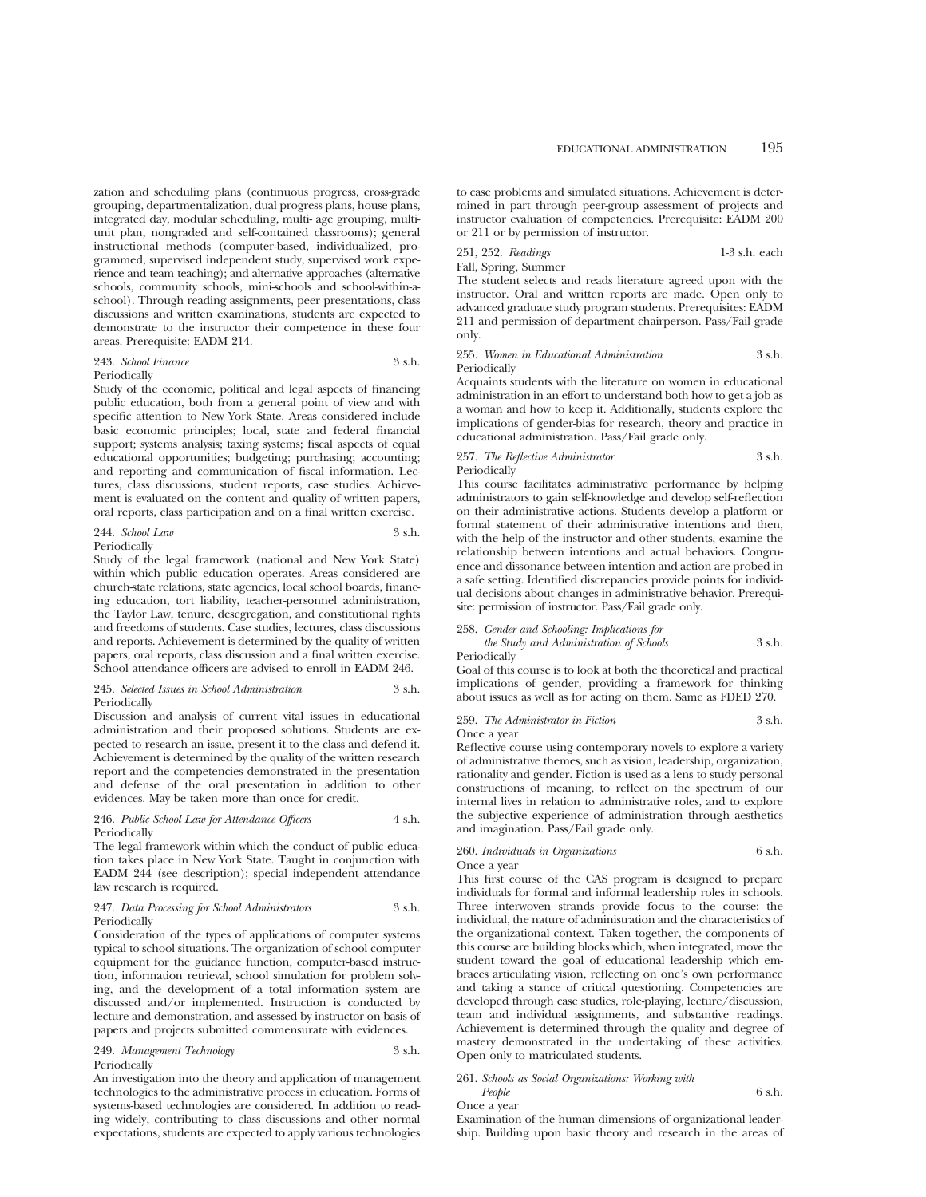zation and scheduling plans (continuous progress, cross-grade grouping, departmentalization, dual progress plans, house plans, integrated day, modular scheduling, multi- age grouping, multiunit plan, nongraded and self-contained classrooms); general instructional methods (computer-based, individualized, programmed, supervised independent study, supervised work experience and team teaching); and alternative approaches (alternative schools, community schools, mini-schools and school-within-aschool). Through reading assignments, peer presentations, class discussions and written examinations, students are expected to demonstrate to the instructor their competence in these four areas. Prerequisite: EADM 214.

243. *School Finance* 3 s.h. Periodically

Study of the economic, political and legal aspects of financing public education, both from a general point of view and with specific attention to New York State. Areas considered include basic economic principles; local, state and federal financial support; systems analysis; taxing systems; fiscal aspects of equal educational opportunities; budgeting; purchasing; accounting; and reporting and communication of fiscal information. Lectures, class discussions, student reports, case studies. Achievement is evaluated on the content and quality of written papers, oral reports, class participation and on a final written exercise.

$$
244. \text{ School Law} \qquad \qquad 3 \text{ s.h.}
$$

Periodically

Study of the legal framework (national and New York State) within which public education operates. Areas considered are church-state relations, state agencies, local school boards, financing education, tort liability, teacher-personnel administration, the Taylor Law, tenure, desegregation, and constitutional rights and freedoms of students. Case studies, lectures, class discussions and reports. Achievement is determined by the quality of written papers, oral reports, class discussion and a final written exercise. School attendance officers are advised to enroll in EADM 246.

## 245. *Selected Issues in School Administration* 3 s.h. Periodically

Discussion and analysis of current vital issues in educational administration and their proposed solutions. Students are expected to research an issue, present it to the class and defend it. Achievement is determined by the quality of the written research report and the competencies demonstrated in the presentation and defense of the oral presentation in addition to other evidences. May be taken more than once for credit.

## 246. *Public School Law for Attendance Officers* 4 s.h. Periodically

The legal framework within which the conduct of public education takes place in New York State. Taught in conjunction with EADM 244 (see description); special independent attendance law research is required.

## 247. *Data Processing for School Administrators* 3 s.h. Periodically

Consideration of the types of applications of computer systems typical to school situations. The organization of school computer equipment for the guidance function, computer-based instruction, information retrieval, school simulation for problem solving, and the development of a total information system are discussed and/or implemented. Instruction is conducted by lecture and demonstration, and assessed by instructor on basis of papers and projects submitted commensurate with evidences.

## 249. *Management Technology* 3 s.h. Periodically

An investigation into the theory and application of management technologies to the administrative process in education. Forms of systems-based technologies are considered. In addition to reading widely, contributing to class discussions and other normal expectations, students are expected to apply various technologies

to case problems and simulated situations. Achievement is determined in part through peer-group assessment of projects and instructor evaluation of competencies. Prerequisite: EADM 200 or 211 or by permission of instructor.

251, 252. *Readings* 1-3 s.h. each Fall, Spring, Summer

The student selects and reads literature agreed upon with the instructor. Oral and written reports are made. Open only to advanced graduate study program students. Prerequisites: EADM 211 and permission of department chairperson. Pass/Fail grade only.

#### 255. *Women in Educational Administration* 3 s.h. Periodically

Acquaints students with the literature on women in educational administration in an effort to understand both how to get a job as a woman and how to keep it. Additionally, students explore the implications of gender-bias for research, theory and practice in educational administration. Pass/Fail grade only.

## 257. *The Reflective Administrator* 3 s.h. **Periodically**

This course facilitates administrative performance by helping administrators to gain self-knowledge and develop self-reflection on their administrative actions. Students develop a platform or formal statement of their administrative intentions and then, with the help of the instructor and other students, examine the relationship between intentions and actual behaviors. Congruence and dissonance between intention and action are probed in a safe setting. Identified discrepancies provide points for individual decisions about changes in administrative behavior. Prerequisite: permission of instructor. Pass/Fail grade only.

## 258. *Gender and Schooling: Implications for*

*the Study and Administration of Schools* 3 s.h. Periodically

Goal of this course is to look at both the theoretical and practical implications of gender, providing a framework for thinking about issues as well as for acting on them. Same as FDED 270.

## 259. *The Administrator in Fiction* 3 s.h.

Once a year

Reflective course using contemporary novels to explore a variety of administrative themes, such as vision, leadership, organization, rationality and gender. Fiction is used as a lens to study personal constructions of meaning, to reflect on the spectrum of our internal lives in relation to administrative roles, and to explore the subjective experience of administration through aesthetics and imagination. Pass/Fail grade only.

#### 260. *Individuals in Organizations* 6 s.h. Once a year

This first course of the CAS program is designed to prepare individuals for formal and informal leadership roles in schools. Three interwoven strands provide focus to the course: the individual, the nature of administration and the characteristics of the organizational context. Taken together, the components of this course are building blocks which, when integrated, move the student toward the goal of educational leadership which embraces articulating vision, reflecting on one's own performance and taking a stance of critical questioning. Competencies are developed through case studies, role-playing, lecture/discussion, team and individual assignments, and substantive readings. Achievement is determined through the quality and degree of mastery demonstrated in the undertaking of these activities. Open only to matriculated students.

## 261. *Schools as Social Organizations: Working with People* 6 s.h.

Once a year

Examination of the human dimensions of organizational leadership. Building upon basic theory and research in the areas of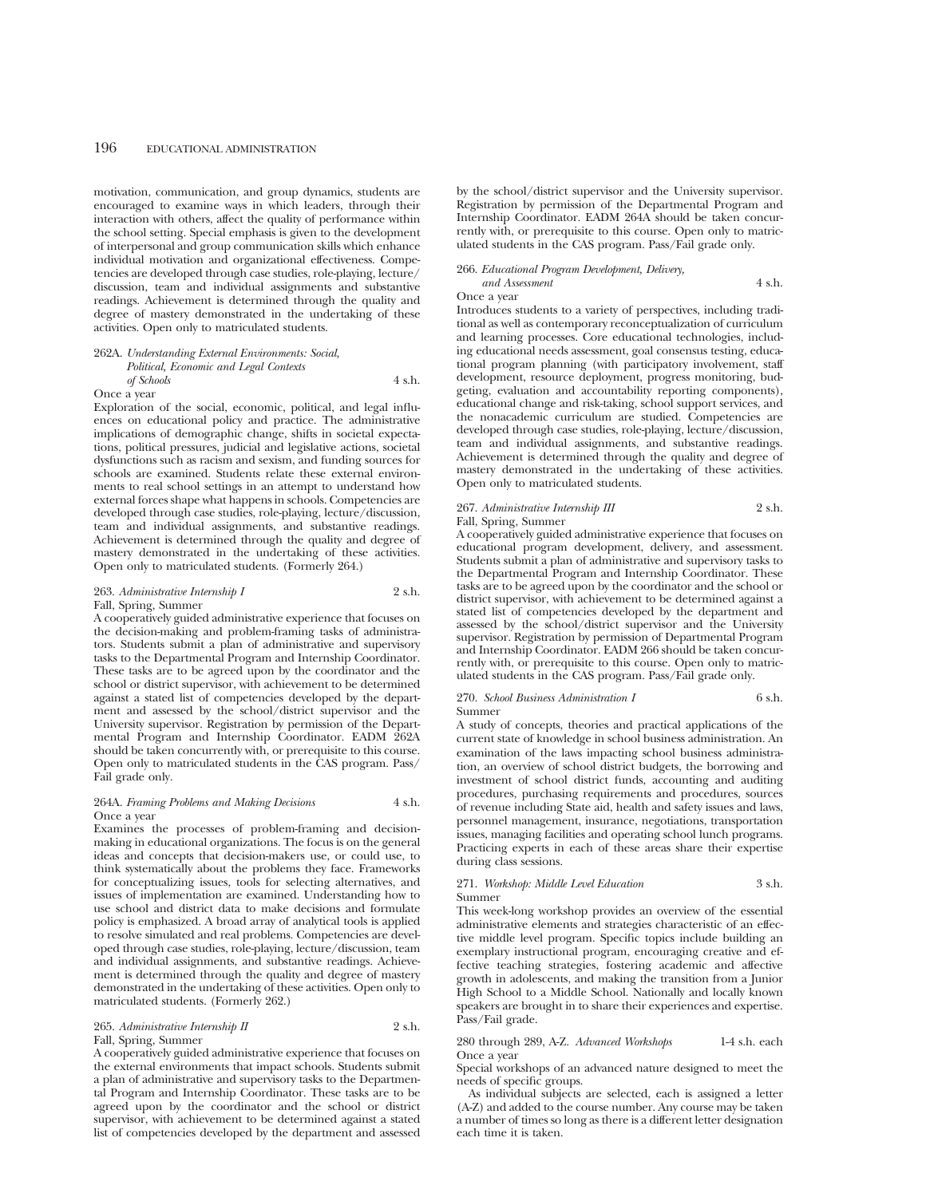motivation, communication, and group dynamics, students are encouraged to examine ways in which leaders, through their interaction with others, affect the quality of performance within the school setting. Special emphasis is given to the development of interpersonal and group communication skills which enhance individual motivation and organizational effectiveness. Competencies are developed through case studies, role-playing, lecture/ discussion, team and individual assignments and substantive readings. Achievement is determined through the quality and degree of mastery demonstrated in the undertaking of these activities. Open only to matriculated students.

## 262A. *Understanding External Environments: Social, Political, Economic and Legal Contexts of Schools* 4 s.h. Once a year

Exploration of the social, economic, political, and legal influences on educational policy and practice. The administrative implications of demographic change, shifts in societal expectations, political pressures, judicial and legislative actions, societal dysfunctions such as racism and sexism, and funding sources for schools are examined. Students relate these external environments to real school settings in an attempt to understand how external forces shape what happens in schools. Competencies are developed through case studies, role-playing, lecture/discussion, team and individual assignments, and substantive readings. Achievement is determined through the quality and degree of mastery demonstrated in the undertaking of these activities. Open only to matriculated students. (Formerly 264.)

## 263. *Administrative Internship I* 2 s.h. Fall, Spring, Summer

A cooperatively guided administrative experience that focuses on the decision-making and problem-framing tasks of administrators. Students submit a plan of administrative and supervisory tasks to the Departmental Program and Internship Coordinator. These tasks are to be agreed upon by the coordinator and the school or district supervisor, with achievement to be determined against a stated list of competencies developed by the department and assessed by the school/district supervisor and the University supervisor. Registration by permission of the Departmental Program and Internship Coordinator. EADM 262A should be taken concurrently with, or prerequisite to this course. Open only to matriculated students in the CAS program. Pass/ Fail grade only.

## 264A. *Framing Problems and Making Decisions* 4 s.h. Once a year

Examines the processes of problem-framing and decisionmaking in educational organizations. The focus is on the general ideas and concepts that decision-makers use, or could use, to think systematically about the problems they face. Frameworks for conceptualizing issues, tools for selecting alternatives, and issues of implementation are examined. Understanding how to use school and district data to make decisions and formulate policy is emphasized. A broad array of analytical tools is applied to resolve simulated and real problems. Competencies are developed through case studies, role-playing, lecture/discussion, team and individual assignments, and substantive readings. Achievement is determined through the quality and degree of mastery demonstrated in the undertaking of these activities. Open only to matriculated students. (Formerly 262.)

## 265. *Administrative Internship II* 2 s.h. Fall, Spring, Summer

A cooperatively guided administrative experience that focuses on the external environments that impact schools. Students submit a plan of administrative and supervisory tasks to the Departmental Program and Internship Coordinator. These tasks are to be agreed upon by the coordinator and the school or district supervisor, with achievement to be determined against a stated list of competencies developed by the department and assessed by the school/district supervisor and the University supervisor. Registration by permission of the Departmental Program and Internship Coordinator. EADM 264A should be taken concurrently with, or prerequisite to this course. Open only to matriculated students in the CAS program. Pass/Fail grade only.

## 266. *Educational Program Development, Delivery, and Assessment* 4 s.h.

Once a year

Introduces students to a variety of perspectives, including traditional as well as contemporary reconceptualization of curriculum and learning processes. Core educational technologies, including educational needs assessment, goal consensus testing, educational program planning (with participatory involvement, staff development, resource deployment, progress monitoring, budgeting, evaluation and accountability reporting components), educational change and risk-taking, school support services, and the nonacademic curriculum are studied. Competencies are developed through case studies, role-playing, lecture/discussion, team and individual assignments, and substantive readings. Achievement is determined through the quality and degree of mastery demonstrated in the undertaking of these activities. Open only to matriculated students.

# 267. *Administrative Internship III* 2 s.h.

Fall, Spring, Summer

A cooperatively guided administrative experience that focuses on educational program development, delivery, and assessment. Students submit a plan of administrative and supervisory tasks to the Departmental Program and Internship Coordinator. These tasks are to be agreed upon by the coordinator and the school or district supervisor, with achievement to be determined against a stated list of competencies developed by the department and assessed by the school/district supervisor and the University supervisor. Registration by permission of Departmental Program and Internship Coordinator. EADM 266 should be taken concurrently with, or prerequisite to this course. Open only to matriculated students in the CAS program. Pass/Fail grade only.

## 270. *School Business Administration I* 6 s.h. Summer

A study of concepts, theories and practical applications of the current state of knowledge in school business administration. An examination of the laws impacting school business administration, an overview of school district budgets, the borrowing and investment of school district funds, accounting and auditing procedures, purchasing requirements and procedures, sources of revenue including State aid, health and safety issues and laws, personnel management, insurance, negotiations, transportation issues, managing facilities and operating school lunch programs. Practicing experts in each of these areas share their expertise during class sessions.

#### 271. *Workshop: Middle Level Education* 3 s.h. Summer

This week-long workshop provides an overview of the essential administrative elements and strategies characteristic of an effective middle level program. Specific topics include building an exemplary instructional program, encouraging creative and effective teaching strategies, fostering academic and affective growth in adolescents, and making the transition from a Junior High School to a Middle School. Nationally and locally known speakers are brought in to share their experiences and expertise. Pass/Fail grade.

## 280 through 289, A-Z. *Advanced Workshops* 1-4 s.h. each Once a year

Special workshops of an advanced nature designed to meet the needs of specific groups.

As individual subjects are selected, each is assigned a letter (A-Z) and added to the course number. Any course may be taken a number of times so long as there is a different letter designation each time it is taken.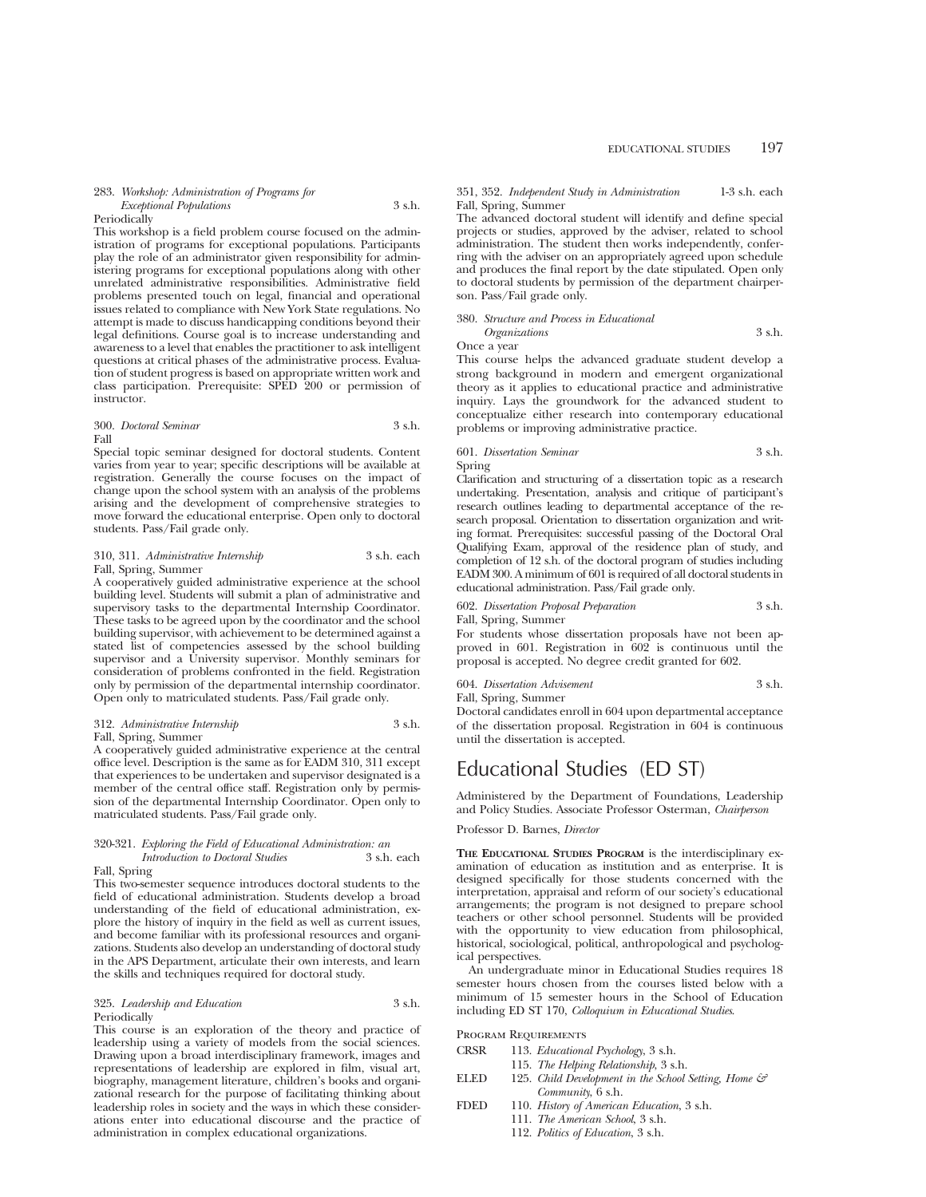#### 283. *Workshop: Administration of Programs for Exceptional Populations* 3 s.h.

## Periodically

This workshop is a field problem course focused on the administration of programs for exceptional populations. Participants play the role of an administrator given responsibility for administering programs for exceptional populations along with other unrelated administrative responsibilities. Administrative field problems presented touch on legal, financial and operational issues related to compliance with New York State regulations. No attempt is made to discuss handicapping conditions beyond their legal definitions. Course goal is to increase understanding and awareness to a level that enables the practitioner to ask intelligent questions at critical phases of the administrative process. Evaluation of student progress is based on appropriate written work and class participation. Prerequisite: SPED 200 or permission of instructor.

## 300. *Doctoral Seminar* 3 s.h. Fall

Special topic seminar designed for doctoral students. Content varies from year to year; specific descriptions will be available at registration. Generally the course focuses on the impact of change upon the school system with an analysis of the problems arising and the development of comprehensive strategies to move forward the educational enterprise. Open only to doctoral students. Pass/Fail grade only.

## 310, 311. *Administrative Internship* 3 s.h. each Fall, Spring, Summer

A cooperatively guided administrative experience at the school building level. Students will submit a plan of administrative and supervisory tasks to the departmental Internship Coordinator. These tasks to be agreed upon by the coordinator and the school building supervisor, with achievement to be determined against a stated list of competencies assessed by the school building supervisor and a University supervisor. Monthly seminars for consideration of problems confronted in the field. Registration only by permission of the departmental internship coordinator. Open only to matriculated students. Pass/Fail grade only.

## 312. *Administrative Internship* 3 s.h. Fall, Spring, Summer

A cooperatively guided administrative experience at the central office level. Description is the same as for EADM 310, 311 except that experiences to be undertaken and supervisor designated is a member of the central office staff. Registration only by permission of the departmental Internship Coordinator. Open only to matriculated students. Pass/Fail grade only.

## 320-321. *Exploring the Field of Educational Administration: an Introduction to Doctoral Studies* 3 s.h. each

Fall, Spring

This two-semester sequence introduces doctoral students to the field of educational administration. Students develop a broad understanding of the field of educational administration, explore the history of inquiry in the field as well as current issues, and become familiar with its professional resources and organizations. Students also develop an understanding of doctoral study in the APS Department, articulate their own interests, and learn the skills and techniques required for doctoral study.

## 325. *Leadership and Education* 3 s.h. Periodically

This course is an exploration of the theory and practice of leadership using a variety of models from the social sciences. Drawing upon a broad interdisciplinary framework, images and representations of leadership are explored in film, visual art, biography, management literature, children's books and organizational research for the purpose of facilitating thinking about leadership roles in society and the ways in which these considerations enter into educational discourse and the practice of administration in complex educational organizations.

## 351, 352. *Independent Study in Administration* 1-3 s.h. each Fall, Spring, Summer

The advanced doctoral student will identify and define special projects or studies, approved by the adviser, related to school administration. The student then works independently, conferring with the adviser on an appropriately agreed upon schedule and produces the final report by the date stipulated. Open only to doctoral students by permission of the department chairperson. Pass/Fail grade only.

380. *Structure and Process in Educational*

*Organizations* 3 s.h. Once a year

This course helps the advanced graduate student develop a strong background in modern and emergent organizational theory as it applies to educational practice and administrative inquiry. Lays the groundwork for the advanced student to conceptualize either research into contemporary educational problems or improving administrative practice.

## 601. *Dissertation Seminar* 3 s.h. Spring

Clarification and structuring of a dissertation topic as a research undertaking. Presentation, analysis and critique of participant's research outlines leading to departmental acceptance of the research proposal. Orientation to dissertation organization and writing format. Prerequisites: successful passing of the Doctoral Oral Qualifying Exam, approval of the residence plan of study, and completion of 12 s.h. of the doctoral program of studies including EADM 300. A minimum of 601 is required of all doctoral students in educational administration. Pass/Fail grade only.

602. *Dissertation Proposal Preparation* 3 s.h. Fall, Spring, Summer

For students whose dissertation proposals have not been approved in 601. Registration in 602 is continuous until the proposal is accepted. No degree credit granted for 602.

## 604. *Dissertation Advisement* 3 s.h. Fall, Spring, Summer

Doctoral candidates enroll in 604 upon departmental acceptance of the dissertation proposal. Registration in 604 is continuous until the dissertation is accepted.

# Educational Studies (ED ST)

Administered by the Department of Foundations, Leadership and Policy Studies. Associate Professor Osterman, *Chairperson*

## Professor D. Barnes, *Director*

**THE EDUCATIONAL STUDIES PROGRAM** is the interdisciplinary examination of education as institution and as enterprise. It is designed specifically for those students concerned with the interpretation, appraisal and reform of our society's educational arrangements; the program is not designed to prepare school teachers or other school personnel. Students will be provided with the opportunity to view education from philosophical, historical, sociological, political, anthropological and psychological perspectives.

An undergraduate minor in Educational Studies requires 18 semester hours chosen from the courses listed below with a minimum of 15 semester hours in the School of Education including ED ST 170, *Colloquium in Educational Studies*.

## Program Requirements

- CRSR 113. *Educational Psychology*, 3 s.h.
	- 115. *The Helping Relationship*, 3 s.h.
- ELED 125. *Child Development in the School Setting, Home & Community*, 6 s.h.
- FDED 110. *History of American Education*, 3 s.h.
	- 111. *The American School*, 3 s.h.
		- 112. *Politics of Education*, 3 s.h.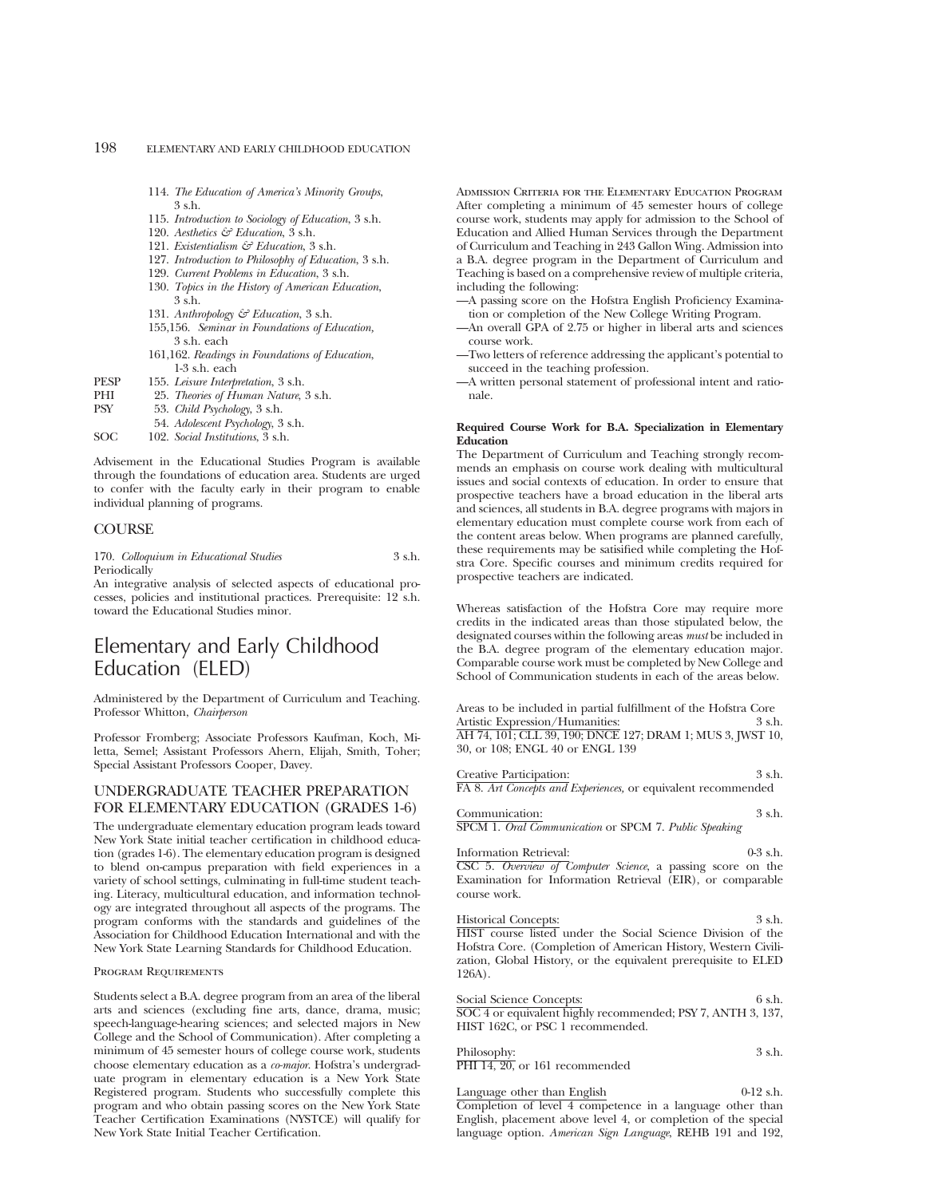- 114. *The Education of America's Minority Groups*, 3 s.h.
- 115. *Introduction to Sociology of Education*, 3 s.h.
- 120. *Aesthetics & Education*, 3 s.h.
- 121. *Existentialism & Education*, 3 s.h.
- 127. *Introduction to Philosophy of Education*, 3 s.h.
- 129. *Current Problems in Education*, 3 s.h.
- 130. *Topics in the History of American Education*, 3 s.h.
- 131. *Anthropology & Education*, 3 s.h.
- 155,156. *Seminar in Foundations of Education,* 3 s.h. each
- 161,162. *Readings in Foundations of Education*, 1-3 s.h. each
- PESP 155. *Leisure Interpretation*, 3 s.h.
- PHI 25. *Theories of Human Nature*, 3 s.h.<br>PSY 53. *Child Psychology*, 3 s.h.
- 53. *Child Psychology*, 3 s.h.
	- 54. *Adolescent Psychology*, 3 s.h.
- SOC 102. *Social Institutions*, 3 s.h.

Advisement in the Educational Studies Program is available through the foundations of education area. Students are urged to confer with the faculty early in their program to enable individual planning of programs.

## **COURSE**

170. *Colloquium in Educational Studies* 3 s.h. Periodically

An integrative analysis of selected aspects of educational processes, policies and institutional practices. Prerequisite: 12 s.h. toward the Educational Studies minor.

# Elementary and Early Childhood Education (ELED)

Administered by the Department of Curriculum and Teaching. Professor Whitton, *Chairperson*

Professor Fromberg; Associate Professors Kaufman, Koch, Miletta, Semel; Assistant Professors Ahern, Elijah, Smith, Toher; Special Assistant Professors Cooper, Davey.

## UNDERGRADUATE TEACHER PREPARATION FOR ELEMENTARY EDUCATION (GRADES 1-6)

The undergraduate elementary education program leads toward New York State initial teacher certification in childhood education (grades 1-6). The elementary education program is designed to blend on-campus preparation with field experiences in a variety of school settings, culminating in full-time student teaching. Literacy, multicultural education, and information technology are integrated throughout all aspects of the programs. The program conforms with the standards and guidelines of the Association for Childhood Education International and with the New York State Learning Standards for Childhood Education.

## Program Requirements

Students select a B.A. degree program from an area of the liberal arts and sciences (excluding fine arts, dance, drama, music; speech-language-hearing sciences; and selected majors in New College and the School of Communication). After completing a minimum of 45 semester hours of college course work, students choose elementary education as a *co-major*. Hofstra's undergraduate program in elementary education is a New York State Registered program. Students who successfully complete this program and who obtain passing scores on the New York State Teacher Certification Examinations (NYSTCE) will qualify for New York State Initial Teacher Certification.

Admission Criteria for the Elementary Education Program After completing a minimum of 45 semester hours of college course work, students may apply for admission to the School of Education and Allied Human Services through the Department of Curriculum and Teaching in 243 Gallon Wing. Admission into a B.A. degree program in the Department of Curriculum and Teaching is based on a comprehensive review of multiple criteria, including the following:

- —A passing score on the Hofstra English Proficiency Examination or completion of the New College Writing Program.
- —An overall GPA of 2.75 or higher in liberal arts and sciences course work.
- —Two letters of reference addressing the applicant's potential to succeed in the teaching profession.

—A written personal statement of professional intent and rationale.

## **Required Course Work for B.A. Specialization in Elementary Education**

The Department of Curriculum and Teaching strongly recommends an emphasis on course work dealing with multicultural issues and social contexts of education. In order to ensure that prospective teachers have a broad education in the liberal arts and sciences, all students in B.A. degree programs with majors in elementary education must complete course work from each of the content areas below. When programs are planned carefully, these requirements may be satisified while completing the Hofstra Core. Specific courses and minimum credits required for prospective teachers are indicated.

Whereas satisfaction of the Hofstra Core may require more credits in the indicated areas than those stipulated below, the designated courses within the following areas *must* be included in the B.A. degree program of the elementary education major. Comparable course work must be completed by New College and School of Communication students in each of the areas below.

Areas to be included in partial fulfillment of the Hofstra Core Artistic Expression/Humanities: 3 s.h. AH 74, 101; CLL 39, 190; DNCE 127; DRAM 1; MUS 3, JWST 10, 30, or 108; ENGL 40 or ENGL 139

Creative Participation: 3 s.h. FA 8. *Art Concepts and Experiences,* or equivalent recommended

Communication: 3 s.h. SPCM 1. *Oral Communication* or SPCM 7. *Public Speaking*

Information Retrieval: 0-3 s.h. CSC 5. *Overview of Computer Science*, a passing score on the Examination for Information Retrieval (EIR), or comparable course work.

Historical Concepts: 3 s.h. HIST course listed under the Social Science Division of the Hofstra Core. (Completion of American History, Western Civilization, Global History, or the equivalent prerequisite to ELED 126A).

| Social Science Concepts:                                    | 6 s.h. |
|-------------------------------------------------------------|--------|
| SOC 4 or equivalent highly recommended; PSY 7, ANTH 3, 137, |        |
| HIST 162C, or PSC 1 recommended.                            |        |
|                                                             |        |

| Philosophy:                    | 3 s.h. |
|--------------------------------|--------|
| PHI 14, 20, or 161 recommended |        |

Language other than English 0-12 s.h. Completion of level 4 competence in a language other than English, placement above level 4, or completion of the special language option. *American Sign Language*, REHB 191 and 192,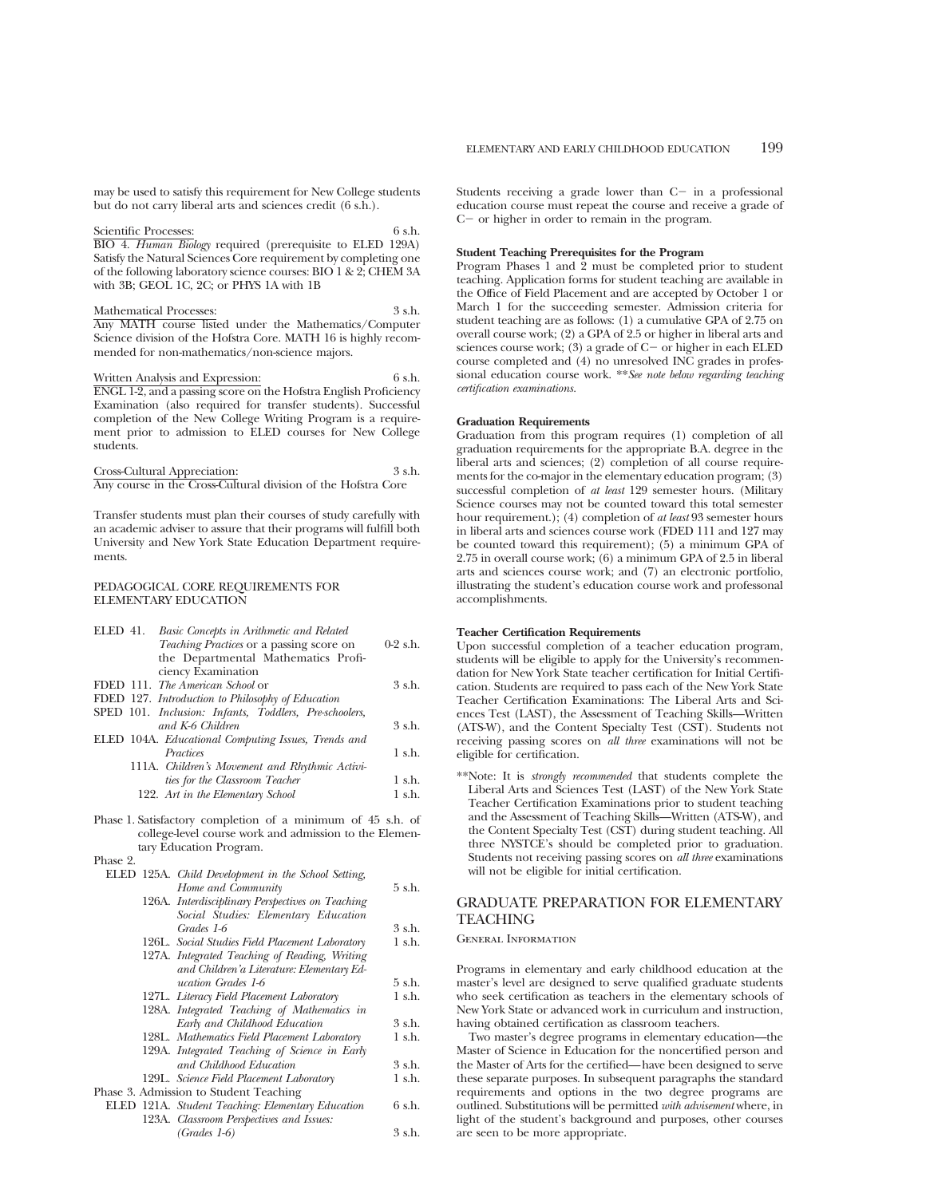may be used to satisfy this requirement for New College students but do not carry liberal arts and sciences credit (6 s.h.).

Scientific Processes: 6 s.h. BIO 4. *Human Biology* required (prerequisite to ELED 129A) Satisfy the Natural Sciences Core requirement by completing one of the following laboratory science courses: BIO 1 & 2; CHEM 3A with 3B; GEOL 1C, 2C; or PHYS 1A with 1B

Mathematical Processes: 3 s.h. Any MATH course listed under the Mathematics/Computer Science division of the Hofstra Core. MATH 16 is highly recommended for non-mathematics/non-science majors.

Written Analysis and Expression: 6 s.h. ENGL 1-2, and a passing score on the Hofstra English Proficiency Examination (also required for transfer students). Successful completion of the New College Writing Program is a requirement prior to admission to ELED courses for New College students.

Cross-Cultural Appreciation: 3 s.h. Any course in the Cross-Cultural division of the Hofstra Core

Transfer students must plan their courses of study carefully with an academic adviser to assure that their programs will fulfill both University and New York State Education Department requirements.

## PEDAGOGICAL CORE REQUIREMENTS FOR ELEMENTARY EDUCATION

| ELED 41.<br>Basic Concepts in Arithmetic and Related        |                  |
|-------------------------------------------------------------|------------------|
| Teaching Practices or a passing score on                    | $0-2$ s.h.       |
| the Departmental Mathematics Profi-                         |                  |
| ciency Examination                                          |                  |
| FDED 111. The American School or                            | 3 s.h.           |
| FDED 127. Introduction to Philosophy of Education           |                  |
| SPED 101. Inclusion: Infants, Toddlers, Pre-schoolers,      |                  |
| and K-6 Children                                            | 3 s.h.           |
| ELED 104A. Educational Computing Issues, Trends and         |                  |
| Practices                                                   | 1 s.h.           |
| 111A. Children's Movement and Rhythmic Activi-              |                  |
| ties for the Classroom Teacher                              | $1 \text{ s.h.}$ |
| 122. Art in the Elementary School                           | $1$ s.h.         |
| Phase 1. Satisfactory completion of a minimum of 45 s.h. of |                  |
| college-level course work and admission to the Elemen-      |                  |
| tary Education Program.                                     |                  |
| Phase 2.                                                    |                  |
| ELED 125A. Child Development in the School Setting,         |                  |
| Home and Community                                          | 5 s.h.           |
|                                                             |                  |

- 126A. *Interdisciplinary Perspectives on Teaching Social Studies: Elementary Education Grades 1-6* 3 s.h. 126L. *Social Studies Field Placement Laboratory* 1 s.h. 127A. *Integrated Teaching of Reading, Writing and Children'a Literature: Elementary Education Grades 1-6* 5 s.h.
- 127L. *Literacy Field Placement Laboratory* 1 s.h. 128A. *Integrated Teaching of Mathematics in Early and Childhood Education* 3 s.h. 128L. *Mathematics Field Placement Laboratory* 1 s.h. 129A. *Integrated Teaching of Science in Early*
- *and Childhood Education* 3 s.h. 129L. Science Field Placement Laboratory
- Phase 3. Admission to Student Teaching
	- ELED 121A. *Student Teaching: Elementary Education* 6 s.h. 123A. *Classroom Perspectives and Issues: (Grades 1-6)* 3 s.h.

Students receiving a grade lower than  $C-$  in a professional education course must repeat the course and receive a grade of  $C-$  or higher in order to remain in the program.

## **Student Teaching Prerequisites for the Program**

Program Phases 1 and 2 must be completed prior to student teaching. Application forms for student teaching are available in the Office of Field Placement and are accepted by October 1 or March 1 for the succeeding semester. Admission criteria for student teaching are as follows: (1) a cumulative GPA of 2.75 on overall course work; (2) a GPA of 2.5 or higher in liberal arts and sciences course work; (3) a grade of  $C-$  or higher in each ELED course completed and (4) no unresolved INC grades in professional education course work. \*\**See note below regarding teaching certification examinations.*

## **Graduation Requirements**

Graduation from this program requires (1) completion of all graduation requirements for the appropriate B.A. degree in the liberal arts and sciences; (2) completion of all course requirements for the co-major in the elementary education program; (3) successful completion of *at least* 129 semester hours. (Military Science courses may not be counted toward this total semester hour requirement.); (4) completion of *at least* 93 semester hours in liberal arts and sciences course work (FDED 111 and 127 may be counted toward this requirement); (5) a minimum GPA of 2.75 in overall course work; (6) a minimum GPA of 2.5 in liberal arts and sciences course work; and (7) an electronic portfolio, illustrating the student's education course work and professonal accomplishments.

## **Teacher Certification Requirements**

Upon successful completion of a teacher education program, students will be eligible to apply for the University's recommendation for New York State teacher certification for Initial Certification. Students are required to pass each of the New York State Teacher Certification Examinations: The Liberal Arts and Sciences Test (LAST), the Assessment of Teaching Skills—Written (ATS-W), and the Content Specialty Test (CST). Students not receiving passing scores on *all three* examinations will not be eligible for certification.

\*\*Note: It is *strongly recommended* that students complete the Liberal Arts and Sciences Test (LAST) of the New York State Teacher Certification Examinations prior to student teaching and the Assessment of Teaching Skills—Written (ATS-W), and the Content Specialty Test (CST) during student teaching. All three NYSTCE's should be completed prior to graduation. Students not receiving passing scores on *all three* examinations will not be eligible for initial certification.

# GRADUATE PREPARATION FOR ELEMENTARY **TEACHING**

## General Information

Programs in elementary and early childhood education at the master's level are designed to serve qualified graduate students who seek certification as teachers in the elementary schools of New York State or advanced work in curriculum and instruction, having obtained certification as classroom teachers.

Two master's degree programs in elementary education—the Master of Science in Education for the noncertified person and the Master of Arts for the certified—have been designed to serve these separate purposes. In subsequent paragraphs the standard requirements and options in the two degree programs are outlined. Substitutions will be permitted *with advisement* where, in light of the student's background and purposes, other courses are seen to be more appropriate.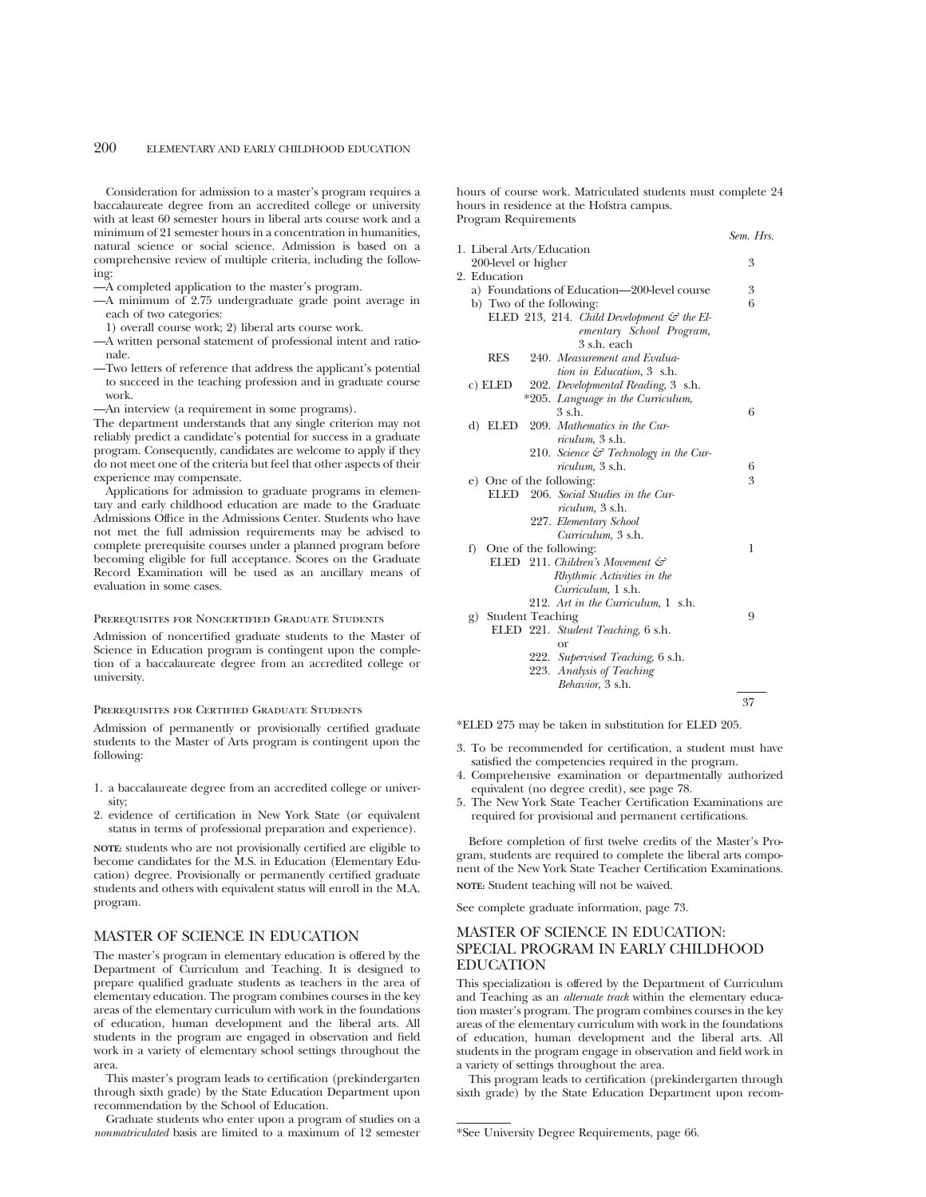Consideration for admission to a master's program requires a baccalaureate degree from an accredited college or university with at least 60 semester hours in liberal arts course work and a minimum of 21 semester hours in a concentration in humanities, natural science or social science. Admission is based on a comprehensive review of multiple criteria, including the following:

- —A completed application to the master's program.
- —A minimum of 2.75 undergraduate grade point average in each of two categories:
- 1) overall course work; 2) liberal arts course work.
- —A written personal statement of professional intent and rationale.
- —Two letters of reference that address the applicant's potential to succeed in the teaching profession and in graduate course work.

—An interview (a requirement in some programs).

The department understands that any single criterion may not reliably predict a candidate's potential for success in a graduate program. Consequently, candidates are welcome to apply if they do not meet one of the criteria but feel that other aspects of their experience may compensate.

Applications for admission to graduate programs in elementary and early childhood education are made to the Graduate Admissions Office in the Admissions Center. Students who have not met the full admission requirements may be advised to complete prerequisite courses under a planned program before becoming eligible for full acceptance. Scores on the Graduate Record Examination will be used as an ancillary means of evaluation in some cases.

### Prerequisites for Noncertified Graduate Students

Admission of noncertified graduate students to the Master of Science in Education program is contingent upon the completion of a baccalaureate degree from an accredited college or university.

#### Prerequisites for Certified Graduate Students

Admission of permanently or provisionally certified graduate students to the Master of Arts program is contingent upon the following:

- 1. a baccalaureate degree from an accredited college or university;
- 2. evidence of certification in New York State (or equivalent status in terms of professional preparation and experience).

**NOTE:** students who are not provisionally certified are eligible to become candidates for the M.S. in Education (Elementary Education) degree. Provisionally or permanently certified graduate students and others with equivalent status will enroll in the M.A. program.

## MASTER OF SCIENCE IN EDUCATION

The master's program in elementary education is offered by the Department of Curriculum and Teaching. It is designed to prepare qualified graduate students as teachers in the area of elementary education. The program combines courses in the key areas of the elementary curriculum with work in the foundations of education, human development and the liberal arts. All students in the program are engaged in observation and field work in a variety of elementary school settings throughout the area.

This master's program leads to certification (prekindergarten through sixth grade) by the State Education Department upon recommendation by the School of Education.

Graduate students who enter upon a program of studies on a *nonmatriculated* basis are limited to a maximum of 12 semester hours of course work. Matriculated students must complete 24 hours in residence at the Hofstra campus. Program Requirements

|                                                       | Sem. Hrs. |
|-------------------------------------------------------|-----------|
| 1. Liberal Arts/Education                             |           |
| 200-level or higher                                   | 3         |
| 2. Education                                          |           |
| a) Foundations of Education-200-level course          | 3         |
| b) Two of the following:                              | 6         |
| ELED 213, 214. Child Development $\mathcal G$ the El- |           |
| ementary School Program,                              |           |
| 3 s.h. each                                           |           |
| <b>RES</b><br>240. Measurement and Evalua-            |           |
| tion in Education, 3 s.h.                             |           |
| c) ELED<br>202. Developmental Reading, 3 s.h.         |           |
| *205. Language in the Curriculum,                     |           |
| $3$ s.h.                                              | 6         |
| d) ELED 209. Mathematics in the Cur-                  |           |
| riculum, 3 s.h.                                       |           |
| 210. Science $\mathcal{C}$ Technology in the Cur-     |           |
| <i>riculum</i> , 3 s.h.                               | 6         |
| e) One of the following:                              | 3         |
| ELED<br>206. Social Studies in the Cur-               |           |
| riculum, 3 s.h.                                       |           |
| 227. Elementary School                                |           |
| Curriculum, 3 s.h.                                    |           |
| f) One of the following:                              | 1         |
| ELED 211. Children's Movement $\mathcal{C}$           |           |
| Rhythmic Activities in the                            |           |
| Curriculum, 1 s.h.                                    |           |
| 212. Art in the Curriculum, 1 s.h.                    |           |
| g) Student Teaching                                   | 9         |
| ELED 221. Student Teaching, 6 s.h.                    |           |
| $\alpha$ r                                            |           |
| 222. Supervised Teaching, 6 s.h.                      |           |
| 223. Analysis of Teaching                             |           |
| Behavior, 3 s.h.                                      |           |
|                                                       | 37        |
|                                                       |           |

\*ELED 275 may be taken in substitution for ELED 205.

- 3. To be recommended for certification, a student must have satisfied the competencies required in the program.
- 4. Comprehensive examination or departmentally authorized equivalent (no degree credit), see page 78.
- 5. The New York State Teacher Certification Examinations are required for provisional and permanent certifications.

Before completion of first twelve credits of the Master's Program, students are required to complete the liberal arts component of the New York State Teacher Certification Examinations. **NOTE:** Student teaching will not be waived.

See complete graduate information, page 73.

# MASTER OF SCIENCE IN EDUCATION: SPECIAL PROGRAM IN EARLY CHILDHOOD EDUCATION

This specialization is offered by the Department of Curriculum and Teaching as an *alternate track* within the elementary education master's program. The program combines courses in the key areas of the elementary curriculum with work in the foundations of education, human development and the liberal arts. All students in the program engage in observation and field work in a variety of settings throughout the area.

This program leads to certification (prekindergarten through sixth grade) by the State Education Department upon recom-

<sup>\*</sup>See University Degree Requirements, page 66.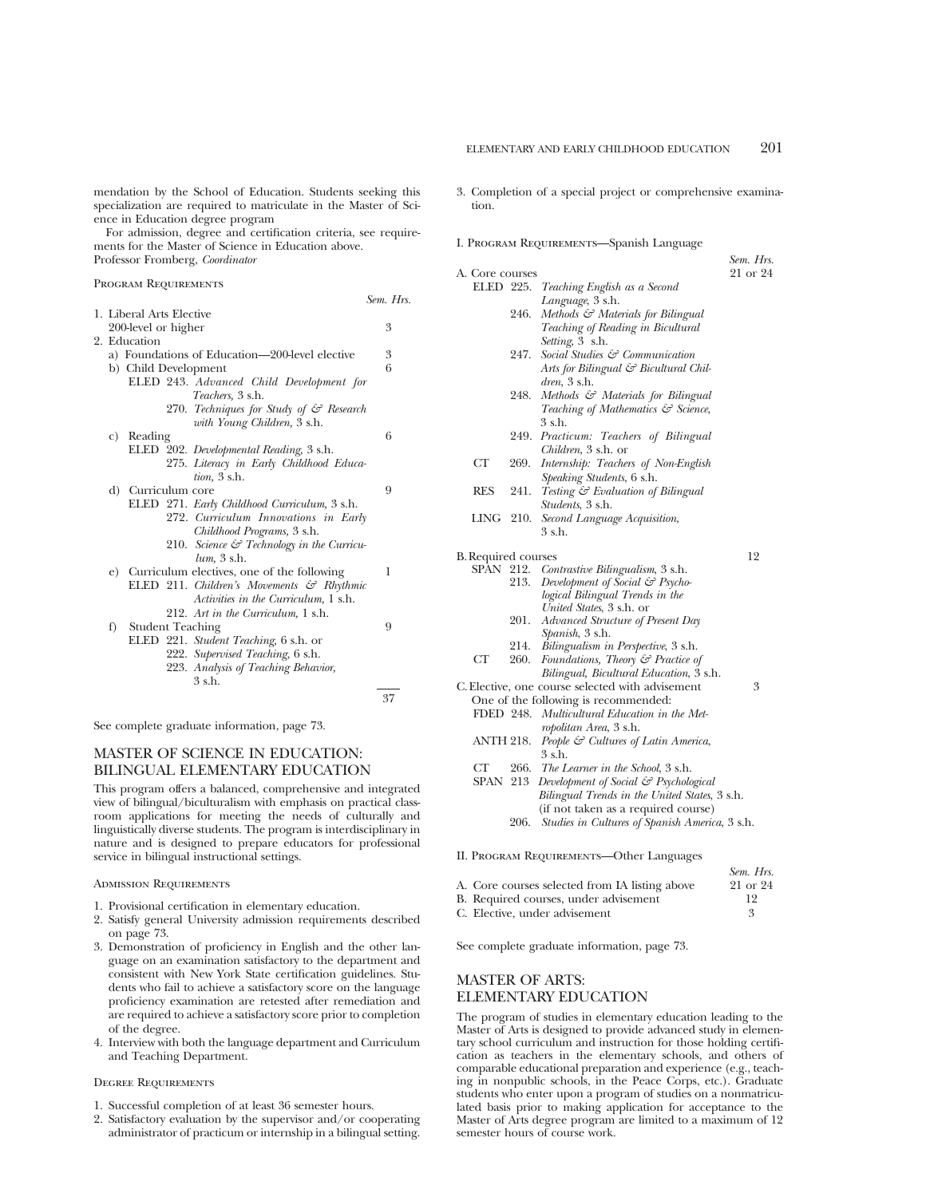mendation by the School of Education. Students seeking this specialization are required to matriculate in the Master of Science in Education degree program

For admission, degree and certification criteria, see requirements for the Master of Science in Education above. Professor Fromberg, *Coordinator*

#### Program Requirements

|    |                          |                                                       | Sem. Hrs. |
|----|--------------------------|-------------------------------------------------------|-----------|
|    | 1. Liberal Arts Elective |                                                       |           |
|    | 200-level or higher      |                                                       | 3         |
|    | 2. Education             |                                                       |           |
|    |                          | a) Foundations of Education-200-level elective        | 3         |
|    | b) Child Development     |                                                       | 6         |
|    |                          | ELED 243. Advanced Child Development for              |           |
|    |                          | <i>Teachers</i> , 3 s.h.                              |           |
|    |                          | 270. Techniques for Study of & Research               |           |
|    |                          | with Young Children, 3 s.h.                           |           |
| C) | Reading                  |                                                       | 6         |
|    |                          | ELED 202. Developmental Reading, 3 s.h.               |           |
|    |                          | 275. Literacy in Early Childhood Educa-               |           |
|    |                          | tion, 3 s.h.                                          |           |
|    | d) Curriculum core       |                                                       | 9         |
|    |                          | ELED 271. Early Childhood Curriculum, 3 s.h.          |           |
|    |                          | 272. Curriculum Innovations in Early                  |           |
|    |                          | Childhood Programs, 3 s.h.                            |           |
|    |                          | 210. Science $\mathcal{C}$ Technology in the Curricu- |           |
|    |                          | $lum$ , $3 \,$ s.h.                                   |           |
|    |                          | e) Curriculum electives, one of the following         | 1         |
|    |                          | ELED 211. Children's Movements $\mathcal{C}$ Rhythmic |           |
|    |                          | Activities in the Curriculum, 1 s.h.                  |           |
|    |                          | 212. Art in the Curriculum, 1 s.h.                    |           |
| f) | <b>Student Teaching</b>  |                                                       | 9         |
|    |                          | ELED 221. Student Teaching, 6 s.h. or                 |           |
|    |                          | 222. Supervised Teaching, 6 s.h.                      |           |
|    |                          |                                                       |           |
|    |                          | 223. Analysis of Teaching Behavior,<br>$3$ s.h.       |           |
|    |                          |                                                       |           |
|    |                          |                                                       | 37        |

See complete graduate information, page 73.

# MASTER OF SCIENCE IN EDUCATION: BILINGUAL ELEMENTARY EDUCATION

This program offers a balanced, comprehensive and integrated view of bilingual/biculturalism with emphasis on practical classroom applications for meeting the needs of culturally and linguistically diverse students. The program is interdisciplinary in nature and is designed to prepare educators for professional service in bilingual instructional settings.

## Admission Requirements

- 1. Provisional certification in elementary education.
- 2. Satisfy general University admission requirements described on page 73.
- 3. Demonstration of proficiency in English and the other language on an examination satisfactory to the department and consistent with New York State certification guidelines. Students who fail to achieve a satisfactory score on the language proficiency examination are retested after remediation and are required to achieve a satisfactory score prior to completion of the degree.
- 4. Interview with both the language department and Curriculum and Teaching Department.

## Degree Requirements

- 1. Successful completion of at least 36 semester hours.
- 2. Satisfactory evaluation by the supervisor and/or cooperating administrator of practicum or internship in a bilingual setting.
- 3. Completion of a special project or comprehensive examination.
- I. Program Requirements—Spanish Language

|                            |      | I. PROGRAM KEQUIREMENTS—Spanish Language                                              |                       |
|----------------------------|------|---------------------------------------------------------------------------------------|-----------------------|
| A. Core courses            |      |                                                                                       | Sem. Hrs.<br>21 or 24 |
| ELED 225.                  |      | Teaching English as a Second                                                          |                       |
|                            |      | Language, 3 s.h.                                                                      |                       |
|                            | 246. | Methods & Materials for Bilingual                                                     |                       |
|                            |      | Teaching of Reading in Bicultural                                                     |                       |
|                            |      | Setting, 3 s.h.                                                                       |                       |
|                            | 247. | Social Studies & Communication                                                        |                       |
|                            |      | Arts for Bilingual & Bicultural Chil-                                                 |                       |
|                            |      | $dren$ , $3 \,$ s.h.                                                                  |                       |
|                            | 248. | Methods & Materials for Bilingual                                                     |                       |
|                            |      | Teaching of Mathematics & Science,                                                    |                       |
|                            |      | 3 s.h.                                                                                |                       |
|                            | 249. | Practicum: Teachers of Bilingual                                                      |                       |
|                            |      | Children, 3 s.h. or                                                                   |                       |
| CT                         | 269. | Internship: Teachers of Non-English                                                   |                       |
|                            |      | Speaking Students, 6 s.h.                                                             |                       |
| <b>RES</b>                 | 241. | Testing & Evaluation of Bilingual                                                     |                       |
|                            |      | <i>Students</i> , 3 s.h.                                                              |                       |
| LING                       | 210. | Second Language Acquisition,                                                          |                       |
|                            |      | 3 s.h.                                                                                |                       |
|                            |      |                                                                                       |                       |
| <b>B.</b> Required courses |      |                                                                                       | 12                    |
| SPAN                       |      | 212. Contrastive Bilingualism, 3 s.h.                                                 |                       |
|                            | 213. | Development of Social & Psycho-                                                       |                       |
|                            |      | logical Bilingual Trends in the                                                       |                       |
|                            |      | United States, 3 s.h. or                                                              |                       |
|                            | 201. | Advanced Structure of Present Day                                                     |                       |
|                            |      | Spanish, 3 s.h.                                                                       |                       |
|                            | 214. | Bilingualism in Perspective, 3 s.h.                                                   |                       |
| СT                         | 260. | Foundations, Theory & Practice of                                                     |                       |
|                            |      | Bilingual, Bicultural Education, 3 s.h.                                               | 3                     |
|                            |      | C. Elective, one course selected with advisement                                      |                       |
|                            |      | One of the following is recommended:<br>FDED 248. Multicultural Education in the Met- |                       |
|                            |      |                                                                                       |                       |
| ANTH 218.                  |      | ropolitan Area, 3 s.h.<br>People & Cultures of Latin America,                         |                       |
|                            |      | 3 s.h.                                                                                |                       |
| CT                         | 266. | The Learner in the School, 3 s.h.                                                     |                       |
| <b>SPAN 213</b>            |      | Development of Social & Psychological                                                 |                       |
|                            |      | Bilingual Trends in the United States, 3 s.h.                                         |                       |
|                            |      | (if not taken as a required course)                                                   |                       |
|                            | 206. | Studies in Cultures of Spanish America, 3 s.h.                                        |                       |
|                            |      |                                                                                       |                       |
|                            |      |                                                                                       |                       |
|                            |      | II. PROGRAM REQUIREMENTS-Other Languages                                              |                       |

|                                                | $OCHV_2$ , 1113. |
|------------------------------------------------|------------------|
| A. Core courses selected from IA listing above | 21 or 24         |
| B. Required courses, under advisement          | 12               |
| C. Elective, under advisement                  |                  |

*Sem. Hrs.*

See complete graduate information, page 73.

# MASTER OF ARTS: ELEMENTARY EDUCATION

The program of studies in elementary education leading to the Master of Arts is designed to provide advanced study in elementary school curriculum and instruction for those holding certification as teachers in the elementary schools, and others of comparable educational preparation and experience (e.g., teaching in nonpublic schools, in the Peace Corps, etc.). Graduate students who enter upon a program of studies on a nonmatriculated basis prior to making application for acceptance to the Master of Arts degree program are limited to a maximum of 12 semester hours of course work.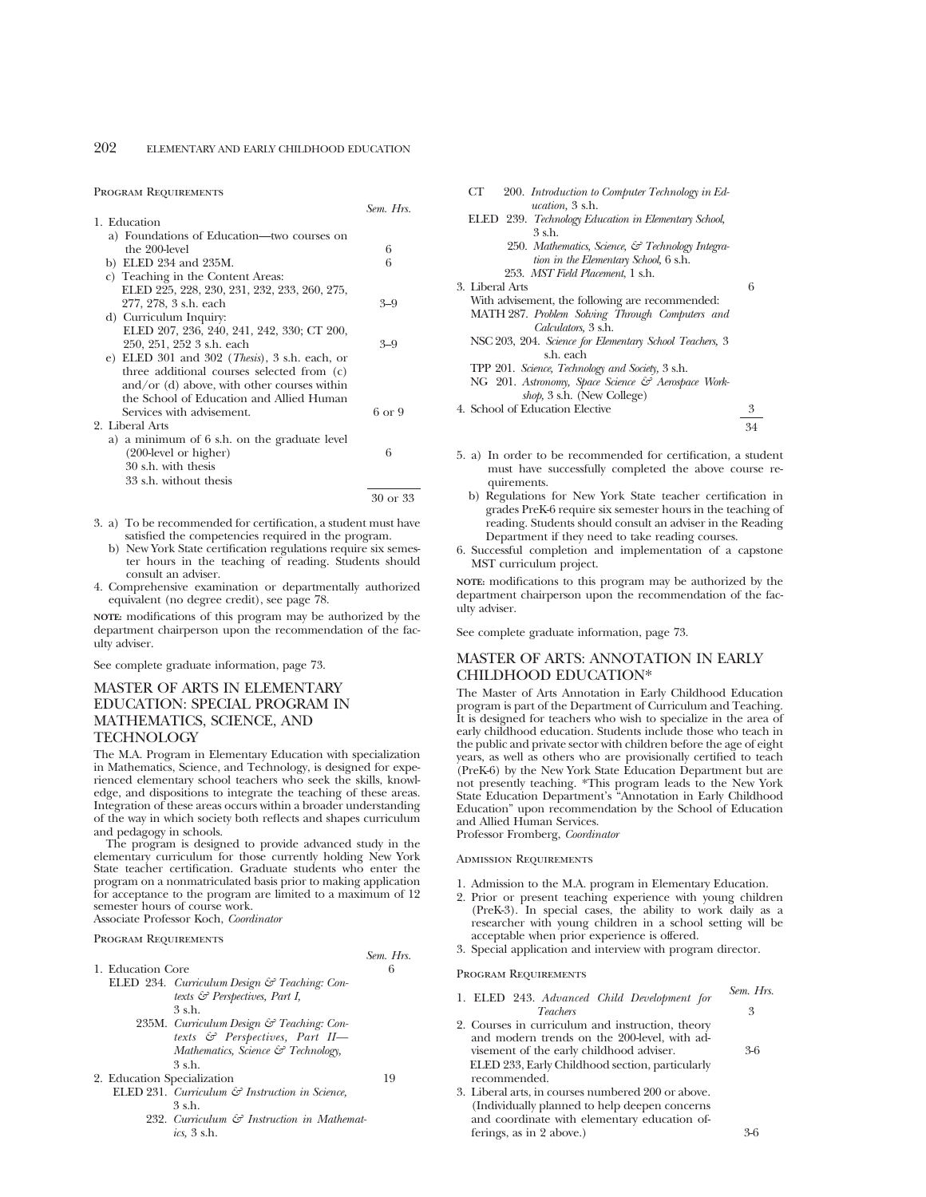#### Program Requirements

|                                                        | Sem. Hrs. |
|--------------------------------------------------------|-----------|
| 1. Education                                           |           |
| a) Foundations of Education—two courses on             |           |
| the 200-level                                          | 6         |
| b) ELED 234 and 235M.                                  | 6         |
| c) Teaching in the Content Areas:                      |           |
| ELED 225, 228, 230, 231, 232, 233, 260, 275,           |           |
| 277, 278, 3 s.h. each                                  | $3 - 9$   |
| d) Curriculum Inquiry:                                 |           |
| ELED 207, 236, 240, 241, 242, 330; CT 200,             |           |
| 250, 251, 252 3 s.h. each                              | $3 - 9$   |
| e) ELED 301 and 302 ( <i>Thesis</i> ), 3 s.h. each, or |           |
| three additional courses selected from (c)             |           |
| $\text{and/or (d)}$ above, with other courses within   |           |
| the School of Education and Allied Human               |           |
| Services with advisement.                              | 6 or 9    |
| 2. Liberal Arts                                        |           |
| a) a minimum of 6 s.h. on the graduate level           |           |
| $(200$ -level or higher)                               | 6         |
| 30 s.h. with thesis                                    |           |
| 33 s.h. without thesis                                 |           |
|                                                        | 30 or 33  |

- 3. a) To be recommended for certification, a student must have satisfied the competencies required in the program.
	- b) New York State certification regulations require six semester hours in the teaching of reading. Students should consult an adviser.
- 4. Comprehensive examination or departmentally authorized equivalent (no degree credit), see page 78.

**NOTE:** modifications of this program may be authorized by the department chairperson upon the recommendation of the faculty adviser.

See complete graduate information, page 73.

# MASTER OF ARTS IN ELEMENTARY EDUCATION: SPECIAL PROGRAM IN MATHEMATICS, SCIENCE, AND **TECHNOLOGY**

The M.A. Program in Elementary Education with specialization in Mathematics, Science, and Technology, is designed for experienced elementary school teachers who seek the skills, knowledge, and dispositions to integrate the teaching of these areas. Integration of these areas occurs within a broader understanding of the way in which society both reflects and shapes curriculum and pedagogy in schools.

The program is designed to provide advanced study in the elementary curriculum for those currently holding New York State teacher certification. Graduate students who enter the program on a nonmatriculated basis prior to making application for acceptance to the program are limited to a maximum of 12 semester hours of course work.

Associate Professor Koch, *Coordinator*

## Program Requirements

| 1. Education Core |                                                           |    |
|-------------------|-----------------------------------------------------------|----|
|                   | ELED 234. Curriculum Design & Teaching: Con-              |    |
|                   | texts $\mathcal{C}$ Perspectives, Part I,                 |    |
|                   | 3 s.h.                                                    |    |
|                   | 235M. Curriculum Design & Teaching: Con-                  |    |
|                   | texts & Perspectives, Part II-                            |    |
|                   | Mathematics, Science $\mathcal{F}$ Technology,            |    |
|                   | $3$ s h                                                   |    |
|                   | 2. Education Specialization                               | 19 |
|                   | ELED 231. Curriculum $\mathcal G$ Instruction in Science, |    |
|                   | $3$ s h                                                   |    |
|                   | 232. Curriculum & Instruction in Mathemat-                |    |
|                   | ics. $3 \text{ s.h.}$                                     |    |

| 200. Introduction to Computer Technology in Ed-<br>CТ<br><i>ucation</i> , 3 s.h. |   |
|----------------------------------------------------------------------------------|---|
| ELED 239. Technology Education in Elementary School,                             |   |
| 3 s.h.                                                                           |   |
| 250. Mathematics, Science, & Technology Integra-                                 |   |
| tion in the Elementary School, 6 s.h.                                            |   |
| 253. MST Field Placement, 1 s.h.                                                 |   |
| 3. Liberal Arts                                                                  | 6 |
| With advisement, the following are recommended:                                  |   |
| MATH 287. Problem Solving Through Computers and                                  |   |
| Calculators, 3 s.h.                                                              |   |
| NSC 203, 204. Science for Elementary School Teachers, 3                          |   |
| s.h. each                                                                        |   |
| TPP 201. Science, Technology and Society, 3 s.h.                                 |   |
| NG 201. Astronomy, Space Science & Aerospace Work-                               |   |
| shop, 3 s.h. (New College)                                                       |   |
| 4. School of Education Elective                                                  | 3 |
|                                                                                  |   |

- 5. a) In order to be recommended for certification, a student must have successfully completed the above course requirements.
	- b) Regulations for New York State teacher certification in grades PreK-6 require six semester hours in the teaching of reading. Students should consult an adviser in the Reading Department if they need to take reading courses.
- 6. Successful completion and implementation of a capstone MST curriculum project.

**NOTE:** modifications to this program may be authorized by the department chairperson upon the recommendation of the faculty adviser.

See complete graduate information, page 73.

## MASTER OF ARTS: ANNOTATION IN EARLY CHILDHOOD EDUCATION\*

The Master of Arts Annotation in Early Childhood Education program is part of the Department of Curriculum and Teaching. It is designed for teachers who wish to specialize in the area of early childhood education. Students include those who teach in the public and private sector with children before the age of eight years, as well as others who are provisionally certified to teach (PreK-6) by the New York State Education Department but are not presently teaching. \*This program leads to the New York State Education Department's "Annotation in Early Childhood Education" upon recommendation by the School of Education and Allied Human Services.

Professor Fromberg, *Coordinator*

Admission Requirements

- 1. Admission to the M.A. program in Elementary Education.
- 2. Prior or present teaching experience with young children (PreK-3). In special cases, the ability to work daily as a researcher with young children in a school setting will be acceptable when prior experience is offered.
- 3. Special application and interview with program director.

Program Requirements

*Sem. Hrs.*

| 1. ELED 243. Advanced Child Development for                                                      | Sem. Hrs. |
|--------------------------------------------------------------------------------------------------|-----------|
| <i>Teachers</i>                                                                                  | 3         |
| 2. Courses in curriculum and instruction, theory<br>and modern trends on the 200-level, with ad- |           |
| visement of the early childhood adviser.                                                         | $3-6$     |
| ELED 233, Early Childhood section, particularly                                                  |           |
| recommended.                                                                                     |           |

3. Liberal arts, in courses numbered 200 or above. (Individually planned to help deepen concerns and coordinate with elementary education offerings, as in 2 above.) 3-6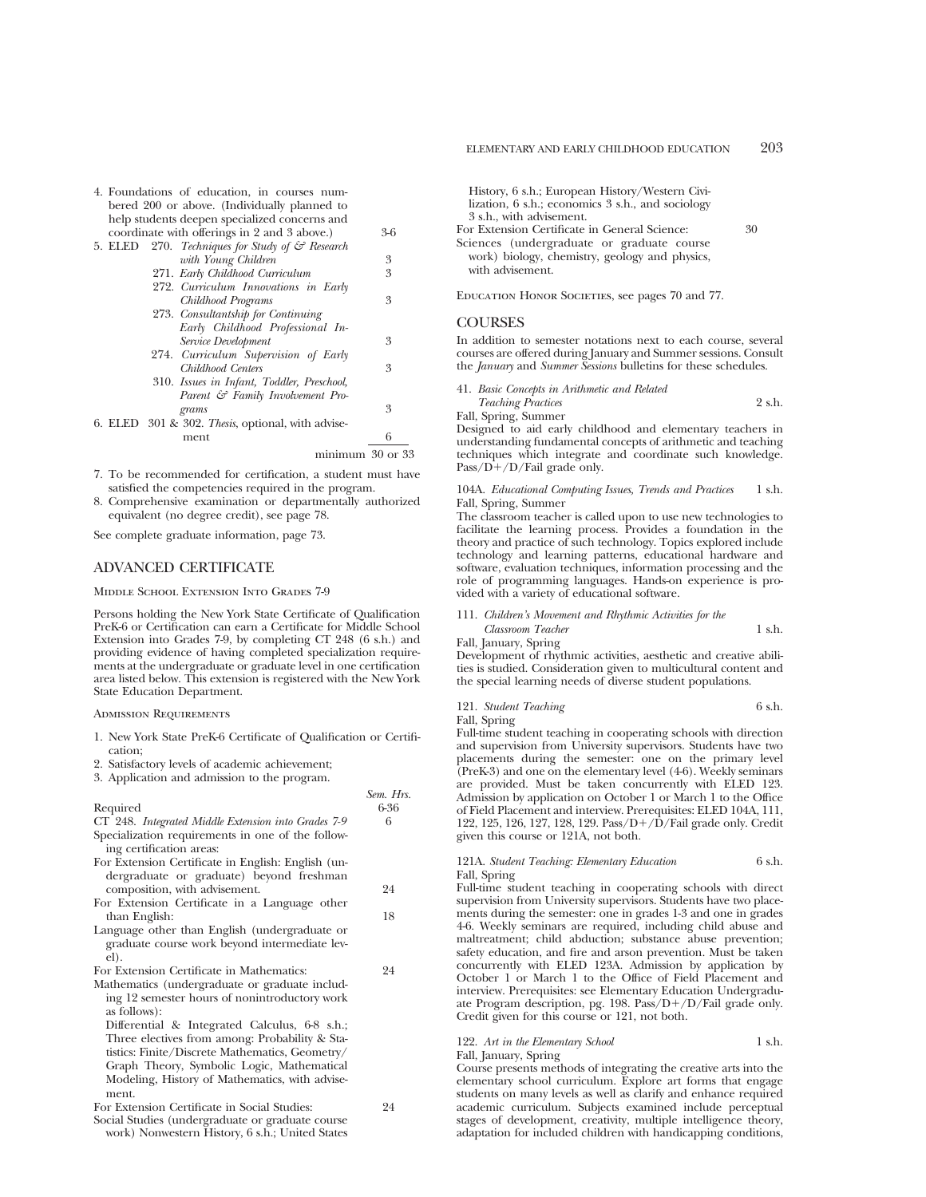| 4. Foundations of education, in courses num-                   |     |
|----------------------------------------------------------------|-----|
| bered 200 or above. (Individually planned to                   |     |
| help students deepen specialized concerns and                  |     |
| coordinate with offerings in 2 and 3 above.)                   | 3-6 |
| 270. Techniques for Study of $\mathcal{C}$ Research<br>5. ELED |     |
| with Young Children                                            | 3   |
| 271. Early Childhood Curriculum                                | 3   |
| 272. Curriculum Innovations in Early                           |     |
| Childhood Programs                                             | 3   |
| 273. Consultantship for Continuing                             |     |
| Early Childhood Professional In-                               |     |
| Service Development                                            | 3   |
| 274. Curriculum Supervision of Early                           |     |
| Childhood Centers                                              | 3   |
| 310. Issues in Infant, Toddler, Preschool,                     |     |
| Parent & Family Involvement Pro-                               |     |
| grams                                                          | 3   |
| 6. ELED 301 & 302. Thesis, optional, with advise-              |     |
| ment                                                           | 6   |
| minimum 30 or 33                                               |     |

- 7. To be recommended for certification, a student must have satisfied the competencies required in the program.
- 8. Comprehensive examination or departmentally authorized equivalent (no degree credit), see page 78.

See complete graduate information, page 73.

## ADVANCED CERTIFICATE

Middle School Extension Into Grades 7-9

Persons holding the New York State Certificate of Qualification PreK-6 or Certification can earn a Certificate for Middle School Extension into Grades 7-9, by completing CT 248 (6 s.h.) and providing evidence of having completed specialization requirements at the undergraduate or graduate level in one certification area listed below. This extension is registered with the New York State Education Department.

## Admission Requirements

1. New York State PreK-6 Certificate of Qualification or Certification;

*Sem. Hrs.*

- 2. Satisfactory levels of academic achievement;
- 3. Application and admission to the program.

| Required                                                                                       | 6-36 |
|------------------------------------------------------------------------------------------------|------|
| CT 248. Integrated Middle Extension into Grades 7-9                                            | 6    |
| Specialization requirements in one of the follow-<br>ing certification areas:                  |      |
| For Extension Certificate in English: English (un-                                             |      |
| dergraduate or graduate) beyond freshman                                                       |      |
| composition, with advisement.                                                                  | 24   |
| For Extension Certificate in a Language other                                                  |      |
| than English:                                                                                  | 18   |
| Language other than English (undergraduate or<br>graduate course work beyond intermediate lev- |      |
| el).                                                                                           |      |
| For Extension Certificate in Mathematics:                                                      | 24   |
| Mathematics (undergraduate or graduate includ-                                                 |      |
| ing 12 semester hours of nonintroductory work<br>as follows):                                  |      |
| Differential & Integrated Calculus, 6-8 s.h.;                                                  |      |
| Three electives from among: Probability & Sta-                                                 |      |
| tistics: Finite/Discrete Mathematics, Geometry/                                                |      |
| Graph Theory, Symbolic Logic, Mathematical                                                     |      |
| Modeling, History of Mathematics, with advise-                                                 |      |
| ment.                                                                                          |      |
| For Extension Certificate in Social Studies:                                                   | 24   |
|                                                                                                |      |

Social Studies (undergraduate or graduate course work) Nonwestern History, 6 s.h.; United States History, 6 s.h.; European History/Western Civilization, 6 s.h.; economics 3 s.h., and sociology 3 s.h., with advisement.

For Extension Certificate in General Science: 30 Sciences (undergraduate or graduate course work) biology, chemistry, geology and physics, with advisement.

Education Honor Societies, see pages 70 and 77.

## **COURSES**

In addition to semester notations next to each course, several courses are offered during January and Summer sessions. Consult the *January* and *Summer Sessions* bulletins for these schedules.

| 41. Basic Concepts in Arithmetic and Related |        |
|----------------------------------------------|--------|
| <b>Teaching Practices</b>                    | 2 s.h. |
| Fall, Spring, Summer                         |        |

Designed to aid early childhood and elementary teachers in understanding fundamental concepts of arithmetic and teaching techniques which integrate and coordinate such knowledge. Pass/ $D+/D$ /Fail grade only.

## 104A. *Educational Computing Issues, Trends and Practices* 1 s.h. Fall, Spring, Summer

The classroom teacher is called upon to use new technologies to facilitate the learning process. Provides a foundation in the theory and practice of such technology. Topics explored include technology and learning patterns, educational hardware and software, evaluation techniques, information processing and the role of programming languages. Hands-on experience is provided with a variety of educational software.

| 111. Children's Movement and Rhythmic Activities for the |        |
|----------------------------------------------------------|--------|
| Classroom Teacher                                        | 1 s.h. |
| Fall, January, Spring                                    |        |

Development of rhythmic activities, aesthetic and creative abilities is studied. Consideration given to multicultural content and the special learning needs of diverse student populations.

121. *Student Teaching* 6 s.h. Fall, Spring

Full-time student teaching in cooperating schools with direction and supervision from University supervisors. Students have two placements during the semester: one on the primary level (PreK-3) and one on the elementary level (4-6). Weekly seminars are provided. Must be taken concurrently with ELED 123. Admission by application on October 1 or March 1 to the Office of Field Placement and interview. Prerequisites: ELED 104A, 111, 122, 125, 126, 127, 128, 129. Pass/ $D+/D$ /Fail grade only. Credit given this course or 121A, not both.

121A. *Student Teaching: Elementary Education* 6 s.h. Fall, Spring

Full-time student teaching in cooperating schools with direct supervision from University supervisors. Students have two placements during the semester: one in grades 1-3 and one in grades 4-6. Weekly seminars are required, including child abuse and maltreatment; child abduction; substance abuse prevention; safety education, and fire and arson prevention. Must be taken concurrently with ELED 123A. Admission by application by October 1 or March 1 to the Office of Field Placement and interview. Prerequisites: see Elementary Education Undergraduate Program description, pg. 198. Pass/ $D+/D$ /Fail grade only. Credit given for this course or 121, not both.

## 122. Art in the Elementary School 1 s.h.

#### Fall, January, Spring

Course presents methods of integrating the creative arts into the elementary school curriculum. Explore art forms that engage students on many levels as well as clarify and enhance required academic curriculum. Subjects examined include perceptual stages of development, creativity, multiple intelligence theory, adaptation for included children with handicapping conditions,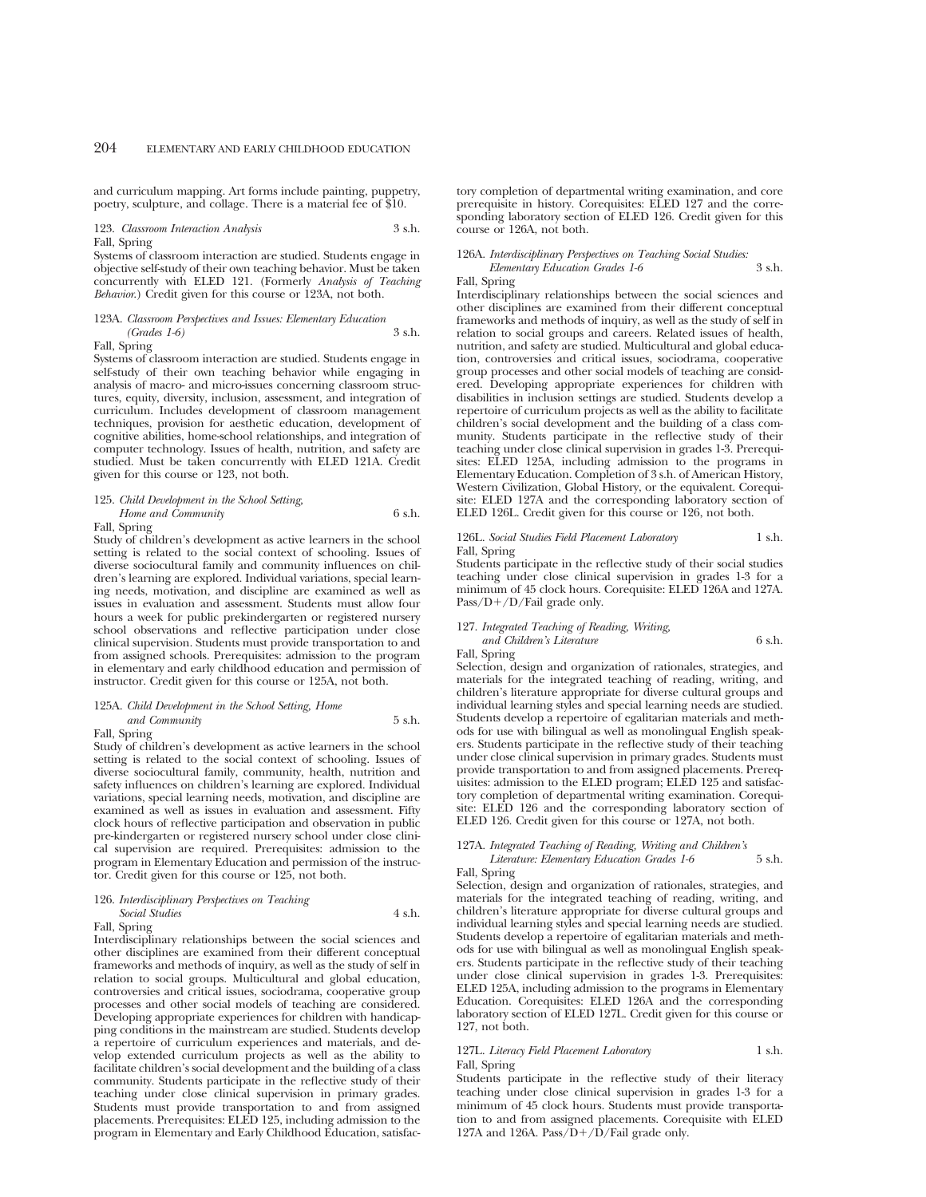and curriculum mapping. Art forms include painting, puppetry, poetry, sculpture, and collage. There is a material fee of \$10.

## 123. *Classroom Interaction Analysis* 3 s.h. Fall, Spring

Systems of classroom interaction are studied. Students engage in objective self-study of their own teaching behavior. Must be taken concurrently with ELED 121. (Formerly *Analysis of Teaching Behavior*.) Credit given for this course or 123A, not both.

## 123A. *Classroom Perspectives and Issues: Elementary Education (Grades 1-6)* 3 s.h.

Fall, Spring

Systems of classroom interaction are studied. Students engage in self-study of their own teaching behavior while engaging in analysis of macro- and micro-issues concerning classroom structures, equity, diversity, inclusion, assessment, and integration of curriculum. Includes development of classroom management techniques, provision for aesthetic education, development of cognitive abilities, home-school relationships, and integration of computer technology. Issues of health, nutrition, and safety are studied. Must be taken concurrently with ELED 121A. Credit given for this course or 123, not both.

## 125. *Child Development in the School Setting,*

*Home and Community* 6 s.h.

Fall, Spring

Study of children's development as active learners in the school setting is related to the social context of schooling. Issues of diverse sociocultural family and community influences on children's learning are explored. Individual variations, special learning needs, motivation, and discipline are examined as well as issues in evaluation and assessment. Students must allow four hours a week for public prekindergarten or registered nursery school observations and reflective participation under close clinical supervision. Students must provide transportation to and from assigned schools. Prerequisites: admission to the program in elementary and early childhood education and permission of instructor. Credit given for this course or 125A, not both.

## 125A. *Child Development in the School Setting, Home and Community* 5 s.h.

Fall, Spring

Study of children's development as active learners in the school setting is related to the social context of schooling. Issues of diverse sociocultural family, community, health, nutrition and safety influences on children's learning are explored. Individual variations, special learning needs, motivation, and discipline are examined as well as issues in evaluation and assessment. Fifty clock hours of reflective participation and observation in public pre-kindergarten or registered nursery school under close clinical supervision are required. Prerequisites: admission to the program in Elementary Education and permission of the instructor. Credit given for this course or 125, not both.

#### 126. *Interdisciplinary Perspectives on Teaching Social Studies* 4 s.h.

Fall, Spring

Interdisciplinary relationships between the social sciences and other disciplines are examined from their different conceptual frameworks and methods of inquiry, as well as the study of self in relation to social groups. Multicultural and global education, controversies and critical issues, sociodrama, cooperative group processes and other social models of teaching are considered. Developing appropriate experiences for children with handicapping conditions in the mainstream are studied. Students develop a repertoire of curriculum experiences and materials, and develop extended curriculum projects as well as the ability to facilitate children's social development and the building of a class community. Students participate in the reflective study of their teaching under close clinical supervision in primary grades. Students must provide transportation to and from assigned placements. Prerequisites: ELED 125, including admission to the program in Elementary and Early Childhood Education, satisfactory completion of departmental writing examination, and core prerequisite in history. Corequisites: ELED 127 and the corresponding laboratory section of ELED 126. Credit given for this course or 126A, not both.

## 126A. *Interdisciplinary Perspectives on Teaching Social Studies:*

*Elementary Education Grades 1-6* 3 s.h.

## Fall, Spring

Interdisciplinary relationships between the social sciences and other disciplines are examined from their different conceptual frameworks and methods of inquiry, as well as the study of self in relation to social groups and careers. Related issues of health, nutrition, and safety are studied. Multicultural and global education, controversies and critical issues, sociodrama, cooperative group processes and other social models of teaching are considered. Developing appropriate experiences for children with disabilities in inclusion settings are studied. Students develop a repertoire of curriculum projects as well as the ability to facilitate children's social development and the building of a class community. Students participate in the reflective study of their teaching under close clinical supervision in grades 1-3. Prerequisites: ELED 125A, including admission to the programs in Elementary Education. Completion of 3 s.h. of American History, Western Civilization, Global History, or the equivalent. Corequisite: ELED 127A and the corresponding laboratory section of ELED 126L. Credit given for this course or 126, not both.

## 126L. *Social Studies Field Placement Laboratory* 1 s.h. Fall, Spring

Students participate in the reflective study of their social studies teaching under close clinical supervision in grades 1-3 for a minimum of 45 clock hours. Corequisite: ELED 126A and 127A. Pass/ $D+/D/Fail$  grade only.

## 127. *Integrated Teaching of Reading, Writing,*

*and Children's Literature* 6 s.h.

Fall, Spring

Selection, design and organization of rationales, strategies, and materials for the integrated teaching of reading, writing, and children's literature appropriate for diverse cultural groups and individual learning styles and special learning needs are studied. Students develop a repertoire of egalitarian materials and methods for use with bilingual as well as monolingual English speakers. Students participate in the reflective study of their teaching under close clinical supervision in primary grades. Students must provide transportation to and from assigned placements. Prerequisites: admission to the ELED program; ELED 125 and satisfactory completion of departmental writing examination. Corequisite: ELED 126 and the corresponding laboratory section of ELED 126. Credit given for this course or 127A, not both.

## 127A. *Integrated Teaching of Reading, Writing and Children's*

*Literature: Elementary Education Grades 1-6* 5 s.h.

Fall, Spring

Selection, design and organization of rationales, strategies, and materials for the integrated teaching of reading, writing, and children's literature appropriate for diverse cultural groups and individual learning styles and special learning needs are studied. Students develop a repertoire of egalitarian materials and methods for use with bilingual as well as monolingual English speakers. Students participate in the reflective study of their teaching under close clinical supervision in grades 1-3. Prerequisites: ELED 125A, including admission to the programs in Elementary Education. Corequisites: ELED 126A and the corresponding laboratory section of ELED 127L. Credit given for this course or 127, not both.

## 127L. *Literacy Field Placement Laboratory* 1 s.h. Fall, Spring

Students participate in the reflective study of their literacy teaching under close clinical supervision in grades 1-3 for a minimum of 45 clock hours. Students must provide transportation to and from assigned placements. Corequisite with ELED 127A and 126A. Pass/ $D+/D/F$ ail grade only.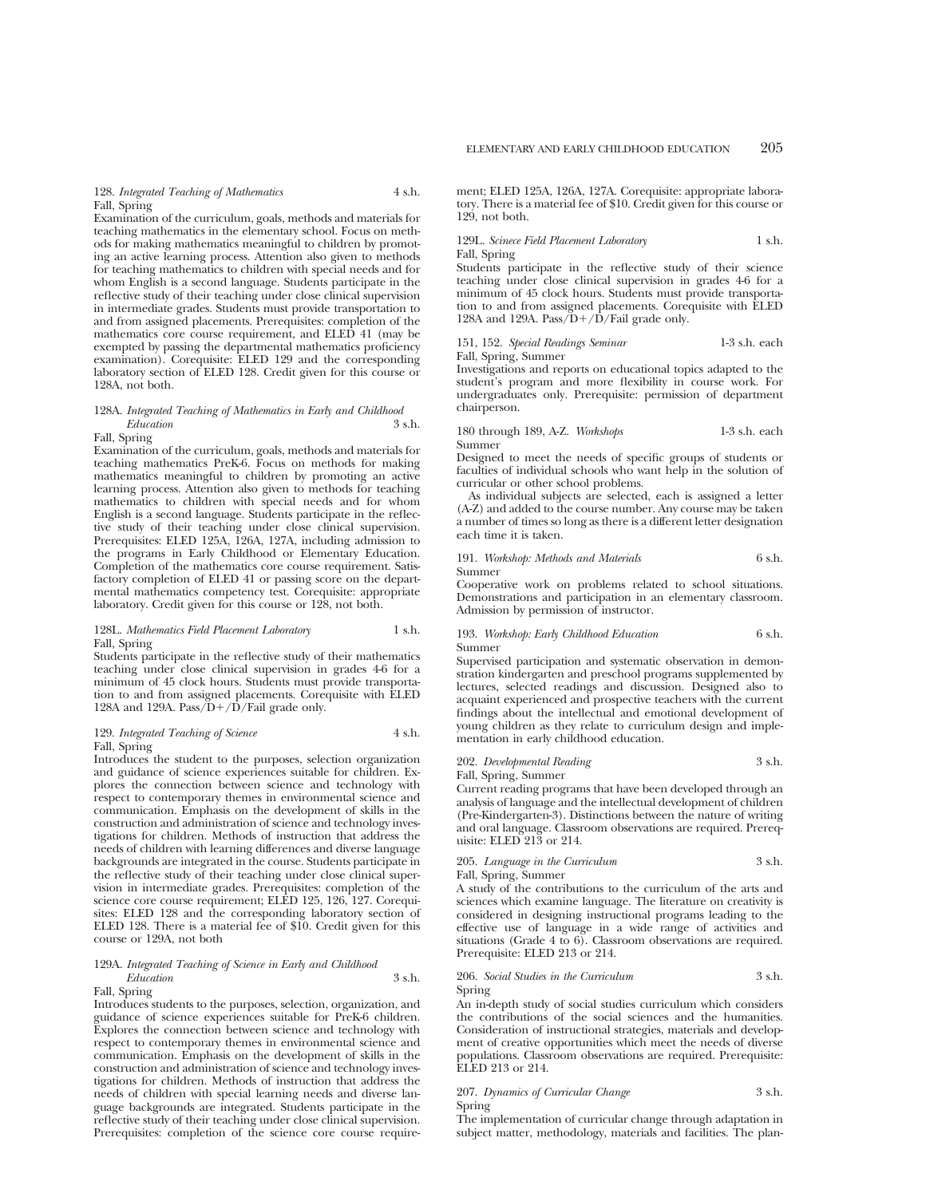128. *Integrated Teaching of Mathematics* 4 s.h. Fall, Spring

Examination of the curriculum, goals, methods and materials for teaching mathematics in the elementary school. Focus on methods for making mathematics meaningful to children by promoting an active learning process. Attention also given to methods for teaching mathematics to children with special needs and for whom English is a second language. Students participate in the reflective study of their teaching under close clinical supervision in intermediate grades. Students must provide transportation to and from assigned placements. Prerequisites: completion of the mathematics core course requirement, and ELED 41 (may be exempted by passing the departmental mathematics proficiency examination). Corequisite: ELED 129 and the corresponding laboratory section of ELED 128. Credit given for this course or 128A, not both.

## 128A. *Integrated Teaching of Mathematics in Early and Childhood Education* 3 s.h.

## Fall, Spring

Examination of the curriculum, goals, methods and materials for teaching mathematics PreK-6. Focus on methods for making mathematics meaningful to children by promoting an active learning process. Attention also given to methods for teaching mathematics to children with special needs and for whom English is a second language. Students participate in the reflective study of their teaching under close clinical supervision. Prerequisites: ELED 125A, 126A, 127A, including admission to the programs in Early Childhood or Elementary Education. Completion of the mathematics core course requirement. Satisfactory completion of ELED 41 or passing score on the departmental mathematics competency test. Corequisite: appropriate laboratory. Credit given for this course or 128, not both.

## 128L. *Mathematics Field Placement Laboratory* 1 s.h. Fall, Spring

Students participate in the reflective study of their mathematics teaching under close clinical supervision in grades 4-6 for a minimum of 45 clock hours. Students must provide transportation to and from assigned placements. Corequisite with ELED 128A and 129A. Pass/ $D+/D/F$ ail grade only.

## 129. *Integrated Teaching of Science* 4 s.h. Fall, Spring

Introduces the student to the purposes, selection organization and guidance of science experiences suitable for children. Explores the connection between science and technology with respect to contemporary themes in environmental science and communication. Emphasis on the development of skills in the construction and administration of science and technology investigations for children. Methods of instruction that address the needs of children with learning differences and diverse language backgrounds are integrated in the course. Students participate in the reflective study of their teaching under close clinical supervision in intermediate grades. Prerequisites: completion of the science core course requirement; ELED 125, 126, 127. Corequisites: ELED 128 and the corresponding laboratory section of ELED 128. There is a material fee of \$10. Credit given for this course or 129A, not both

#### 129A. *Integrated Teaching of Science in Early and Childhood Education* 3 s.h.

#### Fall, Spring

Introduces students to the purposes, selection, organization, and guidance of science experiences suitable for PreK-6 children. Explores the connection between science and technology with respect to contemporary themes in environmental science and communication. Emphasis on the development of skills in the construction and administration of science and technology investigations for children. Methods of instruction that address the needs of children with special learning needs and diverse language backgrounds are integrated. Students participate in the reflective study of their teaching under close clinical supervision. Prerequisites: completion of the science core course requirement; ELED 125A, 126A, 127A. Corequisite: appropriate laboratory. There is a material fee of \$10. Credit given for this course or 129, not both.

## 129L. *Scinece Field Placement Laboratory* 1 s.h. Fall, Spring

Students participate in the reflective study of their science teaching under close clinical supervision in grades 4-6 for a minimum of 45 clock hours. Students must provide transportation to and from assigned placements. Corequisite with ELED 128A and 129A. Pass/ $D+/D/F$ ail grade only.

151, 152. *Special Readings Seminar* 1-3 s.h. each Fall, Spring, Summer

Investigations and reports on educational topics adapted to the student's program and more flexibility in course work. For undergraduates only. Prerequisite: permission of department chairperson.

180 through 189, A-Z. *Workshops* 1-3 s.h. each Summer

Designed to meet the needs of specific groups of students or faculties of individual schools who want help in the solution of curricular or other school problems.

As individual subjects are selected, each is assigned a letter (A-Z) and added to the course number. Any course may be taken a number of times so long as there is a different letter designation each time it is taken.

#### 191. *Workshop: Methods and Materials* 6 s.h. Summer

Cooperative work on problems related to school situations. Demonstrations and participation in an elementary classroom. Admission by permission of instructor.

193. *Workshop: Early Childhood Education* 6 s.h. Summer

Supervised participation and systematic observation in demonstration kindergarten and preschool programs supplemented by lectures, selected readings and discussion. Designed also to acquaint experienced and prospective teachers with the current findings about the intellectual and emotional development of young children as they relate to curriculum design and implementation in early childhood education.

## 202. *Developmental Reading* 3 s.h.

Fall, Spring, Summer

Current reading programs that have been developed through an analysis of language and the intellectual development of children (Pre-Kindergarten-3). Distinctions between the nature of writing and oral language. Classroom observations are required. Prerequisite: ELED 213 or 214.

# 205. *Language in the Curriculum* 3 s.h.

Fall, Spring, Summer

A study of the contributions to the curriculum of the arts and sciences which examine language. The literature on creativity is considered in designing instructional programs leading to the effective use of language in a wide range of activities and situations (Grade 4 to 6). Classroom observations are required. Prerequisite: ELED 213 or 214.

## 206. *Social Studies in the Curriculum* 3 s.h. Spring

An in-depth study of social studies curriculum which considers the contributions of the social sciences and the humanities. Consideration of instructional strategies, materials and development of creative opportunities which meet the needs of diverse populations. Classroom observations are required. Prerequisite: ELED 213 or 214.

## 207. *Dynamics of Curricular Change* 3 s.h. Spring

The implementation of curricular change through adaptation in subject matter, methodology, materials and facilities. The plan-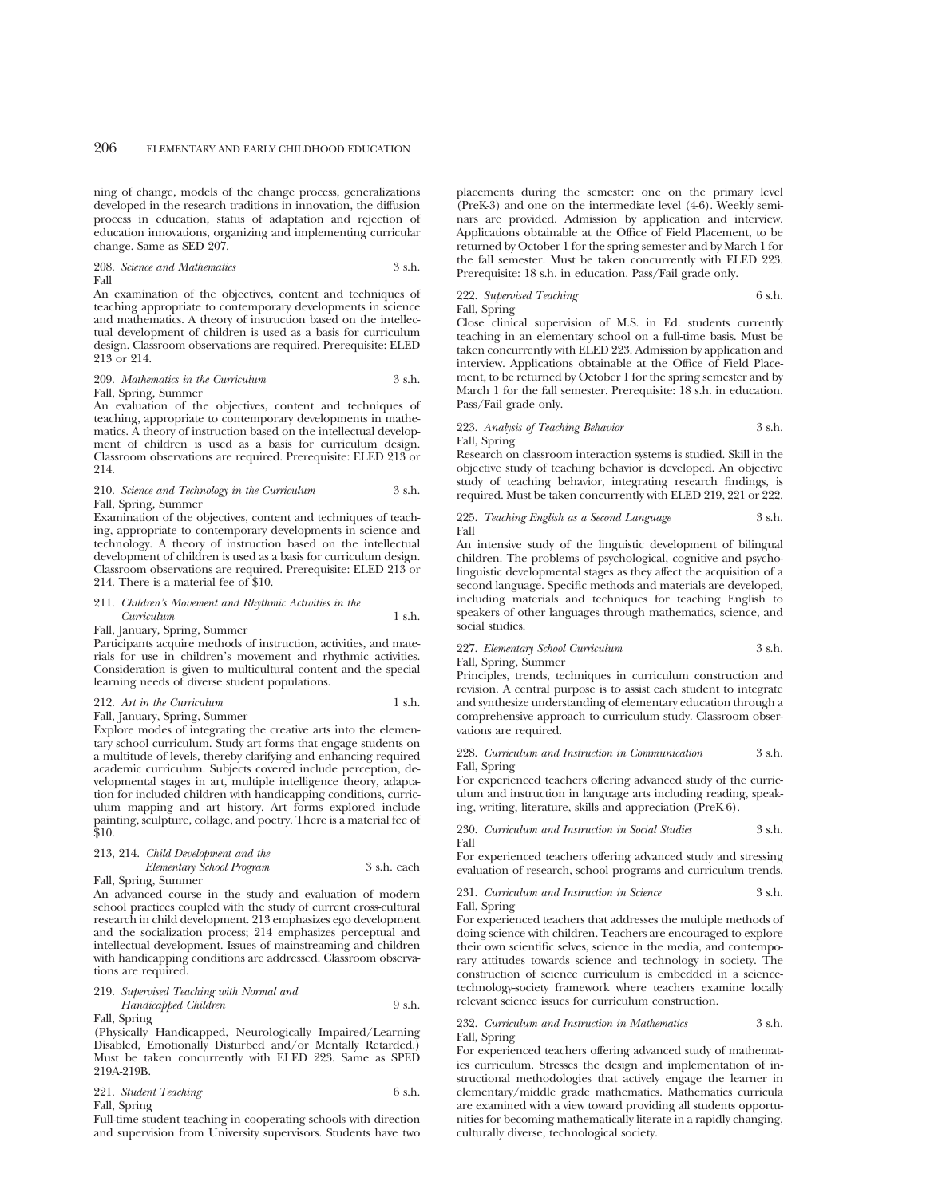ning of change, models of the change process, generalizations developed in the research traditions in innovation, the diffusion process in education, status of adaptation and rejection of education innovations, organizing and implementing curricular change. Same as SED 207.

208. *Science and Mathematics* 3 s.h. Fall

An examination of the objectives, content and techniques of teaching appropriate to contemporary developments in science and mathematics. A theory of instruction based on the intellectual development of children is used as a basis for curriculum design. Classroom observations are required. Prerequisite: ELED 213 or 214.

#### 209. Mathematics in the Curriculum 3 s.h. Fall, Spring, Summer

An evaluation of the objectives, content and techniques of teaching, appropriate to contemporary developments in mathematics. A theory of instruction based on the intellectual development of children is used as a basis for curriculum design. Classroom observations are required. Prerequisite: ELED 213 or 214.

#### 210. *Science and Technology in the Curriculum* 3 s.h. Fall, Spring, Summer

Examination of the objectives, content and techniques of teaching, appropriate to contemporary developments in science and technology. A theory of instruction based on the intellectual development of children is used as a basis for curriculum design. Classroom observations are required. Prerequisite: ELED 213 or 214. There is a material fee of \$10.

## 211. *Children's Movement and Rhythmic Activities in the Curriculum* 1 s.h.

Fall, January, Spring, Summer

Participants acquire methods of instruction, activities, and materials for use in children's movement and rhythmic activities. Consideration is given to multicultural content and the special learning needs of diverse student populations.

## 212. Art in the Curriculum 1 s.h.

Fall, January, Spring, Summer

Explore modes of integrating the creative arts into the elementary school curriculum. Study art forms that engage students on a multitude of levels, thereby clarifying and enhancing required academic curriculum. Subjects covered include perception, developmental stages in art, multiple intelligence theory, adaptation for included children with handicapping conditions, curriculum mapping and art history. Art forms explored include painting, sculpture, collage, and poetry. There is a material fee of \$10.

## 213, 214. *Child Development and the*

*Elementary School Program* 3 s.h. each Fall, Spring, Summer

An advanced course in the study and evaluation of modern school practices coupled with the study of current cross-cultural research in child development. 213 emphasizes ego development and the socialization process; 214 emphasizes perceptual and intellectual development. Issues of mainstreaming and children with handicapping conditions are addressed. Classroom observations are required.

## 219. *Supervised Teaching with Normal and Handicapped Children* 9 s.h.

Fall, Spring

(Physically Handicapped, Neurologically Impaired/Learning Disabled, Emotionally Disturbed and/or Mentally Retarded.) Must be taken concurrently with ELED 223. Same as SPED 219A-219B.

221. *Student Teaching* 6 s.h.

Fall, Spring

Full-time student teaching in cooperating schools with direction and supervision from University supervisors. Students have two placements during the semester: one on the primary level (PreK-3) and one on the intermediate level (4-6). Weekly seminars are provided. Admission by application and interview. Applications obtainable at the Office of Field Placement, to be returned by October 1 for the spring semester and by March 1 for the fall semester. Must be taken concurrently with ELED 223. Prerequisite: 18 s.h. in education. Pass/Fail grade only.

#### 222. *Supervised Teaching* 6 s.h. Fall, Spring

Close clinical supervision of M.S. in Ed. students currently teaching in an elementary school on a full-time basis. Must be taken concurrently with ELED 223. Admission by application and interview. Applications obtainable at the Office of Field Placement, to be returned by October 1 for the spring semester and by March 1 for the fall semester. Prerequisite: 18 s.h. in education. Pass/Fail grade only.

## 223. *Analysis of Teaching Behavior* 3 s.h. Fall, Spring

Research on classroom interaction systems is studied. Skill in the objective study of teaching behavior is developed. An objective study of teaching behavior, integrating research findings, is required. Must be taken concurrently with ELED 219, 221 or 222.

225. *Teaching English as a Second Language* 3 s.h. Fall

An intensive study of the linguistic development of bilingual children. The problems of psychological, cognitive and psycholinguistic developmental stages as they affect the acquisition of a second language. Specific methods and materials are developed, including materials and techniques for teaching English to speakers of other languages through mathematics, science, and social studies.

## 227. *Elementary School Curriculum* 3 s.h.

Fall, Spring, Summer

Principles, trends, techniques in curriculum construction and revision. A central purpose is to assist each student to integrate and synthesize understanding of elementary education through a comprehensive approach to curriculum study. Classroom observations are required.

228. *Curriculum and Instruction in Communication* 3 s.h. Fall, Spring

For experienced teachers offering advanced study of the curriculum and instruction in language arts including reading, speaking, writing, literature, skills and appreciation (PreK-6).

230. *Curriculum and Instruction in Social Studies* 3 s.h. Fall

For experienced teachers offering advanced study and stressing evaluation of research, school programs and curriculum trends.

231. *Curriculum and Instruction in Science* 3 s.h. Fall, Spring

For experienced teachers that addresses the multiple methods of doing science with children. Teachers are encouraged to explore their own scientific selves, science in the media, and contemporary attitudes towards science and technology in society. The construction of science curriculum is embedded in a sciencetechnology-society framework where teachers examine locally relevant science issues for curriculum construction.

#### 232. *Curriculum and Instruction in Mathematics* 3 s.h. Fall, Spring

For experienced teachers offering advanced study of mathematics curriculum. Stresses the design and implementation of instructional methodologies that actively engage the learner in elementary/middle grade mathematics. Mathematics curricula are examined with a view toward providing all students opportunities for becoming mathematically literate in a rapidly changing, culturally diverse, technological society.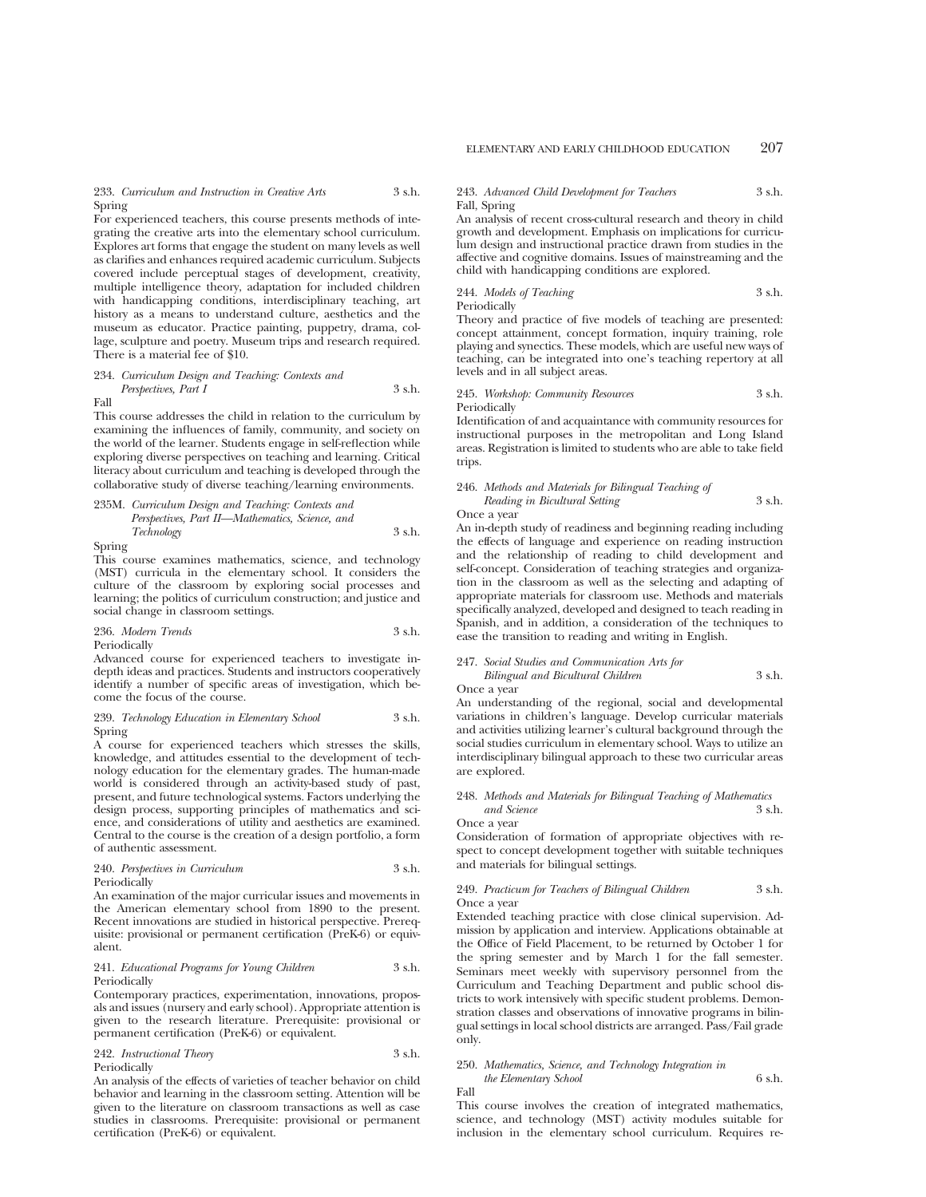233. *Curriculum and Instruction in Creative Arts* 3 s.h. Spring

For experienced teachers, this course presents methods of integrating the creative arts into the elementary school curriculum. Explores art forms that engage the student on many levels as well as clarifies and enhances required academic curriculum. Subjects covered include perceptual stages of development, creativity, multiple intelligence theory, adaptation for included children with handicapping conditions, interdisciplinary teaching, art history as a means to understand culture, aesthetics and the museum as educator. Practice painting, puppetry, drama, collage, sculpture and poetry. Museum trips and research required. There is a material fee of \$10.

## 234. *Curriculum Design and Teaching: Contexts and Perspectives, Part I* 3 s.h.

Fall

This course addresses the child in relation to the curriculum by examining the influences of family, community, and society on the world of the learner. Students engage in self-reflection while exploring diverse perspectives on teaching and learning. Critical literacy about curriculum and teaching is developed through the collaborative study of diverse teaching/learning environments.

235M. *Curriculum Design and Teaching: Contexts and Perspectives, Part II—Mathematics, Science, and Technology* 3 s.h.

Spring

This course examines mathematics, science, and technology (MST) curricula in the elementary school. It considers the culture of the classroom by exploring social processes and learning; the politics of curriculum construction; and justice and social change in classroom settings.

236. *Modern Trends* 3 s.h. Periodically

Advanced course for experienced teachers to investigate indepth ideas and practices. Students and instructors cooperatively identify a number of specific areas of investigation, which become the focus of the course.

#### 239. *Technology Education in Elementary School* 3 s.h. Spring

A course for experienced teachers which stresses the skills, knowledge, and attitudes essential to the development of technology education for the elementary grades. The human-made world is considered through an activity-based study of past, present, and future technological systems. Factors underlying the design process, supporting principles of mathematics and science, and considerations of utility and aesthetics are examined. Central to the course is the creation of a design portfolio, a form of authentic assessment.

#### 240. *Perspectives in Curriculum* 3 s.h. Periodically

An examination of the major curricular issues and movements in the American elementary school from 1890 to the present. Recent innovations are studied in historical perspective. Prerequisite: provisional or permanent certification (PreK-6) or equivalent.

#### 241. *Educational Programs for Young Children* 3 s.h. Periodically

Contemporary practices, experimentation, innovations, proposals and issues (nursery and early school). Appropriate attention is given to the research literature. Prerequisite: provisional or permanent certification (PreK-6) or equivalent.

242. *Instructional Theory* 3 s.h. Periodically

An analysis of the effects of varieties of teacher behavior on child behavior and learning in the classroom setting. Attention will be given to the literature on classroom transactions as well as case studies in classrooms. Prerequisite: provisional or permanent certification (PreK-6) or equivalent.

#### 243. *Advanced Child Development for Teachers* 3 s.h. Fall, Spring

An analysis of recent cross-cultural research and theory in child growth and development. Emphasis on implications for curriculum design and instructional practice drawn from studies in the affective and cognitive domains. Issues of mainstreaming and the child with handicapping conditions are explored.

244. *Models of Teaching* 3 s.h. Periodically

Theory and practice of five models of teaching are presented: concept attainment, concept formation, inquiry training, role playing and synectics. These models, which are useful new ways of teaching, can be integrated into one's teaching repertory at all levels and in all subject areas.

#### 245. *Workshop: Community Resources* 3 s.h. Periodically

Identification of and acquaintance with community resources for instructional purposes in the metropolitan and Long Island areas. Registration is limited to students who are able to take field trips.

#### 246. *Methods and Materials for Bilingual Teaching of Reading in Bicultural Setting* 3 s.h.

Once a year

An in-depth study of readiness and beginning reading including the effects of language and experience on reading instruction and the relationship of reading to child development and self-concept. Consideration of teaching strategies and organization in the classroom as well as the selecting and adapting of appropriate materials for classroom use. Methods and materials specifically analyzed, developed and designed to teach reading in Spanish, and in addition, a consideration of the techniques to ease the transition to reading and writing in English.

247. *Social Studies and Communication Arts for Bilingual and Bicultural Children* 3 s.h.

Once a year

An understanding of the regional, social and developmental variations in children's language. Develop curricular materials and activities utilizing learner's cultural background through the social studies curriculum in elementary school. Ways to utilize an interdisciplinary bilingual approach to these two curricular areas are explored.

#### 248. *Methods and Materials for Bilingual Teaching of Mathematics and Science* 3 s.h.

Once a year

Consideration of formation of appropriate objectives with respect to concept development together with suitable techniques and materials for bilingual settings.

#### 249. *Practicum for Teachers of Bilingual Children* 3 s.h. Once a year

Extended teaching practice with close clinical supervision. Admission by application and interview. Applications obtainable at the Office of Field Placement, to be returned by October 1 for the spring semester and by March 1 for the fall semester. Seminars meet weekly with supervisory personnel from the Curriculum and Teaching Department and public school districts to work intensively with specific student problems. Demonstration classes and observations of innovative programs in bilingual settings in local school districts are arranged. Pass/Fail grade only.

#### 250. *Mathematics, Science, and Technology Integration in the Elementary School* 6 s.h. Fall

This course involves the creation of integrated mathematics, science, and technology (MST) activity modules suitable for inclusion in the elementary school curriculum. Requires re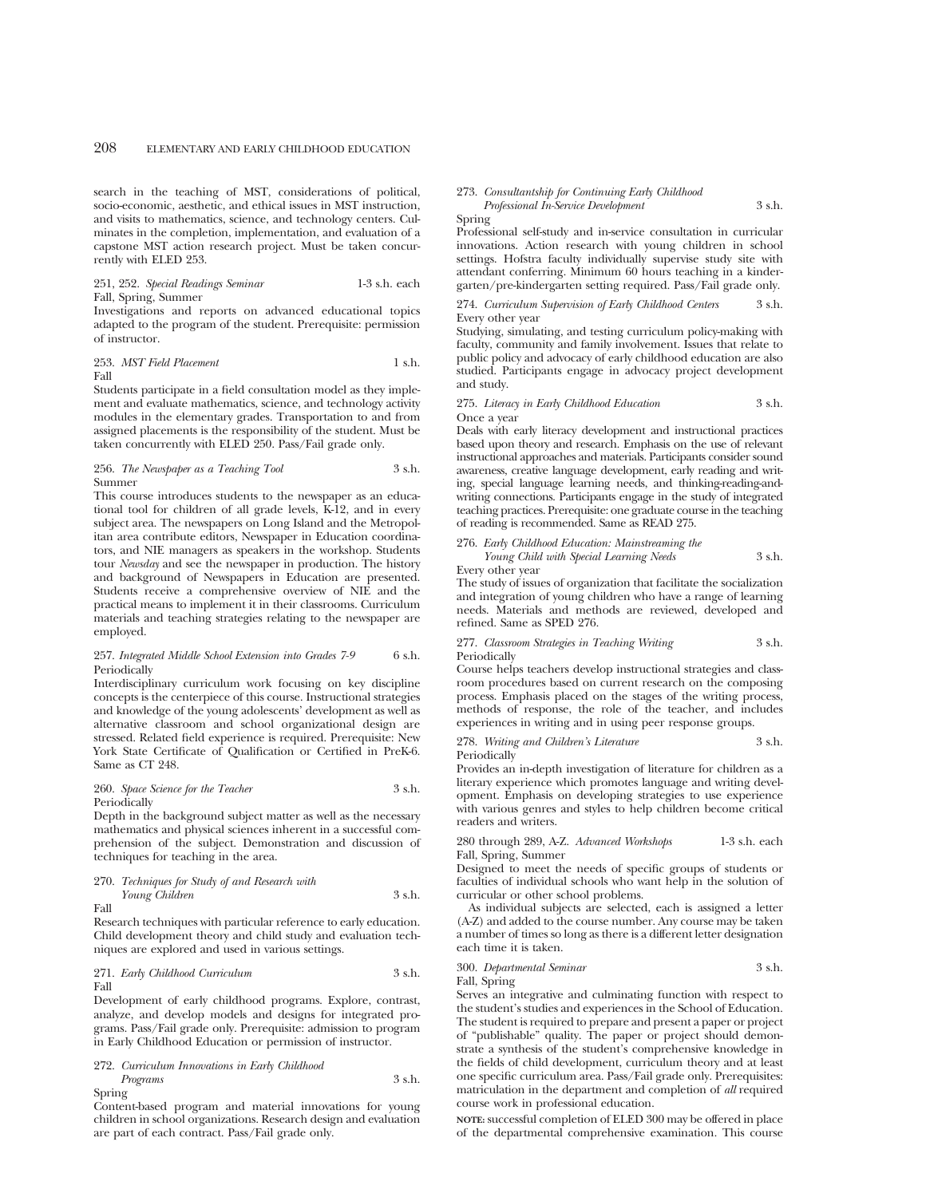search in the teaching of MST, considerations of political, socio-economic, aesthetic, and ethical issues in MST instruction, and visits to mathematics, science, and technology centers. Culminates in the completion, implementation, and evaluation of a capstone MST action research project. Must be taken concurrently with ELED 253.

## 251, 252. *Special Readings Seminar* 1-3 s.h. each Fall, Spring, Summer

Investigations and reports on advanced educational topics adapted to the program of the student. Prerequisite: permission of instructor.

#### 253. *MST Field Placement* 1 s.h. Fall

Students participate in a field consultation model as they implement and evaluate mathematics, science, and technology activity modules in the elementary grades. Transportation to and from assigned placements is the responsibility of the student. Must be taken concurrently with ELED 250. Pass/Fail grade only.

#### 256. *The Newspaper as a Teaching Tool* 3 s.h. Summer

This course introduces students to the newspaper as an educational tool for children of all grade levels, K-12, and in every subject area. The newspapers on Long Island and the Metropolitan area contribute editors, Newspaper in Education coordinators, and NIE managers as speakers in the workshop. Students tour *Newsday* and see the newspaper in production. The history and background of Newspapers in Education are presented. Students receive a comprehensive overview of NIE and the practical means to implement it in their classrooms. Curriculum materials and teaching strategies relating to the newspaper are employed.

#### 257. *Integrated Middle School Extension into Grades 7-9* 6 s.h. Periodically

Interdisciplinary curriculum work focusing on key discipline concepts is the centerpiece of this course. Instructional strategies and knowledge of the young adolescents' development as well as alternative classroom and school organizational design are stressed. Related field experience is required. Prerequisite: New York State Certificate of Qualification or Certified in PreK-6. Same as CT 248.

## 260. *Space Science for the Teacher* 3 s.h. Periodically

Depth in the background subject matter as well as the necessary mathematics and physical sciences inherent in a successful comprehension of the subject. Demonstration and discussion of techniques for teaching in the area.

## 270. *Techniques for Study of and Research with Young Children* 3 s.h.

Fall

Research techniques with particular reference to early education. Child development theory and child study and evaluation techniques are explored and used in various settings.

## 271. *Early Childhood Curriculum* 3 s.h. Fall

Development of early childhood programs. Explore, contrast, analyze, and develop models and designs for integrated programs. Pass/Fail grade only. Prerequisite: admission to program in Early Childhood Education or permission of instructor.

## 272. *Curriculum Innovations in Early Childhood Programs* 3 s.h.

Spring

Content-based program and material innovations for young children in school organizations. Research design and evaluation are part of each contract. Pass/Fail grade only.

## 273. *Consultantship for Continuing Early Childhood*

*Professional In-Service Development* 3 s.h.

Spring

Professional self-study and in-service consultation in curricular innovations. Action research with young children in school settings. Hofstra faculty individually supervise study site with attendant conferring. Minimum 60 hours teaching in a kindergarten/pre-kindergarten setting required. Pass/Fail grade only.

#### 274. *Curriculum Supervision of Early Childhood Centers* 3 s.h. Every other year

Studying, simulating, and testing curriculum policy-making with faculty, community and family involvement. Issues that relate to public policy and advocacy of early childhood education are also studied. Participants engage in advocacy project development and study.

#### 275. *Literacy in Early Childhood Education* 3 s.h. Once a year

Deals with early literacy development and instructional practices based upon theory and research. Emphasis on the use of relevant instructional approaches and materials. Participants consider sound awareness, creative language development, early reading and writing, special language learning needs, and thinking-reading-andwriting connections. Participants engage in the study of integrated teaching practices. Prerequisite: one graduate course in the teaching of reading is recommended. Same as READ 275.

276. *Early Childhood Education: Mainstreaming the Young Child with Special Learning Needs* 3 s.h.

Every other year

The study of issues of organization that facilitate the socialization and integration of young children who have a range of learning needs. Materials and methods are reviewed, developed and refined. Same as SPED 276.

#### 277. *Classroom Strategies in Teaching Writing* 3 s.h. Periodically

Course helps teachers develop instructional strategies and classroom procedures based on current research on the composing process. Emphasis placed on the stages of the writing process, methods of response, the role of the teacher, and includes experiences in writing and in using peer response groups.

278. *Writing and Children's Literature* 3 s.h. Periodically

Provides an in-depth investigation of literature for children as a literary experience which promotes language and writing development. Emphasis on developing strategies to use experience with various genres and styles to help children become critical readers and writers.

280 through 289, A-Z. *Advanced Workshops* 1-3 s.h. each Fall, Spring, Summer

Designed to meet the needs of specific groups of students or faculties of individual schools who want help in the solution of curricular or other school problems.

As individual subjects are selected, each is assigned a letter (A-Z) and added to the course number. Any course may be taken a number of times so long as there is a different letter designation each time it is taken.

300. *Departmental Seminar* 3 s.h. Fall, Spring

Serves an integrative and culminating function with respect to the student's studies and experiences in the School of Education. The student is required to prepare and present a paper or project of "publishable" quality. The paper or project should demonstrate a synthesis of the student's comprehensive knowledge in the fields of child development, curriculum theory and at least one specific curriculum area. Pass/Fail grade only. Prerequisites: matriculation in the department and completion of *all* required course work in professional education.

**NOTE:** successful completion of ELED 300 may be offered in place of the departmental comprehensive examination. This course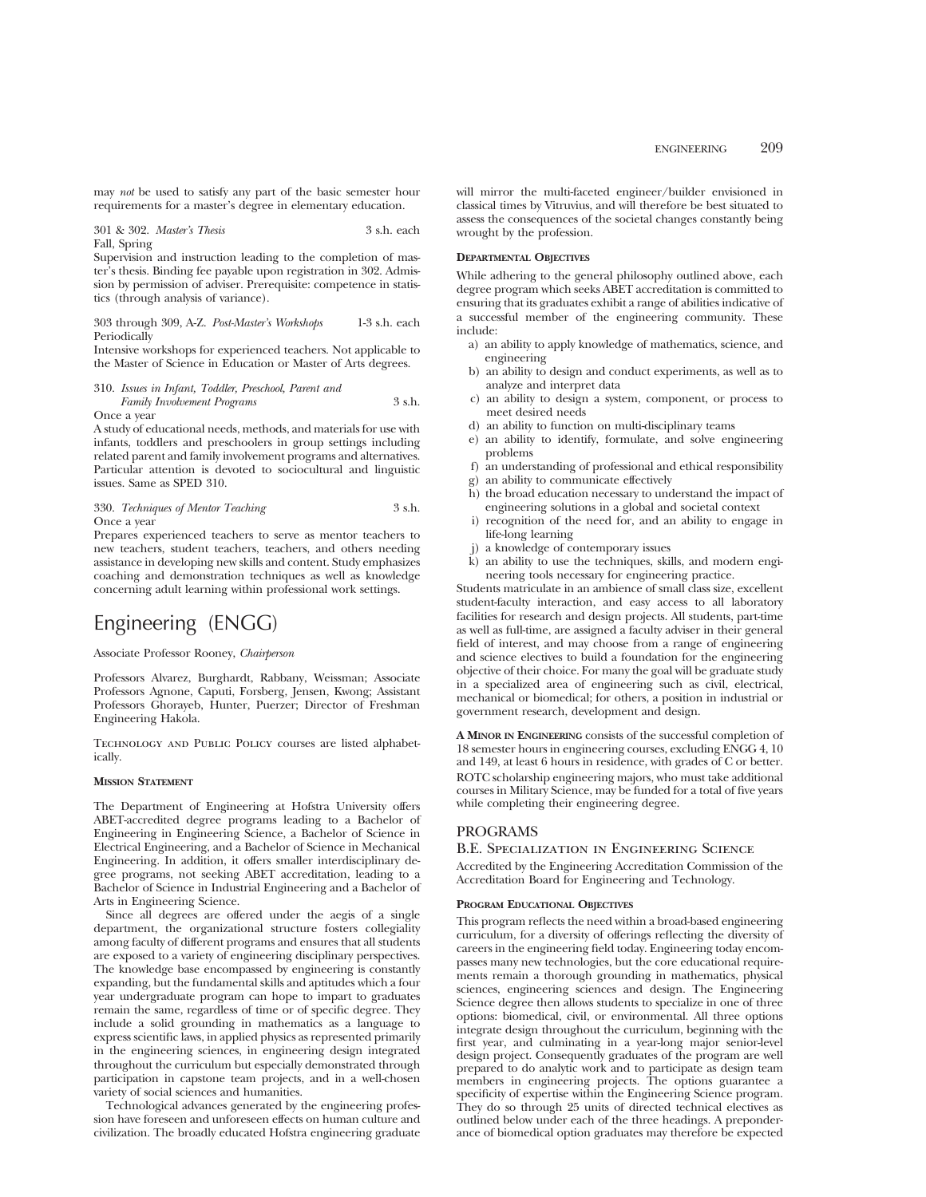may *not* be used to satisfy any part of the basic semester hour requirements for a master's degree in elementary education.

301 & 302. *Master's Thesis* 3 s.h. each Fall, Spring

Supervision and instruction leading to the completion of master's thesis. Binding fee payable upon registration in 302. Admission by permission of adviser. Prerequisite: competence in statistics (through analysis of variance).

303 through 309, A-Z. *Post-Master's Workshops* 1-3 s.h. each Periodically

Intensive workshops for experienced teachers. Not applicable to the Master of Science in Education or Master of Arts degrees.

310. *Issues in Infant, Toddler, Preschool, Parent and Family Involvement Programs* 3 s.h. Once a year

A study of educational needs, methods, and materials for use with infants, toddlers and preschoolers in group settings including related parent and family involvement programs and alternatives. Particular attention is devoted to sociocultural and linguistic issues. Same as SPED 310.

330. *Techniques of Mentor Teaching* 3 s.h. Once a year

Prepares experienced teachers to serve as mentor teachers to new teachers, student teachers, teachers, and others needing assistance in developing new skills and content. Study emphasizes coaching and demonstration techniques as well as knowledge concerning adult learning within professional work settings.

# Engineering (ENGG)

Associate Professor Rooney, *Chairperson*

Professors Alvarez, Burghardt, Rabbany, Weissman; Associate Professors Agnone, Caputi, Forsberg, Jensen, Kwong; Assistant Professors Ghorayeb, Hunter, Puerzer; Director of Freshman Engineering Hakola.

Technology and Public Policy courses are listed alphabetically.

#### **MISSION STATEMENT**

The Department of Engineering at Hofstra University offers ABET-accredited degree programs leading to a Bachelor of Engineering in Engineering Science, a Bachelor of Science in Electrical Engineering, and a Bachelor of Science in Mechanical Engineering. In addition, it offers smaller interdisciplinary degree programs, not seeking ABET accreditation, leading to a Bachelor of Science in Industrial Engineering and a Bachelor of Arts in Engineering Science.

Since all degrees are offered under the aegis of a single department, the organizational structure fosters collegiality among faculty of different programs and ensures that all students are exposed to a variety of engineering disciplinary perspectives. The knowledge base encompassed by engineering is constantly expanding, but the fundamental skills and aptitudes which a four year undergraduate program can hope to impart to graduates remain the same, regardless of time or of specific degree. They include a solid grounding in mathematics as a language to express scientific laws, in applied physics as represented primarily in the engineering sciences, in engineering design integrated throughout the curriculum but especially demonstrated through participation in capstone team projects, and in a well-chosen variety of social sciences and humanities.

Technological advances generated by the engineering profession have foreseen and unforeseen effects on human culture and civilization. The broadly educated Hofstra engineering graduate

will mirror the multi-faceted engineer/builder envisioned in classical times by Vitruvius, and will therefore be best situated to assess the consequences of the societal changes constantly being wrought by the profession.

## **DEPARTMENTAL OBJECTIVES**

While adhering to the general philosophy outlined above, each degree program which seeks ABET accreditation is committed to ensuring that its graduates exhibit a range of abilities indicative of a successful member of the engineering community. These include:

- a) an ability to apply knowledge of mathematics, science, and engineering
- b) an ability to design and conduct experiments, as well as to analyze and interpret data
- c) an ability to design a system, component, or process to meet desired needs
- d) an ability to function on multi-disciplinary teams
- an ability to identify, formulate, and solve engineering problems
- f) an understanding of professional and ethical responsibility
- an ability to communicate effectively
- h) the broad education necessary to understand the impact of engineering solutions in a global and societal context
- recognition of the need for, and an ability to engage in life-long learning
- a knowledge of contemporary issues
- k) an ability to use the techniques, skills, and modern engineering tools necessary for engineering practice.

Students matriculate in an ambience of small class size, excellent student-faculty interaction, and easy access to all laboratory facilities for research and design projects. All students, part-time as well as full-time, are assigned a faculty adviser in their general field of interest, and may choose from a range of engineering and science electives to build a foundation for the engineering objective of their choice. For many the goal will be graduate study in a specialized area of engineering such as civil, electrical, mechanical or biomedical; for others, a position in industrial or government research, development and design.

**A MINOR IN ENGINEERING** consists of the successful completion of 18 semester hours in engineering courses, excluding ENGG 4, 10 and 149, at least 6 hours in residence, with grades of C or better. ROTC scholarship engineering majors, who must take additional courses in Military Science, may be funded for a total of five years

## PROGRAMS

#### B.E. Specialization in Engineering Science

Accredited by the Engineering Accreditation Commission of the Accreditation Board for Engineering and Technology.

#### **PROGRAM EDUCATIONAL OBJECTIVES**

while completing their engineering degree.

This program reflects the need within a broad-based engineering curriculum, for a diversity of offerings reflecting the diversity of careers in the engineering field today. Engineering today encompasses many new technologies, but the core educational requirements remain a thorough grounding in mathematics, physical sciences, engineering sciences and design. The Engineering Science degree then allows students to specialize in one of three options: biomedical, civil, or environmental. All three options integrate design throughout the curriculum, beginning with the first year, and culminating in a year-long major senior-level design project. Consequently graduates of the program are well prepared to do analytic work and to participate as design team members in engineering projects. The options guarantee a specificity of expertise within the Engineering Science program. They do so through 25 units of directed technical electives as outlined below under each of the three headings. A preponderance of biomedical option graduates may therefore be expected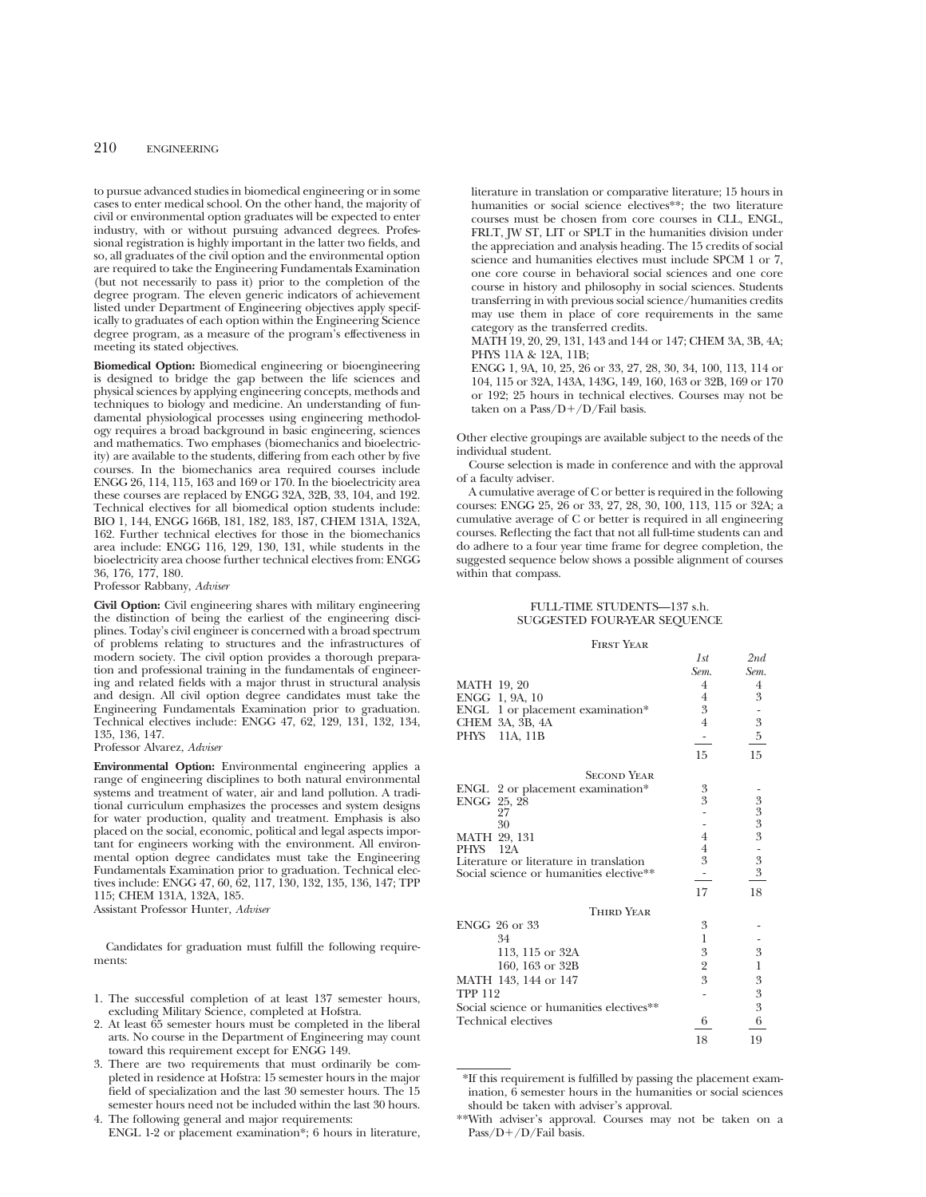to pursue advanced studies in biomedical engineering or in some cases to enter medical school. On the other hand, the majority of civil or environmental option graduates will be expected to enter industry, with or without pursuing advanced degrees. Professional registration is highly important in the latter two fields, and so, all graduates of the civil option and the environmental option are required to take the Engineering Fundamentals Examination (but not necessarily to pass it) prior to the completion of the degree program. The eleven generic indicators of achievement listed under Department of Engineering objectives apply specifically to graduates of each option within the Engineering Science degree program, as a measure of the program's effectiveness in meeting its stated objectives.

**Biomedical Option:** Biomedical engineering or bioengineering is designed to bridge the gap between the life sciences and physical sciences by applying engineering concepts, methods and techniques to biology and medicine. An understanding of fundamental physiological processes using engineering methodology requires a broad background in basic engineering, sciences and mathematics. Two emphases (biomechanics and bioelectricity) are available to the students, differing from each other by five courses. In the biomechanics area required courses include ENGG 26, 114, 115, 163 and 169 or 170. In the bioelectricity area these courses are replaced by ENGG 32A, 32B, 33, 104, and 192. Technical electives for all biomedical option students include: BIO 1, 144, ENGG 166B, 181, 182, 183, 187, CHEM 131A, 132A, 162. Further technical electives for those in the biomechanics area include: ENGG 116, 129, 130, 131, while students in the bioelectricity area choose further technical electives from: ENGG 36, 176, 177, 180.

Professor Rabbany, *Adviser*

**Civil Option:** Civil engineering shares with military engineering the distinction of being the earliest of the engineering disciplines. Today's civil engineer is concerned with a broad spectrum of problems relating to structures and the infrastructures of modern society. The civil option provides a thorough preparation and professional training in the fundamentals of engineering and related fields with a major thrust in structural analysis and design. All civil option degree candidates must take the Engineering Fundamentals Examination prior to graduation. Technical electives include: ENGG 47, 62, 129, 131, 132, 134, 135, 136, 147.

#### Professor Alvarez, *Adviser*

**Environmental Option:** Environmental engineering applies a range of engineering disciplines to both natural environmental systems and treatment of water, air and land pollution. A traditional curriculum emphasizes the processes and system designs for water production, quality and treatment. Emphasis is also placed on the social, economic, political and legal aspects important for engineers working with the environment. All environmental option degree candidates must take the Engineering Fundamentals Examination prior to graduation. Technical electives include: ENGG 47, 60, 62, 117, 130, 132, 135, 136, 147; TPP 115; CHEM 131A, 132A, 185. Assistant Professor Hunter, *Adviser*

Candidates for graduation must fulfill the following requirements:

- 1. The successful completion of at least 137 semester hours, excluding Military Science, completed at Hofstra.
- 2. At least 65 semester hours must be completed in the liberal arts. No course in the Department of Engineering may count toward this requirement except for ENGG 149.
- 3. There are two requirements that must ordinarily be completed in residence at Hofstra: 15 semester hours in the major field of specialization and the last 30 semester hours. The 15 semester hours need not be included within the last 30 hours.
- 4. The following general and major requirements: ENGL 1-2 or placement examination\*; 6 hours in literature,

literature in translation or comparative literature; 15 hours in humanities or social science electives\*\*; the two literature courses must be chosen from core courses in CLL, ENGL, FRLT, JW ST, LIT or SPLT in the humanities division under the appreciation and analysis heading. The 15 credits of social science and humanities electives must include SPCM 1 or 7, one core course in behavioral social sciences and one core course in history and philosophy in social sciences. Students transferring in with previous social science/humanities credits may use them in place of core requirements in the same category as the transferred credits.

MATH 19, 20, 29, 131, 143 and 144 or 147; CHEM 3A, 3B, 4A; PHYS 11A & 12A, 11B;

ENGG 1, 9A, 10, 25, 26 or 33, 27, 28, 30, 34, 100, 113, 114 or 104, 115 or 32A, 143A, 143G, 149, 160, 163 or 32B, 169 or 170 or 192; 25 hours in technical electives. Courses may not be taken on a Pass/ $D+/D$ /Fail basis.

Other elective groupings are available subject to the needs of the individual student.

Course selection is made in conference and with the approval of a faculty adviser.

A cumulative average of C or better is required in the following courses: ENGG 25, 26 or 33, 27, 28, 30, 100, 113, 115 or 32A; a cumulative average of C or better is required in all engineering courses. Reflecting the fact that not all full-time students can and do adhere to a four year time frame for degree completion, the suggested sequence below shows a possible alignment of courses within that compass.

## FULL-TIME STUDENTS—137 s.h. SUGGESTED FOUR-YEAR SEQUENCE

#### First Year

|                                          | 1st              | 2nd                     |
|------------------------------------------|------------------|-------------------------|
|                                          | Sem.             | Sem.                    |
| MATH 19, 20                              | 4                | 4                       |
| ENGG 1, 9A, 10                           | 4                | 3                       |
| ENGL 1 or placement examination*         | 3                |                         |
| CHEM 3A, 3B, 4A                          | $\overline{4}$   | $\frac{1}{3}$           |
| PHYS<br>11A, 11B                         |                  |                         |
|                                          | 15               | 15                      |
| <b>SECOND YEAR</b>                       |                  |                         |
| ENGL 2 or placement examination*         | 3                |                         |
| ENGG 25, 28                              | 3                | $3333$<br>$335$<br>$33$ |
| 27                                       |                  |                         |
| 30                                       |                  |                         |
| MATH 29, 131                             | $\overline{4}$   |                         |
| PHYS<br>12A                              | $\overline{4}$   |                         |
| Literature or literature in translation  | $\mathfrak{Z}$   |                         |
| Social science or humanities elective**  |                  |                         |
|                                          | 17               | 18                      |
| <b>THIRD YEAR</b>                        |                  |                         |
| ENGG 26 or 33                            | 3                |                         |
| 34                                       | 1                |                         |
| 113, 115 or 32A                          | $\boldsymbol{3}$ | 3                       |
| 160, 163 or 32B                          | $\overline{2}$   | $\,1$                   |
| MATH 143, 144 or 147                     | 3                | $\boldsymbol{3}$        |
| <b>TPP 112</b>                           |                  |                         |
| Social science or humanities electives** |                  | $\frac{3}{3}$           |
| Technical electives                      | 6                | 6                       |
|                                          | 18               | 19                      |

\*If this requirement is fulfilled by passing the placement examination, 6 semester hours in the humanities or social sciences should be taken with adviser's approval.

<sup>\*\*</sup>With adviser's approval. Courses may not be taken on a Pass/D+/D/Fail basis.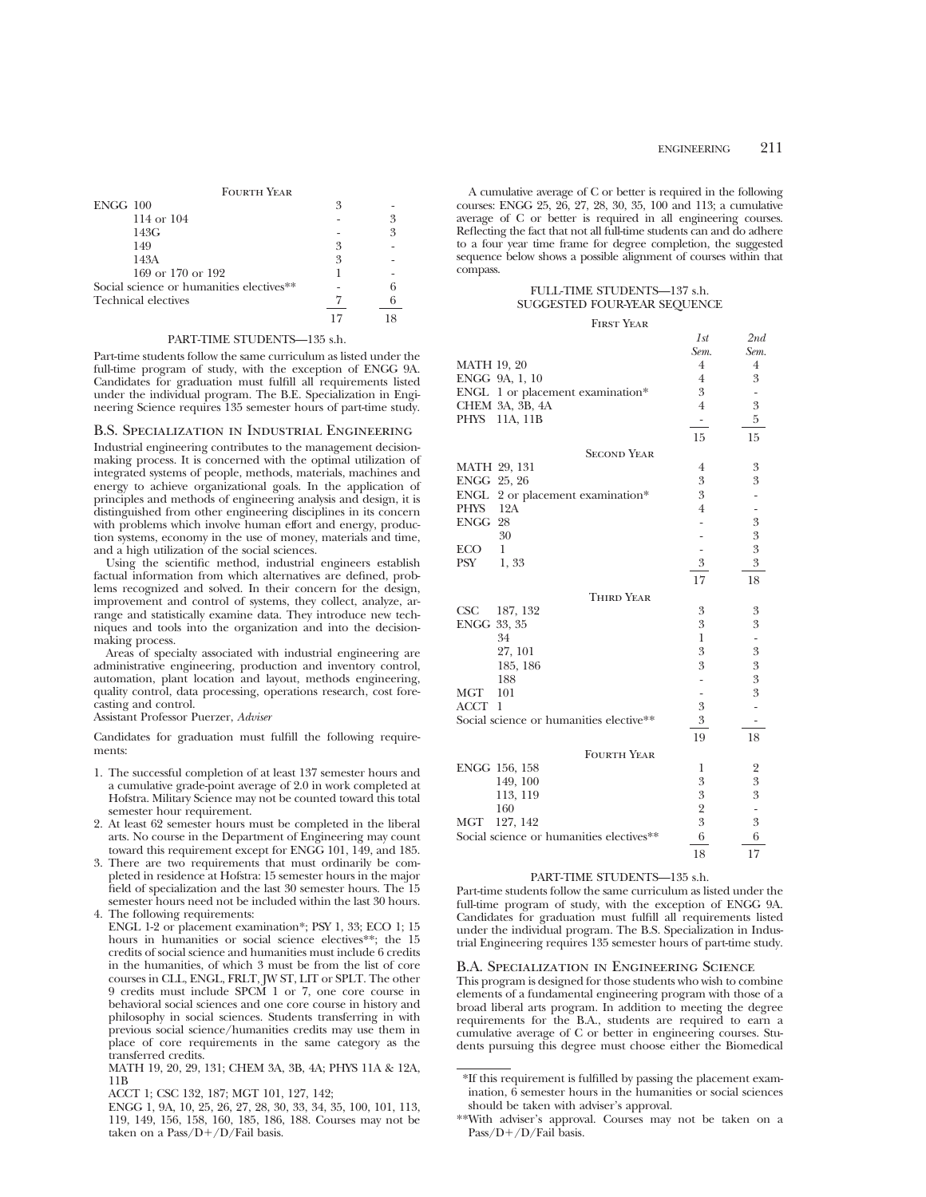| <b>FOURTH YEAR</b>                       |    |   |
|------------------------------------------|----|---|
| $ENGG$ 100                               | 3  |   |
| 114 or $104$                             |    | 3 |
| 143G                                     |    | 3 |
| 149                                      | 3  |   |
| 143A                                     | 3  |   |
| 169 or 170 or 192                        |    |   |
| Social science or humanities electives** |    |   |
| <b>Technical electives</b>               |    |   |
|                                          | 17 |   |

#### PART-TIME STUDENTS—135 s.h.

Part-time students follow the same curriculum as listed under the full-time program of study, with the exception of ENGG 9A. Candidates for graduation must fulfill all requirements listed under the individual program. The B.E. Specialization in Engineering Science requires 135 semester hours of part-time study.

## B.S. Specialization in Industrial Engineering

Industrial engineering contributes to the management decisionmaking process. It is concerned with the optimal utilization of integrated systems of people, methods, materials, machines and energy to achieve organizational goals. In the application of principles and methods of engineering analysis and design, it is distinguished from other engineering disciplines in its concern with problems which involve human effort and energy, production systems, economy in the use of money, materials and time, and a high utilization of the social sciences.

Using the scientific method, industrial engineers establish factual information from which alternatives are defined, problems recognized and solved. In their concern for the design, improvement and control of systems, they collect, analyze, arrange and statistically examine data. They introduce new techniques and tools into the organization and into the decisionmaking process.

Areas of specialty associated with industrial engineering are administrative engineering, production and inventory control, automation, plant location and layout, methods engineering, quality control, data processing, operations research, cost forecasting and control.

Assistant Professor Puerzer, *Adviser*

Candidates for graduation must fulfill the following requirements:

- 1. The successful completion of at least 137 semester hours and a cumulative grade-point average of 2.0 in work completed at Hofstra. Military Science may not be counted toward this total semester hour requirement.
- 2. At least 62 semester hours must be completed in the liberal arts. No course in the Department of Engineering may count toward this requirement except for ENGG 101, 149, and 185.
- 3. There are two requirements that must ordinarily be completed in residence at Hofstra: 15 semester hours in the major field of specialization and the last 30 semester hours. The 15 semester hours need not be included within the last 30 hours.
- 4. The following requirements: ENGL 1-2 or placement examination\*; PSY 1, 33; ECO 1; 15 hours in humanities or social science electives\*\*; the 15 credits of social science and humanities must include 6 credits in the humanities, of which 3 must be from the list of core courses in CLL, ENGL, FRLT, JW ST, LIT or SPLT. The other 9 credits must include SPCM 1 or 7, one core course in behavioral social sciences and one core course in history and philosophy in social sciences. Students transferring in with previous social science/humanities credits may use them in place of core requirements in the same category as the transferred credits.

MATH 19, 20, 29, 131; CHEM 3A, 3B, 4A; PHYS 11A & 12A, 11B

ACCT 1; CSC 132, 187; MGT 101, 127, 142;

ENGG 1, 9A, 10, 25, 26, 27, 28, 30, 33, 34, 35, 100, 101, 113, 119, 149, 156, 158, 160, 185, 186, 188. Courses may not be taken on a  $Pass/D+/D/Fall$  basis.

A cumulative average of C or better is required in the following courses: ENGG 25, 26, 27, 28, 30, 35, 100 and 113; a cumulative average of C or better is required in all engineering courses. Reflecting the fact that not all full-time students can and do adhere to a four year time frame for degree completion, the suggested sequence below shows a possible alignment of courses within that compass.

## FULL-TIME STUDENTS—137 s.h. SUGGESTED FOUR-YEAR SEQUENCE

#### First Year

|                                          | 1st            | 2nd                        |
|------------------------------------------|----------------|----------------------------|
|                                          | Sem.           | Sem.                       |
| <b>MATH 19, 20</b>                       | 4              | 4                          |
| ENGG 9A, 1, 10                           | $\overline{4}$ | 3                          |
| ENGL 1 or placement examination*         | 3              |                            |
| CHEM 3A, 3B, 4A                          | $\overline{4}$ | 3                          |
| PHYS 11A, 11B                            | ۰.             | 5                          |
|                                          | 15             | 15                         |
| <b>SECOND YEAR</b>                       |                |                            |
| MATH 29, 131                             | $\overline{4}$ | 3                          |
| ENGG 25, 26                              | 3              | 3                          |
| ENGL<br>2 or placement examination*      | 3              |                            |
| 12A<br>PHYS                              | $\overline{4}$ |                            |
| ENGG 28                                  |                | $\boldsymbol{3}$           |
| 30                                       |                | $\boldsymbol{\mathcal{S}}$ |
| ECO<br>1                                 | $\overline{a}$ | $\sqrt{3}$                 |
| PSY<br>1, 33                             | 3              | 3                          |
|                                          | 17             | 18                         |
| <b>THIRD YEAR</b>                        |                |                            |
| CSC<br>187, 132                          | 3              | 3                          |
| ENGG 33, 35                              | 3              | 3                          |
| 34                                       | $\mathbf{1}$   |                            |
| 27, 101                                  | 3              | $\boldsymbol{3}$           |
| 185, 186                                 | 3              | $\overline{3}$             |
| 188                                      |                | 3                          |
| MGT<br>101                               |                | 3                          |
| <b>ACCT</b><br>$\mathbf{1}$              | 3              |                            |
| Social science or humanities elective**  | 3              |                            |
|                                          | 19             | 18                         |
| <b>FOURTH YEAR</b>                       |                |                            |
| ENGG 156, 158                            | 1              | 2                          |
| 149, 100                                 | 3              | $\overline{3}$             |
| 113, 119                                 | 3              | $\overline{3}$             |
| 160                                      | $\frac{2}{3}$  |                            |
| 127, 142<br><b>MGT</b>                   |                | 3                          |
| Social science or humanities electives** | 6              | 6                          |
|                                          | 18             | 17                         |

## PART-TIME STUDENTS—135 s.h.

Part-time students follow the same curriculum as listed under the full-time program of study, with the exception of ENGG 9A. Candidates for graduation must fulfill all requirements listed under the individual program. The B.S. Specialization in Industrial Engineering requires 135 semester hours of part-time study.

## B.A. Specialization in Engineering Science

This program is designed for those students who wish to combine elements of a fundamental engineering program with those of a broad liberal arts program. In addition to meeting the degree requirements for the B.A., students are required to earn a cumulative average of C or better in engineering courses. Students pursuing this degree must choose either the Biomedical

<sup>\*</sup>If this requirement is fulfilled by passing the placement examination, 6 semester hours in the humanities or social sciences should be taken with adviser's approval.

<sup>\*\*</sup>With adviser's approval. Courses may not be taken on a Pass/D+/D/Fail basis.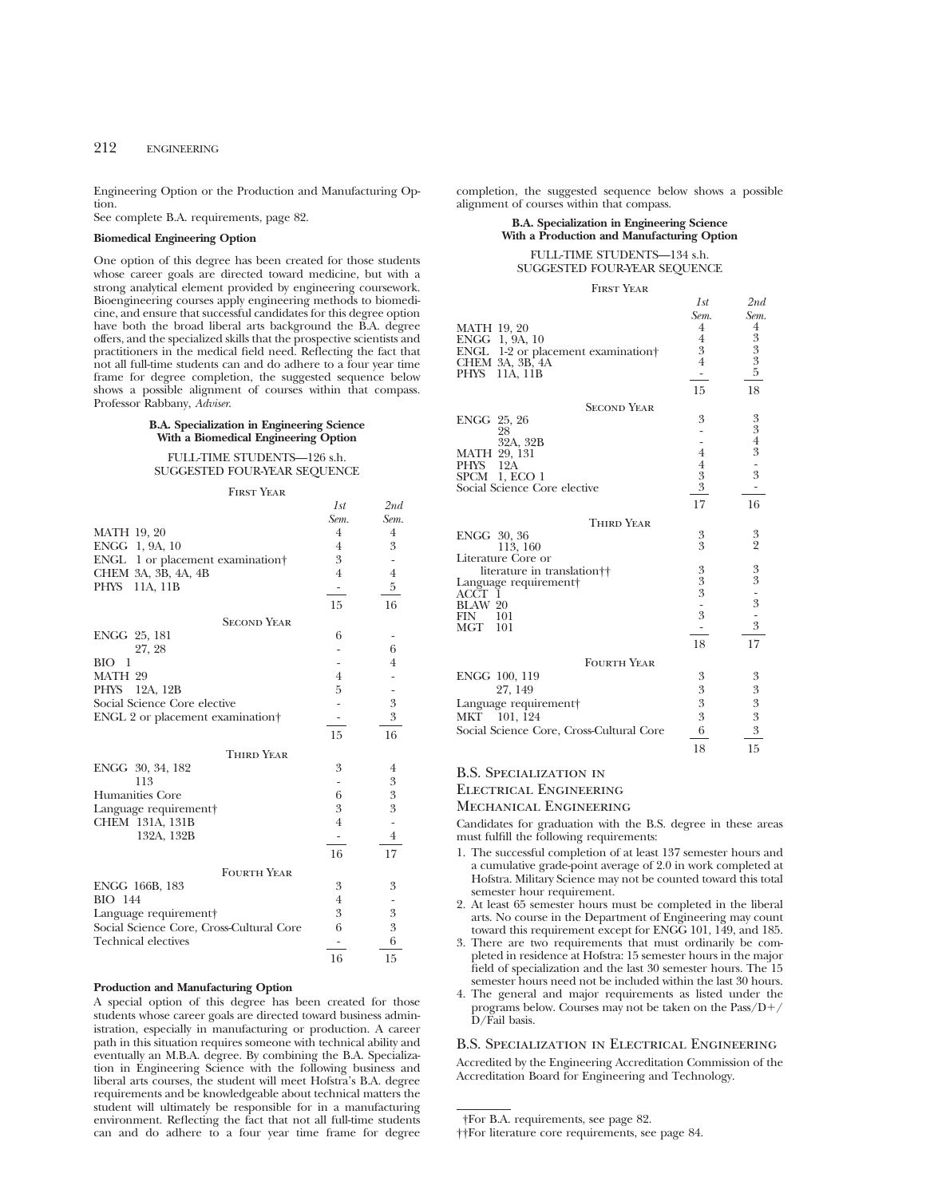Engineering Option or the Production and Manufacturing Option.

See complete B.A. requirements, page 82.

### **Biomedical Engineering Option**

One option of this degree has been created for those students whose career goals are directed toward medicine, but with a strong analytical element provided by engineering coursework. Bioengineering courses apply engineering methods to biomedicine, and ensure that successful candidates for this degree option have both the broad liberal arts background the B.A. degree offers, and the specialized skills that the prospective scientists and practitioners in the medical field need. Reflecting the fact that not all full-time students can and do adhere to a four year time frame for degree completion, the suggested sequence below shows a possible alignment of courses within that compass. Professor Rabbany, *Adviser*.

## **B.A. Specialization in Engineering Science With a Biomedical Engineering Option**

FULL-TIME STUDENTS—126 s.h. SUGGESTED FOUR-YEAR SEQUENCE

#### First Year

*1st 2nd*

|                                              | Sem.           | Sem.           |
|----------------------------------------------|----------------|----------------|
| <b>MATH 19, 20</b>                           | $\overline{4}$ | $\overline{4}$ |
| ENGG 1, 9A, 10                               | 4              | 3              |
| ENGL 1 or placement examination†             | 3              |                |
| CHEM 3A, 3B, 4A, 4B                          | $\overline{4}$ | $\overline{4}$ |
| PHYS 11A, 11B                                |                | 5              |
|                                              | 15             | 16             |
| <b>SECOND YEAR</b>                           |                |                |
| ENGG 25, 181                                 | 6              |                |
| 27, 28                                       |                | 6              |
| BIO<br>-1                                    |                | 4              |
| MATH 29                                      | 4              |                |
| PHYS 12A, 12B                                | 5              |                |
| Social Science Core elective                 |                | 3              |
| ENGL 2 or placement examination <sup>+</sup> |                | 3              |
|                                              | 15             | 16             |
| <b>THIRD YEAR</b>                            |                |                |
| ENGG 30, 34, 182                             | 3              | 4              |
| 113                                          |                | 3              |
| Humanities Core                              | 6              | 3              |
| Language requirement                         | 3              | 3              |
| CHEM 131A, 131B                              | $\overline{4}$ |                |
| 132A, 132B                                   |                | $\overline{4}$ |
|                                              | 16             | 17             |
| <b>FOURTH YEAR</b>                           |                |                |
| ENGG 166B, 183                               | 3              | 3              |
| <b>BIO</b> 144                               | $\overline{4}$ |                |
| Language requirement                         | 3              | 3              |
| Social Science Core, Cross-Cultural Core     | 6              | 3              |
| <b>Technical electives</b>                   |                | 6              |
|                                              | 16             | 15             |

### **Production and Manufacturing Option**

A special option of this degree has been created for those students whose career goals are directed toward business administration, especially in manufacturing or production. A career path in this situation requires someone with technical ability and eventually an M.B.A. degree. By combining the B.A. Specialization in Engineering Science with the following business and liberal arts courses, the student will meet Hofstra's B.A. degree requirements and be knowledgeable about technical matters the student will ultimately be responsible for in a manufacturing environment. Reflecting the fact that not all full-time students can and do adhere to a four year time frame for degree completion, the suggested sequence below shows a possible alignment of courses within that compass.

## **B.A. Specialization in Engineering Science With a Production and Manufacturing Option**

#### FULL-TIME STUDENTS—134 s.h. SUGGESTED FOUR-YEAR SEQUENCE

#### First Year

|                                          | 1st              | 2nd                                       |
|------------------------------------------|------------------|-------------------------------------------|
|                                          | Sem.             | Sem.                                      |
| <b>MATH 19, 20</b>                       | $\overline{4}$   |                                           |
| ENGG 1, 9A, 10                           | $\overline{4}$   | $\frac{4}{3}$ $\frac{3}{3}$ $\frac{3}{5}$ |
| 1-2 or placement examination<br>ENGL     | 3                |                                           |
| CHEM 3A, 3B, 4A                          | $\overline{4}$   |                                           |
| <b>PHYS</b><br>11A, 11B                  | -                |                                           |
|                                          | 15               | 18                                        |
| <b>SECOND YEAR</b>                       |                  |                                           |
| ENGG 25, 26                              | 3                |                                           |
| 28                                       |                  | $3343$ - 3                                |
| 32A, 32B                                 |                  |                                           |
| MATH 29, 131                             | $\overline{4}$   |                                           |
| 12A<br>PHYS                              | $\overline{4}$   |                                           |
| SPCM<br>1, ECO 1                         |                  |                                           |
| Social Science Core elective             | $\frac{3}{3}$    |                                           |
|                                          | 17               | 16                                        |
| <b>THIRD YEAR</b>                        |                  |                                           |
| ENGG 30, 36                              |                  |                                           |
| 113, 160                                 | $\frac{3}{3}$    | $\frac{3}{2}$                             |
| Literature Core or                       |                  |                                           |
| literature in translation††              |                  |                                           |
| Language requirement                     |                  |                                           |
| ACCT<br>-1                               | $\frac{3}{3}$    |                                           |
| BLAW 20                                  |                  |                                           |
| 101<br>FIN                               | $\frac{1}{3}$    | $33 - 3$<br>$-3$                          |
| <b>MGT</b><br>101                        |                  |                                           |
|                                          | 18               | 17                                        |
| <b>FOURTH YEAR</b>                       |                  |                                           |
|                                          | 3                |                                           |
| ENGG 100, 119                            |                  | 3                                         |
| 27, 149                                  | $\boldsymbol{3}$ | $\boldsymbol{\mathcal{S}}$                |
| Language requirement                     | 3                | $\overline{\mathbf{3}}$                   |
| MKT 101, 124                             | 3                | 3                                         |
| Social Science Core, Cross-Cultural Core | 6                | $\overline{3}$                            |
|                                          | 18               | 15                                        |

## B.S. Specialization in

Electrical Engineering

Mechanical Engineering

Candidates for graduation with the B.S. degree in these areas must fulfill the following requirements:

- 1. The successful completion of at least 137 semester hours and a cumulative grade-point average of 2.0 in work completed at Hofstra. Military Science may not be counted toward this total semester hour requirement.
- 2. At least 65 semester hours must be completed in the liberal arts. No course in the Department of Engineering may count toward this requirement except for ENGG 101, 149, and 185.
- 3. There are two requirements that must ordinarily be completed in residence at Hofstra: 15 semester hours in the major field of specialization and the last 30 semester hours. The 15 semester hours need not be included within the last 30 hours.
- 4. The general and major requirements as listed under the programs below. Courses may not be taken on the  $Pass/D+$ D/Fail basis.

## B.S. Specialization in Electrical Engineering

Accredited by the Engineering Accreditation Commission of the Accreditation Board for Engineering and Technology.

<sup>†</sup>For B.A. requirements, see page 82.

<sup>††</sup>For literature core requirements, see page 84.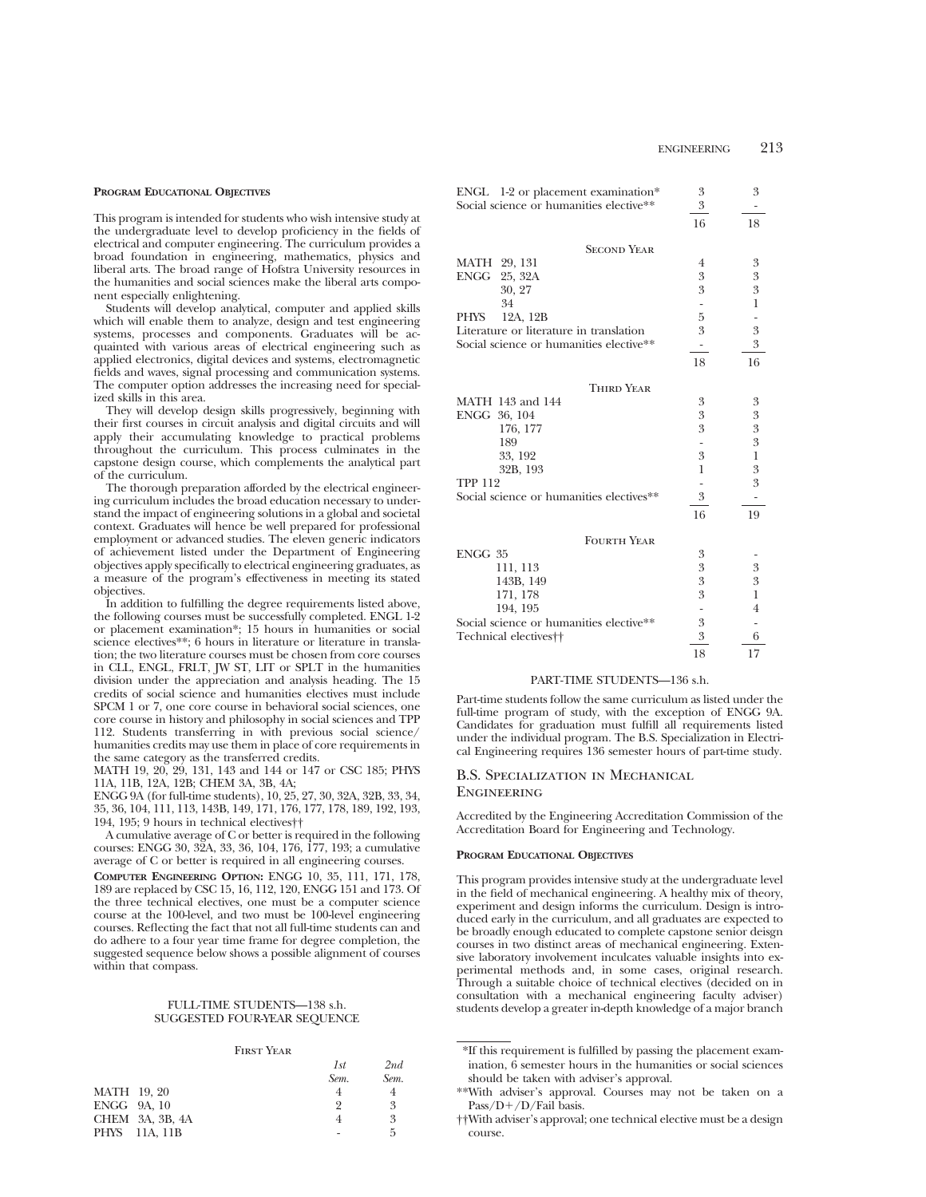#### **PROGRAM EDUCATIONAL OBJECTIVES**

This program is intended for students who wish intensive study at the undergraduate level to develop proficiency in the fields of electrical and computer engineering. The curriculum provides a broad foundation in engineering, mathematics, physics and liberal arts. The broad range of Hofstra University resources in the humanities and social sciences make the liberal arts component especially enlightening.

Students will develop analytical, computer and applied skills which will enable them to analyze, design and test engineering systems, processes and components. Graduates will be acquainted with various areas of electrical engineering such as applied electronics, digital devices and systems, electromagnetic fields and waves, signal processing and communication systems. The computer option addresses the increasing need for specialized skills in this area.

They will develop design skills progressively, beginning with their first courses in circuit analysis and digital circuits and will apply their accumulating knowledge to practical problems throughout the curriculum. This process culminates in the capstone design course, which complements the analytical part of the curriculum.

The thorough preparation afforded by the electrical engineering curriculum includes the broad education necessary to understand the impact of engineering solutions in a global and societal context. Graduates will hence be well prepared for professional employment or advanced studies. The eleven generic indicators of achievement listed under the Department of Engineering objectives apply specifically to electrical engineering graduates, as a measure of the program's effectiveness in meeting its stated objectives.

In addition to fulfilling the degree requirements listed above, the following courses must be successfully completed. ENGL 1-2 or placement examination\*; 15 hours in humanities or social science electives\*\*; 6 hours in literature or literature in translation; the two literature courses must be chosen from core courses in CLL, ENGL, FRLT, JW ST, LIT or SPLT in the humanities division under the appreciation and analysis heading. The 15 credits of social science and humanities electives must include SPCM 1 or 7, one core course in behavioral social sciences, one core course in history and philosophy in social sciences and TPP 112. Students transferring in with previous social science/ humanities credits may use them in place of core requirements in the same category as the transferred credits.

MATH 19, 20, 29, 131, 143 and 144 or 147 or CSC 185; PHYS 11A, 11B, 12A, 12B; CHEM 3A, 3B, 4A;

ENGG 9A (for full-time students), 10, 25, 27, 30, 32A, 32B, 33, 34, 35, 36, 104, 111, 113, 143B, 149, 171, 176, 177, 178, 189, 192, 193, 194, 195; 9 hours in technical electives††

A cumulative average of C or better is required in the following courses: ENGG 30, 32A, 33, 36, 104, 176, 177, 193; a cumulative average of C or better is required in all engineering courses.

**COMPUTER ENGINEERING OPTION:** ENGG 10, 35, 111, 171, 178, 189 are replaced by CSC 15, 16, 112, 120, ENGG 151 and 173. Of the three technical electives, one must be a computer science course at the 100-level, and two must be 100-level engineering courses. Reflecting the fact that not all full-time students can and do adhere to a four year time frame for degree completion, the suggested sequence below shows a possible alignment of courses within that compass.

#### FULL-TIME STUDENTS—138 s.h. SUGGESTED FOUR-YEAR SEQUENCE

#### First Year

|                    |                 | 1st  | 2nd  |
|--------------------|-----------------|------|------|
|                    |                 | Sem. | Sem. |
| <b>MATH</b> 19, 20 |                 |      |      |
|                    | ENGG 9A, 10     | 9    | 3    |
|                    | CHEM 3A, 3B, 4A |      | 3    |
|                    | PHYS 11A, 11B   |      | 5    |
|                    |                 |      |      |

|                                          | ENGL 1-2 or placement examination*      | 3                        | 3                |
|------------------------------------------|-----------------------------------------|--------------------------|------------------|
| Social science or humanities elective**  |                                         | 3                        |                  |
|                                          |                                         | 16                       | 18               |
|                                          | <b>SECOND YEAR</b>                      |                          |                  |
| MATH 29, 131                             |                                         | 4                        | 3                |
| <b>ENGG</b>                              | 25, 32A                                 | 3                        | 3                |
|                                          | 30, 27                                  | 3                        | 3                |
|                                          | 34                                      |                          | 1                |
| <b>PHYS</b>                              | 12A, 12B                                | 5                        |                  |
|                                          | Literature or literature in translation | 3                        | 3                |
|                                          | Social science or humanities elective** | $\overline{\phantom{0}}$ | 3                |
|                                          |                                         | 18                       | 16               |
|                                          | <b>THIRD YEAR</b>                       |                          |                  |
|                                          | MATH 143 and 144                        | 3                        | 3                |
| ENGG 36, 104                             |                                         | 3                        | $\boldsymbol{3}$ |
|                                          | 176, 177                                | 3                        | $\overline{3}$   |
|                                          | 189                                     |                          | $\boldsymbol{3}$ |
|                                          | 33, 192                                 | 3                        | $\mathbf{1}$     |
|                                          | 32B, 193                                | 1                        | 3                |
| <b>TPP 112</b>                           |                                         |                          | 3                |
| Social science or humanities electives** |                                         | 3                        |                  |
|                                          |                                         | 16                       | 19               |
|                                          | <b>FOURTH YEAR</b>                      |                          |                  |
| ENGG 35                                  |                                         | 3                        |                  |
|                                          | 111, 113                                | 3                        | 3                |
|                                          | 143B, 149                               | 3                        | 3                |
|                                          | 171, 178                                | 3                        | 1                |
|                                          | 194, 195                                |                          | $\overline{4}$   |
|                                          | Social science or humanities elective** | 3                        |                  |
|                                          | Technical electives <sup>††</sup>       | 3                        | 6                |
|                                          |                                         | 18                       | 17               |

## PART-TIME STUDENTS—136 s.h.

Part-time students follow the same curriculum as listed under the full-time program of study, with the exception of ENGG 9A. Candidates for graduation must fulfill all requirements listed under the individual program. The B.S. Specialization in Electrical Engineering requires 136 semester hours of part-time study.

## B.S. Specialization in Mechanical **ENGINEERING**

Accredited by the Engineering Accreditation Commission of the Accreditation Board for Engineering and Technology.

#### **PROGRAM EDUCATIONAL OBJECTIVES**

This program provides intensive study at the undergraduate level in the field of mechanical engineering. A healthy mix of theory, experiment and design informs the curriculum. Design is introduced early in the curriculum, and all graduates are expected to be broadly enough educated to complete capstone senior deisgn courses in two distinct areas of mechanical engineering. Extensive laboratory involvement inculcates valuable insights into experimental methods and, in some cases, original research. Through a suitable choice of technical electives (decided on in consultation with a mechanical engineering faculty adviser) students develop a greater in-depth knowledge of a major branch

<sup>\*</sup>If this requirement is fulfilled by passing the placement examination, 6 semester hours in the humanities or social sciences should be taken with adviser's approval.

<sup>\*\*</sup>With adviser's approval. Courses may not be taken on a  $Pass/D+/D/Fail basis.$ 

<sup>††</sup>With adviser's approval; one technical elective must be a design course.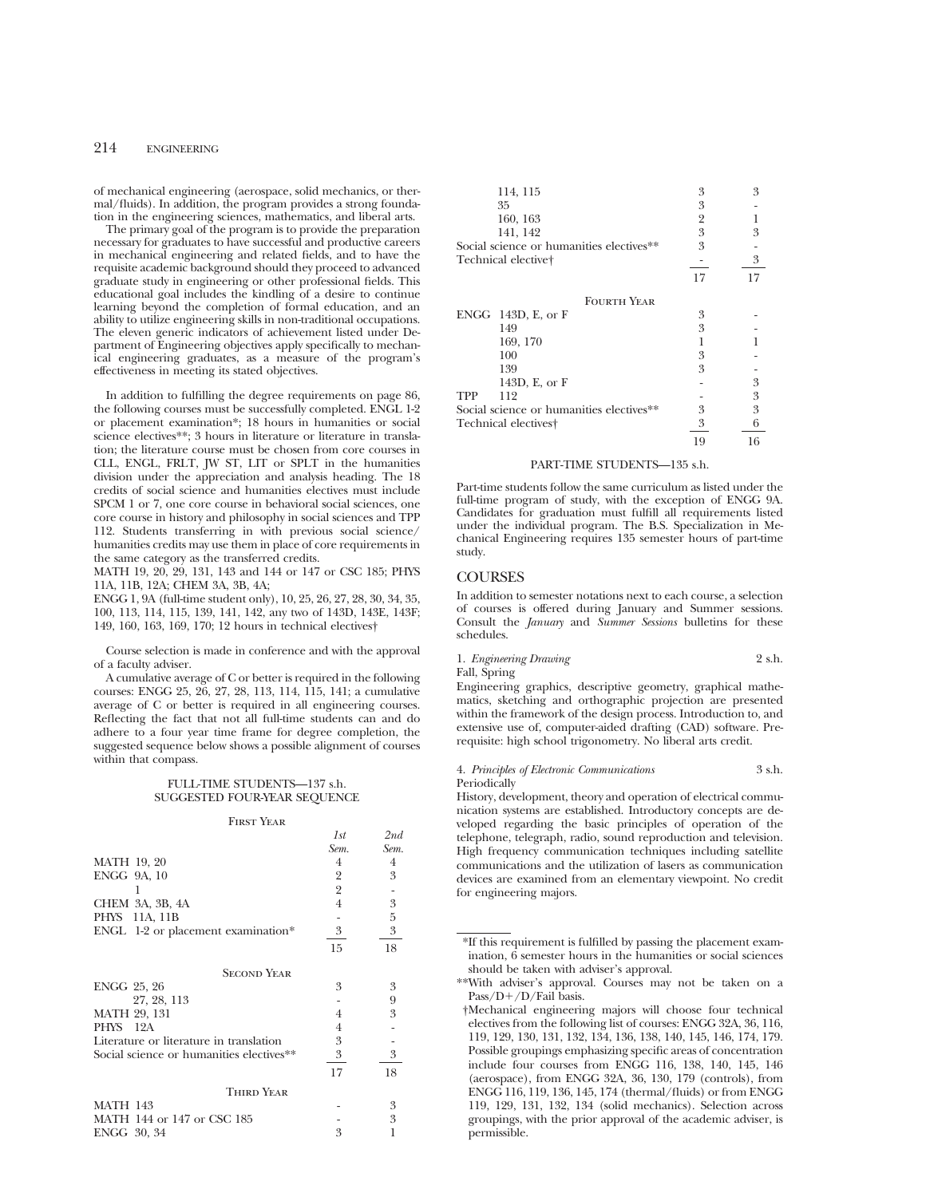of mechanical engineering (aerospace, solid mechanics, or thermal/fluids). In addition, the program provides a strong foundation in the engineering sciences, mathematics, and liberal arts.

The primary goal of the program is to provide the preparation necessary for graduates to have successful and productive careers in mechanical engineering and related fields, and to have the requisite academic background should they proceed to advanced graduate study in engineering or other professional fields. This educational goal includes the kindling of a desire to continue learning beyond the completion of formal education, and an ability to utilize engineering skills in non-traditional occupations. The eleven generic indicators of achievement listed under Department of Engineering objectives apply specifically to mechanical engineering graduates, as a measure of the program's effectiveness in meeting its stated objectives.

In addition to fulfilling the degree requirements on page 86, the following courses must be successfully completed. ENGL 1-2 or placement examination\*; 18 hours in humanities or social science electives\*\*; 3 hours in literature or literature in translation; the literature course must be chosen from core courses in CLL, ENGL, FRLT, JW ST, LIT or SPLT in the humanities division under the appreciation and analysis heading. The 18 credits of social science and humanities electives must include SPCM 1 or 7, one core course in behavioral social sciences, one core course in history and philosophy in social sciences and TPP 112. Students transferring in with previous social science/ humanities credits may use them in place of core requirements in the same category as the transferred credits.

MATH 19, 20, 29, 131, 143 and 144 or 147 or CSC 185; PHYS 11A, 11B, 12A; CHEM 3A, 3B, 4A;

ENGG 1, 9A (full-time student only), 10, 25, 26, 27, 28, 30, 34, 35, 100, 113, 114, 115, 139, 141, 142, any two of 143D, 143E, 143F; 149, 160, 163, 169, 170; 12 hours in technical electives†

Course selection is made in conference and with the approval of a faculty adviser.

A cumulative average of C or better is required in the following courses: ENGG 25, 26, 27, 28, 113, 114, 115, 141; a cumulative average of C or better is required in all engineering courses. Reflecting the fact that not all full-time students can and do adhere to a four year time frame for degree completion, the suggested sequence below shows a possible alignment of courses within that compass.

## FULL-TIME STUDENTS—137 s.h. SUGGESTED FOUR-YEAR SEQUENCE

#### First Year

|                                          | 1st            | 2nd    |
|------------------------------------------|----------------|--------|
|                                          | Sem.           | Sem.   |
| <b>MATH 19, 20</b>                       | 4              | $^{4}$ |
| ENGG 9A, 10                              | 2              | 3      |
|                                          | 2              |        |
| CHEM 3A, 3B, 4A                          | $\overline{4}$ | 3      |
| PHYS 11A, 11B                            |                | 5      |
| ENGL 1-2 or placement examination*       | 3              | 3      |
|                                          | 15             | 18     |
| <b>SECOND YEAR</b>                       |                |        |
| ENGG 25, 26                              | 3              | 3      |
| 27, 28, 113                              |                | 9      |
| <b>MATH 29, 131</b>                      | 4              | 3      |
| PHYS 12A                                 | 4              |        |
| Literature or literature in translation  | 3              |        |
| Social science or humanities electives** | 3              | 3      |
|                                          | 17             | 18     |
| <b>THIRD YEAR</b>                        |                |        |
| <b>MATH 143</b>                          |                | 3      |
| MATH 144 or 147 or CSC 185               |                | 3      |
| ENGG 30, 34                              | 3              |        |

| 114, 115                                 | 3  | 3  |
|------------------------------------------|----|----|
| 35                                       | 3  |    |
| 160, 163                                 | 2  |    |
| 141, 142                                 | 3  | 3  |
| Social science or humanities electives** | 3  |    |
| Technical elective†                      |    | 3  |
|                                          | 17 | 17 |
| <b>FOURTH YEAR</b>                       |    |    |
| ENGG $143D$ , E, or F                    | 3  |    |
| 149                                      | 3  |    |
| 169, 170                                 | 1  |    |
| 100                                      | 3  |    |
| 139                                      | 3  |    |
| 143D, E, or F                            |    | 3  |
| 112<br><b>TPP</b>                        |    | 3  |
| Social science or humanities electives** | 3  | 3  |
| Technical electives <sup>†</sup>         | 3  | 6  |
|                                          | 19 | 16 |

#### PART-TIME STUDENTS—135 s.h.

Part-time students follow the same curriculum as listed under the full-time program of study, with the exception of ENGG 9A. Candidates for graduation must fulfill all requirements listed under the individual program. The B.S. Specialization in Mechanical Engineering requires 135 semester hours of part-time study.

## **COURSES**

In addition to semester notations next to each course, a selection of courses is offered during January and Summer sessions. Consult the *January* and *Summer Sessions* bulletins for these schedules.

| 1. Engineering Drawing | 2 s.h. |
|------------------------|--------|
| Fall, Spring           |        |

Engineering graphics, descriptive geometry, graphical mathematics, sketching and orthographic projection are presented within the framework of the design process. Introduction to, and extensive use of, computer-aided drafting (CAD) software. Prerequisite: high school trigonometry. No liberal arts credit.

#### 4. *Principles of Electronic Communications* 3 s.h. Periodically

History, development, theory and operation of electrical communication systems are established. Introductory concepts are developed regarding the basic principles of operation of the telephone, telegraph, radio, sound reproduction and television. High frequency communication techniques including satellite communications and the utilization of lasers as communication devices are examined from an elementary viewpoint. No credit for engineering majors.

<sup>\*</sup>If this requirement is fulfilled by passing the placement examination, 6 semester hours in the humanities or social sciences should be taken with adviser's approval.

<sup>\*\*</sup>With adviser's approval. Courses may not be taken on a Pass/D+/D/Fail basis.

<sup>†</sup>Mechanical engineering majors will choose four technical electives from the following list of courses: ENGG 32A, 36, 116, 119, 129, 130, 131, 132, 134, 136, 138, 140, 145, 146, 174, 179. Possible groupings emphasizing specific areas of concentration include four courses from ENGG 116, 138, 140, 145, 146 (aerospace), from ENGG 32A, 36, 130, 179 (controls), from ENGG 116, 119, 136, 145, 174 (thermal/fluids) or from ENGG 119, 129, 131, 132, 134 (solid mechanics). Selection across groupings, with the prior approval of the academic adviser, is permissible.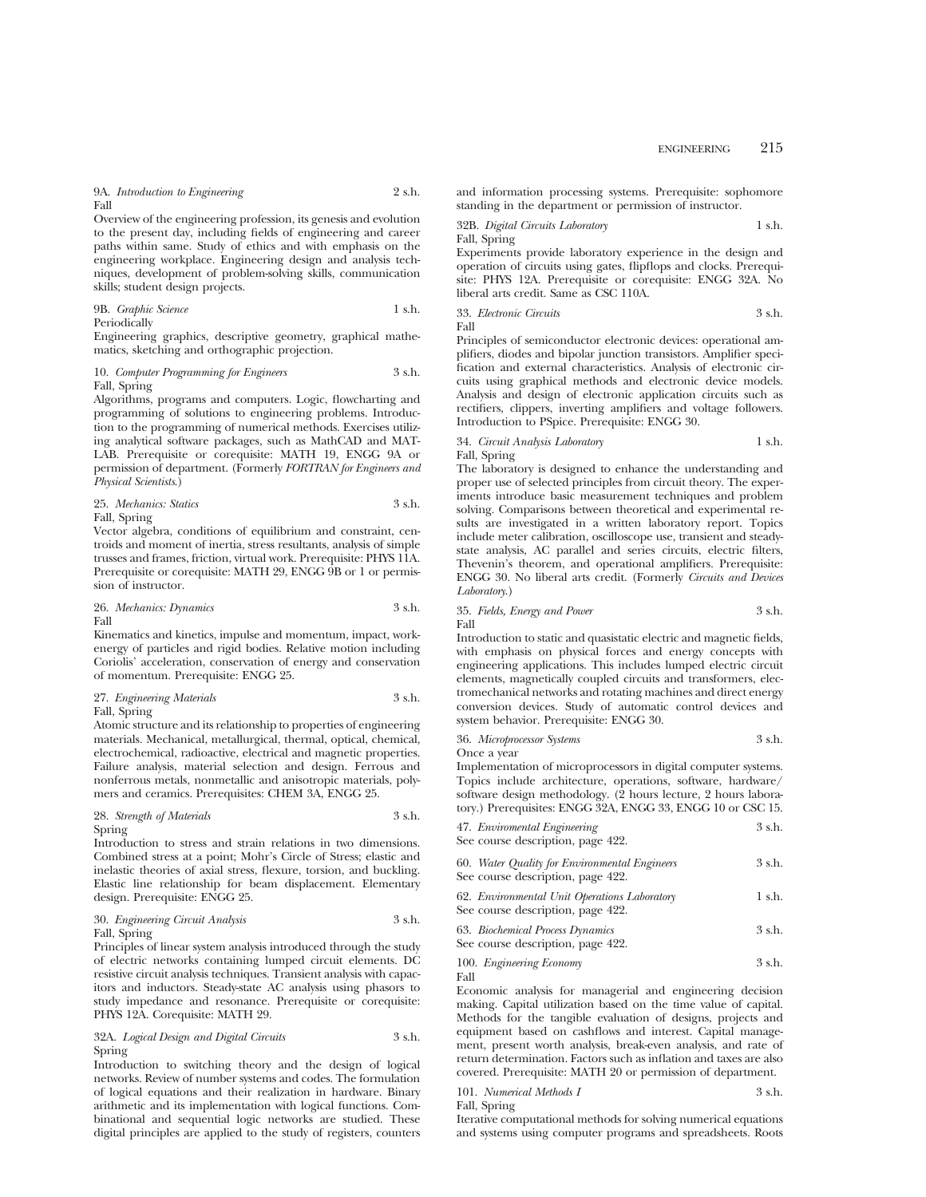9A. *Introduction to Engineering* 2 s.h. Fall

Overview of the engineering profession, its genesis and evolution to the present day, including fields of engineering and career paths within same. Study of ethics and with emphasis on the engineering workplace. Engineering design and analysis techniques, development of problem-solving skills, communication skills; student design projects.

9B. *Graphic Science* 1 s.h. Periodically

Engineering graphics, descriptive geometry, graphical mathematics, sketching and orthographic projection.

#### 10. *Computer Programming for Engineers* 3 s.h. Fall, Spring

Algorithms, programs and computers. Logic, flowcharting and programming of solutions to engineering problems. Introduction to the programming of numerical methods. Exercises utilizing analytical software packages, such as MathCAD and MAT-LAB. Prerequisite or corequisite: MATH 19, ENGG 9A or permission of department. (Formerly *FORTRAN for Engineers and Physical Scientists*.)

25. *Mechanics: Statics* 3 s.h. Fall, Spring

Vector algebra, conditions of equilibrium and constraint, centroids and moment of inertia, stress resultants, analysis of simple trusses and frames, friction, virtual work. Prerequisite: PHYS 11A. Prerequisite or corequisite: MATH 29, ENGG 9B or 1 or permission of instructor.

26. *Mechanics: Dynamics* 3 s.h. Fall

Kinematics and kinetics, impulse and momentum, impact, workenergy of particles and rigid bodies. Relative motion including Coriolis' acceleration, conservation of energy and conservation of momentum. Prerequisite: ENGG 25.

## 27. *Engineering Materials* 3 s.h. Fall, Spring

Atomic structure and its relationship to properties of engineering materials. Mechanical, metallurgical, thermal, optical, chemical, electrochemical, radioactive, electrical and magnetic properties. Failure analysis, material selection and design. Ferrous and nonferrous metals, nonmetallic and anisotropic materials, polymers and ceramics. Prerequisites: CHEM 3A, ENGG 25.

#### 28. *Strength of Materials* 3 s.h. Spring

Introduction to stress and strain relations in two dimensions. Combined stress at a point; Mohr's Circle of Stress; elastic and inelastic theories of axial stress, flexure, torsion, and buckling. Elastic line relationship for beam displacement. Elementary design. Prerequisite: ENGG 25.

#### 30. *Engineering Circuit Analysis* 3 s.h. Fall, Spring

Principles of linear system analysis introduced through the study of electric networks containing lumped circuit elements. DC resistive circuit analysis techniques. Transient analysis with capacitors and inductors. Steady-state AC analysis using phasors to study impedance and resonance. Prerequisite or corequisite: PHYS 12A. Corequisite: MATH 29.

32A. *Logical Design and Digital Circuits* 3 s.h. Spring

Introduction to switching theory and the design of logical networks. Review of number systems and codes. The formulation of logical equations and their realization in hardware. Binary arithmetic and its implementation with logical functions. Combinational and sequential logic networks are studied. These digital principles are applied to the study of registers, counters and information processing systems. Prerequisite: sophomore standing in the department or permission of instructor.

32B. *Digital Circuits Laboratory* 1 s.h. Fall, Spring

Experiments provide laboratory experience in the design and operation of circuits using gates, flipflops and clocks. Prerequisite: PHYS 12A. Prerequisite or corequisite: ENGG 32A. No liberal arts credit. Same as CSC 110A.

33. *Electronic Circuits* 3 s.h. Fall

Principles of semiconductor electronic devices: operational amplifiers, diodes and bipolar junction transistors. Amplifier specification and external characteristics. Analysis of electronic circuits using graphical methods and electronic device models. Analysis and design of electronic application circuits such as rectifiers, clippers, inverting amplifiers and voltage followers. Introduction to PSpice. Prerequisite: ENGG 30.

#### 34. *Circuit Analysis Laboratory* 1 s.h. Fall, Spring

The laboratory is designed to enhance the understanding and proper use of selected principles from circuit theory. The experiments introduce basic measurement techniques and problem solving. Comparisons between theoretical and experimental results are investigated in a written laboratory report. Topics include meter calibration, oscilloscope use, transient and steadystate analysis, AC parallel and series circuits, electric filters, Thevenin's theorem, and operational amplifiers. Prerequisite: ENGG 30. No liberal arts credit. (Formerly *Circuits and Devices Laboratory*.)

#### 35. *Fields, Energy and Power* 3 s.h. Fall

Introduction to static and quasistatic electric and magnetic fields, with emphasis on physical forces and energy concepts with engineering applications. This includes lumped electric circuit elements, magnetically coupled circuits and transformers, electromechanical networks and rotating machines and direct energy conversion devices. Study of automatic control devices and system behavior. Prerequisite: ENGG 30.

| 36. Microprocessor Systems | 3 s.h. |  |
|----------------------------|--------|--|
|                            |        |  |

Once a year

Implementation of microprocessors in digital computer systems. Topics include architecture, operations, software, hardware/ software design methodology. (2 hours lecture, 2 hours laboratory.) Prerequisites: ENGG 32A, ENGG 33, ENGG 10 or CSC 15.

| 47. Enviromental Engineering<br>See course description, page 422.                  | 3 s.h. |
|------------------------------------------------------------------------------------|--------|
| 60. Water Quality for Environmental Engineers<br>See course description, page 422. | 3 s.h. |
| 62. Environmental Unit Operations Laboratory<br>See course description, page 422.  | 1 s.h. |

| 63. Biochemical Process Dynamics  | 3 s.h. |
|-----------------------------------|--------|
| See course description, page 422. |        |

100. *Engineering Economy* 3 s.h. Fall

Economic analysis for managerial and engineering decision making. Capital utilization based on the time value of capital. Methods for the tangible evaluation of designs, projects and equipment based on cashflows and interest. Capital management, present worth analysis, break-even analysis, and rate of return determination. Factors such as inflation and taxes are also covered. Prerequisite: MATH 20 or permission of department.

|       | 101. Numerical Methods I | 3 s.h. |
|-------|--------------------------|--------|
| $-11$ |                          |        |

Fall, Spring

Iterative computational methods for solving numerical equations and systems using computer programs and spreadsheets. Roots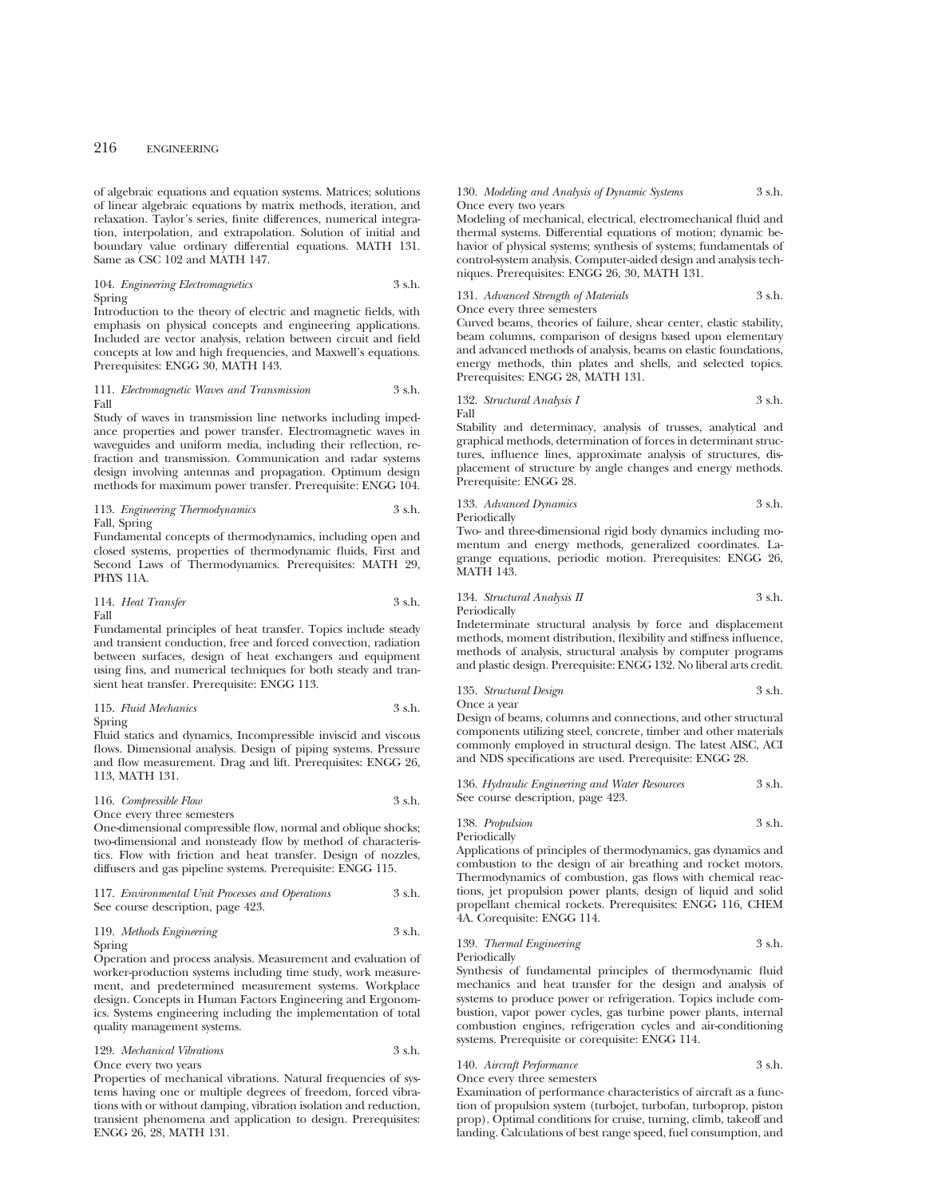of algebraic equations and equation systems. Matrices; solutions of linear algebraic equations by matrix methods, iteration, and relaxation. Taylor's series, finite differences, numerical integration, interpolation, and extrapolation. Solution of initial and boundary value ordinary differential equations. MATH 131. Same as CSC 102 and MATH 147.

#### 104. *Engineering Electromagnetics* 3 s.h. Spring

Introduction to the theory of electric and magnetic fields, with emphasis on physical concepts and engineering applications. Included are vector analysis, relation between circuit and field concepts at low and high frequencies, and Maxwell's equations. Prerequisites: ENGG 30, MATH 143.

#### 111. *Electromagnetic Waves and Transmission* 3 s.h. Fall

Study of waves in transmission line networks including impedance properties and power transfer. Electromagnetic waves in waveguides and uniform media, including their reflection, refraction and transmission. Communication and radar systems design involving antennas and propagation. Optimum design methods for maximum power transfer. Prerequisite: ENGG 104.

113. *Engineering Thermodynamics* 3 s.h. Fall, Spring

Fundamental concepts of thermodynamics, including open and closed systems, properties of thermodynamic fluids, First and Second Laws of Thermodynamics. Prerequisites: MATH 29, PHYS 11A.

114. *Heat Transfer* 3 s.h. Fall

Fundamental principles of heat transfer. Topics include steady and transient conduction, free and forced convection, radiation between surfaces, design of heat exchangers and equipment using fins, and numerical techniques for both steady and transient heat transfer. Prerequisite: ENGG 113.

115. *Fluid Mechanics* 3 s.h. Spring

Fluid statics and dynamics, Incompressible inviscid and viscous flows. Dimensional analysis. Design of piping systems. Pressure and flow measurement. Drag and lift. Prerequisites: ENGG 26, 113, MATH 131.

## 116. *Compressible Flow* 3 s.h.

Once every three semesters One-dimensional compressible flow, normal and oblique shocks; two-dimensional and nonsteady flow by method of characteristics. Flow with friction and heat transfer. Design of nozzles, diffusers and gas pipeline systems. Prerequisite: ENGG 115.

## 117. *Environmental Unit Processes and Operations* 3 s.h. See course description, page 423.

#### 119. *Methods Engineering* 3 s.h. Spring

Operation and process analysis. Measurement and evaluation of worker-production systems including time study, work measurement, and predetermined measurement systems. Workplace design. Concepts in Human Factors Engineering and Ergonomics. Systems engineering including the implementation of total quality management systems.

129. *Mechanical Vibrations* 3 s.h. Once every two years

Properties of mechanical vibrations. Natural frequencies of systems having one or multiple degrees of freedom, forced vibrations with or without damping, vibration isolation and reduction, transient phenomena and application to design. Prerequisites: ENGG 26, 28, MATH 131.

#### 130. *Modeling and Analysis of Dynamic Systems* 3 s.h. Once every two years

Modeling of mechanical, electrical, electromechanical fluid and thermal systems. Differential equations of motion; dynamic behavior of physical systems; synthesis of systems; fundamentals of control-system analysis. Computer-aided design and analysis techniques. Prerequisites: ENGG 26, 30, MATH 131.

#### 131. *Advanced Strength of Materials* 3 s.h. Once every three semesters

Curved beams, theories of failure, shear center, elastic stability, beam columns, comparison of designs based upon elementary and advanced methods of analysis, beams on elastic foundations, energy methods, thin plates and shells, and selected topics. Prerequisites: ENGG 28, MATH 131.

132. *Structural Analysis I* 3 s.h. Fall

Stability and determinacy, analysis of trusses, analytical and graphical methods, determination of forces in determinant structures, influence lines, approximate analysis of structures, displacement of structure by angle changes and energy methods. Prerequisite: ENGG 28.

133. *Advanced Dynamics* 3 s.h. Periodically

Two- and three-dimensional rigid body dynamics including momentum and energy methods, generalized coordinates. Lagrange equations, periodic motion. Prerequisites: ENGG 26, MATH 143.

134. *Structural Analysis II* 3 s.h. Periodically

Indeterminate structural analysis by force and displacement methods, moment distribution, flexibility and stiffness influence, methods of analysis, structural analysis by computer programs and plastic design. Prerequisite: ENGG 132. No liberal arts credit.

135. *Structural Design* 3 s.h. Once a year

Design of beams, columns and connections, and other structural components utilizing steel, concrete, timber and other materials commonly employed in structural design. The latest AISC, ACI and NDS specifications are used. Prerequisite: ENGG 28.

| 136. Hydraulic Engineering and Water Resources | 3 s.h. |
|------------------------------------------------|--------|
| See course description, page 423.              |        |

138. *Propulsion* 3 s.h.

Applications of principles of thermodynamics, gas dynamics and combustion to the design of air breathing and rocket motors. Thermodynamics of combustion, gas flows with chemical reactions, jet propulsion power plants, design of liquid and solid propellant chemical rockets. Prerequisites: ENGG 116, CHEM 4A. Corequisite: ENGG 114.

139. *Thermal Engineering* 3 s.h. Periodically

Synthesis of fundamental principles of thermodynamic fluid mechanics and heat transfer for the design and analysis of systems to produce power or refrigeration. Topics include combustion, vapor power cycles, gas turbine power plants, internal combustion engines, refrigeration cycles and air-conditioning systems. Prerequisite or corequisite: ENGG 114.

## 140. *Aircraft Performance* 3 s.h.

Periodically

Once every three semesters

Examination of performance characteristics of aircraft as a function of propulsion system (turbojet, turbofan, turboprop, piston prop). Optimal conditions for cruise, turning, climb, takeoff and landing. Calculations of best range speed, fuel consumption, and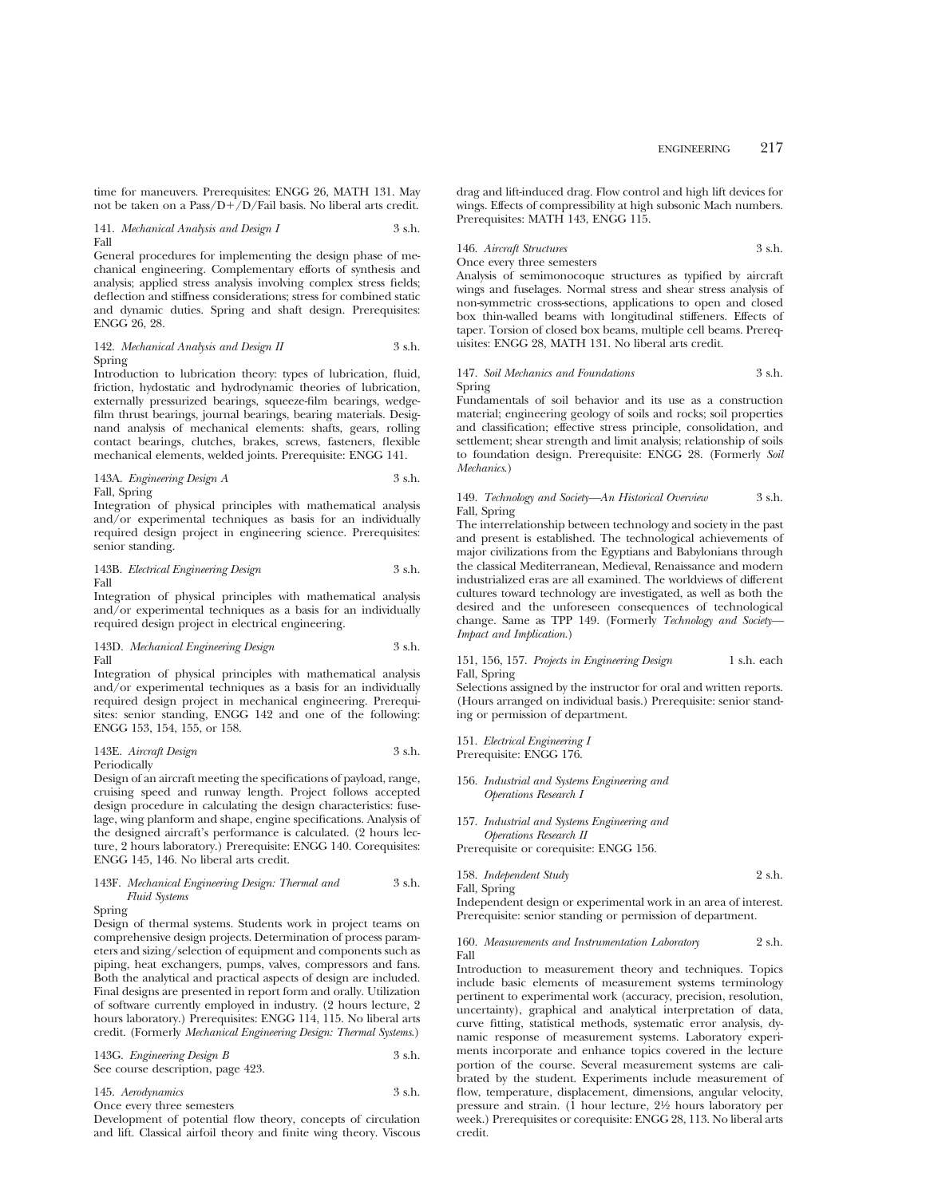time for maneuvers. Prerequisites: ENGG 26, MATH 131. May not be taken on a Pass/ $D+/D$ /Fail basis. No liberal arts credit.

#### 141. *Mechanical Analysis and Design I* 3 s.h. Fall

General procedures for implementing the design phase of mechanical engineering. Complementary efforts of synthesis and analysis; applied stress analysis involving complex stress fields; deflection and stiffness considerations; stress for combined static and dynamic duties. Spring and shaft design. Prerequisites: ENGG 26, 28.

142. *Mechanical Analysis and Design II* 3 s.h. Spring

Introduction to lubrication theory: types of lubrication, fluid, friction, hydostatic and hydrodynamic theories of lubrication, externally pressurized bearings, squeeze-film bearings, wedgefilm thrust bearings, journal bearings, bearing materials. Designand analysis of mechanical elements: shafts, gears, rolling contact bearings, clutches, brakes, screws, fasteners, flexible mechanical elements, welded joints. Prerequisite: ENGG 141.

143A. *Engineering Design A* 3 s.h. Fall, Spring

Integration of physical principles with mathematical analysis and/or experimental techniques as basis for an individually required design project in engineering science. Prerequisites: senior standing.

143B. *Electrical Engineering Design* 3 s.h. Fall

Integration of physical principles with mathematical analysis and/or experimental techniques as a basis for an individually required design project in electrical engineering.

### 143D. *Mechanical Engineering Design* 3 s.h. Fall

Integration of physical principles with mathematical analysis and/or experimental techniques as a basis for an individually required design project in mechanical engineering. Prerequisites: senior standing, ENGG 142 and one of the following: ENGG 153, 154, 155, or 158.

#### 143E. *Aircraft Design* 3 s.h. Periodically

Design of an aircraft meeting the specifications of payload, range, cruising speed and runway length. Project follows accepted design procedure in calculating the design characteristics: fuselage, wing planform and shape, engine specifications. Analysis of the designed aircraft's performance is calculated. (2 hours lecture, 2 hours laboratory.) Prerequisite: ENGG 140. Corequisites: ENGG 145, 146. No liberal arts credit.

## 143F. *Mechanical Engineering Design: Thermal and* 3 s.h. *Fluid Systems*

## Spring

Design of thermal systems. Students work in project teams on comprehensive design projects. Determination of process parameters and sizing/selection of equipment and components such as piping, heat exchangers, pumps, valves, compressors and fans. Both the analytical and practical aspects of design are included. Final designs are presented in report form and orally. Utilization of software currently employed in industry. (2 hours lecture, 2 hours laboratory.) Prerequisites: ENGG 114, 115. No liberal arts credit. (Formerly *Mechanical Engineering Design: Thermal Systems*.)

143G. *Engineering Design B* 3 s.h. See course description, page 423.

145. *Aerodynamics* 3 s.h. Once every three semesters

Development of potential flow theory, concepts of circulation and lift. Classical airfoil theory and finite wing theory. Viscous drag and lift-induced drag. Flow control and high lift devices for wings. Effects of compressibility at high subsonic Mach numbers. Prerequisites: MATH 143, ENGG 115.

146. *Aircraft Structures* 3 s.h.

## Once every three semesters

Analysis of semimonocoque structures as typified by aircraft wings and fuselages. Normal stress and shear stress analysis of non-symmetric cross-sections, applications to open and closed box thin-walled beams with longitudinal stiffeners. Effects of taper. Torsion of closed box beams, multiple cell beams. Prerequisites: ENGG 28, MATH 131. No liberal arts credit.

## 147. *Soil Mechanics and Foundations* 3 s.h. Spring

Fundamentals of soil behavior and its use as a construction material; engineering geology of soils and rocks; soil properties and classification; effective stress principle, consolidation, and settlement; shear strength and limit analysis; relationship of soils to foundation design. Prerequisite: ENGG 28. (Formerly *Soil Mechanics*.)

149. *Technology and Society—An Historical Overview* 3 s.h. Fall, Spring

The interrelationship between technology and society in the past and present is established. The technological achievements of major civilizations from the Egyptians and Babylonians through the classical Mediterranean, Medieval, Renaissance and modern industrialized eras are all examined. The worldviews of different cultures toward technology are investigated, as well as both the desired and the unforeseen consequences of technological change. Same as TPP 149. (Formerly *Technology and Society— Impact and Implication*.)

151, 156, 157. *Projects in Engineering Design* 1 s.h. each Fall, Spring

Selections assigned by the instructor for oral and written reports. (Hours arranged on individual basis.) Prerequisite: senior standing or permission of department.

151. *Electrical Engineering I* Prerequisite: ENGG 176.

## 156. *Industrial and Systems Engineering and Operations Research I*

157. *Industrial and Systems Engineering and Operations Research II*

Prerequisite or corequisite: ENGG 156.

$$
158. \ Independent Study
$$
 
$$
2 \ \mathrm{s.h.}
$$
 Fall, Spring

Independent design or experimental work in an area of interest. Prerequisite: senior standing or permission of department.

#### 160. *Measurements and Instrumentation Laboratory* 2 s.h. Fall

Introduction to measurement theory and techniques. Topics include basic elements of measurement systems terminology pertinent to experimental work (accuracy, precision, resolution, uncertainty), graphical and analytical interpretation of data, curve fitting, statistical methods, systematic error analysis, dynamic response of measurement systems. Laboratory experiments incorporate and enhance topics covered in the lecture portion of the course. Several measurement systems are calibrated by the student. Experiments include measurement of flow, temperature, displacement, dimensions, angular velocity, pressure and strain. (1 hour lecture, 21⁄2 hours laboratory per week.) Prerequisites or corequisite: ENGG 28, 113. No liberal arts credit.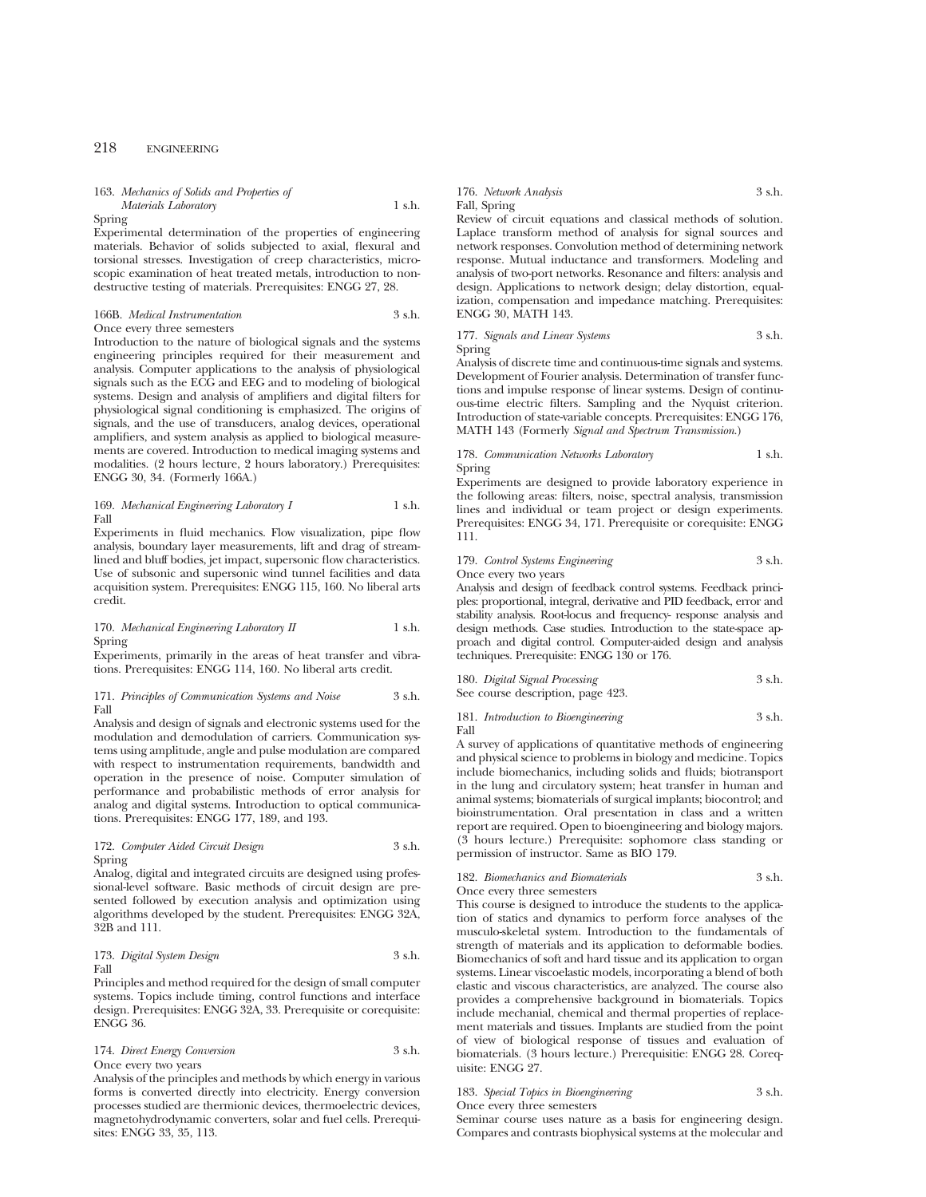## 163. *Mechanics of Solids and Properties of Materials Laboratory* 1 s.h.

Spring

Experimental determination of the properties of engineering materials. Behavior of solids subjected to axial, flexural and torsional stresses. Investigation of creep characteristics, microscopic examination of heat treated metals, introduction to nondestructive testing of materials. Prerequisites: ENGG 27, 28.

#### 166B. *Medical Instrumentation* 3 s.h. Once every three semesters

Introduction to the nature of biological signals and the systems engineering principles required for their measurement and analysis. Computer applications to the analysis of physiological signals such as the ECG and EEG and to modeling of biological systems. Design and analysis of amplifiers and digital filters for physiological signal conditioning is emphasized. The origins of signals, and the use of transducers, analog devices, operational amplifiers, and system analysis as applied to biological measurements are covered. Introduction to medical imaging systems and modalities. (2 hours lecture, 2 hours laboratory.) Prerequisites: ENGG 30, 34. (Formerly 166A.)

#### 169. *Mechanical Engineering Laboratory I* 1 s.h. Fall

Experiments in fluid mechanics. Flow visualization, pipe flow analysis, boundary layer measurements, lift and drag of streamlined and bluff bodies, jet impact, supersonic flow characteristics. Use of subsonic and supersonic wind tunnel facilities and data acquisition system. Prerequisites: ENGG 115, 160. No liberal arts credit.

## 170. *Mechanical Engineering Laboratory II* 1 s.h. Spring

Experiments, primarily in the areas of heat transfer and vibrations. Prerequisites: ENGG 114, 160. No liberal arts credit.

#### 171. *Principles of Communication Systems and Noise* 3 s.h. Fall

Analysis and design of signals and electronic systems used for the modulation and demodulation of carriers. Communication systems using amplitude, angle and pulse modulation are compared with respect to instrumentation requirements, bandwidth and operation in the presence of noise. Computer simulation of performance and probabilistic methods of error analysis for analog and digital systems. Introduction to optical communications. Prerequisites: ENGG 177, 189, and 193.

## 172. *Computer Aided Circuit Design* 3 s.h. Spring

Analog, digital and integrated circuits are designed using professional-level software. Basic methods of circuit design are presented followed by execution analysis and optimization using algorithms developed by the student. Prerequisites: ENGG 32A, 32B and 111.

## 173. *Digital System Design* 3 s.h. Fall

Principles and method required for the design of small computer systems. Topics include timing, control functions and interface design. Prerequisites: ENGG 32A, 33. Prerequisite or corequisite: ENGG 36.

#### 174. *Direct Energy Conversion* 3 s.h. Once every two years

Analysis of the principles and methods by which energy in various forms is converted directly into electricity. Energy conversion processes studied are thermionic devices, thermoelectric devices, magnetohydrodynamic converters, solar and fuel cells. Prerequisites: ENGG 33, 35, 113.

## 176. *Network Analysis* 3 s.h. Fall, Spring

Review of circuit equations and classical methods of solution. Laplace transform method of analysis for signal sources and network responses. Convolution method of determining network response. Mutual inductance and transformers. Modeling and analysis of two-port networks. Resonance and filters: analysis and design. Applications to network design; delay distortion, equalization, compensation and impedance matching. Prerequisites: ENGG 30, MATH 143.

177. *Signals and Linear Systems* 3 s.h. Spring

Analysis of discrete time and continuous-time signals and systems. Development of Fourier analysis. Determination of transfer functions and impulse response of linear systems. Design of continuous-time electric filters. Sampling and the Nyquist criterion. Introduction of state-variable concepts. Prerequisites: ENGG 176, MATH 143 (Formerly *Signal and Spectrum Transmission*.)

#### 178. *Communication Networks Laboratory* 1 s.h. Spring

Experiments are designed to provide laboratory experience in the following areas: filters, noise, spectral analysis, transmission lines and individual or team project or design experiments. Prerequisites: ENGG 34, 171. Prerequisite or corequisite: ENGG 111.

## 179. *Control Systems Engineering* 3 s.h.

Once every two years

Analysis and design of feedback control systems. Feedback principles: proportional, integral, derivative and PID feedback, error and stability analysis. Root-locus and frequency- response analysis and design methods. Case studies. Introduction to the state-space approach and digital control. Computer-aided design and analysis techniques. Prerequisite: ENGG 130 or 176.

180. *Digital Signal Processing* 3 s.h. See course description, page 423.

181. *Introduction to Bioengineering* 3 s.h. Fall

A survey of applications of quantitative methods of engineering and physical science to problems in biology and medicine. Topics include biomechanics, including solids and fluids; biotransport in the lung and circulatory system; heat transfer in human and animal systems; biomaterials of surgical implants; biocontrol; and bioinstrumentation. Oral presentation in class and a written report are required. Open to bioengineering and biology majors. (3 hours lecture.) Prerequisite: sophomore class standing or permission of instructor. Same as BIO 179.

#### 182. *Biomechanics and Biomaterials* 3 s.h. Once every three semesters

This course is designed to introduce the students to the application of statics and dynamics to perform force analyses of the musculo-skeletal system. Introduction to the fundamentals of strength of materials and its application to deformable bodies. Biomechanics of soft and hard tissue and its application to organ systems. Linear viscoelastic models, incorporating a blend of both elastic and viscous characteristics, are analyzed. The course also provides a comprehensive background in biomaterials. Topics include mechanial, chemical and thermal properties of replacement materials and tissues. Implants are studied from the point of view of biological response of tissues and evaluation of biomaterials. (3 hours lecture.) Prerequisitie: ENGG 28. Corequisite: ENGG 27.

## 183. *Special Topics in Bioengineering* 3 s.h.

Once every three semesters

Seminar course uses nature as a basis for engineering design. Compares and contrasts biophysical systems at the molecular and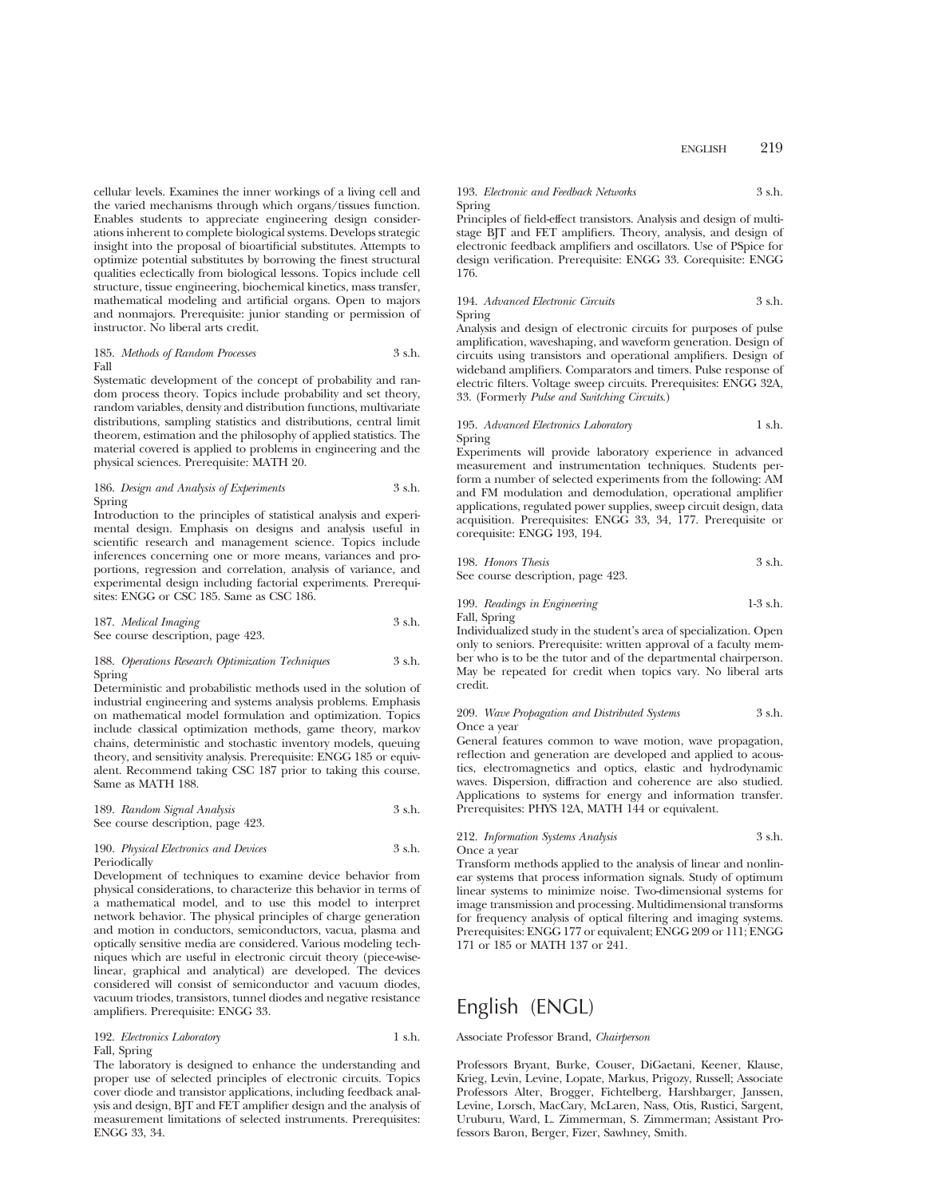cellular levels. Examines the inner workings of a living cell and the varied mechanisms through which organs/tissues function. Enables students to appreciate engineering design considerations inherent to complete biological systems. Develops strategic insight into the proposal of bioartificial substitutes. Attempts to optimize potential substitutes by borrowing the finest structural qualities eclectically from biological lessons. Topics include cell structure, tissue engineering, biochemical kinetics, mass transfer, mathematical modeling and artificial organs. Open to majors and nonmajors. Prerequisite: junior standing or permission of instructor. No liberal arts credit.

185. *Methods of Random Processes* 3 s.h. Fall

Systematic development of the concept of probability and random process theory. Topics include probability and set theory, random variables, density and distribution functions, multivariate distributions, sampling statistics and distributions, central limit theorem, estimation and the philosophy of applied statistics. The material covered is applied to problems in engineering and the physical sciences. Prerequisite: MATH 20.

## 186. *Design and Analysis of Experiments* 3 s.h. Spring

Introduction to the principles of statistical analysis and experimental design. Emphasis on designs and analysis useful in scientific research and management science. Topics include inferences concerning one or more means, variances and proportions, regression and correlation, analysis of variance, and experimental design including factorial experiments. Prerequisites: ENGG or CSC 185. Same as CSC 186.

187. *Medical Imaging* 3 s.h. See course description, page 423.

#### 188. *Operations Research Optimization Techniques* 3 s.h. Spring

Deterministic and probabilistic methods used in the solution of industrial engineering and systems analysis problems. Emphasis on mathematical model formulation and optimization. Topics include classical optimization methods, game theory, markov chains, deterministic and stochastic inventory models, queuing theory, and sensitivity analysis. Prerequisite: ENGG 185 or equivalent. Recommend taking CSC 187 prior to taking this course. Same as MATH 188.

189. *Random Signal Analysis* 3 s.h. See course description, page 423.

#### 190. *Physical Electronics and Devices* 3 s.h. Periodically

Development of techniques to examine device behavior from physical considerations, to characterize this behavior in terms of a mathematical model, and to use this model to interpret network behavior. The physical principles of charge generation and motion in conductors, semiconductors, vacua, plasma and optically sensitive media are considered. Various modeling techniques which are useful in electronic circuit theory (piece-wiselinear, graphical and analytical) are developed. The devices considered will consist of semiconductor and vacuum diodes, vacuum triodes, transistors, tunnel diodes and negative resistance amplifiers. Prerequisite: ENGG 33.

## 192. *Electronics Laboratory* 1 s.h. Fall, Spring

The laboratory is designed to enhance the understanding and proper use of selected principles of electronic circuits. Topics cover diode and transistor applications, including feedback analysis and design, BJT and FET amplifier design and the analysis of measurement limitations of selected instruments. Prerequisites: ENGG 33, 34.

## 193. *Electronic and Feedback Networks* 3 s.h. Spring

Principles of field-effect transistors. Analysis and design of multistage BJT and FET amplifiers. Theory, analysis, and design of electronic feedback amplifiers and oscillators. Use of PSpice for design verification. Prerequisite: ENGG 33. Corequisite: ENGG 176.

### 194. *Advanced Electronic Circuits* 3 s.h. Spring

Analysis and design of electronic circuits for purposes of pulse amplification, waveshaping, and waveform generation. Design of circuits using transistors and operational amplifiers. Design of wideband amplifiers. Comparators and timers. Pulse response of electric filters. Voltage sweep circuits. Prerequisites: ENGG 32A, 33. (Formerly *Pulse and Switching Circuits*.)

#### 195. *Advanced Electronics Laboratory* 1 s.h. Spring

Experiments will provide laboratory experience in advanced measurement and instrumentation techniques. Students perform a number of selected experiments from the following: AM and FM modulation and demodulation, operational amplifier applications, regulated power supplies, sweep circuit design, data acquisition. Prerequisites: ENGG 33, 34, 177. Prerequisite or corequisite: ENGG 193, 194.

| 198. Honors Thesis                | 3 s.h. |
|-----------------------------------|--------|
| See course description, page 423. |        |

## 199. *Readings in Engineering* 1-3 s.h. Fall, Spring

Individualized study in the student's area of specialization. Open only to seniors. Prerequisite: written approval of a faculty member who is to be the tutor and of the departmental chairperson. May be repeated for credit when topics vary. No liberal arts credit.

#### 209. *Wave Propagation and Distributed Systems* 3 s.h. Once a year

General features common to wave motion, wave propagation, reflection and generation are developed and applied to acoustics, electromagnetics and optics, elastic and hydrodynamic waves. Dispersion, diffraction and coherence are also studied. Applications to systems for energy and information transfer. Prerequisites: PHYS 12A, MATH 144 or equivalent.

#### 212. *Information Systems Analysis* 3 s.h. Once a year

Transform methods applied to the analysis of linear and nonlinear systems that process information signals. Study of optimum linear systems to minimize noise. Two-dimensional systems for image transmission and processing. Multidimensional transforms

for frequency analysis of optical filtering and imaging systems. Prerequisites: ENGG 177 or equivalent; ENGG 209 or 111; ENGG 171 or 185 or MATH 137 or 241.

# English (ENGL)

#### Associate Professor Brand, *Chairperson*

Professors Bryant, Burke, Couser, DiGaetani, Keener, Klause, Krieg, Levin, Levine, Lopate, Markus, Prigozy, Russell; Associate Professors Alter, Brogger, Fichtelberg, Harshbarger, Janssen, Levine, Lorsch, MacCary, McLaren, Nass, Otis, Rustici, Sargent, Uruburu, Ward, L. Zimmerman, S. Zimmerman; Assistant Professors Baron, Berger, Fizer, Sawhney, Smith.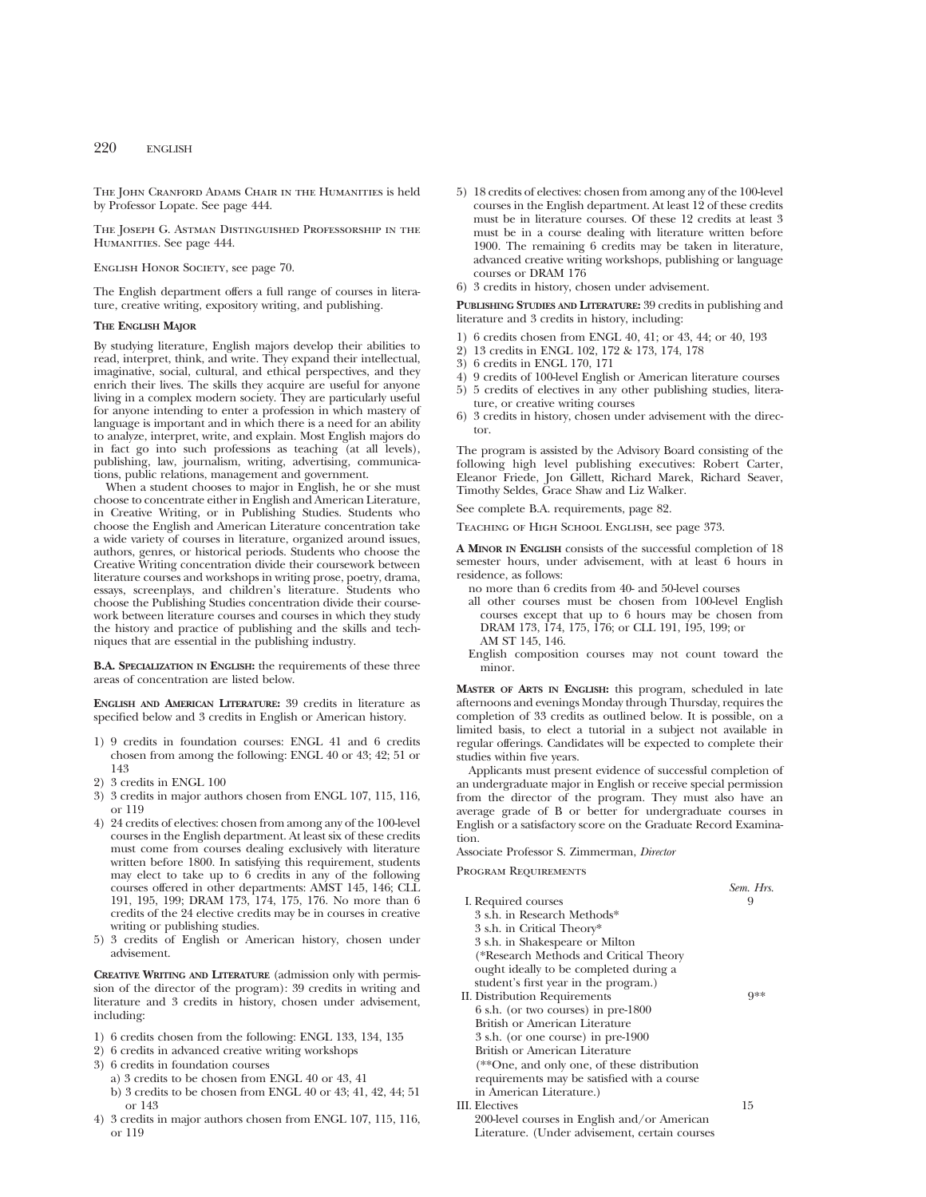THE JOHN CRANFORD ADAMS CHAIR IN THE HUMANITIES is held by Professor Lopate. See page 444.

The Joseph G. Astman Distinguished Professorship in the HUMANITIES. See page 444.

English Honor Society, see page 70.

The English department offers a full range of courses in literature, creative writing, expository writing, and publishing.

## **THE ENGLISH MAJOR**

By studying literature, English majors develop their abilities to read, interpret, think, and write. They expand their intellectual, imaginative, social, cultural, and ethical perspectives, and they enrich their lives. The skills they acquire are useful for anyone living in a complex modern society. They are particularly useful for anyone intending to enter a profession in which mastery of language is important and in which there is a need for an ability to analyze, interpret, write, and explain. Most English majors do in fact go into such professions as teaching (at all levels), publishing, law, journalism, writing, advertising, communications, public relations, management and government.

When a student chooses to major in English, he or she must choose to concentrate either in English and American Literature, in Creative Writing, or in Publishing Studies. Students who choose the English and American Literature concentration take a wide variety of courses in literature, organized around issues, authors, genres, or historical periods. Students who choose the Creative Writing concentration divide their coursework between literature courses and workshops in writing prose, poetry, drama, essays, screenplays, and children's literature. Students who choose the Publishing Studies concentration divide their coursework between literature courses and courses in which they study the history and practice of publishing and the skills and techniques that are essential in the publishing industry.

**B.A. SPECIALIZATION IN ENGLISH:** the requirements of these three areas of concentration are listed below.

**ENGLISH AND AMERICAN LITERATURE:** 39 credits in literature as specified below and 3 credits in English or American history.

- 1) 9 credits in foundation courses: ENGL 41 and 6 credits chosen from among the following: ENGL 40 or 43; 42; 51 or 143
- 2) 3 credits in ENGL 100
- 3) 3 credits in major authors chosen from ENGL 107, 115, 116, or 119
- 4) 24 credits of electives: chosen from among any of the 100-level courses in the English department. At least six of these credits must come from courses dealing exclusively with literature written before 1800. In satisfying this requirement, students may elect to take up to 6 credits in any of the following courses offered in other departments: AMST 145, 146; CLL 191, 195, 199; DRAM 173, 174, 175, 176. No more than 6 credits of the 24 elective credits may be in courses in creative writing or publishing studies.
- 5) 3 credits of English or American history, chosen under advisement.

**CREATIVE WRITING AND LITERATURE** (admission only with permission of the director of the program): 39 credits in writing and literature and 3 credits in history, chosen under advisement, including:

- 1) 6 credits chosen from the following: ENGL 133, 134, 135
- 2) 6 credits in advanced creative writing workshops
- 3) 6 credits in foundation courses
	- a) 3 credits to be chosen from ENGL 40 or 43, 41
	- b) 3 credits to be chosen from ENGL 40 or 43; 41, 42, 44; 51 or 143
- 4) 3 credits in major authors chosen from ENGL 107, 115, 116, or 119
- 5) 18 credits of electives: chosen from among any of the 100-level courses in the English department. At least 12 of these credits must be in literature courses. Of these 12 credits at least 3 must be in a course dealing with literature written before 1900. The remaining 6 credits may be taken in literature, advanced creative writing workshops, publishing or language courses or DRAM 176
- 6) 3 credits in history, chosen under advisement.

**PUBLISHING STUDIES AND LITERATURE:** 39 credits in publishing and literature and 3 credits in history, including:

- 1) 6 credits chosen from ENGL 40, 41; or 43, 44; or 40, 193
- 2) 13 credits in ENGL 102, 172 & 173, 174, 178
- 3) 6 credits in ENGL 170, 171
- 4) 9 credits of 100-level English or American literature courses 5) 5 credits of electives in any other publishing studies, literature, or creative writing courses
- 6) 3 credits in history, chosen under advisement with the director.

The program is assisted by the Advisory Board consisting of the following high level publishing executives: Robert Carter, Eleanor Friede, Jon Gillett, Richard Marek, Richard Seaver, Timothy Seldes, Grace Shaw and Liz Walker.

See complete B.A. requirements, page 82.

Teaching of High School English, see page 373.

**A MINOR IN ENGLISH** consists of the successful completion of 18 semester hours, under advisement, with at least 6 hours in residence, as follows:

- no more than 6 credits from 40- and 50-level courses
- all other courses must be chosen from 100-level English courses except that up to 6 hours may be chosen from DRAM 173, 174, 175, 176; or CLL 191, 195, 199; or AM ST 145, 146.
- English composition courses may not count toward the minor.

**MASTER OF ARTS IN ENGLISH:** this program, scheduled in late afternoons and evenings Monday through Thursday, requires the completion of 33 credits as outlined below. It is possible, on a limited basis, to elect a tutorial in a subject not available in regular offerings. Candidates will be expected to complete their studies within five years.

Applicants must present evidence of successful completion of an undergraduate major in English or receive special permission from the director of the program. They must also have an average grade of B or better for undergraduate courses in English or a satisfactory score on the Graduate Record Examination.

Associate Professor S. Zimmerman, *Director*

Program Requirements

|                                                | Sem. Hrs. |
|------------------------------------------------|-----------|
| I. Required courses                            |           |
| 3 s.h. in Research Methods*                    |           |
| 3 s.h. in Critical Theory*                     |           |
| 3 s.h. in Shakespeare or Milton                |           |
| (*Research Methods and Critical Theory         |           |
| ought ideally to be completed during a         |           |
| student's first year in the program.)          |           |
| II. Distribution Requirements                  | Q∗∗       |
| 6 s.h. (or two courses) in pre-1800            |           |
| British or American Literature                 |           |
| 3 s.h. (or one course) in pre-1900             |           |
| British or American Literature                 |           |
| (**One, and only one, of these distribution    |           |
| requirements may be satisfied with a course    |           |
| in American Literature.)                       |           |
| III. Electives                                 | 15        |
| 200-level courses in English and/or American   |           |
| Literature. (Under advisement, certain courses |           |
|                                                |           |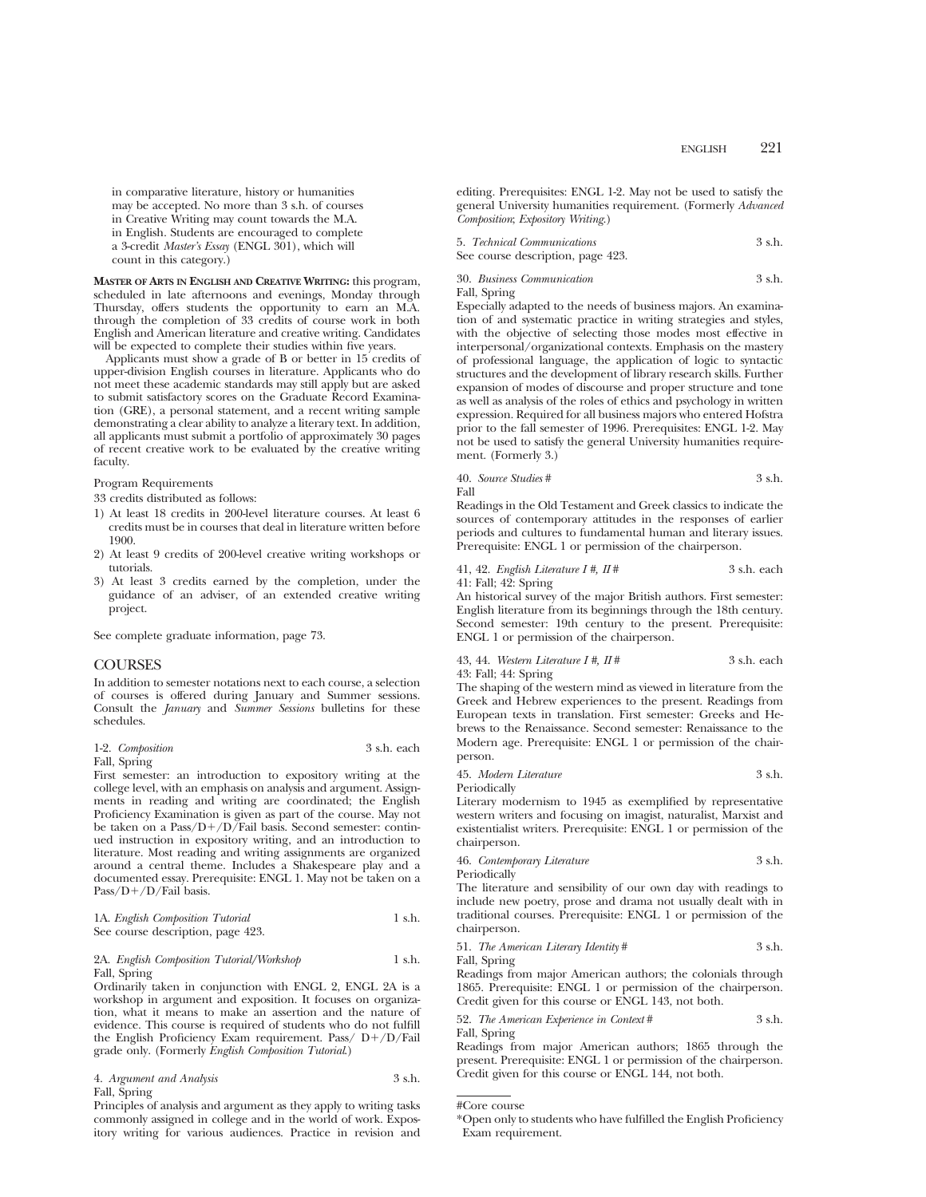in comparative literature, history or humanities may be accepted. No more than 3 s.h. of courses in Creative Writing may count towards the M.A. in English. Students are encouraged to complete a 3-credit *Master's Essay* (ENGL 301), which will count in this category.)

**MASTER OF ARTS IN ENGLISH AND CREATIVE WRITING:** this program, scheduled in late afternoons and evenings, Monday through Thursday, offers students the opportunity to earn an M.A. through the completion of 33 credits of course work in both English and American literature and creative writing. Candidates will be expected to complete their studies within five years.

Applicants must show a grade of B or better in 15 credits of upper-division English courses in literature. Applicants who do not meet these academic standards may still apply but are asked to submit satisfactory scores on the Graduate Record Examination (GRE), a personal statement, and a recent writing sample demonstrating a clear ability to analyze a literary text. In addition, all applicants must submit a portfolio of approximately 30 pages of recent creative work to be evaluated by the creative writing faculty.

Program Requirements

33 credits distributed as follows:

- 1) At least 18 credits in 200-level literature courses. At least 6 credits must be in courses that deal in literature written before 1900.
- 2) At least 9 credits of 200-level creative writing workshops or tutorials.
- 3) At least 3 credits earned by the completion, under the guidance of an adviser, of an extended creative writing project.

See complete graduate information, page 73.

## COURSES

In addition to semester notations next to each course, a selection of courses is offered during January and Summer sessions. Consult the *January* and *Summer Sessions* bulletins for these schedules.

| 1-2. Composition | 3 s.h. each |  |
|------------------|-------------|--|
| Fall, Spring     |             |  |

First semester: an introduction to expository writing at the college level, with an emphasis on analysis and argument. Assignments in reading and writing are coordinated; the English Proficiency Examination is given as part of the course. May not be taken on a Pass/D+/D/Fail basis. Second semester: continued instruction in expository writing, and an introduction to literature. Most reading and writing assignments are organized around a central theme. Includes a Shakespeare play and a documented essay. Prerequisite: ENGL 1. May not be taken on a  $Pass/D+/D/Fail basis.$ 

|  | 1A. English Composition Tutorial  | 1 s.h. |
|--|-----------------------------------|--------|
|  | See course description, page 423. |        |

#### 2A. *English Composition Tutorial/Workshop* 1 s.h. Fall, Spring

Ordinarily taken in conjunction with ENGL 2, ENGL 2A is a workshop in argument and exposition. It focuses on organization, what it means to make an assertion and the nature of evidence. This course is required of students who do not fulfill the English Proficiency Exam requirement. Pass/ $D+/D/F$ ail grade only. (Formerly *English Composition Tutorial*.)

| 4. Argument and Analysis | 3 s.h. |
|--------------------------|--------|
| Fall, Spring             |        |

Principles of analysis and argument as they apply to writing tasks commonly assigned in college and in the world of work. Expository writing for various audiences. Practice in revision and editing. Prerequisites: ENGL 1-2. May not be used to satisfy the general University humanities requirement. (Formerly *Advanced Composition*; *Expository Writing*.)

| 5. Technical Communications       | 3 s.h. |
|-----------------------------------|--------|
| See course description, page 423. |        |

30. *Business Communication* 3 s.h.

Fall, Spring

Especially adapted to the needs of business majors. An examination of and systematic practice in writing strategies and styles, with the objective of selecting those modes most effective in interpersonal/organizational contexts. Emphasis on the mastery of professional language, the application of logic to syntactic structures and the development of library research skills. Further expansion of modes of discourse and proper structure and tone as well as analysis of the roles of ethics and psychology in written expression. Required for all business majors who entered Hofstra prior to the fall semester of 1996. Prerequisites: ENGL 1-2. May not be used to satisfy the general University humanities requirement. (Formerly 3.)

40. *Source Studies* # 3 s.h. Fall

Readings in the Old Testament and Greek classics to indicate the sources of contemporary attitudes in the responses of earlier periods and cultures to fundamental human and literary issues. Prerequisite: ENGL 1 or permission of the chairperson.

#### 41, 42. *English Literature I #, II* # 3 s.h. each 41: Fall; 42: Spring

An historical survey of the major British authors. First semester: English literature from its beginnings through the 18th century. Second semester: 19th century to the present. Prerequisite: ENGL 1 or permission of the chairperson.

43, 44. *Western Literature I #, II #* 3 s.h. each 43: Fall; 44: Spring

The shaping of the western mind as viewed in literature from the Greek and Hebrew experiences to the present. Readings from European texts in translation. First semester: Greeks and Hebrews to the Renaissance. Second semester: Renaissance to the Modern age. Prerequisite: ENGL 1 or permission of the chairperson.

45. *Modern Literature* 3 s.h.

Periodically

Literary modernism to 1945 as exemplified by representative western writers and focusing on imagist, naturalist, Marxist and existentialist writers. Prerequisite: ENGL 1 or permission of the chairperson.

46. *Contemporary Literature* 3 s.h.

Periodically

The literature and sensibility of our own day with readings to include new poetry, prose and drama not usually dealt with in traditional courses. Prerequisite: ENGL 1 or permission of the chairperson.

51. *The American Literary Identity* # 3 s.h.

Fall, Spring

Readings from major American authors; the colonials through 1865. Prerequisite: ENGL 1 or permission of the chairperson. Credit given for this course or ENGL 143, not both.

52. *The American Experience in Context* # 3 s.h. Fall, Spring

Readings from major American authors; 1865 through the present. Prerequisite: ENGL 1 or permission of the chairperson. Credit given for this course or ENGL 144, not both.

<sup>\*</sup>Open only to students who have fulfilled the English Proficiency Exam requirement.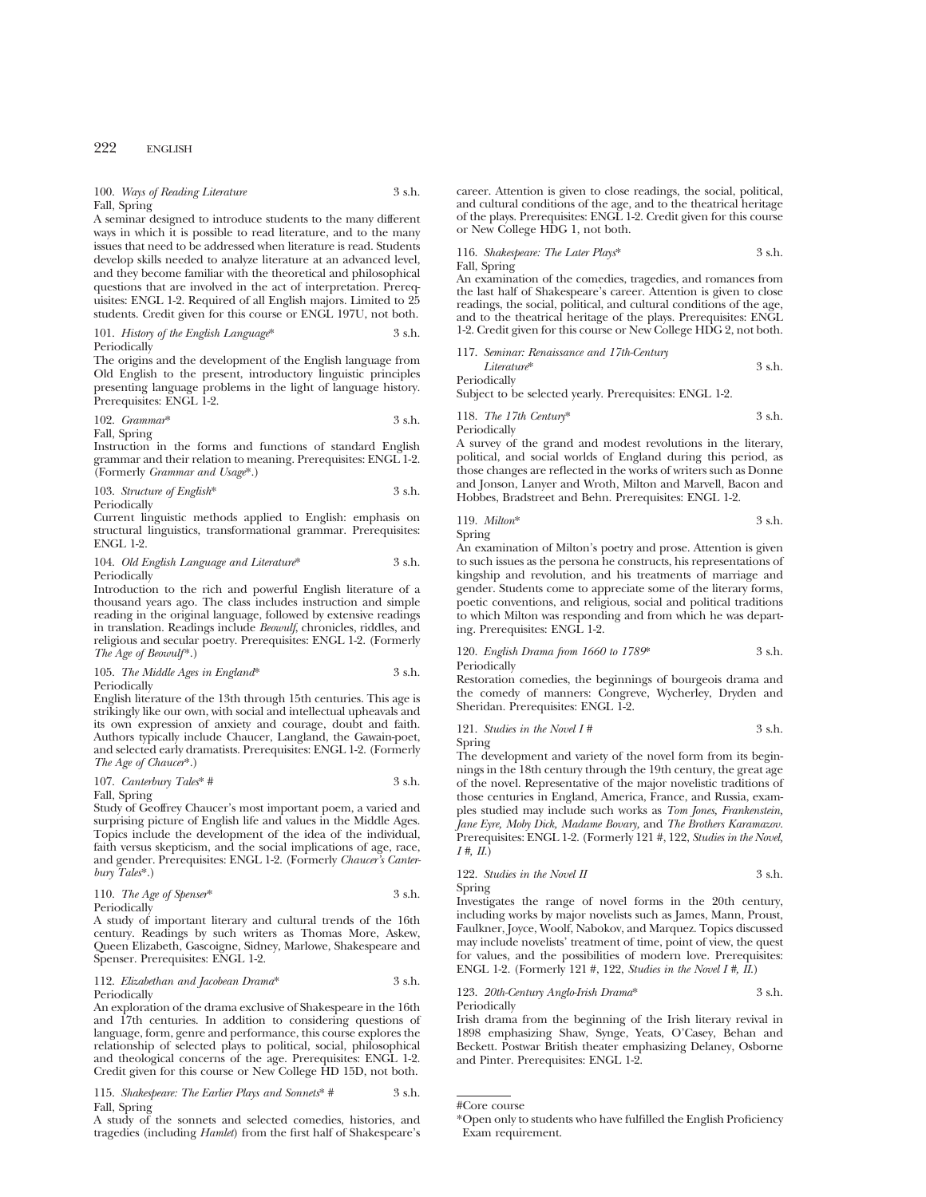100. *Ways of Reading Literature* 3 s.h. Fall, Spring

A seminar designed to introduce students to the many different ways in which it is possible to read literature, and to the many issues that need to be addressed when literature is read. Students develop skills needed to analyze literature at an advanced level, and they become familiar with the theoretical and philosophical questions that are involved in the act of interpretation. Prerequisites: ENGL 1-2. Required of all English majors. Limited to 25 students. Credit given for this course or ENGL 197U, not both.

101. *History of the English Language*\* 3 s.h. Periodically

The origins and the development of the English language from Old English to the present, introductory linguistic principles presenting language problems in the light of language history. Prerequisites: ENGL 1-2.

102. *Grammar*\* 3 s.h. Fall, Spring

Instruction in the forms and functions of standard English grammar and their relation to meaning. Prerequisites: ENGL 1-2. (Formerly *Grammar and Usage*\*.)

103. *Structure of English*\* 3 s.h. Periodically

Current linguistic methods applied to English: emphasis on structural linguistics, transformational grammar. Prerequisites: ENGL 1-2.

#### 104. *Old English Language and Literature*\* 3 s.h. Periodically

Introduction to the rich and powerful English literature of a thousand years ago. The class includes instruction and simple reading in the original language, followed by extensive readings in translation. Readings include *Beowulf*, chronicles, riddles, and religious and secular poetry. Prerequisites: ENGL 1-2. (Formerly *The Age of Beowulf*\*.)

#### 105. *The Middle Ages in England*\* 3 s.h. Periodically

English literature of the 13th through 15th centuries. This age is strikingly like our own, with social and intellectual upheavals and its own expression of anxiety and courage, doubt and faith. Authors typically include Chaucer, Langland, the Gawain-poet, and selected early dramatists. Prerequisites: ENGL 1-2. (Formerly *The Age of Chaucer*\*.)

107. *Canterbury Tales\** 
$$
\#
$$
 3 s.h.

Fall, Spring Study of Geoffrey Chaucer's most important poem, a varied and surprising picture of English life and values in the Middle Ages. Topics include the development of the idea of the individual, faith versus skepticism, and the social implications of age, race, and gender. Prerequisites: ENGL 1-2. (Formerly *Chaucer's Canterbury Tales*\*.)

110. *The Age of Spenser*\* 3 s.h. Periodically

A study of important literary and cultural trends of the 16th century. Readings by such writers as Thomas More, Askew, Queen Elizabeth, Gascoigne, Sidney, Marlowe, Shakespeare and Spenser. Prerequisites: ENGL 1-2.

#### 112. *Elizabethan and Jacobean Drama*\* 3 s.h. **Periodically**

An exploration of the drama exclusive of Shakespeare in the 16th and 17th centuries. In addition to considering questions of language, form, genre and performance, this course explores the relationship of selected plays to political, social, philosophical and theological concerns of the age. Prerequisites: ENGL 1-2. Credit given for this course or New College HD 15D, not both.

115. *Shakespeare: The Earlier Plays and Sonnets*\* # 3 s.h. Fall, Spring

A study of the sonnets and selected comedies, histories, and tragedies (including *Hamlet*) from the first half of Shakespeare's career. Attention is given to close readings, the social, political, and cultural conditions of the age, and to the theatrical heritage of the plays. Prerequisites: ENGL 1-2. Credit given for this course or New College HDG 1, not both.

116. *Shakespeare: The Later Plays*\* 3 s.h. Fall, Spring

An examination of the comedies, tragedies, and romances from the last half of Shakespeare's career. Attention is given to close readings, the social, political, and cultural conditions of the age, and to the theatrical heritage of the plays. Prerequisites: ENGL 1-2. Credit given for this course or New College HDG 2, not both.

## 117. *Seminar: Renaissance and 17th-Century Literature*\* 3 s.h.

Periodically

Subject to be selected yearly. Prerequisites: ENGL 1-2.

118. *The 17th Century*\* 3 s.h. Periodically

A survey of the grand and modest revolutions in the literary, political, and social worlds of England during this period, as those changes are reflected in the works of writers such as Donne and Jonson, Lanyer and Wroth, Milton and Marvell, Bacon and Hobbes, Bradstreet and Behn. Prerequisites: ENGL 1-2.

119. *Milton*\* 3 s.h. Spring

An examination of Milton's poetry and prose. Attention is given to such issues as the persona he constructs, his representations of kingship and revolution, and his treatments of marriage and gender. Students come to appreciate some of the literary forms, poetic conventions, and religious, social and political traditions to which Milton was responding and from which he was departing. Prerequisites: ENGL 1-2.

120. *English Drama from 1660 to 1789*\* 3 s.h. Periodically

Restoration comedies, the beginnings of bourgeois drama and the comedy of manners: Congreve, Wycherley, Dryden and Sheridan. Prerequisites: ENGL 1-2.

121. *Studies in the Novel I #* 3 s.h. Spring

The development and variety of the novel form from its beginnings in the 18th century through the 19th century, the great age of the novel. Representative of the major novelistic traditions of those centuries in England, America, France, and Russia, examples studied may include such works as *Tom Jones, Frankenstein, Jane Eyre, Moby Dick, Madame Bovary,* and *The Brothers Karamazov.* Prerequisites: ENGL 1-2. (Formerly 121 #, 122, *Studies in the Novel, I #, II*.)

122. *Studies in the Novel II* 3 s.h. Spring

Investigates the range of novel forms in the 20th century, including works by major novelists such as James, Mann, Proust, Faulkner, Joyce, Woolf, Nabokov, and Marquez. Topics discussed may include novelists' treatment of time, point of view, the quest for values, and the possibilities of modern love. Prerequisites: ENGL 1-2. (Formerly 121 #, 122, *Studies in the Novel I #, II*.)

123. *20th-Century Anglo-Irish Drama*\* 3 s.h. Periodically

Irish drama from the beginning of the Irish literary revival in 1898 emphasizing Shaw, Synge, Yeats, O'Casey, Behan and Beckett. Postwar British theater emphasizing Delaney, Osborne and Pinter. Prerequisites: ENGL 1-2.

<sup>\*</sup>Open only to students who have fulfilled the English Proficiency Exam requirement.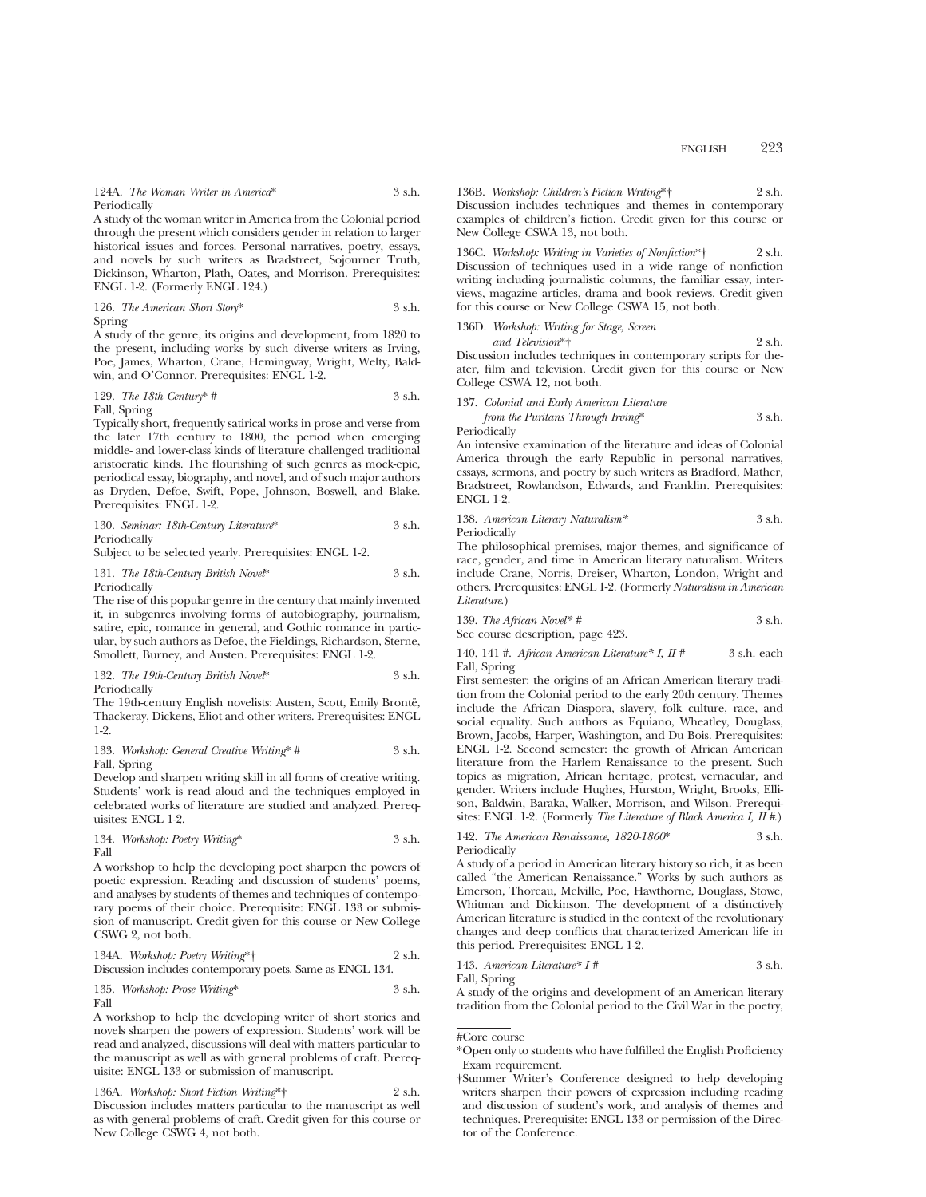124A. *The Woman Writer in America*\* 3 s.h. Periodically

A study of the woman writer in America from the Colonial period through the present which considers gender in relation to larger historical issues and forces. Personal narratives, poetry, essays, and novels by such writers as Bradstreet, Sojourner Truth, Dickinson, Wharton, Plath, Oates, and Morrison. Prerequisites: ENGL 1-2. (Formerly ENGL 124.)

126. *The American Short Story*\* 3 s.h. Spring

A study of the genre, its origins and development, from 1820 to the present, including works by such diverse writers as Irving, Poe, James, Wharton, Crane, Hemingway, Wright, Welty, Baldwin, and O'Connor. Prerequisites: ENGL 1-2.

129. The 18th Century\* 
$$
\#
$$
 3 s.h.

Fall, Spring

Typically short, frequently satirical works in prose and verse from the later 17th century to 1800, the period when emerging middle- and lower-class kinds of literature challenged traditional aristocratic kinds. The flourishing of such genres as mock-epic, periodical essay, biography, and novel, and of such major authors as Dryden, Defoe, Swift, Pope, Johnson, Boswell, and Blake. Prerequisites: ENGL 1-2.

130. *Seminar: 18th-Century Literature*\* 3 s.h. Periodically

Subject to be selected yearly. Prerequisites: ENGL 1-2.

131. *The 18th-Century British Novel*\* 3 s.h. Periodically

The rise of this popular genre in the century that mainly invented it, in subgenres involving forms of autobiography, journalism, satire, epic, romance in general, and Gothic romance in particular, by such authors as Defoe, the Fieldings, Richardson, Sterne, Smollett, Burney, and Austen. Prerequisites: ENGL 1-2.

132. *The 19th-Century British Novel*\* 3 s.h. Periodically

The 19th-century English novelists: Austen, Scott, Emily Brontë, Thackeray, Dickens, Eliot and other writers. Prerequisites: ENGL 1-2.

133. *Workshop: General Creative Writing*\* # 3 s.h. Fall, Spring

Develop and sharpen writing skill in all forms of creative writing. Students' work is read aloud and the techniques employed in celebrated works of literature are studied and analyzed. Prerequisites: ENGL 1-2.

134. *Workshop: Poetry Writing*\* 3 s.h. Fall

A workshop to help the developing poet sharpen the powers of poetic expression. Reading and discussion of students' poems, and analyses by students of themes and techniques of contemporary poems of their choice. Prerequisite: ENGL 133 or submission of manuscript. Credit given for this course or New College CSWG 2, not both.

134A. *Workshop: Poetry Writing*\*† 2 s.h. Discussion includes contemporary poets. Same as ENGL 134.

135. *Workshop: Prose Writing\** 
$$
3 \, \text{s.h.}
$$
 Fall

A workshop to help the developing writer of short stories and novels sharpen the powers of expression. Students' work will be read and analyzed, discussions will deal with matters particular to the manuscript as well as with general problems of craft. Prerequisite: ENGL 133 or submission of manuscript.

136A. *Workshop: Short Fiction Writing*\*† 2 s.h. Discussion includes matters particular to the manuscript as well as with general problems of craft. Credit given for this course or New College CSWG 4, not both.

136B. *Workshop: Children's Fiction Writing*\*† 2 s.h. Discussion includes techniques and themes in contemporary examples of children's fiction. Credit given for this course or New College CSWA 13, not both.

136C. *Workshop: Writing in Varieties of Nonfiction*\*† 2 s.h. Discussion of techniques used in a wide range of nonfiction writing including journalistic columns, the familiar essay, interviews, magazine articles, drama and book reviews. Credit given for this course or New College CSWA 15, not both.

136D. *Workshop: Writing for Stage, Screen*

*and Television*\*† 2 s.h. Discussion includes techniques in contemporary scripts for theater, film and television. Credit given for this course or New College CSWA 12, not both.

137. *Colonial and Early American Literature from the Puritans Through Irving*\* 3 s.h. Periodically

An intensive examination of the literature and ideas of Colonial America through the early Republic in personal narratives, essays, sermons, and poetry by such writers as Bradford, Mather, Bradstreet, Rowlandson, Edwards, and Franklin. Prerequisites: ENGL 1-2.

138. *American Literary Naturalism\** 3 s.h. **Periodically** 

The philosophical premises, major themes, and significance of race, gender, and time in American literary naturalism. Writers include Crane, Norris, Dreiser, Wharton, London, Wright and others. Prerequisites: ENGL 1-2. (Formerly *Naturalism in American Literature*.)

139. *The African Novel\* #* 3 s.h. See course description, page 423.

140, 141 #. *African American Literature\* I, II #* 3 s.h. each Fall, Spring

First semester: the origins of an African American literary tradition from the Colonial period to the early 20th century. Themes include the African Diaspora, slavery, folk culture, race, and social equality. Such authors as Equiano, Wheatley, Douglass, Brown, Jacobs, Harper, Washington, and Du Bois. Prerequisites: ENGL 1-2. Second semester: the growth of African American literature from the Harlem Renaissance to the present. Such topics as migration, African heritage, protest, vernacular, and gender. Writers include Hughes, Hurston, Wright, Brooks, Ellison, Baldwin, Baraka, Walker, Morrison, and Wilson. Prerequisites: ENGL 1-2. (Formerly *The Literature of Black America I, II #*.)

142. *The American Renaissance, 1820-1860*\* 3 s.h. Periodically

A study of a period in American literary history so rich, it as been called "the American Renaissance." Works by such authors as Emerson, Thoreau, Melville, Poe, Hawthorne, Douglass, Stowe, Whitman and Dickinson. The development of a distinctively American literature is studied in the context of the revolutionary changes and deep conflicts that characterized American life in this period. Prerequisites: ENGL 1-2.

143. American Literature\* 
$$
I \#
$$
 3 s.h.

Fall, Spring A study of the origins and development of an American literary tradition from the Colonial period to the Civil War in the poetry,

<sup>\*</sup>Open only to students who have fulfilled the English Proficiency Exam requirement.

<sup>†</sup>Summer Writer's Conference designed to help developing writers sharpen their powers of expression including reading and discussion of student's work, and analysis of themes and techniques. Prerequisite: ENGL 133 or permission of the Director of the Conference.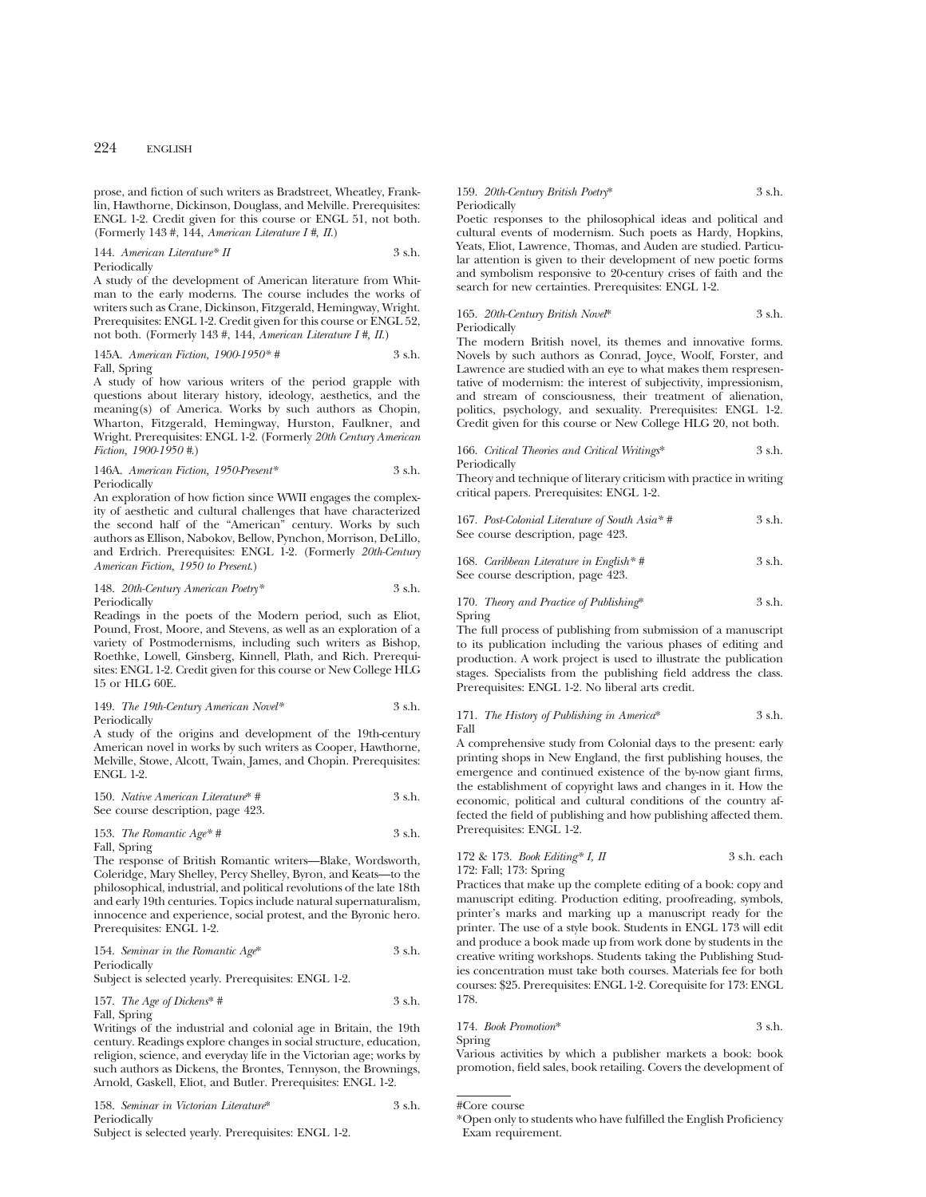prose, and fiction of such writers as Bradstreet, Wheatley, Franklin, Hawthorne, Dickinson, Douglass, and Melville. Prerequisites: ENGL 1-2. Credit given for this course or ENGL 51, not both. (Formerly 143 #, 144, *American Literature I #, II*.)

#### 144. *American Literature*\* *II* 3 s.h. Periodically

A study of the development of American literature from Whitman to the early moderns. The course includes the works of writers such as Crane, Dickinson, Fitzgerald, Hemingway, Wright. Prerequisites: ENGL 1-2. Credit given for this course or ENGL 52. not both. (Formerly 143 #, 144, *American Literature I #, II*.)

145A. *American Fiction, 1900-1950\* #* 3 s.h. Fall, Spring

A study of how various writers of the period grapple with questions about literary history, ideology, aesthetics, and the meaning(s) of America. Works by such authors as Chopin, Wharton, Fitzgerald, Hemingway, Hurston, Faulkner, and Wright. Prerequisites: ENGL 1-2. (Formerly *20th Century American Fiction, 1900-1950 #*.)

#### 146A. *American Fiction, 1950-Present\** 3 s.h. Periodically

An exploration of how fiction since WWII engages the complexity of aesthetic and cultural challenges that have characterized the second half of the "American" century. Works by such authors as Ellison, Nabokov, Bellow, Pynchon, Morrison, DeLillo, and Erdrich. Prerequisites: ENGL 1-2. (Formerly *20th-Century American Fiction, 1950 to Present*.)

#### 148. *20th-Century American Poetry\** 3 s.h. Periodically

Readings in the poets of the Modern period, such as Eliot, Pound, Frost, Moore, and Stevens, as well as an exploration of a variety of Postmodernisms, including such writers as Bishop, Roethke, Lowell, Ginsberg, Kinnell, Plath, and Rich. Prerequisites: ENGL 1-2. Credit given for this course or New College HLG 15 or HLG 60E.

#### 149. *The 19th-Century American Novel\** 3 s.h. Periodically

A study of the origins and development of the 19th-century American novel in works by such writers as Cooper, Hawthorne, Melville, Stowe, Alcott, Twain, James, and Chopin. Prerequisites: ENGL 1-2.

150. *Native American Literature*\* # 3 s.h. See course description, page 423.

153. *The Romantic Age\* #* 3 s.h. Fall, Spring

The response of British Romantic writers—Blake, Wordsworth, Coleridge, Mary Shelley, Percy Shelley, Byron, and Keats—to the philosophical, industrial, and political revolutions of the late 18th and early 19th centuries. Topics include natural supernaturalism, innocence and experience, social protest, and the Byronic hero. Prerequisites: ENGL 1-2.

154. *Seminar in the Romantic Age*\* 3 s.h. Periodically

Subject is selected yearly. Prerequisites: ENGL 1-2.

## 157. *The Age of Dickens*<sup>\*</sup> # 3 s.h. Fall, Spring

Writings of the industrial and colonial age in Britain, the 19th century. Readings explore changes in social structure, education, religion, science, and everyday life in the Victorian age; works by such authors as Dickens, the Brontes, Tennyson, the Brownings, Arnold, Gaskell, Eliot, and Butler. Prerequisites: ENGL 1-2.

158. *Seminar in Victorian Literature*\* 3 s.h. Periodically

## Subject is selected yearly. Prerequisites: ENGL 1-2.

## 159. *20th-Century British Poetry*\* 3 s.h. Periodically

Poetic responses to the philosophical ideas and political and cultural events of modernism. Such poets as Hardy, Hopkins, Yeats, Eliot, Lawrence, Thomas, and Auden are studied. Particular attention is given to their development of new poetic forms and symbolism responsive to 20-century crises of faith and the search for new certainties. Prerequisites: ENGL 1-2.

## 165. *20th-Century British Novel*\* 3 s.h. Periodically

The modern British novel, its themes and innovative forms. Novels by such authors as Conrad, Joyce, Woolf, Forster, and Lawrence are studied with an eye to what makes them respresentative of modernism: the interest of subjectivity, impressionism, and stream of consciousness, their treatment of alienation, politics, psychology, and sexuality. Prerequisites: ENGL 1-2. Credit given for this course or New College HLG 20, not both.

166. *Critical Theories and Critical Writings*\* 3 s.h. Periodically

Theory and technique of literary criticism with practice in writing critical papers. Prerequisites: ENGL 1-2.

167. *Post-Colonial Literature of South Asia\* #* 3 s.h. See course description, page 423.

168. *Caribbean Literature in English*<sup>\*</sup> # 3 s.h. See course description, page 423.

## 170. *Theory and Practice of Publishing*\* 3 s.h. Spring

The full process of publishing from submission of a manuscript to its publication including the various phases of editing and production. A work project is used to illustrate the publication stages. Specialists from the publishing field address the class. Prerequisites: ENGL 1-2. No liberal arts credit.

#### 171. *The History of Publishing in America*\* 3 s.h. Fall

A comprehensive study from Colonial days to the present: early printing shops in New England, the first publishing houses, the emergence and continued existence of the by-now giant firms, the establishment of copyright laws and changes in it. How the economic, political and cultural conditions of the country affected the field of publishing and how publishing affected them. Prerequisites: ENGL 1-2.

## 172 & 173. *Book Editing\* I, II* 3 s.h. each 172: Fall; 173: Spring

Practices that make up the complete editing of a book: copy and manuscript editing. Production editing, proofreading, symbols, printer's marks and marking up a manuscript ready for the printer. The use of a style book. Students in ENGL 173 will edit and produce a book made up from work done by students in the creative writing workshops. Students taking the Publishing Studies concentration must take both courses. Materials fee for both courses: \$25. Prerequisites: ENGL 1-2. Corequisite for 173: ENGL 178.

## 174. *Book Promotion*\* 3 s.h. Spring

Various activities by which a publisher markets a book: book promotion, field sales, book retailing. Covers the development of

<sup>\*</sup>Open only to students who have fulfilled the English Proficiency Exam requirement.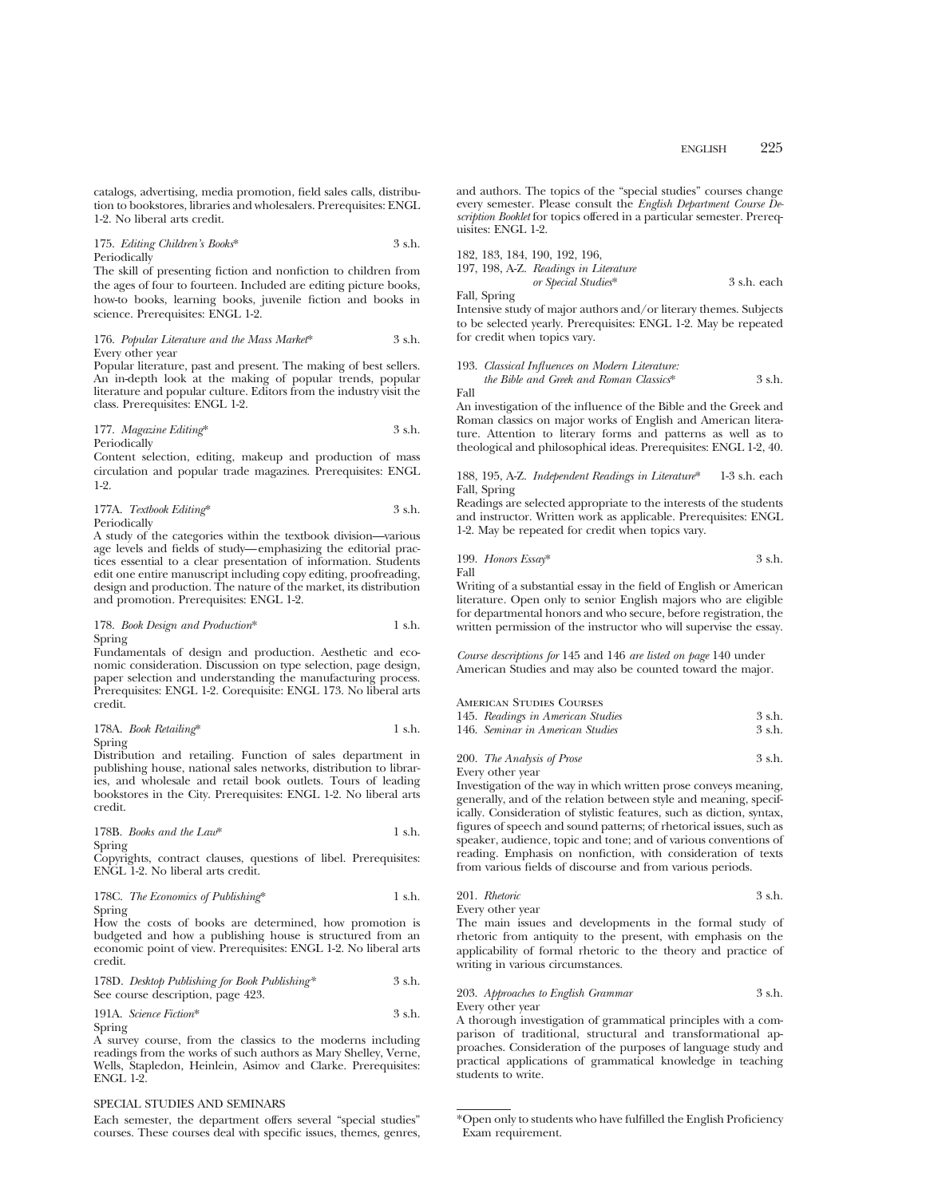catalogs, advertising, media promotion, field sales calls, distribution to bookstores, libraries and wholesalers. Prerequisites: ENGL 1-2. No liberal arts credit.

#### 175. *Editing Children's Books*\* 3 s.h. Periodically

The skill of presenting fiction and nonfiction to children from the ages of four to fourteen. Included are editing picture books, how-to books, learning books, juvenile fiction and books in science. Prerequisites: ENGL 1-2.

176. *Popular Literature and the Mass Market*\* 3 s.h. Every other year

Popular literature, past and present. The making of best sellers. An in-depth look at the making of popular trends, popular literature and popular culture. Editors from the industry visit the class. Prerequisites: ENGL 1-2.

177. *Magazine Editing*\* 3 s.h. Periodically

Content selection, editing, makeup and production of mass circulation and popular trade magazines. Prerequisites: ENGL 1-2.

177A. *Textbook Editing*\* 3 s.h. Periodically

A study of the categories within the textbook division—various age levels and fields of study—emphasizing the editorial practices essential to a clear presentation of information. Students edit one entire manuscript including copy editing, proofreading, design and production. The nature of the market, its distribution and promotion. Prerequisites: ENGL 1-2.

#### 178. *Book Design and Production*\* 1 s.h. Spring

Fundamentals of design and production. Aesthetic and economic consideration. Discussion on type selection, page design, paper selection and understanding the manufacturing process. Prerequisites: ENGL 1-2. Corequisite: ENGL 173. No liberal arts credit.

#### 178A. *Book Retailing*\* 1 s.h. Spring

Distribution and retailing. Function of sales department in publishing house, national sales networks, distribution to libraries, and wholesale and retail book outlets. Tours of leading bookstores in the City. Prerequisites: ENGL 1-2. No liberal arts credit.

178B. *Books and the Law*\* 1 s.h. Spring

Copyrights, contract clauses, questions of libel. Prerequisites: ENGL 1-2. No liberal arts credit.

178C. *The Economics of Publishing*\* 1 s.h. Spring

How the costs of books are determined, how promotion is budgeted and how a publishing house is structured from an economic point of view. Prerequisites: ENGL 1-2. No liberal arts credit.

178D. *Desktop Publishing for Book Publishing\** 3 s.h. See course description, page 423.

191A. *Science Fiction*\* 3 s.h. Spring

A survey course, from the classics to the moderns including readings from the works of such authors as Mary Shelley, Verne, Wells, Stapledon, Heinlein, Asimov and Clarke. Prerequisites: ENGL 1-2.

#### SPECIAL STUDIES AND SEMINARS

Each semester, the department offers several "special studies" courses. These courses deal with specific issues, themes, genres, and authors. The topics of the "special studies" courses change every semester. Please consult the *English Department Course Description Booklet* for topics offered in a particular semester. Prerequisites: ENGL 1-2.

|  | 182, 183, 184, 190, 192, 196,         |             |
|--|---------------------------------------|-------------|
|  | 197, 198, A-Z. Readings in Literature |             |
|  | or Special Studies*                   | 3 s.h. each |

Fall, Spring

Intensive study of major authors and/or literary themes. Subjects to be selected yearly. Prerequisites: ENGL 1-2. May be repeated for credit when topics vary.

|      | 193. Classical Influences on Modern Literature. |          |
|------|-------------------------------------------------|----------|
|      | the Bible and Greek and Roman Classics*         | $3$ s.h. |
| Fall |                                                 |          |

An investigation of the influence of the Bible and the Greek and Roman classics on major works of English and American literature. Attention to literary forms and patterns as well as to theological and philosophical ideas. Prerequisites: ENGL 1-2, 40.

188, 195, A-Z. *Independent Readings in Literature*\* 1-3 s.h. each Fall, Spring

Readings are selected appropriate to the interests of the students and instructor. Written work as applicable. Prerequisites: ENGL 1-2. May be repeated for credit when topics vary.

199. *Honors Essay*\* 3 s.h. Fall

Writing of a substantial essay in the field of English or American literature. Open only to senior English majors who are eligible for departmental honors and who secure, before registration, the written permission of the instructor who will supervise the essay.

*Course descriptions for* 145 and 146 *are listed on page* 140 under American Studies and may also be counted toward the major.

#### American Studies Courses

| 145. Readings in American Studies | 3 s.h. |
|-----------------------------------|--------|
| 146. Seminar in American Studies  | 3 s.h. |

| 200. The Analysis of Prose | 3 s.h. |
|----------------------------|--------|
|                            |        |

Every other year

Investigation of the way in which written prose conveys meaning, generally, and of the relation between style and meaning, specifically. Consideration of stylistic features, such as diction, syntax, figures of speech and sound patterns; of rhetorical issues, such as speaker, audience, topic and tone; and of various conventions of reading. Emphasis on nonfiction, with consideration of texts from various fields of discourse and from various periods.

201. *Rhetoric* 3 s.h. Every other year

The main issues and developments in the formal study of rhetoric from antiquity to the present, with emphasis on the applicability of formal rhetoric to the theory and practice of writing in various circumstances.

## 203. *Approaches to English Grammar* 3 s.h. Every other year

A thorough investigation of grammatical principles with a comparison of traditional, structural and transformational approaches. Consideration of the purposes of language study and practical applications of grammatical knowledge in teaching students to write.

<sup>\*</sup>Open only to students who have fulfilled the English Proficiency Exam requirement.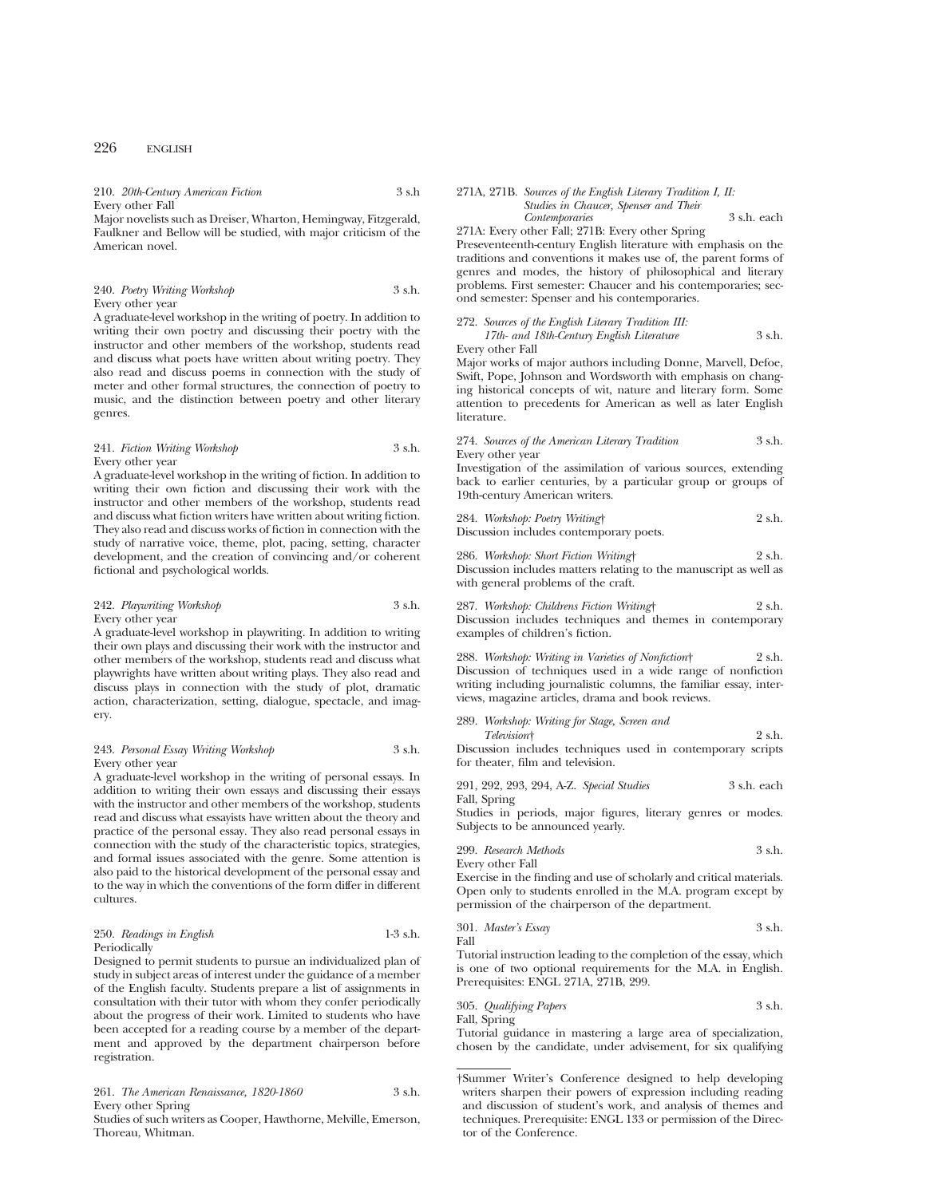210. *20th-Century American Fiction* 3 s.h Every other Fall

Major novelists such as Dreiser, Wharton, Hemingway, Fitzgerald, Faulkner and Bellow will be studied, with major criticism of the American novel.

240. *Poetry Writing Workshop* 3 s.h. Every other year

A graduate-level workshop in the writing of poetry. In addition to writing their own poetry and discussing their poetry with the instructor and other members of the workshop, students read and discuss what poets have written about writing poetry. They also read and discuss poems in connection with the study of meter and other formal structures, the connection of poetry to music, and the distinction between poetry and other literary genres.

241. *Fiction Writing Workshop* 3 s.h. Every other year

A graduate-level workshop in the writing of fiction. In addition to writing their own fiction and discussing their work with the instructor and other members of the workshop, students read and discuss what fiction writers have written about writing fiction. They also read and discuss works of fiction in connection with the study of narrative voice, theme, plot, pacing, setting, character development, and the creation of convincing and/or coherent fictional and psychological worlds.

242. *Playwriting Workshop* 3 s.h. Every other year

A graduate-level workshop in playwriting. In addition to writing their own plays and discussing their work with the instructor and other members of the workshop, students read and discuss what playwrights have written about writing plays. They also read and discuss plays in connection with the study of plot, dramatic action, characterization, setting, dialogue, spectacle, and imagery.

243. *Personal Essay Writing Workshop* 3 s.h. Every other year

A graduate-level workshop in the writing of personal essays. In addition to writing their own essays and discussing their essays with the instructor and other members of the workshop, students read and discuss what essayists have written about the theory and practice of the personal essay. They also read personal essays in connection with the study of the characteristic topics, strategies, and formal issues associated with the genre. Some attention is also paid to the historical development of the personal essay and to the way in which the conventions of the form differ in different cultures.

| 250. Readings in English |  | $1-3$ s.h. |
|--------------------------|--|------------|
| Periodically             |  |            |

Designed to permit students to pursue an individualized plan of study in subject areas of interest under the guidance of a member of the English faculty. Students prepare a list of assignments in consultation with their tutor with whom they confer periodically about the progress of their work. Limited to students who have been accepted for a reading course by a member of the department and approved by the department chairperson before registration.

261. *The American Renaissance, 1820-1860* 3 s.h. Every other Spring

Studies of such writers as Cooper, Hawthorne, Melville, Emerson, Thoreau, Whitman.

## 271A, 271B. *Sources of the English Literary Tradition I, II: Studies in Chaucer, Spenser and Their Contemporaries* 3 s.h. each

271A: Every other Fall; 271B: Every other Spring Preseventeenth-century English literature with emphasis on the traditions and conventions it makes use of, the parent forms of genres and modes, the history of philosophical and literary problems. First semester: Chaucer and his contemporaries; second semester: Spenser and his contemporaries.

272. *Sources of the English Literary Tradition III: 17th- and 18th-Century English Literature* 3 s.h.

Every other Fall

Major works of major authors including Donne, Marvell, Defoe, Swift, Pope, Johnson and Wordsworth with emphasis on changing historical concepts of wit, nature and literary form. Some attention to precedents for American as well as later English literature.

|                  | 274. Sources of the American Literary Tradition |  | 3 s.h. |
|------------------|-------------------------------------------------|--|--------|
| Every other year |                                                 |  |        |

Investigation of the assimilation of various sources, extending back to earlier centuries, by a particular group or groups of 19th-century American writers.

| 284. Workshop: Poetry Writing†          | 2 s.h. |
|-----------------------------------------|--------|
| Discussion includes contemporary poets. |        |

286. *Workshop: Short Fiction Writing*† 2 s.h. Discussion includes matters relating to the manuscript as well as with general problems of the craft.

287. *Workshop: Childrens Fiction Writing*† 2 s.h. Discussion includes techniques and themes in contemporary examples of children's fiction.

288. *Workshop: Writing in Varieties of Nonfiction*† 2 s.h. Discussion of techniques used in a wide range of nonfiction writing including journalistic columns, the familiar essay, interviews, magazine articles, drama and book reviews.

289. *Workshop: Writing for Stage, Screen and Television*† 2 s.h. Discussion includes techniques used in contemporary scripts for theater, film and television.

|              |  | 291, 292, 293, 294, A-Z. Special Studies | 3 s.h. each |  |
|--------------|--|------------------------------------------|-------------|--|
| Fall, Spring |  |                                          |             |  |

Studies in periods, major figures, literary genres or modes. Subjects to be announced yearly.

299. *Research Methods* 3 s.h. Every other Fall

Exercise in the finding and use of scholarly and critical materials. Open only to students enrolled in the M.A. program except by permission of the chairperson of the department.

38.1. 3.1. 3.2. 3.3. 
$$
\mu
$$

\n5.1. 3.3. 3.3.  $\mu$ 

Tutorial instruction leading to the completion of the essay, which is one of two optional requirements for the M.A. in English. Prerequisites: ENGL 271A, 271B, 299.

305. *Qualifying Papers* 3 s.h. Fall, Spring

Tutorial guidance in mastering a large area of specialization, chosen by the candidate, under advisement, for six qualifying

<sup>†</sup>Summer Writer's Conference designed to help developing writers sharpen their powers of expression including reading and discussion of student's work, and analysis of themes and techniques. Prerequisite: ENGL 133 or permission of the Director of the Conference.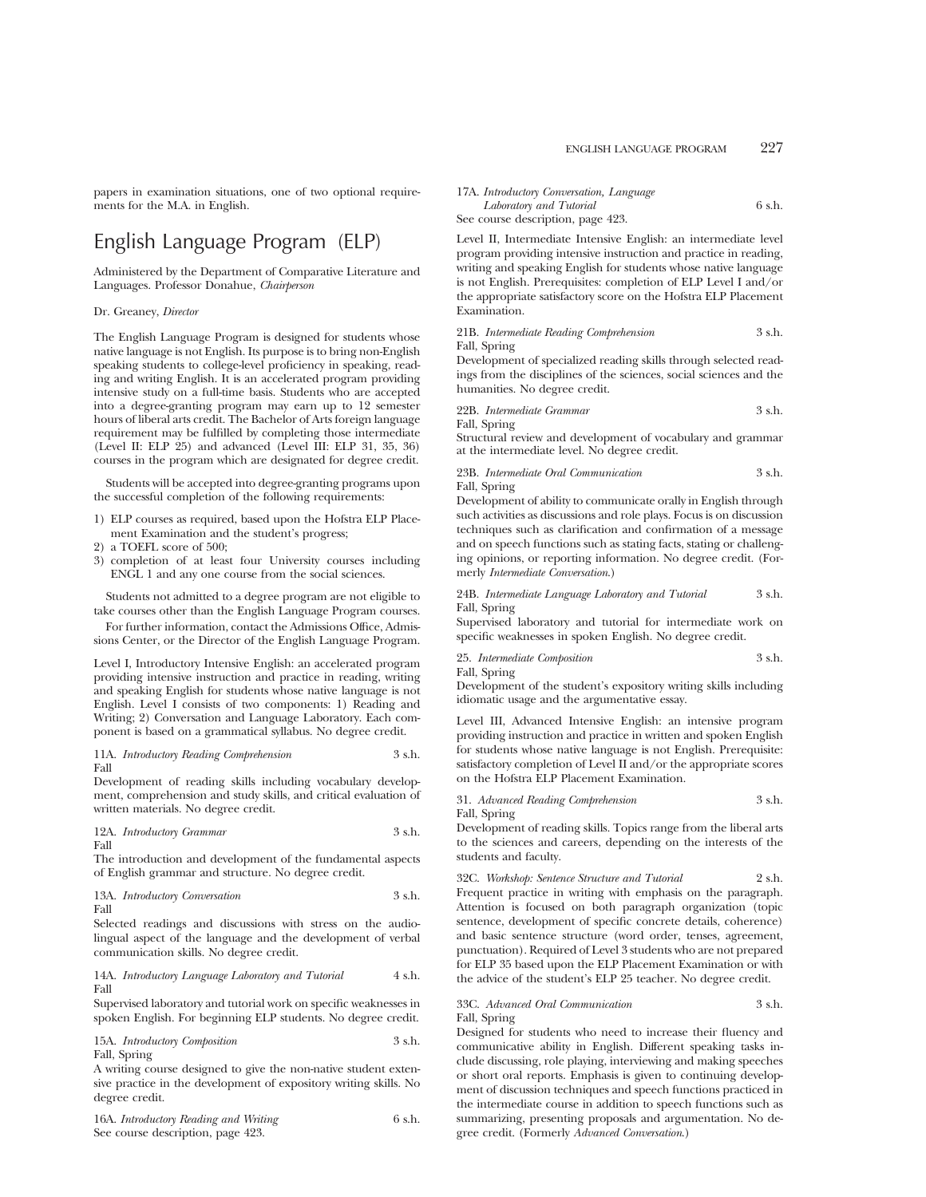papers in examination situations, one of two optional requirements for the M.A. in English.

# English Language Program (ELP)

Administered by the Department of Comparative Literature and Languages. Professor Donahue, *Chairperson*

#### Dr. Greaney, *Director*

The English Language Program is designed for students whose native language is not English. Its purpose is to bring non-English speaking students to college-level proficiency in speaking, reading and writing English. It is an accelerated program providing intensive study on a full-time basis. Students who are accepted into a degree-granting program may earn up to 12 semester hours of liberal arts credit. The Bachelor of Arts foreign language requirement may be fulfilled by completing those intermediate (Level II: ELP 25) and advanced (Level III: ELP 31, 35, 36) courses in the program which are designated for degree credit.

Students will be accepted into degree-granting programs upon the successful completion of the following requirements:

- 1) ELP courses as required, based upon the Hofstra ELP Placement Examination and the student's progress;
- 2) a TOEFL score of 500;
- 3) completion of at least four University courses including ENGL 1 and any one course from the social sciences.

Students not admitted to a degree program are not eligible to take courses other than the English Language Program courses.

For further information, contact the Admissions Office, Admissions Center, or the Director of the English Language Program.

Level I, Introductory Intensive English: an accelerated program providing intensive instruction and practice in reading, writing and speaking English for students whose native language is not English. Level I consists of two components: 1) Reading and Writing; 2) Conversation and Language Laboratory. Each component is based on a grammatical syllabus. No degree credit.

11A. *Introductory Reading Comprehension* 3 s.h. Fall

Development of reading skills including vocabulary development, comprehension and study skills, and critical evaluation of written materials. No degree credit.

12A. *Introductory Grammar* 3 s.h. Fall

The introduction and development of the fundamental aspects of English grammar and structure. No degree credit.

13A. *Introductory Conversation* 3 s.h. Fall

Selected readings and discussions with stress on the audiolingual aspect of the language and the development of verbal communication skills. No degree credit.

14A. *Introductory Language Laboratory and Tutorial* 4 s.h. Fall

Supervised laboratory and tutorial work on specific weaknesses in spoken English. For beginning ELP students. No degree credit.

15A. *Introductory Composition* 3 s.h. Fall, Spring

A writing course designed to give the non-native student extensive practice in the development of expository writing skills. No degree credit.

| 16A. Introductory Reading and Writing | 6 s.h. |
|---------------------------------------|--------|
| See course description, page 423.     |        |

## 17A. *Introductory Conversation, Language Laboratory and Tutorial* 6 s.h.

See course description, page 423.

Level II, Intermediate Intensive English: an intermediate level program providing intensive instruction and practice in reading, writing and speaking English for students whose native language is not English. Prerequisites: completion of ELP Level I and/or the appropriate satisfactory score on the Hofstra ELP Placement Examination.

21B. *Intermediate Reading Comprehension* 3 s.h. Fall, Spring

Development of specialized reading skills through selected readings from the disciplines of the sciences, social sciences and the humanities. No degree credit.

22B. *Intermediate Grammar* 3 s.h.

Fall, Spring Structural review and development of vocabulary and grammar at the intermediate level. No degree credit.

23B. *Intermediate Oral Communication* 3 s.h. Fall, Spring

Development of ability to communicate orally in English through such activities as discussions and role plays. Focus is on discussion techniques such as clarification and confirmation of a message and on speech functions such as stating facts, stating or challenging opinions, or reporting information. No degree credit. (Formerly *Intermediate Conversation*.)

24B. *Intermediate Language Laboratory and Tutorial* 3 s.h. Fall, Spring

Supervised laboratory and tutorial for intermediate work on specific weaknesses in spoken English. No degree credit.

25. *Intermediate Composition* 3 s.h. Fall, Spring

Development of the student's expository writing skills including idiomatic usage and the argumentative essay.

Level III, Advanced Intensive English: an intensive program providing instruction and practice in written and spoken English for students whose native language is not English. Prerequisite: satisfactory completion of Level II and/or the appropriate scores on the Hofstra ELP Placement Examination.

31. *Advanced Reading Comprehension* 3 s.h. Fall, Spring

Development of reading skills. Topics range from the liberal arts to the sciences and careers, depending on the interests of the students and faculty.

32C. *Workshop: Sentence Structure and Tutorial* 2 s.h. Frequent practice in writing with emphasis on the paragraph. Attention is focused on both paragraph organization (topic sentence, development of specific concrete details, coherence) and basic sentence structure (word order, tenses, agreement, punctuation). Required of Level 3 students who are not prepared for ELP 35 based upon the ELP Placement Examination or with the advice of the student's ELP 25 teacher. No degree credit.

## 33C. *Advanced Oral Communication* 3 s.h. Fall, Spring

Designed for students who need to increase their fluency and communicative ability in English. Different speaking tasks include discussing, role playing, interviewing and making speeches or short oral reports. Emphasis is given to continuing development of discussion techniques and speech functions practiced in the intermediate course in addition to speech functions such as summarizing, presenting proposals and argumentation. No degree credit. (Formerly *Advanced Conversation*.)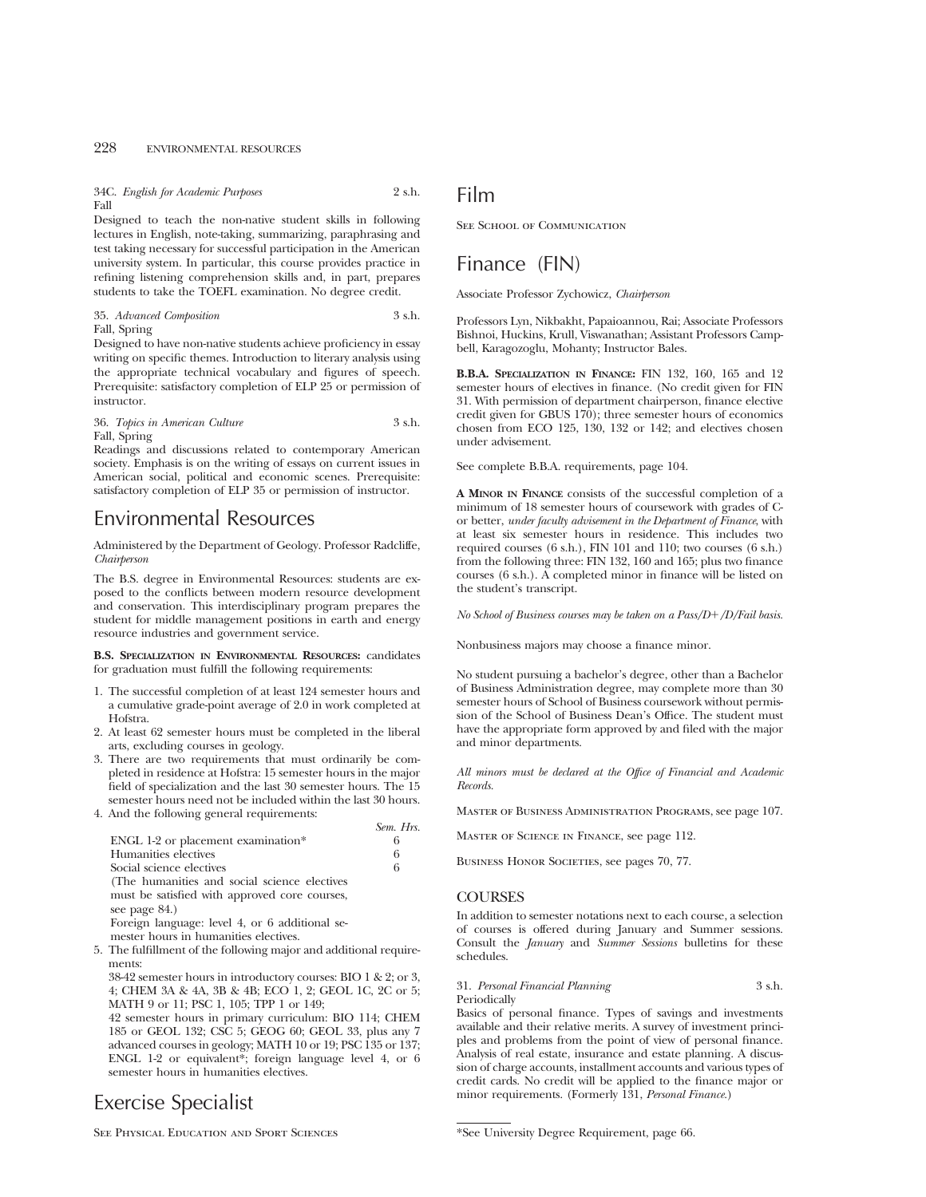34C. *English for Academic Purposes* 2 s.h. Fall

Designed to teach the non-native student skills in following lectures in English, note-taking, summarizing, paraphrasing and test taking necessary for successful participation in the American university system. In particular, this course provides practice in refining listening comprehension skills and, in part, prepares students to take the TOEFL examination. No degree credit.

#### 35. *Advanced Composition* 3 s.h. Fall, Spring

Designed to have non-native students achieve proficiency in essay writing on specific themes. Introduction to literary analysis using the appropriate technical vocabulary and figures of speech. Prerequisite: satisfactory completion of ELP 25 or permission of instructor.

36. *Topics in American Culture* 3 s.h. Fall, Spring

Readings and discussions related to contemporary American society. Emphasis is on the writing of essays on current issues in American social, political and economic scenes. Prerequisite: satisfactory completion of ELP 35 or permission of instructor.

# Environmental Resources

Administered by the Department of Geology. Professor Radcliffe, *Chairperson*

The B.S. degree in Environmental Resources: students are exposed to the conflicts between modern resource development and conservation. This interdisciplinary program prepares the student for middle management positions in earth and energy resource industries and government service.

**B.S. SPECIALIZATION IN ENVIRONMENTAL RESOURCES:** candidates for graduation must fulfill the following requirements:

- 1. The successful completion of at least 124 semester hours and a cumulative grade-point average of 2.0 in work completed at Hofstra.
- 2. At least 62 semester hours must be completed in the liberal arts, excluding courses in geology.
- 3. There are two requirements that must ordinarily be completed in residence at Hofstra: 15 semester hours in the major field of specialization and the last 30 semester hours. The 15 semester hours need not be included within the last 30 hours.
- 4. And the following general requirements:

|                                                | Sem. Hrs. |
|------------------------------------------------|-----------|
| ENGL 1-2 or placement examination*             | 6         |
| Humanities electives                           | 6         |
| Social science electives                       | 6         |
| (The humanities and social science electives)  |           |
| must be satisfied with approved core courses,  |           |
| see page 84.)                                  |           |
| Foreign language: level 4, or 6 additional se- |           |
| mester hours in humanities electives.          |           |

5. The fulfillment of the following major and additional requirements:

38-42 semester hours in introductory courses: BIO 1 & 2; or 3, 4; CHEM 3A & 4A, 3B & 4B; ECO 1, 2; GEOL 1C, 2C or 5; MATH 9 or 11; PSC 1, 105; TPP 1 or 149;

42 semester hours in primary curriculum: BIO 114; CHEM 185 or GEOL 132; CSC 5; GEOG 60; GEOL 33, plus any 7 advanced courses in geology; MATH 10 or 19; PSC 135 or 137; ENGL 1-2 or equivalent\*; foreign language level 4, or 6 semester hours in humanities electives.

Exercise Specialist

Film

SEE SCHOOL OF COMMUNICATION

# Finance (FIN)

Associate Professor Zychowicz, *Chairperson*

Professors Lyn, Nikbakht, Papaioannou, Rai; Associate Professors Bishnoi, Huckins, Krull, Viswanathan; Assistant Professors Campbell, Karagozoglu, Mohanty; Instructor Bales.

**B.B.A. SPECIALIZATION IN FINANCE:** FIN 132, 160, 165 and 12 semester hours of electives in finance. (No credit given for FIN 31. With permission of department chairperson, finance elective credit given for GBUS  $170$ ; three semester hours of economics chosen from ECO 125, 130, 132 or 142; and electives chosen under advisement.

See complete B.B.A. requirements, page 104.

**A MINOR IN FINANCE** consists of the successful completion of a minimum of 18 semester hours of coursework with grades of Cor better, *under faculty advisement in the Department of Finance*, with at least six semester hours in residence. This includes two required courses (6 s.h.), FIN 101 and 110; two courses (6 s.h.) from the following three: FIN 132, 160 and 165; plus two finance courses (6 s.h.). A completed minor in finance will be listed on the student's transcript.

*No School of Business courses may be taken on a Pass/D*1*/D/Fail basis.*

Nonbusiness majors may choose a finance minor.

No student pursuing a bachelor's degree, other than a Bachelor of Business Administration degree, may complete more than 30 semester hours of School of Business coursework without permission of the School of Business Dean's Office. The student must have the appropriate form approved by and filed with the major and minor departments.

*All minors must be declared at the Office of Financial and Academic Records.*

Master of Business Administration Programs, see page 107.

Master of Science in Finance, see page 112.

BUSINESS HONOR SOCIETIES, see pages 70, 77.

## **COURSES**

In addition to semester notations next to each course, a selection of courses is offered during January and Summer sessions. Consult the *January* and *Summer Sessions* bulletins for these schedules.

#### 31. *Personal Financial Planning* 3 s.h. Periodically

Basics of personal finance. Types of savings and investments available and their relative merits. A survey of investment principles and problems from the point of view of personal finance. Analysis of real estate, insurance and estate planning. A discussion of charge accounts, installment accounts and various types of credit cards. No credit will be applied to the finance major or minor requirements. (Formerly 131, *Personal Finance.*)

See Physical Education and Sport Sciences

<sup>\*</sup>See University Degree Requirement, page 66.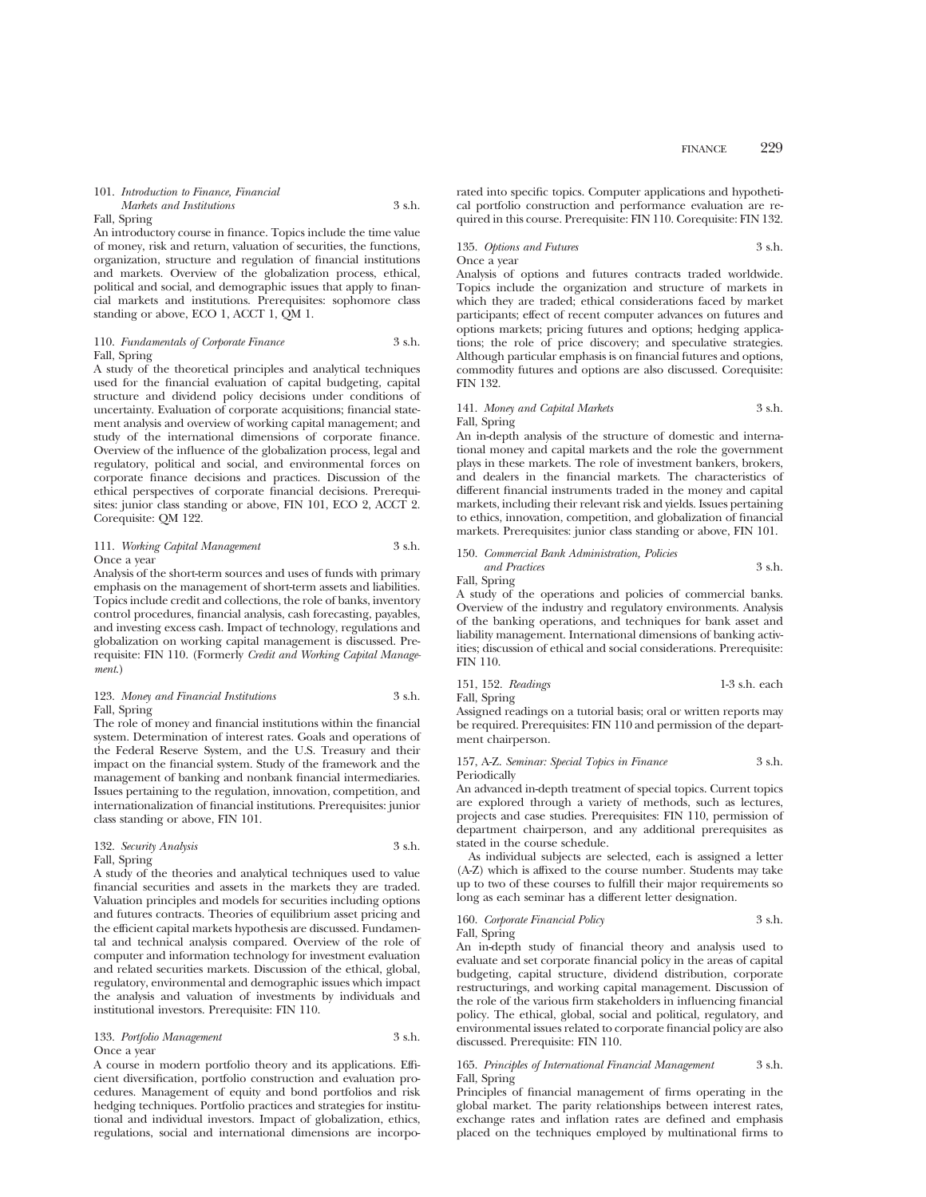## 101. *Introduction to Finance, Financial Markets and Institutions* 3 s.h.

## Fall, Spring

An introductory course in finance. Topics include the time value of money, risk and return, valuation of securities, the functions, organization, structure and regulation of financial institutions and markets. Overview of the globalization process, ethical, political and social, and demographic issues that apply to financial markets and institutions. Prerequisites: sophomore class standing or above, ECO 1, ACCT 1, QM 1.

## 110. *Fundamentals of Corporate Finance* 3 s.h. Fall, Spring

A study of the theoretical principles and analytical techniques used for the financial evaluation of capital budgeting, capital structure and dividend policy decisions under conditions of uncertainty. Evaluation of corporate acquisitions; financial statement analysis and overview of working capital management; and study of the international dimensions of corporate finance. Overview of the influence of the globalization process, legal and regulatory, political and social, and environmental forces on corporate finance decisions and practices. Discussion of the ethical perspectives of corporate financial decisions. Prerequisites: junior class standing or above, FIN 101, ECO 2, ACCT 2. Corequisite: QM 122.

111. *Working Capital Management* 3 s.h. Once a year

Analysis of the short-term sources and uses of funds with primary emphasis on the management of short-term assets and liabilities. Topics include credit and collections, the role of banks, inventory control procedures, financial analysis, cash forecasting, payables, and investing excess cash. Impact of technology, regulations and globalization on working capital management is discussed. Prerequisite: FIN 110. (Formerly *Credit and Working Capital Management*.)

#### 123. *Money and Financial Institutions* 3 s.h. Fall, Spring

The role of money and financial institutions within the financial system. Determination of interest rates. Goals and operations of the Federal Reserve System, and the U.S. Treasury and their impact on the financial system. Study of the framework and the management of banking and nonbank financial intermediaries. Issues pertaining to the regulation, innovation, competition, and internationalization of financial institutions. Prerequisites: junior class standing or above, FIN 101.

#### 132. *Security Analysis* 3 s.h. Fall, Spring

A study of the theories and analytical techniques used to value financial securities and assets in the markets they are traded. Valuation principles and models for securities including options and futures contracts. Theories of equilibrium asset pricing and the efficient capital markets hypothesis are discussed. Fundamental and technical analysis compared. Overview of the role of computer and information technology for investment evaluation and related securities markets. Discussion of the ethical, global, regulatory, environmental and demographic issues which impact the analysis and valuation of investments by individuals and institutional investors. Prerequisite: FIN 110.

#### 133. *Portfolio Management* 3 s.h. Once a year

A course in modern portfolio theory and its applications. Efficient diversification, portfolio construction and evaluation procedures. Management of equity and bond portfolios and risk hedging techniques. Portfolio practices and strategies for institutional and individual investors. Impact of globalization, ethics, regulations, social and international dimensions are incorporated into specific topics. Computer applications and hypothetical portfolio construction and performance evaluation are required in this course. Prerequisite: FIN 110. Corequisite: FIN 132.

## 135. *Options and Futures* 3 s.h. Once a year

Analysis of options and futures contracts traded worldwide. Topics include the organization and structure of markets in which they are traded; ethical considerations faced by market participants; effect of recent computer advances on futures and options markets; pricing futures and options; hedging applications; the role of price discovery; and speculative strategies. Although particular emphasis is on financial futures and options, commodity futures and options are also discussed. Corequisite: FIN 132.

#### 141. *Money and Capital Markets* 3 s.h. Fall, Spring

An in-depth analysis of the structure of domestic and international money and capital markets and the role the government plays in these markets. The role of investment bankers, brokers, and dealers in the financial markets. The characteristics of different financial instruments traded in the money and capital markets, including their relevant risk and yields. Issues pertaining to ethics, innovation, competition, and globalization of financial markets. Prerequisites: junior class standing or above, FIN 101.

#### 150. *Commercial Bank Administration, Policies and Practices* 3 s.h.

Fall, Spring

A study of the operations and policies of commercial banks. Overview of the industry and regulatory environments. Analysis of the banking operations, and techniques for bank asset and liability management. International dimensions of banking activities; discussion of ethical and social considerations. Prerequisite: FIN 110.

151, 152. *Readings* 1-3 s.h. each Fall, Spring

Assigned readings on a tutorial basis; oral or written reports may be required. Prerequisites: FIN 110 and permission of the department chairperson.

#### 157, A-Z. *Seminar: Special Topics in Finance* 3 s.h. Periodically

An advanced in-depth treatment of special topics. Current topics are explored through a variety of methods, such as lectures, projects and case studies. Prerequisites: FIN 110, permission of department chairperson, and any additional prerequisites as stated in the course schedule.

As individual subjects are selected, each is assigned a letter (A-Z) which is affixed to the course number. Students may take up to two of these courses to fulfill their major requirements so long as each seminar has a different letter designation.

#### 160. *Corporate Financial Policy* 3 s.h. Fall, Spring

An in-depth study of financial theory and analysis used to evaluate and set corporate financial policy in the areas of capital budgeting, capital structure, dividend distribution, corporate restructurings, and working capital management. Discussion of the role of the various firm stakeholders in influencing financial policy. The ethical, global, social and political, regulatory, and environmental issues related to corporate financial policy are also discussed. Prerequisite: FIN 110.

#### 165. *Principles of International Financial Management* 3 s.h. Fall, Spring

Principles of financial management of firms operating in the global market. The parity relationships between interest rates, exchange rates and inflation rates are defined and emphasis placed on the techniques employed by multinational firms to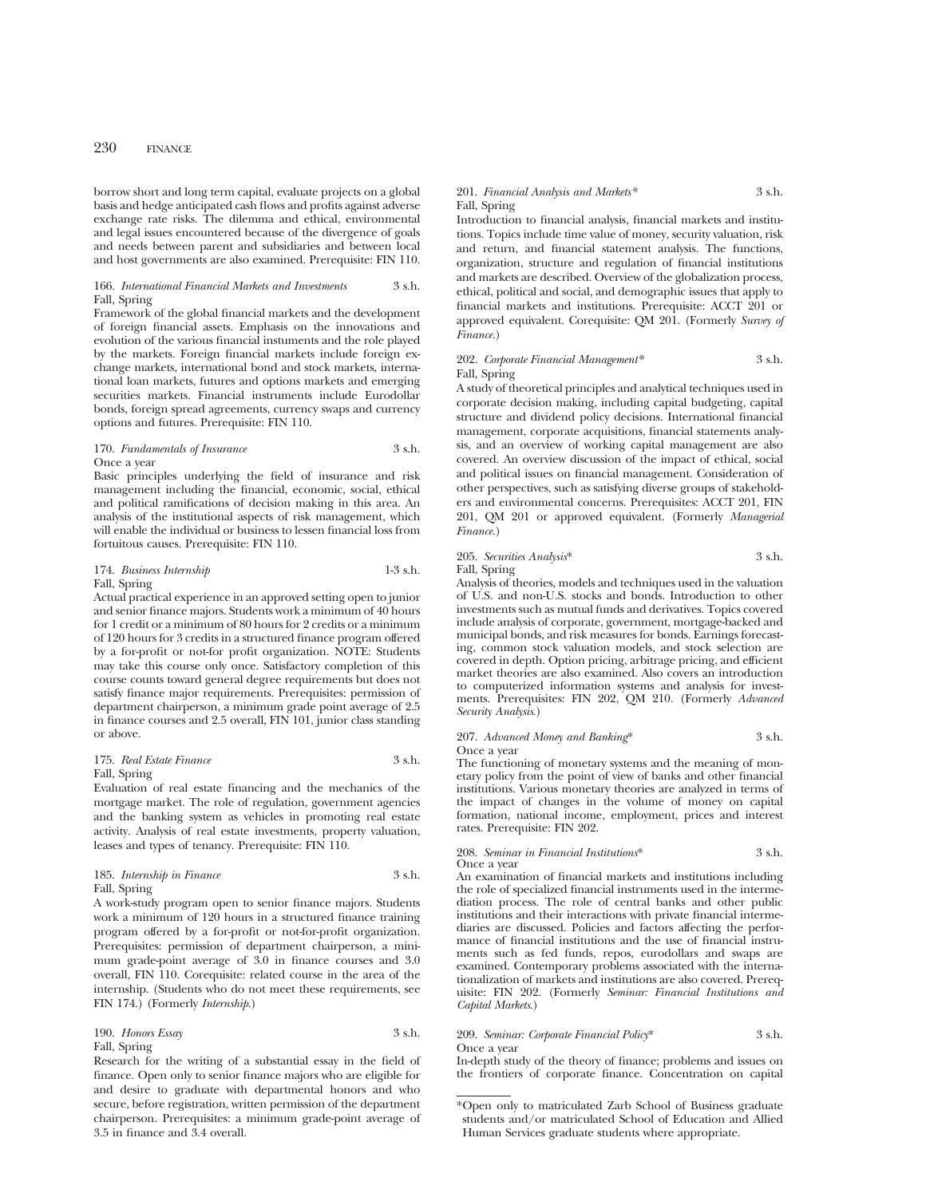borrow short and long term capital, evaluate projects on a global basis and hedge anticipated cash flows and profits against adverse exchange rate risks. The dilemma and ethical, environmental and legal issues encountered because of the divergence of goals and needs between parent and subsidiaries and between local and host governments are also examined. Prerequisite: FIN 110.

#### 166. *International Financial Markets and Investments* 3 s.h. Fall, Spring

Framework of the global financial markets and the development of foreign financial assets. Emphasis on the innovations and evolution of the various financial instuments and the role played by the markets. Foreign financial markets include foreign exchange markets, international bond and stock markets, international loan markets, futures and options markets and emerging securities markets. Financial instruments include Eurodollar bonds, foreign spread agreements, currency swaps and currency options and futures. Prerequisite: FIN 110.

### 170. *Fundamentals of Insurance* 3 s.h. Once a year

Basic principles underlying the field of insurance and risk management including the financial, economic, social, ethical and political ramifications of decision making in this area. An analysis of the institutional aspects of risk management, which will enable the individual or business to lessen financial loss from fortuitous causes. Prerequisite: FIN 110.

## 174. *Business Internship* 1-3 s.h. Fall, Spring

Actual practical experience in an approved setting open to junior and senior finance majors. Students work a minimum of 40 hours for 1 credit or a minimum of 80 hours for 2 credits or a minimum of 120 hours for 3 credits in a structured finance program offered by a for-profit or not-for profit organization. NOTE: Students may take this course only once. Satisfactory completion of this course counts toward general degree requirements but does not satisfy finance major requirements. Prerequisites: permission of department chairperson, a minimum grade point average of 2.5 in finance courses and 2.5 overall, FIN 101, junior class standing or above.

## 175. *Real Estate Finance* 3 s.h. Fall, Spring

Evaluation of real estate financing and the mechanics of the mortgage market. The role of regulation, government agencies and the banking system as vehicles in promoting real estate activity. Analysis of real estate investments, property valuation, leases and types of tenancy. Prerequisite: FIN 110.

## 185. *Internship in Finance* 3 s.h. Fall, Spring

A work-study program open to senior finance majors. Students work a minimum of 120 hours in a structured finance training program offered by a for-profit or not-for-profit organization. Prerequisites: permission of department chairperson, a minimum grade-point average of 3.0 in finance courses and 3.0 overall, FIN 110. Corequisite: related course in the area of the internship. (Students who do not meet these requirements, see FIN 174.) (Formerly *Internship*.)

## 190. *Honors Essay* 3 s.h. Fall, Spring

Research for the writing of a substantial essay in the field of finance. Open only to senior finance majors who are eligible for and desire to graduate with departmental honors and who secure, before registration, written permission of the department chairperson. Prerequisites: a minimum grade-point average of 3.5 in finance and 3.4 overall.

#### 201. *Financial Analysis and Markets\** 3 s.h. Fall, Spring

Introduction to financial analysis, financial markets and institutions. Topics include time value of money, security valuation, risk and return, and financial statement analysis. The functions, organization, structure and regulation of financial institutions and markets are described. Overview of the globalization process, ethical, political and social, and demographic issues that apply to financial markets and institutions. Prerequisite: ACCT 201 or approved equivalent. Corequisite: QM 201. (Formerly *Survey of Finance.*)

### 202. *Corporate Financial Management\** 3 s.h. Fall, Spring

A study of theoretical principles and analytical techniques used in corporate decision making, including capital budgeting, capital structure and dividend policy decisions. International financial management, corporate acquisitions, financial statements analysis, and an overview of working capital management are also covered. An overview discussion of the impact of ethical, social and political issues on financial management. Consideration of other perspectives, such as satisfying diverse groups of stakeholders and environmental concerns. Prerequisites: ACCT 201, FIN 201, QM 201 or approved equivalent. (Formerly *Managerial Finance.*)

## 205. *Securities Analysis*\* 3 s.h.

Fall, Spring

Analysis of theories, models and techniques used in the valuation of U.S. and non-U.S. stocks and bonds. Introduction to other investments such as mutual funds and derivatives. Topics covered include analysis of corporate, government, mortgage-backed and municipal bonds, and risk measures for bonds. Earnings forecasting, common stock valuation models, and stock selection are covered in depth. Option pricing, arbitrage pricing, and efficient market theories are also examined. Also covers an introduction to computerized information systems and analysis for investments. Prerequisites: FIN 202, QM 210. (Formerly *Advanced Security Analysis*.)

## 207. *Advanced Money and Banking*\* 3 s.h. Once a year

The functioning of monetary systems and the meaning of monetary policy from the point of view of banks and other financial institutions. Various monetary theories are analyzed in terms of the impact of changes in the volume of money on capital formation, national income, employment, prices and interest rates. Prerequisite: FIN 202.

#### 208. *Seminar in Financial Institutions*\* 3 s.h. Once a year

An examination of financial markets and institutions including the role of specialized financial instruments used in the intermediation process. The role of central banks and other public institutions and their interactions with private financial intermediaries are discussed. Policies and factors affecting the performance of financial institutions and the use of financial instruments such as fed funds, repos, eurodollars and swaps are examined. Contemporary problems associated with the internationalization of markets and institutions are also covered. Prerequisite: FIN 202. (Formerly *Seminar: Financial Institutions and Capital Markets*.)

#### 209. *Seminar: Corporate Financial Policy*\* 3 s.h. Once a year

In-depth study of the theory of finance; problems and issues on the frontiers of corporate finance. Concentration on capital

<sup>\*</sup>Open only to matriculated Zarb School of Business graduate students and/or matriculated School of Education and Allied Human Services graduate students where appropriate.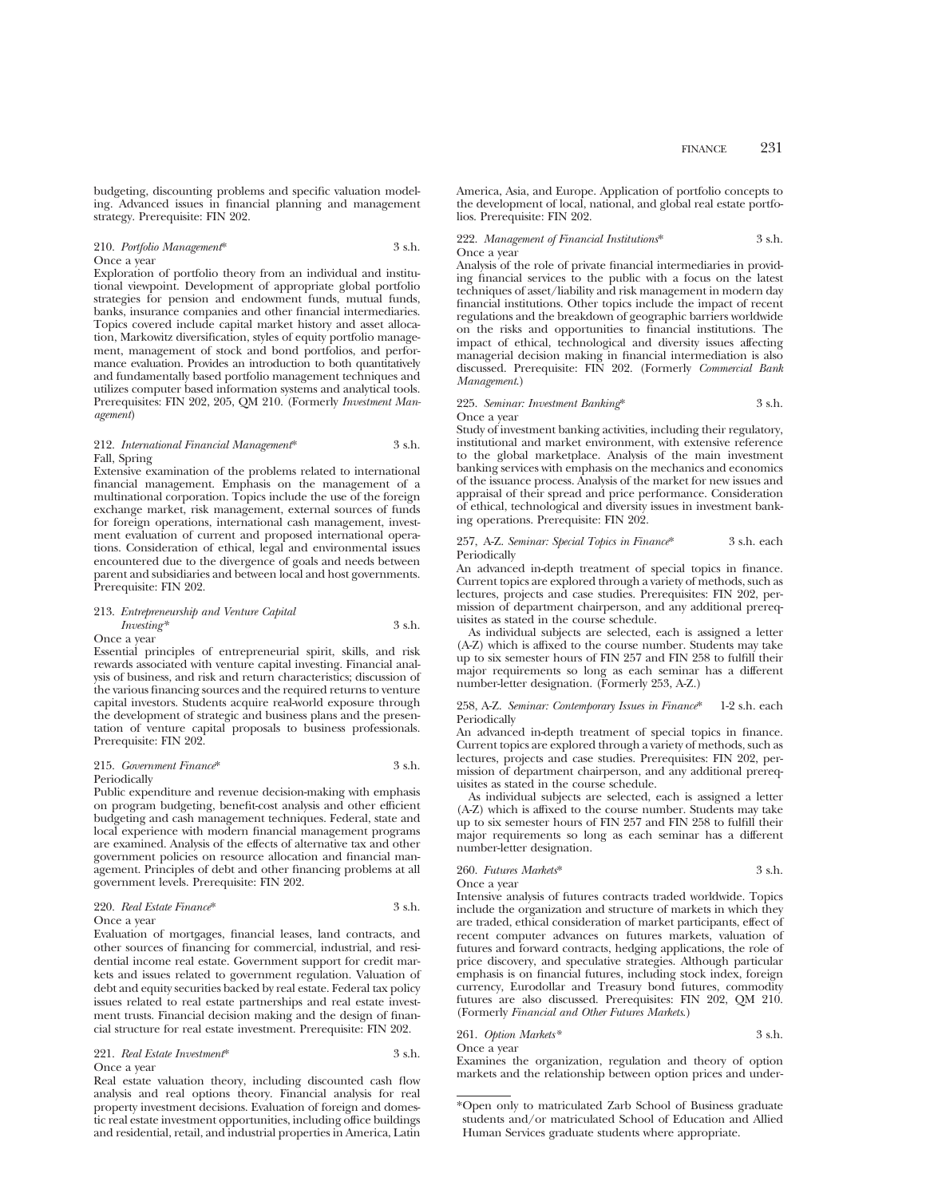budgeting, discounting problems and specific valuation modeling. Advanced issues in financial planning and management strategy. Prerequisite: FIN 202.

#### 210. *Portfolio Management*\* 3 s.h. Once a year

Exploration of portfolio theory from an individual and institutional viewpoint. Development of appropriate global portfolio strategies for pension and endowment funds, mutual funds, banks, insurance companies and other financial intermediaries. Topics covered include capital market history and asset allocation, Markowitz diversification, styles of equity portfolio management, management of stock and bond portfolios, and performance evaluation. Provides an introduction to both quantitatively and fundamentally based portfolio management techniques and utilizes computer based information systems and analytical tools. Prerequisites: FIN 202, 205, QM 210. (Formerly *Investment Management*)

#### 212. *International Financial Management*\* 3 s.h. Fall, Spring

Extensive examination of the problems related to international financial management. Emphasis on the management of a multinational corporation. Topics include the use of the foreign exchange market, risk management, external sources of funds for foreign operations, international cash management, investment evaluation of current and proposed international operations. Consideration of ethical, legal and environmental issues encountered due to the divergence of goals and needs between parent and subsidiaries and between local and host governments. Prerequisite: FIN 202.

## 213. *Entrepreneurship and Venture Capital Investing\** 3 s.h.

Once a year

Essential principles of entrepreneurial spirit, skills, and risk rewards associated with venture capital investing. Financial analysis of business, and risk and return characteristics; discussion of the various financing sources and the required returns to venture capital investors. Students acquire real-world exposure through the development of strategic and business plans and the presentation of venture capital proposals to business professionals. Prerequisite: FIN 202.

#### 215. *Government Finance*\* 3 s.h. Periodically

Public expenditure and revenue decision-making with emphasis on program budgeting, benefit-cost analysis and other efficient budgeting and cash management techniques. Federal, state and local experience with modern financial management programs are examined. Analysis of the effects of alternative tax and other government policies on resource allocation and financial management. Principles of debt and other financing problems at all government levels. Prerequisite: FIN 202.

## 220. *Real Estate Finance*\* 3 s.h.

Once a year

Evaluation of mortgages, financial leases, land contracts, and other sources of financing for commercial, industrial, and residential income real estate. Government support for credit markets and issues related to government regulation. Valuation of debt and equity securities backed by real estate. Federal tax policy issues related to real estate partnerships and real estate investment trusts. Financial decision making and the design of financial structure for real estate investment. Prerequisite: FIN 202.

#### 221. *Real Estate Investment*\* 3 s.h. Once a year

Real estate valuation theory, including discounted cash flow analysis and real options theory. Financial analysis for real property investment decisions. Evaluation of foreign and domestic real estate investment opportunities, including office buildings and residential, retail, and industrial properties in America, Latin

America, Asia, and Europe. Application of portfolio concepts to the development of local, national, and global real estate portfolios. Prerequisite: FIN 202.

222. *Management of Financial Institutions*\* 3 s.h. Once a year

Analysis of the role of private financial intermediaries in providing financial services to the public with a focus on the latest techniques of asset/liability and risk management in modern day financial institutions. Other topics include the impact of recent regulations and the breakdown of geographic barriers worldwide on the risks and opportunities to financial institutions. The impact of ethical, technological and diversity issues affecting managerial decision making in financial intermediation is also discussed. Prerequisite: FIN 202. (Formerly *Commercial Bank Management*.)

## 225. *Seminar: Investment Banking*\* 3 s.h. Once a year

Study of investment banking activities, including their regulatory, institutional and market environment, with extensive reference to the global marketplace. Analysis of the main investment banking services with emphasis on the mechanics and economics of the issuance process. Analysis of the market for new issues and appraisal of their spread and price performance. Consideration of ethical, technological and diversity issues in investment banking operations. Prerequisite: FIN 202.

#### 257, A-Z. *Seminar: Special Topics in Finance*\* 3 s.h. each Periodically

An advanced in-depth treatment of special topics in finance. Current topics are explored through a variety of methods, such as lectures, projects and case studies. Prerequisites: FIN 202, permission of department chairperson, and any additional prerequisites as stated in the course schedule.

As individual subjects are selected, each is assigned a letter (A-Z) which is affixed to the course number. Students may take up to six semester hours of FIN 257 and FIN 258 to fulfill their major requirements so long as each seminar has a different number-letter designation. (Formerly 253, A-Z.)

258, A-Z. *Seminar: Contemporary Issues in Finance*\* 1-2 s.h. each Periodically

An advanced in-depth treatment of special topics in finance. Current topics are explored through a variety of methods, such as lectures, projects and case studies. Prerequisites: FIN 202, permission of department chairperson, and any additional prerequisites as stated in the course schedule.

As individual subjects are selected, each is assigned a letter (A-Z) which is affixed to the course number. Students may take up to six semester hours of FIN 257 and FIN 258 to fulfill their major requirements so long as each seminar has a different number-letter designation.

260. *Futures Markets*\* 3 s.h. Once a year

Intensive analysis of futures contracts traded worldwide. Topics include the organization and structure of markets in which they are traded, ethical consideration of market participants, effect of recent computer advances on futures markets, valuation of futures and forward contracts, hedging applications, the role of price discovery, and speculative strategies. Although particular emphasis is on financial futures, including stock index, foreign currency, Eurodollar and Treasury bond futures, commodity futures are also discussed. Prerequisites: FIN 202, QM 210. (Formerly *Financial and Other Futures Markets*.)

261. *Option Markets\** 3 s.h. Once a year

Examines the organization, regulation and theory of option markets and the relationship between option prices and under-

<sup>\*</sup>Open only to matriculated Zarb School of Business graduate students and/or matriculated School of Education and Allied Human Services graduate students where appropriate.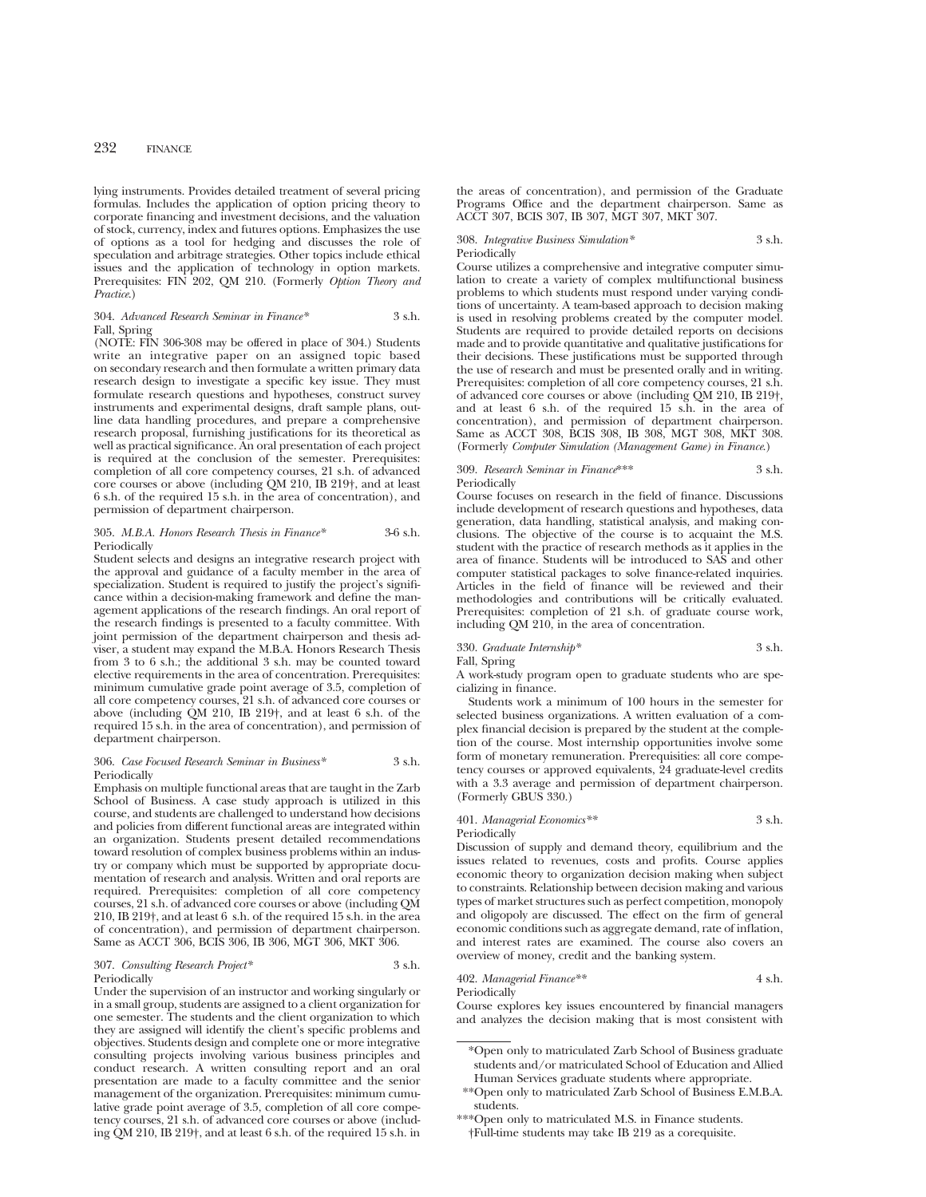lying instruments. Provides detailed treatment of several pricing formulas. Includes the application of option pricing theory to corporate financing and investment decisions, and the valuation of stock, currency, index and futures options. Emphasizes the use of options as a tool for hedging and discusses the role of speculation and arbitrage strategies. Other topics include ethical issues and the application of technology in option markets. Prerequisites: FIN 202, QM 210. (Formerly *Option Theory and Practice*.)

#### 304. *Advanced Research Seminar in Finance\** 3 s.h. Fall, Spring

(NOTE: FIN 306-308 may be offered in place of 304.) Students write an integrative paper on an assigned topic based on secondary research and then formulate a written primary data research design to investigate a specific key issue. They must formulate research questions and hypotheses, construct survey instruments and experimental designs, draft sample plans, outline data handling procedures, and prepare a comprehensive research proposal, furnishing justifications for its theoretical as well as practical significance. An oral presentation of each project is required at the conclusion of the semester. Prerequisites: completion of all core competency courses, 21 s.h. of advanced core courses or above (including QM 210, IB 219†, and at least 6 s.h. of the required 15 s.h. in the area of concentration), and permission of department chairperson.

#### 305. *M.B.A. Honors Research Thesis in Finance\** 3-6 s.h. Periodically

Student selects and designs an integrative research project with the approval and guidance of a faculty member in the area of specialization. Student is required to justify the project's significance within a decision-making framework and define the management applications of the research findings. An oral report of the research findings is presented to a faculty committee. With joint permission of the department chairperson and thesis adviser, a student may expand the M.B.A. Honors Research Thesis from 3 to 6 s.h.; the additional 3 s.h. may be counted toward elective requirements in the area of concentration. Prerequisites: minimum cumulative grade point average of 3.5, completion of all core competency courses, 21 s.h. of advanced core courses or above (including QM 210, IB 219†, and at least 6 s.h. of the required 15 s.h. in the area of concentration), and permission of department chairperson.

#### 306. *Case Focused Research Seminar in Business\** 3 s.h. Periodically

Emphasis on multiple functional areas that are taught in the Zarb School of Business. A case study approach is utilized in this course, and students are challenged to understand how decisions and policies from different functional areas are integrated within an organization. Students present detailed recommendations toward resolution of complex business problems within an industry or company which must be supported by appropriate documentation of research and analysis. Written and oral reports are required. Prerequisites: completion of all core competency courses, 21 s.h. of advanced core courses or above (including QM 210, IB 219†, and at least 6 s.h. of the required 15 s.h. in the area of concentration), and permission of department chairperson. Same as ACCT 306, BCIS 306, IB 306, MGT 306, MKT 306.

#### 307. *Consulting Research Project\** 3 s.h. Periodically

Under the supervision of an instructor and working singularly or in a small group, students are assigned to a client organization for one semester. The students and the client organization to which they are assigned will identify the client's specific problems and objectives. Students design and complete one or more integrative consulting projects involving various business principles and conduct research. A written consulting report and an oral presentation are made to a faculty committee and the senior management of the organization. Prerequisites: minimum cumulative grade point average of 3.5, completion of all core competency courses, 21 s.h. of advanced core courses or above (including QM 210, IB 219†, and at least 6 s.h. of the required 15 s.h. in

the areas of concentration), and permission of the Graduate Programs Office and the department chairperson. Same as ACCT 307, BCIS 307, IB 307, MGT 307, MKT 307.

308. *Integrative Business Simulation\** 3 s.h. Periodically

Course utilizes a comprehensive and integrative computer simulation to create a variety of complex multifunctional business problems to which students must respond under varying conditions of uncertainty. A team-based approach to decision making is used in resolving problems created by the computer model. Students are required to provide detailed reports on decisions made and to provide quantitative and qualitative justifications for their decisions. These justifications must be supported through the use of research and must be presented orally and in writing. Prerequisites: completion of all core competency courses, 21 s.h. of advanced core courses or above (including QM 210, IB 219†, and at least 6 s.h. of the required 15 s.h. in the area of concentration), and permission of department chairperson. Same as ACCT 308, BCIS 308, IB 308, MGT 308, MKT 308. (Formerly *Computer Simulation (Management Game) in Finance*.)

#### 309. *Research Seminar in Finance*\*\*\* 3 s.h. Periodically

Course focuses on research in the field of finance. Discussions include development of research questions and hypotheses, data generation, data handling, statistical analysis, and making conclusions. The objective of the course is to acquaint the M.S. student with the practice of research methods as it applies in the area of finance. Students will be introduced to SAS and other computer statistical packages to solve finance-related inquiries. Articles in the field of finance will be reviewed and their methodologies and contributions will be critically evaluated. Prerequisites: completion of 21 s.h. of graduate course work, including QM 210, in the area of concentration.

## 330. *Graduate Internship\** 3 s.h.

Fall, Spring

A work-study program open to graduate students who are specializing in finance.

Students work a minimum of 100 hours in the semester for selected business organizations. A written evaluation of a complex financial decision is prepared by the student at the completion of the course. Most internship opportunities involve some form of monetary remuneration. Prerequisities: all core competency courses or approved equivalents, 24 graduate-level credits with a 3.3 average and permission of department chairperson. (Formerly GBUS 330.)

## 401. *Managerial Economics\*\** 3 s.h.

Periodically

Discussion of supply and demand theory, equilibrium and the issues related to revenues, costs and profits. Course applies economic theory to organization decision making when subject to constraints. Relationship between decision making and various types of market structures such as perfect competition, monopoly and oligopoly are discussed. The effect on the firm of general economic conditions such as aggregate demand, rate of inflation, and interest rates are examined. The course also covers an overview of money, credit and the banking system.

## 402. *Managerial Finance\*\** 4 s.h.

**Periodically** Course explores key issues encountered by financial managers and analyzes the decision making that is most consistent with

\*\*\*Open only to matriculated M.S. in Finance students. †Full-time students may take IB 219 as a corequisite.

<sup>\*</sup>Open only to matriculated Zarb School of Business graduate students and/or matriculated School of Education and Allied Human Services graduate students where appropriate.

<sup>\*\*</sup>Open only to matriculated Zarb School of Business E.M.B.A. students.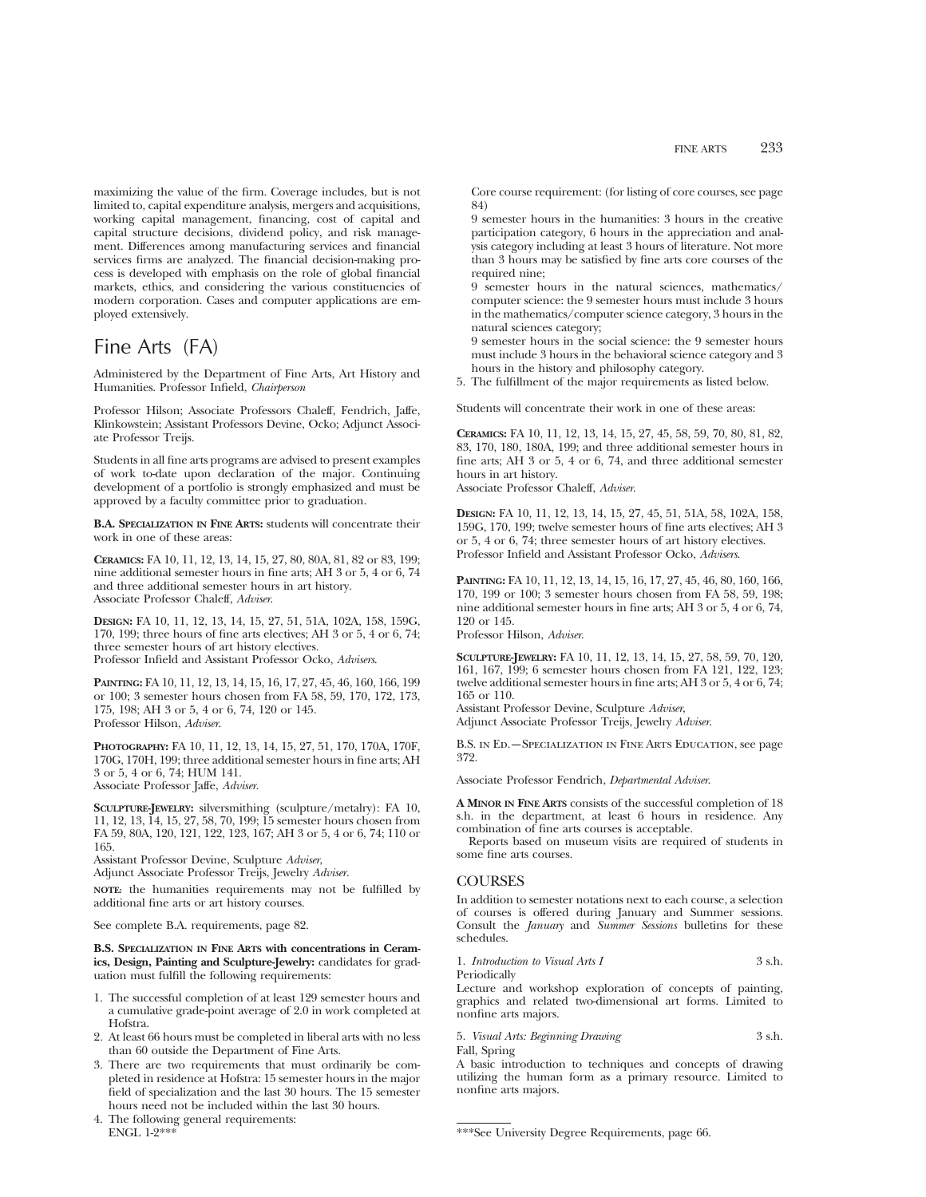maximizing the value of the firm. Coverage includes, but is not limited to, capital expenditure analysis, mergers and acquisitions, working capital management, financing, cost of capital and capital structure decisions, dividend policy, and risk management. Differences among manufacturing services and financial services firms are analyzed. The financial decision-making process is developed with emphasis on the role of global financial markets, ethics, and considering the various constituencies of modern corporation. Cases and computer applications are employed extensively.

# Fine Arts (FA)

Administered by the Department of Fine Arts, Art History and Humanities. Professor Infield, *Chairperson*

Professor Hilson; Associate Professors Chaleff, Fendrich, Jaffe, Klinkowstein; Assistant Professors Devine, Ocko; Adjunct Associate Professor Treijs.

Students in all fine arts programs are advised to present examples of work to-date upon declaration of the major. Continuing development of a portfolio is strongly emphasized and must be approved by a faculty committee prior to graduation.

**B.A. SPECIALIZATION IN FINE ARTS:** students will concentrate their work in one of these areas:

**CERAMICS:** FA 10, 11, 12, 13, 14, 15, 27, 80, 80A, 81, 82 or 83, 199; nine additional semester hours in fine arts; AH 3 or 5, 4 or 6, 74 and three additional semester hours in art history. Associate Professor Chaleff, *Adviser*.

**DESIGN:** FA 10, 11, 12, 13, 14, 15, 27, 51, 51A, 102A, 158, 159G, 170, 199; three hours of fine arts electives; AH 3 or 5, 4 or 6, 74; three semester hours of art history electives. Professor Infield and Assistant Professor Ocko, *Advisers*.

**PAINTING:** FA 10, 11, 12, 13, 14, 15, 16, 17, 27, 45, 46, 160, 166, 199 or 100; 3 semester hours chosen from FA 58, 59, 170, 172, 173, 175, 198; AH 3 or 5, 4 or 6, 74, 120 or 145. Professor Hilson, *Adviser*.

**PHOTOGRAPHY:** FA 10, 11, 12, 13, 14, 15, 27, 51, 170, 170A, 170F, 170G, 170H, 199; three additional semester hours in fine arts; AH 3 or 5, 4 or 6, 74; HUM 141. Associate Professor Jaffe, *Adviser*.

**SCULPTURE-JEWELRY:** silversmithing (sculpture/metalry): FA 10, 11, 12, 13, 14, 15, 27, 58, 70, 199; 15 semester hours chosen from FA 59, 80A, 120, 121, 122, 123, 167; AH 3 or 5, 4 or 6, 74; 110 or 165.

Assistant Professor Devine, Sculpture *Adviser*,

Adjunct Associate Professor Treijs, Jewelry *Adviser.*

**NOTE:** the humanities requirements may not be fulfilled by additional fine arts or art history courses.

See complete B.A. requirements, page 82.

**B.S. SPECIALIZATION IN FINE ARTS with concentrations in Ceramics, Design, Painting and Sculpture-Jewelry:** candidates for graduation must fulfill the following requirements:

- 1. The successful completion of at least 129 semester hours and a cumulative grade-point average of 2.0 in work completed at Hofstra.
- 2. At least 66 hours must be completed in liberal arts with no less than 60 outside the Department of Fine Arts.
- 3. There are two requirements that must ordinarily be completed in residence at Hofstra: 15 semester hours in the major field of specialization and the last 30 hours. The 15 semester hours need not be included within the last 30 hours.
- 4. The following general requirements: ENGL 1-2\*\*\*

Core course requirement: (for listing of core courses, see page 84)

9 semester hours in the humanities: 3 hours in the creative participation category, 6 hours in the appreciation and analysis category including at least 3 hours of literature. Not more than 3 hours may be satisfied by fine arts core courses of the required nine;

9 semester hours in the natural sciences, mathematics/ computer science: the 9 semester hours must include 3 hours in the mathematics/computer science category, 3 hours in the natural sciences category;

9 semester hours in the social science: the 9 semester hours must include 3 hours in the behavioral science category and 3 hours in the history and philosophy category.

5. The fulfillment of the major requirements as listed below.

Students will concentrate their work in one of these areas:

**CERAMICS:** FA 10, 11, 12, 13, 14, 15, 27, 45, 58, 59, 70, 80, 81, 82, 83, 170, 180, 180A, 199; and three additional semester hours in fine arts; AH 3 or 5, 4 or 6, 74, and three additional semester hours in art history.

Associate Professor Chaleff, *Adviser*.

**DESIGN:** FA 10, 11, 12, 13, 14, 15, 27, 45, 51, 51A, 58, 102A, 158, 159G, 170, 199; twelve semester hours of fine arts electives; AH 3 or 5, 4 or 6, 74; three semester hours of art history electives. Professor Infield and Assistant Professor Ocko, *Advisers*.

**PAINTING:** FA 10, 11, 12, 13, 14, 15, 16, 17, 27, 45, 46, 80, 160, 166, 170, 199 or 100; 3 semester hours chosen from FA 58, 59, 198; nine additional semester hours in fine arts; AH 3 or 5, 4 or 6, 74, 120 or 145.

Professor Hilson, *Adviser*.

**SCULPTURE-JEWELRY:** FA 10, 11, 12, 13, 14, 15, 27, 58, 59, 70, 120, 161, 167, 199; 6 semester hours chosen from FA 121, 122, 123; twelve additional semester hours in fine arts; AH 3 or 5, 4 or 6, 74; 165 or 110.

Assistant Professor Devine, Sculpture *Adviser*,

Adjunct Associate Professor Treijs, Jewelry *Adviser*.

B.S. in Ed.—Specialization in Fine Arts Education, see page 372.

Associate Professor Fendrich, *Departmental Adviser*.

**A MINOR IN FINE ARTS** consists of the successful completion of 18 s.h. in the department, at least 6 hours in residence. Any combination of fine arts courses is acceptable.

Reports based on museum visits are required of students in some fine arts courses.

## **COURSES**

In addition to semester notations next to each course, a selection of courses is offered during January and Summer sessions. Consult the *January* and *Summer Sessions* bulletins for these schedules.

```
1. Introduction to Visual Arts I 3 s.h.
Periodically
```
Lecture and workshop exploration of concepts of painting, graphics and related two-dimensional art forms. Limited to nonfine arts majors.

```
5. Visual Arts: Beginning Drawing 3 s.h.
Fall, Spring
```
A basic introduction to techniques and concepts of drawing utilizing the human form as a primary resource. Limited to nonfine arts majors.

<sup>\*\*\*</sup>See University Degree Requirements, page 66.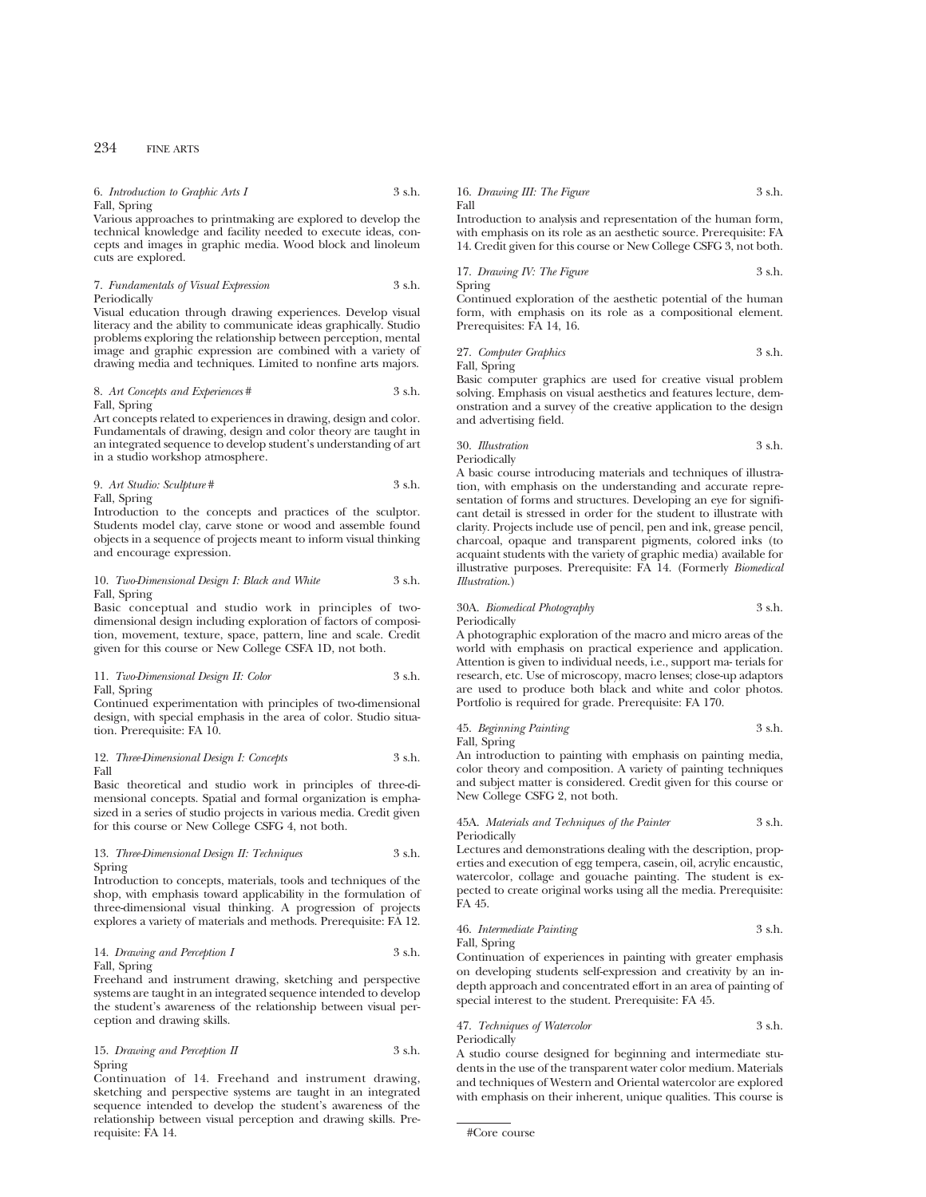6. *Introduction to Graphic Arts I* 3 s.h. Fall, Spring

Various approaches to printmaking are explored to develop the technical knowledge and facility needed to execute ideas, concepts and images in graphic media. Wood block and linoleum cuts are explored.

7. *Fundamentals of Visual Expression* 3 s.h. Periodically

Visual education through drawing experiences. Develop visual literacy and the ability to communicate ideas graphically. Studio problems exploring the relationship between perception, mental image and graphic expression are combined with a variety of drawing media and techniques. Limited to nonfine arts majors.

#### 8. *Art Concepts and Experiences* # 3 s.h. Fall, Spring

Art concepts related to experiences in drawing, design and color. Fundamentals of drawing, design and color theory are taught in an integrated sequence to develop student's understanding of art in a studio workshop atmosphere.

9. *Art Studio: Sculpture* # 3 s.h. Fall, Spring

Introduction to the concepts and practices of the sculptor. Students model clay, carve stone or wood and assemble found objects in a sequence of projects meant to inform visual thinking and encourage expression.

#### 10. *Two-Dimensional Design I: Black and White* 3 s.h. Fall, Spring

Basic conceptual and studio work in principles of twodimensional design including exploration of factors of composition, movement, texture, space, pattern, line and scale. Credit given for this course or New College CSFA 1D, not both.

11. *Two-Dimensional Design II: Color* 3 s.h. Fall, Spring

Continued experimentation with principles of two-dimensional design, with special emphasis in the area of color. Studio situation. Prerequisite: FA 10.

12. *Three-Dimensional Design I: Concepts* 3 s.h. Fall

Basic theoretical and studio work in principles of three-dimensional concepts. Spatial and formal organization is emphasized in a series of studio projects in various media. Credit given for this course or New College CSFG 4, not both.

13. *Three-Dimensional Design II: Techniques* 3 s.h. Spring

Introduction to concepts, materials, tools and techniques of the shop, with emphasis toward applicability in the formulation of three-dimensional visual thinking. A progression of projects explores a variety of materials and methods. Prerequisite: FA 12.

## 14. *Drawing and Perception I* 3 s.h. Fall, Spring

Freehand and instrument drawing, sketching and perspective systems are taught in an integrated sequence intended to develop the student's awareness of the relationship between visual perception and drawing skills.

## 15. *Drawing and Perception II* 3 s.h. Spring

Continuation of 14. Freehand and instrument drawing, sketching and perspective systems are taught in an integrated sequence intended to develop the student's awareness of the relationship between visual perception and drawing skills. Prerequisite: FA 14.

16. *Drawing III: The Figure* 3 s.h. Fall

Introduction to analysis and representation of the human form, with emphasis on its role as an aesthetic source. Prerequisite: FA 14. Credit given for this course or New College CSFG 3, not both.

17. *Drawing IV: The Figure* 3 s.h. Spring

Continued exploration of the aesthetic potential of the human form, with emphasis on its role as a compositional element. Prerequisites: FA 14, 16.

27. *Computer Graphics* 3 s.h. Fall, Spring

Basic computer graphics are used for creative visual problem solving. Emphasis on visual aesthetics and features lecture, demonstration and a survey of the creative application to the design and advertising field.

30. *Illustration* 3 s.h.

Periodically

A basic course introducing materials and techniques of illustration, with emphasis on the understanding and accurate representation of forms and structures. Developing an eye for significant detail is stressed in order for the student to illustrate with clarity. Projects include use of pencil, pen and ink, grease pencil, charcoal, opaque and transparent pigments, colored inks (to acquaint students with the variety of graphic media) available for illustrative purposes. Prerequisite: FA 14. (Formerly *Biomedical Illustration*.)

## 30A. *Biomedical Photography* 3 s.h.

Periodically

A photographic exploration of the macro and micro areas of the world with emphasis on practical experience and application. Attention is given to individual needs, i.e., support ma- terials for research, etc. Use of microscopy, macro lenses; close-up adaptors are used to produce both black and white and color photos. Portfolio is required for grade. Prerequisite: FA 170.

45. *Beginning Painting* 3 s.h. Fall, Spring

An introduction to painting with emphasis on painting media, color theory and composition. A variety of painting techniques and subject matter is considered. Credit given for this course or New College CSFG 2, not both.

45A. *Materials and Techniques of the Painter* 3 s.h. Periodically

Lectures and demonstrations dealing with the description, properties and execution of egg tempera, casein, oil, acrylic encaustic, watercolor, collage and gouache painting. The student is expected to create original works using all the media. Prerequisite: FA 45.

## 46. *Intermediate Painting* 3 s.h.

Fall, Spring

Continuation of experiences in painting with greater emphasis on developing students self-expression and creativity by an indepth approach and concentrated effort in an area of painting of special interest to the student. Prerequisite: FA 45.

#### 47. *Techniques of Watercolor* 3 s.h. Periodically

A studio course designed for beginning and intermediate students in the use of the transparent water color medium. Materials and techniques of Western and Oriental watercolor are explored with emphasis on their inherent, unique qualities. This course is

<sup>#</sup>Core course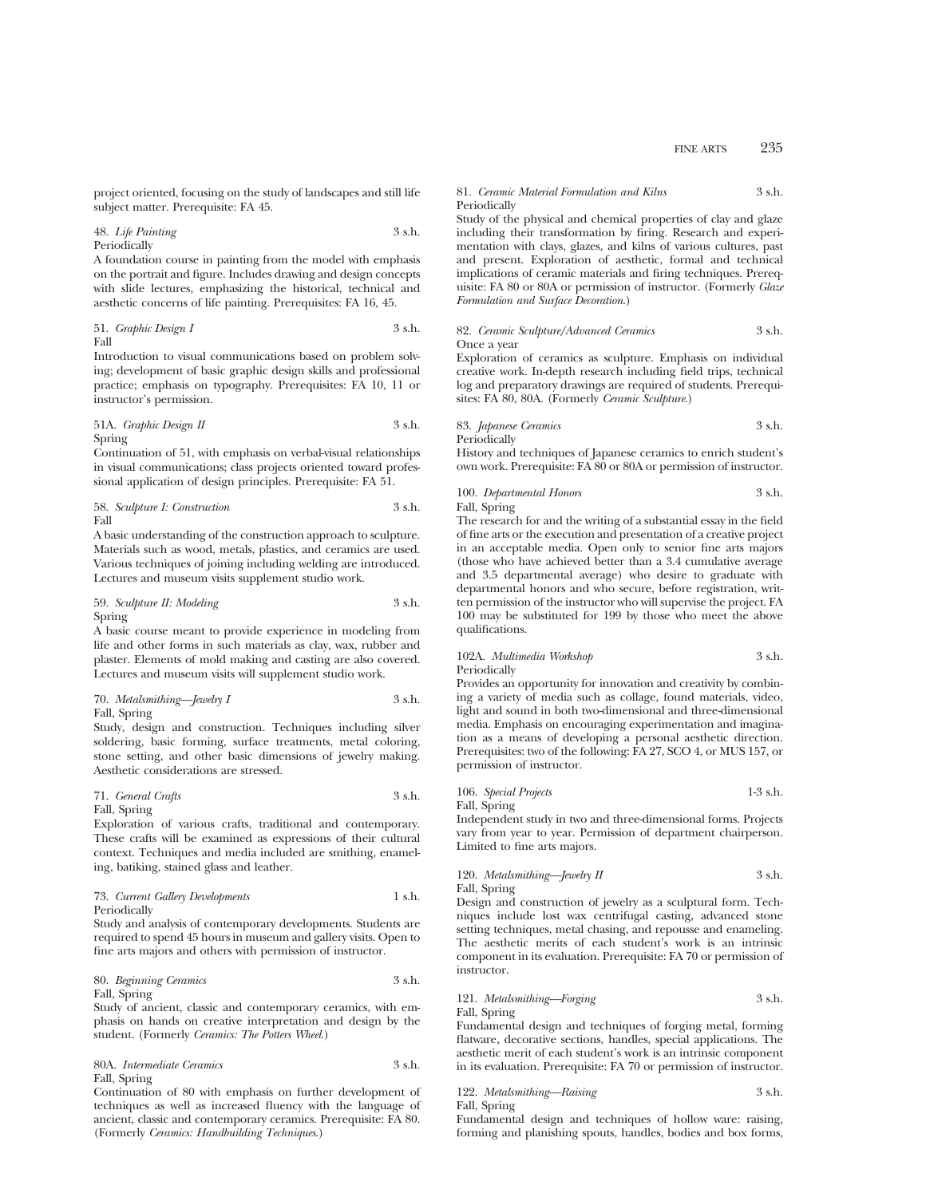project oriented, focusing on the study of landscapes and still life subject matter. Prerequisite: FA 45.

### 48. *Life Painting* 3 s.h. Periodically

A foundation course in painting from the model with emphasis on the portrait and figure. Includes drawing and design concepts with slide lectures, emphasizing the historical, technical and aesthetic concerns of life painting. Prerequisites: FA 16, 45.

51. *Graphic Design I* 3 s.h. Fall

Introduction to visual communications based on problem solving; development of basic graphic design skills and professional practice; emphasis on typography. Prerequisites: FA 10, 11 or instructor's permission.

51A. *Graphic Design II* 3 s.h. Spring

Continuation of 51, with emphasis on verbal-visual relationships in visual communications; class projects oriented toward professional application of design principles. Prerequisite: FA 51.

58. *Sculpture I: Construction* 3 s.h. Fall

A basic understanding of the construction approach to sculpture. Materials such as wood, metals, plastics, and ceramics are used. Various techniques of joining including welding are introduced. Lectures and museum visits supplement studio work.

59. *Sculpture II: Modeling* 3 s.h. Spring

A basic course meant to provide experience in modeling from life and other forms in such materials as clay, wax, rubber and plaster. Elements of mold making and casting are also covered. Lectures and museum visits will supplement studio work.

70. *Metalsmithing—Jewelry I* 3 s.h. Fall, Spring

Study, design and construction. Techniques including silver soldering, basic forming, surface treatments, metal coloring, stone setting, and other basic dimensions of jewelry making. Aesthetic considerations are stressed.

71. *General Crafts* 3 s.h. Fall, Spring

Exploration of various crafts, traditional and contemporary. These crafts will be examined as expressions of their cultural context. Techniques and media included are smithing, enameling, batiking, stained glass and leather.

73. *Current Gallery Developments* 1 s.h. Periodically

Study and analysis of contemporary developments. Students are required to spend 45 hours in museum and gallery visits. Open to fine arts majors and others with permission of instructor.

80. *Beginning Ceramics* 3 s.h. Fall, Spring

Study of ancient, classic and contemporary ceramics, with emphasis on hands on creative interpretation and design by the student. (Formerly *Ceramics: The Potters Wheel*.)

80A. *Intermediate Ceramics* 3 s.h. Fall, Spring

Continuation of 80 with emphasis on further development of techniques as well as increased fluency with the language of ancient, classic and contemporary ceramics. Prerequisite: FA 80. (Formerly *Ceramics: Handbuilding Techniques*.)

#### 81. *Ceramic Material Formulation and Kilns* 3 s.h. Periodically

Study of the physical and chemical properties of clay and glaze including their transformation by firing. Research and experimentation with clays, glazes, and kilns of various cultures, past and present. Exploration of aesthetic, formal and technical implications of ceramic materials and firing techniques. Prerequisite: FA 80 or 80A or permission of instructor. (Formerly *Glaze Formulation and Surface Decoration*.)

#### 82. *Ceramic Sculpture/Advanced Ceramics* 3 s.h. Once a year

Exploration of ceramics as sculpture. Emphasis on individual creative work. In-depth research including field trips, technical log and preparatory drawings are required of students. Prerequisites: FA 80, 80A. (Formerly *Ceramic Sculpture*.)

83. *Japanese Ceramics* 3 s.h. Periodically

History and techniques of Japanese ceramics to enrich student's own work. Prerequisite: FA 80 or 80A or permission of instructor.

100. *Departmental Honors* 3 s.h. Fall, Spring

The research for and the writing of a substantial essay in the field of fine arts or the execution and presentation of a creative project in an acceptable media. Open only to senior fine arts majors (those who have achieved better than a 3.4 cumulative average and 3.5 departmental average) who desire to graduate with departmental honors and who secure, before registration, written permission of the instructor who will supervise the project. FA 100 may be substituted for 199 by those who meet the above qualifications.

## 102A. *Multimedia Workshop* 3 s.h. Periodically

Provides an opportunity for innovation and creativity by combining a variety of media such as collage, found materials, video, light and sound in both two-dimensional and three-dimensional media. Emphasis on encouraging experimentation and imagination as a means of developing a personal aesthetic direction. Prerequisites: two of the following: FA 27, SCO 4, or MUS 157, or permission of instructor.

106. *Special Projects* 1-3 s.h. Fall, Spring

Independent study in two and three-dimensional forms. Projects vary from year to year. Permission of department chairperson. Limited to fine arts majors.

120. *Metalsmithing—Jewelry II* 3 s.h. Fall, Spring

Design and construction of jewelry as a sculptural form. Techniques include lost wax centrifugal casting, advanced stone setting techniques, metal chasing, and repousse and enameling. The aesthetic merits of each student's work is an intrinsic component in its evaluation. Prerequisite: FA 70 or permission of instructor.

## 121. *Metalsmithing—Forging* 3 s.h. Fall, Spring

Fundamental design and techniques of forging metal, forming flatware, decorative sections, handles, special applications. The aesthetic merit of each student's work is an intrinsic component in its evaluation. Prerequisite: FA 70 or permission of instructor.

122. *Metalsmithing—Raising* 3 s.h.

Fall, Spring

Fundamental design and techniques of hollow ware: raising, forming and planishing spouts, handles, bodies and box forms,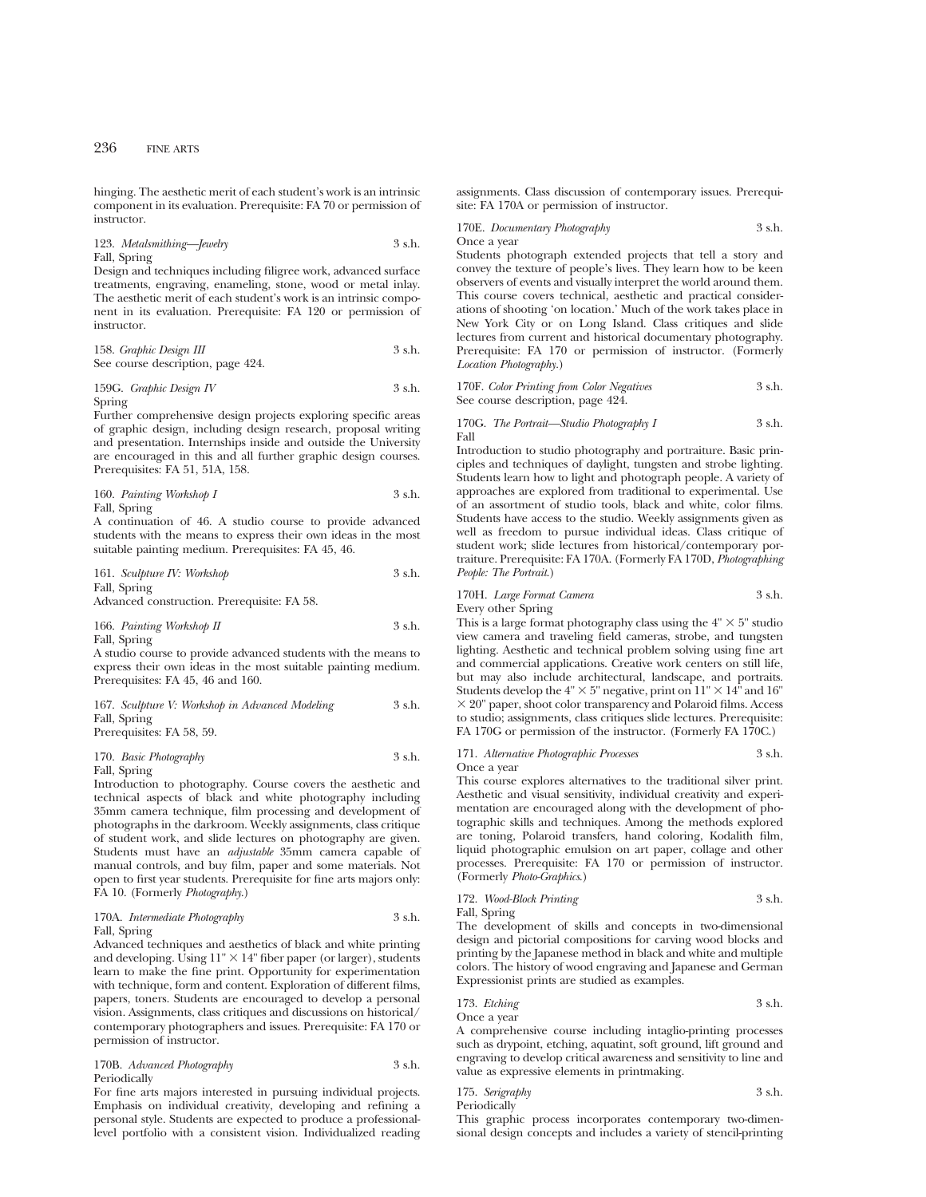hinging. The aesthetic merit of each student's work is an intrinsic component in its evaluation. Prerequisite: FA 70 or permission of instructor.

123. *Metalsmithing—Jewelry* 3 s.h. Fall, Spring

Design and techniques including filigree work, advanced surface treatments, engraving, enameling, stone, wood or metal inlay. The aesthetic merit of each student's work is an intrinsic component in its evaluation. Prerequisite: FA 120 or permission of instructor.

158. *Graphic Design III* 3 s.h. See course description, page 424.

159G. *Graphic Design IV* 3 s.h. Spring

Further comprehensive design projects exploring specific areas of graphic design, including design research, proposal writing and presentation. Internships inside and outside the University are encouraged in this and all further graphic design courses. Prerequisites: FA 51, 51A, 158.

160. *Painting Workshop I* 3 s.h. Fall, Spring

A continuation of 46. A studio course to provide advanced students with the means to express their own ideas in the most suitable painting medium. Prerequisites: FA 45, 46.

161. *Sculpture IV: Workshop* 3 s.h. Fall, Spring

Advanced construction. Prerequisite: FA 58.

166. *Painting Workshop II* 3 s.h. Fall, Spring

A studio course to provide advanced students with the means to express their own ideas in the most suitable painting medium. Prerequisites: FA 45, 46 and 160.

167. *Sculpture V: Workshop in Advanced Modeling*

\n58.5. **Example 3**

\n7. **6** Find the following equations: 
$$
FA = 58, 50
$$

Prerequisites: FA 58, 59.

```
170. Basic Photography 3 s.h.
Fall, Spring
```
Introduction to photography. Course covers the aesthetic and technical aspects of black and white photography including 35mm camera technique, film processing and development of photographs in the darkroom. Weekly assignments, class critique of student work, and slide lectures on photography are given. Students must have an *adjustable* 35mm camera capable of manual controls, and buy film, paper and some materials. Not open to first year students. Prerequisite for fine arts majors only: FA 10. (Formerly *Photography*.)

## 170A. *Intermediate Photography* 3 s.h. Fall, Spring

Advanced techniques and aesthetics of black and white printing and developing. Using  $11" \times 14"$  fiber paper (or larger), students learn to make the fine print. Opportunity for experimentation with technique, form and content. Exploration of different films, papers, toners. Students are encouraged to develop a personal vision. Assignments, class critiques and discussions on historical/ contemporary photographers and issues. Prerequisite: FA 170 or permission of instructor.

170B. *Advanced Photography* 3 s.h. Periodically

For fine arts majors interested in pursuing individual projects. Emphasis on individual creativity, developing and refining a personal style. Students are expected to produce a professionallevel portfolio with a consistent vision. Individualized reading assignments. Class discussion of contemporary issues. Prerequisite: FA 170A or permission of instructor.

170E. *Documentary Photography* 3 s.h.

Once a year

Students photograph extended projects that tell a story and convey the texture of people's lives. They learn how to be keen observers of events and visually interpret the world around them. This course covers technical, aesthetic and practical considerations of shooting 'on location.' Much of the work takes place in New York City or on Long Island. Class critiques and slide lectures from current and historical documentary photography. Prerequisite: FA 170 or permission of instructor. (Formerly *Location Photography.*)

170F. *Color Printing from Color Negatives* 3 s.h. See course description, page 424.

170G. *The Portrait—Studio Photography I* 3 s.h. Fall

Introduction to studio photography and portraiture. Basic principles and techniques of daylight, tungsten and strobe lighting. Students learn how to light and photograph people. A variety of approaches are explored from traditional to experimental. Use of an assortment of studio tools, black and white, color films. Students have access to the studio. Weekly assignments given as well as freedom to pursue individual ideas. Class critique of student work; slide lectures from historical/contemporary portraiture. Prerequisite: FA 170A. (Formerly FA 170D, *Photographing People: The Portrait*.)

#### 170H. *Large Format Camera* 3 s.h. Every other Spring

This is a large format photography class using the  $4" \times 5"$  studio view camera and traveling field cameras, strobe, and tungsten lighting. Aesthetic and technical problem solving using fine art and commercial applications. Creative work centers on still life, but may also include architectural, landscape, and portraits. Students develop the  $4" \times 5"$  negative, print on  $11" \times 14"$  and 16"  $\times$  20" paper, shoot color transparency and Polaroid films. Access to studio; assignments, class critiques slide lectures. Prerequisite: FA 170G or permission of the instructor. (Formerly FA 170C.)

#### 171. *Alternative Photographic Processes* 3 s.h. Once a year

This course explores alternatives to the traditional silver print. Aesthetic and visual sensitivity, individual creativity and experimentation are encouraged along with the development of photographic skills and techniques. Among the methods explored are toning, Polaroid transfers, hand coloring, Kodalith film, liquid photographic emulsion on art paper, collage and other processes. Prerequisite: FA 170 or permission of instructor. (Formerly *Photo-Graphics*.)

172. *Wood-Block Printing* 3 s.h. Fall, Spring

The development of skills and concepts in two-dimensional design and pictorial compositions for carving wood blocks and printing by the Japanese method in black and white and multiple colors. The history of wood engraving and Japanese and German Expressionist prints are studied as examples.

173. *Etching* 3 s.h.

Once a year

A comprehensive course including intaglio-printing processes such as drypoint, etching, aquatint, soft ground, lift ground and engraving to develop critical awareness and sensitivity to line and value as expressive elements in printmaking.

| 175. Serigraphy | 3 s.h. |
|-----------------|--------|
| Periodically    |        |

This graphic process incorporates contemporary two-dimensional design concepts and includes a variety of stencil-printing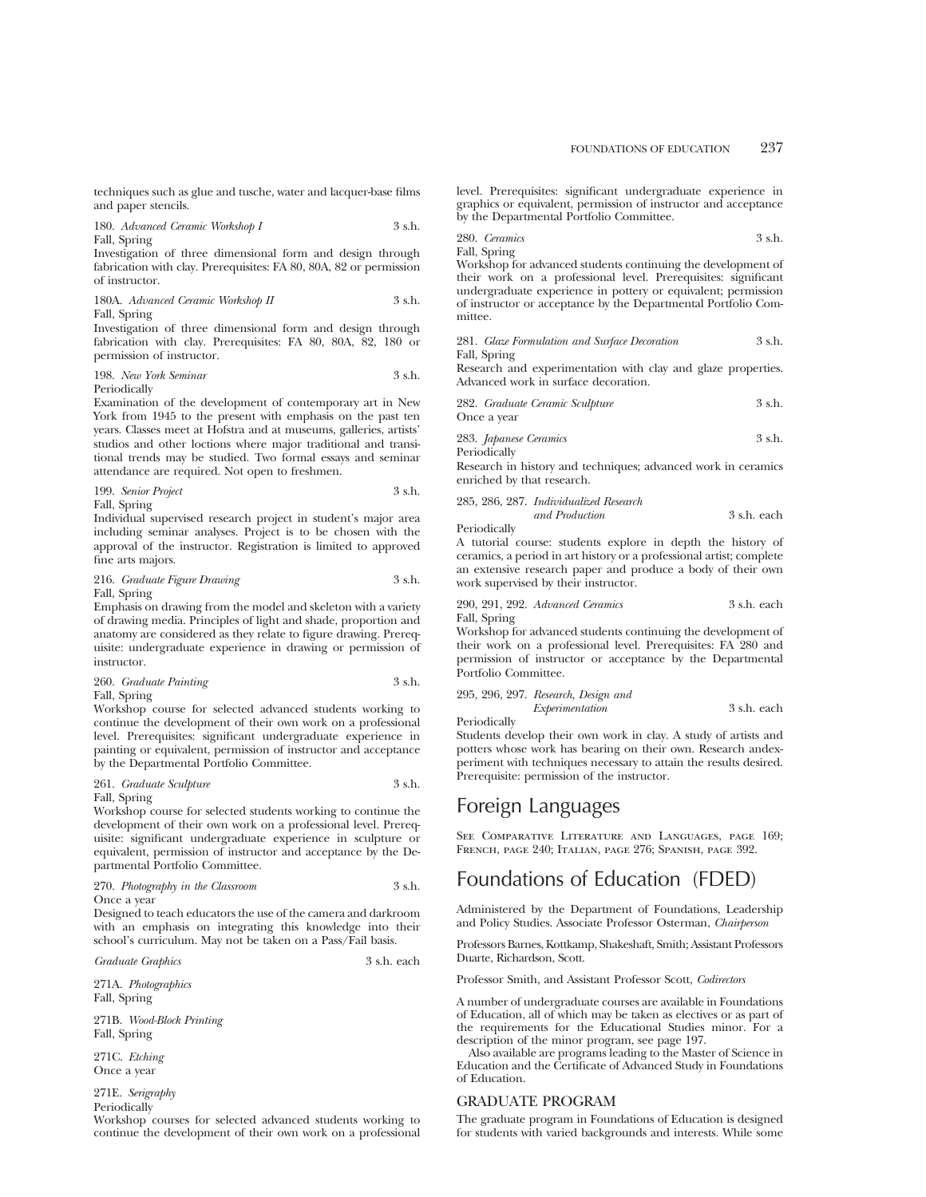techniques such as glue and tusche, water and lacquer-base films and paper stencils.

180. *Advanced Ceramic Workshop I* 3 s.h. Fall, Spring

Investigation of three dimensional form and design through fabrication with clay. Prerequisites: FA 80, 80A, 82 or permission of instructor.

180A. *Advanced Ceramic Workshop II* 3 s.h. Fall, Spring

Investigation of three dimensional form and design through fabrication with clay. Prerequisites: FA 80, 80A, 82, 180 or permission of instructor.

| 198. New York Seminar | 3 s.h. |
|-----------------------|--------|
| Periodically          |        |

Examination of the development of contemporary art in New York from 1945 to the present with emphasis on the past ten years. Classes meet at Hofstra and at museums, galleries, artists' studios and other loctions where major traditional and transitional trends may be studied. Two formal essays and seminar attendance are required. Not open to freshmen.

199. *Senior Project* 3 s.h. Fall, Spring

Individual supervised research project in student's major area including seminar analyses. Project is to be chosen with the approval of the instructor. Registration is limited to approved fine arts majors.

216. *Graduate Figure Drawing* 3 s.h. Fall, Spring

Emphasis on drawing from the model and skeleton with a variety of drawing media. Principles of light and shade, proportion and anatomy are considered as they relate to figure drawing. Prerequisite: undergraduate experience in drawing or permission of instructor.

260. *Graduate Painting* 3 s.h. Fall, Spring

Workshop course for selected advanced students working to continue the development of their own work on a professional level. Prerequisites: significant undergraduate experience in painting or equivalent, permission of instructor and acceptance by the Departmental Portfolio Committee.

#### 261. *Graduate Sculpture* 3 s.h. Fall, Spring

Workshop course for selected students working to continue the development of their own work on a professional level. Prerequisite: significant undergraduate experience in sculpture or equivalent, permission of instructor and acceptance by the Departmental Portfolio Committee.

270. *Photography in the Classroom* 3 s.h. Once a year

Designed to teach educators the use of the camera and darkroom with an emphasis on integrating this knowledge into their school's curriculum. May not be taken on a Pass/Fail basis.

*Graduate Graphics* 3 s.h. each

271A. *Photographics* Fall, Spring

271B. *Wood-Block Printing* Fall, Spring

271C. *Etching* Once a year

271E. *Serigraphy*

Periodically

Workshop courses for selected advanced students working to continue the development of their own work on a professional level. Prerequisites: significant undergraduate experience in graphics or equivalent, permission of instructor and acceptance by the Departmental Portfolio Committee.

280. *Ceramics* 3 s.h. Fall, Spring

Workshop for advanced students continuing the development of their work on a professional level. Prerequisites: significant undergraduate experience in pottery or equivalent; permission of instructor or acceptance by the Departmental Portfolio Committee.

|              | 281. Glaze Formulation and Surface Decoration | 3 s.h. |
|--------------|-----------------------------------------------|--------|
| Fall, Spring |                                               |        |

Research and experimentation with clay and glaze properties. Advanced work in surface decoration.

| 282. Graduate Ceramic Sculpture | 3 s.h. |
|---------------------------------|--------|
| Once a year                     |        |
| 283. Japanese Ceramics          | 3 s.h. |

**Periodically** 

Research in history and techniques; advanced work in ceramics enriched by that research.

|  | 285, 286, 287. Individualized Research |             |  |
|--|----------------------------------------|-------------|--|
|  | and Production                         | 3 s.h. each |  |

Periodically

A tutorial course: students explore in depth the history of ceramics, a period in art history or a professional artist; complete an extensive research paper and produce a body of their own work supervised by their instructor.

|              | 290, 291, 292. Advanced Ceramics | 3 s.h. each |
|--------------|----------------------------------|-------------|
| Fall, Spring |                                  |             |

Workshop for advanced students continuing the development of their work on a professional level. Prerequisites: FA 280 and permission of instructor or acceptance by the Departmental Portfolio Committee.

|  | 295, 296, 297. Research, Design and |             |
|--|-------------------------------------|-------------|
|  | Experimentation                     | 3 s.h. each |
|  |                                     |             |

Periodically

Students develop their own work in clay. A study of artists and potters whose work has bearing on their own. Research andexperiment with techniques necessary to attain the results desired. Prerequisite: permission of the instructor.

# Foreign Languages

SEE COMPARATIVE LITERATURE AND LANGUAGES, PAGE 169; French, page 240; Italian, page 276; Spanish, page 392.

# Foundations of Education (FDED)

Administered by the Department of Foundations, Leadership and Policy Studies. Associate Professor Osterman, *Chairperson*

Professors Barnes, Kottkamp, Shakeshaft, Smith; Assistant Professors Duarte, Richardson, Scott.

Professor Smith, and Assistant Professor Scott, *Codirectors*

A number of undergraduate courses are available in Foundations of Education, all of which may be taken as electives or as part of the requirements for the Educational Studies minor. For a description of the minor program, see page 197.

Also available are programs leading to the Master of Science in Education and the Certificate of Advanced Study in Foundations of Education.

## GRADUATE PROGRAM

The graduate program in Foundations of Education is designed for students with varied backgrounds and interests. While some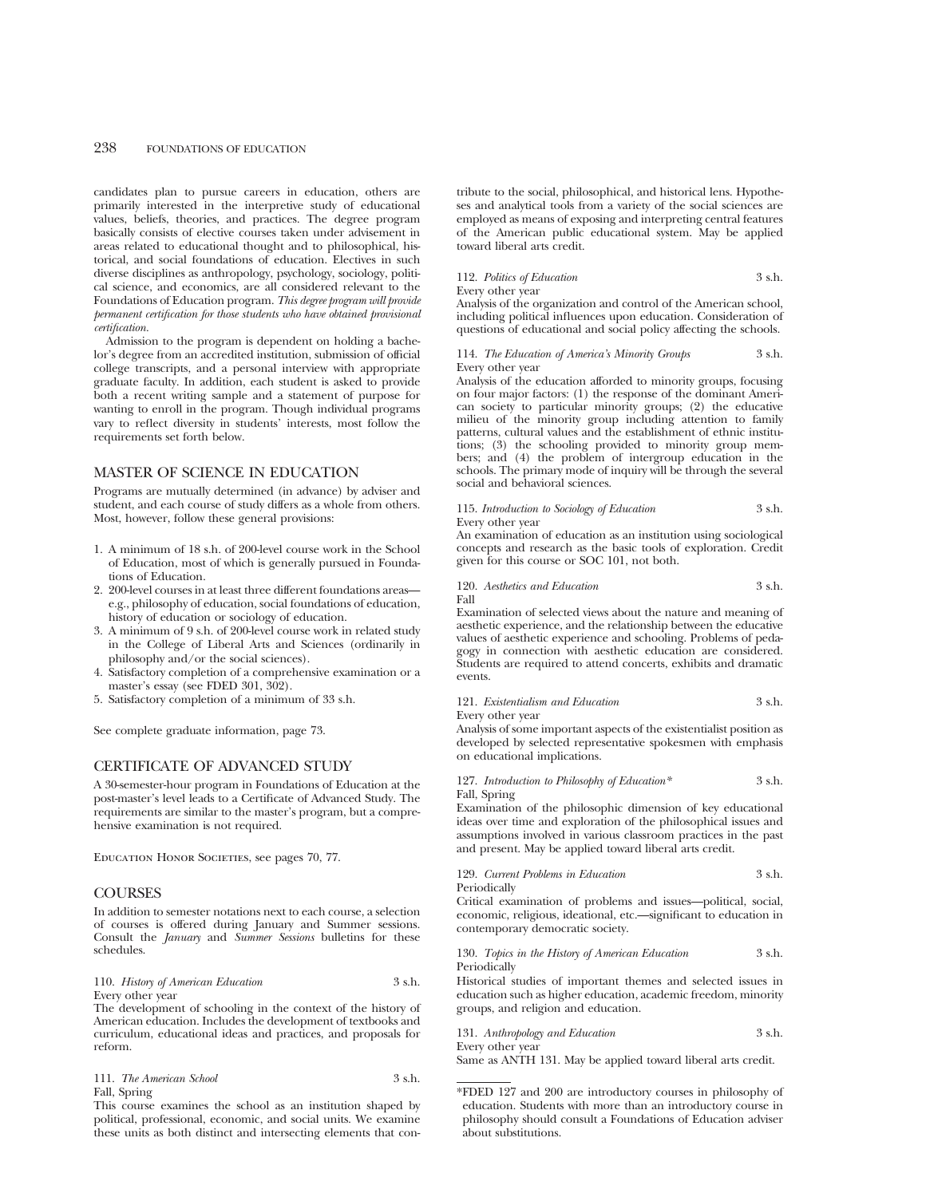candidates plan to pursue careers in education, others are primarily interested in the interpretive study of educational values, beliefs, theories, and practices. The degree program basically consists of elective courses taken under advisement in areas related to educational thought and to philosophical, historical, and social foundations of education. Electives in such diverse disciplines as anthropology, psychology, sociology, political science, and economics, are all considered relevant to the Foundations of Education program. *This degree program will provide permanent certification for those students who have obtained provisional certification.*

Admission to the program is dependent on holding a bachelor's degree from an accredited institution, submission of official college transcripts, and a personal interview with appropriate graduate faculty. In addition, each student is asked to provide both a recent writing sample and a statement of purpose for wanting to enroll in the program. Though individual programs vary to reflect diversity in students' interests, most follow the requirements set forth below.

## MASTER OF SCIENCE IN EDUCATION

Programs are mutually determined (in advance) by adviser and student, and each course of study differs as a whole from others. Most, however, follow these general provisions:

- 1. A minimum of 18 s.h. of 200-level course work in the School of Education, most of which is generally pursued in Foundations of Education.
- 2. 200-level courses in at least three different foundations areas e.g., philosophy of education, social foundations of education, history of education or sociology of education.
- 3. A minimum of 9 s.h. of 200-level course work in related study in the College of Liberal Arts and Sciences (ordinarily in philosophy and/or the social sciences).
- 4. Satisfactory completion of a comprehensive examination or a master's essay (see FDED 301, 302).
- 5. Satisfactory completion of a minimum of 33 s.h.

See complete graduate information, page 73.

#### CERTIFICATE OF ADVANCED STUDY

A 30-semester-hour program in Foundations of Education at the post-master's level leads to a Certificate of Advanced Study. The requirements are similar to the master's program, but a comprehensive examination is not required.

EDUCATION HONOR SOCIETIES, see pages 70, 77.

## **COURSES**

In addition to semester notations next to each course, a selection of courses is offered during January and Summer sessions. Consult the *January* and *Summer Sessions* bulletins for these schedules.

110. *History of American Education* 3 s.h. Every other year

The development of schooling in the context of the history of American education. Includes the development of textbooks and curriculum, educational ideas and practices, and proposals for reform.

| 111. The American School | 3 s.h. |
|--------------------------|--------|
| Fall, Spring             |        |

This course examines the school as an institution shaped by political, professional, economic, and social units. We examine these units as both distinct and intersecting elements that contribute to the social, philosophical, and historical lens. Hypotheses and analytical tools from a variety of the social sciences are employed as means of exposing and interpreting central features of the American public educational system. May be applied toward liberal arts credit.

#### 112. Politics of Education 3 s.h.

Every other year

Analysis of the organization and control of the American school, including political influences upon education. Consideration of questions of educational and social policy affecting the schools.

#### 114. *The Education of America's Minority Groups* 3 s.h. Every other year

Analysis of the education afforded to minority groups, focusing on four major factors: (1) the response of the dominant American society to particular minority groups; (2) the educative milieu of the minority group including attention to family patterns, cultural values and the establishment of ethnic institutions; (3) the schooling provided to minority group members; and (4) the problem of intergroup education in the schools. The primary mode of inquiry will be through the several social and behavioral sciences.

115. *Introduction to Sociology of Education* 3 s.h. Every other year

An examination of education as an institution using sociological concepts and research as the basic tools of exploration. Credit given for this course or SOC 101, not both.

120. *Aesthetics and Education* 3 s.h.

Fall

Examination of selected views about the nature and meaning of aesthetic experience, and the relationship between the educative values of aesthetic experience and schooling. Problems of pedagogy in connection with aesthetic education are considered. Students are required to attend concerts, exhibits and dramatic events.

#### 121. *Existentialism and Education* 3 s.h.

Every other year

Analysis of some important aspects of the existentialist position as developed by selected representative spokesmen with emphasis on educational implications.

127. *Introduction to Philosophy of Education\** 3 s.h. Fall, Spring

Examination of the philosophic dimension of key educational ideas over time and exploration of the philosophical issues and assumptions involved in various classroom practices in the past and present. May be applied toward liberal arts credit.

129. *Current Problems in Education* 3 s.h. Periodically

Critical examination of problems and issues—political, social, economic, religious, ideational, etc.—significant to education in contemporary democratic society.

#### 130. *Topics in the History of American Education* 3 s.h. Periodically

Historical studies of important themes and selected issues in education such as higher education, academic freedom, minority groups, and religion and education.

131. *Anthropology and Education* 3 s.h. Every other year

Same as ANTH 131. May be applied toward liberal arts credit.

\*FDED 127 and 200 are introductory courses in philosophy of education. Students with more than an introductory course in philosophy should consult a Foundations of Education adviser about substitutions.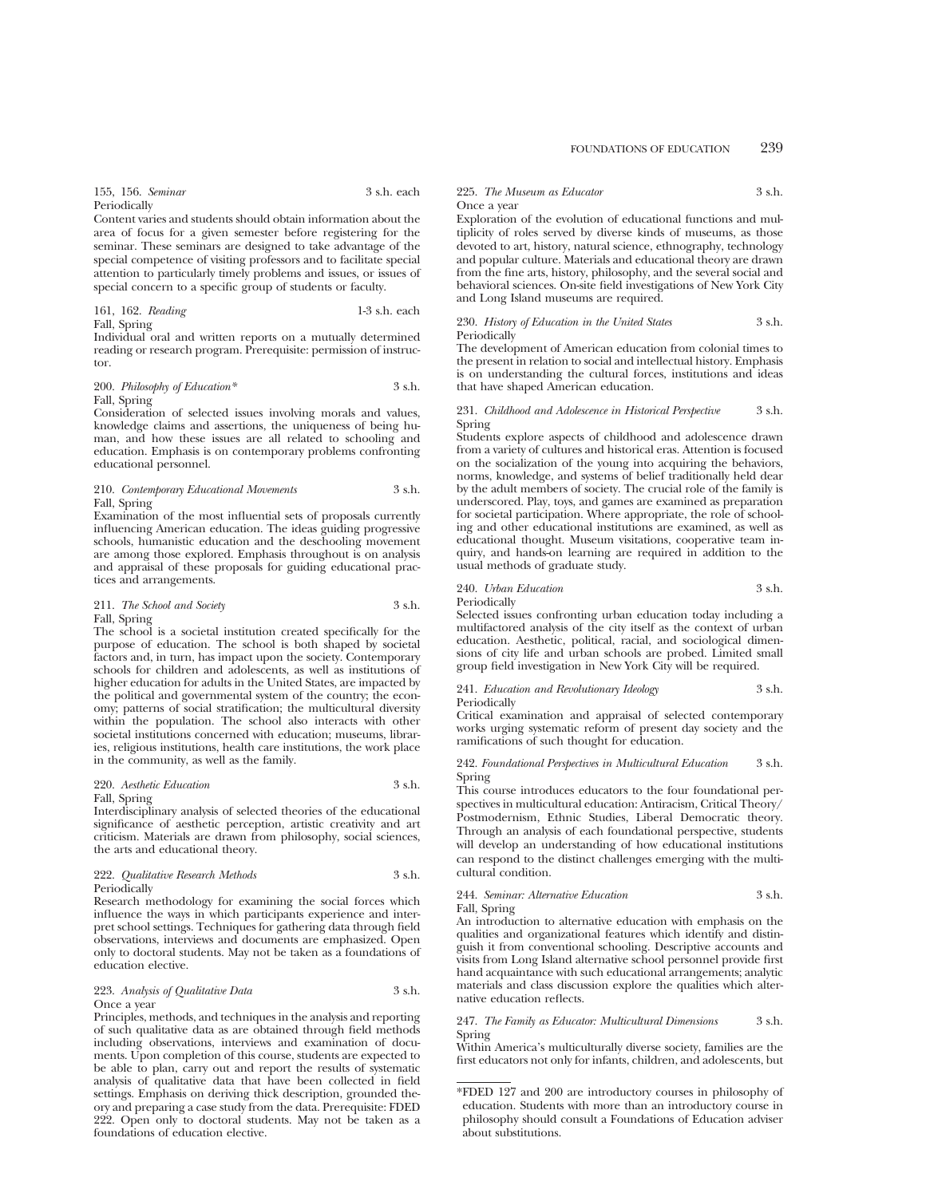155, 156. *Seminar* 3 s.h. each Periodically

Content varies and students should obtain information about the area of focus for a given semester before registering for the seminar. These seminars are designed to take advantage of the special competence of visiting professors and to facilitate special attention to particularly timely problems and issues, or issues of special concern to a specific group of students or faculty.

161, 162. *Reading* 1-3 s.h. each Fall, Spring

Individual oral and written reports on a mutually determined reading or research program. Prerequisite: permission of instructor.

#### 200. *Philosophy of Education\** 3 s.h. Fall, Spring

Consideration of selected issues involving morals and values, knowledge claims and assertions, the uniqueness of being human, and how these issues are all related to schooling and education. Emphasis is on contemporary problems confronting educational personnel.

#### 210. *Contemporary Educational Movements* 3 s.h. Fall, Spring

Examination of the most influential sets of proposals currently influencing American education. The ideas guiding progressive schools, humanistic education and the deschooling movement are among those explored. Emphasis throughout is on analysis and appraisal of these proposals for guiding educational practices and arrangements.

#### 211. *The School and Society* 3 s.h. Fall, Spring

The school is a societal institution created specifically for the purpose of education. The school is both shaped by societal factors and, in turn, has impact upon the society. Contemporary schools for children and adolescents, as well as institutions of higher education for adults in the United States, are impacted by the political and governmental system of the country; the economy; patterns of social stratification; the multicultural diversity within the population. The school also interacts with other societal institutions concerned with education; museums, libraries, religious institutions, health care institutions, the work place in the community, as well as the family.

## 220. *Aesthetic Education* 3 s.h.

Fall, Spring

Interdisciplinary analysis of selected theories of the educational significance of aesthetic perception, artistic creativity and art criticism. Materials are drawn from philosophy, social sciences, the arts and educational theory.

#### 222. *Qualitative Research Methods* 3 s.h. Periodically

Research methodology for examining the social forces which influence the ways in which participants experience and interpret school settings. Techniques for gathering data through field observations, interviews and documents are emphasized. Open only to doctoral students. May not be taken as a foundations of education elective.

#### 223. *Analysis of Qualitative Data* 3 s.h. Once a year

Principles, methods, and techniques in the analysis and reporting of such qualitative data as are obtained through field methods including observations, interviews and examination of documents. Upon completion of this course, students are expected to be able to plan, carry out and report the results of systematic analysis of qualitative data that have been collected in field settings. Emphasis on deriving thick description, grounded theory and preparing a case study from the data. Prerequisite: FDED 222. Open only to doctoral students. May not be taken as a foundations of education elective.

#### 225. *The Museum as Educator* 3 s.h. Once a year

Exploration of the evolution of educational functions and multiplicity of roles served by diverse kinds of museums, as those devoted to art, history, natural science, ethnography, technology and popular culture. Materials and educational theory are drawn from the fine arts, history, philosophy, and the several social and behavioral sciences. On-site field investigations of New York City and Long Island museums are required.

## 230. *History of Education in the United States* 3 s.h. **Periodically**

The development of American education from colonial times to the present in relation to social and intellectual history. Emphasis is on understanding the cultural forces, institutions and ideas that have shaped American education.

#### 231. *Childhood and Adolescence in Historical Perspective* 3 s.h. Spring

Students explore aspects of childhood and adolescence drawn from a variety of cultures and historical eras. Attention is focused on the socialization of the young into acquiring the behaviors, norms, knowledge, and systems of belief traditionally held dear by the adult members of society. The crucial role of the family is underscored. Play, toys, and games are examined as preparation for societal participation. Where appropriate, the role of schooling and other educational institutions are examined, as well as educational thought. Museum visitations, cooperative team inquiry, and hands-on learning are required in addition to the usual methods of graduate study.

## 240. *Urban Education* 3 s.h.

Periodically

Selected issues confronting urban education today including a multifactored analysis of the city itself as the context of urban education. Aesthetic, political, racial, and sociological dimensions of city life and urban schools are probed. Limited small group field investigation in New York City will be required.

## 241. *Education and Revolutionary Ideology* 3 s.h. Periodically

Critical examination and appraisal of selected contemporary works urging systematic reform of present day society and the ramifications of such thought for education.

242. *Foundational Perspectives in Multicultural Education* 3 s.h. Spring

This course introduces educators to the four foundational perspectives in multicultural education: Antiracism, Critical Theory/ Postmodernism, Ethnic Studies, Liberal Democratic theory. Through an analysis of each foundational perspective, students will develop an understanding of how educational institutions can respond to the distinct challenges emerging with the multicultural condition.

## 244. *Seminar: Alternative Education* 3 s.h. Fall, Spring

An introduction to alternative education with emphasis on the qualities and organizational features which identify and distinguish it from conventional schooling. Descriptive accounts and visits from Long Island alternative school personnel provide first hand acquaintance with such educational arrangements; analytic materials and class discussion explore the qualities which alternative education reflects.

247. *The Family as Educator: Multicultural Dimensions* 3 s.h. Spring

Within America's multiculturally diverse society, families are the first educators not only for infants, children, and adolescents, but

<sup>\*</sup>FDED 127 and 200 are introductory courses in philosophy of education. Students with more than an introductory course in philosophy should consult a Foundations of Education adviser about substitutions.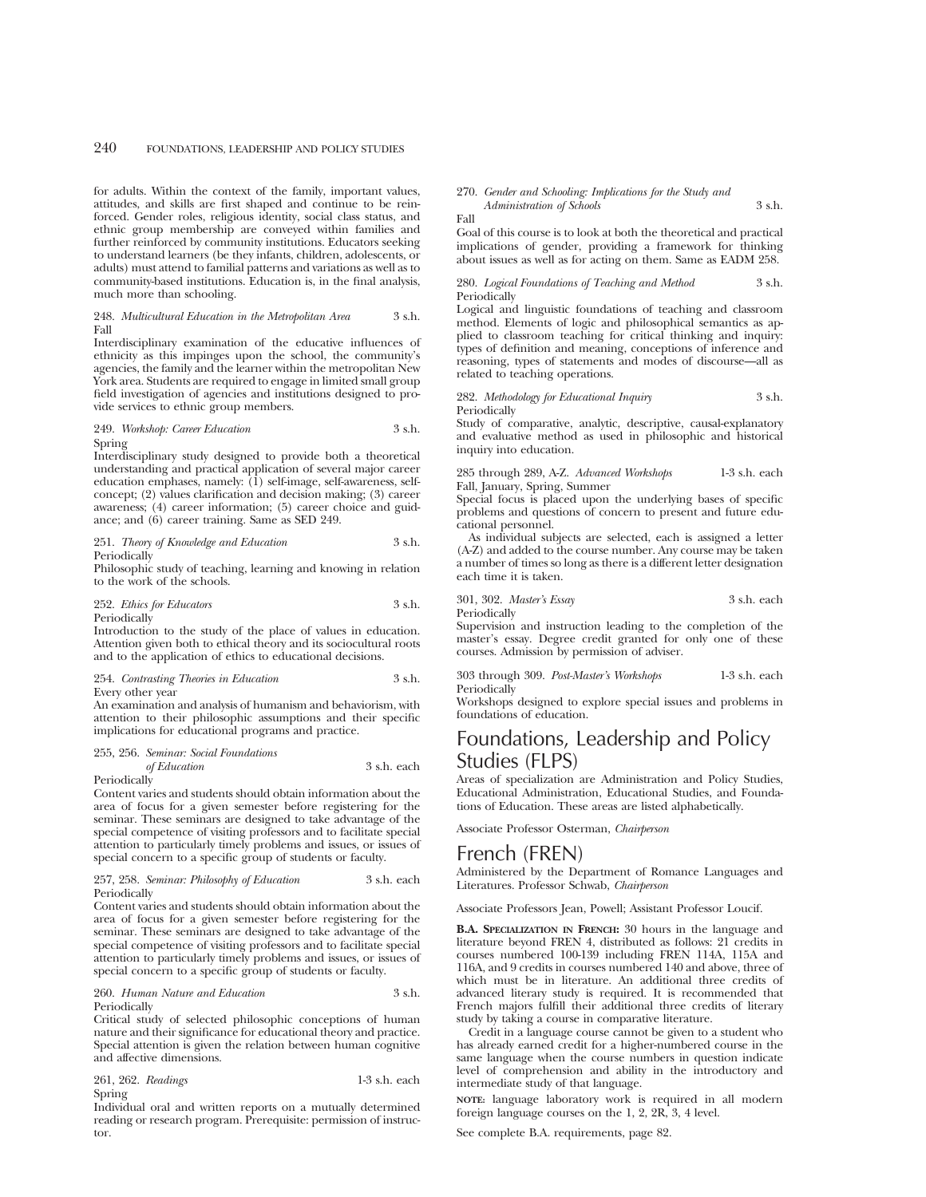for adults. Within the context of the family, important values, attitudes, and skills are first shaped and continue to be reinforced. Gender roles, religious identity, social class status, and ethnic group membership are conveyed within families and further reinforced by community institutions. Educators seeking to understand learners (be they infants, children, adolescents, or adults) must attend to familial patterns and variations as well as to community-based institutions. Education is, in the final analysis, much more than schooling.

#### 248. *Multicultural Education in the Metropolitan Area* 3 s.h. Fall

Interdisciplinary examination of the educative influences of ethnicity as this impinges upon the school, the community's agencies, the family and the learner within the metropolitan New York area. Students are required to engage in limited small group field investigation of agencies and institutions designed to provide services to ethnic group members.

#### 249. *Workshop: Career Education* 3 s.h. Spring

Interdisciplinary study designed to provide both a theoretical understanding and practical application of several major career education emphases, namely: (1) self-image, self-awareness, selfconcept; (2) values clarification and decision making; (3) career awareness; (4) career information; (5) career choice and guidance; and (6) career training. Same as SED 249.

251. *Theory of Knowledge and Education* 3 s.h. Periodically

Philosophic study of teaching, learning and knowing in relation to the work of the schools.

252. *Ethics for Educators* 3 s.h. Periodically

Introduction to the study of the place of values in education. Attention given both to ethical theory and its sociocultural roots and to the application of ethics to educational decisions.

#### 254. *Contrasting Theories in Education* 3 s.h. Every other year

An examination and analysis of humanism and behaviorism, with attention to their philosophic assumptions and their specific implications for educational programs and practice.

## 255, 256. *Seminar: Social Foundations of Education* 3 s.h. each

**Periodically** 

Content varies and students should obtain information about the area of focus for a given semester before registering for the seminar. These seminars are designed to take advantage of the special competence of visiting professors and to facilitate special attention to particularly timely problems and issues, or issues of special concern to a specific group of students or faculty.

#### 257, 258. *Seminar: Philosophy of Education* 3 s.h. each Periodically

Content varies and students should obtain information about the area of focus for a given semester before registering for the seminar. These seminars are designed to take advantage of the special competence of visiting professors and to facilitate special attention to particularly timely problems and issues, or issues of special concern to a specific group of students or faculty.

#### 260. *Human Nature and Education* 3 s.h. Periodically

Critical study of selected philosophic conceptions of human nature and their significance for educational theory and practice. Special attention is given the relation between human cognitive and affective dimensions.

261, 262. *Readings* 1-3 s.h. each Spring

Individual oral and written reports on a mutually determined reading or research program. Prerequisite: permission of instructor.

#### 270. *Gender and Schooling: Implications for the Study and*

*Administration of Schools* 3 s.h. Fall

Goal of this course is to look at both the theoretical and practical implications of gender, providing a framework for thinking about issues as well as for acting on them. Same as EADM 258.

280. *Logical Foundations of Teaching and Method* 3 s.h. Periodically

Logical and linguistic foundations of teaching and classroom method. Elements of logic and philosophical semantics as applied to classroom teaching for critical thinking and inquiry: types of definition and meaning, conceptions of inference and reasoning, types of statements and modes of discourse—all as related to teaching operations.

282. *Methodology for Educational Inquiry* 3 s.h. Periodically

Study of comparative, analytic, descriptive, causal-explanatory and evaluative method as used in philosophic and historical inquiry into education.

285 through 289, A-Z. *Advanced Workshops* 1-3 s.h. each Fall, January, Spring, Summer

Special focus is placed upon the underlying bases of specific problems and questions of concern to present and future educational personnel.

As individual subjects are selected, each is assigned a letter (A-Z) and added to the course number. Any course may be taken a number of times so long as there is a different letter designation each time it is taken.

301, 302. *Master's Essay* 3 s.h. each Periodically

Supervision and instruction leading to the completion of the master's essay. Degree credit granted for only one of these courses. Admission by permission of adviser.

303 through 309. *Post-Master's Workshops* 1-3 s.h. each Periodically

Workshops designed to explore special issues and problems in foundations of education.

# Foundations, Leadership and Policy Studies (FLPS)

Areas of specialization are Administration and Policy Studies, Educational Administration, Educational Studies, and Foundations of Education. These areas are listed alphabetically.

Associate Professor Osterman, *Chairperson*

## French (FREN)

Administered by the Department of Romance Languages and Literatures. Professor Schwab, *Chairperson*

Associate Professors Jean, Powell; Assistant Professor Loucif.

**B.A. SPECIALIZATION IN FRENCH:** 30 hours in the language and literature beyond FREN 4, distributed as follows: 21 credits in courses numbered 100-139 including FREN 114A, 115A and 116A, and 9 credits in courses numbered 140 and above, three of which must be in literature. An additional three credits of advanced literary study is required. It is recommended that French majors fulfill their additional three credits of literary study by taking a course in comparative literature.

Credit in a language course cannot be given to a student who has already earned credit for a higher-numbered course in the same language when the course numbers in question indicate level of comprehension and ability in the introductory and intermediate study of that language.

**NOTE:** language laboratory work is required in all modern foreign language courses on the 1, 2, 2R, 3, 4 level.

See complete B.A. requirements, page 82.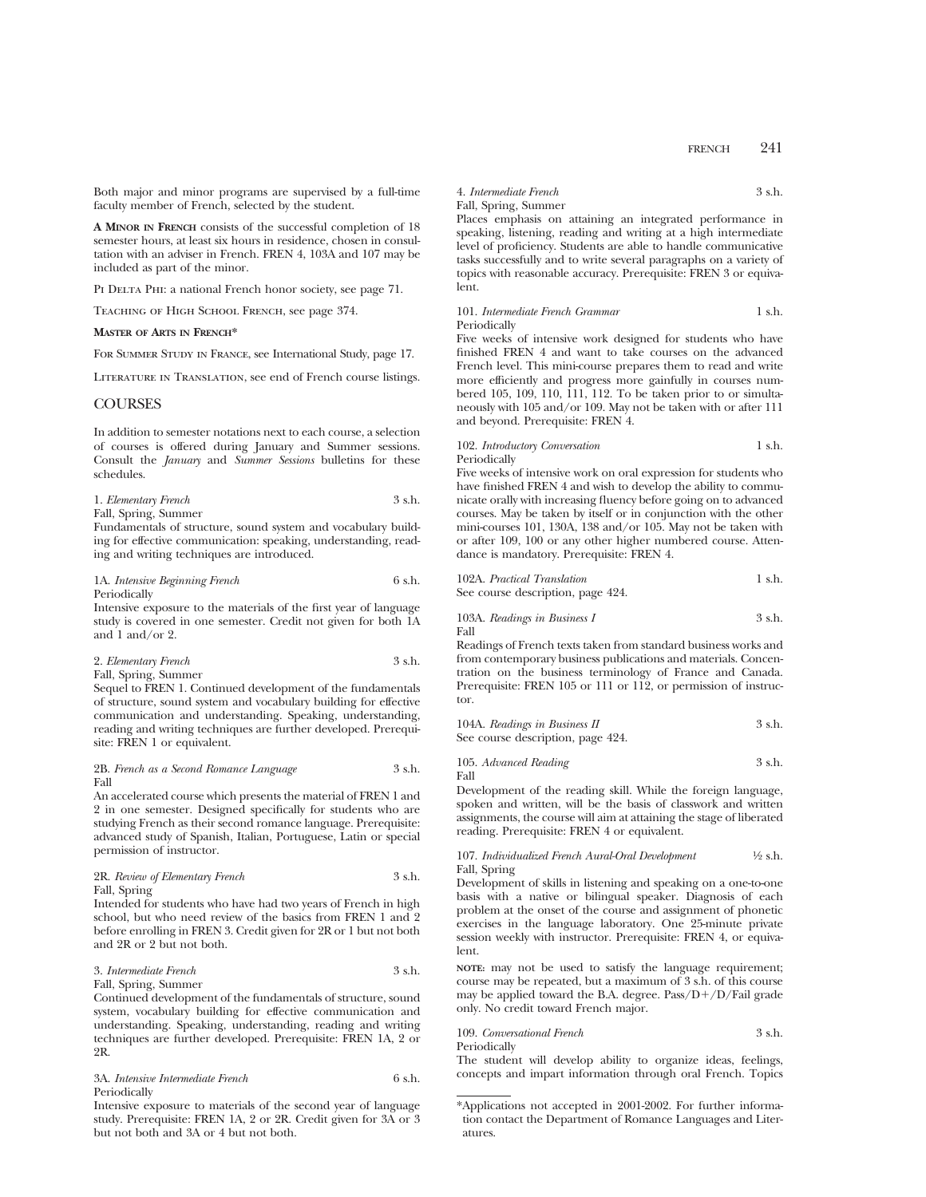Both major and minor programs are supervised by a full-time faculty member of French, selected by the student.

**A MINOR IN FRENCH** consists of the successful completion of 18 semester hours, at least six hours in residence, chosen in consultation with an adviser in French. FREN 4, 103A and 107 may be included as part of the minor.

PI DELTA PHI: a national French honor society, see page 71.

Teaching of High School French, see page 374.

## **MASTER OF ARTS IN FRENCH\***

For Summer Study in France, see International Study, page 17.

Literature in Translation, see end of French course listings.

### COURSES

In addition to semester notations next to each course, a selection of courses is offered during January and Summer sessions. Consult the *January* and *Summer Sessions* bulletins for these schedules.

#### 1. *Elementary French* 3 s.h. Fall, Spring, Summer

Fundamentals of structure, sound system and vocabulary building for effective communication: speaking, understanding, reading and writing techniques are introduced.

| 1A. Intensive Beginning French | 6 s.h. |
|--------------------------------|--------|
| Periodically                   |        |

Intensive exposure to the materials of the first year of language study is covered in one semester. Credit not given for both 1A and 1 and/or 2.

## 2. *Elementary French* 3 s.h. Fall, Spring, Summer

Sequel to FREN 1. Continued development of the fundamentals of structure, sound system and vocabulary building for effective communication and understanding. Speaking, understanding, reading and writing techniques are further developed. Prerequisite: FREN 1 or equivalent.

#### 2B. *French as a Second Romance Language* 3 s.h. Fall

An accelerated course which presents the material of FREN 1 and 2 in one semester. Designed specifically for students who are studying French as their second romance language. Prerequisite: advanced study of Spanish, Italian, Portuguese, Latin or special permission of instructor.

## 2R. *Review of Elementary French* 3 s.h. Fall, Spring

Intended for students who have had two years of French in high school, but who need review of the basics from FREN 1 and 2 before enrolling in FREN 3. Credit given for 2R or 1 but not both and 2R or 2 but not both.

#### 3. *Intermediate French* 3 s.h. Fall, Spring, Summer

Continued development of the fundamentals of structure, sound system, vocabulary building for effective communication and understanding. Speaking, understanding, reading and writing techniques are further developed. Prerequisite: FREN 1A, 2 or 2R.

## 3A. *Intensive Intermediate French* 6 s.h. Periodically

Intensive exposure to materials of the second year of language study. Prerequisite: FREN 1A, 2 or 2R. Credit given for 3A or 3 but not both and 3A or 4 but not both.

#### 4. *Intermediate French* 3 s.h. Fall, Spring, Summer

Places emphasis on attaining an integrated performance in speaking, listening, reading and writing at a high intermediate level of proficiency. Students are able to handle communicative tasks successfully and to write several paragraphs on a variety of topics with reasonable accuracy. Prerequisite: FREN 3 or equivalent.

101. *Intermediate French Grammar* 1 s.h. Periodically

Five weeks of intensive work designed for students who have finished FREN 4 and want to take courses on the advanced French level. This mini-course prepares them to read and write more efficiently and progress more gainfully in courses numbered 105, 109, 110, 111, 112. To be taken prior to or simultaneously with 105 and/or 109. May not be taken with or after 111 and beyond. Prerequisite: FREN 4.

## 102. *Introductory Conversation* 1 s.h.

Periodically

Five weeks of intensive work on oral expression for students who have finished FREN 4 and wish to develop the ability to communicate orally with increasing fluency before going on to advanced courses. May be taken by itself or in conjunction with the other mini-courses 101, 130A, 138 and/or 105. May not be taken with or after 109, 100 or any other higher numbered course. Attendance is mandatory. Prerequisite: FREN 4.

| 102A. Practical Translation       |  |  |
|-----------------------------------|--|--|
| See course description, page 424. |  |  |

103A. *Readings in Business I* 
$$
$3
$$
 s.h. Fall

Readings of French texts taken from standard business works and from contemporary business publications and materials. Concentration on the business terminology of France and Canada. Prerequisite: FREN 105 or 111 or 112, or permission of instructor.

| 104A. Readings in Business II     | 3 s.h. |
|-----------------------------------|--------|
| See course description, page 424. |        |

105. *Advanced Reading* 3 s.h. Fall

Development of the reading skill. While the foreign language, spoken and written, will be the basis of classwork and written assignments, the course will aim at attaining the stage of liberated reading. Prerequisite: FREN 4 or equivalent.

#### 107. *Individualized French Aural-Oral Development* 1⁄2 s.h. Fall, Spring

Development of skills in listening and speaking on a one-to-one basis with a native or bilingual speaker. Diagnosis of each problem at the onset of the course and assignment of phonetic exercises in the language laboratory. One 25-minute private session weekly with instructor. Prerequisite: FREN 4, or equivalent.

**NOTE:** may not be used to satisfy the language requirement; course may be repeated, but a maximum of 3 s.h. of this course may be applied toward the B.A. degree.  $Pass/D+/D/Fall$  grade only. No credit toward French major.

### 109. *Conversational French* 3 s.h. Periodically

The student will develop ability to organize ideas, feelings, concepts and impart information through oral French. Topics

<sup>\*</sup>Applications not accepted in 2001-2002. For further information contact the Department of Romance Languages and Literatures.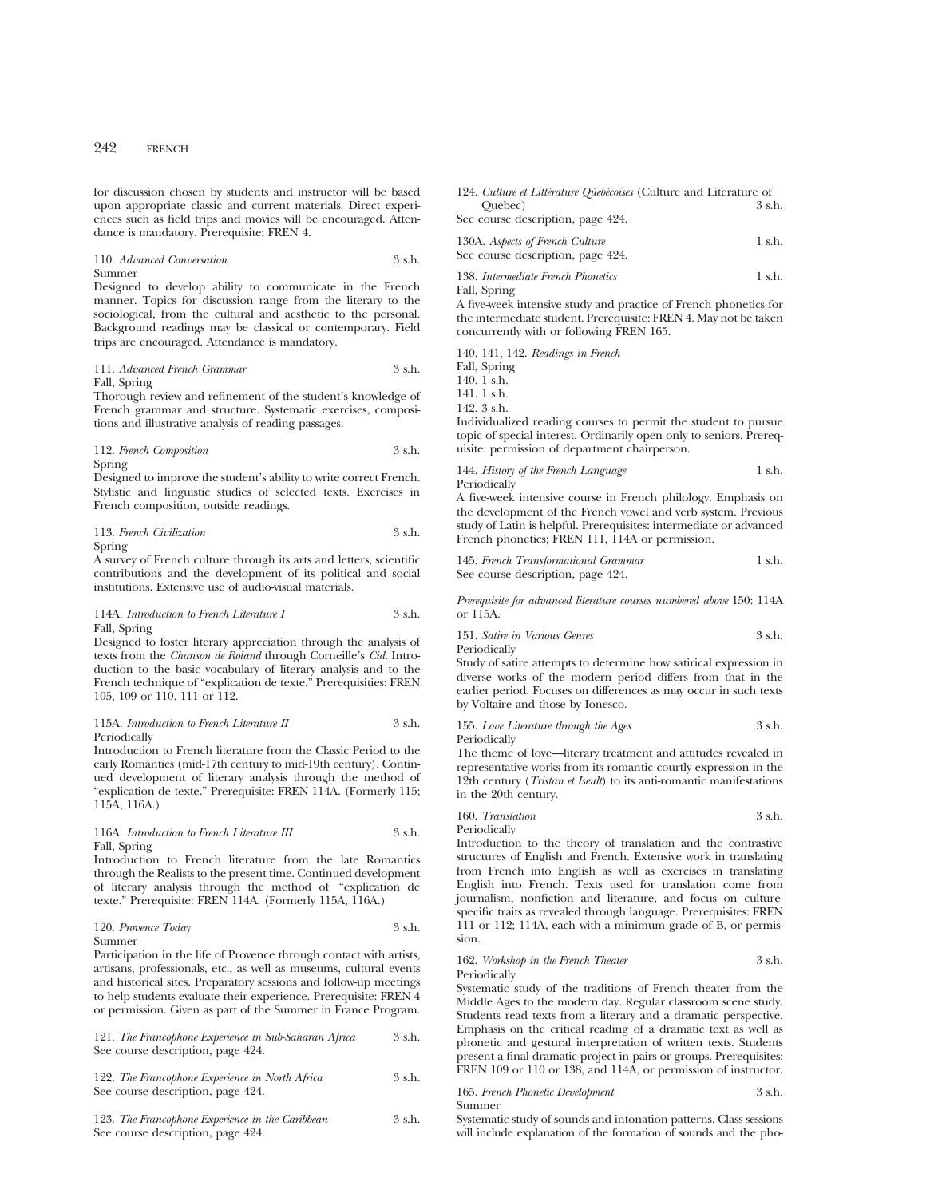for discussion chosen by students and instructor will be based upon appropriate classic and current materials. Direct experiences such as field trips and movies will be encouraged. Attendance is mandatory. Prerequisite: FREN 4.

110. *Advanced Conversation* 3 s.h. Summer

Designed to develop ability to communicate in the French manner. Topics for discussion range from the literary to the sociological, from the cultural and aesthetic to the personal. Background readings may be classical or contemporary. Field trips are encouraged. Attendance is mandatory.

### 111. *Advanced French Grammar* 3 s.h. Fall, Spring

Thorough review and refinement of the student's knowledge of French grammar and structure. Systematic exercises, compositions and illustrative analysis of reading passages.

112. *French Composition* 3 s.h. Spring

Designed to improve the student's ability to write correct French. Stylistic and linguistic studies of selected texts. Exercises in French composition, outside readings.

113. *French Civilization* 3 s.h.

Spring

A survey of French culture through its arts and letters, scientific contributions and the development of its political and social institutions. Extensive use of audio-visual materials.

114A. *Introduction to French Literature I* 3 s.h. Fall, Spring

Designed to foster literary appreciation through the analysis of texts from the *Chanson de Roland* through Corneille's *Cid.* Introduction to the basic vocabulary of literary analysis and to the French technique of "explication de texte." Prerequisities: FREN 105, 109 or 110, 111 or 112.

115A. *Introduction to French Literature II* 3 s.h. Periodically

Introduction to French literature from the Classic Period to the early Romantics (mid-17th century to mid-19th century). Continued development of literary analysis through the method of "explication de texte." Prerequisite: FREN 114A. (Formerly 115; 115A, 116A.)

### 116A. *Introduction to French Literature III* 3 s.h. Fall, Spring

Introduction to French literature from the late Romantics through the Realists to the present time. Continued development of literary analysis through the method of "explication de texte." Prerequisite: FREN 114A. (Formerly 115A, 116A.)

| 120. Provence Today | 3 s.h. |
|---------------------|--------|
| Summer              |        |

Participation in the life of Provence through contact with artists, artisans, professionals, etc., as well as museums, cultural events and historical sites. Preparatory sessions and follow-up meetings to help students evaluate their experience. Prerequisite: FREN 4 or permission. Given as part of the Summer in France Program.

| 121. The Francophone Experience in Sub-Saharan Africa | 3 s.h. |
|-------------------------------------------------------|--------|
| See course description, page 424.                     |        |

122. *The Francophone Experience in North Africa* 3 s.h. See course description, page 424.

123. *The Francophone Experience in the Caribbean* 3 s.h. See course description, page 424.

| 124. Culture et Littérature Oúebécoises (Culture and Literature of |        |
|--------------------------------------------------------------------|--------|
| Ouebec)                                                            | 3 s.h. |
| See course description, page 424.                                  |        |

| 130A. Aspects of French Culture   | 1 s.h. |
|-----------------------------------|--------|
| See course description, page 424. |        |

138. *Intermediate French Phonetics* 1 s.h.

Fall, Spring

A five-week intensive study and practice of French phonetics for the intermediate student. Prerequisite: FREN 4. May not be taken concurrently with or following FREN 165.

140, 141, 142. *Readings in French* Fall, Spring 140. 1 s.h. 141. 1 s.h. 142. 3 s.h.

Individualized reading courses to permit the student to pursue topic of special interest. Ordinarily open only to seniors. Prerequisite: permission of department chairperson.

144. *History of the French Language* 1 s.h. Periodically

A five-week intensive course in French philology. Emphasis on the development of the French vowel and verb system. Previous study of Latin is helpful. Prerequisites: intermediate or advanced French phonetics; FREN 111, 114A or permission.

145. *French Transformational Grammar* 1 s.h. See course description, page 424.

*Prerequisite for advanced literature courses numbered above* 150: 114A or 115A.

151. *Satire in Various Genres* 3 s.h. Periodically

Study of satire attempts to determine how satirical expression in diverse works of the modern period differs from that in the earlier period. Focuses on differences as may occur in such texts by Voltaire and those by Ionesco.

155. *Love Literature through the Ages* 3 s.h. Periodically

The theme of love—literary treatment and attitudes revealed in representative works from its romantic courtly expression in the 12th century (*Tristan et Iseult*) to its anti-romantic manifestations in the 20th century.

160. *Translation* 3 s.h.

Periodically

Introduction to the theory of translation and the contrastive structures of English and French. Extensive work in translating from French into English as well as exercises in translating English into French. Texts used for translation come from journalism, nonfiction and literature, and focus on culturespecific traits as revealed through language. Prerequisites: FREN 111 or 112; 114A, each with a minimum grade of B, or permission.

### 162. *Workshop in the French Theater* 3 s.h. Periodically

Systematic study of the traditions of French theater from the Middle Ages to the modern day. Regular classroom scene study. Students read texts from a literary and a dramatic perspective. Emphasis on the critical reading of a dramatic text as well as phonetic and gestural interpretation of written texts. Students present a final dramatic project in pairs or groups. Prerequisites: FREN 109 or 110 or 138, and 114A, or permission of instructor.

165. *French Phonetic Development* 3 s.h. Summer

Systematic study of sounds and intonation patterns. Class sessions will include explanation of the formation of sounds and the pho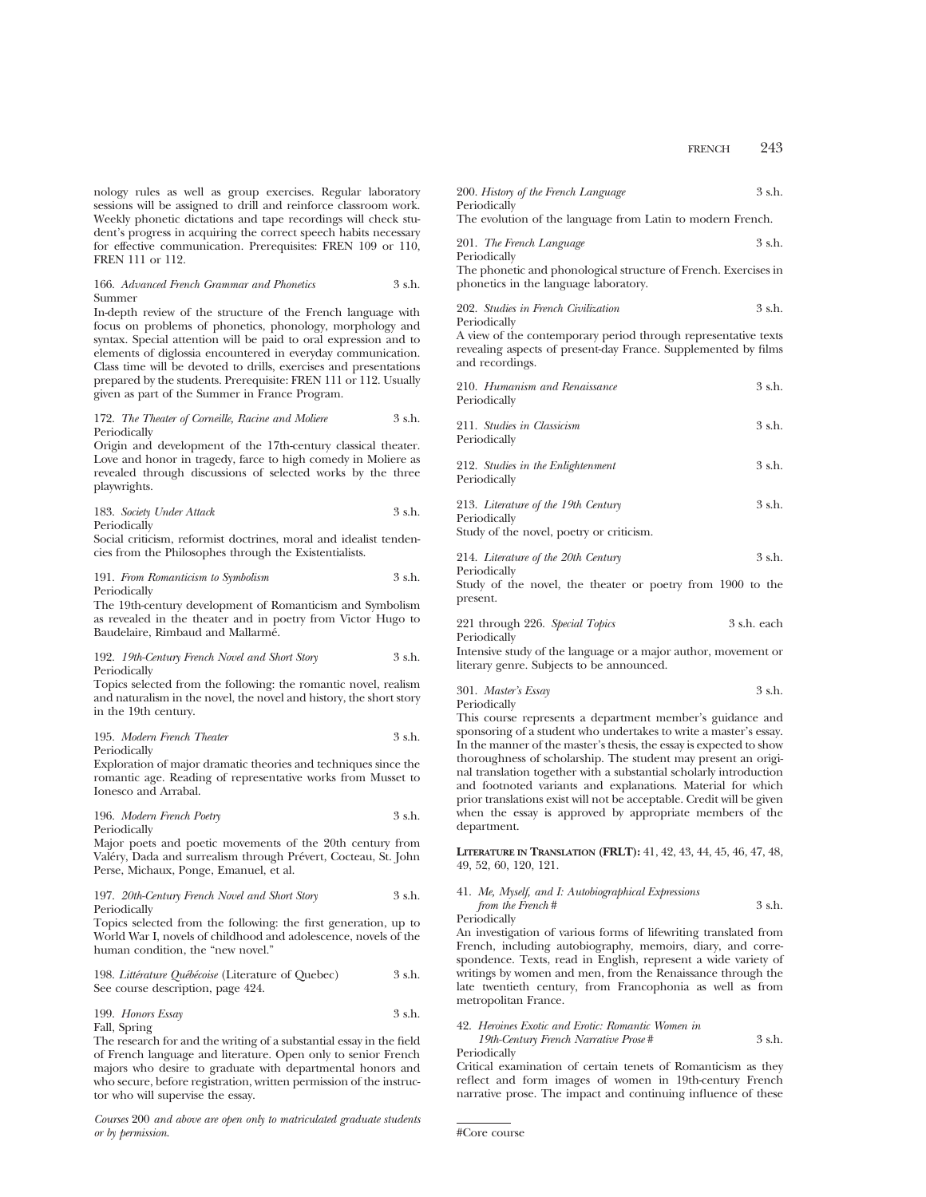nology rules as well as group exercises. Regular laboratory sessions will be assigned to drill and reinforce classroom work. Weekly phonetic dictations and tape recordings will check student's progress in acquiring the correct speech habits necessary for effective communication. Prerequisites: FREN 109 or 110, FREN 111 or 112.

#### 166. *Advanced French Grammar and Phonetics* 3 s.h. Summer

In-depth review of the structure of the French language with focus on problems of phonetics, phonology, morphology and syntax. Special attention will be paid to oral expression and to elements of diglossia encountered in everyday communication. Class time will be devoted to drills, exercises and presentations prepared by the students. Prerequisite: FREN 111 or 112. Usually given as part of the Summer in France Program.

172. *The Theater of Corneille, Racine and Moliere* 3 s.h. Periodically

Origin and development of the 17th-century classical theater. Love and honor in tragedy, farce to high comedy in Moliere as revealed through discussions of selected works by the three playwrights.

183. *Society Under Attack* 3 s.h. Periodically

Social criticism, reformist doctrines, moral and idealist tendencies from the Philosophes through the Existentialists.

191. *From Romanticism to Symbolism* 3 s.h. Periodically

The 19th-century development of Romanticism and Symbolism as revealed in the theater and in poetry from Victor Hugo to Baudelaire, Rimbaud and Mallarmé.

### 192. *19th-Century French Novel and Short Story* 3 s.h. Periodically

Topics selected from the following: the romantic novel, realism and naturalism in the novel, the novel and history, the short story in the 19th century.

195. *Modern French Theater* 3 s.h. Periodically

Exploration of major dramatic theories and techniques since the romantic age. Reading of representative works from Musset to Ionesco and Arrabal.

196. *Modern French Poetry* 3 s.h. Periodically

Major poets and poetic movements of the 20th century from Valéry, Dada and surrealism through Prévert, Cocteau, St. John Perse, Michaux, Ponge, Emanuel, et al.

### 197. *20th-Century French Novel and Short Story* 3 s.h. Periodically

Topics selected from the following: the first generation, up to World War I, novels of childhood and adolescence, novels of the human condition, the "new novel."

198. *Litte´rature Que´be´coise* (Literature of Quebec) 3 s.h. See course description, page 424.

199. *Honors Essay* 3 s.h. Fall, Spring

The research for and the writing of a substantial essay in the field of French language and literature. Open only to senior French majors who desire to graduate with departmental honors and who secure, before registration, written permission of the instructor who will supervise the essay.

*Courses* 200 *and above are open only to matriculated graduate students or by permission*.

| 200. History of the French Language                        | $3$ s.h. |
|------------------------------------------------------------|----------|
| Periodically                                               |          |
| The evolution of the language from Latin to modern French. |          |

| 201. The French Language | 3 s.h. |
|--------------------------|--------|
| Periodically             |        |

The phonetic and phonological structure of French. Exercises in phonetics in the language laboratory.

| 202. Studies in French Civilization | 3 s.h. |
|-------------------------------------|--------|
| Periodically                        |        |

A view of the contemporary period through representative texts revealing aspects of present-day France. Supplemented by films and recordings.

| 210. Humanism and Renaissance<br>Periodically                                                   | 3 s.h.     |
|-------------------------------------------------------------------------------------------------|------------|
| 211. Studies in Classicism<br>Periodically                                                      | 3 s.h.     |
| 212. Studies in the Enlightenment<br>Periodically                                               | $3$ s.h.   |
| 213. Literature of the 19th Century<br>Periodically<br>Study of the novel, poetry or criticism. | 3 s.h.     |
| $014.72.770$ $0.7007.77.7$                                                                      | $\alpha$ 1 |

214. *Literature of the 20th Century* 3 s.h. Periodically

Study of the novel, the theater or poetry from 1900 to the present.

| 221 through 226. Special Topics | 3 s.h. each |  |
|---------------------------------|-------------|--|
| Periodically                    |             |  |

Intensive study of the language or a major author, movement or literary genre. Subjects to be announced.

301. *Master's Essay* 3 s.h. Periodically

This course represents a department member's guidance and sponsoring of a student who undertakes to write a master's essay. In the manner of the master's thesis, the essay is expected to show thoroughness of scholarship. The student may present an original translation together with a substantial scholarly introduction and footnoted variants and explanations. Material for which prior translations exist will not be acceptable. Credit will be given when the essay is approved by appropriate members of the department.

**LITERATURE IN TRANSLATION (FRLT):** 41, 42, 43, 44, 45, 46, 47, 48, 49, 52, 60, 120, 121.

# 41. *Me, Myself, and I: Autobiographical Expressions from the French* # 3 s.h.

Periodically

An investigation of various forms of lifewriting translated from French, including autobiography, memoirs, diary, and correspondence. Texts, read in English, represent a wide variety of writings by women and men, from the Renaissance through the late twentieth century, from Francophonia as well as from metropolitan France.

# 42. *Heroines Exotic and Erotic: Romantic Women in*

| 19th-Century French Narrative Prose# | 3 s.h. |
|--------------------------------------|--------|
| Periodically                         |        |

Critical examination of certain tenets of Romanticism as they reflect and form images of women in 19th-century French narrative prose. The impact and continuing influence of these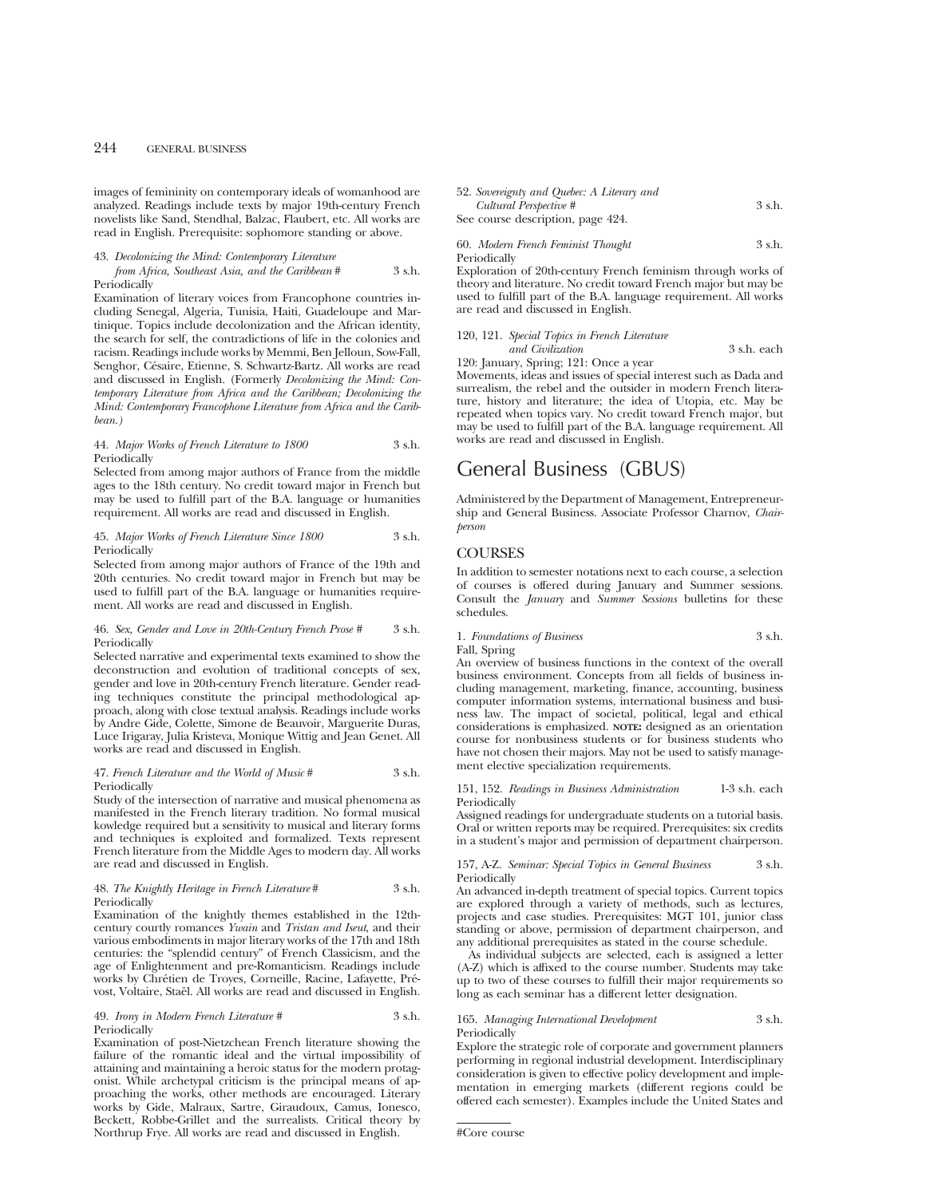images of femininity on contemporary ideals of womanhood are analyzed. Readings include texts by major 19th-century French novelists like Sand, Stendhal, Balzac, Flaubert, etc. All works are read in English. Prerequisite: sophomore standing or above.

# 43. *Decolonizing the Mind: Contemporary Literature*

### *from Africa, Southeast Asia, and the Caribbean* # 3 s.h. Periodically

Examination of literary voices from Francophone countries including Senegal, Algeria, Tunisia, Haiti, Guadeloupe and Martinique. Topics include decolonization and the African identity, the search for self, the contradictions of life in the colonies and racism. Readings include works by Memmi, Ben Jelloun, Sow-Fall, Senghor, Césaire, Etienne, S. Schwartz-Bartz. All works are read and discussed in English. (Formerly *Decolonizing the Mind: Contemporary Literature from Africa and the Caribbean; Decolonizing the Mind: Contemporary Francophone Literature from Africa and the Caribbean.)*

### 44. *Major Works of French Literature to 1800* 3 s.h. Periodically

Selected from among major authors of France from the middle ages to the 18th century. No credit toward major in French but may be used to fulfill part of the B.A. language or humanities requirement. All works are read and discussed in English.

### 45. *Major Works of French Literature Since 1800* 3 s.h. Periodically

Selected from among major authors of France of the 19th and 20th centuries. No credit toward major in French but may be used to fulfill part of the B.A. language or humanities requirement. All works are read and discussed in English.

### 46. *Sex, Gender and Love in 20th-Century French Prose #* 3 s.h. Periodically

Selected narrative and experimental texts examined to show the deconstruction and evolution of traditional concepts of sex, gender and love in 20th-century French literature. Gender reading techniques constitute the principal methodological approach, along with close textual analysis. Readings include works by Andre Gide, Colette, Simone de Beauvoir, Marguerite Duras, Luce Irigaray, Julia Kristeva, Monique Wittig and Jean Genet. All works are read and discussed in English.

### 47. *French Literature and the World of Music* # 3 s.h. Periodically

Study of the intersection of narrative and musical phenomena as manifested in the French literary tradition. No formal musical kowledge required but a sensitivity to musical and literary forms and techniques is exploited and formalized. Texts represent French literature from the Middle Ages to modern day. All works are read and discussed in English.

### 48. *The Knightly Heritage in French Literature* # 3 s.h. Periodically

Examination of the knightly themes established in the 12thcentury courtly romances *Ywain* and *Tristan and Iseut*, and their various embodiments in major literary works of the 17th and 18th centuries: the "splendid century" of French Classicism, and the age of Enlightenment and pre-Romanticism. Readings include works by Chrétien de Troyes, Corneille, Racine, Lafayette, Prévost, Voltaire, Staël. All works are read and discussed in English.

### 49. *Irony in Modern French Literature #* 3 s.h. Periodically

Examination of post-Nietzchean French literature showing the failure of the romantic ideal and the virtual impossibility of attaining and maintaining a heroic status for the modern protagonist. While archetypal criticism is the principal means of approaching the works, other methods are encouraged. Literary works by Gide, Malraux, Sartre, Giraudoux, Camus, Ionesco, Beckett, Robbe-Grillet and the surrealists. Critical theory by Northrup Frye. All works are read and discussed in English.

| 52. Sovereignty and Quebec: A Literary and |        |
|--------------------------------------------|--------|
| Cultural Perspective #                     | 3 s.h. |
| See course description, page 424.          |        |

### 60. *Modern French Feminist Thought* 3 s.h. Periodically

Exploration of 20th-century French feminism through works of theory and literature. No credit toward French major but may be used to fulfill part of the B.A. language requirement. All works are read and discussed in English.

## 120, 121. *Special Topics in French Literature and Civilization* 3 s.h. each

120: January, Spring; 121: Once a year

Movements, ideas and issues of special interest such as Dada and surrealism, the rebel and the outsider in modern French literature, history and literature; the idea of Utopia, etc. May be repeated when topics vary. No credit toward French major, but may be used to fulfill part of the B.A. language requirement. All works are read and discussed in English.

# General Business (GBUS)

Administered by the Department of Management, Entrepreneurship and General Business. Associate Professor Charnov, *Chairperson*

# **COURSES**

In addition to semester notations next to each course, a selection of courses is offered during January and Summer sessions. Consult the *January* and *Summer Sessions* bulletins for these schedules.

# 1. Foundations of Business 3 s.h.

Fall, Spring

An overview of business functions in the context of the overall business environment. Concepts from all fields of business including management, marketing, finance, accounting, business computer information systems, international business and business law. The impact of societal, political, legal and ethical considerations is emphasized. **NOTE:** designed as an orientation course for nonbusiness students or for business students who have not chosen their majors. May not be used to satisfy management elective specialization requirements.

### 151, 152. *Readings in Business Administration* 1-3 s.h. each Periodically

Assigned readings for undergraduate students on a tutorial basis. Oral or written reports may be required. Prerequisites: six credits in a student's major and permission of department chairperson.

### 157, A-Z. *Seminar: Special Topics in General Business* 3 s.h. Periodically

An advanced in-depth treatment of special topics. Current topics are explored through a variety of methods, such as lectures, projects and case studies. Prerequisites: MGT 101, junior class standing or above, permission of department chairperson, and any additional prerequisites as stated in the course schedule.

As individual subjects are selected, each is assigned a letter (A-Z) which is affixed to the course number. Students may take up to two of these courses to fulfill their major requirements so long as each seminar has a different letter designation.

### 165. *Managing International Development* 3 s.h. Periodically

Explore the strategic role of corporate and government planners performing in regional industrial development. Interdisciplinary consideration is given to effective policy development and implementation in emerging markets (different regions could be offered each semester). Examples include the United States and

<sup>#</sup>Core course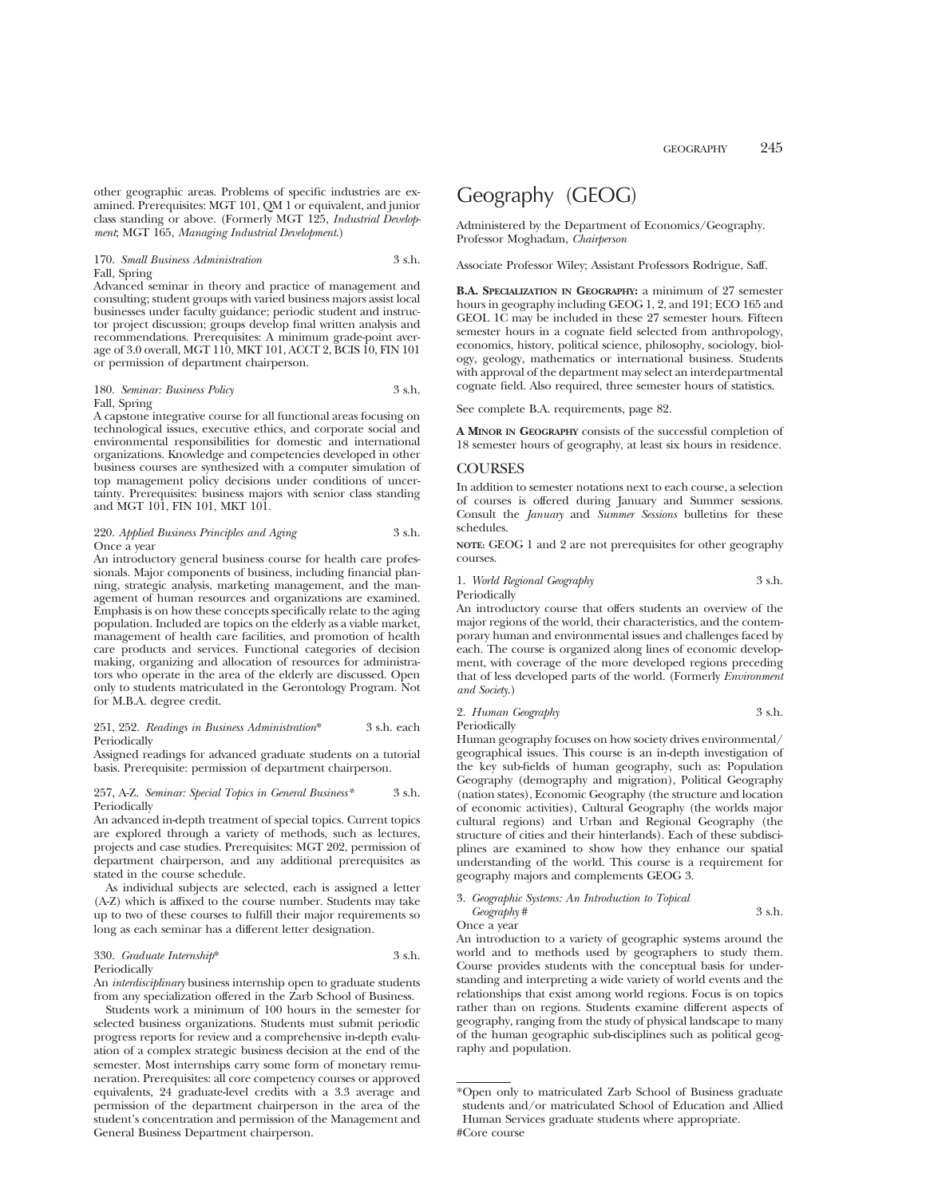other geographic areas. Problems of specific industries are examined. Prerequisites: MGT 101, QM 1 or equivalent, and junior class standing or above. (Formerly MGT 125, *Industrial Development*; MGT 165, *Managing Industrial Development*.)

### 170. *Small Business Administration* 3 s.h. Fall, Spring

Advanced seminar in theory and practice of management and consulting; student groups with varied business majors assist local businesses under faculty guidance; periodic student and instructor project discussion; groups develop final written analysis and recommendations. Prerequisites: A minimum grade-point average of 3.0 overall, MGT 110, MKT 101, ACCT 2, BCIS 10, FIN 101 or permission of department chairperson.

### 180. *Seminar: Business Policy* 3 s.h. Fall, Spring

A capstone integrative course for all functional areas focusing on technological issues, executive ethics, and corporate social and environmental responsibilities for domestic and international organizations. Knowledge and competencies developed in other business courses are synthesized with a computer simulation of top management policy decisions under conditions of uncertainty. Prerequisites: business majors with senior class standing and MGT 101, FIN 101, MKT 101.

### 220. *Applied Business Principles and Aging* 3 s.h. Once a year

An introductory general business course for health care professionals. Major components of business, including financial planning, strategic analysis, marketing management, and the management of human resources and organizations are examined. Emphasis is on how these concepts specifically relate to the aging population. Included are topics on the elderly as a viable market, management of health care facilities, and promotion of health care products and services. Functional categories of decision making, organizing and allocation of resources for administrators who operate in the area of the elderly are discussed. Open only to students matriculated in the Gerontology Program. Not for M.B.A. degree credit.

### 251, 252. *Readings in Business Administration*\* 3 s.h. each Periodically

Assigned readings for advanced graduate students on a tutorial basis. Prerequisite: permission of department chairperson.

#### 257, A-Z. *Seminar: Special Topics in General Business\** 3 s.h. Periodically

An advanced in-depth treatment of special topics. Current topics are explored through a variety of methods, such as lectures, projects and case studies. Prerequisites: MGT 202, permission of department chairperson, and any additional prerequisites as stated in the course schedule.

As individual subjects are selected, each is assigned a letter (A-Z) which is affixed to the course number. Students may take up to two of these courses to fulfill their major requirements so long as each seminar has a different letter designation.

### 330. *Graduate Internship*\* 3 s.h. Periodically

An *interdisciplinary* business internship open to graduate students from any specialization offered in the Zarb School of Business.

Students work a minimum of 100 hours in the semester for selected business organizations. Students must submit periodic progress reports for review and a comprehensive in-depth evaluation of a complex strategic business decision at the end of the semester. Most internships carry some form of monetary remuneration. Prerequisites: all core competency courses or approved equivalents, 24 graduate-level credits with a 3.3 average and permission of the department chairperson in the area of the student's concentration and permission of the Management and General Business Department chairperson.

# Geography (GEOG)

Administered by the Department of Economics/Geography. Professor Moghadam, *Chairperson*

Associate Professor Wiley; Assistant Professors Rodrigue, Saff.

**B.A. SPECIALIZATION IN GEOGRAPHY:** a minimum of 27 semester hours in geography including GEOG 1, 2, and 191; ECO 165 and GEOL 1C may be included in these 27 semester hours. Fifteen semester hours in a cognate field selected from anthropology, economics, history, political science, philosophy, sociology, biology, geology, mathematics or international business. Students with approval of the department may select an interdepartmental cognate field. Also required, three semester hours of statistics.

See complete B.A. requirements, page 82.

**A MINOR IN GEOGRAPHY** consists of the successful completion of 18 semester hours of geography, at least six hours in residence.

## **COURSES**

In addition to semester notations next to each course, a selection of courses is offered during January and Summer sessions. Consult the *January* and *Summer Sessions* bulletins for these schedules.

**NOTE:** GEOG 1 and 2 are not prerequisites for other geography courses.

1. *World Regional Geography* 3 s.h.

Periodically

An introductory course that offers students an overview of the major regions of the world, their characteristics, and the contemporary human and environmental issues and challenges faced by each. The course is organized along lines of economic development, with coverage of the more developed regions preceding that of less developed parts of the world. (Formerly *Environment and Society*.)

| 2. Human Geography | 3 s.h. |
|--------------------|--------|
| Periodically       |        |

Human geography focuses on how society drives environmental/ geographical issues. This course is an in-depth investigation of the key sub-fields of human geography, such as: Population Geography (demography and migration), Political Geography (nation states), Economic Geography (the structure and location of economic activities), Cultural Geography (the worlds major cultural regions) and Urban and Regional Geography (the structure of cities and their hinterlands). Each of these subdisciplines are examined to show how they enhance our spatial understanding of the world. This course is a requirement for geography majors and complements GEOG 3.

3. *Geographic Systems: An Introduction to Topical Geography* # 3 s.h. Once a year

An introduction to a variety of geographic systems around the world and to methods used by geographers to study them. Course provides students with the conceptual basis for understanding and interpreting a wide variety of world events and the relationships that exist among world regions. Focus is on topics rather than on regions. Students examine different aspects of geography, ranging from the study of physical landscape to many of the human geographic sub-disciplines such as political geography and population.

<sup>\*</sup>Open only to matriculated Zarb School of Business graduate students and/or matriculated School of Education and Allied Human Services graduate students where appropriate. #Core course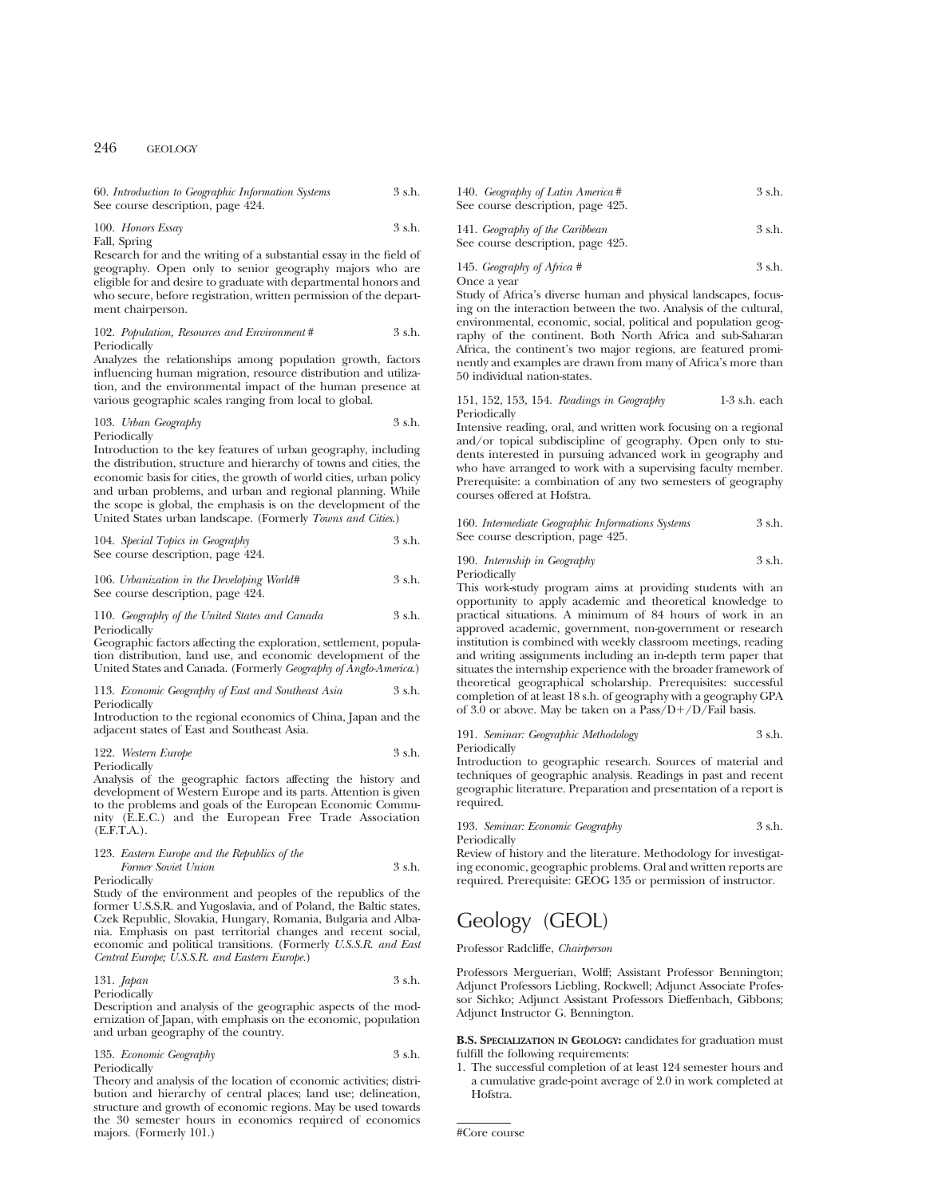| 60. Introduction to Geographic Information Systems | 3 s.h. |
|----------------------------------------------------|--------|
| See course description, page 424.                  |        |

100. *Honors Essay* 3 s.h.

Fall, Spring

Research for and the writing of a substantial essay in the field of geography. Open only to senior geography majors who are eligible for and desire to graduate with departmental honors and who secure, before registration, written permission of the department chairperson.

### 102. *Population, Resources and Environment* # 3 s.h. Periodically

Analyzes the relationships among population growth, factors influencing human migration, resource distribution and utilization, and the environmental impact of the human presence at various geographic scales ranging from local to global.

### 103. *Urban Geography* 3 s.h. Periodically

Introduction to the key features of urban geography, including the distribution, structure and hierarchy of towns and cities, the economic basis for cities, the growth of world cities, urban policy and urban problems, and urban and regional planning. While the scope is global, the emphasis is on the development of the United States urban landscape. (Formerly *Towns and Cities*.)

104. *Special Topics in Geography* 3 s.h. See course description, page 424.

106. *Urbanization in the Developing World#* 3 s.h. See course description, page 424.

### 110. *Geography of the United States and Canada* 3 s.h. Periodically

Geographic factors affecting the exploration, settlement, population distribution, land use, and economic development of the United States and Canada. (Formerly *Geography of Anglo-America*.)

### 113. *Economic Geography of East and Southeast Asia* 3 s.h. Periodically

Introduction to the regional economics of China, Japan and the adjacent states of East and Southeast Asia.

#### 122. *Western Europe* 3 s.h. Periodically

Analysis of the geographic factors affecting the history and development of Western Europe and its parts. Attention is given to the problems and goals of the European Economic Community (E.E.C.) and the European Free Trade Association (E.F.T.A.).

## 123. *Eastern Europe and the Republics of the Former Soviet Union* 3 s.h.

Periodically

Study of the environment and peoples of the republics of the former U.S.S.R. and Yugoslavia, and of Poland, the Baltic states, Czek Republic, Slovakia, Hungary, Romania, Bulgaria and Albania. Emphasis on past territorial changes and recent social, economic and political transitions. (Formerly *U.S.S.R. and East Central Europe; U.S.S.R. and Eastern Europe.*)

131. *Japan* 3 s.h. Periodically

Description and analysis of the geographic aspects of the modernization of Japan, with emphasis on the economic, population and urban geography of the country.

135. *Economic Geography* 3 s.h. Periodically

Theory and analysis of the location of economic activities; distribution and hierarchy of central places; land use; delineation, structure and growth of economic regions. May be used towards the 30 semester hours in economics required of economics majors. (Formerly 101.)

140. *Geography of Latin America* # 3 s.h. See course description, page 425.

141. *Geography of the Caribbean* 3 s.h. See course description, page 425.

145. *Geography of Africa #* 3 s.h.

Once a year

Study of Africa's diverse human and physical landscapes, focusing on the interaction between the two. Analysis of the cultural, environmental, economic, social, political and population geography of the continent. Both North Africa and sub-Saharan Africa, the continent's two major regions, are featured prominently and examples are drawn from many of Africa's more than 50 individual nation-states.

151, 152, 153, 154. *Readings in Geography* 1-3 s.h. each Periodically

Intensive reading, oral, and written work focusing on a regional and/or topical subdiscipline of geography. Open only to students interested in pursuing advanced work in geography and who have arranged to work with a supervising faculty member. Prerequisite: a combination of any two semesters of geography courses offered at Hofstra.

160. *Intermediate Geographic Informations Systems* 3 s.h. See course description, page 425.

190. *Internship in Geography* 3 s.h. Periodically

This work-study program aims at providing students with an opportunity to apply academic and theoretical knowledge to practical situations. A minimum of 84 hours of work in an approved academic, government, non-government or research institution is combined with weekly classroom meetings, reading and writing assignments including an in-depth term paper that situates the internship experience with the broader framework of theoretical geographical scholarship. Prerequisites: successful completion of at least 18 s.h. of geography with a geography GPA of 3.0 or above. May be taken on a  $Pass/D+/D/Fall$  basis.

191. *Seminar: Geographic Methodology* 3 s.h. Periodically

Introduction to geographic research. Sources of material and techniques of geographic analysis. Readings in past and recent geographic literature. Preparation and presentation of a report is required.

193. *Seminar: Economic Geography* 3 s.h. Periodically

Review of history and the literature. Methodology for investigating economic, geographic problems. Oral and written reports are required. Prerequisite: GEOG 135 or permission of instructor.

# Geology (GEOL)

Professor Radcliffe, *Chairperson*

Professors Merguerian, Wolff; Assistant Professor Bennington; Adjunct Professors Liebling, Rockwell; Adjunct Associate Professor Sichko; Adjunct Assistant Professors Dieffenbach, Gibbons; Adjunct Instructor G. Bennington.

**B.S. SPECIALIZATION IN GEOLOGY:** candidates for graduation must fulfill the following requirements:

1. The successful completion of at least 124 semester hours and a cumulative grade-point average of 2.0 in work completed at Hofstra.

#Core course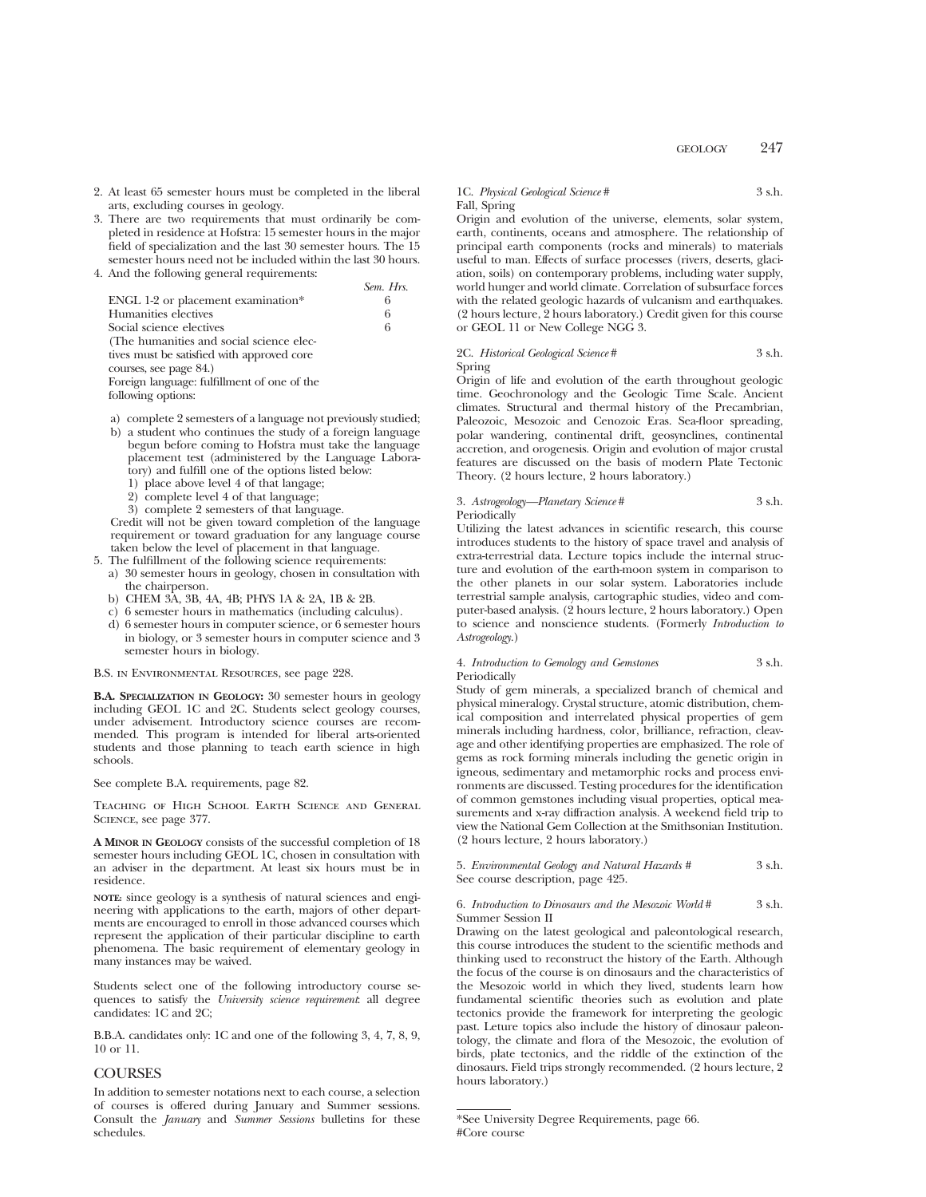- 2. At least 65 semester hours must be completed in the liberal arts, excluding courses in geology.
- 3. There are two requirements that must ordinarily be completed in residence at Hofstra: 15 semester hours in the major field of specialization and the last 30 semester hours. The 15 semester hours need not be included within the last 30 hours.
- 4. And the following general requirements:

|                                             | Sem. Hrs. |
|---------------------------------------------|-----------|
| ENGL 1-2 or placement examination*          | 6         |
| Humanities electives                        | 6         |
| Social science electives                    | 6         |
| (The humanities and social science elec-    |           |
| tives must be satisfied with approved core  |           |
| courses, see page 84.)                      |           |
| Foreign language: fulfillment of one of the |           |
| following options:                          |           |

- a) complete 2 semesters of a language not previously studied;
- b) a student who continues the study of a foreign language begun before coming to Hofstra must take the language placement test (administered by the Language Laboratory) and fulfill one of the options listed below:
	- 1) place above level 4 of that langage;
	- 2) complete level 4 of that language;
	- 3) complete 2 semesters of that language.

Credit will not be given toward completion of the language requirement or toward graduation for any language course taken below the level of placement in that language.

- 5. The fulfillment of the following science requirements:
	- a) 30 semester hours in geology, chosen in consultation with the chairperson.
	- b) CHEM 3A, 3B, 4A, 4B; PHYS 1A & 2A, 1B & 2B.
	- c) 6 semester hours in mathematics (including calculus).
	- d) 6 semester hours in computer science, or 6 semester hours in biology, or 3 semester hours in computer science and 3 semester hours in biology.

B.S. in Environmental Resources, see page 228.

**B.A. SPECIALIZATION IN GEOLOGY:** 30 semester hours in geology including GEOL 1C and 2C. Students select geology courses, under advisement. Introductory science courses are recommended. This program is intended for liberal arts-oriented students and those planning to teach earth science in high schools.

See complete B.A. requirements, page 82.

Teaching of High School Earth Science and General SCIENCE, see page 377.

**A MINOR IN GEOLOGY** consists of the successful completion of 18 semester hours including GEOL 1C, chosen in consultation with an adviser in the department. At least six hours must be in residence.

**NOTE:** since geology is a synthesis of natural sciences and engineering with applications to the earth, majors of other departments are encouraged to enroll in those advanced courses which represent the application of their particular discipline to earth phenomena. The basic requirement of elementary geology in many instances may be waived.

Students select one of the following introductory course sequences to satisfy the *University science requirement*: all degree candidates: 1C and 2C;

B.B.A. candidates only: 1C and one of the following 3, 4, 7, 8, 9, 10 or 11.

# **COURSES**

In addition to semester notations next to each course, a selection of courses is offered during January and Summer sessions. Consult the *January* and *Summer Sessions* bulletins for these schedules.

### 1C. *Physical Geological Science* # 3 s.h. Fall, Spring

Origin and evolution of the universe, elements, solar system, earth, continents, oceans and atmosphere. The relationship of principal earth components (rocks and minerals) to materials useful to man. Effects of surface processes (rivers, deserts, glaciation, soils) on contemporary problems, including water supply, world hunger and world climate. Correlation of subsurface forces with the related geologic hazards of vulcanism and earthquakes. (2 hours lecture, 2 hours laboratory.) Credit given for this course or GEOL 11 or New College NGG 3.

# 2C. *Historical Geological Science* # 3 s.h.

Spring

Origin of life and evolution of the earth throughout geologic time. Geochronology and the Geologic Time Scale. Ancient climates. Structural and thermal history of the Precambrian, Paleozoic, Mesozoic and Cenozoic Eras. Sea-floor spreading, polar wandering, continental drift, geosynclines, continental accretion, and orogenesis. Origin and evolution of major crustal features are discussed on the basis of modern Plate Tectonic Theory. (2 hours lecture, 2 hours laboratory.)

3. *Astrogeology—Planetary Science* # 3 s.h. Periodically

Utilizing the latest advances in scientific research, this course introduces students to the history of space travel and analysis of extra-terrestrial data. Lecture topics include the internal structure and evolution of the earth-moon system in comparison to the other planets in our solar system. Laboratories include terrestrial sample analysis, cartographic studies, video and computer-based analysis. (2 hours lecture, 2 hours laboratory.) Open to science and nonscience students. (Formerly *Introduction to Astrogeology*.)

### 4. *Introduction to Gemology and Gemstones* 3 s.h. Periodically

Study of gem minerals, a specialized branch of chemical and physical mineralogy. Crystal structure, atomic distribution, chemical composition and interrelated physical properties of gem minerals including hardness, color, brilliance, refraction, cleavage and other identifying properties are emphasized. The role of gems as rock forming minerals including the genetic origin in igneous, sedimentary and metamorphic rocks and process environments are discussed. Testing procedures for the identification of common gemstones including visual properties, optical measurements and x-ray diffraction analysis. A weekend field trip to view the National Gem Collection at the Smithsonian Institution. (2 hours lecture, 2 hours laboratory.)

5. *Environmental Geology and Natural Hazards* # 3 s.h. See course description, page 425.

6. *Introduction to Dinosaurs and the Mesozoic World* # 3 s.h. Summer Session II

Drawing on the latest geological and paleontological research, this course introduces the student to the scientific methods and thinking used to reconstruct the history of the Earth. Although the focus of the course is on dinosaurs and the characteristics of the Mesozoic world in which they lived, students learn how fundamental scientific theories such as evolution and plate tectonics provide the framework for interpreting the geologic past. Leture topics also include the history of dinosaur paleontology, the climate and flora of the Mesozoic, the evolution of birds, plate tectonics, and the riddle of the extinction of the dinosaurs. Field trips strongly recommended. (2 hours lecture, 2 hours laboratory.)

<sup>\*</sup>See University Degree Requirements, page 66. #Core course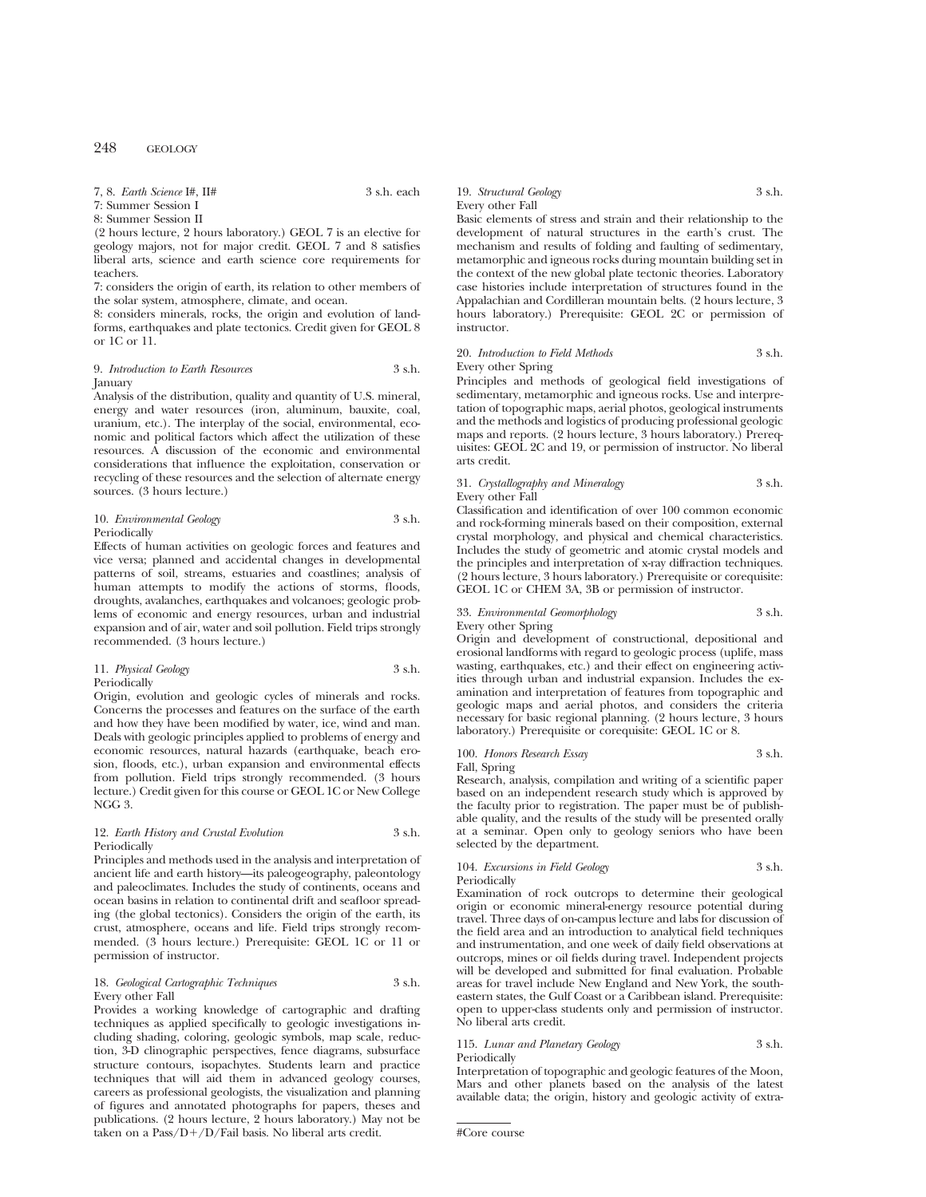## 7, 8. *Earth Science* I#, II# 3 s.h. each

7: Summer Session I

8: Summer Session II

(2 hours lecture, 2 hours laboratory.) GEOL 7 is an elective for geology majors, not for major credit. GEOL 7 and 8 satisfies liberal arts, science and earth science core requirements for teachers.

7: considers the origin of earth, its relation to other members of the solar system, atmosphere, climate, and ocean.

8: considers minerals, rocks, the origin and evolution of landforms, earthquakes and plate tectonics. Credit given for GEOL 8 or 1C or 11.

### 9. *Introduction to Earth Resources* 3 s.h. **January**

Analysis of the distribution, quality and quantity of U.S. mineral, energy and water resources (iron, aluminum, bauxite, coal, uranium, etc.). The interplay of the social, environmental, economic and political factors which affect the utilization of these resources. A discussion of the economic and environmental considerations that influence the exploitation, conservation or recycling of these resources and the selection of alternate energy sources. (3 hours lecture.)

### 10. *Environmental Geology* 3 s.h. Periodically

Effects of human activities on geologic forces and features and vice versa; planned and accidental changes in developmental patterns of soil, streams, estuaries and coastlines; analysis of human attempts to modify the actions of storms, floods, droughts, avalanches, earthquakes and volcanoes; geologic problems of economic and energy resources, urban and industrial expansion and of air, water and soil pollution. Field trips strongly recommended. (3 hours lecture.)

#### 11. *Physical Geology* 3 s.h. Periodically

Origin, evolution and geologic cycles of minerals and rocks. Concerns the processes and features on the surface of the earth and how they have been modified by water, ice, wind and man. Deals with geologic principles applied to problems of energy and economic resources, natural hazards (earthquake, beach erosion, floods, etc.), urban expansion and environmental effects from pollution. Field trips strongly recommended. (3 hours lecture.) Credit given for this course or GEOL 1C or New College NGG 3.

# 12. *Earth History and Crustal Evolution* 3 s.h. Periodically

Principles and methods used in the analysis and interpretation of ancient life and earth history—its paleogeography, paleontology and paleoclimates. Includes the study of continents, oceans and ocean basins in relation to continental drift and seafloor spreading (the global tectonics). Considers the origin of the earth, its crust, atmosphere, oceans and life. Field trips strongly recommended. (3 hours lecture.) Prerequisite: GEOL 1C or 11 or permission of instructor.

### 18. *Geological Cartographic Techniques* 3 s.h. Every other Fall

Provides a working knowledge of cartographic and drafting techniques as applied specifically to geologic investigations including shading, coloring, geologic symbols, map scale, reduction, 3-D clinographic perspectives, fence diagrams, subsurface structure contours, isopachytes. Students learn and practice techniques that will aid them in advanced geology courses, careers as professional geologists, the visualization and planning of figures and annotated photographs for papers, theses and publications. (2 hours lecture, 2 hours laboratory.) May not be taken on a  $Pass/D+/D/Fall$  basis. No liberal arts credit.

19. *Structural Geology* 3 s.h. Every other Fall

Basic elements of stress and strain and their relationship to the development of natural structures in the earth's crust. The mechanism and results of folding and faulting of sedimentary, metamorphic and igneous rocks during mountain building set in the context of the new global plate tectonic theories. Laboratory case histories include interpretation of structures found in the Appalachian and Cordilleran mountain belts. (2 hours lecture, 3 hours laboratory.) Prerequisite: GEOL 2C or permission of instructor.

### 20. *Introduction to Field Methods* 3 s.h. Every other Spring

Principles and methods of geological field investigations of sedimentary, metamorphic and igneous rocks. Use and interpretation of topographic maps, aerial photos, geological instruments and the methods and logistics of producing professional geologic maps and reports. (2 hours lecture, 3 hours laboratory.) Prerequisites: GEOL 2C and 19, or permission of instructor. No liberal arts credit.

### 31. *Crystallography and Mineralogy* 3 s.h. Every other Fall

Classification and identification of over 100 common economic and rock-forming minerals based on their composition, external crystal morphology, and physical and chemical characteristics. Includes the study of geometric and atomic crystal models and the principles and interpretation of x-ray diffraction techniques. (2 hours lecture, 3 hours laboratory.) Prerequisite or corequisite: GEOL 1C or CHEM 3A, 3B or permission of instructor.

### 33. *Environmental Geomorphology* 3 s.h. Every other Spring

Origin and development of constructional, depositional and erosional landforms with regard to geologic process (uplife, mass wasting, earthquakes, etc.) and their effect on engineering activities through urban and industrial expansion. Includes the examination and interpretation of features from topographic and geologic maps and aerial photos, and considers the criteria necessary for basic regional planning. (2 hours lecture, 3 hours laboratory.) Prerequisite or corequisite: GEOL 1C or 8.

### 100. *Honors Research Essay* 3 s.h. Fall, Spring

Research, analysis, compilation and writing of a scientific paper based on an independent research study which is approved by the faculty prior to registration. The paper must be of publishable quality, and the results of the study will be presented orally at a seminar. Open only to geology seniors who have been selected by the department.

# 104. *Excursions in Field Geology* 3 s.h.

Periodically

Examination of rock outcrops to determine their geological origin or economic mineral-energy resource potential during travel. Three days of on-campus lecture and labs for discussion of the field area and an introduction to analytical field techniques and instrumentation, and one week of daily field observations at outcrops, mines or oil fields during travel. Independent projects will be developed and submitted for final evaluation. Probable areas for travel include New England and New York, the southeastern states, the Gulf Coast or a Caribbean island. Prerequisite: open to upper-class students only and permission of instructor. No liberal arts credit.

# 115. *Lunar and Planetary Geology* 3 s.h.

Periodically

Interpretation of topographic and geologic features of the Moon, Mars and other planets based on the analysis of the latest available data; the origin, history and geologic activity of extra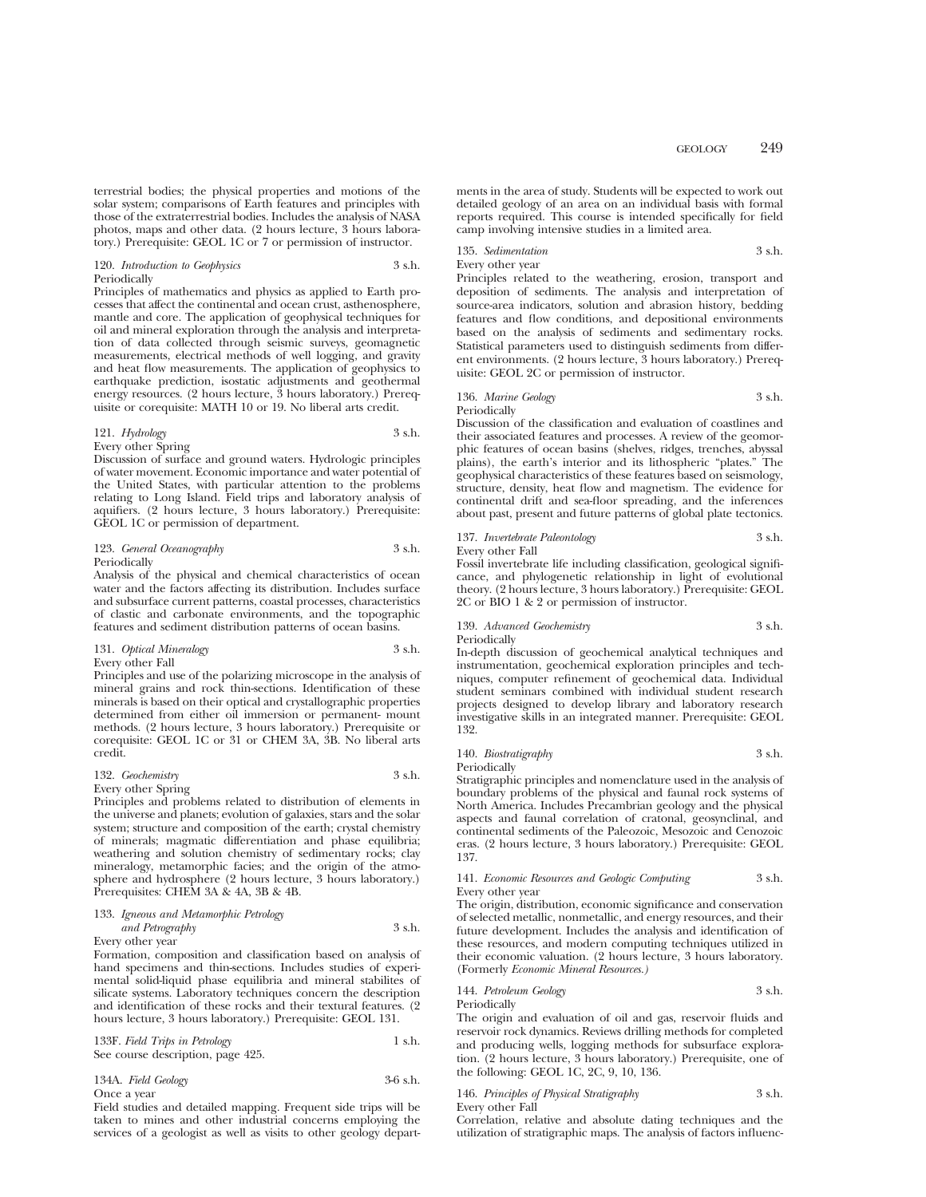terrestrial bodies; the physical properties and motions of the solar system; comparisons of Earth features and principles with those of the extraterrestrial bodies. Includes the analysis of NASA photos, maps and other data. (2 hours lecture, 3 hours laboratory.) Prerequisite: GEOL 1C or 7 or permission of instructor.

### 120. *Introduction to Geophysics* 3 s.h. Periodically

Principles of mathematics and physics as applied to Earth processes that affect the continental and ocean crust, asthenosphere, mantle and core. The application of geophysical techniques for oil and mineral exploration through the analysis and interpretation of data collected through seismic surveys, geomagnetic measurements, electrical methods of well logging, and gravity and heat flow measurements. The application of geophysics to earthquake prediction, isostatic adjustments and geothermal energy resources. (2 hours lecture, 3 hours laboratory.) Prerequisite or corequisite: MATH 10 or 19. No liberal arts credit.

### 121. *Hydrology* 3 s.h. Every other Spring

Discussion of surface and ground waters. Hydrologic principles of water movement. Economic importance and water potential of the United States, with particular attention to the problems relating to Long Island. Field trips and laboratory analysis of aquifiers. (2 hours lecture, 3 hours laboratory.) Prerequisite: GEOL 1C or permission of department.

### 123. *General Oceanography* 3 s.h. Periodically

Analysis of the physical and chemical characteristics of ocean water and the factors affecting its distribution. Includes surface and subsurface current patterns, coastal processes, characteristics of clastic and carbonate environments, and the topographic features and sediment distribution patterns of ocean basins.

# 131. *Optical Mineralogy* 3 s.h. Every other Fall

Principles and use of the polarizing microscope in the analysis of mineral grains and rock thin-sections. Identification of these minerals is based on their optical and crystallographic properties determined from either oil immersion or permanent- mount methods. (2 hours lecture, 3 hours laboratory.) Prerequisite or corequisite: GEOL 1C or 31 or CHEM 3A, 3B. No liberal arts credit.

### 132. *Geochemistry* 3 s.h. Every other Spring

Principles and problems related to distribution of elements in the universe and planets; evolution of galaxies, stars and the solar system; structure and composition of the earth; crystal chemistry of minerals; magmatic differentiation and phase equilibria; weathering and solution chemistry of sedimentary rocks; clay mineralogy, metamorphic facies; and the origin of the atmosphere and hydrosphere (2 hours lecture, 3 hours laboratory.) Prerequisites: CHEM 3A & 4A, 3B & 4B.

# 133. *Igneous and Metamorphic Petrology and Petrography* 3 s.h.

Every other year

Formation, composition and classification based on analysis of hand specimens and thin-sections. Includes studies of experimental solid-liquid phase equilibria and mineral stabilites of silicate systems. Laboratory techniques concern the description and identification of these rocks and their textural features. (2 hours lecture, 3 hours laboratory.) Prerequisite: GEOL 131.

| 133F. Field Trips in Petrology    | 1 s.h. |
|-----------------------------------|--------|
| See course description, page 425. |        |

134A. *Field Geology* 3-6 s.h. Once a year

Field studies and detailed mapping. Frequent side trips will be taken to mines and other industrial concerns employing the services of a geologist as well as visits to other geology departments in the area of study. Students will be expected to work out detailed geology of an area on an individual basis with formal reports required. This course is intended specifically for field camp involving intensive studies in a limited area.

### 135. *Sedimentation* 3 s.h. Every other year

Principles related to the weathering, erosion, transport and deposition of sediments. The analysis and interpretation of source-area indicators, solution and abrasion history, bedding features and flow conditions, and depositional environments based on the analysis of sediments and sedimentary rocks. Statistical parameters used to distinguish sediments from different environments. (2 hours lecture, 3 hours laboratory.) Prerequisite: GEOL 2C or permission of instructor.

#### 136. *Marine Geology* 3 s.h. Periodically

Discussion of the classification and evaluation of coastlines and their associated features and processes. A review of the geomorphic features of ocean basins (shelves, ridges, trenches, abyssal plains), the earth's interior and its lithospheric "plates." The geophysical characteristics of these features based on seismology, structure, density, heat flow and magnetism. The evidence for continental drift and sea-floor spreading, and the inferences about past, present and future patterns of global plate tectonics.

# 137. *Invertebrate Paleontology* 3 s.h.

Every other Fall

Fossil invertebrate life including classification, geological significance, and phylogenetic relationship in light of evolutional theory. (2 hours lecture, 3 hours laboratory.) Prerequisite: GEOL 2C or BIO 1 & 2 or permission of instructor.

139. *Advanced Geochemistry* 3 s.h.

Periodically

In-depth discussion of geochemical analytical techniques and instrumentation, geochemical exploration principles and techniques, computer refinement of geochemical data. Individual student seminars combined with individual student research projects designed to develop library and laboratory research investigative skills in an integrated manner. Prerequisite: GEOL 132.

### 140. *Biostratigraphy* 3 s.h. Periodically

Stratigraphic principles and nomenclature used in the analysis of boundary problems of the physical and faunal rock systems of North America. Includes Precambrian geology and the physical aspects and faunal correlation of cratonal, geosynclinal, and continental sediments of the Paleozoic, Mesozoic and Cenozoic eras. (2 hours lecture, 3 hours laboratory.) Prerequisite: GEOL 137.

### 141. *Economic Resources and Geologic Computing* 3 s.h. Every other year

The origin, distribution, economic significance and conservation of selected metallic, nonmetallic, and energy resources, and their future development. Includes the analysis and identification of these resources, and modern computing techniques utilized in their economic valuation. (2 hours lecture, 3 hours laboratory. (Formerly *Economic Mineral Resources.)*

144. *Petroleum Geology* 3 s.h. Periodically

The origin and evaluation of oil and gas, reservoir fluids and reservoir rock dynamics. Reviews drilling methods for completed and producing wells, logging methods for subsurface exploration. (2 hours lecture, 3 hours laboratory.) Prerequisite, one of the following: GEOL 1C, 2C, 9, 10, 136.

| 146. Principles of Physical Stratigraphy | 3 s.h. |
|------------------------------------------|--------|
| Every other Fall                         |        |

Correlation, relative and absolute dating techniques and the utilization of stratigraphic maps. The analysis of factors influenc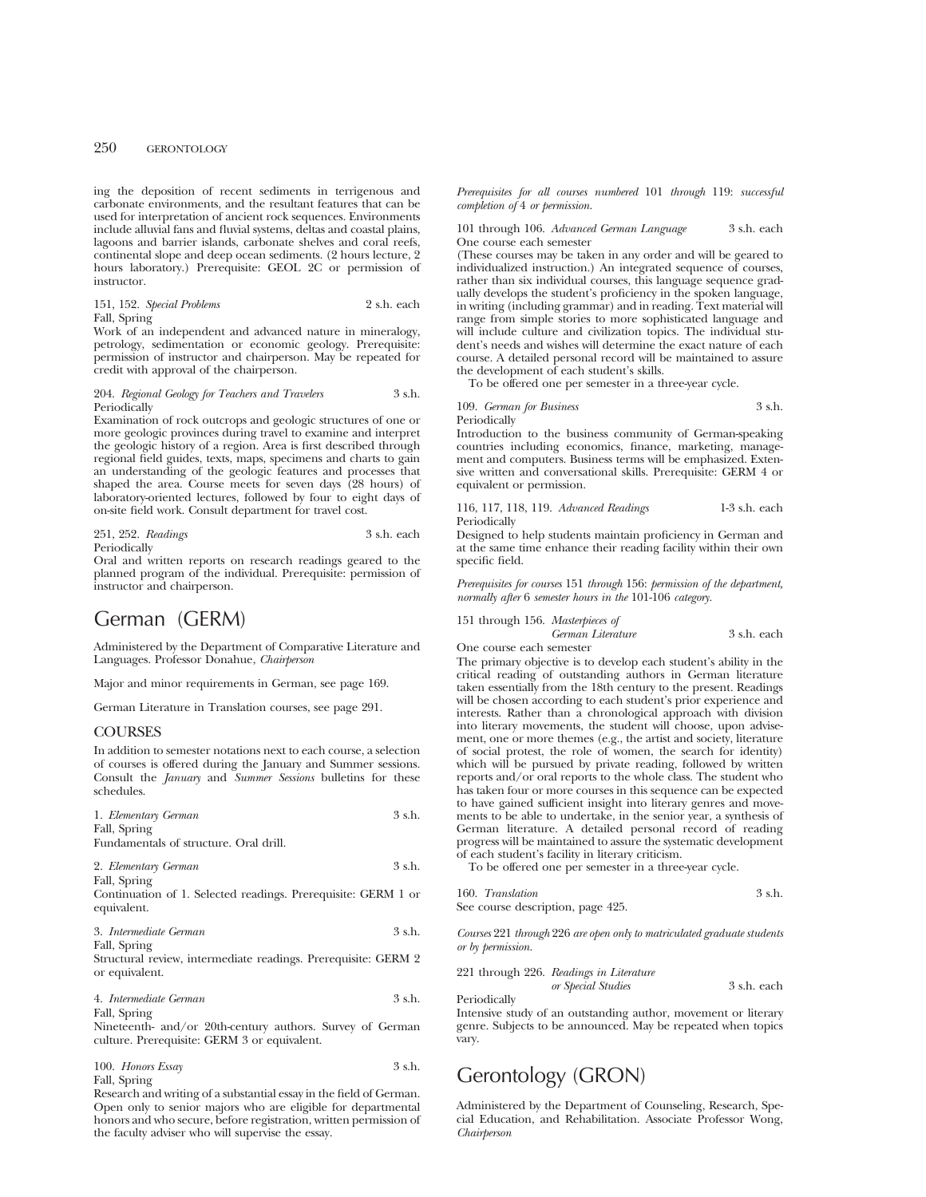ing the deposition of recent sediments in terrigenous and carbonate environments, and the resultant features that can be used for interpretation of ancient rock sequences. Environments include alluvial fans and fluvial systems, deltas and coastal plains, lagoons and barrier islands, carbonate shelves and coral reefs, continental slope and deep ocean sediments. (2 hours lecture, 2 hours laboratory.) Prerequisite: GEOL 2C or permission of instructor.

151, 152. *Special Problems* 2 s.h. each Fall, Spring

Work of an independent and advanced nature in mineralogy, petrology, sedimentation or economic geology. Prerequisite: permission of instructor and chairperson. May be repeated for credit with approval of the chairperson.

### 204. *Regional Geology for Teachers and Travelers* 3 s.h. Periodically

Examination of rock outcrops and geologic structures of one or more geologic provinces during travel to examine and interpret the geologic history of a region. Area is first described through regional field guides, texts, maps, specimens and charts to gain an understanding of the geologic features and processes that shaped the area. Course meets for seven days (28 hours) of laboratory-oriented lectures, followed by four to eight days of on-site field work. Consult department for travel cost.

251, 252. *Readings* 3 s.h. each Periodically

Oral and written reports on research readings geared to the planned program of the individual. Prerequisite: permission of instructor and chairperson.

# German (GERM)

Administered by the Department of Comparative Literature and Languages. Professor Donahue, *Chairperson*

Major and minor requirements in German, see page 169.

German Literature in Translation courses, see page 291.

## **COURSES**

In addition to semester notations next to each course, a selection of courses is offered during the January and Summer sessions. Consult the *January* and *Summer Sessions* bulletins for these schedules.

| 1. Elementary German                   | 3 s.h. |
|----------------------------------------|--------|
| Fall, Spring                           |        |
| Fundamentals of structure. Oral drill. |        |

| 2. Elementary German | 3 s.h. |
|----------------------|--------|
| Fall, Spring         |        |

Continuation of 1. Selected readings. Prerequisite: GERM 1 or equivalent.

3. *Intermediate German* 3 s.h. Fall, Spring

Structural review, intermediate readings. Prerequisite: GERM 2 or equivalent.

4. *Intermediate German* 3 s.h. Fall, Spring

Nineteenth- and/or 20th-century authors. Survey of German culture. Prerequisite: GERM 3 or equivalent.

| 100. Honors Essay | 3 s.h. |
|-------------------|--------|
| Fall, Spring      |        |

Research and writing of a substantial essay in the field of German. Open only to senior majors who are eligible for departmental honors and who secure, before registration, written permission of the faculty adviser who will supervise the essay.

*Prerequisites for all courses numbered* 101 *through* 119: *successful completion of* 4 *or permission.*

101 through 106. *Advanced German Language* 3 s.h. each One course each semester

(These courses may be taken in any order and will be geared to individualized instruction.) An integrated sequence of courses, rather than six individual courses, this language sequence gradually develops the student's proficiency in the spoken language, in writing (including grammar) and in reading. Text material will range from simple stories to more sophisticated language and will include culture and civilization topics. The individual student's needs and wishes will determine the exact nature of each course. A detailed personal record will be maintained to assure the development of each student's skills.

To be offered one per semester in a three-year cycle.

### 109. *German for Business* 3 s.h. Periodically

Introduction to the business community of German-speaking countries including economics, finance, marketing, management and computers. Business terms will be emphasized. Extensive written and conversational skills. Prerequisite: GERM 4 or equivalent or permission.

116, 117, 118, 119. *Advanced Readings* 1-3 s.h. each Periodically

Designed to help students maintain proficiency in German and at the same time enhance their reading facility within their own specific field.

*Prerequisites for courses* 151 *through* 156: *permission of the department, normally after* 6 *semester hours in the* 101-106 *category.*

151 through 156. *Masterpieces of*

*German Literature* 3 s.h. each One course each semester

The primary objective is to develop each student's ability in the critical reading of outstanding authors in German literature taken essentially from the 18th century to the present. Readings will be chosen according to each student's prior experience and interests. Rather than a chronological approach with division into literary movements, the student will choose, upon advisement, one or more themes (e.g., the artist and society, literature of social protest, the role of women, the search for identity) which will be pursued by private reading, followed by written reports and/or oral reports to the whole class. The student who has taken four or more courses in this sequence can be expected to have gained sufficient insight into literary genres and movements to be able to undertake, in the senior year, a synthesis of German literature. A detailed personal record of reading progress will be maintained to assure the systematic development of each student's facility in literary criticism.

To be offered one per semester in a three-year cycle.

| 160. Translation                  | 3 s.h. |
|-----------------------------------|--------|
| See course description, page 425. |        |

*Courses* 221 *through* 226 *are open only to matriculated graduate students or by permission.*

221 through 226. *Readings in Literature or Special Studies* 3 s.h. each Periodically

Intensive study of an outstanding author, movement or literary genre. Subjects to be announced. May be repeated when topics vary.

# Gerontology (GRON)

Administered by the Department of Counseling, Research, Special Education, and Rehabilitation. Associate Professor Wong, *Chairperson*